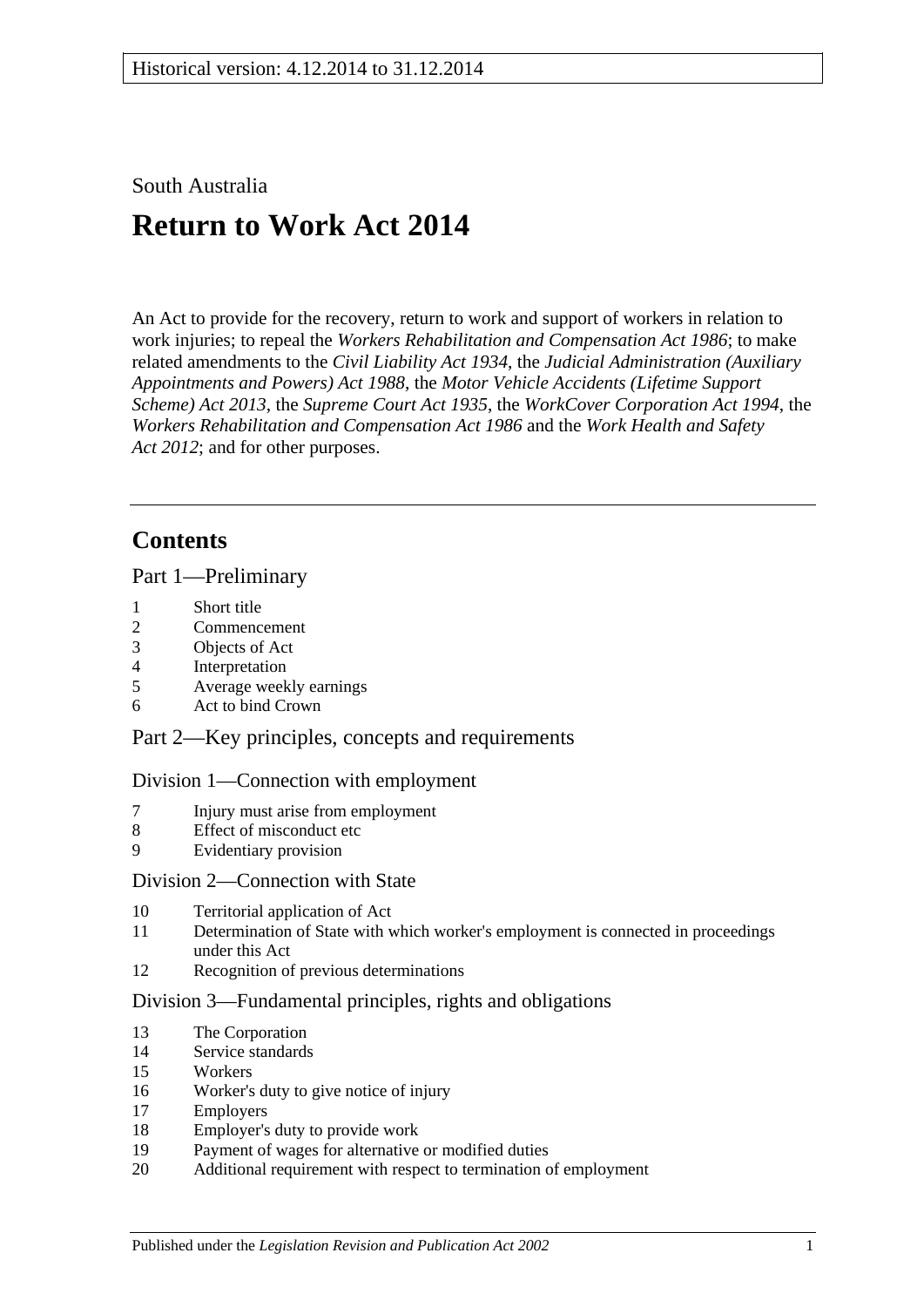South Australia

# **Return to Work Act 2014**

An Act to provide for the recovery, return to work and support of workers in relation to work injuries; to repeal the *[Workers Rehabilitation and Compensation Act](http://www.legislation.sa.gov.au/index.aspx?action=legref&type=act&legtitle=Workers%20Rehabilitation%20and%20Compensation%20Act%201986) 1986*; to make related amendments to the *[Civil Liability Act](http://www.legislation.sa.gov.au/index.aspx?action=legref&type=act&legtitle=Civil%20Liability%20Act%201934) 1934*, the *[Judicial Administration \(Auxiliary](http://www.legislation.sa.gov.au/index.aspx?action=legref&type=act&legtitle=Judicial%20Administration%20(Auxiliary%20Appointments%20and%20Powers)%20Act%201988)  [Appointments and Powers\) Act](http://www.legislation.sa.gov.au/index.aspx?action=legref&type=act&legtitle=Judicial%20Administration%20(Auxiliary%20Appointments%20and%20Powers)%20Act%201988) 1988*, the *[Motor Vehicle Accidents \(Lifetime Support](http://www.legislation.sa.gov.au/index.aspx?action=legref&type=act&legtitle=Motor%20Vehicle%20Accidents%20(Lifetime%20Support%20Scheme)%20Act%202013)  [Scheme\) Act](http://www.legislation.sa.gov.au/index.aspx?action=legref&type=act&legtitle=Motor%20Vehicle%20Accidents%20(Lifetime%20Support%20Scheme)%20Act%202013) 2013*, the *[Supreme Court Act](http://www.legislation.sa.gov.au/index.aspx?action=legref&type=act&legtitle=Supreme%20Court%20Act%201935) 1935*, the *[WorkCover Corporation Act](http://www.legislation.sa.gov.au/index.aspx?action=legref&type=act&legtitle=WorkCover%20Corporation%20Act%201994) 1994*, the *[Workers Rehabilitation and Compensation Act](http://www.legislation.sa.gov.au/index.aspx?action=legref&type=act&legtitle=Workers%20Rehabilitation%20and%20Compensation%20Act%201986) 1986* and the *[Work Health and Safety](http://www.legislation.sa.gov.au/index.aspx?action=legref&type=act&legtitle=Work%20Health%20and%20Safety%20Act%202012)  Act [2012](http://www.legislation.sa.gov.au/index.aspx?action=legref&type=act&legtitle=Work%20Health%20and%20Safety%20Act%202012)*; and for other purposes.

# **Contents**

Part [1—Preliminary](#page-9-0)

- 1 [Short title](#page-9-1)
- 2 [Commencement](#page-10-0)
- 3 [Objects of Act](#page-10-1)
- 4 [Interpretation](#page-10-2)
- 5 [Average weekly earnings](#page-20-0)
- 6 [Act to bind Crown](#page-23-0)

Part [2—Key principles, concepts and requirements](#page-23-1)

# Division [1—Connection with employment](#page-23-2)

- 7 [Injury must arise from employment](#page-23-3)
- 8 [Effect of misconduct etc](#page-25-0)
- 9 [Evidentiary provision](#page-26-0)

# Division [2—Connection with State](#page-26-1)

- 10 [Territorial application of Act](#page-26-2)
- 11 [Determination of State with which worker's employment is connected in proceedings](#page-28-0)  [under this Act](#page-28-0)
- 12 [Recognition of previous determinations](#page-28-1)

#### Division [3—Fundamental principles, rights and obligations](#page-29-0)

- 13 [The Corporation](#page-29-1)
- 14 [Service standards](#page-29-2)
- 15 [Workers](#page-29-3)
- 16 [Worker's duty to give notice of injury](#page-30-0)
- 17 [Employers](#page-32-0)
- 18 [Employer's duty to provide work](#page-32-1)
- 19 [Payment of wages for alternative or modified duties](#page-35-0)
- 20 Additional requirement with [respect to termination of employment](#page-35-1)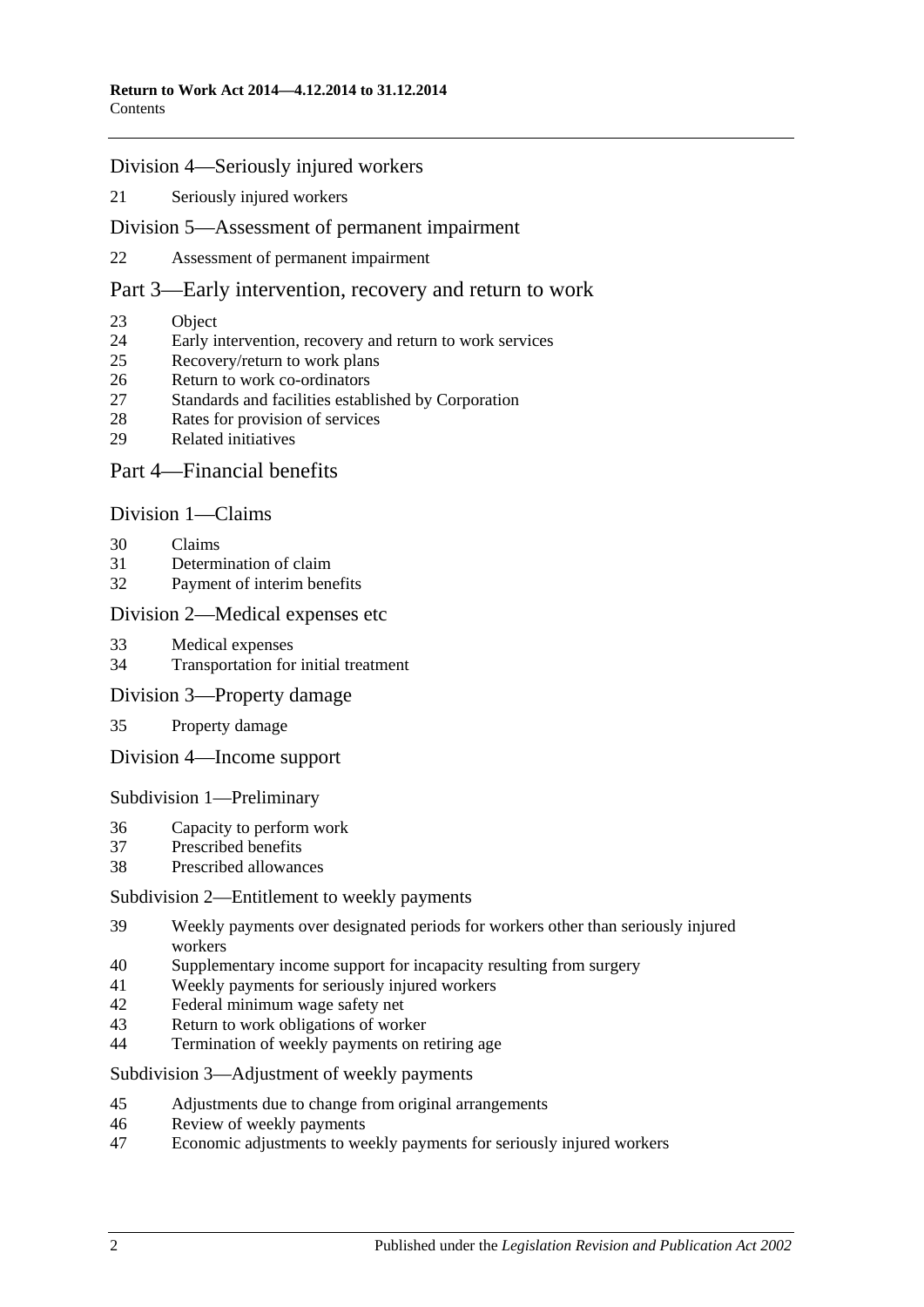### Division [4—Seriously injured workers](#page-35-2)

[Seriously injured workers](#page-35-3)

#### Division [5—Assessment of permanent impairment](#page-36-0)

[Assessment of permanent impairment](#page-36-1)

## Part [3—Early intervention, recovery and return to work](#page-39-0)

- [Object](#page-39-1)
- [Early intervention, recovery and return to work services](#page-39-2)
- [Recovery/return to work plans](#page-40-0)
- [Return to work co-ordinators](#page-42-0)
- [Standards and facilities established by Corporation](#page-43-0)
- [Rates for provision of services](#page-43-1)
- [Related initiatives](#page-44-0)

# Part [4—Financial benefits](#page-44-1)

#### Division [1—Claims](#page-44-2)

- [Claims](#page-44-3)
- [Determination of claim](#page-45-0)
- [Payment of interim benefits](#page-47-0)

#### Division [2—Medical expenses etc](#page-47-1)

- [Medical expenses](#page-47-2)
- [Transportation for initial treatment](#page-50-0)
- Division [3—Property damage](#page-51-0)
- [Property damage](#page-51-1)
- Division [4—Income support](#page-51-2)

Subdivision [1—Preliminary](#page-51-3)

- [Capacity to perform work](#page-51-4)
- [Prescribed benefits](#page-52-0)
- [Prescribed allowances](#page-52-1)

#### Subdivision [2—Entitlement to weekly payments](#page-52-2)

- [Weekly payments over designated periods for workers other than seriously injured](#page-52-3)  [workers](#page-52-3)
- [Supplementary income support for incapacity resulting from surgery](#page-53-0)
- [Weekly payments for seriously injured workers](#page-53-1)
- [Federal minimum wage safety net](#page-54-0)
- [Return to work obligations of worker](#page-55-0)
- [Termination of weekly payments on retiring age](#page-55-1)

Subdivision [3—Adjustment of weekly payments](#page-56-0)

- [Adjustments due to change from original arrangements](#page-56-1)
- [Review of weekly payments](#page-57-0)
- [Economic adjustments to weekly payments for seriously injured workers](#page-57-1)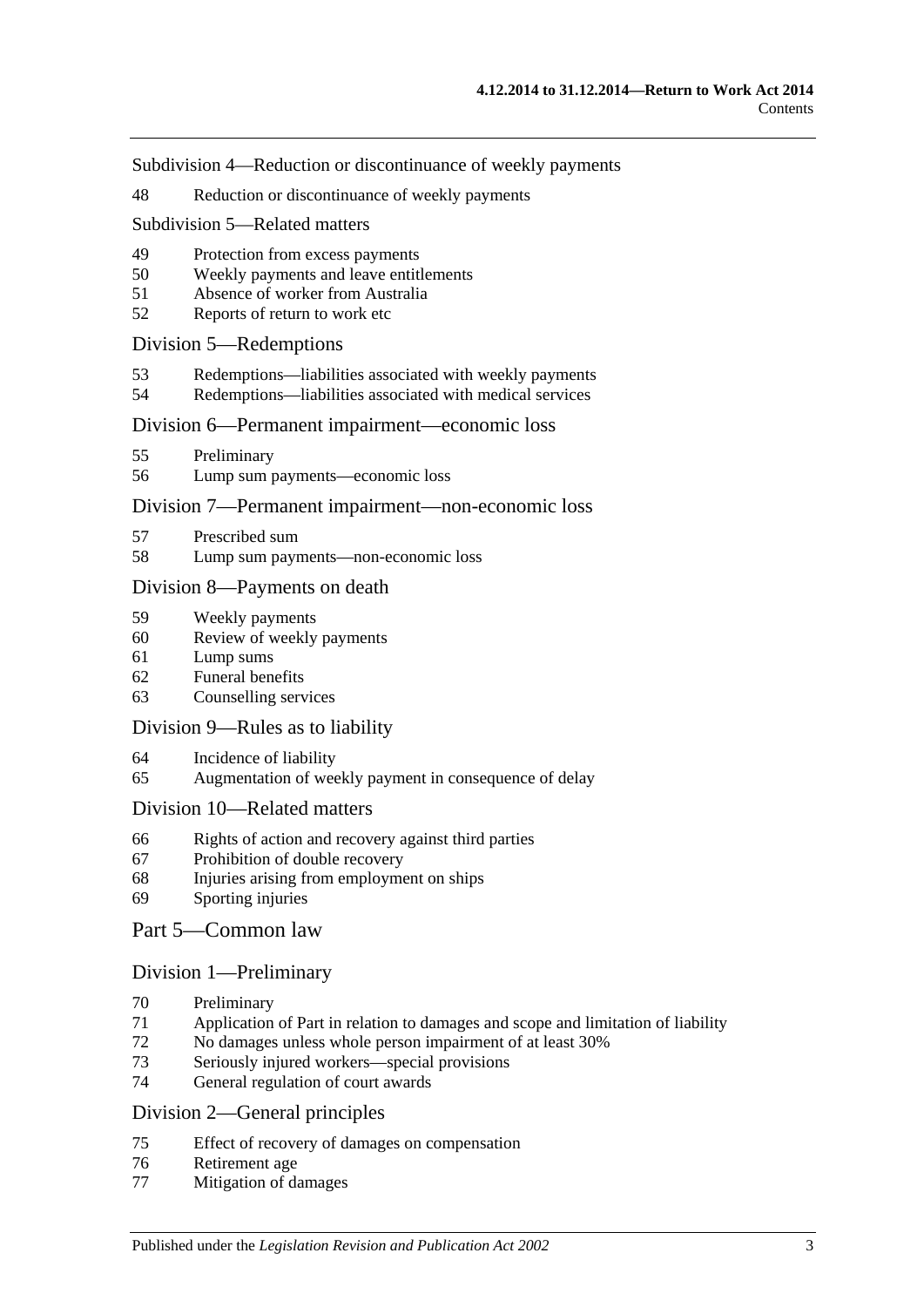Subdivision [4—Reduction or discontinuance of](#page-58-0) weekly payments

[Reduction or discontinuance of weekly payments](#page-58-1)

#### Subdivision [5—Related matters](#page-63-0)

- [Protection from excess payments](#page-63-1)
- [Weekly payments and leave entitlements](#page-64-0)
- [Absence of worker from Australia](#page-64-1)
- [Reports of return to work etc](#page-65-0)

### Division [5—Redemptions](#page-65-1)

- [Redemptions—liabilities associated with weekly payments](#page-65-2)
- [Redemptions—liabilities associated with medical services](#page-66-0)

#### Division [6—Permanent impairment—economic loss](#page-67-0)

- [Preliminary](#page-67-1)
- [Lump sum payments—economic loss](#page-68-0)

#### Division [7—Permanent impairment—non-economic loss](#page-69-0)

- [Prescribed sum](#page-69-1)
- [Lump sum payments—non-economic loss](#page-69-2)

#### Division [8—Payments on death](#page-70-0)

- [Weekly payments](#page-70-1)
- [Review of weekly payments](#page-73-0)
- [Lump sums](#page-73-1)
- [Funeral benefits](#page-75-0)
- [Counselling services](#page-75-1)

#### Division [9—Rules as to liability](#page-76-0)

- [Incidence of liability](#page-76-1)
- [Augmentation of weekly payment in consequence of delay](#page-78-0)

#### Division [10—Related matters](#page-78-1)

- [Rights of action and recovery against third parties](#page-78-2)
- [Prohibition of double recovery](#page-82-0)
- [Injuries arising from employment on ships](#page-82-1)
- [Sporting injuries](#page-82-2)

#### Part [5—Common law](#page-83-0)

#### Division [1—Preliminary](#page-83-1)

- [Preliminary](#page-83-2)
- [Application of Part in relation to damages and scope and limitation of liability](#page-83-3)
- [No damages unless whole person impairment of at least](#page-85-0) 30%
- [Seriously injured workers—special provisions](#page-85-1)
- [General regulation of court awards](#page-86-0)

#### Division [2—General principles](#page-86-1)

- [Effect of recovery of damages on compensation](#page-86-2)
- [Retirement age](#page-88-0)
- [Mitigation of damages](#page-88-1)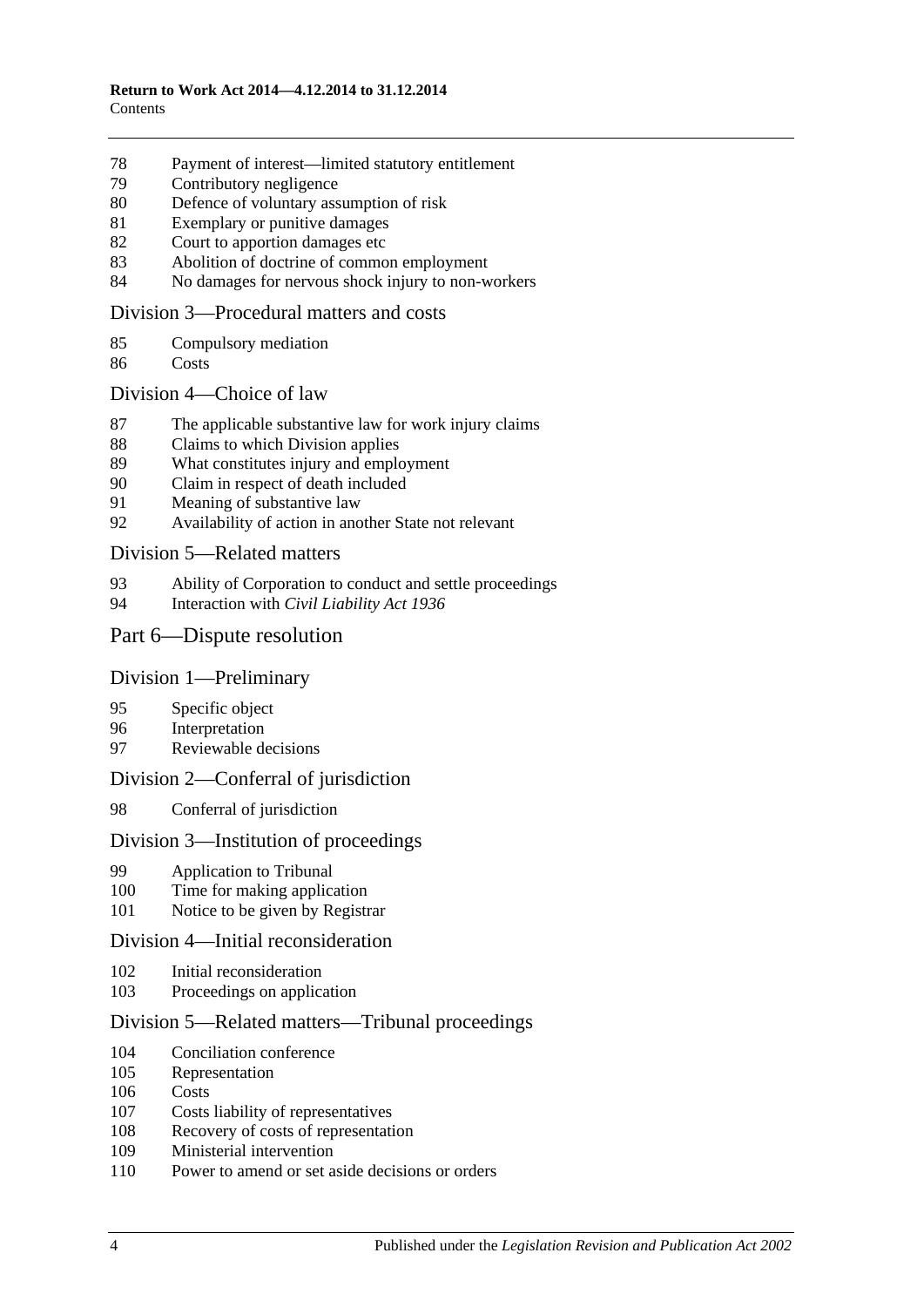- [Payment of interest—limited statutory entitlement](#page-88-2)
- [Contributory negligence](#page-89-0)
- [Defence of voluntary assumption of risk](#page-89-1)
- [Exemplary or punitive damages](#page-89-2)
- [Court to apportion damages etc](#page-89-3)
- [Abolition of doctrine of common employment](#page-90-0)
- [No damages for nervous shock injury to non-workers](#page-90-1)

#### Division [3—Procedural matters and costs](#page-90-2)

- [Compulsory mediation](#page-90-3)
- [Costs](#page-91-0)

#### Division [4—Choice of law](#page-91-1)

- [The applicable substantive law for work injury claims](#page-91-2)
- [Claims to which Division applies](#page-92-0)
- [What constitutes injury and employment](#page-92-1)
- [Claim in respect of death included](#page-93-0)
- [Meaning of substantive law](#page-93-1)
- [Availability of action in another State not relevant](#page-93-2)

#### Division [5—Related matters](#page-94-0)

- 93 Ability of Corporation to [conduct and settle proceedings](#page-94-1)<br>94 Interaction with *Civil Liability Act 1936*
- Interaction with *[Civil Liability Act](#page-95-0) 1936*

# Part [6—Dispute resolution](#page-95-1)

#### Division [1—Preliminary](#page-95-2)

- [Specific object](#page-95-3)
- [Interpretation](#page-95-4)
- [Reviewable decisions](#page-95-5)

# Division [2—Conferral of jurisdiction](#page-96-0)

[Conferral of jurisdiction](#page-96-1)

## Division [3—Institution of proceedings](#page-96-2)

- [Application to Tribunal](#page-96-3)
- [Time for making application](#page-97-0)
- [Notice to be given by Registrar](#page-97-1)

#### Division [4—Initial reconsideration](#page-97-2)

- [Initial reconsideration](#page-97-3)
- [Proceedings on application](#page-98-0)

#### Division [5—Related matters—Tribunal proceedings](#page-98-1)

- [Conciliation conference](#page-98-2)
- [Representation](#page-99-0)
- [Costs](#page-99-1)
- [Costs liability of representatives](#page-100-0)
- [Recovery of costs of representation](#page-101-0)
- [Ministerial intervention](#page-101-1)
- [Power to amend or set aside decisions or orders](#page-102-0)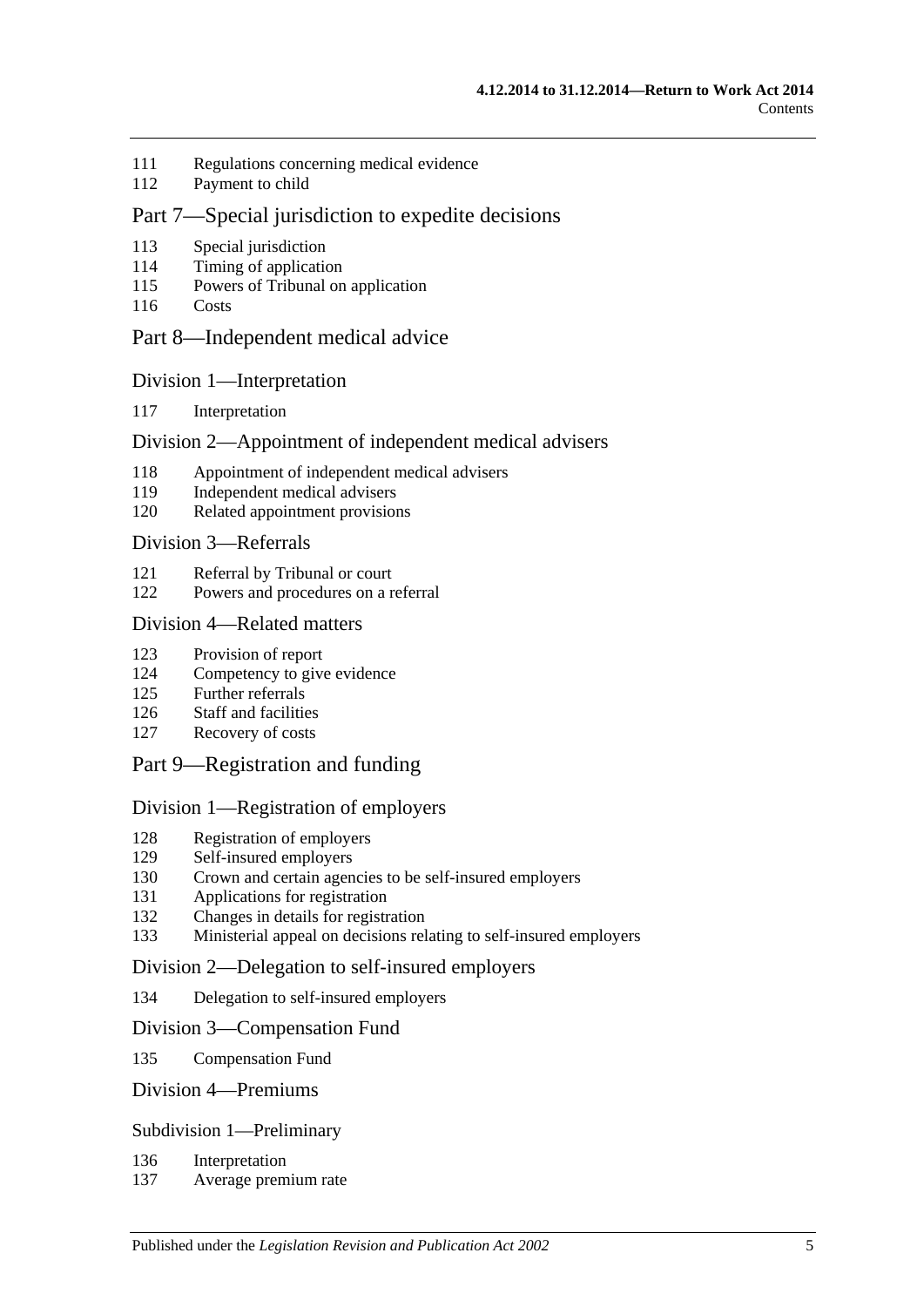- [Regulations concerning medical evidence](#page-102-1)
- [Payment to child](#page-102-2)

# Part [7—Special jurisdiction to expedite decisions](#page-102-3)

- [Special jurisdiction](#page-102-4)
- [Timing of application](#page-102-5)
- [Powers of Tribunal on application](#page-102-6)
- [Costs](#page-103-0)

# Part [8—Independent medical advice](#page-103-1)

#### Division [1—Interpretation](#page-103-2)

[Interpretation](#page-103-3)

# Division [2—Appointment of independent medical advisers](#page-103-4)

- [Appointment of independent medical advisers](#page-103-5)
- [Independent medical advisers](#page-104-0)
- [Related appointment provisions](#page-104-1)

#### Division [3—Referrals](#page-105-0)

- [Referral by Tribunal or court](#page-105-1)
- [Powers and procedures on a referral](#page-105-2)

### Division [4—Related matters](#page-107-0)

- [Provision of report](#page-107-1)
- [Competency to give evidence](#page-108-0)
- [Further referrals](#page-108-1)
- [Staff and facilities](#page-108-2)
- [Recovery of costs](#page-108-3)
- Part [9—Registration and funding](#page-108-4)

#### Division [1—Registration of employers](#page-108-5)

- [Registration of employers](#page-108-6)
- [Self-insured employers](#page-109-0)<br>130 Crown and certain agen
- [Crown and certain agencies to be self-insured employers](#page-112-0)
- [Applications for registration](#page-112-1)
- [Changes in details for registration](#page-113-0)
- [Ministerial appeal on decisions relating to self-insured employers](#page-113-1)

#### Division [2—Delegation to self-insured employers](#page-114-0)

[Delegation to self-insured employers](#page-114-1)

#### Division [3—Compensation Fund](#page-115-0)

[Compensation Fund](#page-115-1)

### Division [4—Premiums](#page-117-0)

#### Subdivision [1—Preliminary](#page-117-1)

- [Interpretation](#page-117-2)
- [Average premium rate](#page-117-3)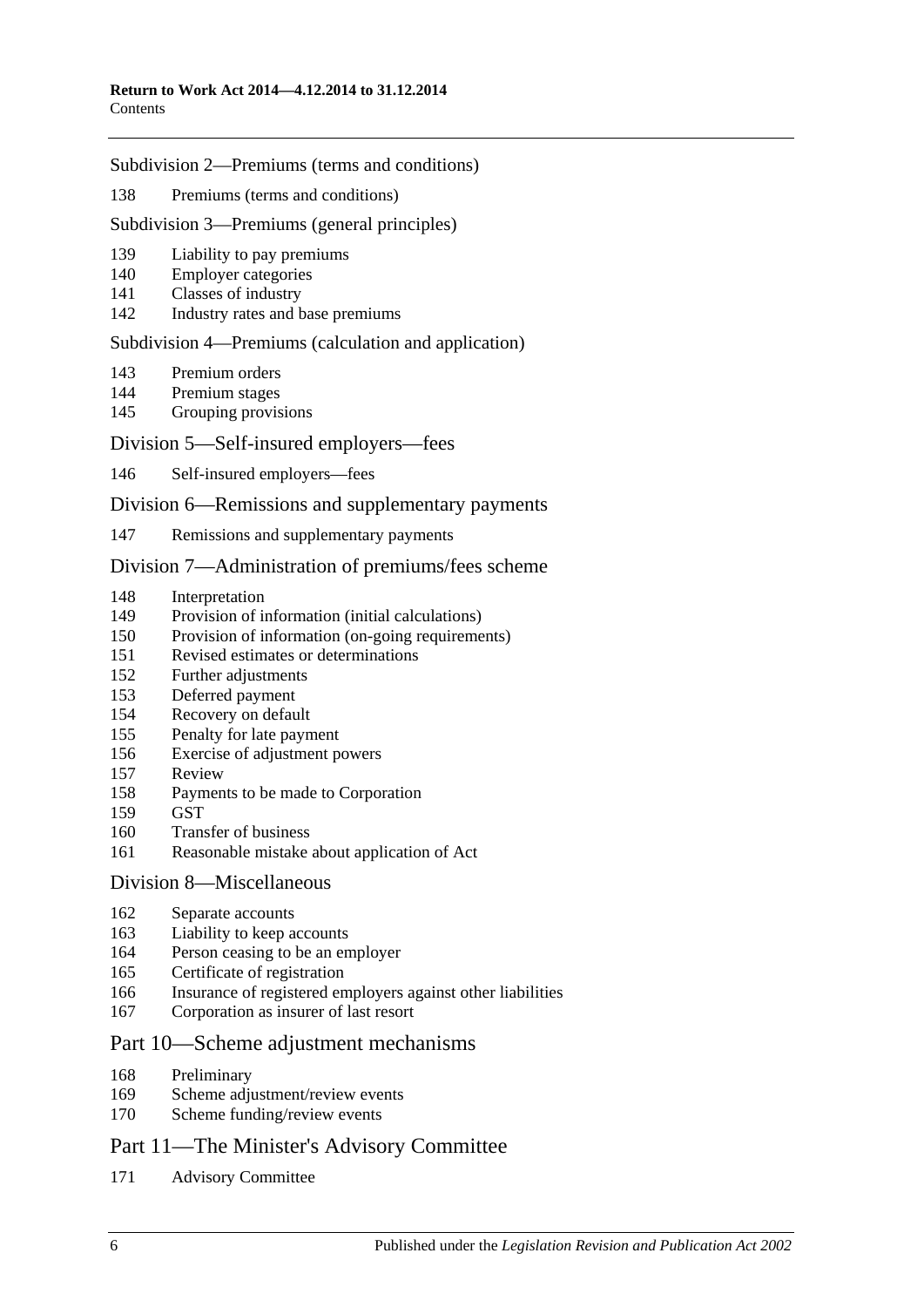#### Subdivision [2—Premiums \(terms and conditions\)](#page-117-4)

[Premiums \(terms and conditions\)](#page-117-5)

#### Subdivision [3—Premiums \(general principles\)](#page-118-0)

- [Liability to pay premiums](#page-118-1)
- [Employer categories](#page-118-2)
- [Classes of industry](#page-119-0)
- [Industry rates and base premiums](#page-119-1)

#### Subdivision [4—Premiums \(calculation and application\)](#page-120-0)

- [Premium orders](#page-120-1)
- [Premium stages](#page-122-0)
- [Grouping provisions](#page-123-0)

## Division [5—Self-insured employers—fees](#page-124-0)

[Self-insured employers—fees](#page-124-1)

#### Division [6—Remissions and supplementary payments](#page-125-0)

[Remissions and supplementary payments](#page-125-1)

#### Division [7—Administration of premiums/fees scheme](#page-126-0)

- [Interpretation](#page-126-1)
- [Provision of information \(initial calculations\)](#page-126-2)
- [Provision of information \(on-going requirements\)](#page-127-0)
- [Revised estimates or determinations](#page-127-1)
- [Further adjustments](#page-128-0)
- [Deferred payment](#page-128-1)
- [Recovery on default](#page-129-0)
- [Penalty for late payment](#page-129-1)
- [Exercise of adjustment powers](#page-130-0)
- [Review](#page-130-1)
- [Payments to be made to Corporation](#page-131-0)
- [GST](#page-131-1)
- [Transfer of business](#page-131-2)
- [Reasonable mistake about application of Act](#page-132-0)

#### Division [8—Miscellaneous](#page-132-1)

- [Separate accounts](#page-132-2)
- [Liability to keep accounts](#page-132-3)
- Person ceasing [to be an employer](#page-133-0)
- [Certificate of registration](#page-133-1)
- [Insurance of registered employers against other liabilities](#page-134-0)
- [Corporation as insurer of last resort](#page-134-1)

# Part [10—Scheme adjustment mechanisms](#page-135-0)

- [Preliminary](#page-135-1)
- [Scheme adjustment/review events](#page-135-2)
- [Scheme funding/review events](#page-137-0)

# Part [11—The Minister's Advisory Committee](#page-138-0)

Advisory [Committee](#page-138-1)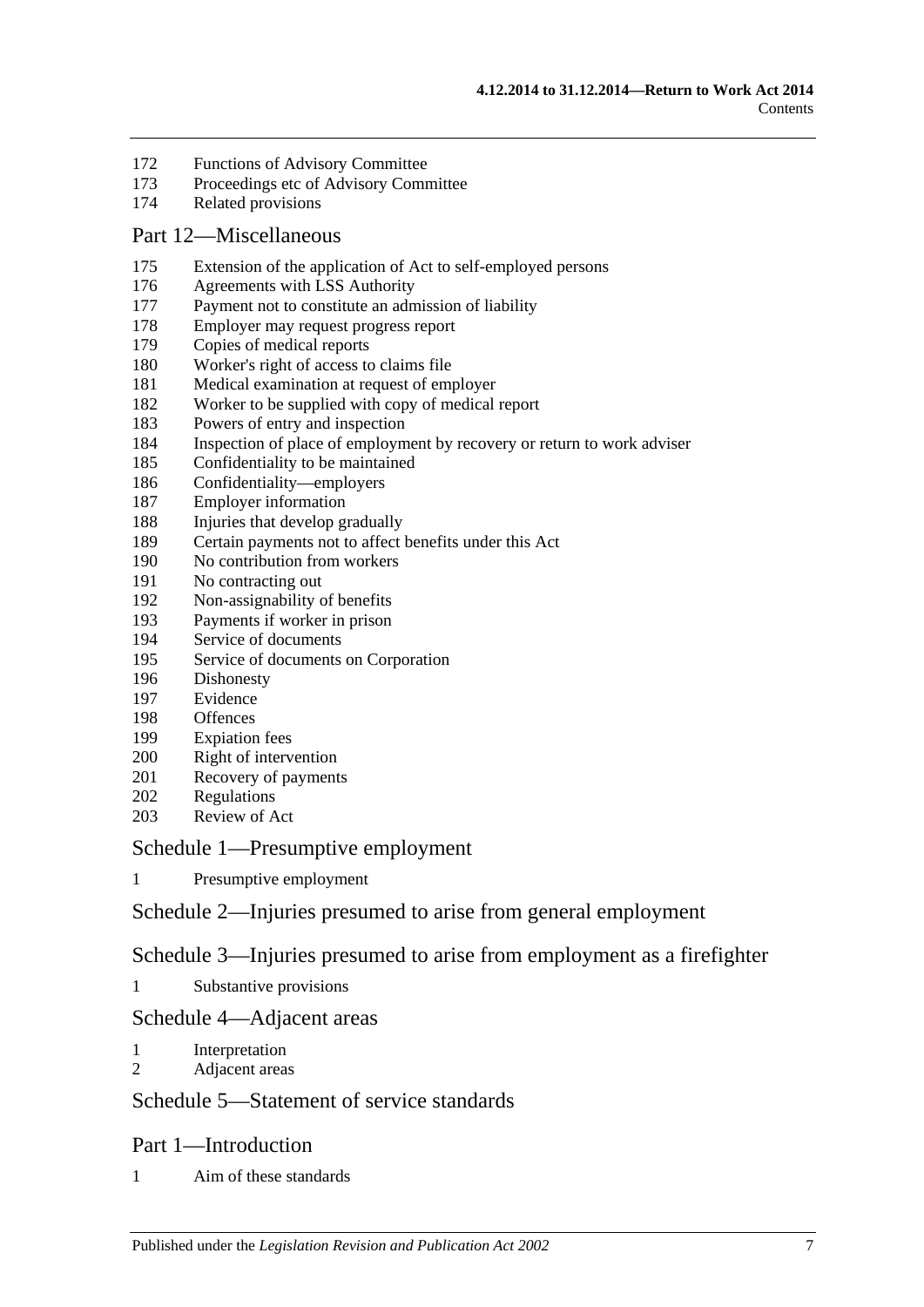- [Functions of Advisory Committee](#page-139-0)
- [Proceedings etc of Advisory Committee](#page-139-1)
- [Related provisions](#page-140-0)

#### Part [12—Miscellaneous](#page-140-1)

- [Extension of the application of Act to self-employed persons](#page-140-2)
- [Agreements with LSS Authority](#page-141-0)
- [Payment not to constitute an admission of liability](#page-142-0)
- [Employer may request progress report](#page-142-1)
- [Copies of medical reports](#page-142-2)
- [Worker's right of access to claims file](#page-142-3)
- [Medical examination at request of employer](#page-144-0)
- [Worker to be supplied with copy of medical report](#page-144-1)
- [Powers of entry and inspection](#page-144-2)
- [Inspection of place of employment by recovery or return to work adviser](#page-146-0)
- [Confidentiality to be maintained](#page-147-0)
- [Confidentiality—employers](#page-148-0)
- [Employer information](#page-149-0)
- [Injuries that develop gradually](#page-149-1)
- [Certain payments not to affect benefits under this Act](#page-150-0)
- [No contribution from workers](#page-150-1)
- [No contracting out](#page-150-2)
- [Non-assignability of benefits](#page-151-0)
- [Payments if worker in prison](#page-151-1)
- [Service of documents](#page-151-2)
- [Service of documents on Corporation](#page-152-0)
- [Dishonesty](#page-152-1)
- [Evidence](#page-153-0)
- [Offences](#page-153-1)
- [Expiation fees](#page-154-0)
- [Right of intervention](#page-154-1)
- [Recovery of payments](#page-154-2)
- [Regulations](#page-154-3)
- [Review of Act](#page-155-0)

## Schedule [1—Presumptive employment](#page-155-1)

[Presumptive employment](#page-155-2)

# Schedule [2—Injuries presumed to arise from general employment](#page-157-0)

# Schedule [3—Injuries presumed to arise from employment as a firefighter](#page-158-0)

[Substantive provisions](#page-158-1)

# Schedule [4—Adjacent areas](#page-160-0)

- [Interpretation](#page-160-1)
- [Adjacent areas](#page-160-2)

# Schedule [5—Statement of service standards](#page-161-0)

#### Part 1—Introduction

[Aim of these standards](#page-161-1)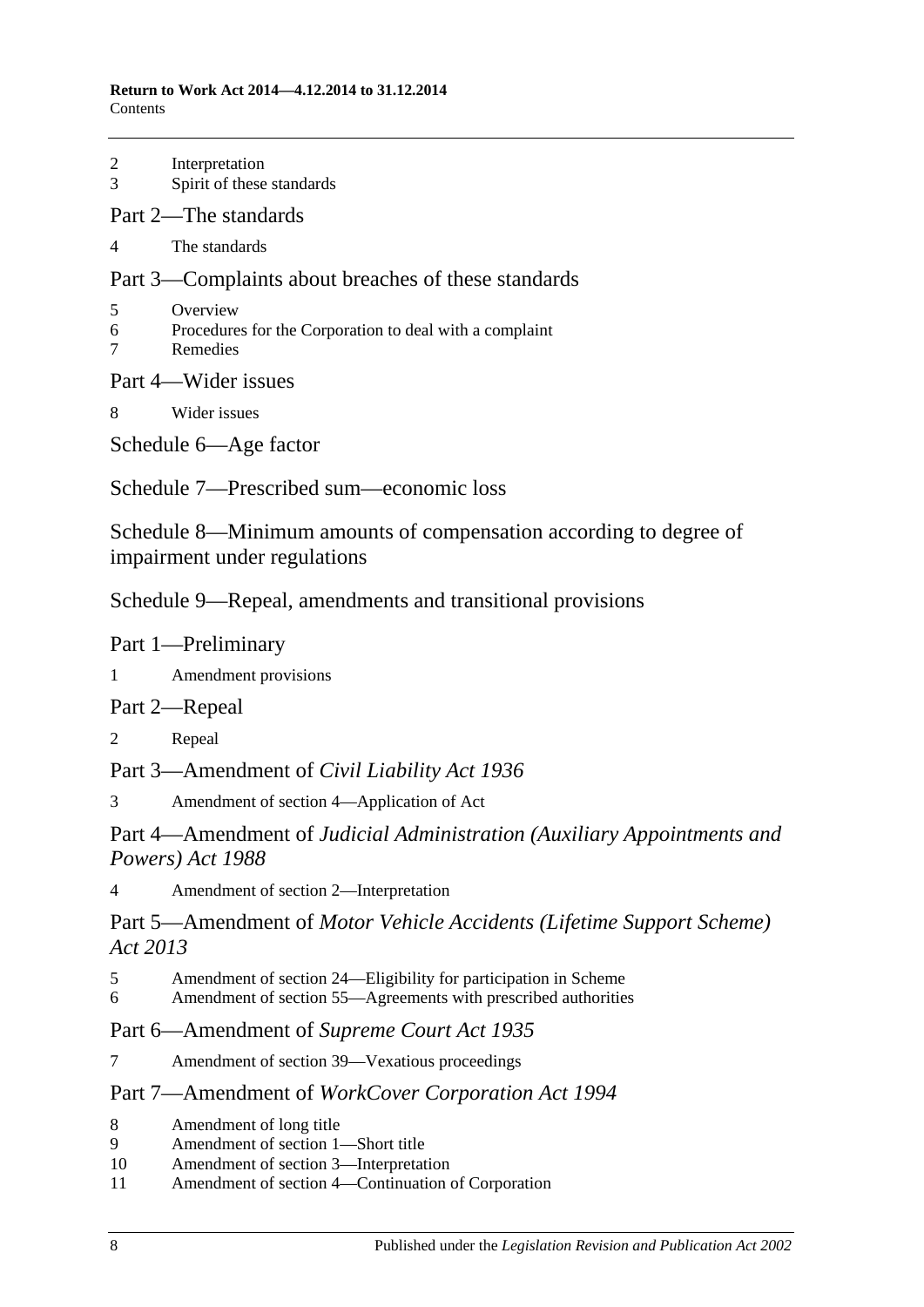#### **Return to Work Act 2014—4.12.2014 to 31.12.2014** Contents

| $\overline{3}$                                                                                    | 2 Interpretation<br>Spirit of these standards                                     |
|---------------------------------------------------------------------------------------------------|-----------------------------------------------------------------------------------|
|                                                                                                   | Part 2—The standards                                                              |
| $\overline{4}$                                                                                    | The standards                                                                     |
|                                                                                                   | Part 3—Complaints about breaches of these standards                               |
| 5<br>$\tau$                                                                                       | Overview<br>6 Procedures for the Corporation to deal with a complaint<br>Remedies |
|                                                                                                   | Part 4—Wider issues                                                               |
| 8                                                                                                 | Wider issues                                                                      |
|                                                                                                   | Schedule 6—Age factor                                                             |
|                                                                                                   | Schedule 7—Prescribed sum—economic loss                                           |
| Schedule 8—Minimum amounts of compensation according to degree of<br>impairment under regulations |                                                                                   |
|                                                                                                   | Schedule 9—Repeal, amendments and transitional provisions                         |
|                                                                                                   | Part 1-Preliminary                                                                |
| $1 \quad \blacksquare$                                                                            | Amendment provisions                                                              |
|                                                                                                   | Part 2—Repeal                                                                     |
| 2                                                                                                 | Repeal                                                                            |

Part 3—Amendment of *Civil Liability Act 1936*

3 [Amendment of section 4—Application of Act](#page-167-3)

Part 4—Amendment of *Judicial Administration (Auxiliary Appointments and Powers) Act 1988*

4 [Amendment of section 2—Interpretation](#page-167-4)

Part 5—Amendment of *Motor Vehicle Accidents (Lifetime Support Scheme) Act 2013*

- 5 [Amendment of section 24—Eligibility for participation in Scheme](#page-167-5)
- 6 [Amendment of section 55—Agreements with prescribed authorities](#page-167-6)

# Part 6—Amendment of *Supreme Court Act 1935*

7 [Amendment of section 39—Vexatious proceedings](#page-168-0)

# Part 7—Amendment of *WorkCover Corporation Act 1994*

- 8 [Amendment of long title](#page-168-1)
- 9 [Amendment of section](#page-168-2) 1—Short title
- 10 [Amendment of section](#page-168-3) 3—Interpretation
- 11 Amendment of section [4—Continuation of Corporation](#page-168-4)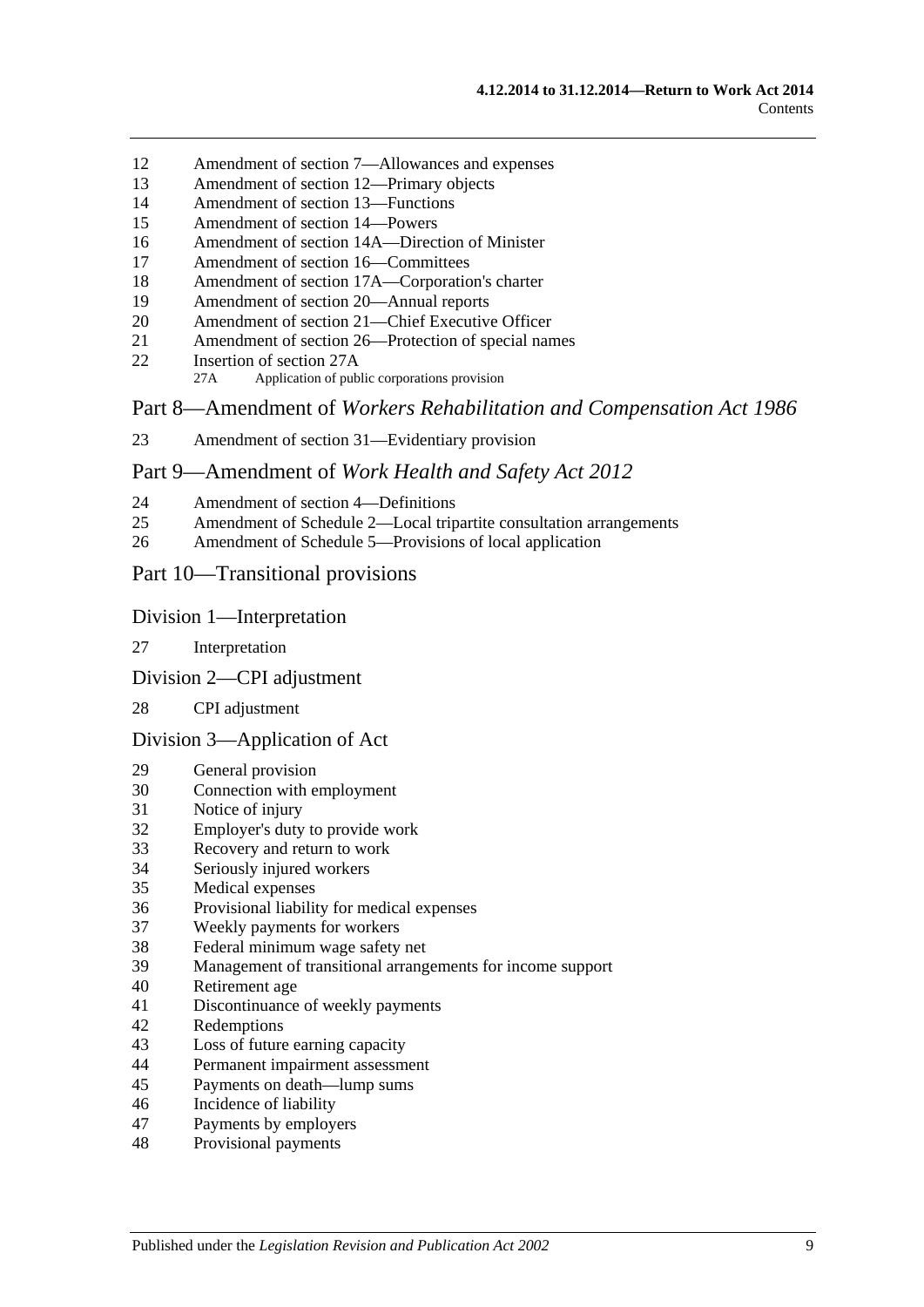- Amendment of section [7—Allowances and expenses](#page-168-5)
- [Amendment of section](#page-169-0) 12—Primary objects
- [Amendment of section](#page-169-1) 13—Functions
- [Amendment of section](#page-170-0) 14—Powers
- [Amendment of section 14A—Direction of Minister](#page-170-1)
- [Amendment of section](#page-170-2) 16—Committees
- Amendment of section [17A—Corporation's charter](#page-171-0)
- [Amendment of section](#page-171-1) 20—Annual reports
- [Amendment of section 21—Chief Executive Officer](#page-171-2)
- Amendment of section [26—Protection of special names](#page-171-3)
- [Insertion of section](#page-171-4) 27A
	- 27A Application of public corporations provision

Part 8—Amendment of *Workers Rehabilitation and Compensation Act 1986*

[Amendment of section 31—Evidentiary provision](#page-172-0)

#### Part 9—Amendment of *Work Health and Safety Act 2012*

- [Amendment of section](#page-172-1) 4—Definitions
- Amendment of Schedule [2—Local tripartite consultation arrangements](#page-173-0)
- [Amendment of Schedule 5—Provisions of local application](#page-173-1)

## Part 10—Transitional provisions

#### Division 1—Interpretation

- [Interpretation](#page-174-0)
- Division 2—CPI adjustment

#### [CPI adjustment](#page-174-1)

#### Division 3—Application of Act

- [General provision](#page-174-2)
- [Connection with employment](#page-175-0)<br>31 Notice of injury
- [Notice of injury](#page-175-1)
- [Employer's duty to provide work](#page-175-2)
- [Recovery and return to work](#page-175-3)
- [Seriously injured workers](#page-176-0)
- [Medical expenses](#page-176-1)
- [Provisional liability for medical expenses](#page-176-2)
- [Weekly payments for workers](#page-176-3)
- [Federal minimum wage safety net](#page-178-0)
- [Management of transitional arrangements for income support](#page-178-1)
- [Retirement age](#page-178-2)
- [Discontinuance of weekly payments](#page-178-3)
- [Redemptions](#page-179-0)
- [Loss of future earning capacity](#page-179-1)
- [Permanent impairment assessment](#page-179-2)
- [Payments on death—lump sums](#page-179-3)
- [Incidence of liability](#page-180-0)
- [Payments by employers](#page-180-1)
- [Provisional payments](#page-180-2)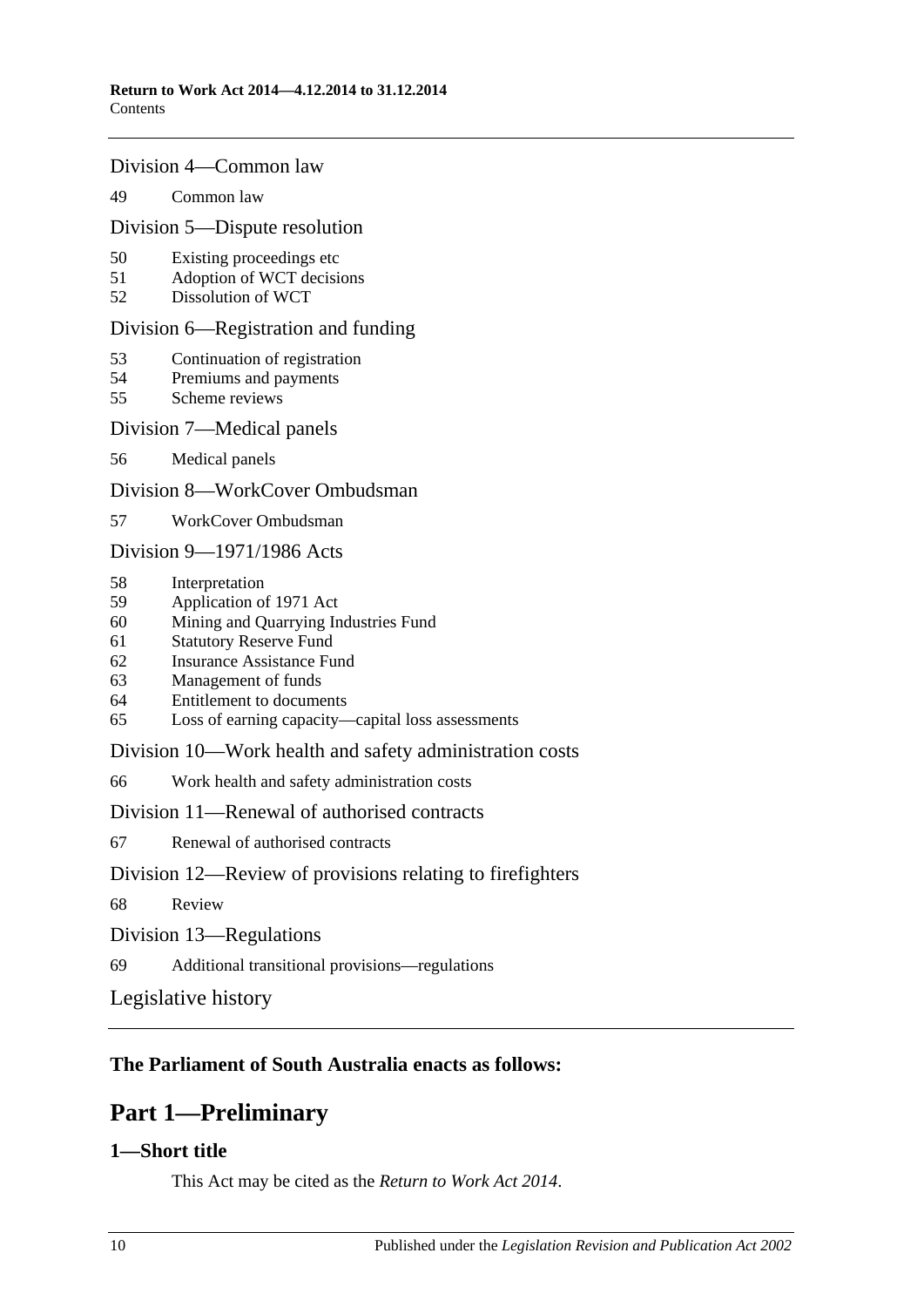#### Division 4—Common law

#### 49 [Common law](#page-180-3)

#### Division 5—Dispute resolution

- 50 [Existing proceedings etc](#page-180-4)
- 51 [Adoption of WCT decisions](#page-181-0)
- 52 [Dissolution of WCT](#page-181-1)

#### Division 6—Registration and funding

- 53 [Continuation of registration](#page-181-2)
- 54 [Premiums and payments](#page-181-3)
- 55 [Scheme reviews](#page-182-0)

#### Division 7—Medical panels

56 [Medical panels](#page-182-1)

#### Division 8—WorkCover Ombudsman

57 [WorkCover Ombudsman](#page-183-0)

### Division 9—1971/1986 Acts

- 58 [Interpretation](#page-183-1)
- 59 [Application of 1971 Act](#page-183-2)
- 60 [Mining and Quarrying Industries Fund](#page-184-0)
- 61 [Statutory Reserve Fund](#page-185-0)
- 62 [Insurance Assistance Fund](#page-186-0)
- 63 [Management of funds](#page-187-0)
- 64 [Entitlement to documents](#page-187-1)
- 65 [Loss of earning capacity—capital loss assessments](#page-187-2)

#### Division 10—Work health and safety administration costs

66 [Work health and safety administration costs](#page-187-3)

#### Division 11—Renewal of authorised contracts

67 [Renewal of authorised contracts](#page-188-0)

#### Division 12—Review of provisions relating to firefighters

- 68 [Review](#page-188-1)
- Division 13—Regulations
- 69 [Additional transitional provisions—regulations](#page-188-2)

[Legislative history](#page-189-0)

# <span id="page-9-0"></span>**The Parliament of South Australia enacts as follows:**

# **Part 1—Preliminary**

# <span id="page-9-1"></span>**1—Short title**

This Act may be cited as the *Return to Work Act 2014*.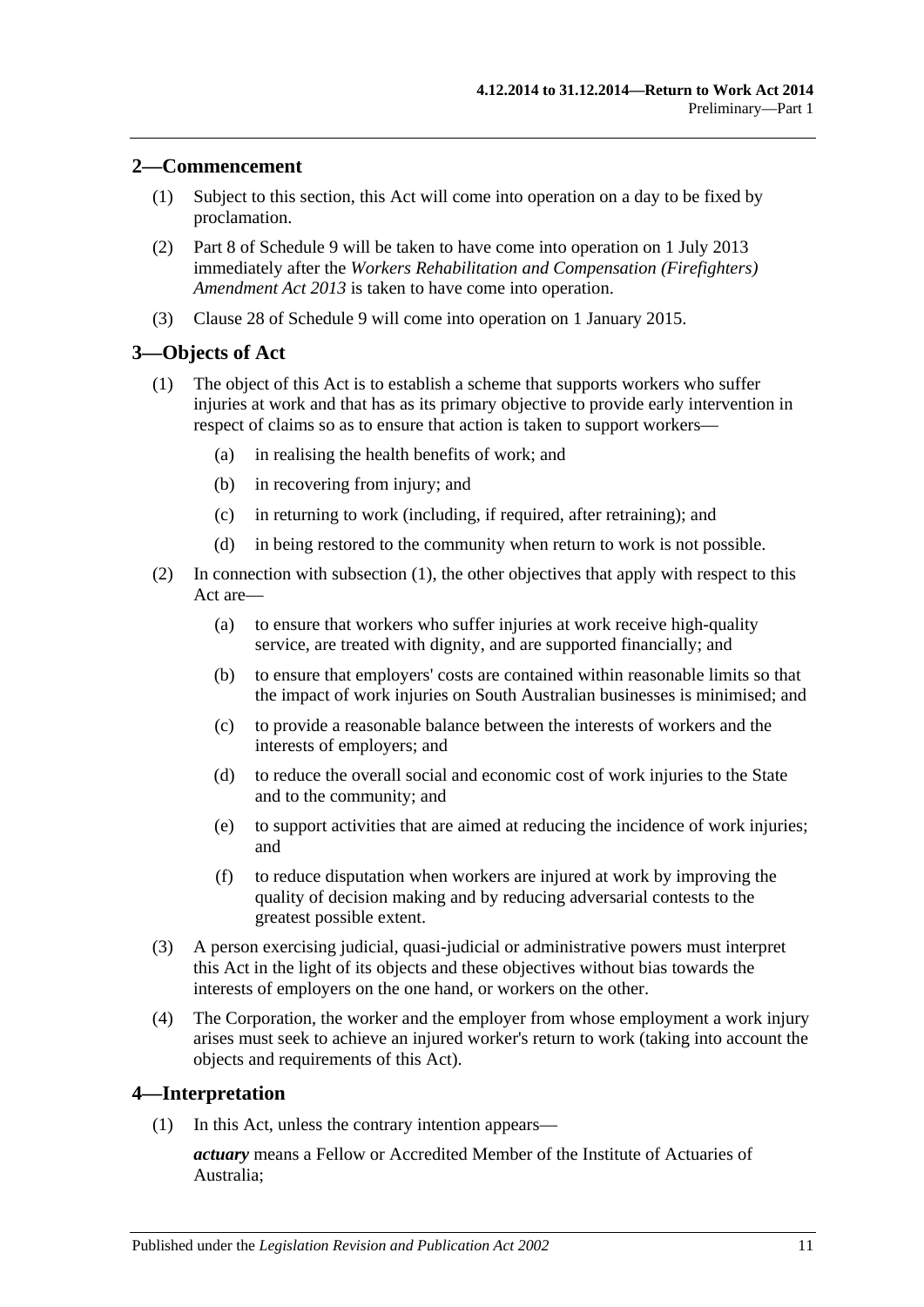## <span id="page-10-0"></span>**2—Commencement**

- (1) Subject to this section, this Act will come into operation on a day to be fixed by proclamation.
- (2) Part 8 of [Schedule](#page-167-0) 9 will be taken to have come into operation on 1 July 2013 immediately after the *[Workers Rehabilitation and Compensation \(Firefighters\)](http://www.legislation.sa.gov.au/index.aspx?action=legref&type=act&legtitle=Workers%20Rehabilitation%20and%20Compensation%20(Firefighters)%20Amendment%20Act%202013)  [Amendment Act](http://www.legislation.sa.gov.au/index.aspx?action=legref&type=act&legtitle=Workers%20Rehabilitation%20and%20Compensation%20(Firefighters)%20Amendment%20Act%202013) 2013* is taken to have come into operation.
- (3) [Clause 28](#page-174-1) of [Schedule](#page-167-0) 9 will come into operation on 1 January 2015.

# <span id="page-10-3"></span><span id="page-10-1"></span>**3—Objects of Act**

- (1) The object of this Act is to establish a scheme that supports workers who suffer injuries at work and that has as its primary objective to provide early intervention in respect of claims so as to ensure that action is taken to support workers—
	- (a) in realising the health benefits of work; and
	- (b) in recovering from injury; and
	- (c) in returning to work (including, if required, after retraining); and
	- (d) in being restored to the community when return to work is not possible.
- (2) In connection with [subsection](#page-10-3) (1), the other objectives that apply with respect to this Act are—
	- (a) to ensure that workers who suffer injuries at work receive high-quality service, are treated with dignity, and are supported financially; and
	- (b) to ensure that employers' costs are contained within reasonable limits so that the impact of work injuries on South Australian businesses is minimised; and
	- (c) to provide a reasonable balance between the interests of workers and the interests of employers; and
	- (d) to reduce the overall social and economic cost of work injuries to the State and to the community; and
	- (e) to support activities that are aimed at reducing the incidence of work injuries; and
	- (f) to reduce disputation when workers are injured at work by improving the quality of decision making and by reducing adversarial contests to the greatest possible extent.
- (3) A person exercising judicial, quasi-judicial or administrative powers must interpret this Act in the light of its objects and these objectives without bias towards the interests of employers on the one hand, or workers on the other.
- (4) The Corporation, the worker and the employer from whose employment a work injury arises must seek to achieve an injured worker's return to work (taking into account the objects and requirements of this Act).

#### <span id="page-10-4"></span><span id="page-10-2"></span>**4—Interpretation**

(1) In this Act, unless the contrary intention appears—

*actuary* means a Fellow or Accredited Member of the Institute of Actuaries of Australia;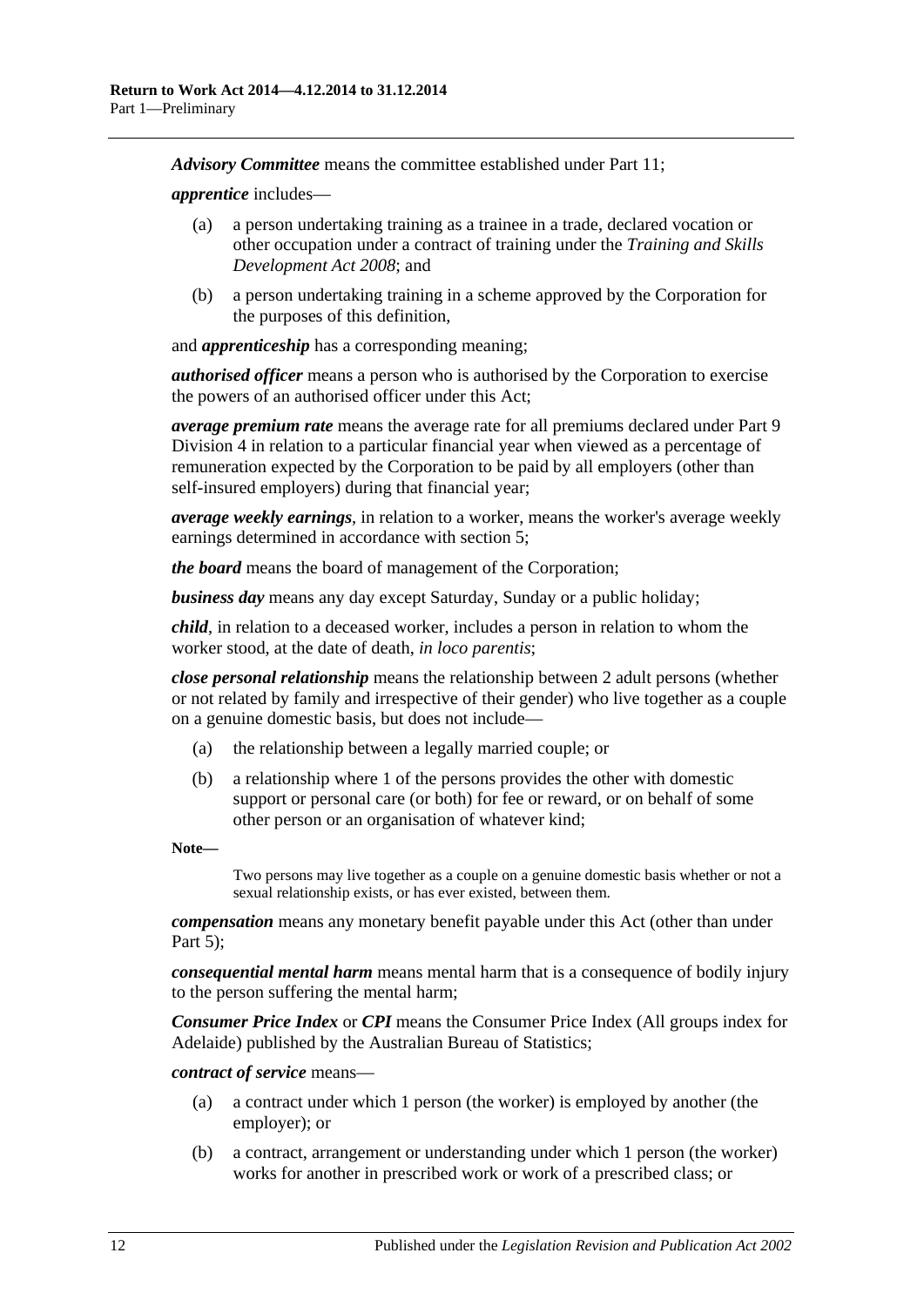*Advisory Committee* means the committee established under [Part](#page-138-0) 11;

*apprentice* includes—

- (a) a person undertaking training as a trainee in a trade, declared vocation or other occupation under a contract of training under the *[Training and Skills](http://www.legislation.sa.gov.au/index.aspx?action=legref&type=act&legtitle=Training%20and%20Skills%20Development%20Act%202008)  [Development Act](http://www.legislation.sa.gov.au/index.aspx?action=legref&type=act&legtitle=Training%20and%20Skills%20Development%20Act%202008) 2008*; and
- (b) a person undertaking training in a scheme approved by the Corporation for the purposes of this definition,

and *apprenticeship* has a corresponding meaning;

*authorised officer* means a person who is authorised by the Corporation to exercise the powers of an authorised officer under this Act;

*average premium rate* means the average rate for all premiums declared under [Part](#page-117-0) 9 [Division](#page-117-0) 4 in relation to a particular financial year when viewed as a percentage of remuneration expected by the Corporation to be paid by all employers (other than self-insured employers) during that financial year;

*average weekly earnings*, in relation to a worker, means the worker's average weekly earnings determined in accordance with [section](#page-20-0) 5;

*the board* means the board of management of the Corporation;

*business day* means any day except Saturday, Sunday or a public holiday;

*child*, in relation to a deceased worker, includes a person in relation to whom the worker stood, at the date of death, *in loco parentis*;

*close personal relationship* means the relationship between 2 adult persons (whether or not related by family and irrespective of their gender) who live together as a couple on a genuine domestic basis, but does not include—

- (a) the relationship between a legally married couple; or
- (b) a relationship where 1 of the persons provides the other with domestic support or personal care (or both) for fee or reward, or on behalf of some other person or an organisation of whatever kind;

**Note—**

Two persons may live together as a couple on a genuine domestic basis whether or not a sexual relationship exists, or has ever existed, between them.

*compensation* means any monetary benefit payable under this Act (other than under [Part](#page-83-0)  $5$ );

*consequential mental harm* means mental harm that is a consequence of bodily injury to the person suffering the mental harm;

*Consumer Price Index* or *CPI* means the Consumer Price Index (All groups index for Adelaide) published by the Australian Bureau of Statistics;

*contract of service* means—

- (a) a contract under which 1 person (the worker) is employed by another (the employer); or
- <span id="page-11-0"></span>(b) a contract, arrangement or understanding under which 1 person (the worker) works for another in prescribed work or work of a prescribed class; or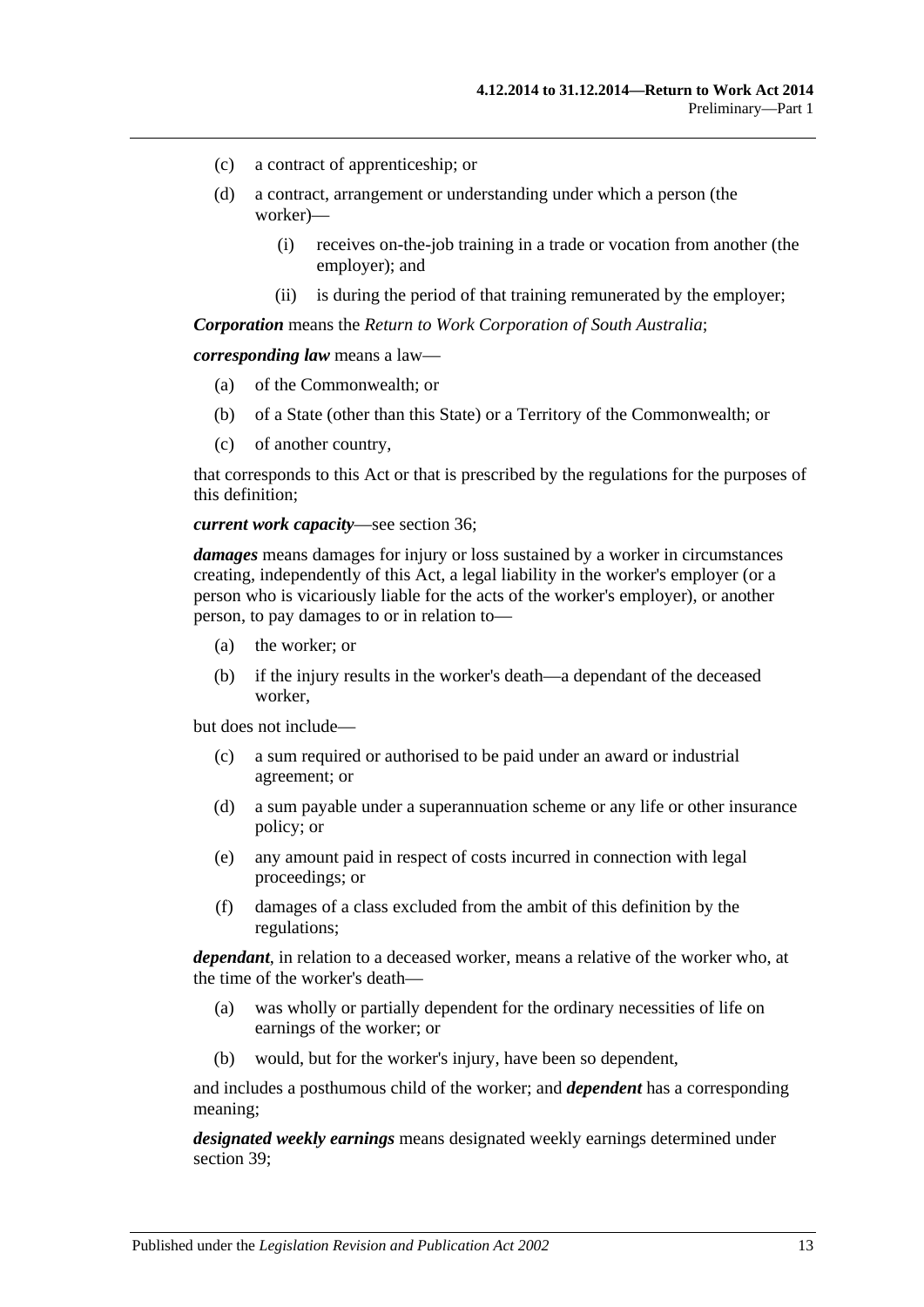- (c) a contract of apprenticeship; or
- (d) a contract, arrangement or understanding under which a person (the worker)—
	- (i) receives on-the-job training in a trade or vocation from another (the employer); and
	- (ii) is during the period of that training remunerated by the employer;

*Corporation* means the *Return to Work Corporation of South Australia*;

*corresponding law* means a law—

- (a) of the Commonwealth; or
- (b) of a State (other than this State) or a Territory of the Commonwealth; or
- (c) of another country,

that corresponds to this Act or that is prescribed by the regulations for the purposes of this definition;

#### *current work capacity*—see [section](#page-51-4) 36;

*damages* means damages for injury or loss sustained by a worker in circumstances creating, independently of this Act, a legal liability in the worker's employer (or a person who is vicariously liable for the acts of the worker's employer), or another person, to pay damages to or in relation to—

- (a) the worker; or
- (b) if the injury results in the worker's death—a dependant of the deceased worker,

but does not include—

- (c) a sum required or authorised to be paid under an award or industrial agreement; or
- (d) a sum payable under a superannuation scheme or any life or other insurance policy; or
- (e) any amount paid in respect of costs incurred in connection with legal proceedings; or
- (f) damages of a class excluded from the ambit of this definition by the regulations;

*dependant*, in relation to a deceased worker, means a relative of the worker who, at the time of the worker's death—

- (a) was wholly or partially dependent for the ordinary necessities of life on earnings of the worker; or
- (b) would, but for the worker's injury, have been so dependent,

and includes a posthumous child of the worker; and *dependent* has a corresponding meaning;

*designated weekly earnings* means designated weekly earnings determined under [section](#page-52-3) 39;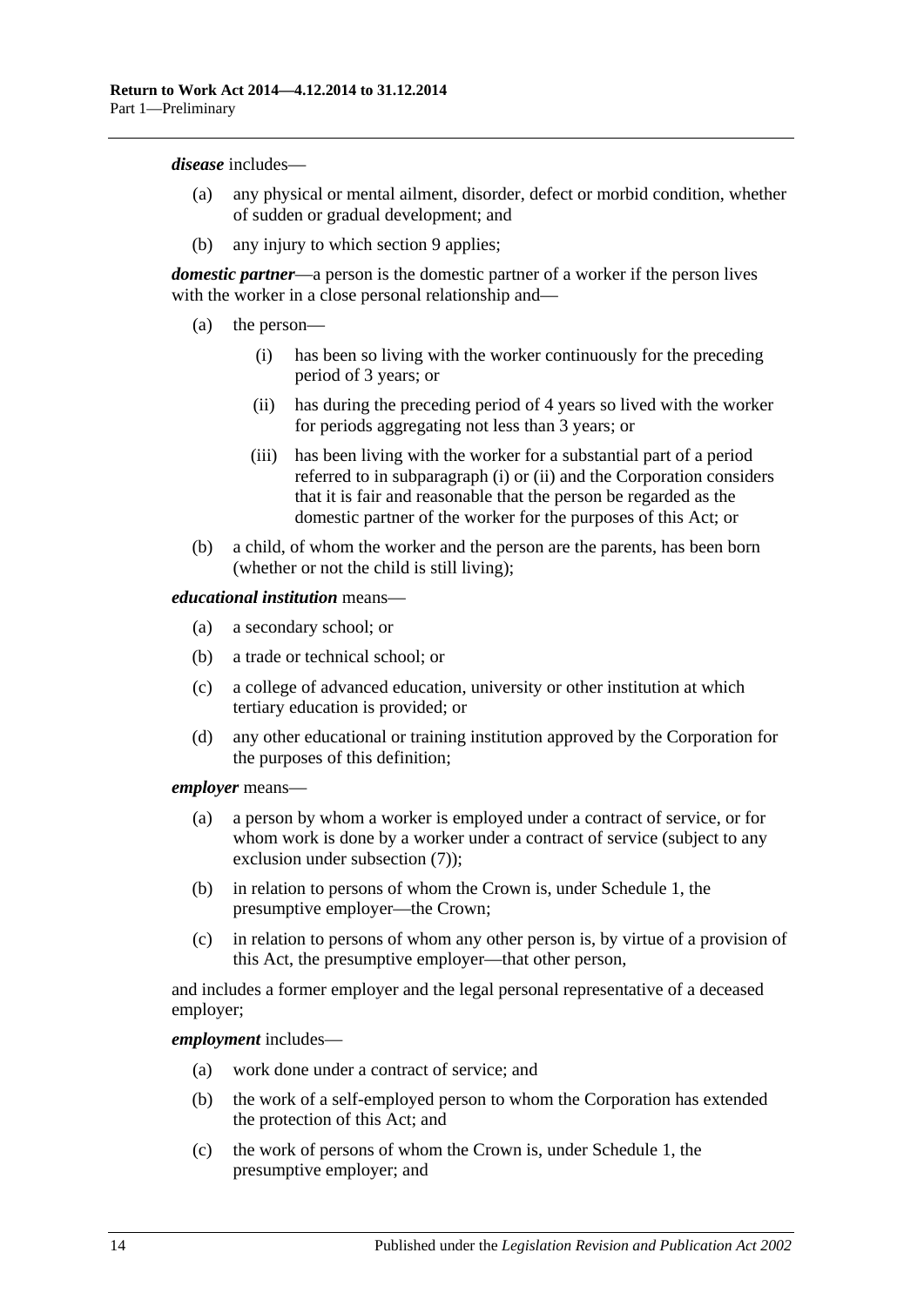#### *disease* includes—

- (a) any physical or mental ailment, disorder, defect or morbid condition, whether of sudden or gradual development; and
- (b) any injury to which [section](#page-26-0) 9 applies;

*domestic partner*—a person is the domestic partner of a worker if the person lives with the worker in a close personal relationship and—

- <span id="page-13-1"></span><span id="page-13-0"></span>(a) the person—
	- (i) has been so living with the worker continuously for the preceding period of 3 years; or
	- (ii) has during the preceding period of 4 years so lived with the worker for periods aggregating not less than 3 years; or
	- (iii) has been living with the worker for a substantial part of a period referred to in [subparagraph](#page-13-0) (i) or [\(ii\)](#page-13-1) and the Corporation considers that it is fair and reasonable that the person be regarded as the domestic partner of the worker for the purposes of this Act; or
- (b) a child, of whom the worker and the person are the parents, has been born (whether or not the child is still living);

#### *educational institution* means—

- (a) a secondary school; or
- (b) a trade or technical school; or
- (c) a college of advanced education, university or other institution at which tertiary education is provided; or
- (d) any other educational or training institution approved by the Corporation for the purposes of this definition;

#### *employer* means—

- (a) a person by whom a worker is employed under a contract of service, or for whom work is done by a worker under a contract of service (subject to any exclusion under [subsection](#page-19-0) (7));
- (b) in relation to persons of whom the Crown is, under [Schedule](#page-155-1) 1, the presumptive employer—the Crown;
- (c) in relation to persons of whom any other person is, by virtue of a provision of this Act, the presumptive employer—that other person,

and includes a former employer and the legal personal representative of a deceased employer;

#### *employment* includes—

- (a) work done under a contract of service; and
- (b) the work of a self-employed person to whom the Corporation has extended the protection of this Act; and
- (c) the work of persons of whom the Crown is, under [Schedule](#page-155-1) 1, the presumptive employer; and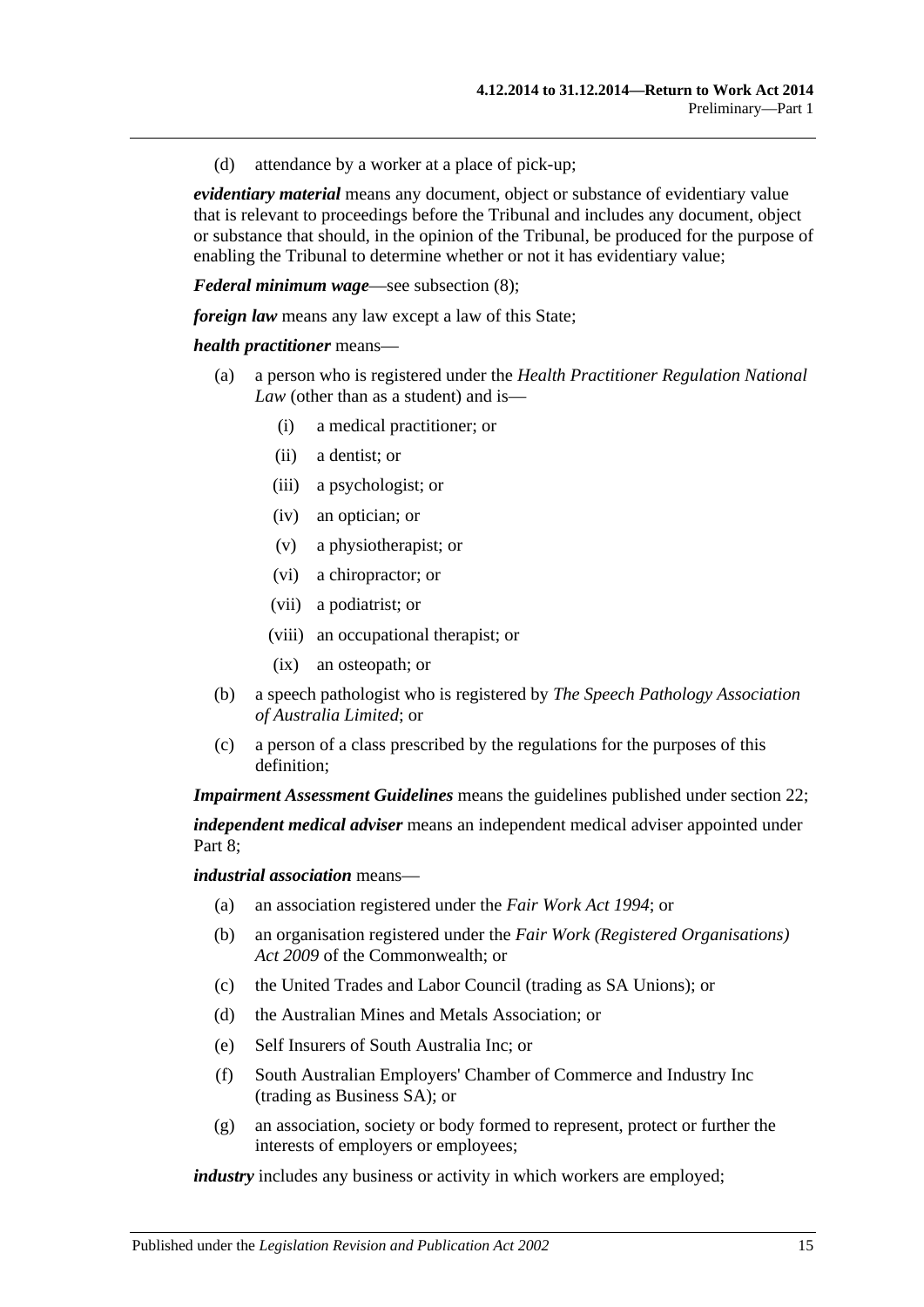(d) attendance by a worker at a place of pick-up;

*evidentiary material* means any document, object or substance of evidentiary value that is relevant to proceedings before the Tribunal and includes any document, object or substance that should, in the opinion of the Tribunal, be produced for the purpose of enabling the Tribunal to determine whether or not it has evidentiary value;

*Federal minimum wage*—see [subsection](#page-19-1) (8);

*foreign law* means any law except a law of this State:

#### *health practitioner* means—

- (a) a person who is registered under the *Health Practitioner Regulation National Law* (other than as a student) and is—
	- (i) a medical practitioner; or
	- (ii) a dentist; or
	- (iii) a psychologist; or
	- (iv) an optician; or
	- (v) a physiotherapist; or
	- (vi) a chiropractor; or
	- (vii) a podiatrist; or
	- (viii) an occupational therapist; or
	- (ix) an osteopath; or
- (b) a speech pathologist who is registered by *The Speech Pathology Association of Australia Limited*; or
- (c) a person of a class prescribed by the regulations for the purposes of this definition;

*Impairment Assessment Guidelines* means the guidelines published under [section](#page-36-1) 22; *independent medical adviser* means an independent medical adviser appointed under [Part](#page-103-1) 8;

*industrial association* means—

- (a) an association registered under the *[Fair Work Act](http://www.legislation.sa.gov.au/index.aspx?action=legref&type=act&legtitle=Fair%20Work%20Act%201994) 1994*; or
- (b) an organisation registered under the *Fair Work (Registered Organisations) Act 2009* of the Commonwealth; or
- (c) the United Trades and Labor Council (trading as SA Unions); or
- (d) the Australian Mines and Metals Association; or
- (e) Self Insurers of South Australia Inc; or
- (f) South Australian Employers' Chamber of Commerce and Industry Inc (trading as Business SA); or
- (g) an association, society or body formed to represent, protect or further the interests of employers or employees;

*industry* includes any business or activity in which workers are employed;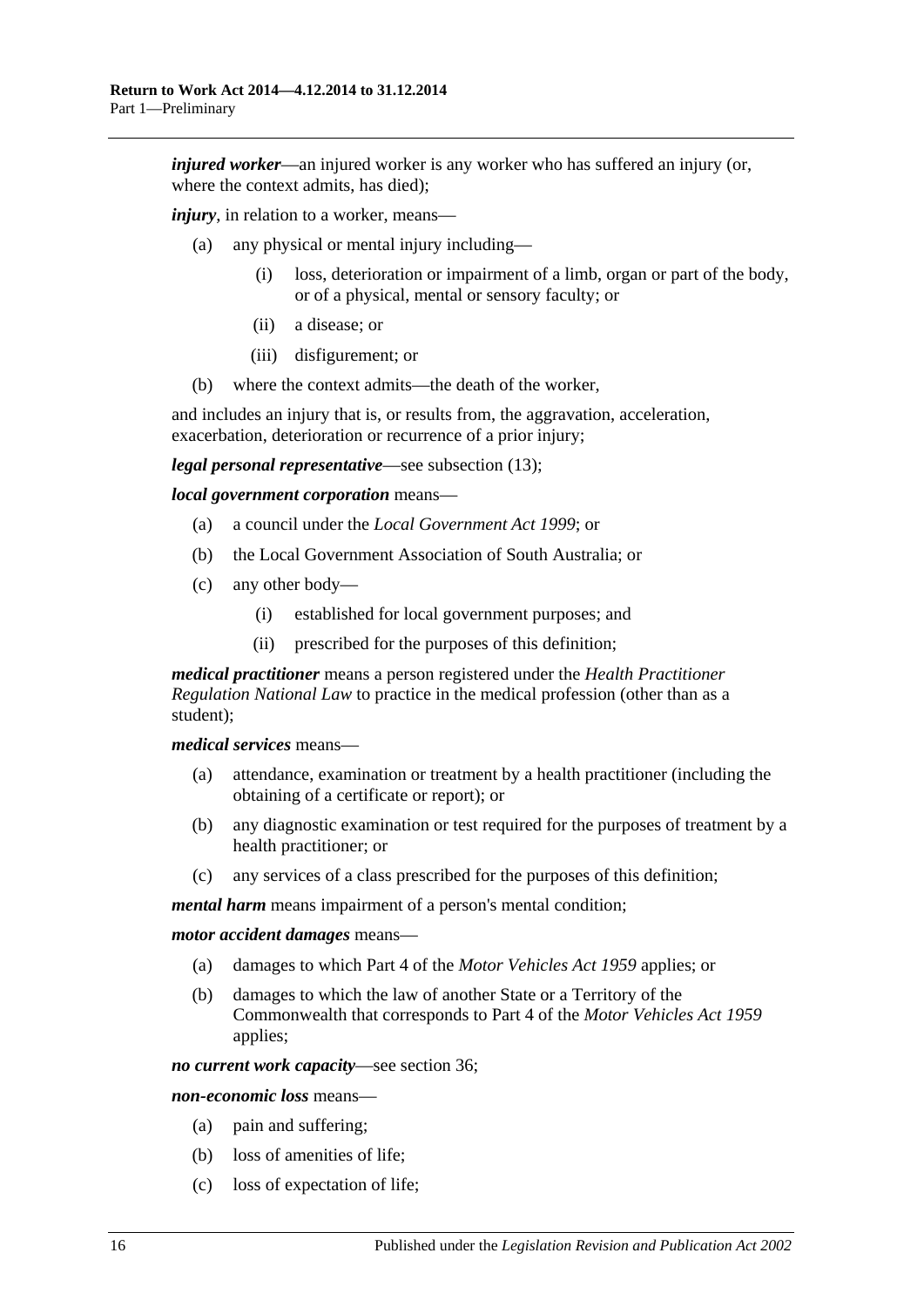*injured worker—an injured worker is any worker who has suffered an injury (or, injured worker—an injured worker* where the context admits, has died);

*injury*, in relation to a worker, means—

- (a) any physical or mental injury including—
	- (i) loss, deterioration or impairment of a limb, organ or part of the body, or of a physical, mental or sensory faculty; or
	- (ii) a disease; or
	- (iii) disfigurement; or
- (b) where the context admits—the death of the worker,

and includes an injury that is, or results from, the aggravation, acceleration, exacerbation, deterioration or recurrence of a prior injury;

*legal personal representative*—see [subsection](#page-20-1) (13);

*local government corporation* means—

- (a) a council under the *[Local Government Act](http://www.legislation.sa.gov.au/index.aspx?action=legref&type=act&legtitle=Local%20Government%20Act%201999) 1999*; or
- (b) the Local Government Association of South Australia; or
- (c) any other body—
	- (i) established for local government purposes; and
	- (ii) prescribed for the purposes of this definition;

*medical practitioner* means a person registered under the *Health Practitioner Regulation National Law* to practice in the medical profession (other than as a student);

*medical services* means—

- (a) attendance, examination or treatment by a health practitioner (including the obtaining of a certificate or report); or
- (b) any diagnostic examination or test required for the purposes of treatment by a health practitioner; or
- (c) any services of a class prescribed for the purposes of this definition;

*mental harm* means impairment of a person's mental condition;

*motor accident damages* means—

- (a) damages to which Part 4 of the *[Motor Vehicles Act](http://www.legislation.sa.gov.au/index.aspx?action=legref&type=act&legtitle=Motor%20Vehicles%20Act%201959) 1959* applies; or
- (b) damages to which the law of another State or a Territory of the Commonwealth that corresponds to Part 4 of the *[Motor Vehicles Act](http://www.legislation.sa.gov.au/index.aspx?action=legref&type=act&legtitle=Motor%20Vehicles%20Act%201959) 1959* applies;

*no current work capacity*—see [section](#page-51-4) 36;

*non-economic loss* means—

- (a) pain and suffering;
- (b) loss of amenities of life;
- (c) loss of expectation of life;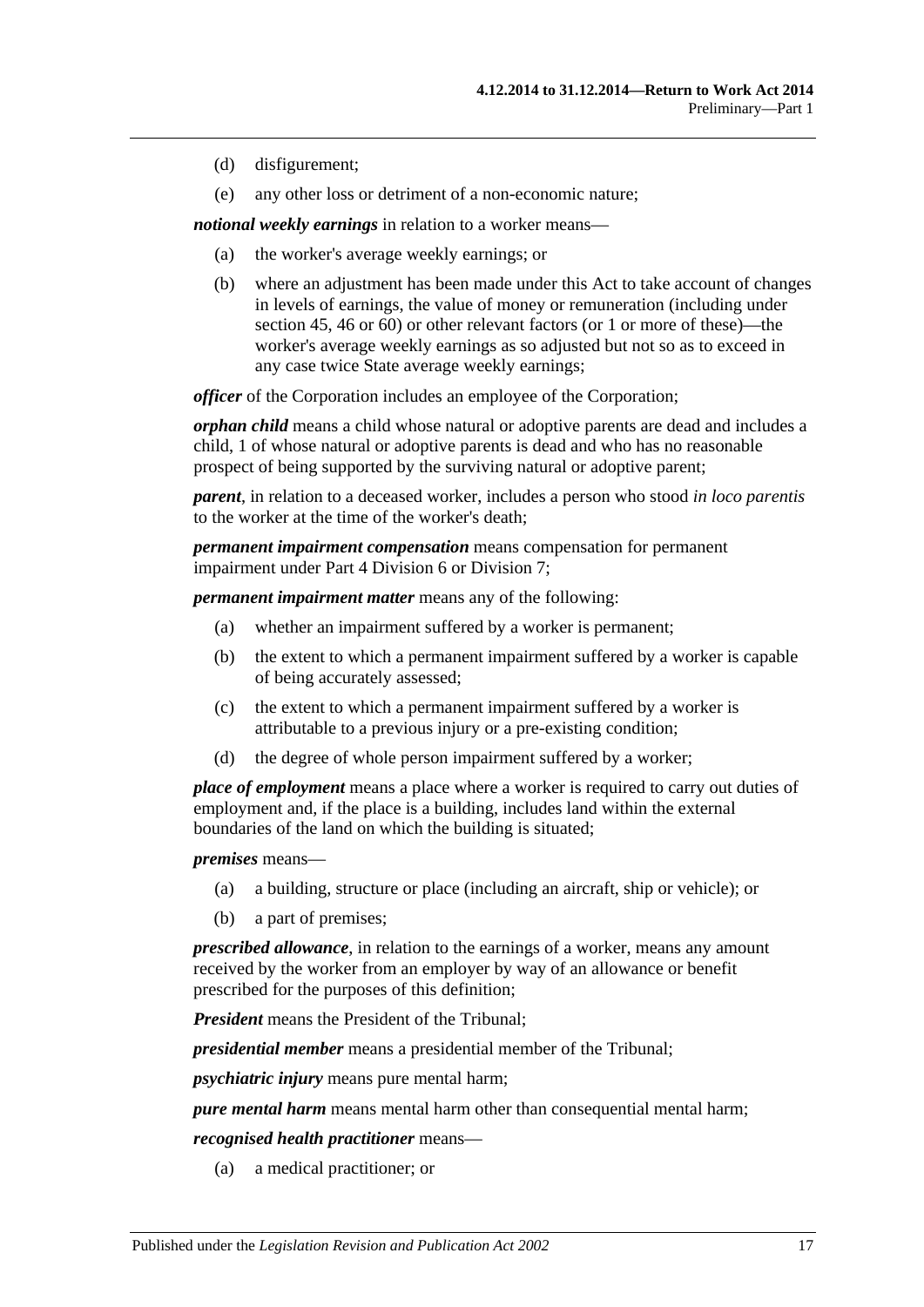- (d) disfigurement;
- (e) any other loss or detriment of a non-economic nature;

*notional weekly earnings* in relation to a worker means—

- (a) the worker's average weekly earnings; or
- (b) where an adjustment has been made under this Act to take account of changes in levels of earnings, the value of money or remuneration (including under [section](#page-56-1) 45, [46](#page-57-0) or [60\)](#page-73-0) or other relevant factors (or 1 or more of these)—the worker's average weekly earnings as so adjusted but not so as to exceed in any case twice State average weekly earnings;

*officer* of the Corporation includes an employee of the Corporation;

*orphan child* means a child whose natural or adoptive parents are dead and includes a child, 1 of whose natural or adoptive parents is dead and who has no reasonable prospect of being supported by the surviving natural or adoptive parent;

*parent*, in relation to a deceased worker, includes a person who stood *in loco parentis* to the worker at the time of the worker's death;

*permanent impairment compensation* means compensation for permanent impairment under Part [4 Division](#page-67-0) 6 or [Division](#page-69-0) 7;

*permanent impairment matter* means any of the following:

- (a) whether an impairment suffered by a worker is permanent;
- (b) the extent to which a permanent impairment suffered by a worker is capable of being accurately assessed;
- (c) the extent to which a permanent impairment suffered by a worker is attributable to a previous injury or a pre-existing condition;
- (d) the degree of whole person impairment suffered by a worker;

*place of employment* means a place where a worker is required to carry out duties of employment and, if the place is a building, includes land within the external boundaries of the land on which the building is situated;

*premises* means—

- (a) a building, structure or place (including an aircraft, ship or vehicle); or
- (b) a part of premises;

*prescribed allowance*, in relation to the earnings of a worker, means any amount received by the worker from an employer by way of an allowance or benefit prescribed for the purposes of this definition;

*President* means the President of the Tribunal;

*presidential member* means a presidential member of the Tribunal;

*psychiatric injury* means pure mental harm;

*pure mental harm* means mental harm other than consequential mental harm;

*recognised health practitioner* means—

(a) a medical practitioner; or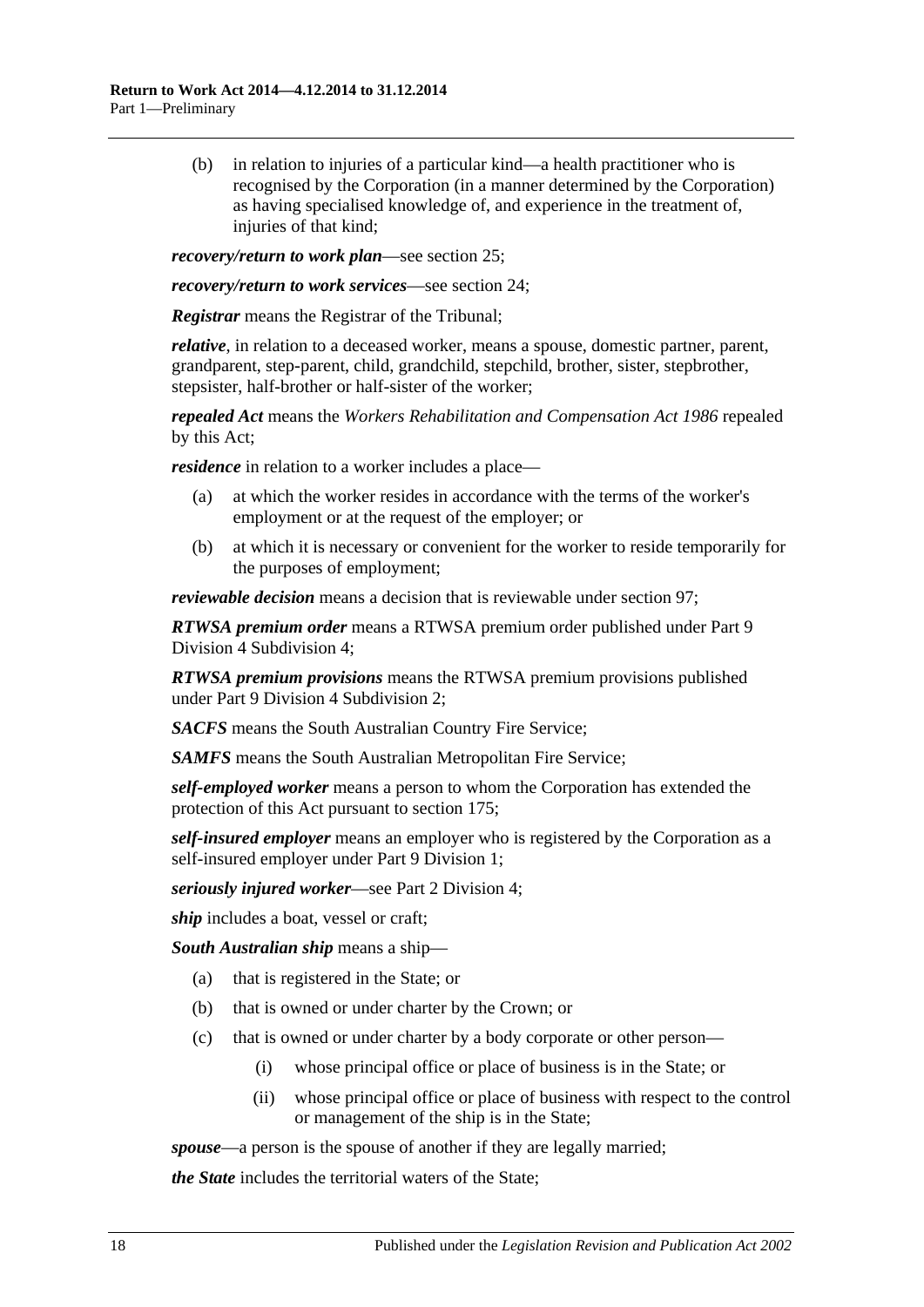(b) in relation to injuries of a particular kind—a health practitioner who is recognised by the Corporation (in a manner determined by the Corporation) as having specialised knowledge of, and experience in the treatment of, injuries of that kind:

*recovery/return to work plan*—see [section](#page-40-0) 25;

*recovery/return to work services*—see [section](#page-39-2) 24;

*Registrar* means the Registrar of the Tribunal;

*relative*, in relation to a deceased worker, means a spouse, domestic partner, parent, grandparent, step-parent, child, grandchild, stepchild, brother, sister, stepbrother, stepsister, half-brother or half-sister of the worker;

*repealed Act* means the *[Workers Rehabilitation and Compensation Act](http://www.legislation.sa.gov.au/index.aspx?action=legref&type=act&legtitle=Workers%20Rehabilitation%20and%20Compensation%20Act%201986) 1986* repealed by this Act;

*residence* in relation to a worker includes a place—

- (a) at which the worker resides in accordance with the terms of the worker's employment or at the request of the employer; or
- (b) at which it is necessary or convenient for the worker to reside temporarily for the purposes of employment;

*reviewable decision* means a decision that is reviewable under [section](#page-95-5) 97;

*RTWSA premium order* means a RTWSA premium order published under [Part](#page-120-0) 9 Division [4 Subdivision](#page-120-0) 4;

*RTWSA premium provisions* means the RTWSA premium provisions published under Part 9 Division [4 Subdivision](#page-117-4) 2;

*SACFS* means the South Australian Country Fire Service;

*SAMFS* means the South Australian Metropolitan Fire Service;

*self-employed worker* means a person to whom the Corporation has extended the protection of this Act pursuant to [section](#page-140-2) 175;

*self-insured employer* means an employer who is registered by the Corporation as a self-insured employer under Part [9 Division](#page-108-5) 1;

*seriously injured worker*—see Part 2 Division 4;

*ship* includes a boat, vessel or craft;

*South Australian ship* means a ship—

- (a) that is registered in the State; or
- (b) that is owned or under charter by the Crown; or
- (c) that is owned or under charter by a body corporate or other person—
	- (i) whose principal office or place of business is in the State; or
	- (ii) whose principal office or place of business with respect to the control or management of the ship is in the State;

*spouse*—a person is the spouse of another if they are legally married;

*the State* includes the territorial waters of the State;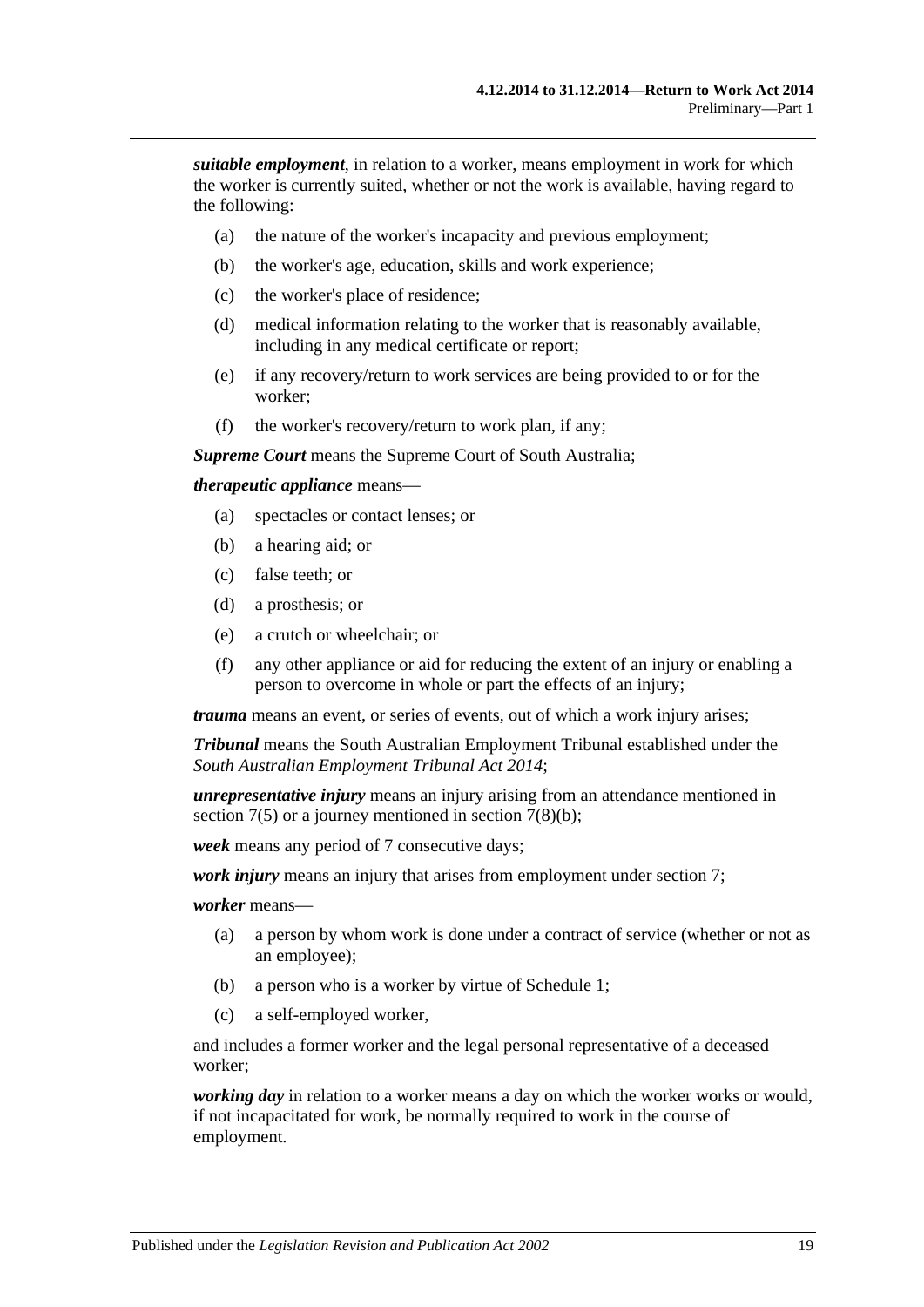*suitable employment*, in relation to a worker, means employment in work for which the worker is currently suited, whether or not the work is available, having regard to the following:

- (a) the nature of the worker's incapacity and previous employment;
- (b) the worker's age, education, skills and work experience;
- (c) the worker's place of residence;
- (d) medical information relating to the worker that is reasonably available, including in any medical certificate or report;
- (e) if any recovery/return to work services are being provided to or for the worker;
- (f) the worker's recovery/return to work plan, if any;

*Supreme Court* means the Supreme Court of South Australia;

#### *therapeutic appliance* means—

- (a) spectacles or contact lenses; or
- (b) a hearing aid; or
- (c) false teeth; or
- (d) a prosthesis; or
- (e) a crutch or wheelchair; or
- (f) any other appliance or aid for reducing the extent of an injury or enabling a person to overcome in whole or part the effects of an injury;

*trauma* means an event, or series of events, out of which a work injury arises;

*Tribunal* means the South Australian Employment Tribunal established under the *[South Australian Employment Tribunal Act](http://www.legislation.sa.gov.au/index.aspx?action=legref&type=act&legtitle=South%20Australian%20Employment%20Tribunal%20Act%202014) 2014*;

*unrepresentative injury* means an injury arising from an attendance mentioned in [section](#page-24-0)  $7(5)$  or a journey mentioned in section  $7(8)(b)$ ;

*week* means any period of 7 consecutive days;

*work injury* means an injury that arises from employment under [section](#page-23-3) 7;

*worker* means—

- (a) a person by whom work is done under a contract of service (whether or not as an employee);
- (b) a person who is a worker by virtue of [Schedule](#page-155-1) 1;
- (c) a self-employed worker,

and includes a former worker and the legal personal representative of a deceased worker;

*working day* in relation to a worker means a day on which the worker works or would, if not incapacitated for work, be normally required to work in the course of employment.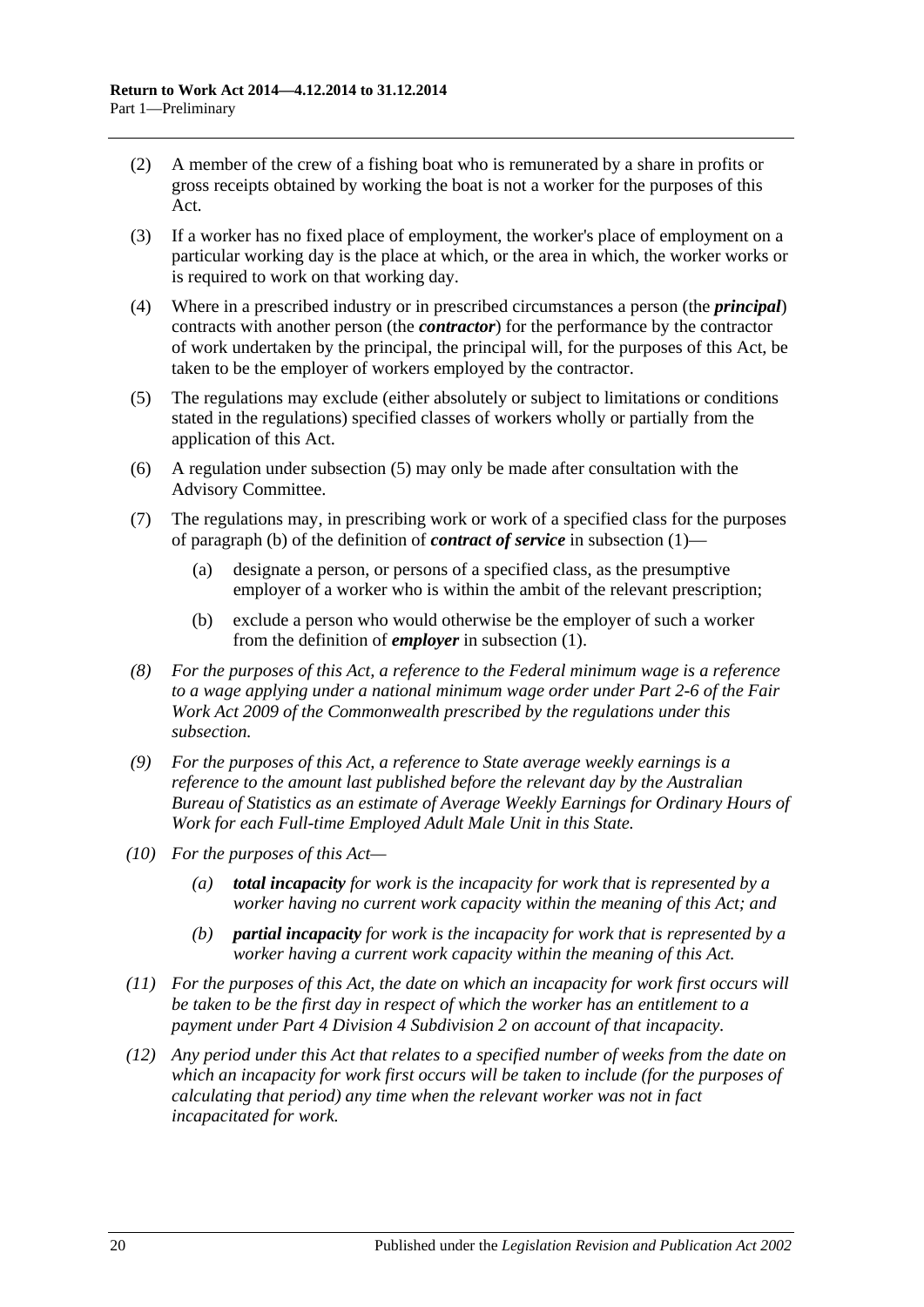- (2) A member of the crew of a fishing boat who is remunerated by a share in profits or gross receipts obtained by working the boat is not a worker for the purposes of this Act.
- (3) If a worker has no fixed place of employment, the worker's place of employment on a particular working day is the place at which, or the area in which, the worker works or is required to work on that working day.
- (4) Where in a prescribed industry or in prescribed circumstances a person (the *principal*) contracts with another person (the *contractor*) for the performance by the contractor of work undertaken by the principal, the principal will, for the purposes of this Act, be taken to be the employer of workers employed by the contractor.
- <span id="page-19-2"></span>(5) The regulations may exclude (either absolutely or subject to limitations or conditions stated in the regulations) specified classes of workers wholly or partially from the application of this Act.
- (6) A regulation under [subsection](#page-19-2) (5) may only be made after consultation with the Advisory Committee.
- <span id="page-19-0"></span>(7) The regulations may, in prescribing work or work of a specified class for the purposes of [paragraph](#page-11-0) (b) of the definition of *contract of service* in [subsection](#page-10-4) (1)—
	- (a) designate a person, or persons of a specified class, as the presumptive employer of a worker who is within the ambit of the relevant prescription;
	- (b) exclude a person who would otherwise be the employer of such a worker from the definition of *employer* in [subsection](#page-10-4) (1).
- <span id="page-19-1"></span>*(8) For the purposes of this Act, a reference to the Federal minimum wage is a reference to a wage applying under a national minimum wage order under Part 2-6 of the Fair Work Act 2009 of the Commonwealth prescribed by the regulations under this subsection.*
- *(9) For the purposes of this Act, a reference to State average weekly earnings is a reference to the amount last published before the relevant day by the Australian Bureau of Statistics as an estimate of Average Weekly Earnings for Ordinary Hours of Work for each Full-time Employed Adult Male Unit in this State.*
- *(10) For the purposes of this Act—*
	- *(a) total incapacity for work is the incapacity for work that is represented by a worker having no current work capacity within the meaning of this Act; and*
	- *(b) partial incapacity for work is the incapacity for work that is represented by a worker having a current work capacity within the meaning of this Act.*
- *(11) For the purposes of this Act, the date on which an incapacity for work first occurs will be taken to be the first day in respect of which the worker has an entitlement to a payment under Part 4 Division [4 Subdivision](#page-52-2) 2 on account of that incapacity.*
- *(12) Any period under this Act that relates to a specified number of weeks from the date on which an incapacity for work first occurs will be taken to include (for the purposes of calculating that period) any time when the relevant worker was not in fact incapacitated for work.*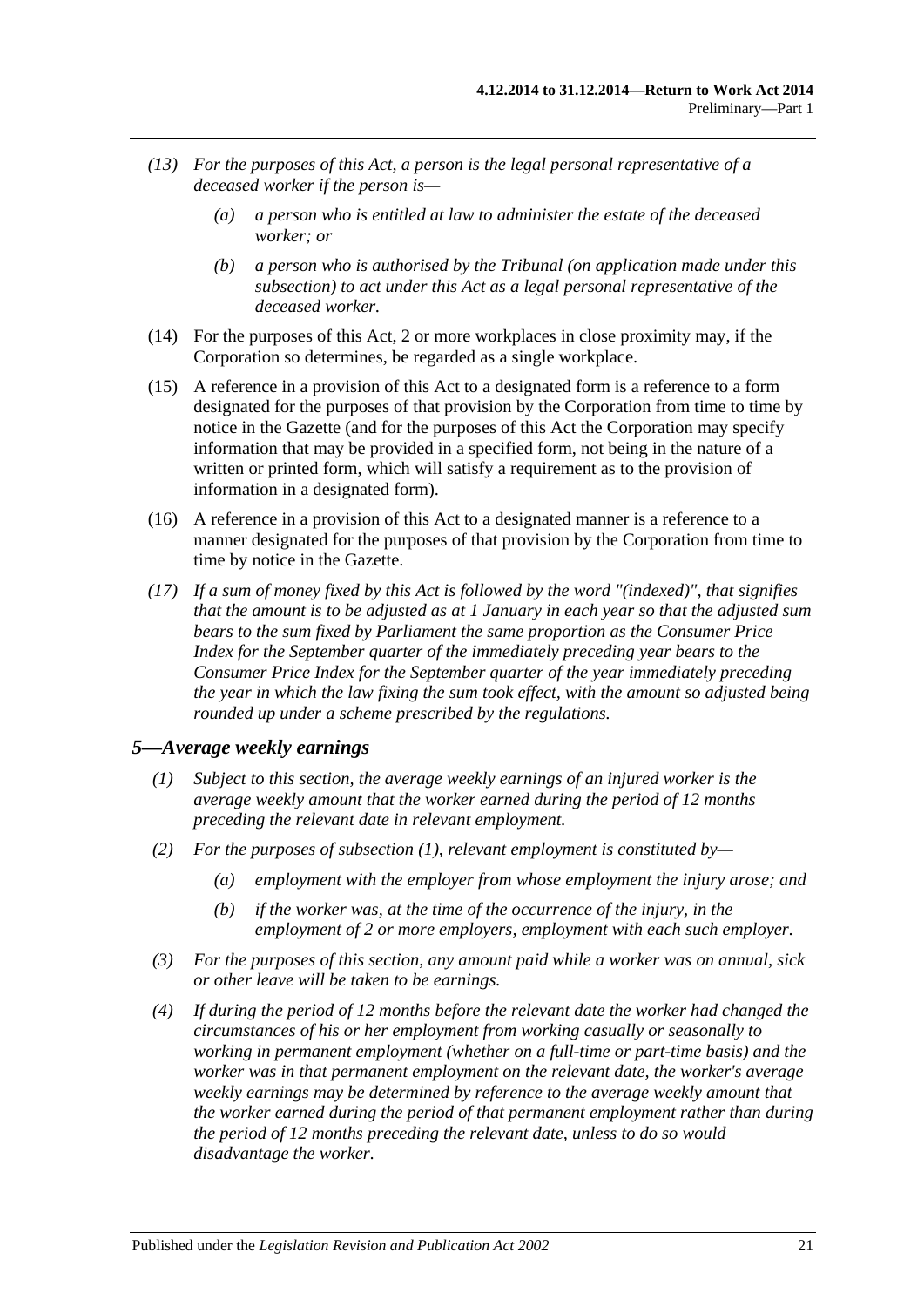- <span id="page-20-1"></span>*(13) For the purposes of this Act, a person is the legal personal representative of a deceased worker if the person is—*
	- *(a) a person who is entitled at law to administer the estate of the deceased worker; or*
	- *(b) a person who is authorised by the Tribunal (on application made under this subsection) to act under this Act as a legal personal representative of the deceased worker.*
- (14) For the purposes of this Act, 2 or more workplaces in close proximity may, if the Corporation so determines, be regarded as a single workplace.
- (15) A reference in a provision of this Act to a designated form is a reference to a form designated for the purposes of that provision by the Corporation from time to time by notice in the Gazette (and for the purposes of this Act the Corporation may specify information that may be provided in a specified form, not being in the nature of a written or printed form, which will satisfy a requirement as to the provision of information in a designated form).
- (16) A reference in a provision of this Act to a designated manner is a reference to a manner designated for the purposes of that provision by the Corporation from time to time by notice in the Gazette.
- *(17) If a sum of money fixed by this Act is followed by the word "(indexed)", that signifies that the amount is to be adjusted as at 1 January in each year so that the adjusted sum bears to the sum fixed by Parliament the same proportion as the Consumer Price Index for the September quarter of the immediately preceding year bears to the Consumer Price Index for the September quarter of the year immediately preceding the year in which the law fixing the sum took effect, with the amount so adjusted being rounded up under a scheme prescribed by the regulations.*

#### <span id="page-20-2"></span><span id="page-20-0"></span>*5—Average weekly earnings*

- *(1) Subject to this section, the average weekly earnings of an injured worker is the average weekly amount that the worker earned during the period of 12 months preceding the relevant date in relevant employment.*
- *(2) For the purposes of [subsection](#page-20-2) (1), relevant employment is constituted by—*
	- *(a) employment with the employer from whose employment the injury arose; and*
	- *(b) if the worker was, at the time of the occurrence of the injury, in the employment of 2 or more employers, employment with each such employer.*
- *(3) For the purposes of this section, any amount paid while a worker was on annual, sick or other leave will be taken to be earnings.*
- *(4) If during the period of 12 months before the relevant date the worker had changed the circumstances of his or her employment from working casually or seasonally to working in permanent employment (whether on a full-time or part-time basis) and the worker was in that permanent employment on the relevant date, the worker's average weekly earnings may be determined by reference to the average weekly amount that the worker earned during the period of that permanent employment rather than during the period of 12 months preceding the relevant date, unless to do so would disadvantage the worker.*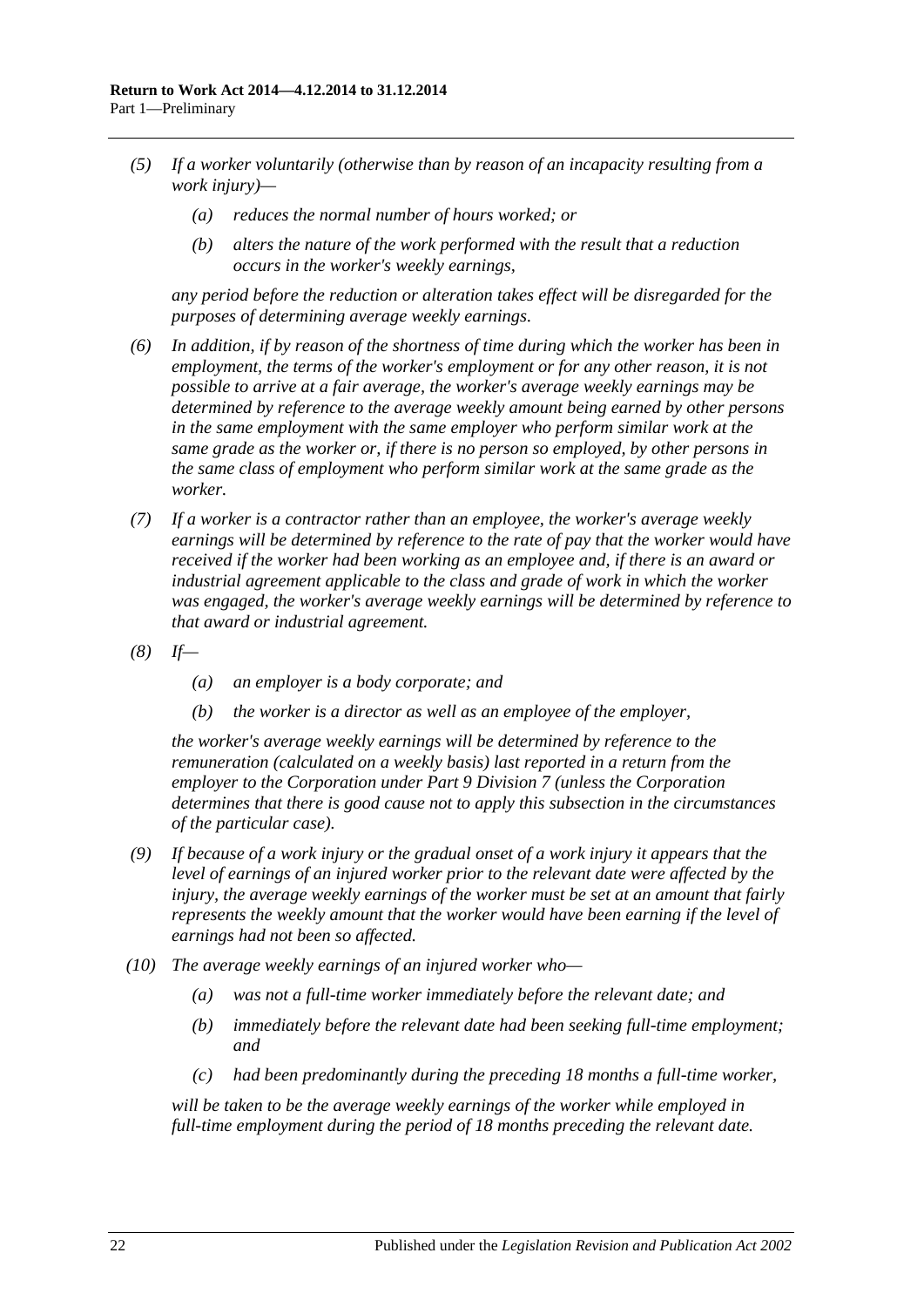- *(5) If a worker voluntarily (otherwise than by reason of an incapacity resulting from a work injury)—*
	- *(a) reduces the normal number of hours worked; or*
	- *(b) alters the nature of the work performed with the result that a reduction occurs in the worker's weekly earnings,*

*any period before the reduction or alteration takes effect will be disregarded for the purposes of determining average weekly earnings.*

- *(6) In addition, if by reason of the shortness of time during which the worker has been in employment, the terms of the worker's employment or for any other reason, it is not possible to arrive at a fair average, the worker's average weekly earnings may be determined by reference to the average weekly amount being earned by other persons in the same employment with the same employer who perform similar work at the same grade as the worker or, if there is no person so employed, by other persons in the same class of employment who perform similar work at the same grade as the worker.*
- *(7) If a worker is a contractor rather than an employee, the worker's average weekly earnings will be determined by reference to the rate of pay that the worker would have received if the worker had been working as an employee and, if there is an award or industrial agreement applicable to the class and grade of work in which the worker was engaged, the worker's average weekly earnings will be determined by reference to that award or industrial agreement.*
- *(8) If—*
	- *(a) an employer is a body corporate; and*
	- *(b) the worker is a director as well as an employee of the employer,*

*the worker's average weekly earnings will be determined by reference to the remuneration (calculated on a weekly basis) last reported in a return from the employer to the Corporation under Part [9 Division](#page-126-0) 7 (unless the Corporation determines that there is good cause not to apply this subsection in the circumstances of the particular case).*

- *(9) If because of a work injury or the gradual onset of a work injury it appears that the level of earnings of an injured worker prior to the relevant date were affected by the injury, the average weekly earnings of the worker must be set at an amount that fairly represents the weekly amount that the worker would have been earning if the level of earnings had not been so affected.*
- *(10) The average weekly earnings of an injured worker who—*
	- *(a) was not a full-time worker immediately before the relevant date; and*
	- *(b) immediately before the relevant date had been seeking full-time employment; and*
	- *(c) had been predominantly during the preceding 18 months a full-time worker,*

*will be taken to be the average weekly earnings of the worker while employed in full-time employment during the period of 18 months preceding the relevant date.*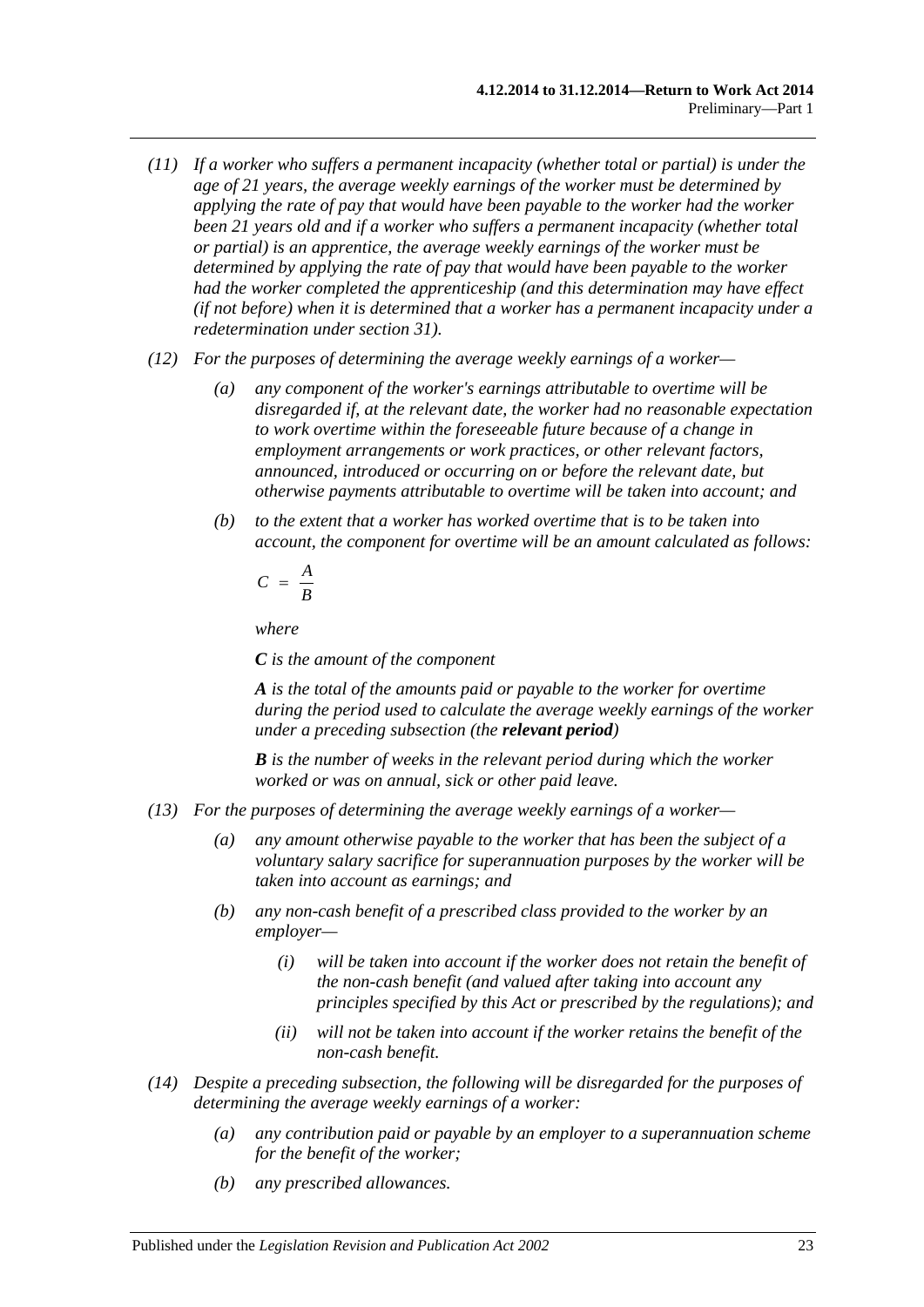- *(11) If a worker who suffers a permanent incapacity (whether total or partial) is under the age of 21 years, the average weekly earnings of the worker must be determined by applying the rate of pay that would have been payable to the worker had the worker been 21 years old and if a worker who suffers a permanent incapacity (whether total or partial) is an apprentice, the average weekly earnings of the worker must be determined by applying the rate of pay that would have been payable to the worker had the worker completed the apprenticeship (and this determination may have effect (if not before) when it is determined that a worker has a permanent incapacity under a redetermination under [section](#page-45-0) 31).*
- *(12) For the purposes of determining the average weekly earnings of a worker—*
	- *(a) any component of the worker's earnings attributable to overtime will be disregarded if, at the relevant date, the worker had no reasonable expectation to work overtime within the foreseeable future because of a change in employment arrangements or work practices, or other relevant factors, announced, introduced or occurring on or before the relevant date, but otherwise payments attributable to overtime will be taken into account; and*
	- *(b) to the extent that a worker has worked overtime that is to be taken into account, the component for overtime will be an amount calculated as follows:*

$$
C = \frac{A}{B}
$$

*where*

*C is the amount of the component*

*A is the total of the amounts paid or payable to the worker for overtime during the period used to calculate the average weekly earnings of the worker under a preceding subsection (the relevant period)*

*B is the number of weeks in the relevant period during which the worker worked or was on annual, sick or other paid leave.*

- *(13) For the purposes of determining the average weekly earnings of a worker—*
	- *(a) any amount otherwise payable to the worker that has been the subject of a voluntary salary sacrifice for superannuation purposes by the worker will be taken into account as earnings; and*
	- *(b) any non-cash benefit of a prescribed class provided to the worker by an employer—*
		- *(i) will be taken into account if the worker does not retain the benefit of the non-cash benefit (and valued after taking into account any principles specified by this Act or prescribed by the regulations); and*
		- *(ii) will not be taken into account if the worker retains the benefit of the non-cash benefit.*
- *(14) Despite a preceding subsection, the following will be disregarded for the purposes of determining the average weekly earnings of a worker:*
	- *(a) any contribution paid or payable by an employer to a superannuation scheme for the benefit of the worker;*
	- *(b) any prescribed allowances.*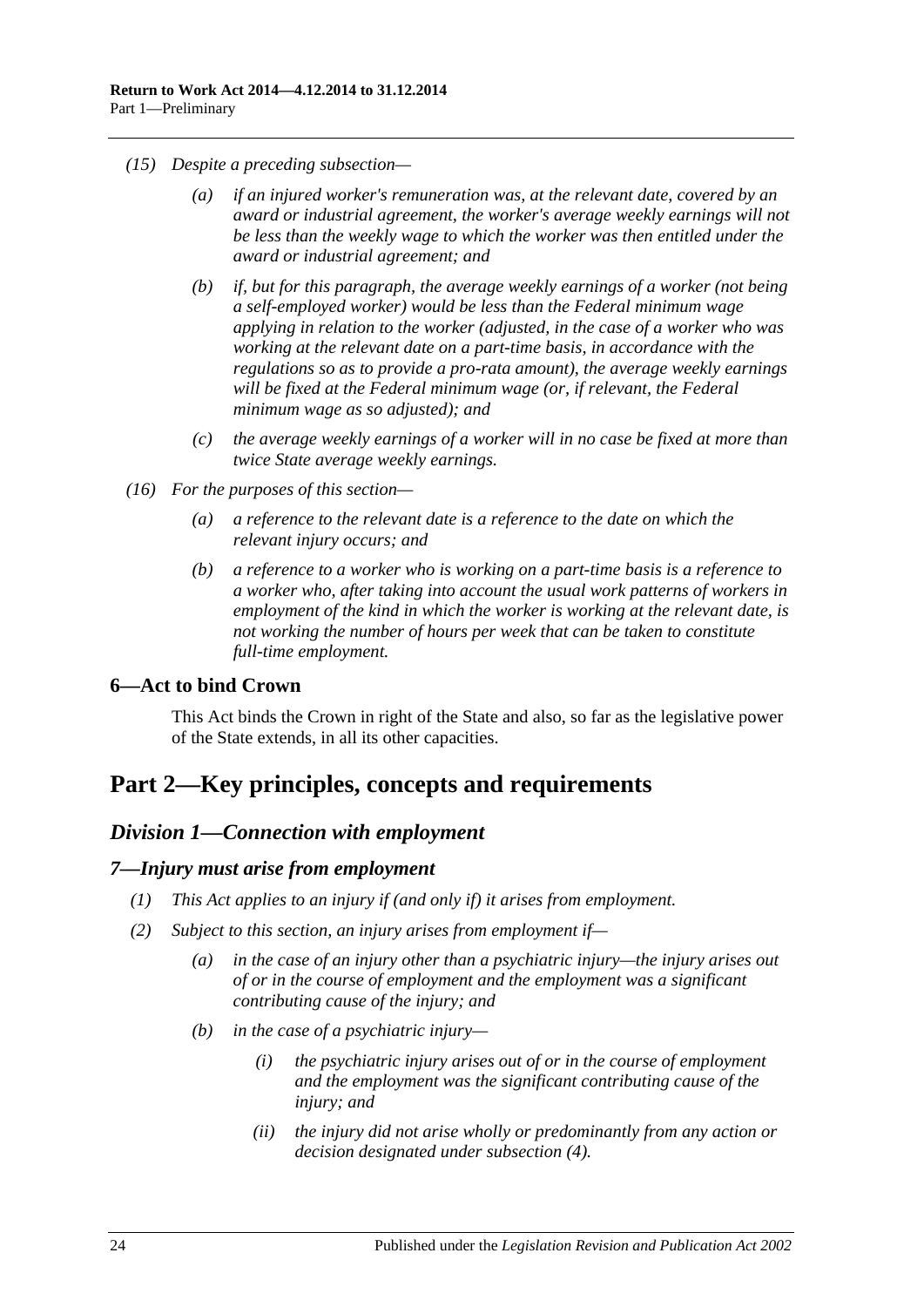- *(15) Despite a preceding subsection—*
	- *(a) if an injured worker's remuneration was, at the relevant date, covered by an award or industrial agreement, the worker's average weekly earnings will not be less than the weekly wage to which the worker was then entitled under the award or industrial agreement; and*
	- *(b) if, but for this paragraph, the average weekly earnings of a worker (not being a self-employed worker) would be less than the Federal minimum wage applying in relation to the worker (adjusted, in the case of a worker who was working at the relevant date on a part-time basis, in accordance with the regulations so as to provide a pro-rata amount), the average weekly earnings will be fixed at the Federal minimum wage (or, if relevant, the Federal minimum wage as so adjusted); and*
	- *(c) the average weekly earnings of a worker will in no case be fixed at more than twice State average weekly earnings.*
- *(16) For the purposes of this section—*
	- *(a) a reference to the relevant date is a reference to the date on which the relevant injury occurs; and*
	- *(b) a reference to a worker who is working on a part-time basis is a reference to a worker who, after taking into account the usual work patterns of workers in employment of the kind in which the worker is working at the relevant date, is not working the number of hours per week that can be taken to constitute full-time employment.*

# <span id="page-23-0"></span>**6—Act to bind Crown**

This Act binds the Crown in right of the State and also, so far as the legislative power of the State extends, in all its other capacities.

# <span id="page-23-2"></span><span id="page-23-1"></span>**Part 2—Key principles, concepts and requirements**

# *Division 1—Connection with employment*

#### <span id="page-23-3"></span>*7—Injury must arise from employment*

- *(1) This Act applies to an injury if (and only if) it arises from employment.*
- <span id="page-23-5"></span><span id="page-23-4"></span>*(2) Subject to this section, an injury arises from employment if—*
	- *(a) in the case of an injury other than a psychiatric injury—the injury arises out of or in the course of employment and the employment was a significant contributing cause of the injury; and*
	- *(b) in the case of a psychiatric injury—*
		- *(i) the psychiatric injury arises out of or in the course of employment and the employment was the significant contributing cause of the injury; and*
		- *(ii) the injury did not arise wholly or predominantly from any action or decision designated under [subsection](#page-24-1) (4).*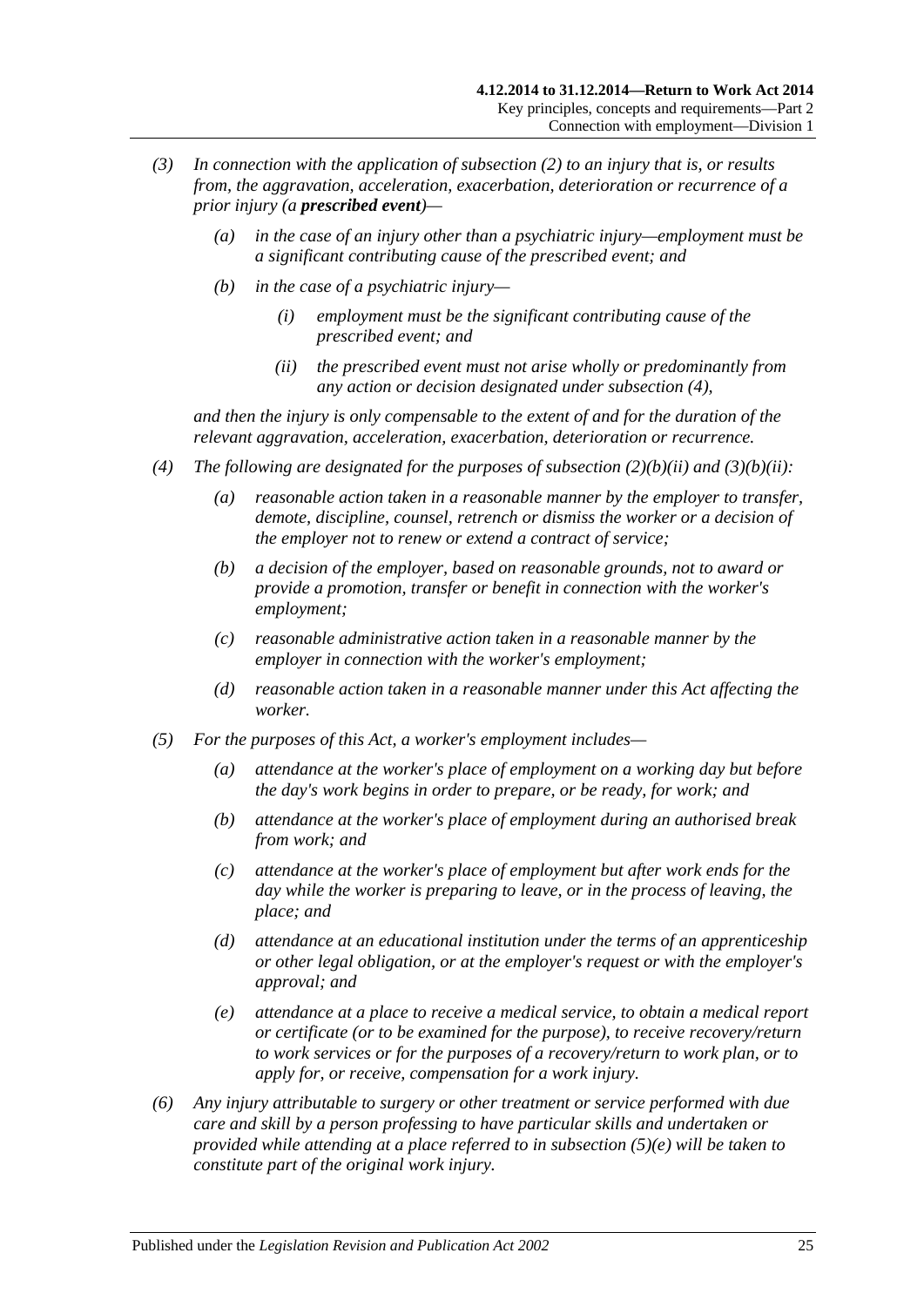- *(3) In connection with the application of [subsection](#page-23-4) (2) to an injury that is, or results from, the aggravation, acceleration, exacerbation, deterioration or recurrence of a prior injury (a prescribed event)—*
	- *(a) in the case of an injury other than a psychiatric injury—employment must be a significant contributing cause of the prescribed event; and*
	- *(b) in the case of a psychiatric injury—*
		- *(i) employment must be the significant contributing cause of the prescribed event; and*
		- *(ii) the prescribed event must not arise wholly or predominantly from any action or decision designated under [subsection](#page-24-1) (4),*

<span id="page-24-2"></span>*and then the injury is only compensable to the extent of and for the duration of the relevant aggravation, acceleration, exacerbation, deterioration or recurrence.*

- <span id="page-24-1"></span>*(4) The following are designated for the purposes of [subsection](#page-23-5) (2)(b)(ii) and [\(3\)\(b\)\(ii\):](#page-24-2)*
	- *(a) reasonable action taken in a reasonable manner by the employer to transfer, demote, discipline, counsel, retrench or dismiss the worker or a decision of the employer not to renew or extend a contract of service;*
	- *(b) a decision of the employer, based on reasonable grounds, not to award or provide a promotion, transfer or benefit in connection with the worker's employment;*
	- *(c) reasonable administrative action taken in a reasonable manner by the employer in connection with the worker's employment;*
	- *(d) reasonable action taken in a reasonable manner under this Act affecting the worker.*
- <span id="page-24-0"></span>*(5) For the purposes of this Act, a worker's employment includes—*
	- *(a) attendance at the worker's place of employment on a working day but before the day's work begins in order to prepare, or be ready, for work; and*
	- *(b) attendance at the worker's place of employment during an authorised break from work; and*
	- *(c) attendance at the worker's place of employment but after work ends for the day while the worker is preparing to leave, or in the process of leaving, the place; and*
	- *(d) attendance at an educational institution under the terms of an apprenticeship or other legal obligation, or at the employer's request or with the employer's approval; and*
	- *(e) attendance at a place to receive a medical service, to obtain a medical report or certificate (or to be examined for the purpose), to receive recovery/return to work services or for the purposes of a recovery/return to work plan, or to apply for, or receive, compensation for a work injury.*
- <span id="page-24-3"></span>*(6) Any injury attributable to surgery or other treatment or service performed with due care and skill by a person professing to have particular skills and undertaken or provided while attending at a place referred to in [subsection](#page-24-3) (5)(e) will be taken to constitute part of the original work injury.*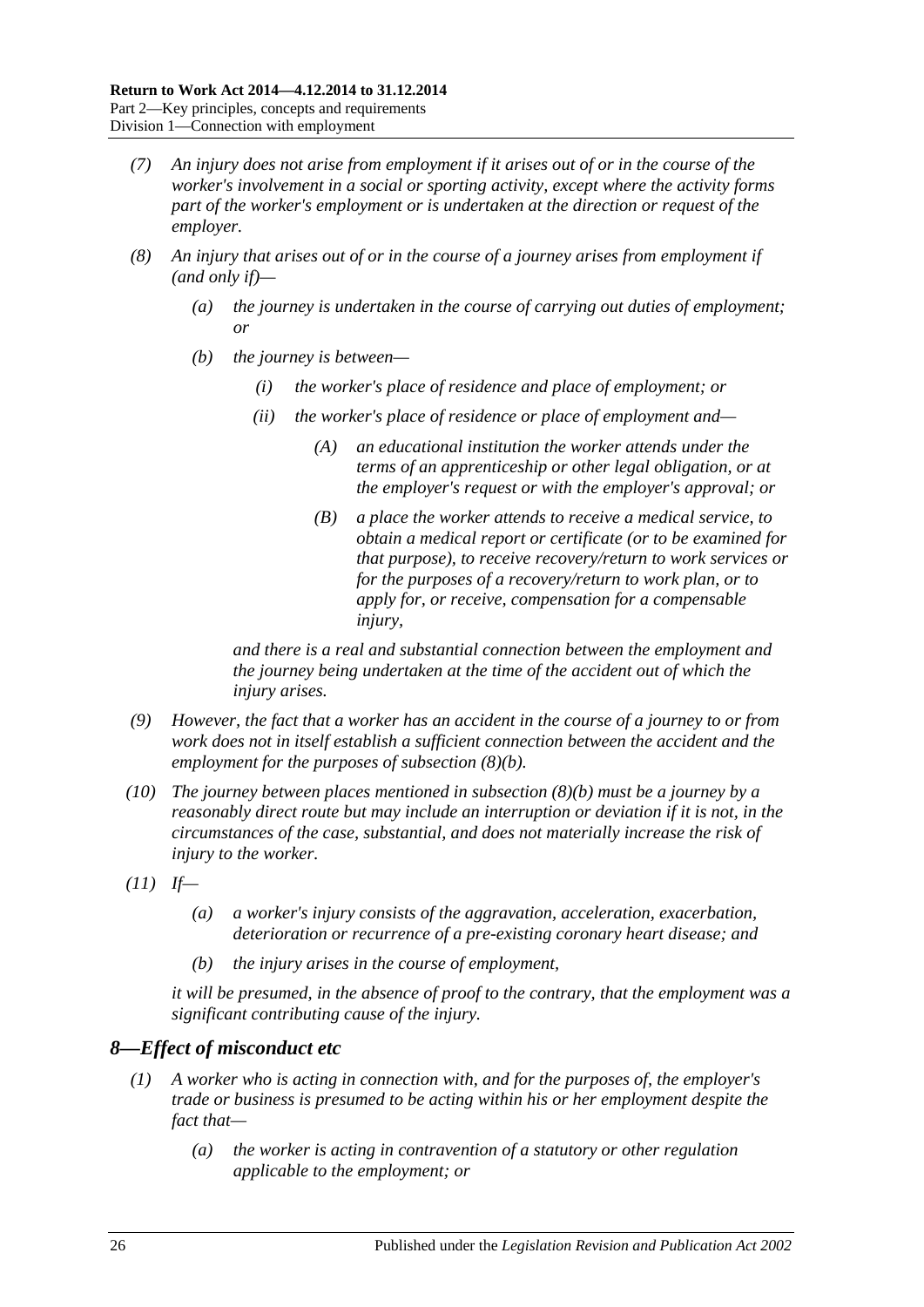- *(7) An injury does not arise from employment if it arises out of or in the course of the worker's involvement in a social or sporting activity, except where the activity forms part of the worker's employment or is undertaken at the direction or request of the employer.*
- <span id="page-25-1"></span>*(8) An injury that arises out of or in the course of a journey arises from employment if (and only if)—*
	- *(a) the journey is undertaken in the course of carrying out duties of employment; or*
	- *(b) the journey is between—*
		- *(i) the worker's place of residence and place of employment; or*
		- *(ii) the worker's place of residence or place of employment and—*
			- *(A) an educational institution the worker attends under the terms of an apprenticeship or other legal obligation, or at the employer's request or with the employer's approval; or*
			- *(B) a place the worker attends to receive a medical service, to obtain a medical report or certificate (or to be examined for that purpose), to receive recovery/return to work services or for the purposes of a recovery/return to work plan, or to apply for, or receive, compensation for a compensable injury,*

*and there is a real and substantial connection between the employment and the journey being undertaken at the time of the accident out of which the injury arises.*

- *(9) However, the fact that a worker has an accident in the course of a journey to or from work does not in itself establish a sufficient connection between the accident and the employment for the purposes of [subsection](#page-25-1) (8)(b).*
- *(10) The journey between places mentioned in [subsection](#page-25-1) (8)(b) must be a journey by a reasonably direct route but may include an interruption or deviation if it is not, in the circumstances of the case, substantial, and does not materially increase the risk of injury to the worker.*
- *(11) If—*
	- *(a) a worker's injury consists of the aggravation, acceleration, exacerbation, deterioration or recurrence of a pre-existing coronary heart disease; and*
	- *(b) the injury arises in the course of employment,*

*it will be presumed, in the absence of proof to the contrary, that the employment was a significant contributing cause of the injury.*

# <span id="page-25-0"></span>*8—Effect of misconduct etc*

- *(1) A worker who is acting in connection with, and for the purposes of, the employer's trade or business is presumed to be acting within his or her employment despite the fact that—*
	- *(a) the worker is acting in contravention of a statutory or other regulation applicable to the employment; or*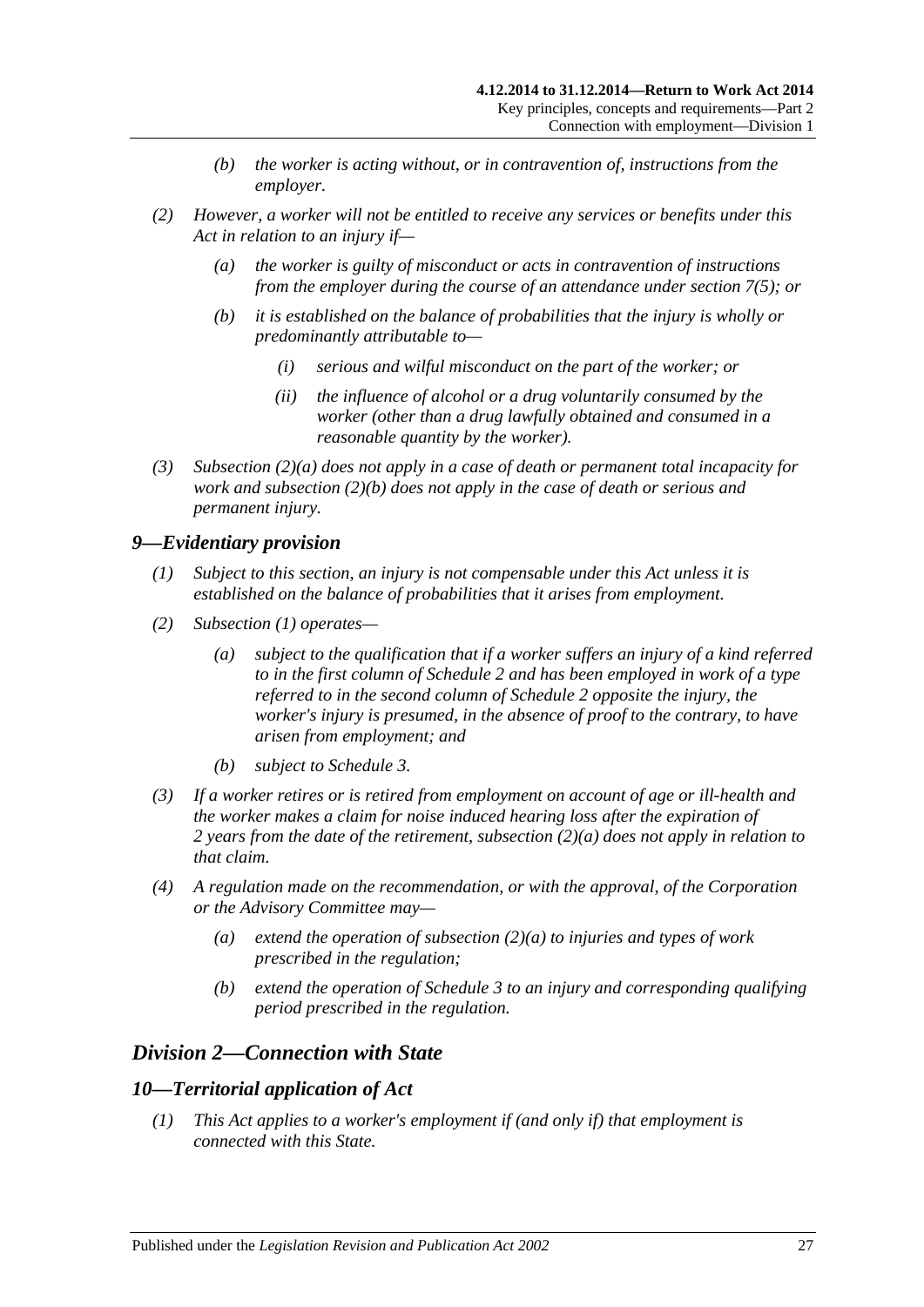- *(b) the worker is acting without, or in contravention of, instructions from the employer.*
- <span id="page-26-4"></span><span id="page-26-3"></span>*(2) However, a worker will not be entitled to receive any services or benefits under this Act in relation to an injury if—*
	- *(a) the worker is guilty of misconduct or acts in contravention of instructions from the employer during the course of an attendance under [section](#page-24-0) 7(5); or*
	- *(b) it is established on the balance of probabilities that the injury is wholly or predominantly attributable to—*
		- *(i) serious and wilful misconduct on the part of the worker; or*
		- *(ii) the influence of alcohol or a drug voluntarily consumed by the worker (other than a drug lawfully obtained and consumed in a reasonable quantity by the worker).*
- *(3) [Subsection](#page-26-3) (2)(a) does not apply in a case of death or permanent total incapacity for work and [subsection](#page-26-4) (2)(b) does not apply in the case of death or serious and permanent injury.*

# <span id="page-26-5"></span><span id="page-26-0"></span>*9—Evidentiary provision*

- *(1) Subject to this section, an injury is not compensable under this Act unless it is established on the balance of probabilities that it arises from employment.*
- <span id="page-26-6"></span>*(2) [Subsection](#page-26-5) (1) operates—*
	- *(a) subject to the qualification that if a worker suffers an injury of a kind referred to in the first column of [Schedule](#page-157-0) 2 and has been employed in work of a type referred to in the second column of [Schedule](#page-157-0) 2 opposite the injury, the worker's injury is presumed, in the absence of proof to the contrary, to have arisen from employment; and*
	- *(b) subject to [Schedule](#page-158-0) 3.*
- *(3) If a worker retires or is retired from employment on account of age or ill-health and the worker makes a claim for noise induced hearing loss after the expiration of 2 years from the date of the retirement, [subsection](#page-26-6) (2)(a) does not apply in relation to that claim.*
- *(4) A regulation made on the recommendation, or with the approval, of the Corporation or the Advisory Committee may—*
	- *(a) extend the operation of [subsection](#page-26-6) (2)(a) to injuries and types of work prescribed in the regulation;*
	- *(b) extend the operation of [Schedule](#page-158-0) 3 to an injury and corresponding qualifying period prescribed in the regulation.*

# <span id="page-26-1"></span>*Division 2—Connection with State*

# <span id="page-26-2"></span>*10—Territorial application of Act*

*(1) This Act applies to a worker's employment if (and only if) that employment is connected with this State.*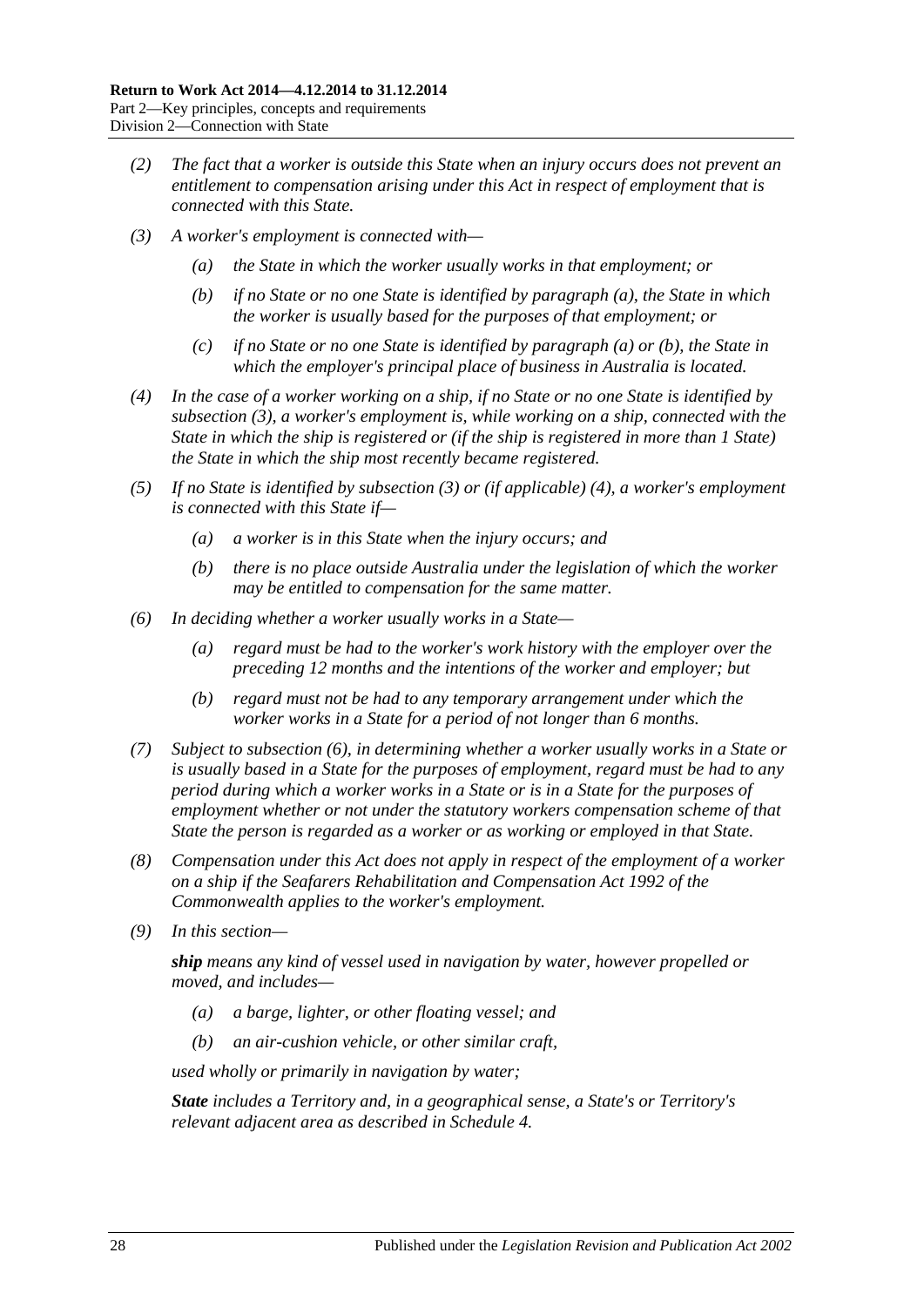- *(2) The fact that a worker is outside this State when an injury occurs does not prevent an entitlement to compensation arising under this Act in respect of employment that is connected with this State.*
- <span id="page-27-2"></span><span id="page-27-1"></span><span id="page-27-0"></span>*(3) A worker's employment is connected with—*
	- *(a) the State in which the worker usually works in that employment; or*
	- *(b) if no State or no one State is identified by [paragraph](#page-27-0) (a), the State in which the worker is usually based for the purposes of that employment; or*
	- *(c) if no State or no one State is identified by [paragraph](#page-27-0) (a) or [\(b\),](#page-27-1) the State in which the employer's principal place of business in Australia is located.*
- <span id="page-27-3"></span>*(4) In the case of a worker working on a ship, if no State or no one State is identified by [subsection](#page-27-2) (3), a worker's employment is, while working on a ship, connected with the State in which the ship is registered or (if the ship is registered in more than 1 State) the State in which the ship most recently became registered.*
- *(5) If no State is identified by [subsection](#page-27-2) (3) or (if applicable) [\(4\),](#page-27-3) a worker's employment is connected with this State if—*
	- *(a) a worker is in this State when the injury occurs; and*
	- *(b) there is no place outside Australia under the legislation of which the worker may be entitled to compensation for the same matter.*
- <span id="page-27-4"></span>*(6) In deciding whether a worker usually works in a State—*
	- *(a) regard must be had to the worker's work history with the employer over the preceding 12 months and the intentions of the worker and employer; but*
	- *(b) regard must not be had to any temporary arrangement under which the worker works in a State for a period of not longer than 6 months.*
- *(7) Subject to [subsection](#page-27-4) (6), in determining whether a worker usually works in a State or is usually based in a State for the purposes of employment, regard must be had to any period during which a worker works in a State or is in a State for the purposes of employment whether or not under the statutory workers compensation scheme of that State the person is regarded as a worker or as working or employed in that State.*
- *(8) Compensation under this Act does not apply in respect of the employment of a worker on a ship if the Seafarers Rehabilitation and Compensation Act 1992 of the Commonwealth applies to the worker's employment.*
- *(9) In this section—*

*ship means any kind of vessel used in navigation by water, however propelled or moved, and includes—*

- *(a) a barge, lighter, or other floating vessel; and*
- *(b) an air-cushion vehicle, or other similar craft,*

*used wholly or primarily in navigation by water;*

*State includes a Territory and, in a geographical sense, a State's or Territory's relevant adjacent area as described in [Schedule](#page-160-0) 4.*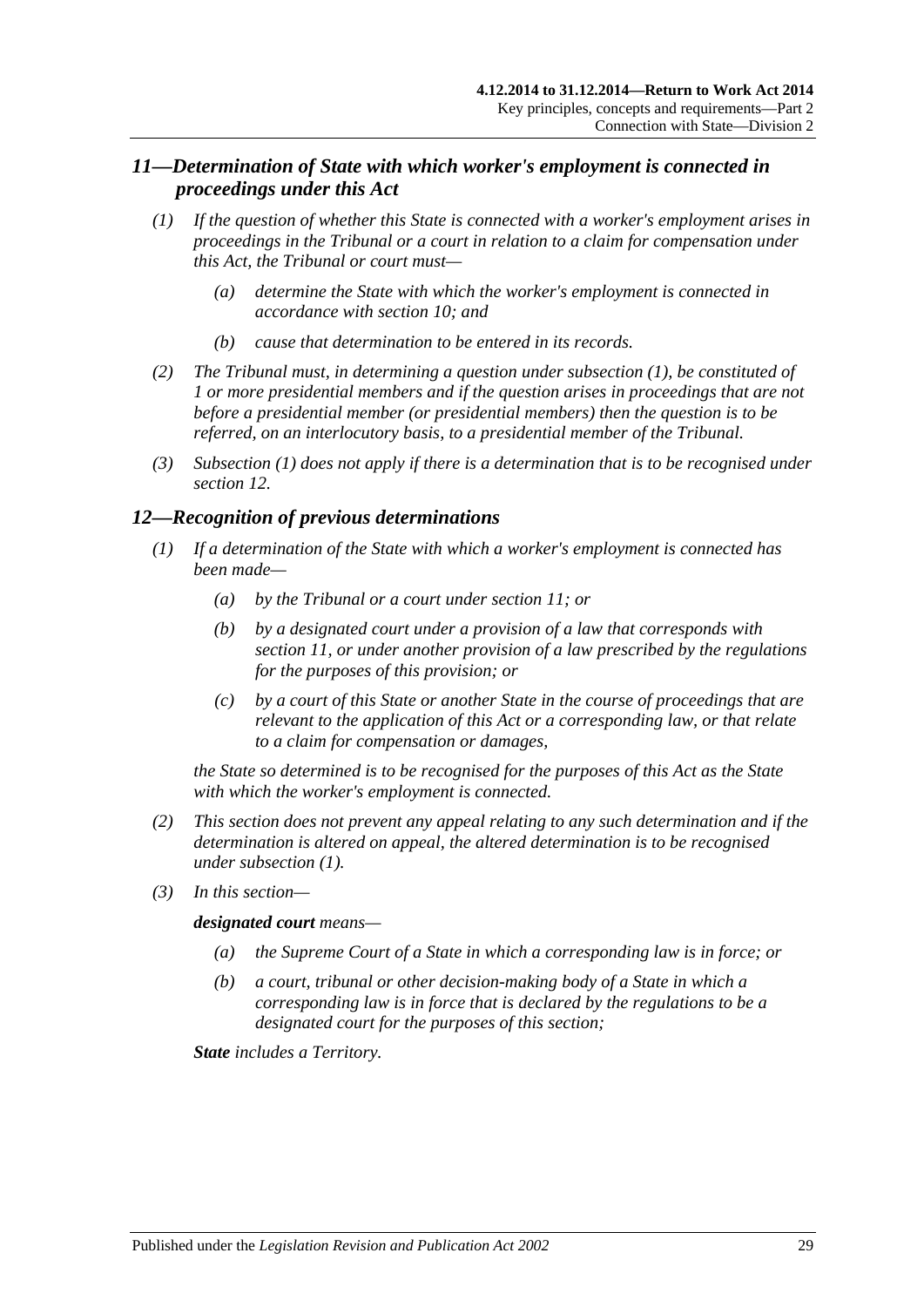# <span id="page-28-0"></span>*11—Determination of State with which worker's employment is connected in proceedings under this Act*

- <span id="page-28-2"></span>*(1) If the question of whether this State is connected with a worker's employment arises in proceedings in the Tribunal or a court in relation to a claim for compensation under this Act, the Tribunal or court must—*
	- *(a) determine the State with which the worker's employment is connected in accordance with [section](#page-26-2) 10; and*
	- *(b) cause that determination to be entered in its records.*
- *(2) The Tribunal must, in determining a question under [subsection](#page-28-2) (1), be constituted of 1 or more presidential members and if the question arises in proceedings that are not before a presidential member (or presidential members) then the question is to be referred, on an interlocutory basis, to a presidential member of the Tribunal.*
- *(3) [Subsection \(1\)](#page-28-2) does not apply if there is a determination that is to be recognised under [section](#page-28-1) 12.*

# <span id="page-28-3"></span><span id="page-28-1"></span>*12—Recognition of previous determinations*

- *(1) If a determination of the State with which a worker's employment is connected has been made—*
	- *(a) by the Tribunal or a court under [section](#page-28-0) 11; or*
	- *(b) by a designated court under a provision of a law that corresponds with [section](#page-28-0) 11, or under another provision of a law prescribed by the regulations for the purposes of this provision; or*
	- *(c) by a court of this State or another State in the course of proceedings that are relevant to the application of this Act or a corresponding law, or that relate to a claim for compensation or damages,*

*the State so determined is to be recognised for the purposes of this Act as the State with which the worker's employment is connected.*

- *(2) This section does not prevent any appeal relating to any such determination and if the determination is altered on appeal, the altered determination is to be recognised under [subsection](#page-28-3) (1).*
- *(3) In this section—*

#### *designated court means—*

- *(a) the Supreme Court of a State in which a corresponding law is in force; or*
- *(b) a court, tribunal or other decision-making body of a State in which a corresponding law is in force that is declared by the regulations to be a designated court for the purposes of this section;*

*State includes a Territory.*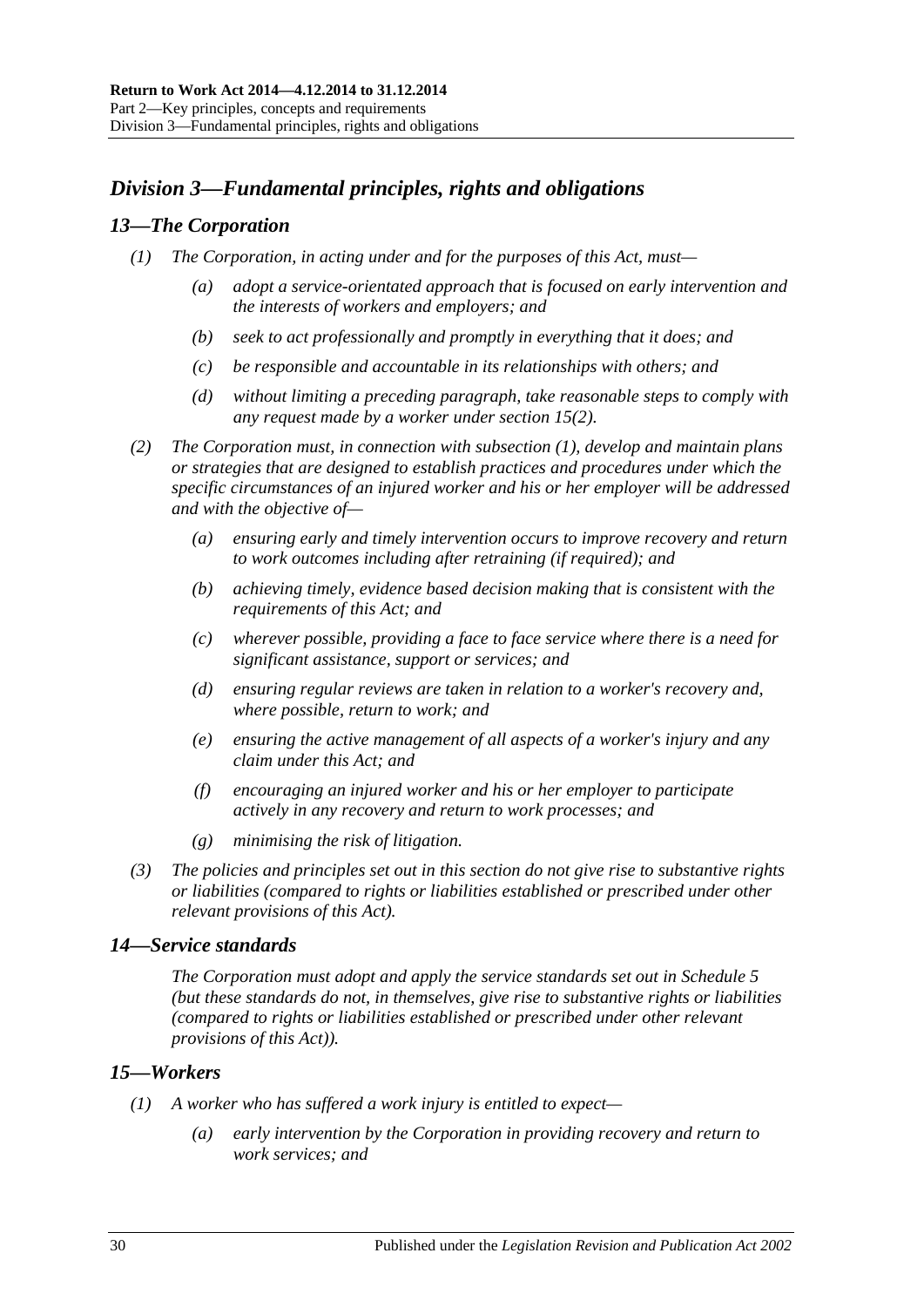# <span id="page-29-0"></span>*Division 3—Fundamental principles, rights and obligations*

# <span id="page-29-4"></span><span id="page-29-1"></span>*13—The Corporation*

- *(1) The Corporation, in acting under and for the purposes of this Act, must—*
	- *(a) adopt a service-orientated approach that is focused on early intervention and the interests of workers and employers; and*
	- *(b) seek to act professionally and promptly in everything that it does; and*
	- *(c) be responsible and accountable in its relationships with others; and*
	- *(d) without limiting a preceding paragraph, take reasonable steps to comply with any request made by a worker under [section](#page-30-1) 15(2).*
- *(2) The Corporation must, in connection with [subsection](#page-29-4) (1), develop and maintain plans or strategies that are designed to establish practices and procedures under which the specific circumstances of an injured worker and his or her employer will be addressed and with the objective of—*
	- *(a) ensuring early and timely intervention occurs to improve recovery and return to work outcomes including after retraining (if required); and*
	- *(b) achieving timely, evidence based decision making that is consistent with the requirements of this Act; and*
	- *(c) wherever possible, providing a face to face service where there is a need for significant assistance, support or services; and*
	- *(d) ensuring regular reviews are taken in relation to a worker's recovery and, where possible, return to work; and*
	- *(e) ensuring the active management of all aspects of a worker's injury and any claim under this Act; and*
	- *(f) encouraging an injured worker and his or her employer to participate actively in any recovery and return to work processes; and*
	- *(g) minimising the risk of litigation.*
- *(3) The policies and principles set out in this section do not give rise to substantive rights or liabilities (compared to rights or liabilities established or prescribed under other relevant provisions of this Act).*

# <span id="page-29-2"></span>*14—Service standards*

*The Corporation must adopt and apply the service standards set out in [Schedule](#page-161-0) 5 (but these standards do not, in themselves, give rise to substantive rights or liabilities (compared to rights or liabilities established or prescribed under other relevant provisions of this Act)).*

# <span id="page-29-3"></span>*15—Workers*

- *(1) A worker who has suffered a work injury is entitled to expect—*
	- *(a) early intervention by the Corporation in providing recovery and return to work services; and*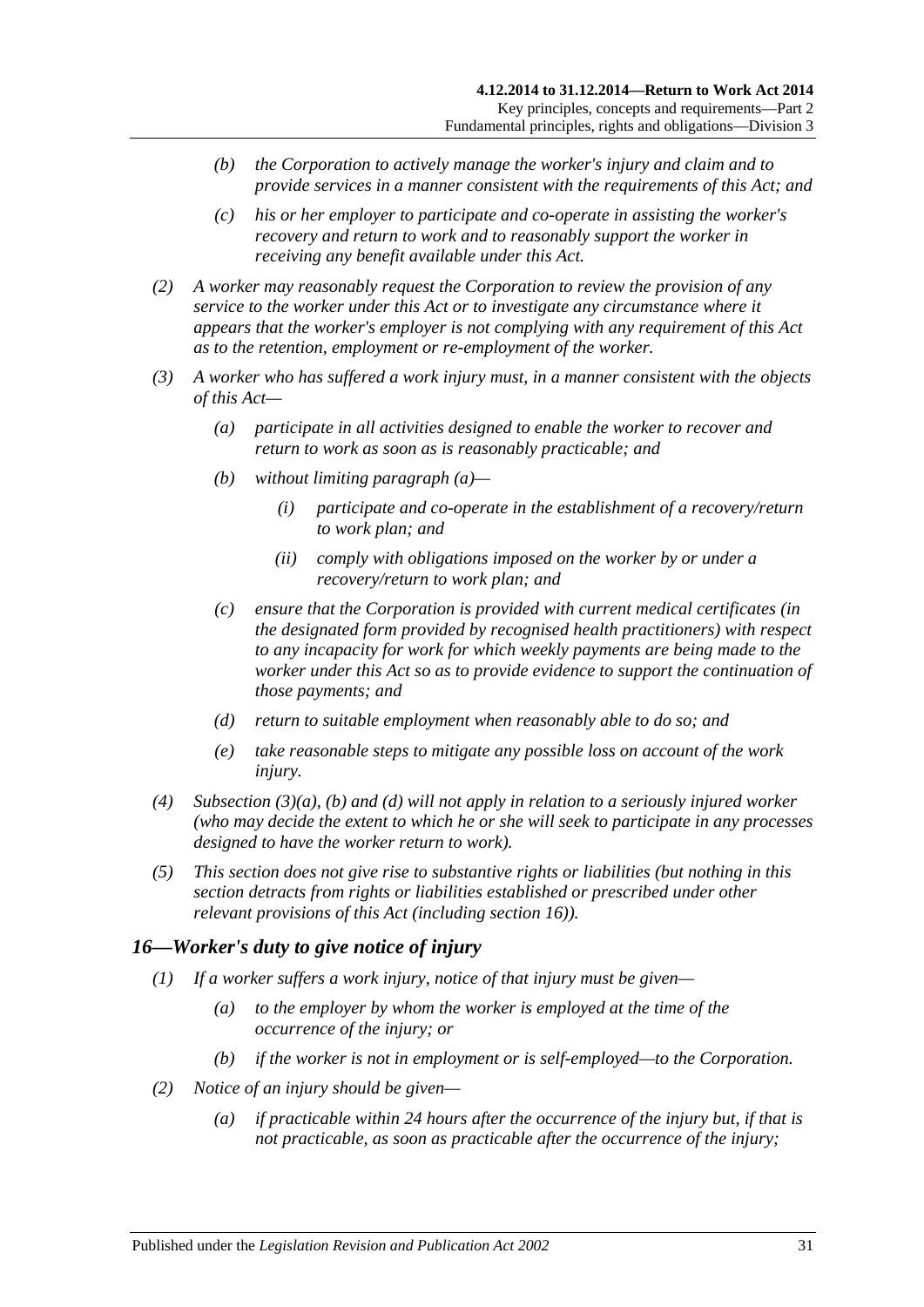- *(b) the Corporation to actively manage the worker's injury and claim and to provide services in a manner consistent with the requirements of this Act; and*
- *(c) his or her employer to participate and co-operate in assisting the worker's recovery and return to work and to reasonably support the worker in receiving any benefit available under this Act.*
- <span id="page-30-1"></span>*(2) A worker may reasonably request the Corporation to review the provision of any service to the worker under this Act or to investigate any circumstance where it appears that the worker's employer is not complying with any requirement of this Act as to the retention, employment or re-employment of the worker.*
- <span id="page-30-3"></span><span id="page-30-2"></span>*(3) A worker who has suffered a work injury must, in a manner consistent with the objects of this Act—*
	- *(a) participate in all activities designed to enable the worker to recover and return to work as soon as is reasonably practicable; and*
	- *(b) without limiting [paragraph](#page-30-2) (a)—*
		- *(i) participate and co-operate in the establishment of a recovery/return to work plan; and*
		- *(ii) comply with obligations imposed on the worker by or under a recovery/return to work plan; and*
	- *(c) ensure that the Corporation is provided with current medical certificates (in the designated form provided by recognised health practitioners) with respect to any incapacity for work for which weekly payments are being made to the worker under this Act so as to provide evidence to support the continuation of those payments; and*
	- *(d) return to suitable employment when reasonably able to do so; and*
	- *(e) take reasonable steps to mitigate any possible loss on account of the work injury.*
- <span id="page-30-4"></span>*(4) [Subsection](#page-30-2) (3)(a), [\(b\)](#page-30-3) and [\(d\)](#page-30-4) will not apply in relation to a seriously injured worker (who may decide the extent to which he or she will seek to participate in any processes designed to have the worker return to work).*
- *(5) This section does not give rise to substantive rights or liabilities (but nothing in this section detracts from rights or liabilities established or prescribed under other relevant provisions of this Act (including [section](#page-30-0) 16)).*

# <span id="page-30-0"></span>*16—Worker's duty to give notice of injury*

- *(1) If a worker suffers a work injury, notice of that injury must be given—*
	- *(a) to the employer by whom the worker is employed at the time of the occurrence of the injury; or*
	- *(b) if the worker is not in employment or is self-employed—to the Corporation.*
- *(2) Notice of an injury should be given—*
	- *(a) if practicable within 24 hours after the occurrence of the injury but, if that is not practicable, as soon as practicable after the occurrence of the injury;*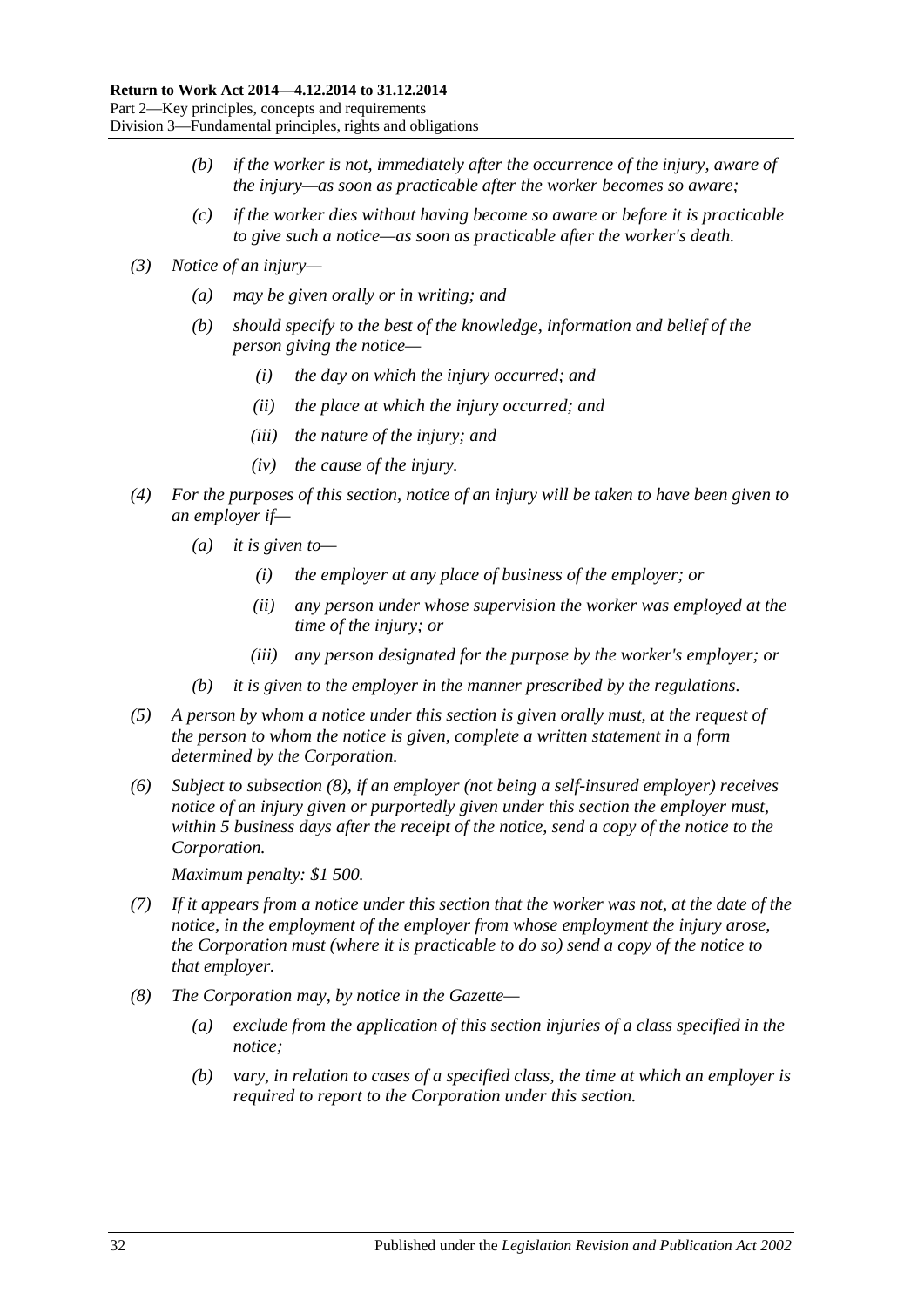- *(b) if the worker is not, immediately after the occurrence of the injury, aware of the injury—as soon as practicable after the worker becomes so aware;*
- *(c) if the worker dies without having become so aware or before it is practicable to give such a notice—as soon as practicable after the worker's death.*
- *(3) Notice of an injury—*
	- *(a) may be given orally or in writing; and*
	- *(b) should specify to the best of the knowledge, information and belief of the person giving the notice—*
		- *(i) the day on which the injury occurred; and*
		- *(ii) the place at which the injury occurred; and*
		- *(iii) the nature of the injury; and*
		- *(iv) the cause of the injury.*
- *(4) For the purposes of this section, notice of an injury will be taken to have been given to an employer if—*
	- *(a) it is given to—*
		- *(i) the employer at any place of business of the employer; or*
		- *(ii) any person under whose supervision the worker was employed at the time of the injury; or*
		- *(iii) any person designated for the purpose by the worker's employer; or*
	- *(b) it is given to the employer in the manner prescribed by the regulations.*
- *(5) A person by whom a notice under this section is given orally must, at the request of the person to whom the notice is given, complete a written statement in a form determined by the Corporation.*
- *(6) Subject to [subsection](#page-31-0) (8), if an employer (not being a self-insured employer) receives notice of an injury given or purportedly given under this section the employer must, within 5 business days after the receipt of the notice, send a copy of the notice to the Corporation.*

*Maximum penalty: \$1 500.*

- *(7) If it appears from a notice under this section that the worker was not, at the date of the notice, in the employment of the employer from whose employment the injury arose, the Corporation must (where it is practicable to do so) send a copy of the notice to that employer.*
- <span id="page-31-0"></span>*(8) The Corporation may, by notice in the Gazette—*
	- *(a) exclude from the application of this section injuries of a class specified in the notice;*
	- *(b) vary, in relation to cases of a specified class, the time at which an employer is required to report to the Corporation under this section.*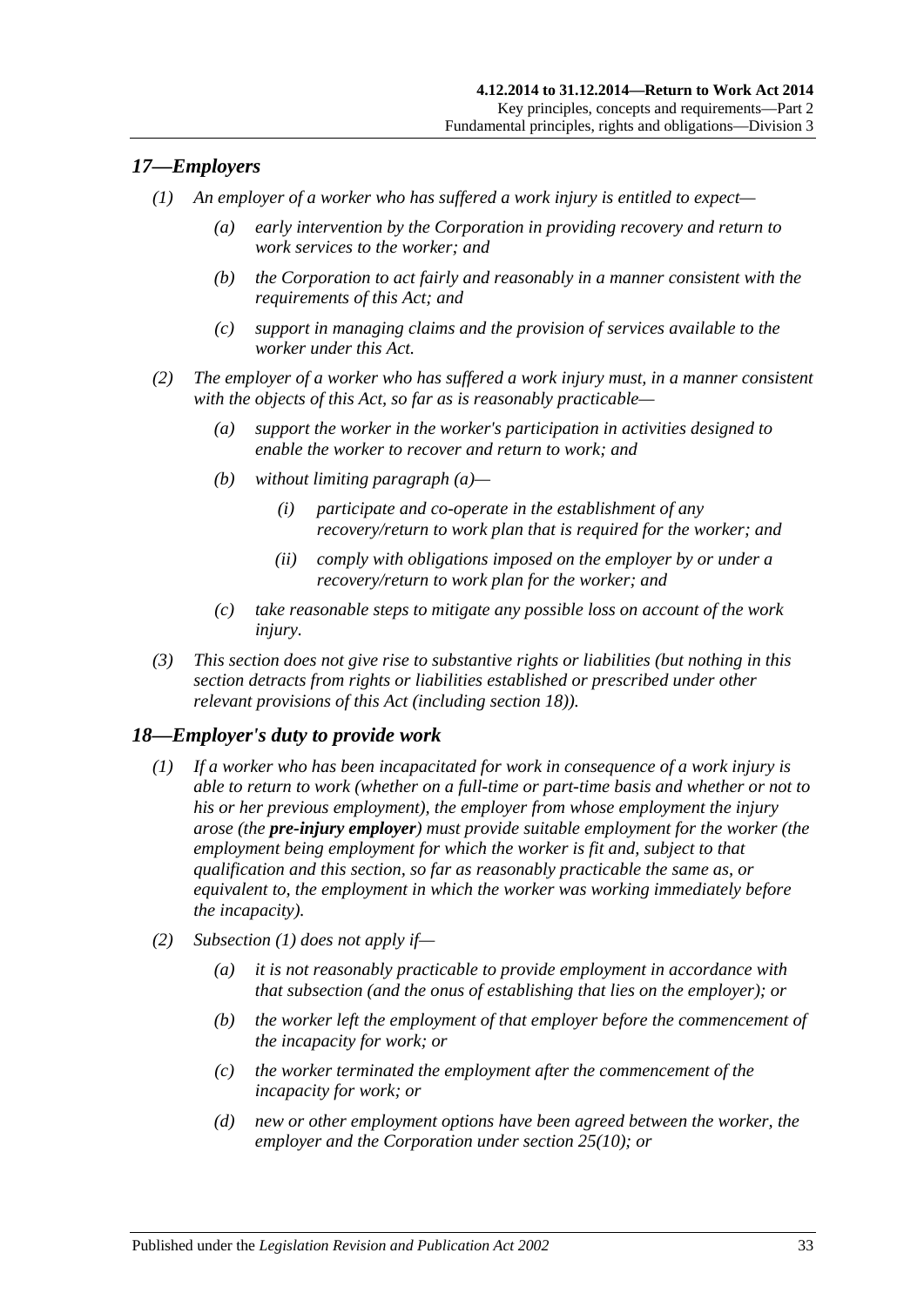# <span id="page-32-0"></span>*17—Employers*

- *(1) An employer of a worker who has suffered a work injury is entitled to expect—*
	- *(a) early intervention by the Corporation in providing recovery and return to work services to the worker; and*
	- *(b) the Corporation to act fairly and reasonably in a manner consistent with the requirements of this Act; and*
	- *(c) support in managing claims and the provision of services available to the worker under this Act.*
- <span id="page-32-2"></span>*(2) The employer of a worker who has suffered a work injury must, in a manner consistent with the objects of this Act, so far as is reasonably practicable—*
	- *(a) support the worker in the worker's participation in activities designed to enable the worker to recover and return to work; and*
	- *(b) without limiting [paragraph](#page-32-2) (a)—*
		- *(i) participate and co-operate in the establishment of any recovery/return to work plan that is required for the worker; and*
		- *(ii) comply with obligations imposed on the employer by or under a recovery/return to work plan for the worker; and*
	- *(c) take reasonable steps to mitigate any possible loss on account of the work injury.*
- *(3) This section does not give rise to substantive rights or liabilities (but nothing in this section detracts from rights or liabilities established or prescribed under other relevant provisions of this Act (including [section](#page-32-1) 18)).*

# <span id="page-32-3"></span><span id="page-32-1"></span>*18—Employer's duty to provide work*

- *(1) If a worker who has been incapacitated for work in consequence of a work injury is able to return to work (whether on a full-time or part-time basis and whether or not to his or her previous employment), the employer from whose employment the injury arose (the pre-injury employer) must provide suitable employment for the worker (the employment being employment for which the worker is fit and, subject to that qualification and this section, so far as reasonably practicable the same as, or equivalent to, the employment in which the worker was working immediately before the incapacity).*
- *(2) [Subsection](#page-32-3) (1) does not apply if—*
	- *(a) it is not reasonably practicable to provide employment in accordance with that subsection (and the onus of establishing that lies on the employer); or*
	- *(b) the worker left the employment of that employer before the commencement of the incapacity for work; or*
	- *(c) the worker terminated the employment after the commencement of the incapacity for work; or*
	- *(d) new or other employment options have been agreed between the worker, the employer and the Corporation under [section](#page-41-0) 25(10); or*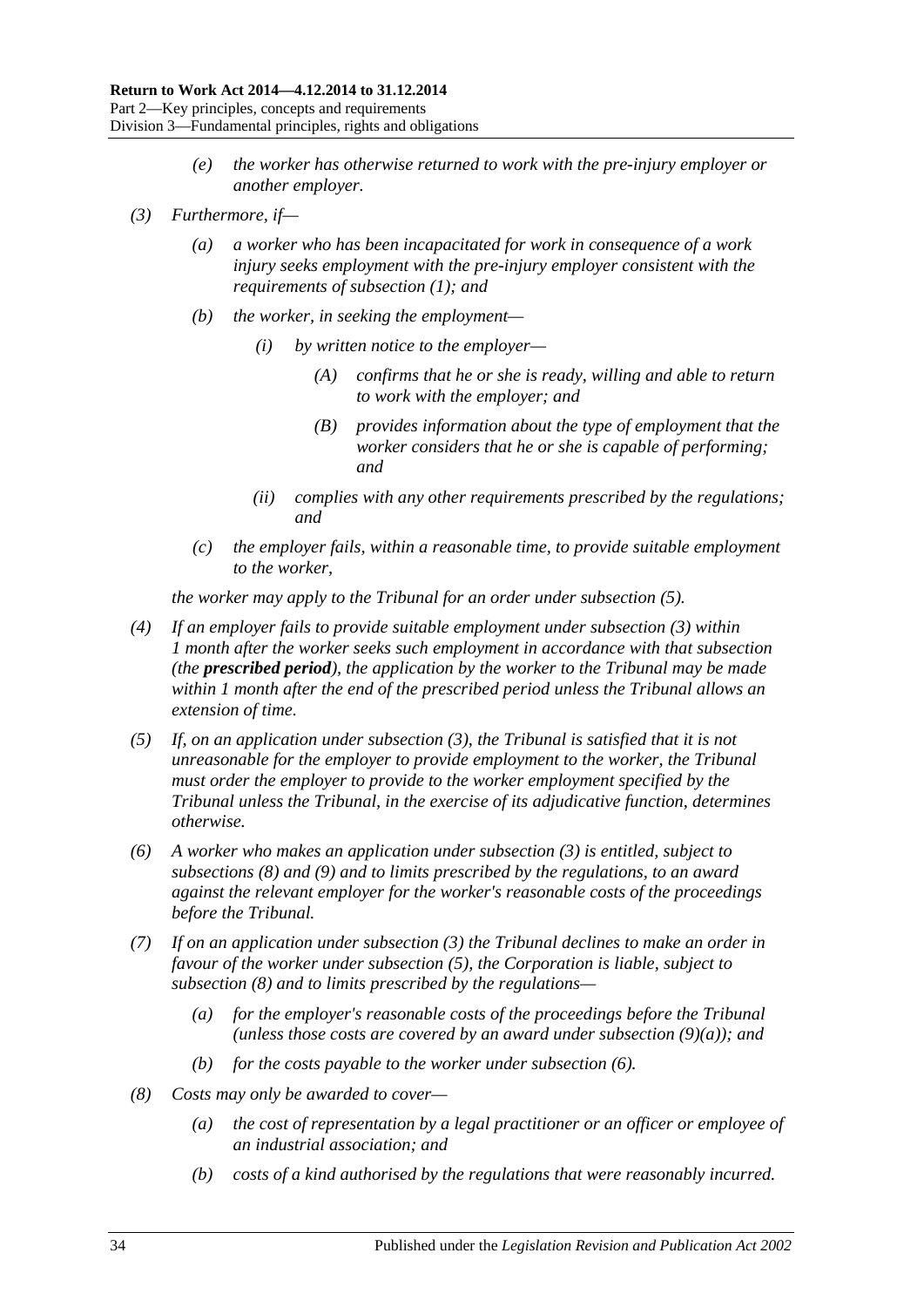- *(e) the worker has otherwise returned to work with the pre-injury employer or another employer.*
- <span id="page-33-4"></span><span id="page-33-1"></span>*(3) Furthermore, if—*
	- *(a) a worker who has been incapacitated for work in consequence of a work injury seeks employment with the pre-injury employer consistent with the requirements of [subsection](#page-32-3) (1); and*
	- *(b) the worker, in seeking the employment—*
		- *(i) by written notice to the employer—*
			- *(A) confirms that he or she is ready, willing and able to return to work with the employer; and*
			- *(B) provides information about the type of employment that the worker considers that he or she is capable of performing; and*
		- *(ii) complies with any other requirements prescribed by the regulations; and*
	- *(c) the employer fails, within a reasonable time, to provide suitable employment to the worker,*

*the worker may apply to the Tribunal for an order under [subsection](#page-33-0) (5).*

- *(4) If an employer fails to provide suitable employment under [subsection](#page-33-1) (3) within 1 month after the worker seeks such employment in accordance with that subsection (the prescribed period), the application by the worker to the Tribunal may be made within 1 month after the end of the prescribed period unless the Tribunal allows an extension of time.*
- <span id="page-33-0"></span>*(5) If, on an application under [subsection](#page-33-1) (3), the Tribunal is satisfied that it is not unreasonable for the employer to provide employment to the worker, the Tribunal must order the employer to provide to the worker employment specified by the Tribunal unless the Tribunal, in the exercise of its adjudicative function, determines otherwise.*
- <span id="page-33-3"></span>*(6) A worker who makes an application under [subsection](#page-33-1) (3) is entitled, subject to [subsections](#page-33-2) (8) and [\(9\)](#page-34-0) and to limits prescribed by the regulations, to an award against the relevant employer for the worker's reasonable costs of the proceedings before the Tribunal.*
- *(7) If on an application under [subsection](#page-33-1) (3) the Tribunal declines to make an order in favour of the worker under [subsection](#page-33-0) (5), the Corporation is liable, subject to [subsection](#page-33-2) (8) and to limits prescribed by the regulations—*
	- *(a) for the employer's reasonable costs of the proceedings before the Tribunal (unless those costs are covered by an award under [subsection](#page-34-1) (9)(a)); and*
	- *(b) for the costs payable to the worker under [subsection](#page-33-3) (6).*
- <span id="page-33-2"></span>*(8) Costs may only be awarded to cover—*
	- *(a) the cost of representation by a legal practitioner or an officer or employee of an industrial association; and*
	- *(b) costs of a kind authorised by the regulations that were reasonably incurred.*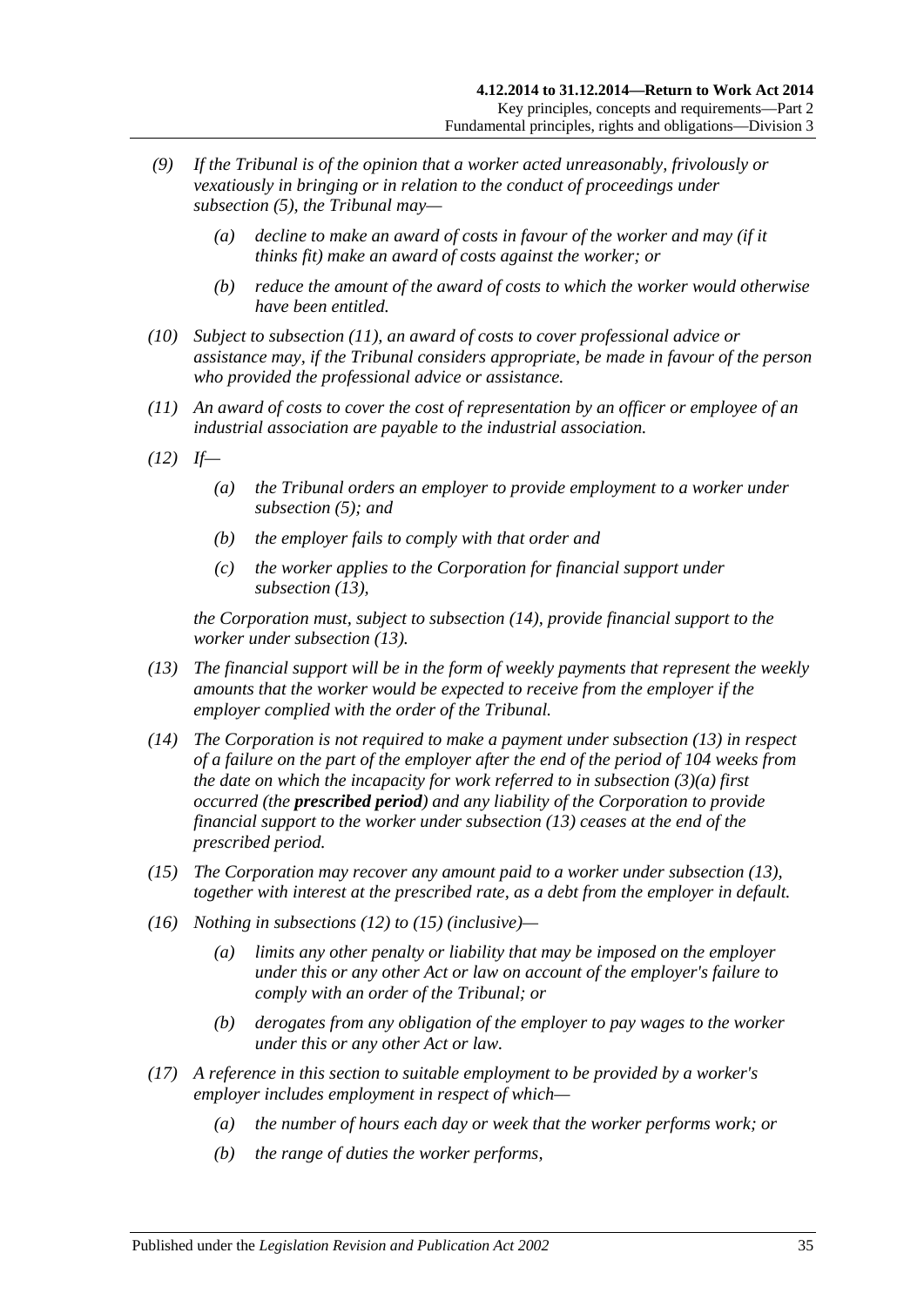- <span id="page-34-1"></span><span id="page-34-0"></span>*(9) If the Tribunal is of the opinion that a worker acted unreasonably, frivolously or vexatiously in bringing or in relation to the conduct of proceedings under [subsection](#page-33-0) (5), the Tribunal may—*
	- *(a) decline to make an award of costs in favour of the worker and may (if it thinks fit) make an award of costs against the worker; or*
	- *(b) reduce the amount of the award of costs to which the worker would otherwise have been entitled.*
- *(10) Subject to [subsection](#page-34-2) (11), an award of costs to cover professional advice or assistance may, if the Tribunal considers appropriate, be made in favour of the person who provided the professional advice or assistance.*
- <span id="page-34-2"></span>*(11) An award of costs to cover the cost of representation by an officer or employee of an industrial association are payable to the industrial association.*
- <span id="page-34-5"></span>*(12) If—*
	- *(a) the Tribunal orders an employer to provide employment to a worker under [subsection](#page-33-0) (5); and*
	- *(b) the employer fails to comply with that order and*
	- *(c) the worker applies to the Corporation for financial support under [subsection](#page-34-3) (13),*

*the Corporation must, subject to [subsection](#page-34-4) (14), provide financial support to the worker under [subsection](#page-34-3) (13).*

- <span id="page-34-3"></span>*(13) The financial support will be in the form of weekly payments that represent the weekly amounts that the worker would be expected to receive from the employer if the employer complied with the order of the Tribunal.*
- <span id="page-34-4"></span>*(14) The Corporation is not required to make a payment under [subsection](#page-34-3) (13) in respect of a failure on the part of the employer after the end of the period of 104 weeks from the date on which the incapacity for work referred to in [subsection](#page-33-4) (3)(a) first occurred (the prescribed period) and any liability of the Corporation to provide financial support to the worker under [subsection](#page-34-3) (13) ceases at the end of the prescribed period.*
- <span id="page-34-6"></span>*(15) The Corporation may recover any amount paid to a worker under [subsection](#page-34-3) (13), together with interest at the prescribed rate, as a debt from the employer in default.*
- *(16) Nothing in [subsections \(12\)](#page-34-5) to [\(15\)](#page-34-6) (inclusive)—*
	- *(a) limits any other penalty or liability that may be imposed on the employer under this or any other Act or law on account of the employer's failure to comply with an order of the Tribunal; or*
	- *(b) derogates from any obligation of the employer to pay wages to the worker under this or any other Act or law.*
- *(17) A reference in this section to suitable employment to be provided by a worker's employer includes employment in respect of which—*
	- *(a) the number of hours each day or week that the worker performs work; or*
	- *(b) the range of duties the worker performs,*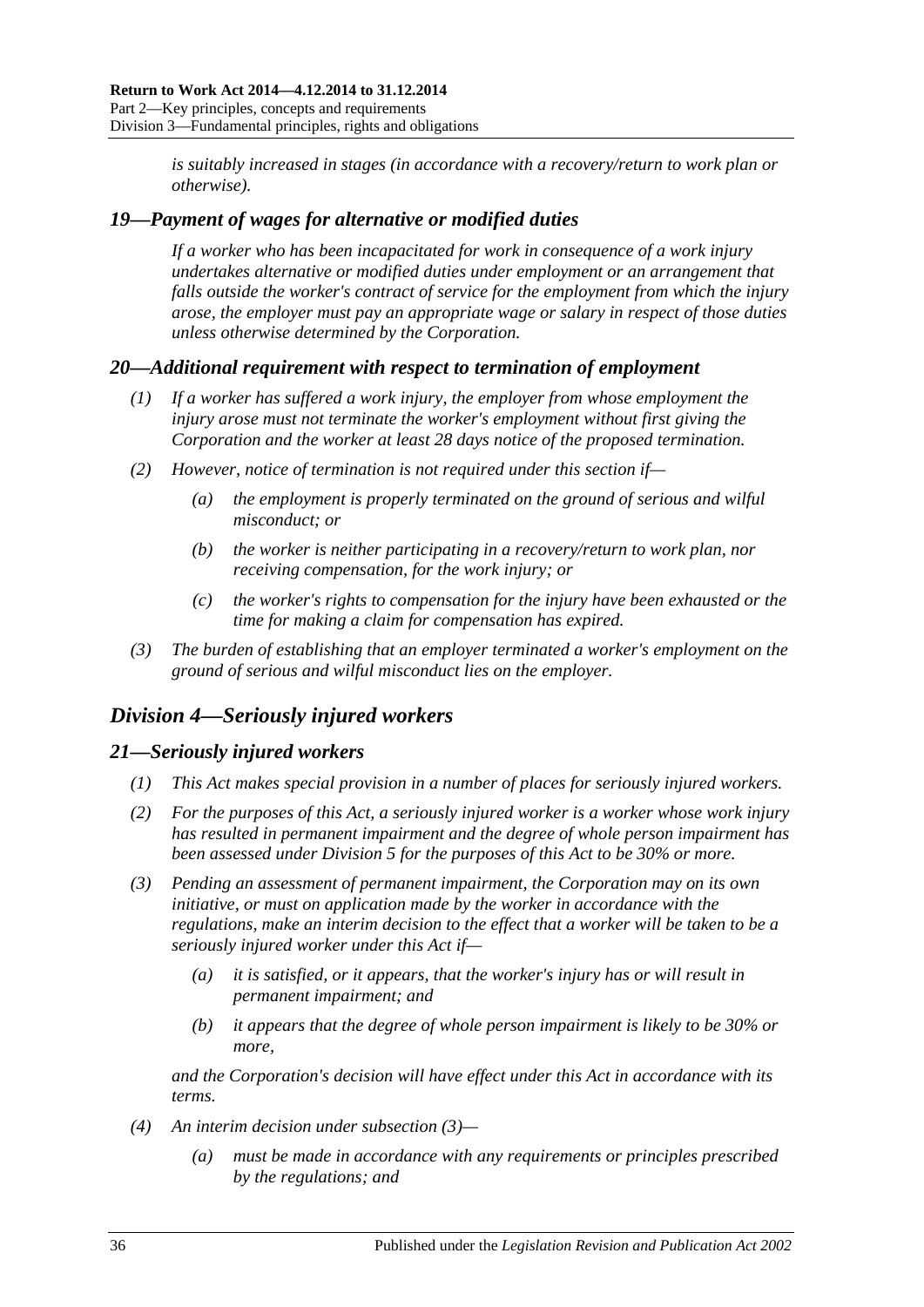*is suitably increased in stages (in accordance with a recovery/return to work plan or otherwise).*

## <span id="page-35-0"></span>*19—Payment of wages for alternative or modified duties*

*If a worker who has been incapacitated for work in consequence of a work injury undertakes alternative or modified duties under employment or an arrangement that falls outside the worker's contract of service for the employment from which the injury arose, the employer must pay an appropriate wage or salary in respect of those duties unless otherwise determined by the Corporation.*

## <span id="page-35-1"></span>*20—Additional requirement with respect to termination of employment*

- *(1) If a worker has suffered a work injury, the employer from whose employment the injury arose must not terminate the worker's employment without first giving the Corporation and the worker at least 28 days notice of the proposed termination.*
- *(2) However, notice of termination is not required under this section if—*
	- *(a) the employment is properly terminated on the ground of serious and wilful misconduct; or*
	- *(b) the worker is neither participating in a recovery/return to work plan, nor receiving compensation, for the work injury; or*
	- *(c) the worker's rights to compensation for the injury have been exhausted or the time for making a claim for compensation has expired.*
- *(3) The burden of establishing that an employer terminated a worker's employment on the ground of serious and wilful misconduct lies on the employer.*

# <span id="page-35-2"></span>*Division 4—Seriously injured workers*

# <span id="page-35-3"></span>*21—Seriously injured workers*

- *(1) This Act makes special provision in a number of places for seriously injured workers.*
- *(2) For the purposes of this Act, a seriously injured worker is a worker whose work injury has resulted in permanent impairment and the degree of whole person impairment has been assessed under [Division](#page-36-0) 5 for the purposes of this Act to be 30% or more.*
- <span id="page-35-4"></span>*(3) Pending an assessment of permanent impairment, the Corporation may on its own initiative, or must on application made by the worker in accordance with the regulations, make an interim decision to the effect that a worker will be taken to be a seriously injured worker under this Act if—*
	- *(a) it is satisfied, or it appears, that the worker's injury has or will result in permanent impairment; and*
	- *(b) it appears that the degree of whole person impairment is likely to be 30% or more,*

*and the Corporation's decision will have effect under this Act in accordance with its terms.*

- *(4) An interim decision under [subsection](#page-35-4) (3)—*
	- *(a) must be made in accordance with any requirements or principles prescribed by the regulations; and*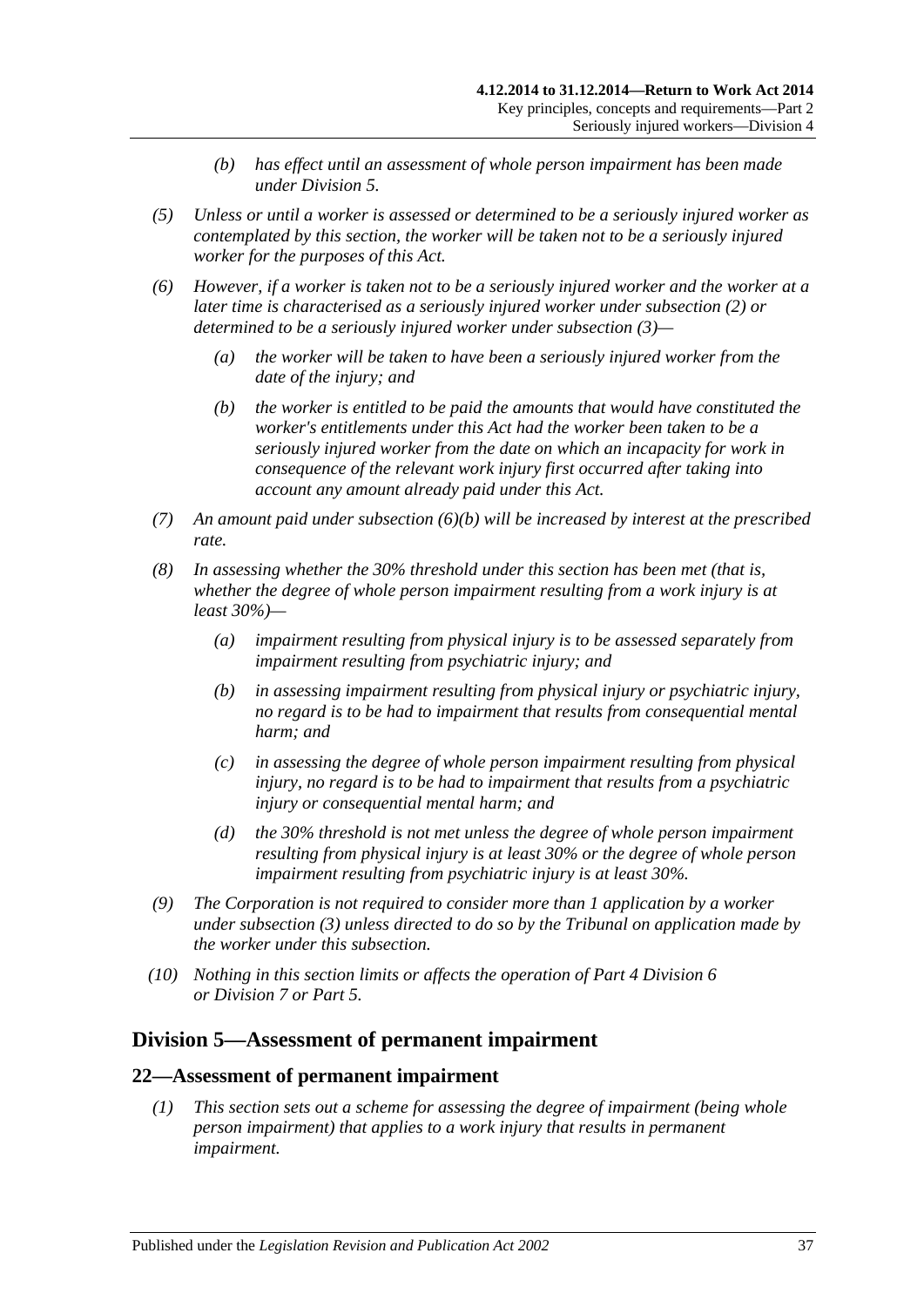- *(b) has effect until an assessment of whole person impairment has been made under [Division](#page-36-0) 5.*
- *(5) Unless or until a worker is assessed or determined to be a seriously injured worker as contemplated by this section, the worker will be taken not to be a seriously injured worker for the purposes of this Act.*
- <span id="page-36-1"></span>*(6) However, if a worker is taken not to be a seriously injured worker and the worker at a later time is characterised as a seriously injured worker under [subsection](#page-35-0) (2) or determined to be a seriously injured worker under [subsection](#page-35-1) (3)—*
	- *(a) the worker will be taken to have been a seriously injured worker from the date of the injury; and*
	- *(b) the worker is entitled to be paid the amounts that would have constituted the worker's entitlements under this Act had the worker been taken to be a seriously injured worker from the date on which an incapacity for work in consequence of the relevant work injury first occurred after taking into account any amount already paid under this Act.*
- *(7) An amount paid under [subsection](#page-36-1) (6)(b) will be increased by interest at the prescribed rate.*
- *(8) In assessing whether the 30% threshold under this section has been met (that is, whether the degree of whole person impairment resulting from a work injury is at least 30%)—*
	- *(a) impairment resulting from physical injury is to be assessed separately from impairment resulting from psychiatric injury; and*
	- *(b) in assessing impairment resulting from physical injury or psychiatric injury, no regard is to be had to impairment that results from consequential mental harm; and*
	- *(c) in assessing the degree of whole person impairment resulting from physical injury, no regard is to be had to impairment that results from a psychiatric injury or consequential mental harm; and*
	- *(d) the 30% threshold is not met unless the degree of whole person impairment resulting from physical injury is at least 30% or the degree of whole person impairment resulting from psychiatric injury is at least 30%.*
- *(9) The Corporation is not required to consider more than 1 application by a worker under [subsection](#page-35-1) (3) unless directed to do so by the Tribunal on application made by the worker under this subsection.*
- *(10) Nothing in this section limits or affects the operation of Part [4 Division](#page-67-0) 6 or [Division](#page-69-0) 7 or [Part](#page-83-0) 5.*

# <span id="page-36-0"></span>**Division 5—Assessment of permanent impairment**

#### **22—Assessment of permanent impairment**

*(1) This section sets out a scheme for assessing the degree of impairment (being whole person impairment) that applies to a work injury that results in permanent impairment.*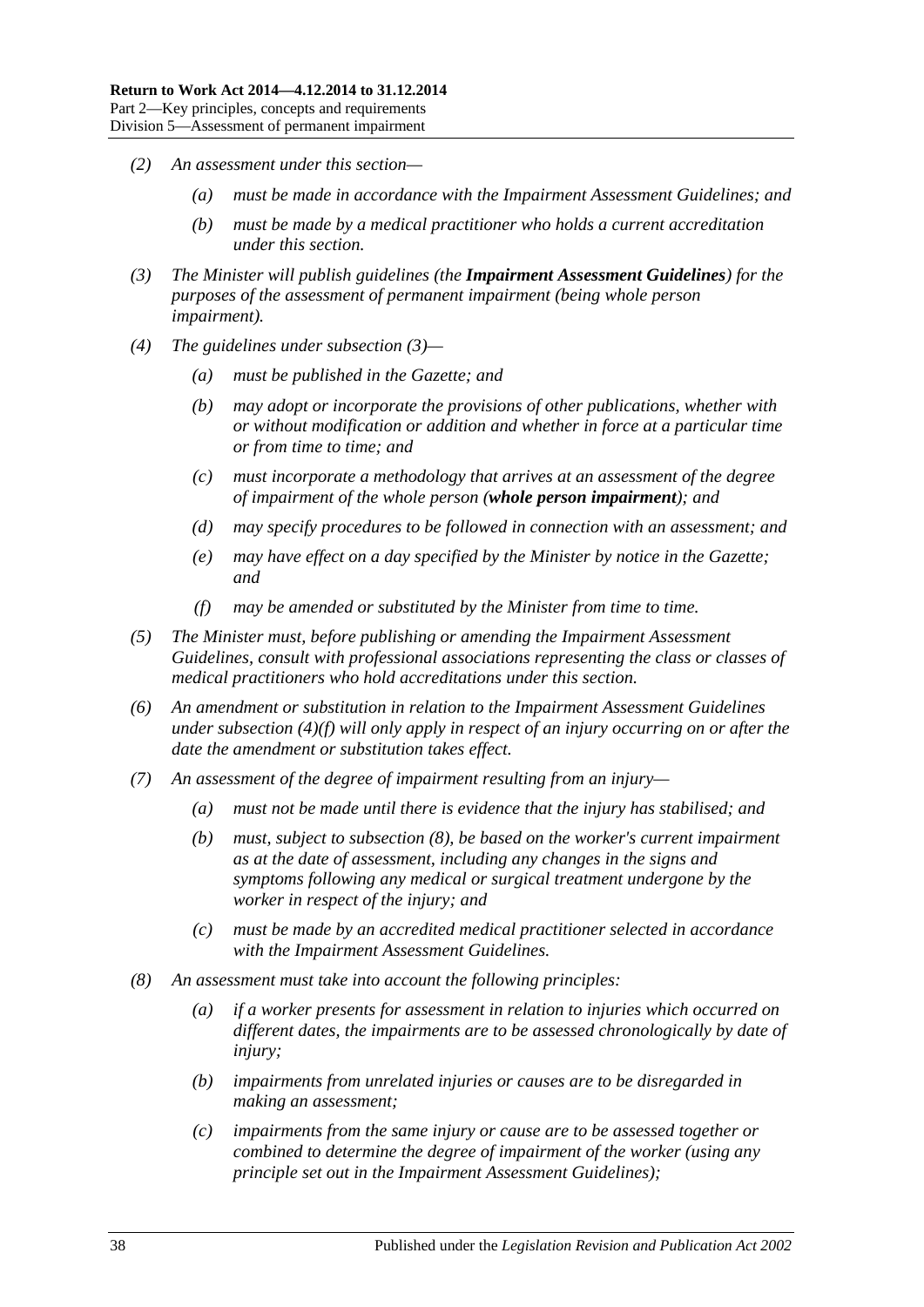- *(2) An assessment under this section—*
	- *(a) must be made in accordance with the Impairment Assessment Guidelines; and*
	- *(b) must be made by a medical practitioner who holds a current accreditation under this section.*
- <span id="page-37-0"></span>*(3) The Minister will publish guidelines (the Impairment Assessment Guidelines) for the purposes of the assessment of permanent impairment (being whole person impairment).*
- *(4) The guidelines under [subsection](#page-37-0) (3)—*
	- *(a) must be published in the Gazette; and*
	- *(b) may adopt or incorporate the provisions of other publications, whether with or without modification or addition and whether in force at a particular time or from time to time; and*
	- *(c) must incorporate a methodology that arrives at an assessment of the degree of impairment of the whole person (whole person impairment); and*
	- *(d) may specify procedures to be followed in connection with an assessment; and*
	- *(e) may have effect on a day specified by the Minister by notice in the Gazette; and*
	- *(f) may be amended or substituted by the Minister from time to time.*
- <span id="page-37-1"></span>*(5) The Minister must, before publishing or amending the Impairment Assessment Guidelines, consult with professional associations representing the class or classes of medical practitioners who hold accreditations under this section.*
- *(6) An amendment or substitution in relation to the Impairment Assessment Guidelines under [subsection](#page-37-1) (4)(f) will only apply in respect of an injury occurring on or after the date the amendment or substitution takes effect.*
- *(7) An assessment of the degree of impairment resulting from an injury—*
	- *(a) must not be made until there is evidence that the injury has stabilised; and*
	- *(b) must, subject to [subsection](#page-37-2) (8), be based on the worker's current impairment as at the date of assessment, including any changes in the signs and symptoms following any medical or surgical treatment undergone by the worker in respect of the injury; and*
	- *(c) must be made by an accredited medical practitioner selected in accordance with the Impairment Assessment Guidelines.*
- <span id="page-37-2"></span>*(8) An assessment must take into account the following principles:*
	- *(a) if a worker presents for assessment in relation to injuries which occurred on different dates, the impairments are to be assessed chronologically by date of injury;*
	- *(b) impairments from unrelated injuries or causes are to be disregarded in making an assessment;*
	- *(c) impairments from the same injury or cause are to be assessed together or combined to determine the degree of impairment of the worker (using any principle set out in the Impairment Assessment Guidelines);*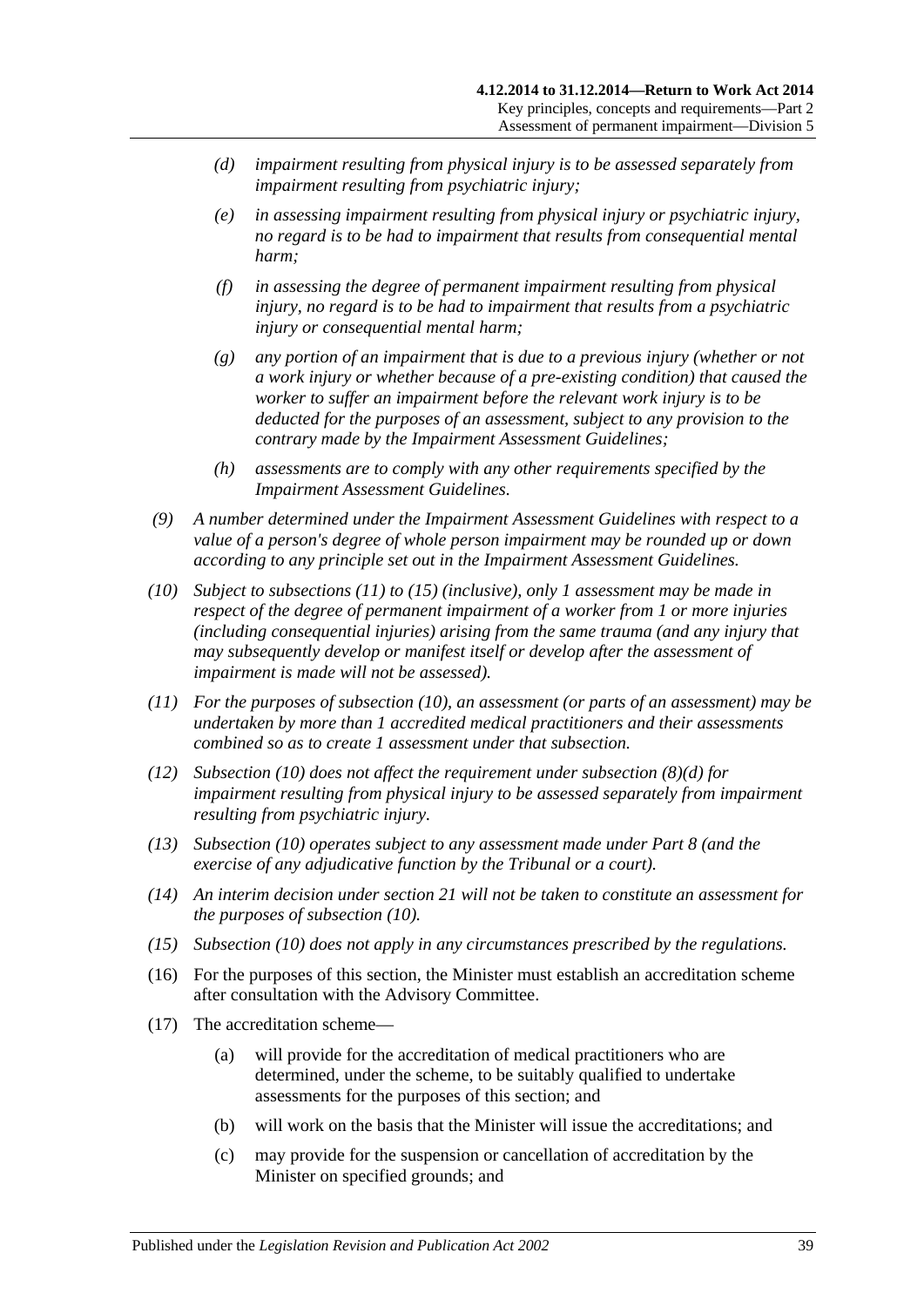- <span id="page-38-3"></span>*(d) impairment resulting from physical injury is to be assessed separately from impairment resulting from psychiatric injury;*
- *(e) in assessing impairment resulting from physical injury or psychiatric injury, no regard is to be had to impairment that results from consequential mental harm;*
- *(f) in assessing the degree of permanent impairment resulting from physical injury, no regard is to be had to impairment that results from a psychiatric injury or consequential mental harm;*
- *(g) any portion of an impairment that is due to a previous injury (whether or not a work injury or whether because of a pre-existing condition) that caused the worker to suffer an impairment before the relevant work injury is to be deducted for the purposes of an assessment, subject to any provision to the contrary made by the Impairment Assessment Guidelines;*
- *(h) assessments are to comply with any other requirements specified by the Impairment Assessment Guidelines.*
- *(9) A number determined under the Impairment Assessment Guidelines with respect to a value of a person's degree of whole person impairment may be rounded up or down according to any principle set out in the Impairment Assessment Guidelines.*
- <span id="page-38-2"></span>*(10) Subject to [subsections \(11\)](#page-38-0) to [\(15\)](#page-38-1) (inclusive), only 1 assessment may be made in respect of the degree of permanent impairment of a worker from 1 or more injuries (including consequential injuries) arising from the same trauma (and any injury that may subsequently develop or manifest itself or develop after the assessment of impairment is made will not be assessed).*
- <span id="page-38-0"></span>*(11) For the purposes of [subsection](#page-38-2) (10), an assessment (or parts of an assessment) may be undertaken by more than 1 accredited medical practitioners and their assessments combined so as to create 1 assessment under that subsection.*
- *(12) [Subsection \(10\)](#page-38-2) does not affect the requirement under [subsection](#page-38-3) (8)(d) for impairment resulting from physical injury to be assessed separately from impairment resulting from psychiatric injury.*
- *(13) [Subsection](#page-38-2) (10) operates subject to any assessment made under [Part](#page-103-0) 8 (and the exercise of any adjudicative function by the Tribunal or a court).*
- *(14) An interim decision under [section](#page-35-2) 21 will not be taken to constitute an assessment for the purposes of [subsection](#page-38-2) (10).*
- <span id="page-38-1"></span>*(15) [Subsection](#page-38-2) (10) does not apply in any circumstances prescribed by the regulations.*
- (16) For the purposes of this section, the Minister must establish an accreditation scheme after consultation with the Advisory Committee.
- (17) The accreditation scheme—
	- (a) will provide for the accreditation of medical practitioners who are determined, under the scheme, to be suitably qualified to undertake assessments for the purposes of this section; and
	- (b) will work on the basis that the Minister will issue the accreditations; and
	- (c) may provide for the suspension or cancellation of accreditation by the Minister on specified grounds; and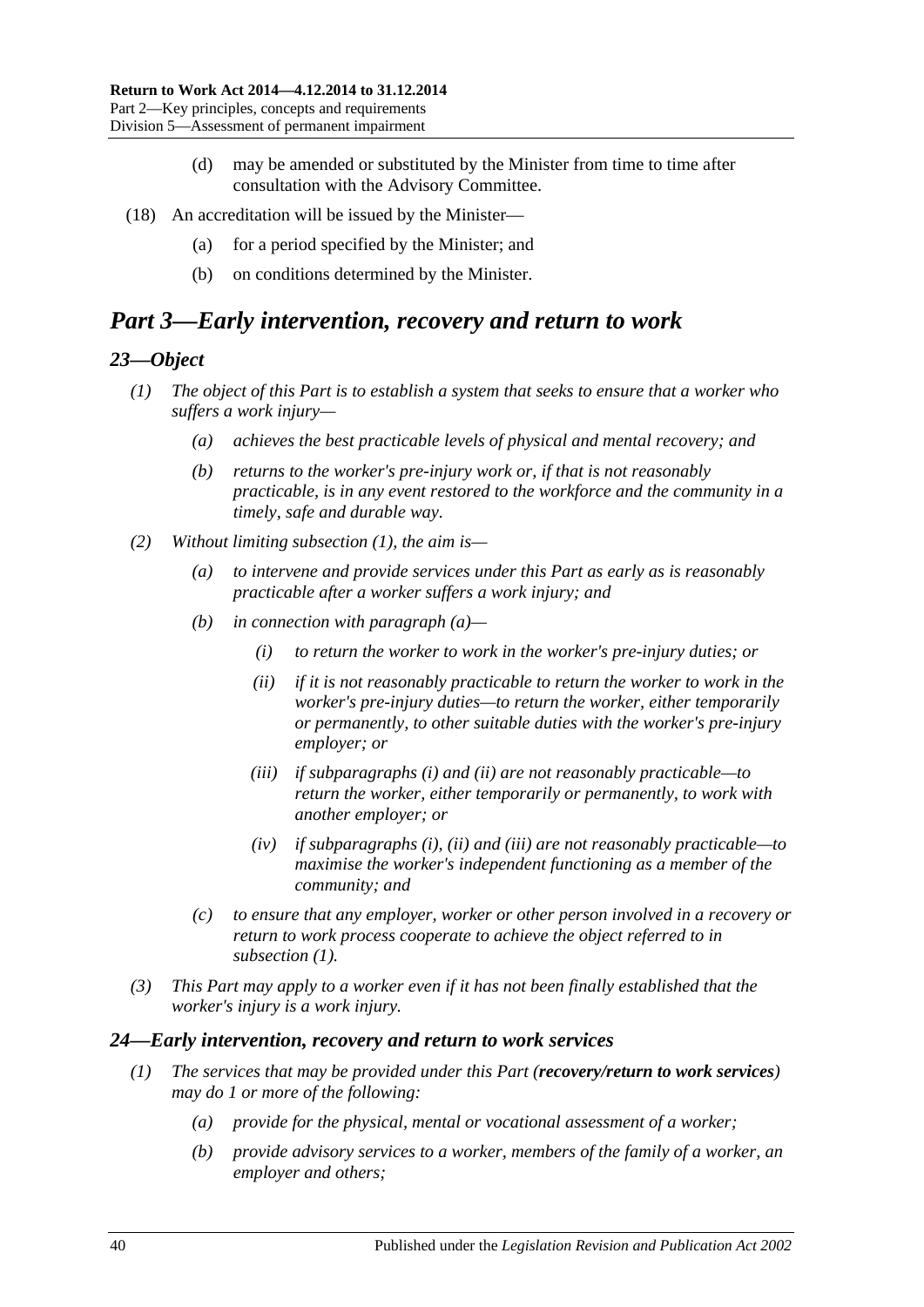- (d) may be amended or substituted by the Minister from time to time after consultation with the Advisory Committee.
- (18) An accreditation will be issued by the Minister—
	- (a) for a period specified by the Minister; and
	- (b) on conditions determined by the Minister.

# *Part 3—Early intervention, recovery and return to work*

#### <span id="page-39-0"></span>*23—Object*

- *(1) The object of this Part is to establish a system that seeks to ensure that a worker who suffers a work injury—*
	- *(a) achieves the best practicable levels of physical and mental recovery; and*
	- *(b) returns to the worker's pre-injury work or, if that is not reasonably practicable, is in any event restored to the workforce and the community in a timely, safe and durable way.*
- <span id="page-39-4"></span><span id="page-39-3"></span><span id="page-39-2"></span><span id="page-39-1"></span>*(2) Without limiting [subsection](#page-39-0) (1), the aim is—*
	- *(a) to intervene and provide services under this Part as early as is reasonably practicable after a worker suffers a work injury; and*
	- *(b) in connection with [paragraph](#page-39-1) (a)—*
		- *(i) to return the worker to work in the worker's pre-injury duties; or*
		- *(ii) if it is not reasonably practicable to return the worker to work in the worker's pre-injury duties—to return the worker, either temporarily or permanently, to other suitable duties with the worker's pre-injury employer; or*
		- *(iii) if [subparagraphs](#page-39-2) (i) and [\(ii\)](#page-39-3) are not reasonably practicable—to return the worker, either temporarily or permanently, to work with another employer; or*
		- *(iv) if [subparagraphs](#page-39-2) (i), [\(ii\)](#page-39-3) and [\(iii\)](#page-39-4) are not reasonably practicable—to maximise the worker's independent functioning as a member of the community; and*
	- *(c) to ensure that any employer, worker or other person involved in a recovery or return to work process cooperate to achieve the object referred to in [subsection](#page-39-0) (1).*
- *(3) This Part may apply to a worker even if it has not been finally established that the worker's injury is a work injury.*

#### *24—Early intervention, recovery and return to work services*

- *(1) The services that may be provided under this Part (recovery/return to work services) may do 1 or more of the following:*
	- *(a) provide for the physical, mental or vocational assessment of a worker;*
	- *(b) provide advisory services to a worker, members of the family of a worker, an employer and others;*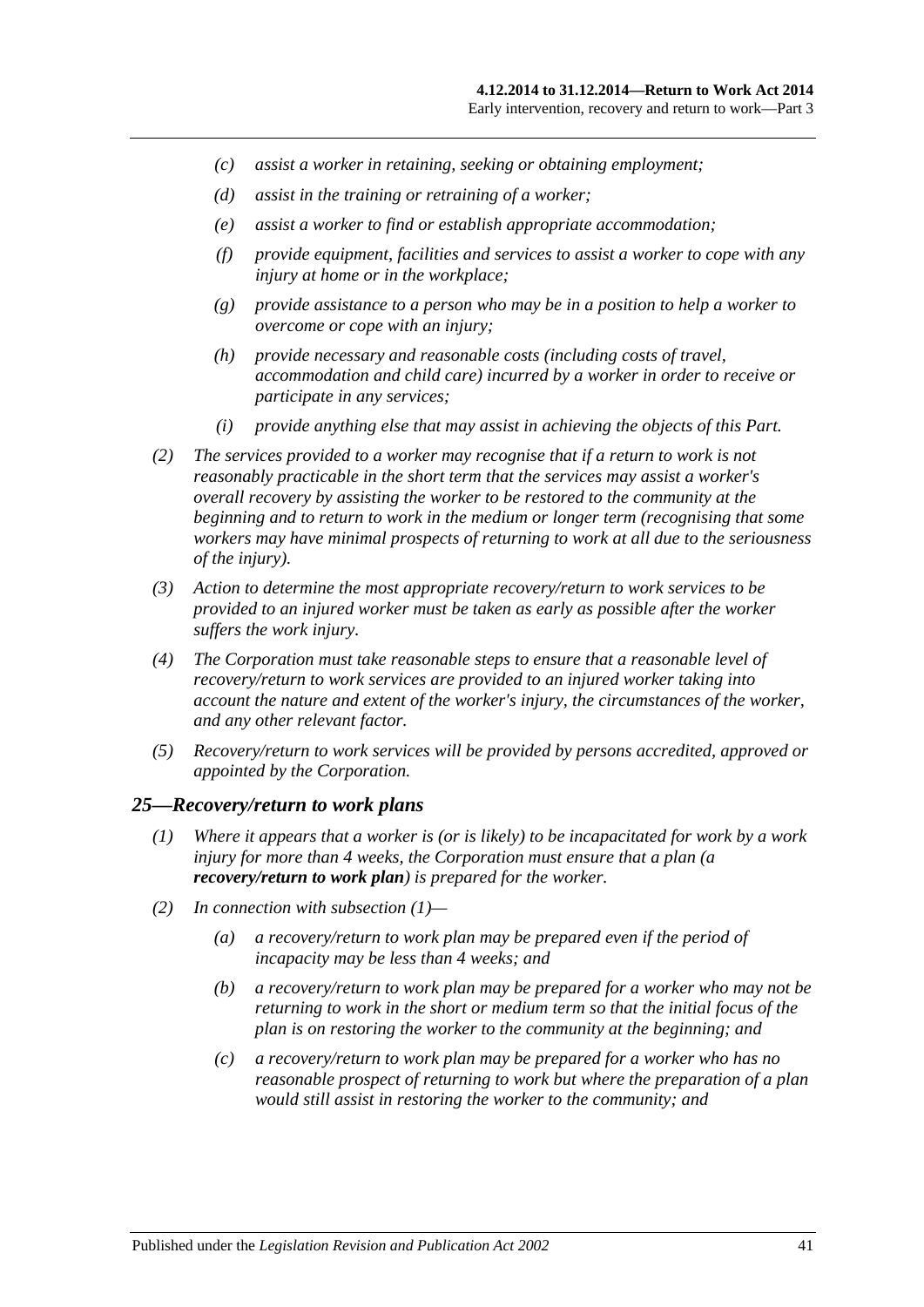- *(c) assist a worker in retaining, seeking or obtaining employment;*
- *(d) assist in the training or retraining of a worker;*
- *(e) assist a worker to find or establish appropriate accommodation;*
- *(f) provide equipment, facilities and services to assist a worker to cope with any injury at home or in the workplace;*
- *(g) provide assistance to a person who may be in a position to help a worker to overcome or cope with an injury;*
- *(h) provide necessary and reasonable costs (including costs of travel, accommodation and child care) incurred by a worker in order to receive or participate in any services;*
- *(i) provide anything else that may assist in achieving the objects of this Part.*
- *(2) The services provided to a worker may recognise that if a return to work is not reasonably practicable in the short term that the services may assist a worker's overall recovery by assisting the worker to be restored to the community at the beginning and to return to work in the medium or longer term (recognising that some workers may have minimal prospects of returning to work at all due to the seriousness of the injury).*
- *(3) Action to determine the most appropriate recovery/return to work services to be provided to an injured worker must be taken as early as possible after the worker suffers the work injury.*
- *(4) The Corporation must take reasonable steps to ensure that a reasonable level of recovery/return to work services are provided to an injured worker taking into account the nature and extent of the worker's injury, the circumstances of the worker, and any other relevant factor.*
- *(5) Recovery/return to work services will be provided by persons accredited, approved or appointed by the Corporation.*

#### <span id="page-40-0"></span>*25—Recovery/return to work plans*

- *(1) Where it appears that a worker is (or is likely) to be incapacitated for work by a work injury for more than 4 weeks, the Corporation must ensure that a plan (a recovery/return to work plan) is prepared for the worker.*
- <span id="page-40-1"></span>*(2) In connection with [subsection](#page-40-0) (1)—*
	- *(a) a recovery/return to work plan may be prepared even if the period of incapacity may be less than 4 weeks; and*
	- *(b) a recovery/return to work plan may be prepared for a worker who may not be returning to work in the short or medium term so that the initial focus of the plan is on restoring the worker to the community at the beginning; and*
	- *(c) a recovery/return to work plan may be prepared for a worker who has no reasonable prospect of returning to work but where the preparation of a plan would still assist in restoring the worker to the community; and*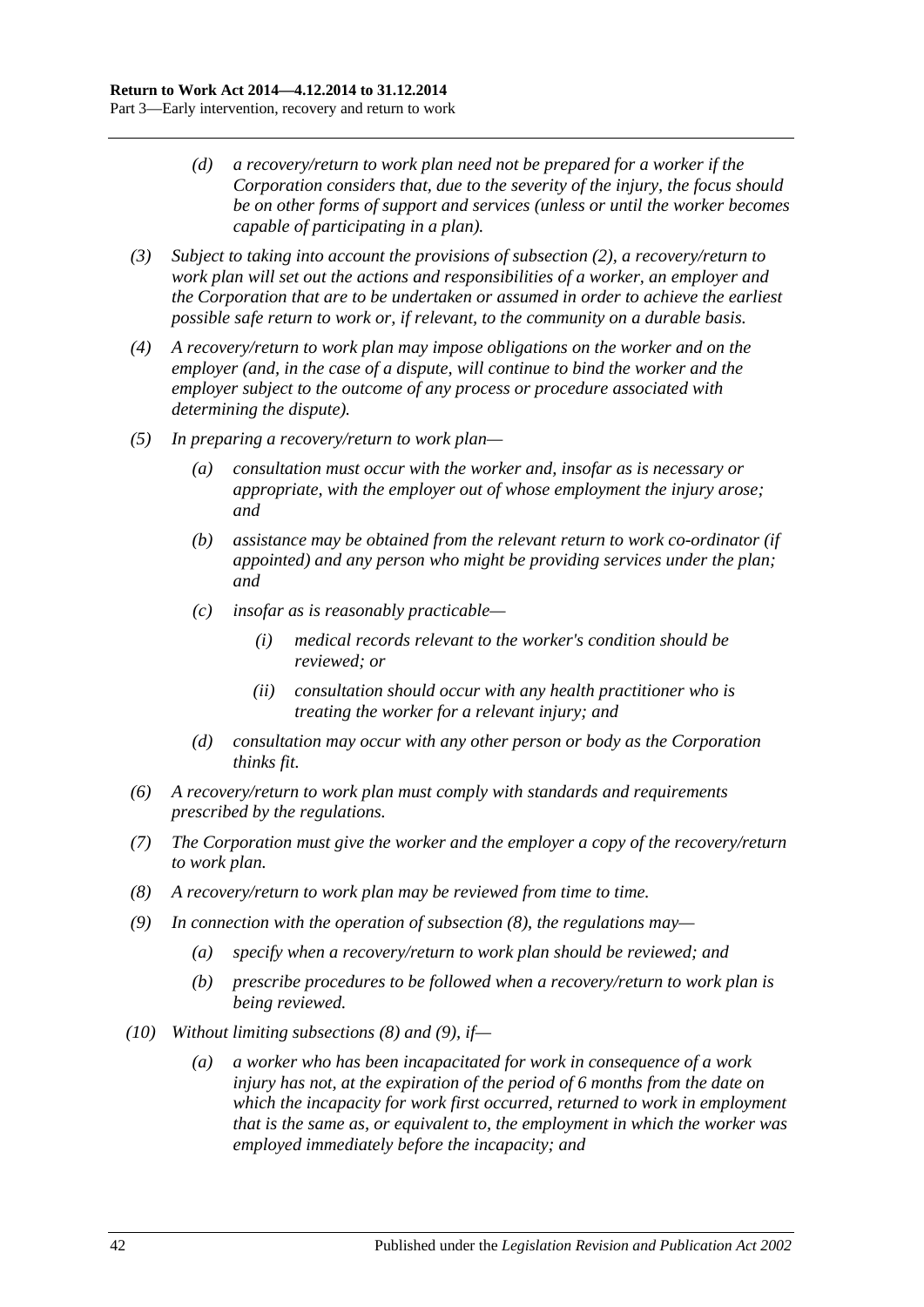- *(d) a recovery/return to work plan need not be prepared for a worker if the Corporation considers that, due to the severity of the injury, the focus should be on other forms of support and services (unless or until the worker becomes capable of participating in a plan).*
- *(3) Subject to taking into account the provisions of [subsection](#page-40-1) (2), a recovery/return to work plan will set out the actions and responsibilities of a worker, an employer and the Corporation that are to be undertaken or assumed in order to achieve the earliest possible safe return to work or, if relevant, to the community on a durable basis.*
- *(4) A recovery/return to work plan may impose obligations on the worker and on the employer (and, in the case of a dispute, will continue to bind the worker and the employer subject to the outcome of any process or procedure associated with determining the dispute).*
- *(5) In preparing a recovery/return to work plan—*
	- *(a) consultation must occur with the worker and, insofar as is necessary or appropriate, with the employer out of whose employment the injury arose; and*
	- *(b) assistance may be obtained from the relevant return to work co-ordinator (if appointed) and any person who might be providing services under the plan; and*
	- *(c) insofar as is reasonably practicable—*
		- *(i) medical records relevant to the worker's condition should be reviewed; or*
		- *(ii) consultation should occur with any health practitioner who is treating the worker for a relevant injury; and*
	- *(d) consultation may occur with any other person or body as the Corporation thinks fit.*
- *(6) A recovery/return to work plan must comply with standards and requirements prescribed by the regulations.*
- *(7) The Corporation must give the worker and the employer a copy of the recovery/return to work plan.*
- <span id="page-41-0"></span>*(8) A recovery/return to work plan may be reviewed from time to time.*
- <span id="page-41-1"></span>*(9) In connection with the operation of [subsection](#page-41-0) (8), the regulations may—*
	- *(a) specify when a recovery/return to work plan should be reviewed; and*
	- *(b) prescribe procedures to be followed when a recovery/return to work plan is being reviewed.*
- *(10) Without limiting [subsections](#page-41-0) (8) and [\(9\),](#page-41-1) if—*
	- *(a) a worker who has been incapacitated for work in consequence of a work injury has not, at the expiration of the period of 6 months from the date on which the incapacity for work first occurred, returned to work in employment that is the same as, or equivalent to, the employment in which the worker was employed immediately before the incapacity; and*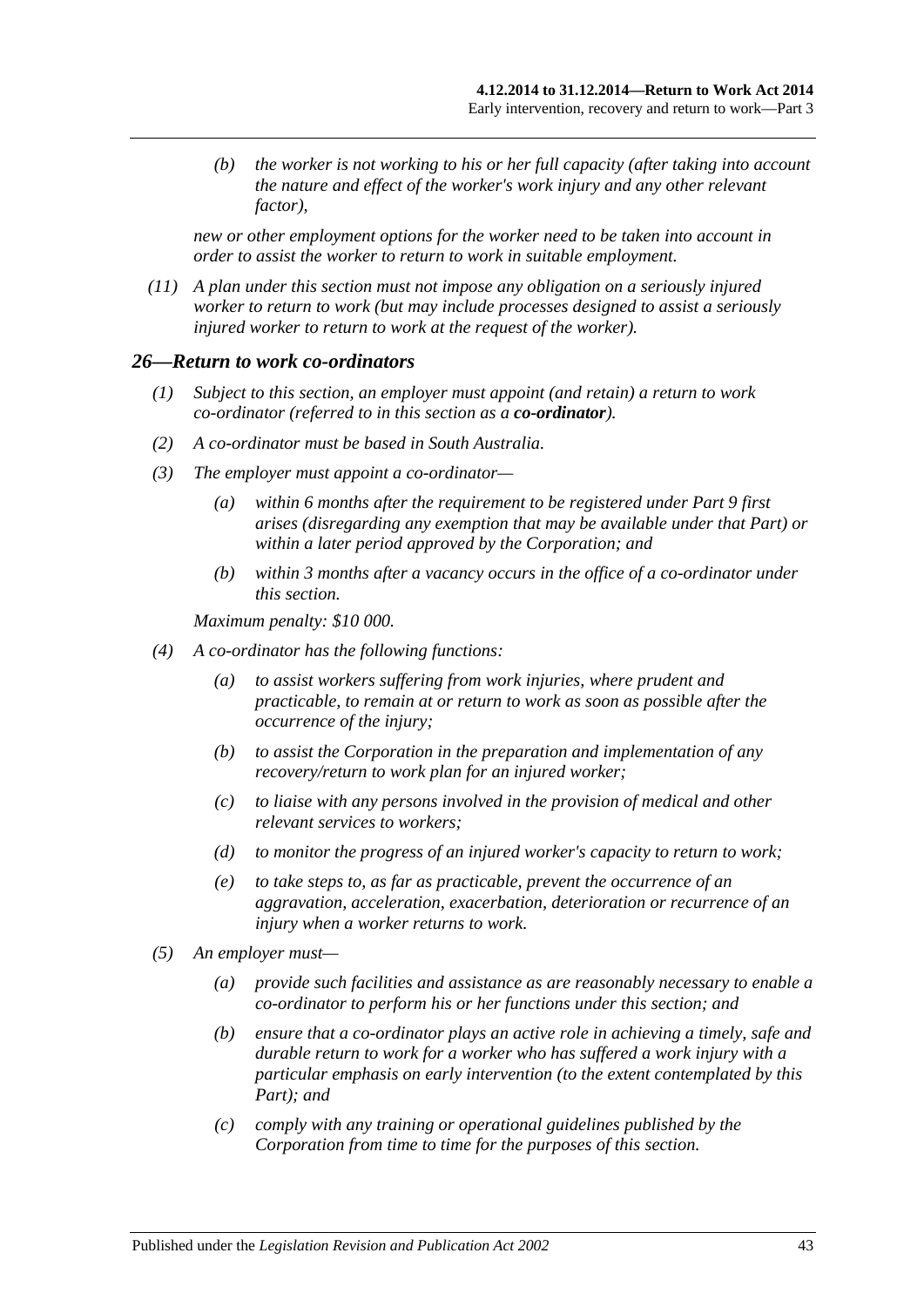*(b) the worker is not working to his or her full capacity (after taking into account the nature and effect of the worker's work injury and any other relevant factor),*

*new or other employment options for the worker need to be taken into account in order to assist the worker to return to work in suitable employment.*

*(11) A plan under this section must not impose any obligation on a seriously injured worker to return to work (but may include processes designed to assist a seriously injured worker to return to work at the request of the worker).*

#### *26—Return to work co-ordinators*

- *(1) Subject to this section, an employer must appoint (and retain) a return to work co-ordinator (referred to in this section as a co-ordinator).*
- *(2) A co-ordinator must be based in South Australia.*
- *(3) The employer must appoint a co-ordinator—*
	- *(a) within 6 months after the requirement to be registered under [Part](#page-108-0) 9 first arises (disregarding any exemption that may be available under that Part) or within a later period approved by the Corporation; and*
	- *(b) within 3 months after a vacancy occurs in the office of a co-ordinator under this section.*

*Maximum penalty: \$10 000.*

- *(4) A co-ordinator has the following functions:*
	- *(a) to assist workers suffering from work injuries, where prudent and practicable, to remain at or return to work as soon as possible after the occurrence of the injury;*
	- *(b) to assist the Corporation in the preparation and implementation of any recovery/return to work plan for an injured worker;*
	- *(c) to liaise with any persons involved in the provision of medical and other relevant services to workers;*
	- *(d) to monitor the progress of an injured worker's capacity to return to work;*
	- *(e) to take steps to, as far as practicable, prevent the occurrence of an aggravation, acceleration, exacerbation, deterioration or recurrence of an injury when a worker returns to work.*
- *(5) An employer must—*
	- *(a) provide such facilities and assistance as are reasonably necessary to enable a co-ordinator to perform his or her functions under this section; and*
	- *(b) ensure that a co-ordinator plays an active role in achieving a timely, safe and durable return to work for a worker who has suffered a work injury with a particular emphasis on early intervention (to the extent contemplated by this Part); and*
	- *(c) comply with any training or operational guidelines published by the Corporation from time to time for the purposes of this section.*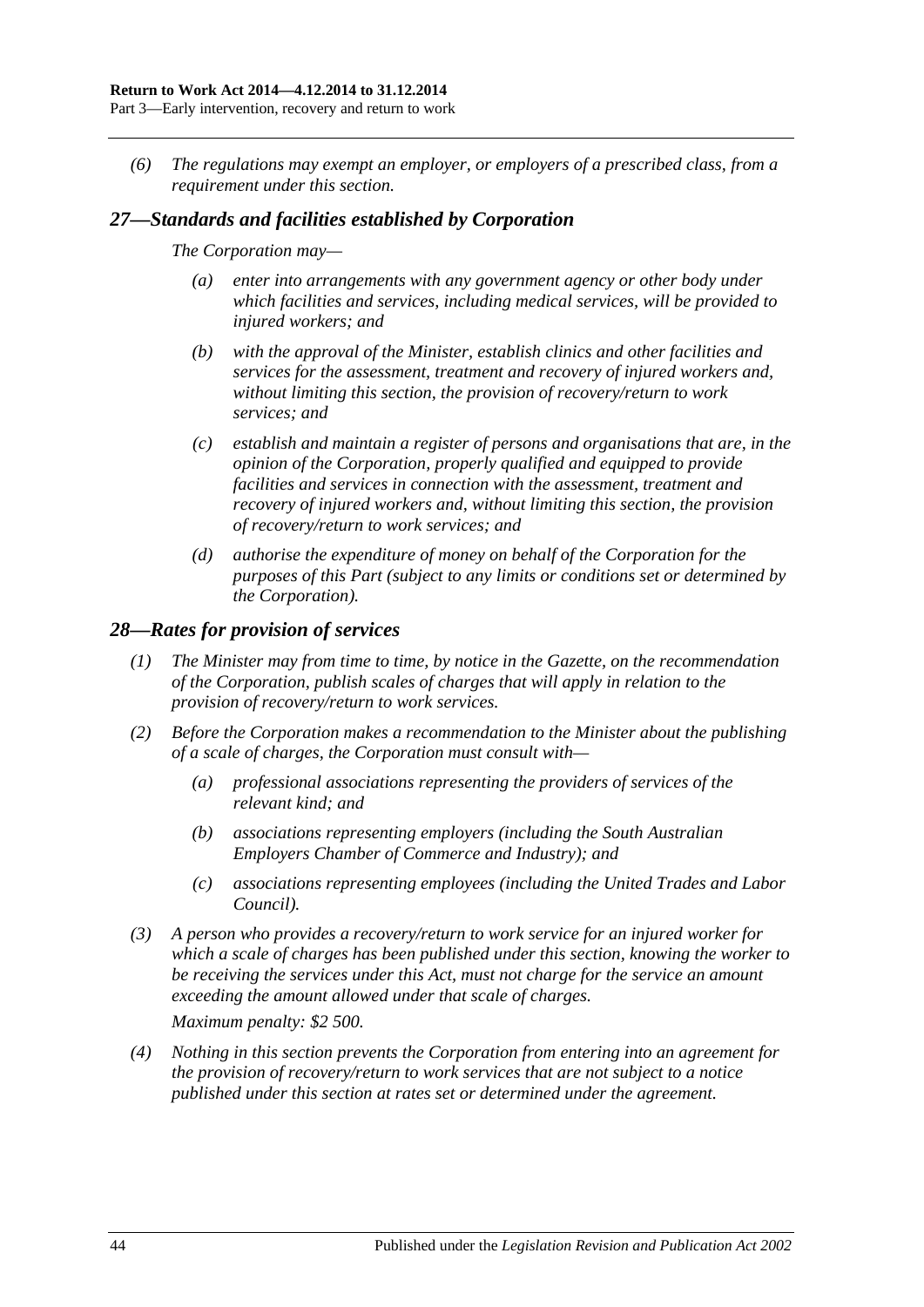*(6) The regulations may exempt an employer, or employers of a prescribed class, from a requirement under this section.*

### *27—Standards and facilities established by Corporation*

#### *The Corporation may—*

- *(a) enter into arrangements with any government agency or other body under which facilities and services, including medical services, will be provided to injured workers; and*
- *(b) with the approval of the Minister, establish clinics and other facilities and services for the assessment, treatment and recovery of injured workers and, without limiting this section, the provision of recovery/return to work services; and*
- *(c) establish and maintain a register of persons and organisations that are, in the opinion of the Corporation, properly qualified and equipped to provide facilities and services in connection with the assessment, treatment and recovery of injured workers and, without limiting this section, the provision of recovery/return to work services; and*
- *(d) authorise the expenditure of money on behalf of the Corporation for the purposes of this Part (subject to any limits or conditions set or determined by the Corporation).*

#### *28—Rates for provision of services*

- *(1) The Minister may from time to time, by notice in the Gazette, on the recommendation of the Corporation, publish scales of charges that will apply in relation to the provision of recovery/return to work services.*
- *(2) Before the Corporation makes a recommendation to the Minister about the publishing of a scale of charges, the Corporation must consult with—*
	- *(a) professional associations representing the providers of services of the relevant kind; and*
	- *(b) associations representing employers (including the South Australian Employers Chamber of Commerce and Industry); and*
	- *(c) associations representing employees (including the United Trades and Labor Council).*
- *(3) A person who provides a recovery/return to work service for an injured worker for which a scale of charges has been published under this section, knowing the worker to be receiving the services under this Act, must not charge for the service an amount exceeding the amount allowed under that scale of charges.*

*Maximum penalty: \$2 500.*

*(4) Nothing in this section prevents the Corporation from entering into an agreement for the provision of recovery/return to work services that are not subject to a notice published under this section at rates set or determined under the agreement.*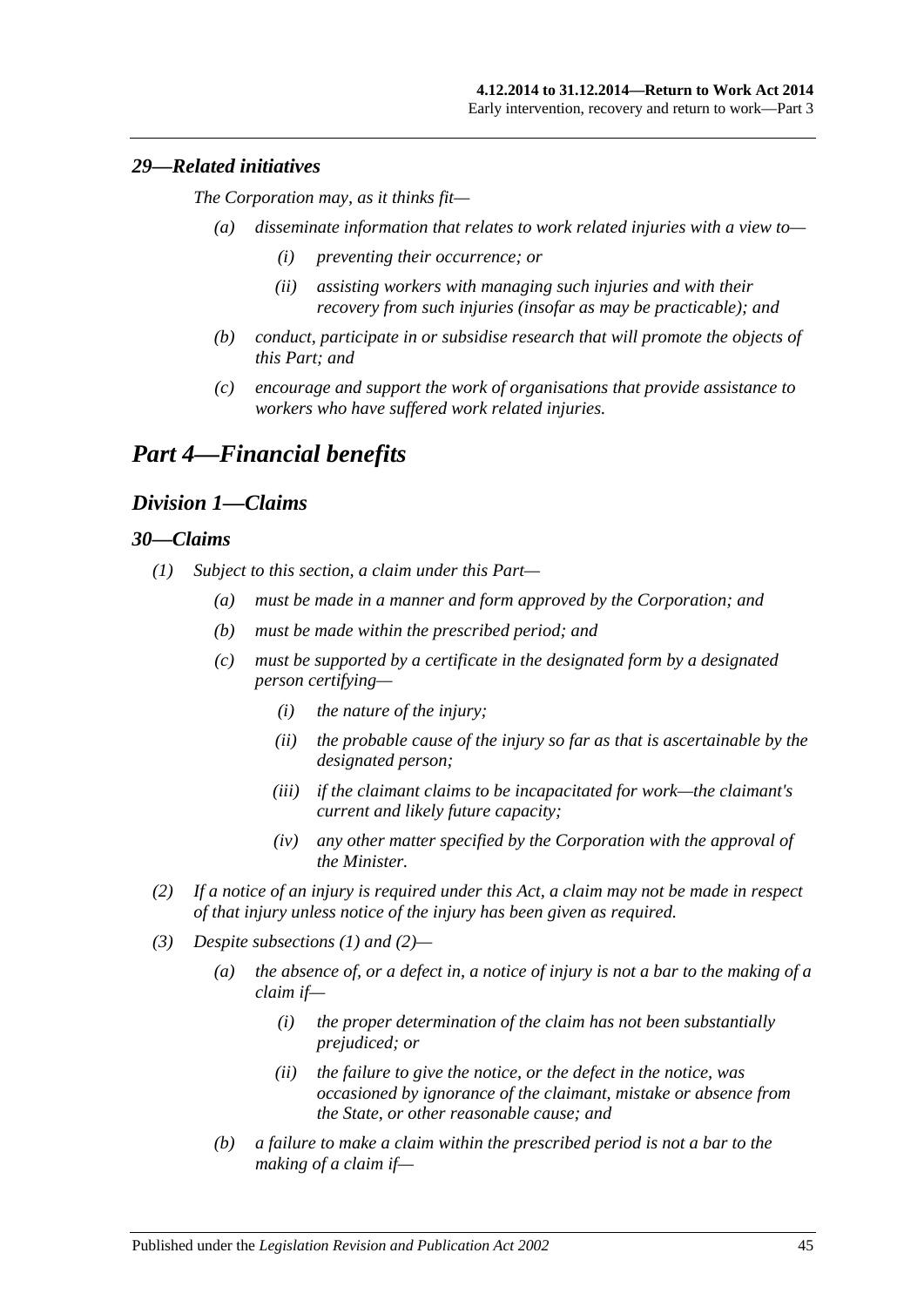### *29—Related initiatives*

*The Corporation may, as it thinks fit—*

- *(a) disseminate information that relates to work related injuries with a view to—*
	- *(i) preventing their occurrence; or*
	- *(ii) assisting workers with managing such injuries and with their recovery from such injuries (insofar as may be practicable); and*
- *(b) conduct, participate in or subsidise research that will promote the objects of this Part; and*
- *(c) encourage and support the work of organisations that provide assistance to workers who have suffered work related injuries.*

# *Part 4—Financial benefits*

## *Division 1—Claims*

#### <span id="page-44-0"></span>*30—Claims*

- <span id="page-44-2"></span>*(1) Subject to this section, a claim under this Part—*
	- *(a) must be made in a manner and form approved by the Corporation; and*
	- *(b) must be made within the prescribed period; and*
	- *(c) must be supported by a certificate in the designated form by a designated person certifying—*
		- *(i) the nature of the injury;*
		- *(ii) the probable cause of the injury so far as that is ascertainable by the designated person;*
		- *(iii) if the claimant claims to be incapacitated for work—the claimant's current and likely future capacity;*
		- *(iv) any other matter specified by the Corporation with the approval of the Minister.*
- <span id="page-44-1"></span>*(2) If a notice of an injury is required under this Act, a claim may not be made in respect of that injury unless notice of the injury has been given as required.*
- *(3) Despite [subsections](#page-44-0) (1) and [\(2\)—](#page-44-1)*
	- *(a) the absence of, or a defect in, a notice of injury is not a bar to the making of a claim if—*
		- *(i) the proper determination of the claim has not been substantially prejudiced; or*
		- *(ii) the failure to give the notice, or the defect in the notice, was occasioned by ignorance of the claimant, mistake or absence from the State, or other reasonable cause; and*
	- *(b) a failure to make a claim within the prescribed period is not a bar to the making of a claim if—*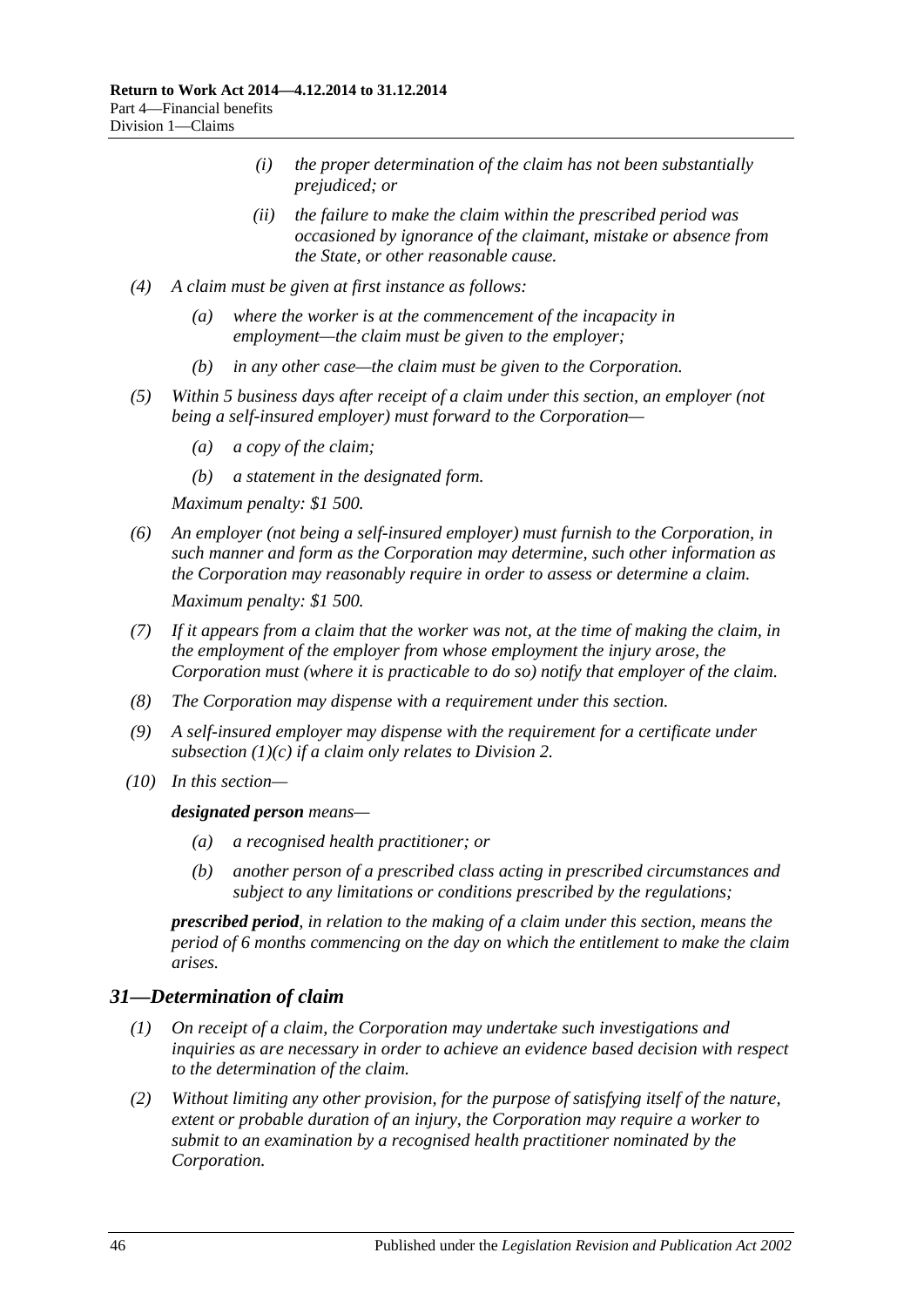- *(i) the proper determination of the claim has not been substantially prejudiced; or*
- *(ii) the failure to make the claim within the prescribed period was occasioned by ignorance of the claimant, mistake or absence from the State, or other reasonable cause.*
- *(4) A claim must be given at first instance as follows:*
	- *(a) where the worker is at the commencement of the incapacity in employment—the claim must be given to the employer;*
	- *(b) in any other case—the claim must be given to the Corporation.*
- *(5) Within 5 business days after receipt of a claim under this section, an employer (not being a self-insured employer) must forward to the Corporation—*
	- *(a) a copy of the claim;*
	- *(b) a statement in the designated form.*

*Maximum penalty: \$1 500.*

- *(6) An employer (not being a self-insured employer) must furnish to the Corporation, in such manner and form as the Corporation may determine, such other information as the Corporation may reasonably require in order to assess or determine a claim. Maximum penalty: \$1 500.*
- *(7) If it appears from a claim that the worker was not, at the time of making the claim, in the employment of the employer from whose employment the injury arose, the Corporation must (where it is practicable to do so) notify that employer of the claim.*
- *(8) The Corporation may dispense with a requirement under this section.*
- *(9) A self-insured employer may dispense with the requirement for a certificate under [subsection](#page-44-2) (1)(c) if a claim only relates to [Division](#page-47-0) 2.*
- *(10) In this section—*

#### *designated person means—*

- *(a) a recognised health practitioner; or*
- *(b) another person of a prescribed class acting in prescribed circumstances and subject to any limitations or conditions prescribed by the regulations;*

*prescribed period, in relation to the making of a claim under this section, means the period of 6 months commencing on the day on which the entitlement to make the claim arises.*

### *31—Determination of claim*

- *(1) On receipt of a claim, the Corporation may undertake such investigations and inquiries as are necessary in order to achieve an evidence based decision with respect to the determination of the claim.*
- <span id="page-45-0"></span>*(2) Without limiting any other provision, for the purpose of satisfying itself of the nature, extent or probable duration of an injury, the Corporation may require a worker to submit to an examination by a recognised health practitioner nominated by the Corporation.*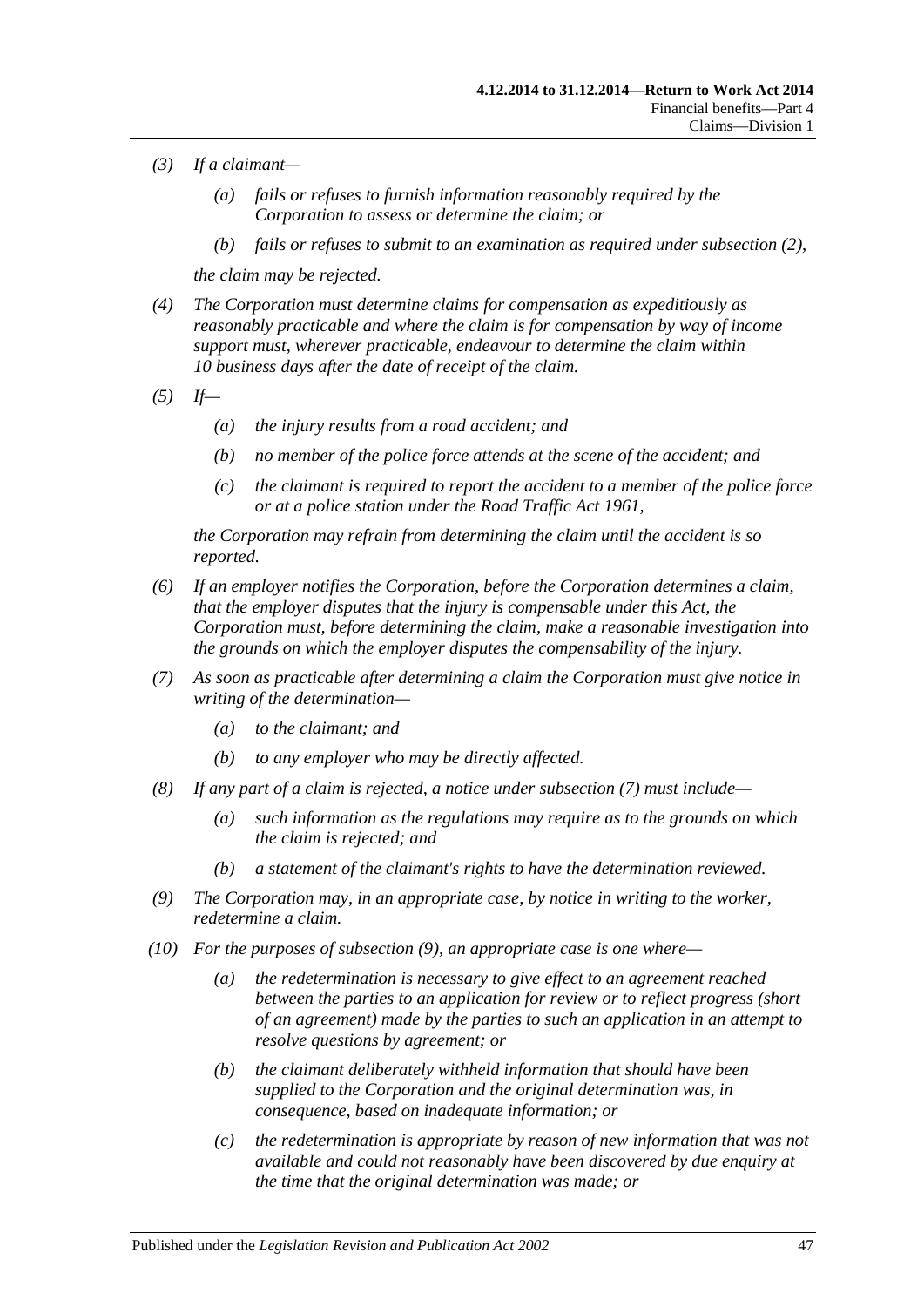- *(3) If a claimant—*
	- *(a) fails or refuses to furnish information reasonably required by the Corporation to assess or determine the claim; or*
	- *(b) fails or refuses to submit to an examination as required under [subsection](#page-45-0) (2),*

*the claim may be rejected.*

- *(4) The Corporation must determine claims for compensation as expeditiously as reasonably practicable and where the claim is for compensation by way of income support must, wherever practicable, endeavour to determine the claim within 10 business days after the date of receipt of the claim.*
- *(5) If—*
	- *(a) the injury results from a road accident; and*
	- *(b) no member of the police force attends at the scene of the accident; and*
	- *(c) the claimant is required to report the accident to a member of the police force or at a police station under the [Road Traffic Act](http://www.legislation.sa.gov.au/index.aspx?action=legref&type=act&legtitle=Road%20Traffic%20Act%201961) 1961,*

*the Corporation may refrain from determining the claim until the accident is so reported.*

- *(6) If an employer notifies the Corporation, before the Corporation determines a claim, that the employer disputes that the injury is compensable under this Act, the Corporation must, before determining the claim, make a reasonable investigation into the grounds on which the employer disputes the compensability of the injury.*
- <span id="page-46-0"></span>*(7) As soon as practicable after determining a claim the Corporation must give notice in writing of the determination—*
	- *(a) to the claimant; and*
	- *(b) to any employer who may be directly affected.*
- *(8) If any part of a claim is rejected, a notice under [subsection](#page-46-0) (7) must include—*
	- *(a) such information as the regulations may require as to the grounds on which the claim is rejected; and*
	- *(b) a statement of the claimant's rights to have the determination reviewed.*
- <span id="page-46-1"></span>*(9) The Corporation may, in an appropriate case, by notice in writing to the worker, redetermine a claim.*
- *(10) For the purposes of [subsection](#page-46-1) (9), an appropriate case is one where—*
	- *(a) the redetermination is necessary to give effect to an agreement reached between the parties to an application for review or to reflect progress (short of an agreement) made by the parties to such an application in an attempt to resolve questions by agreement; or*
	- *(b) the claimant deliberately withheld information that should have been supplied to the Corporation and the original determination was, in consequence, based on inadequate information; or*
	- *(c) the redetermination is appropriate by reason of new information that was not available and could not reasonably have been discovered by due enquiry at the time that the original determination was made; or*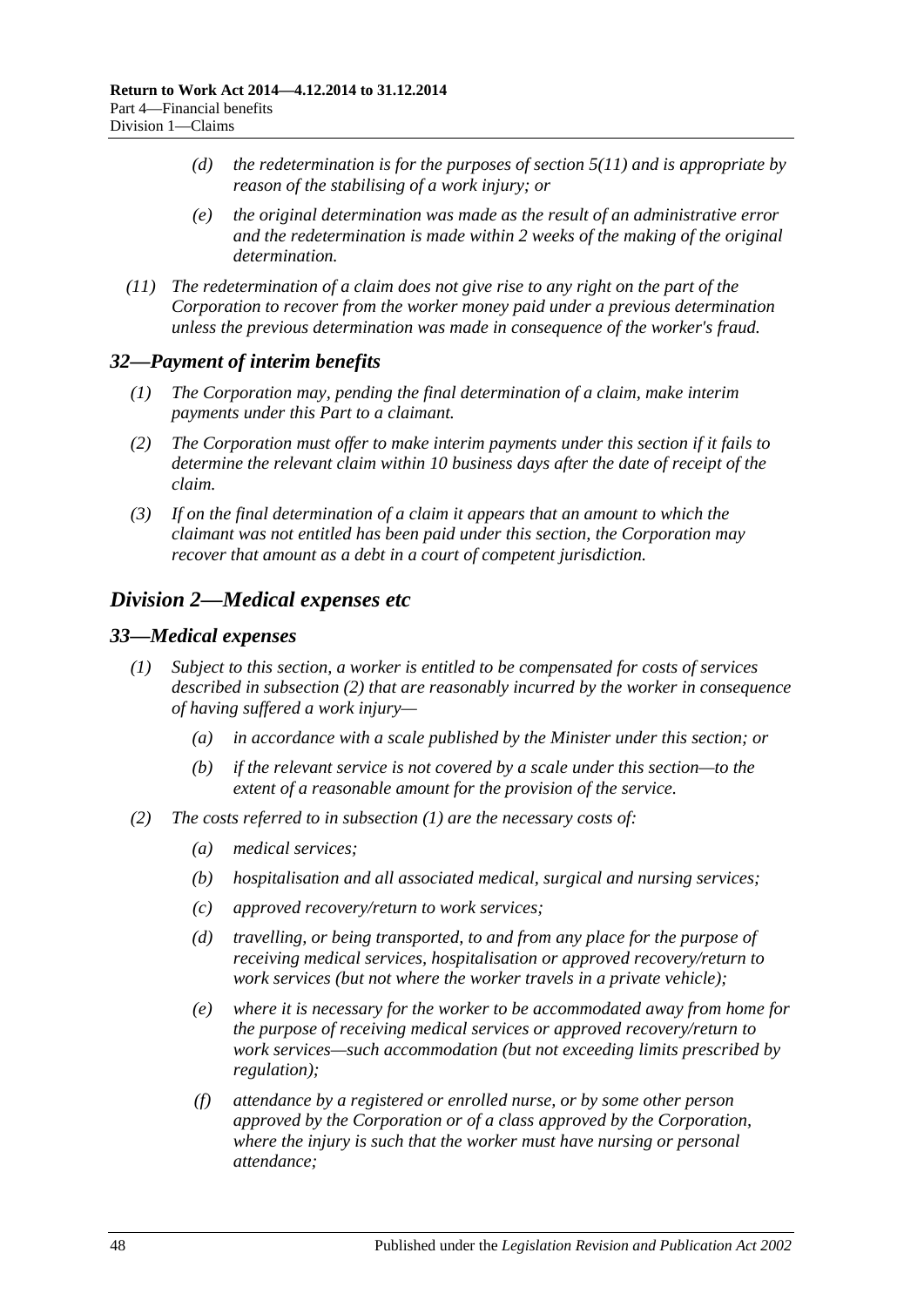- *(d) the redetermination is for the purposes of [section](#page-22-0) 5(11) and is appropriate by reason of the stabilising of a work injury; or*
- *(e) the original determination was made as the result of an administrative error and the redetermination is made within 2 weeks of the making of the original determination.*
- *(11) The redetermination of a claim does not give rise to any right on the part of the Corporation to recover from the worker money paid under a previous determination unless the previous determination was made in consequence of the worker's fraud.*

#### *32—Payment of interim benefits*

- *(1) The Corporation may, pending the final determination of a claim, make interim payments under this Part to a claimant.*
- *(2) The Corporation must offer to make interim payments under this section if it fails to determine the relevant claim within 10 business days after the date of receipt of the claim.*
- *(3) If on the final determination of a claim it appears that an amount to which the claimant was not entitled has been paid under this section, the Corporation may recover that amount as a debt in a court of competent jurisdiction.*

## <span id="page-47-0"></span>*Division 2—Medical expenses etc*

#### <span id="page-47-3"></span><span id="page-47-2"></span>*33—Medical expenses*

- *(1) Subject to this section, a worker is entitled to be compensated for costs of services described in [subsection](#page-47-1) (2) that are reasonably incurred by the worker in consequence of having suffered a work injury—*
	- *(a) in accordance with a scale published by the Minister under this section; or*
	- *(b) if the relevant service is not covered by a scale under this section—to the extent of a reasonable amount for the provision of the service.*
- <span id="page-47-1"></span>*(2) The costs referred to in [subsection](#page-47-2) (1) are the necessary costs of:*
	- *(a) medical services;*
	- *(b) hospitalisation and all associated medical, surgical and nursing services;*
	- *(c) approved recovery/return to work services;*
	- *(d) travelling, or being transported, to and from any place for the purpose of receiving medical services, hospitalisation or approved recovery/return to work services (but not where the worker travels in a private vehicle);*
	- *(e) where it is necessary for the worker to be accommodated away from home for the purpose of receiving medical services or approved recovery/return to work services—such accommodation (but not exceeding limits prescribed by regulation);*
	- *(f) attendance by a registered or enrolled nurse, or by some other person approved by the Corporation or of a class approved by the Corporation, where the injury is such that the worker must have nursing or personal attendance;*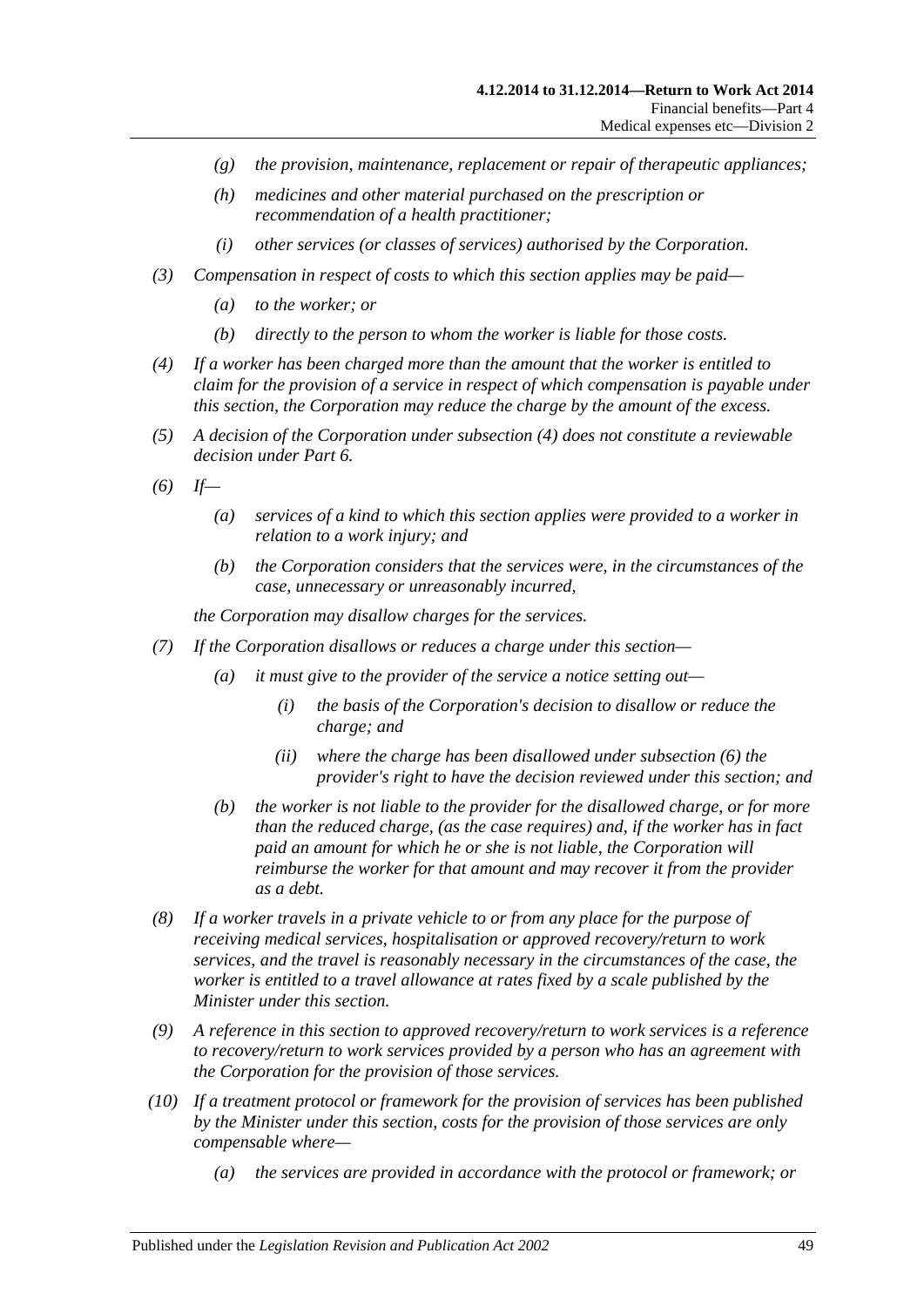- *(g) the provision, maintenance, replacement or repair of therapeutic appliances;*
- *(h) medicines and other material purchased on the prescription or recommendation of a health practitioner;*
- *(i) other services (or classes of services) authorised by the Corporation.*
- *(3) Compensation in respect of costs to which this section applies may be paid—*
	- *(a) to the worker; or*
	- *(b) directly to the person to whom the worker is liable for those costs.*
- <span id="page-48-0"></span>*(4) If a worker has been charged more than the amount that the worker is entitled to claim for the provision of a service in respect of which compensation is payable under this section, the Corporation may reduce the charge by the amount of the excess.*
- *(5) A decision of the Corporation under [subsection](#page-48-0) (4) does not constitute a reviewable decision under [Part](#page-95-0) 6.*
- <span id="page-48-1"></span>*(6) If—*
	- *(a) services of a kind to which this section applies were provided to a worker in relation to a work injury; and*
	- *(b) the Corporation considers that the services were, in the circumstances of the case, unnecessary or unreasonably incurred,*

*the Corporation may disallow charges for the services.*

- <span id="page-48-2"></span>*(7) If the Corporation disallows or reduces a charge under this section—*
	- *(a) it must give to the provider of the service a notice setting out—*
		- *(i) the basis of the Corporation's decision to disallow or reduce the charge; and*
		- *(ii) where the charge has been disallowed under [subsection](#page-48-1) (6) the provider's right to have the decision reviewed under this section; and*
	- *(b) the worker is not liable to the provider for the disallowed charge, or for more than the reduced charge, (as the case requires) and, if the worker has in fact paid an amount for which he or she is not liable, the Corporation will reimburse the worker for that amount and may recover it from the provider as a debt.*
- *(8) If a worker travels in a private vehicle to or from any place for the purpose of receiving medical services, hospitalisation or approved recovery/return to work services, and the travel is reasonably necessary in the circumstances of the case, the worker is entitled to a travel allowance at rates fixed by a scale published by the Minister under this section.*
- *(9) A reference in this section to approved recovery/return to work services is a reference to recovery/return to work services provided by a person who has an agreement with the Corporation for the provision of those services.*
- *(10) If a treatment protocol or framework for the provision of services has been published by the Minister under this section, costs for the provision of those services are only compensable where—*
	- *(a) the services are provided in accordance with the protocol or framework; or*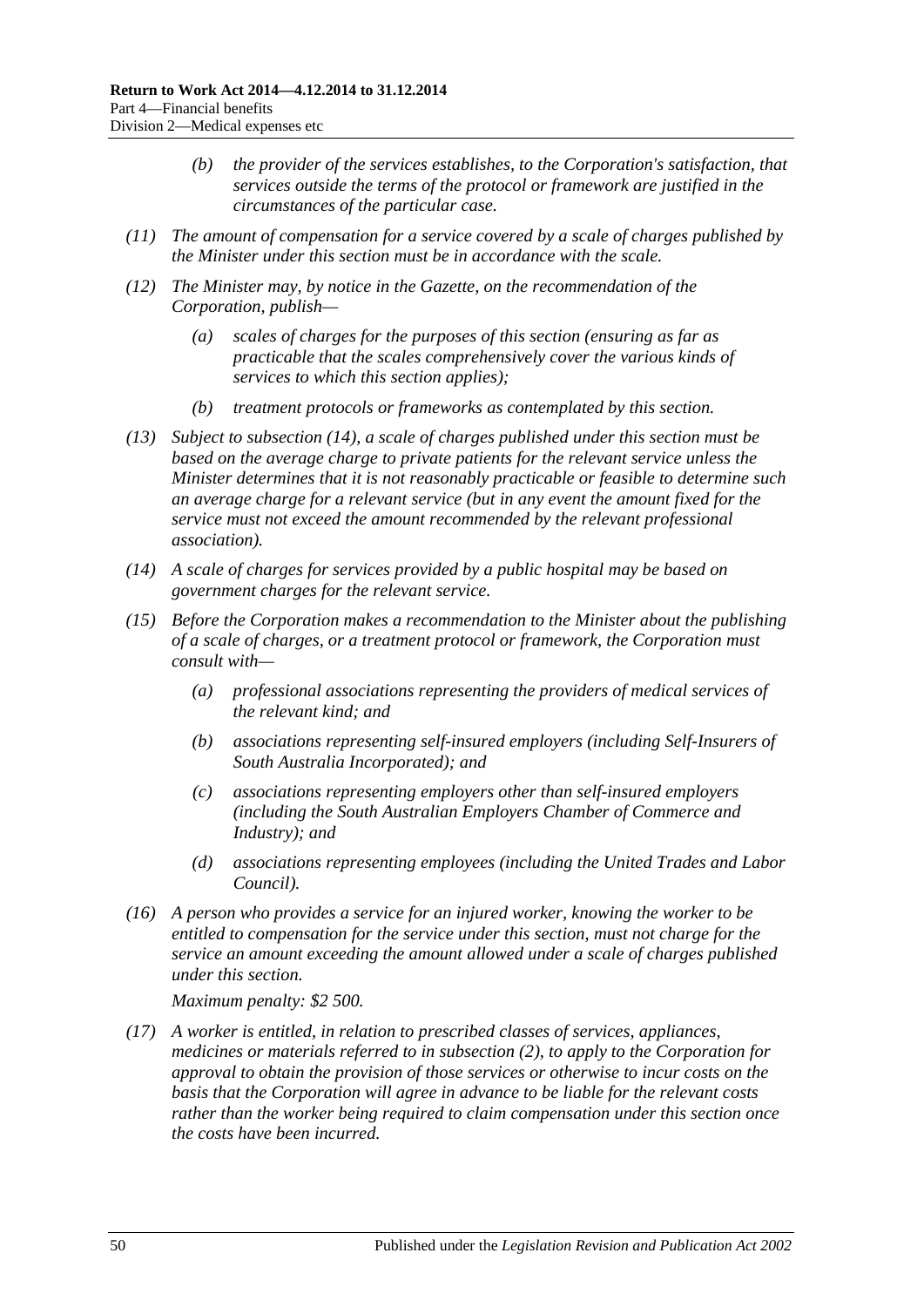- *(b) the provider of the services establishes, to the Corporation's satisfaction, that services outside the terms of the protocol or framework are justified in the circumstances of the particular case.*
- *(11) The amount of compensation for a service covered by a scale of charges published by the Minister under this section must be in accordance with the scale.*
- *(12) The Minister may, by notice in the Gazette, on the recommendation of the Corporation, publish—*
	- *(a) scales of charges for the purposes of this section (ensuring as far as practicable that the scales comprehensively cover the various kinds of services to which this section applies);*
	- *(b) treatment protocols or frameworks as contemplated by this section.*
- *(13) Subject to [subsection](#page-49-0) (14), a scale of charges published under this section must be based on the average charge to private patients for the relevant service unless the Minister determines that it is not reasonably practicable or feasible to determine such an average charge for a relevant service (but in any event the amount fixed for the service must not exceed the amount recommended by the relevant professional association).*
- <span id="page-49-0"></span>*(14) A scale of charges for services provided by a public hospital may be based on government charges for the relevant service.*
- *(15) Before the Corporation makes a recommendation to the Minister about the publishing of a scale of charges, or a treatment protocol or framework, the Corporation must consult with—*
	- *(a) professional associations representing the providers of medical services of the relevant kind; and*
	- *(b) associations representing self-insured employers (including Self-Insurers of South Australia Incorporated); and*
	- *(c) associations representing employers other than self-insured employers (including the South Australian Employers Chamber of Commerce and Industry); and*
	- *(d) associations representing employees (including the United Trades and Labor Council).*
- *(16) A person who provides a service for an injured worker, knowing the worker to be entitled to compensation for the service under this section, must not charge for the service an amount exceeding the amount allowed under a scale of charges published under this section.*

*Maximum penalty: \$2 500.*

<span id="page-49-1"></span>*(17) A worker is entitled, in relation to prescribed classes of services, appliances, medicines or materials referred to in [subsection](#page-47-1) (2), to apply to the Corporation for approval to obtain the provision of those services or otherwise to incur costs on the basis that the Corporation will agree in advance to be liable for the relevant costs rather than the worker being required to claim compensation under this section once the costs have been incurred.*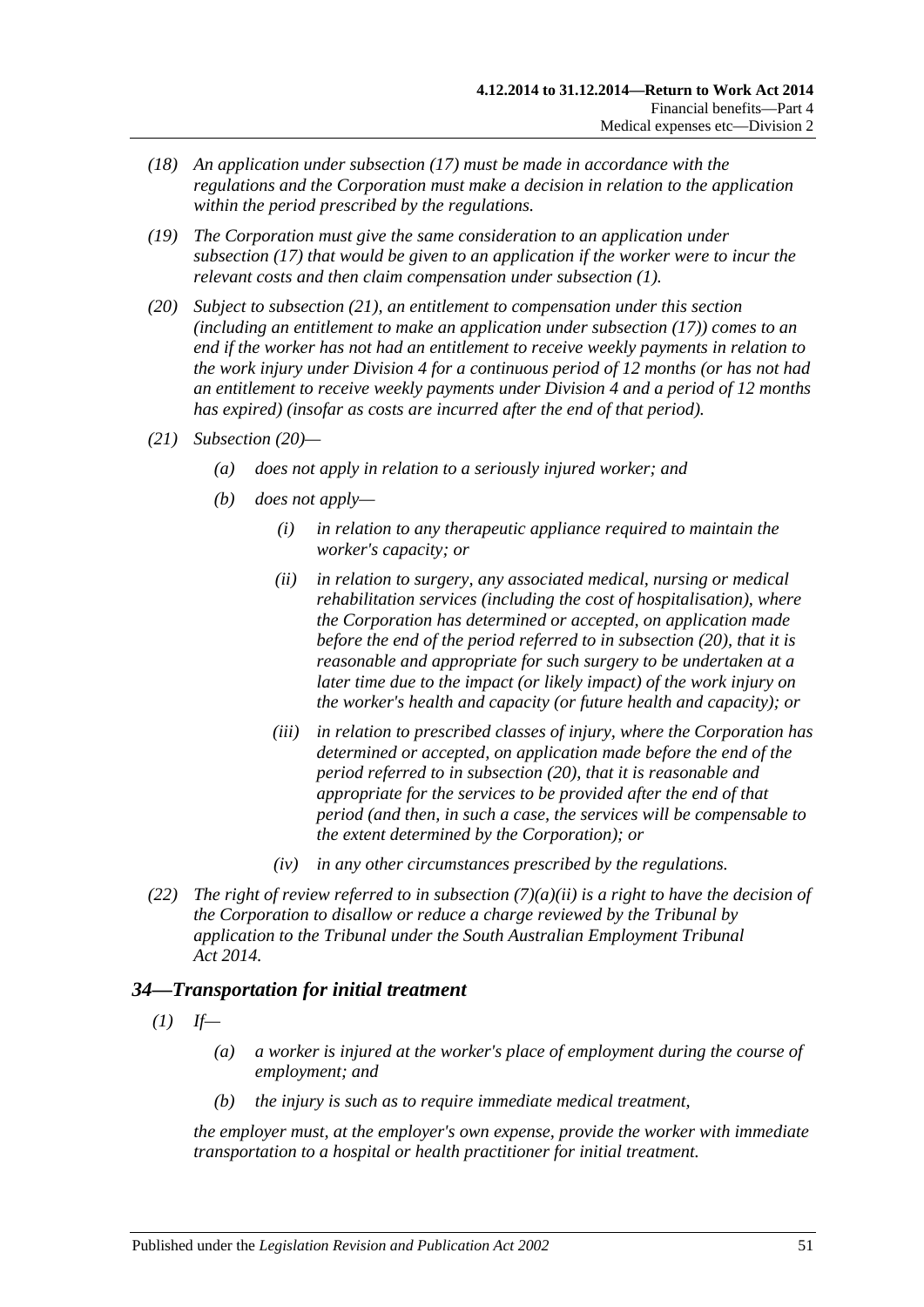- *(18) An application under [subsection](#page-49-1) (17) must be made in accordance with the regulations and the Corporation must make a decision in relation to the application within the period prescribed by the regulations.*
- *(19) The Corporation must give the same consideration to an application under [subsection](#page-49-1) (17) that would be given to an application if the worker were to incur the relevant costs and then claim compensation under [subsection](#page-47-2) (1).*
- <span id="page-50-1"></span>*(20) Subject to [subsection](#page-50-0) (21), an entitlement to compensation under this section (including an entitlement to make an application under [subsection](#page-49-1) (17)) comes to an end if the worker has not had an entitlement to receive weekly payments in relation to the work injury under [Division](#page-51-0) 4 for a continuous period of 12 months (or has not had an entitlement to receive weekly payments under [Division](#page-51-0) 4 and a period of 12 months has expired) (insofar as costs are incurred after the end of that period).*
- <span id="page-50-3"></span><span id="page-50-0"></span>*(21) [Subsection](#page-50-1) (20)—*
	- *(a) does not apply in relation to a seriously injured worker; and*
	- *(b) does not apply—*
		- *(i) in relation to any therapeutic appliance required to maintain the worker's capacity; or*
		- *(ii) in relation to surgery, any associated medical, nursing or medical rehabilitation services (including the cost of hospitalisation), where the Corporation has determined or accepted, on application made before the end of the period referred to in [subsection](#page-50-1) (20), that it is reasonable and appropriate for such surgery to be undertaken at a later time due to the impact (or likely impact) of the work injury on the worker's health and capacity (or future health and capacity); or*
		- *(iii) in relation to prescribed classes of injury, where the Corporation has determined or accepted, on application made before the end of the period referred to in [subsection](#page-50-1) (20), that it is reasonable and appropriate for the services to be provided after the end of that period (and then, in such a case, the services will be compensable to the extent determined by the Corporation); or*
		- *(iv) in any other circumstances prescribed by the regulations.*
- *(22) The right of review referred to in [subsection](#page-48-2) (7)(a)(ii) is a right to have the decision of the Corporation to disallow or reduce a charge reviewed by the Tribunal by application to the Tribunal under the [South Australian Employment Tribunal](http://www.legislation.sa.gov.au/index.aspx?action=legref&type=act&legtitle=South%20Australian%20Employment%20Tribunal%20Act%202014)  Act [2014.](http://www.legislation.sa.gov.au/index.aspx?action=legref&type=act&legtitle=South%20Australian%20Employment%20Tribunal%20Act%202014)*

# <span id="page-50-2"></span>*34—Transportation for initial treatment*

- $(I)$  *If—* 
	- *(a) a worker is injured at the worker's place of employment during the course of employment; and*
	- *(b) the injury is such as to require immediate medical treatment,*

*the employer must, at the employer's own expense, provide the worker with immediate transportation to a hospital or health practitioner for initial treatment.*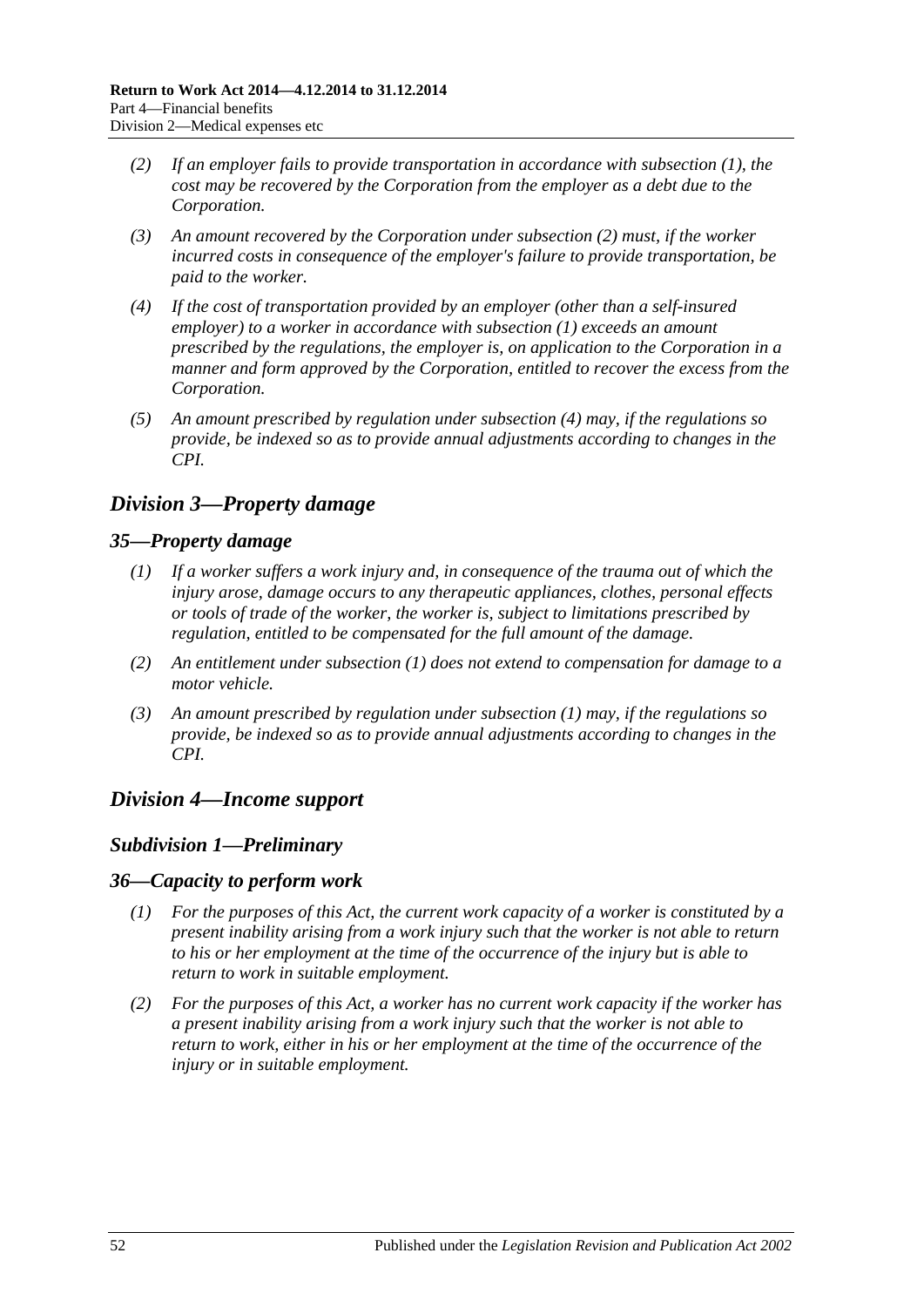- <span id="page-51-1"></span>*(2) If an employer fails to provide transportation in accordance with [subsection](#page-50-2) (1), the cost may be recovered by the Corporation from the employer as a debt due to the Corporation.*
- *(3) An amount recovered by the Corporation under [subsection](#page-51-1) (2) must, if the worker incurred costs in consequence of the employer's failure to provide transportation, be paid to the worker.*
- <span id="page-51-2"></span>*(4) If the cost of transportation provided by an employer (other than a self-insured employer) to a worker in accordance with [subsection](#page-50-2) (1) exceeds an amount prescribed by the regulations, the employer is, on application to the Corporation in a manner and form approved by the Corporation, entitled to recover the excess from the Corporation.*
- *(5) An amount prescribed by regulation under [subsection](#page-51-2) (4) may, if the regulations so provide, be indexed so as to provide annual adjustments according to changes in the CPI.*

# *Division 3—Property damage*

## <span id="page-51-3"></span>*35—Property damage*

- *(1) If a worker suffers a work injury and, in consequence of the trauma out of which the injury arose, damage occurs to any therapeutic appliances, clothes, personal effects or tools of trade of the worker, the worker is, subject to limitations prescribed by regulation, entitled to be compensated for the full amount of the damage.*
- *(2) An entitlement under [subsection](#page-51-3) (1) does not extend to compensation for damage to a motor vehicle.*
- *(3) An amount prescribed by regulation under [subsection](#page-51-3) (1) may, if the regulations so provide, be indexed so as to provide annual adjustments according to changes in the CPI.*

# <span id="page-51-0"></span>*Division 4—Income support*

### *Subdivision 1—Preliminary*

### *36—Capacity to perform work*

- *(1) For the purposes of this Act, the current work capacity of a worker is constituted by a present inability arising from a work injury such that the worker is not able to return to his or her employment at the time of the occurrence of the injury but is able to return to work in suitable employment.*
- *(2) For the purposes of this Act, a worker has no current work capacity if the worker has a present inability arising from a work injury such that the worker is not able to return to work, either in his or her employment at the time of the occurrence of the injury or in suitable employment.*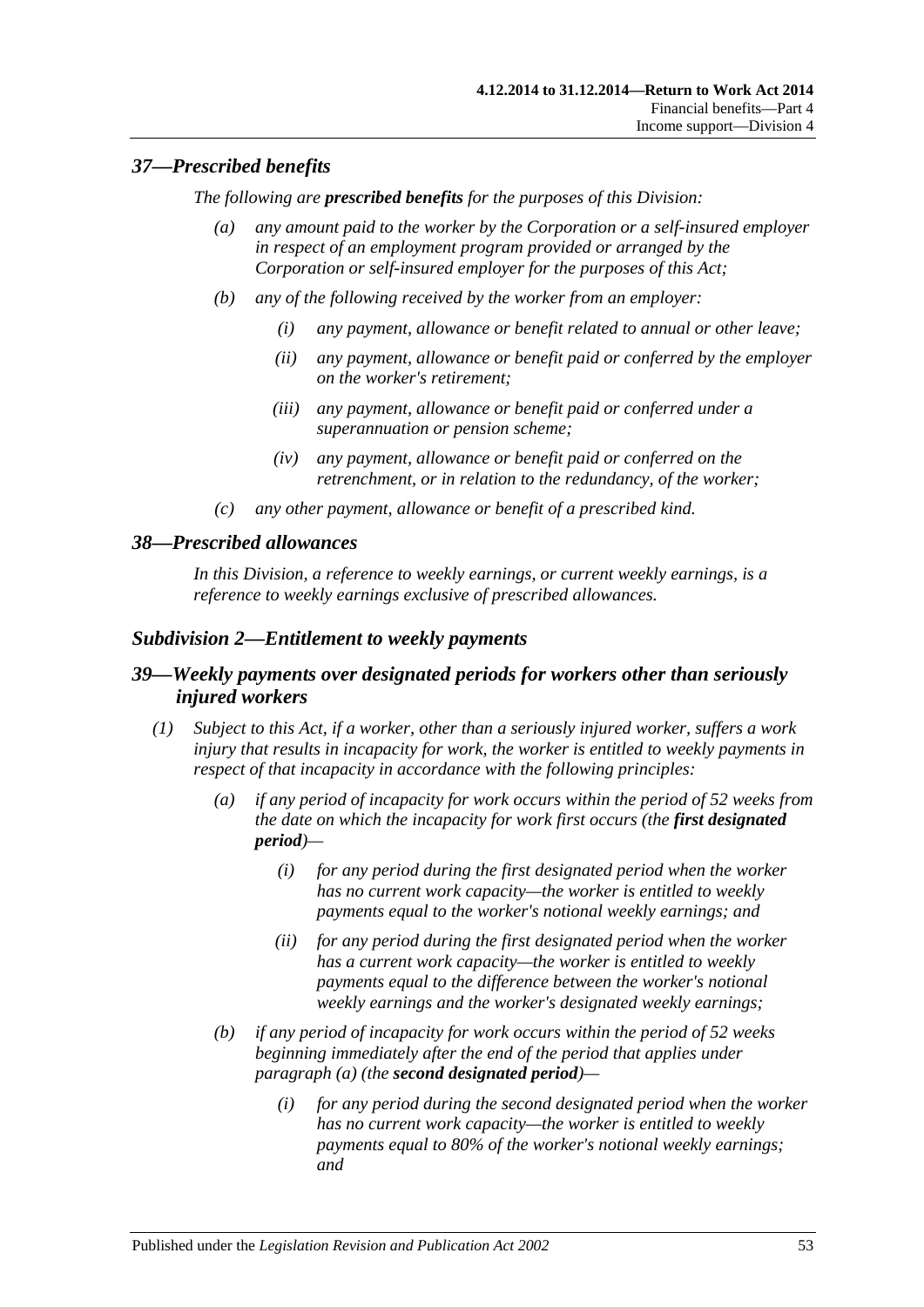## *37—Prescribed benefits*

*The following are prescribed benefits for the purposes of this Division:*

- *(a) any amount paid to the worker by the Corporation or a self-insured employer in respect of an employment program provided or arranged by the Corporation or self-insured employer for the purposes of this Act;*
- *(b) any of the following received by the worker from an employer:*
	- *(i) any payment, allowance or benefit related to annual or other leave;*
	- *(ii) any payment, allowance or benefit paid or conferred by the employer on the worker's retirement;*
	- *(iii) any payment, allowance or benefit paid or conferred under a superannuation or pension scheme;*
	- *(iv) any payment, allowance or benefit paid or conferred on the retrenchment, or in relation to the redundancy, of the worker;*
- *(c) any other payment, allowance or benefit of a prescribed kind.*

### *38—Prescribed allowances*

*In this Division, a reference to weekly earnings, or current weekly earnings, is a reference to weekly earnings exclusive of prescribed allowances.*

## *Subdivision 2—Entitlement to weekly payments*

## *39—Weekly payments over designated periods for workers other than seriously injured workers*

- <span id="page-52-1"></span><span id="page-52-0"></span>*(1) Subject to this Act, if a worker, other than a seriously injured worker, suffers a work injury that results in incapacity for work, the worker is entitled to weekly payments in respect of that incapacity in accordance with the following principles:*
	- *(a) if any period of incapacity for work occurs within the period of 52 weeks from the date on which the incapacity for work first occurs (the first designated period)—*
		- *(i) for any period during the first designated period when the worker has no current work capacity—the worker is entitled to weekly payments equal to the worker's notional weekly earnings; and*
		- *(ii) for any period during the first designated period when the worker has a current work capacity—the worker is entitled to weekly payments equal to the difference between the worker's notional weekly earnings and the worker's designated weekly earnings;*
	- *(b) if any period of incapacity for work occurs within the period of 52 weeks beginning immediately after the end of the period that applies under [paragraph](#page-52-0) (a) (the second designated period)—*
		- *(i) for any period during the second designated period when the worker has no current work capacity—the worker is entitled to weekly payments equal to 80% of the worker's notional weekly earnings; and*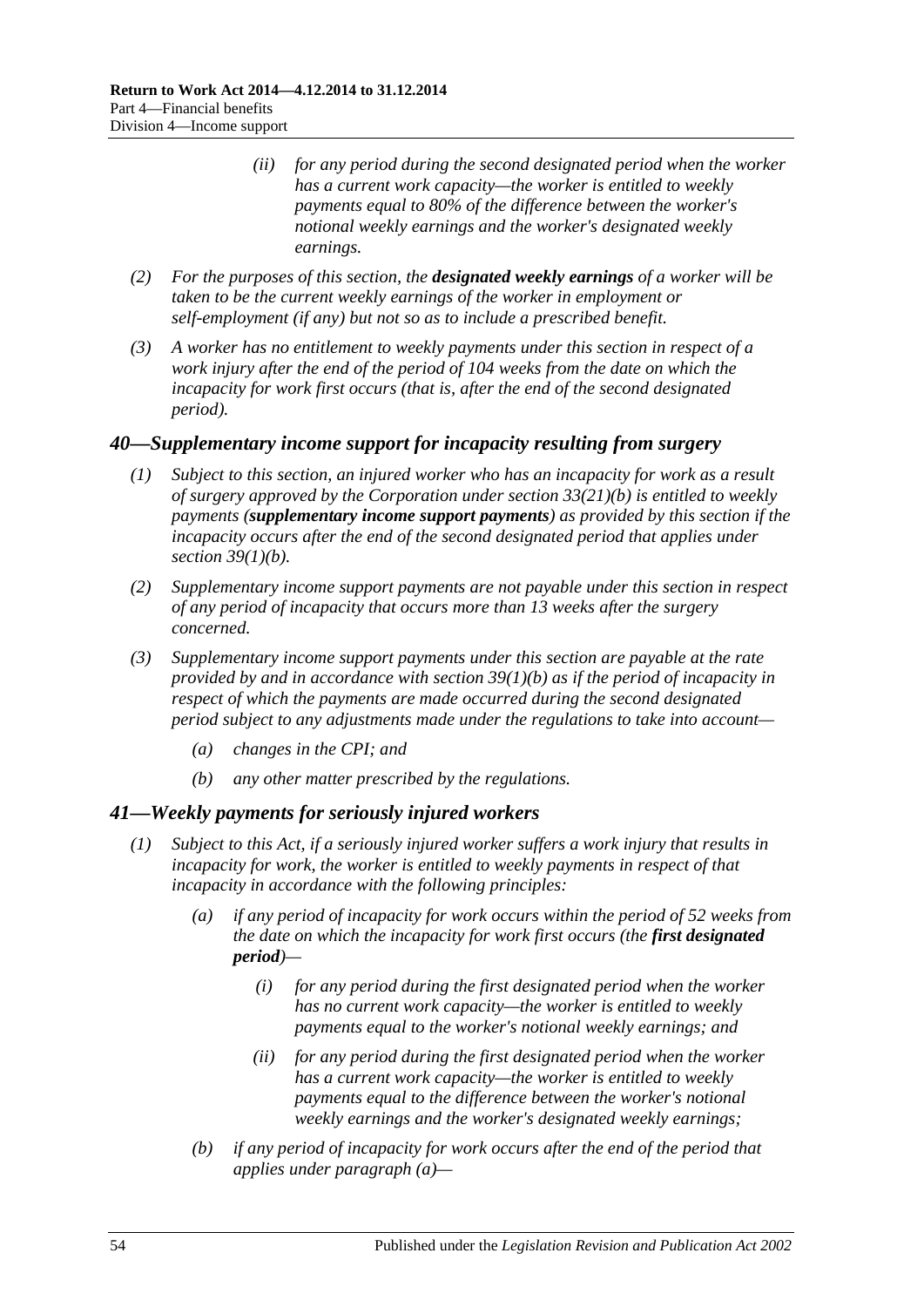- *(ii) for any period during the second designated period when the worker has a current work capacity—the worker is entitled to weekly payments equal to 80% of the difference between the worker's notional weekly earnings and the worker's designated weekly earnings.*
- *(2) For the purposes of this section, the designated weekly earnings of a worker will be taken to be the current weekly earnings of the worker in employment or self-employment (if any) but not so as to include a prescribed benefit.*
- *(3) A worker has no entitlement to weekly payments under this section in respect of a work injury after the end of the period of 104 weeks from the date on which the incapacity for work first occurs (that is, after the end of the second designated period).*

### <span id="page-53-2"></span>*40—Supplementary income support for incapacity resulting from surgery*

- *(1) Subject to this section, an injured worker who has an incapacity for work as a result of surgery approved by the Corporation under section [33\(21\)\(b\)](#page-50-3) is entitled to weekly payments (supplementary income support payments) as provided by this section if the incapacity occurs after the end of the second designated period that applies under section [39\(1\)\(b\).](#page-52-1)*
- *(2) Supplementary income support payments are not payable under this section in respect of any period of incapacity that occurs more than 13 weeks after the surgery concerned.*
- *(3) Supplementary income support payments under this section are payable at the rate provided by and in accordance with section [39\(1\)\(b\)](#page-52-1) as if the period of incapacity in respect of which the payments are made occurred during the second designated period subject to any adjustments made under the regulations to take into account—*
	- *(a) changes in the CPI; and*
	- *(b) any other matter prescribed by the regulations.*

### <span id="page-53-1"></span>*41—Weekly payments for seriously injured workers*

- <span id="page-53-0"></span>*(1) Subject to this Act, if a seriously injured worker suffers a work injury that results in incapacity for work, the worker is entitled to weekly payments in respect of that incapacity in accordance with the following principles:*
	- *(a) if any period of incapacity for work occurs within the period of 52 weeks from the date on which the incapacity for work first occurs (the first designated period)—*
		- *(i) for any period during the first designated period when the worker has no current work capacity—the worker is entitled to weekly payments equal to the worker's notional weekly earnings; and*
		- *(ii) for any period during the first designated period when the worker has a current work capacity—the worker is entitled to weekly payments equal to the difference between the worker's notional weekly earnings and the worker's designated weekly earnings;*
	- *(b) if any period of incapacity for work occurs after the end of the period that applies under [paragraph](#page-53-0) (a)—*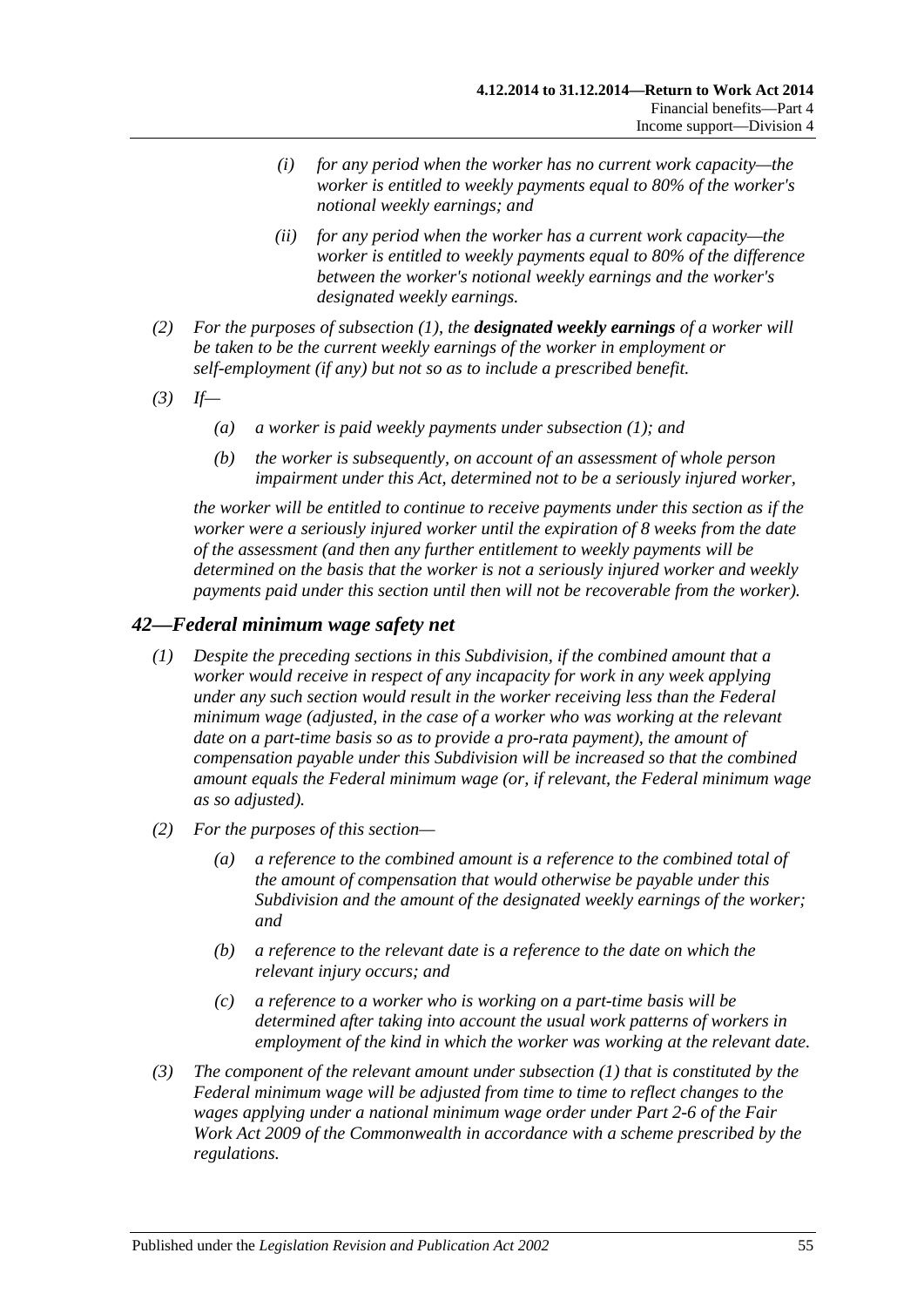- *(i) for any period when the worker has no current work capacity—the worker is entitled to weekly payments equal to 80% of the worker's notional weekly earnings; and*
- *(ii) for any period when the worker has a current work capacity—the worker is entitled to weekly payments equal to 80% of the difference between the worker's notional weekly earnings and the worker's designated weekly earnings.*
- *(2) For the purposes of [subsection](#page-53-1) (1), the designated weekly earnings of a worker will be taken to be the current weekly earnings of the worker in employment or self-employment (if any) but not so as to include a prescribed benefit.*
- *(3) If—*
	- *(a) a worker is paid weekly payments under [subsection](#page-53-1) (1); and*
	- *(b) the worker is subsequently, on account of an assessment of whole person impairment under this Act, determined not to be a seriously injured worker,*

*the worker will be entitled to continue to receive payments under this section as if the worker were a seriously injured worker until the expiration of 8 weeks from the date of the assessment (and then any further entitlement to weekly payments will be determined on the basis that the worker is not a seriously injured worker and weekly payments paid under this section until then will not be recoverable from the worker).*

### <span id="page-54-0"></span>*42—Federal minimum wage safety net*

- *(1) Despite the preceding sections in this Subdivision, if the combined amount that a worker would receive in respect of any incapacity for work in any week applying under any such section would result in the worker receiving less than the Federal minimum wage (adjusted, in the case of a worker who was working at the relevant date on a part-time basis so as to provide a pro-rata payment), the amount of compensation payable under this Subdivision will be increased so that the combined amount equals the Federal minimum wage (or, if relevant, the Federal minimum wage as so adjusted).*
- *(2) For the purposes of this section—*
	- *(a) a reference to the combined amount is a reference to the combined total of the amount of compensation that would otherwise be payable under this Subdivision and the amount of the designated weekly earnings of the worker; and*
	- *(b) a reference to the relevant date is a reference to the date on which the relevant injury occurs; and*
	- *(c) a reference to a worker who is working on a part-time basis will be determined after taking into account the usual work patterns of workers in employment of the kind in which the worker was working at the relevant date.*
- *(3) The component of the relevant amount under [subsection](#page-54-0) (1) that is constituted by the Federal minimum wage will be adjusted from time to time to reflect changes to the wages applying under a national minimum wage order under Part 2-6 of the Fair Work Act 2009 of the Commonwealth in accordance with a scheme prescribed by the regulations.*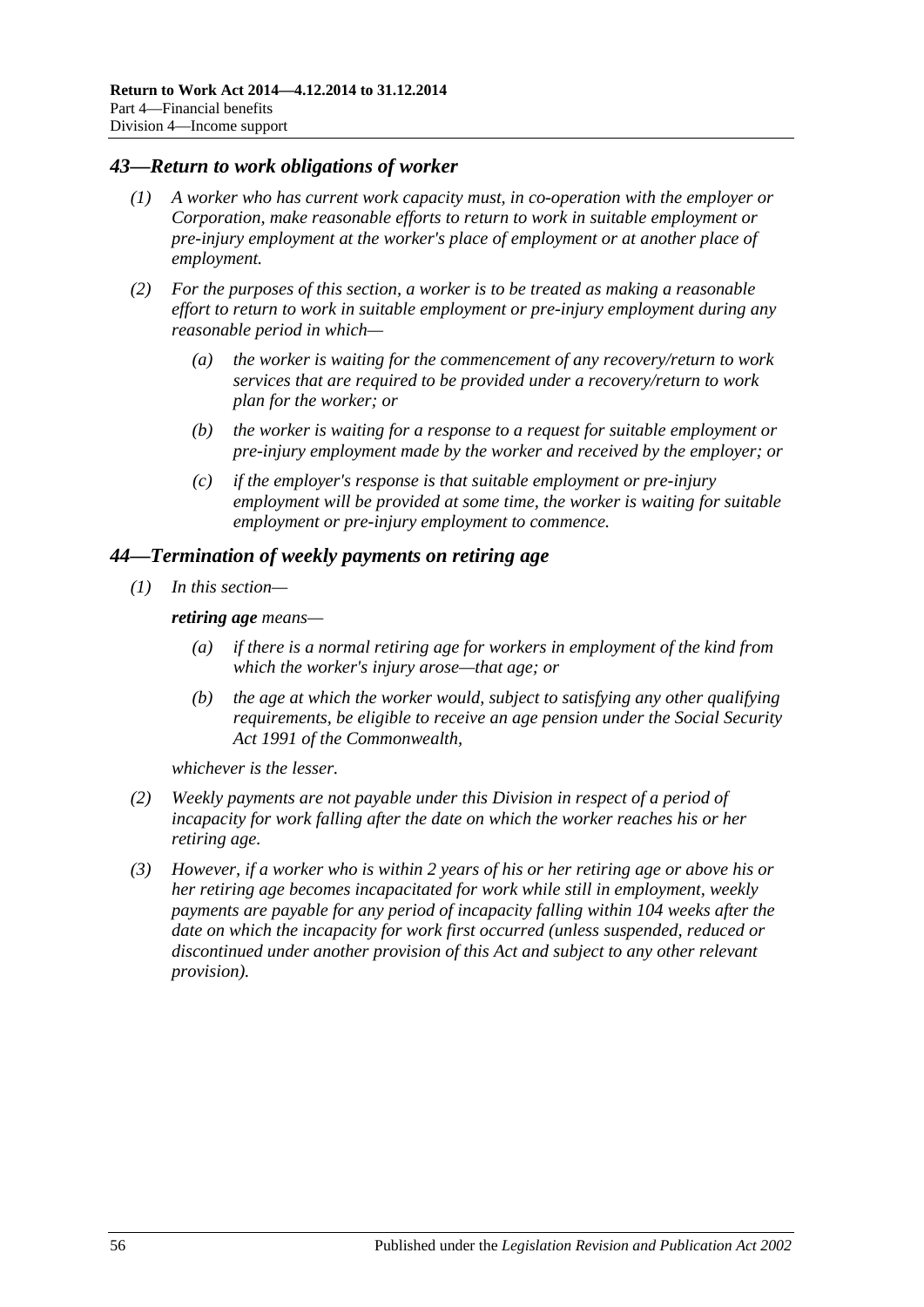#### *43—Return to work obligations of worker*

- *(1) A worker who has current work capacity must, in co-operation with the employer or Corporation, make reasonable efforts to return to work in suitable employment or pre-injury employment at the worker's place of employment or at another place of employment.*
- *(2) For the purposes of this section, a worker is to be treated as making a reasonable effort to return to work in suitable employment or pre-injury employment during any reasonable period in which—*
	- *(a) the worker is waiting for the commencement of any recovery/return to work services that are required to be provided under a recovery/return to work plan for the worker; or*
	- *(b) the worker is waiting for a response to a request for suitable employment or pre-injury employment made by the worker and received by the employer; or*
	- *(c) if the employer's response is that suitable employment or pre-injury employment will be provided at some time, the worker is waiting for suitable employment or pre-injury employment to commence.*

#### *44—Termination of weekly payments on retiring age*

*(1) In this section—*

*retiring age means—*

- *(a) if there is a normal retiring age for workers in employment of the kind from which the worker's injury arose—that age; or*
- *(b) the age at which the worker would, subject to satisfying any other qualifying requirements, be eligible to receive an age pension under the Social Security Act 1991 of the Commonwealth,*

*whichever is the lesser.*

- *(2) Weekly payments are not payable under this Division in respect of a period of incapacity for work falling after the date on which the worker reaches his or her retiring age.*
- *(3) However, if a worker who is within 2 years of his or her retiring age or above his or her retiring age becomes incapacitated for work while still in employment, weekly payments are payable for any period of incapacity falling within 104 weeks after the date on which the incapacity for work first occurred (unless suspended, reduced or discontinued under another provision of this Act and subject to any other relevant provision).*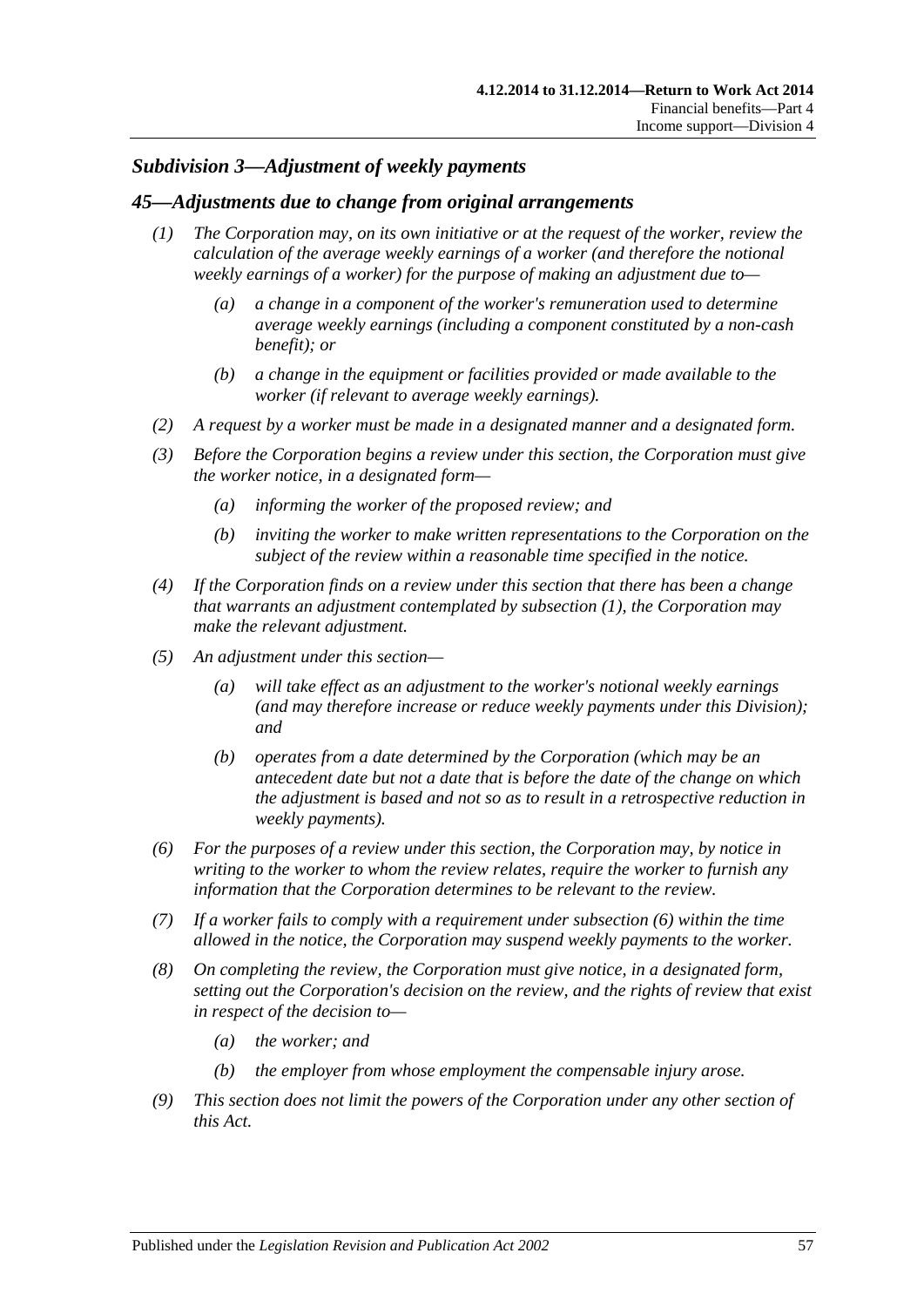### *Subdivision 3—Adjustment of weekly payments*

#### <span id="page-56-0"></span>*45—Adjustments due to change from original arrangements*

- *(1) The Corporation may, on its own initiative or at the request of the worker, review the calculation of the average weekly earnings of a worker (and therefore the notional weekly earnings of a worker) for the purpose of making an adjustment due to—*
	- *(a) a change in a component of the worker's remuneration used to determine average weekly earnings (including a component constituted by a non-cash benefit); or*
	- *(b) a change in the equipment or facilities provided or made available to the worker (if relevant to average weekly earnings).*
- *(2) A request by a worker must be made in a designated manner and a designated form.*
- *(3) Before the Corporation begins a review under this section, the Corporation must give the worker notice, in a designated form—*
	- *(a) informing the worker of the proposed review; and*
	- *(b) inviting the worker to make written representations to the Corporation on the subject of the review within a reasonable time specified in the notice.*
- *(4) If the Corporation finds on a review under this section that there has been a change that warrants an adjustment contemplated by [subsection](#page-56-0) (1), the Corporation may make the relevant adjustment.*
- *(5) An adjustment under this section—*
	- *(a) will take effect as an adjustment to the worker's notional weekly earnings (and may therefore increase or reduce weekly payments under this Division); and*
	- *(b) operates from a date determined by the Corporation (which may be an antecedent date but not a date that is before the date of the change on which the adjustment is based and not so as to result in a retrospective reduction in weekly payments).*
- <span id="page-56-1"></span>*(6) For the purposes of a review under this section, the Corporation may, by notice in writing to the worker to whom the review relates, require the worker to furnish any information that the Corporation determines to be relevant to the review.*
- *(7) If a worker fails to comply with a requirement under [subsection](#page-56-1) (6) within the time allowed in the notice, the Corporation may suspend weekly payments to the worker.*
- *(8) On completing the review, the Corporation must give notice, in a designated form, setting out the Corporation's decision on the review, and the rights of review that exist in respect of the decision to—*
	- *(a) the worker; and*
	- *(b) the employer from whose employment the compensable injury arose.*
- *(9) This section does not limit the powers of the Corporation under any other section of this Act.*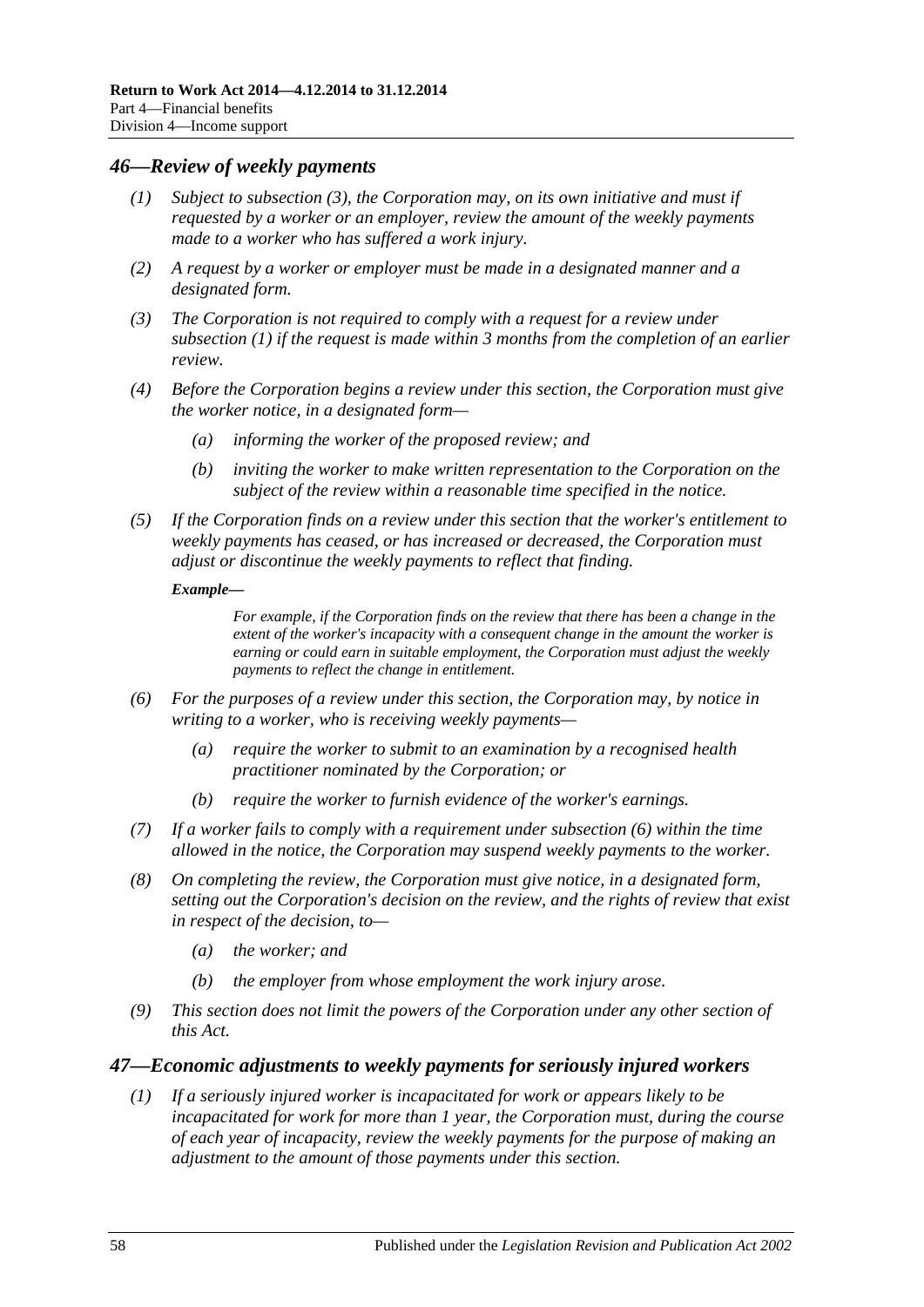#### <span id="page-57-3"></span><span id="page-57-1"></span>*46—Review of weekly payments*

- *(1) Subject to [subsection](#page-57-0) (3), the Corporation may, on its own initiative and must if requested by a worker or an employer, review the amount of the weekly payments made to a worker who has suffered a work injury.*
- *(2) A request by a worker or employer must be made in a designated manner and a designated form.*
- <span id="page-57-0"></span>*(3) The Corporation is not required to comply with a request for a review under [subsection](#page-57-1) (1) if the request is made within 3 months from the completion of an earlier review.*
- *(4) Before the Corporation begins a review under this section, the Corporation must give the worker notice, in a designated form—*
	- *(a) informing the worker of the proposed review; and*
	- *(b) inviting the worker to make written representation to the Corporation on the subject of the review within a reasonable time specified in the notice.*
- *(5) If the Corporation finds on a review under this section that the worker's entitlement to weekly payments has ceased, or has increased or decreased, the Corporation must adjust or discontinue the weekly payments to reflect that finding.*

#### *Example—*

*For example, if the Corporation finds on the review that there has been a change in the extent of the worker's incapacity with a consequent change in the amount the worker is earning or could earn in suitable employment, the Corporation must adjust the weekly payments to reflect the change in entitlement.*

- <span id="page-57-2"></span>*(6) For the purposes of a review under this section, the Corporation may, by notice in writing to a worker, who is receiving weekly payments—*
	- *(a) require the worker to submit to an examination by a recognised health practitioner nominated by the Corporation; or*
	- *(b) require the worker to furnish evidence of the worker's earnings.*
- *(7) If a worker fails to comply with a requirement under [subsection](#page-57-2) (6) within the time allowed in the notice, the Corporation may suspend weekly payments to the worker.*
- *(8) On completing the review, the Corporation must give notice, in a designated form, setting out the Corporation's decision on the review, and the rights of review that exist in respect of the decision, to—*
	- *(a) the worker; and*
	- *(b) the employer from whose employment the work injury arose.*
- *(9) This section does not limit the powers of the Corporation under any other section of this Act.*

#### *47—Economic adjustments to weekly payments for seriously injured workers*

*(1) If a seriously injured worker is incapacitated for work or appears likely to be incapacitated for work for more than 1 year, the Corporation must, during the course of each year of incapacity, review the weekly payments for the purpose of making an adjustment to the amount of those payments under this section.*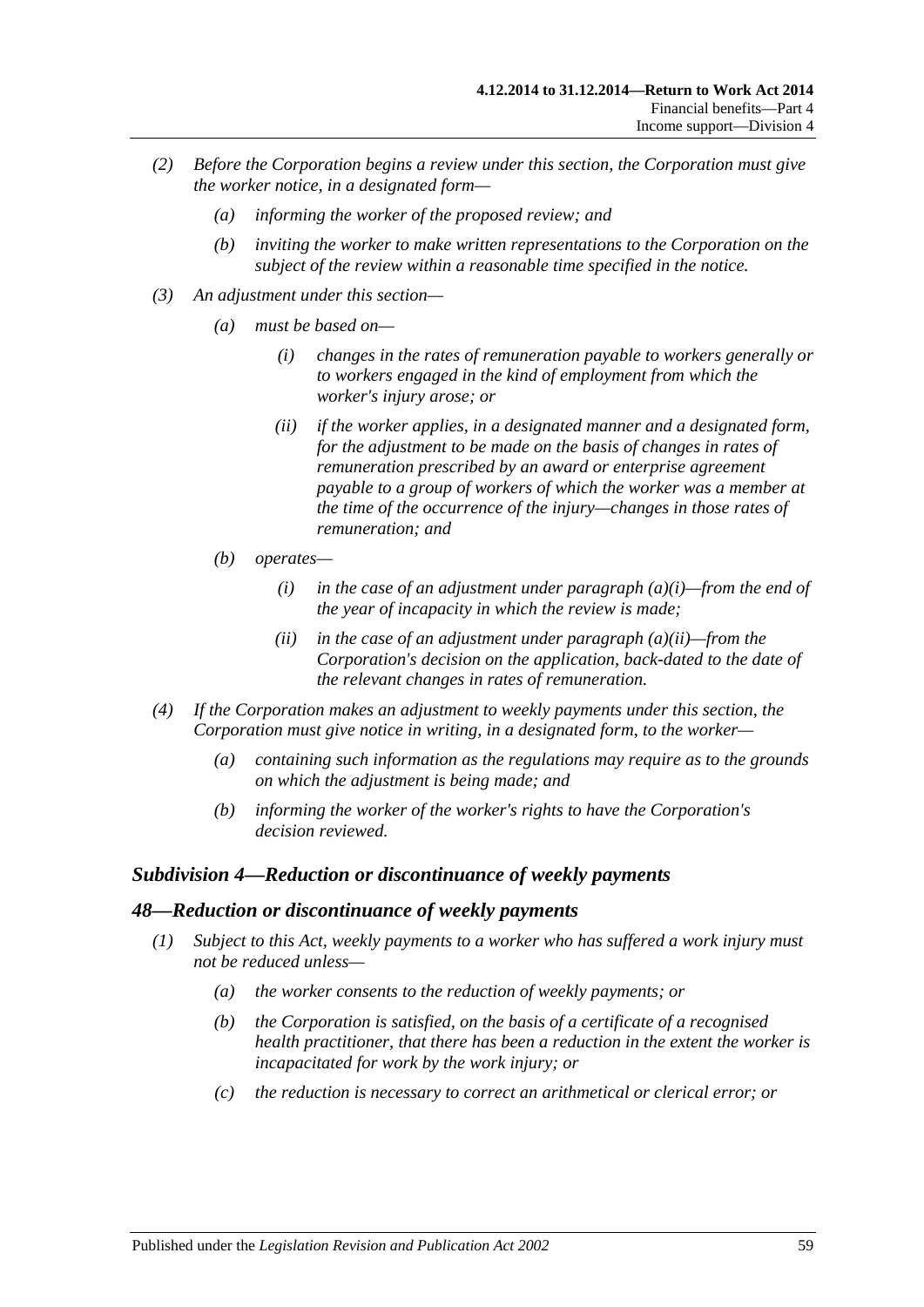- *(2) Before the Corporation begins a review under this section, the Corporation must give the worker notice, in a designated form—*
	- *(a) informing the worker of the proposed review; and*
	- *(b) inviting the worker to make written representations to the Corporation on the subject of the review within a reasonable time specified in the notice.*
- <span id="page-58-1"></span><span id="page-58-0"></span>*(3) An adjustment under this section—*
	- *(a) must be based on—*
		- *(i) changes in the rates of remuneration payable to workers generally or to workers engaged in the kind of employment from which the worker's injury arose; or*
		- *(ii) if the worker applies, in a designated manner and a designated form,*  for the adjustment to be made on the basis of changes in rates of *remuneration prescribed by an award or enterprise agreement payable to a group of workers of which the worker was a member at the time of the occurrence of the injury—changes in those rates of remuneration; and*
	- *(b) operates—*
		- *(i) in the case of an adjustment under [paragraph](#page-58-0) (a)(i)—from the end of the year of incapacity in which the review is made;*
		- *(ii) in the case of an adjustment under [paragraph](#page-58-1) (a)(ii)—from the Corporation's decision on the application, back-dated to the date of the relevant changes in rates of remuneration.*
- *(4) If the Corporation makes an adjustment to weekly payments under this section, the Corporation must give notice in writing, in a designated form, to the worker—*
	- *(a) containing such information as the regulations may require as to the grounds on which the adjustment is being made; and*
	- *(b) informing the worker of the worker's rights to have the Corporation's decision reviewed.*

### *Subdivision 4—Reduction or discontinuance of weekly payments*

#### *48—Reduction or discontinuance of weekly payments*

- *(1) Subject to this Act, weekly payments to a worker who has suffered a work injury must not be reduced unless—*
	- *(a) the worker consents to the reduction of weekly payments; or*
	- *(b) the Corporation is satisfied, on the basis of a certificate of a recognised health practitioner, that there has been a reduction in the extent the worker is incapacitated for work by the work injury; or*
	- *(c) the reduction is necessary to correct an arithmetical or clerical error; or*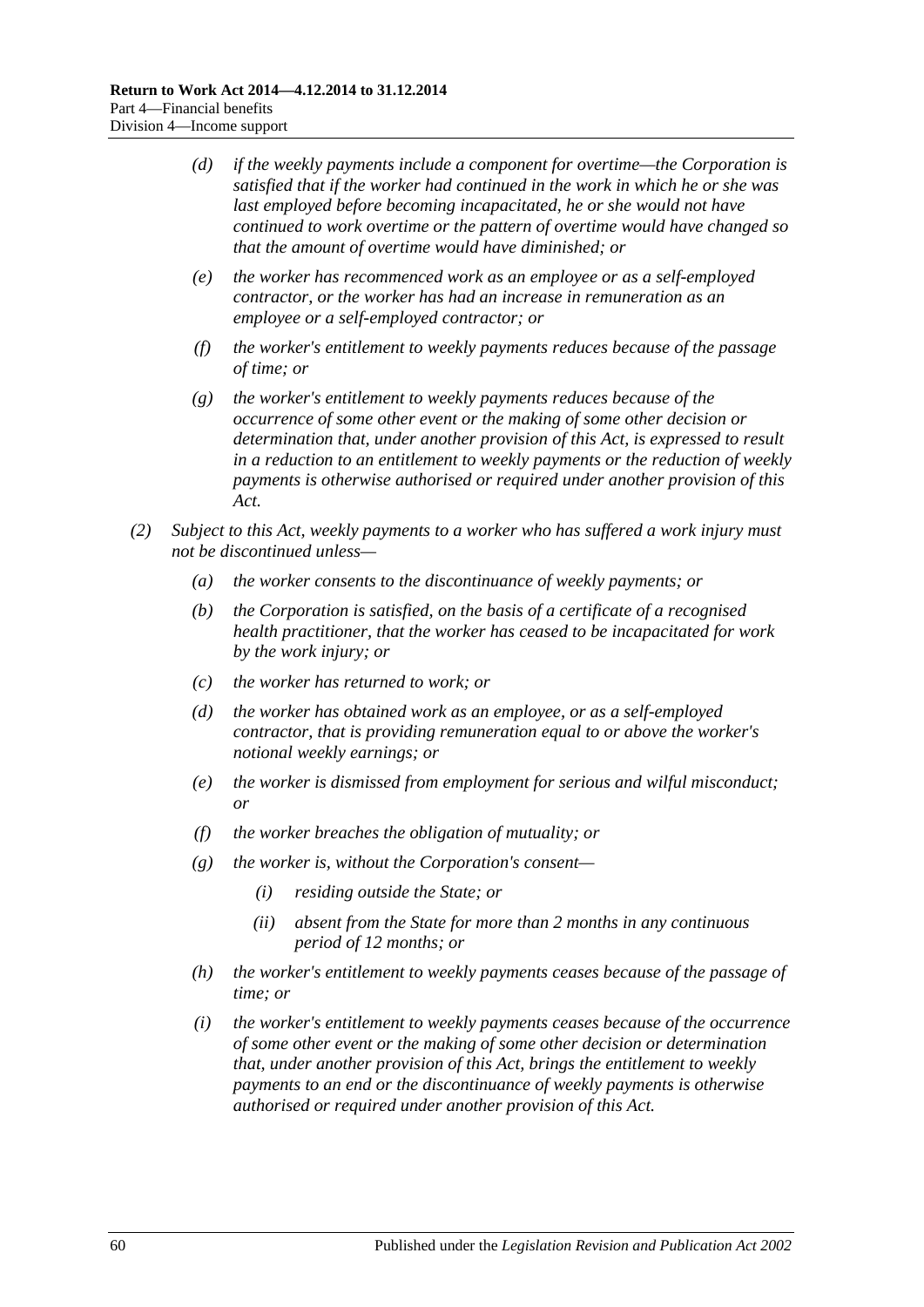- *(d) if the weekly payments include a component for overtime—the Corporation is satisfied that if the worker had continued in the work in which he or she was last employed before becoming incapacitated, he or she would not have continued to work overtime or the pattern of overtime would have changed so that the amount of overtime would have diminished; or*
- *(e) the worker has recommenced work as an employee or as a self-employed contractor, or the worker has had an increase in remuneration as an employee or a self-employed contractor; or*
- *(f) the worker's entitlement to weekly payments reduces because of the passage of time; or*
- *(g) the worker's entitlement to weekly payments reduces because of the occurrence of some other event or the making of some other decision or determination that, under another provision of this Act, is expressed to result in a reduction to an entitlement to weekly payments or the reduction of weekly payments is otherwise authorised or required under another provision of this Act.*
- <span id="page-59-0"></span>*(2) Subject to this Act, weekly payments to a worker who has suffered a work injury must not be discontinued unless—*
	- *(a) the worker consents to the discontinuance of weekly payments; or*
	- *(b) the Corporation is satisfied, on the basis of a certificate of a recognised health practitioner, that the worker has ceased to be incapacitated for work by the work injury; or*
	- *(c) the worker has returned to work; or*
	- *(d) the worker has obtained work as an employee, or as a self-employed contractor, that is providing remuneration equal to or above the worker's notional weekly earnings; or*
	- *(e) the worker is dismissed from employment for serious and wilful misconduct; or*
	- *(f) the worker breaches the obligation of mutuality; or*
	- *(g) the worker is, without the Corporation's consent—*
		- *(i) residing outside the State; or*
		- *(ii) absent from the State for more than 2 months in any continuous period of 12 months; or*
	- *(h) the worker's entitlement to weekly payments ceases because of the passage of time; or*
	- *(i) the worker's entitlement to weekly payments ceases because of the occurrence of some other event or the making of some other decision or determination that, under another provision of this Act, brings the entitlement to weekly payments to an end or the discontinuance of weekly payments is otherwise authorised or required under another provision of this Act.*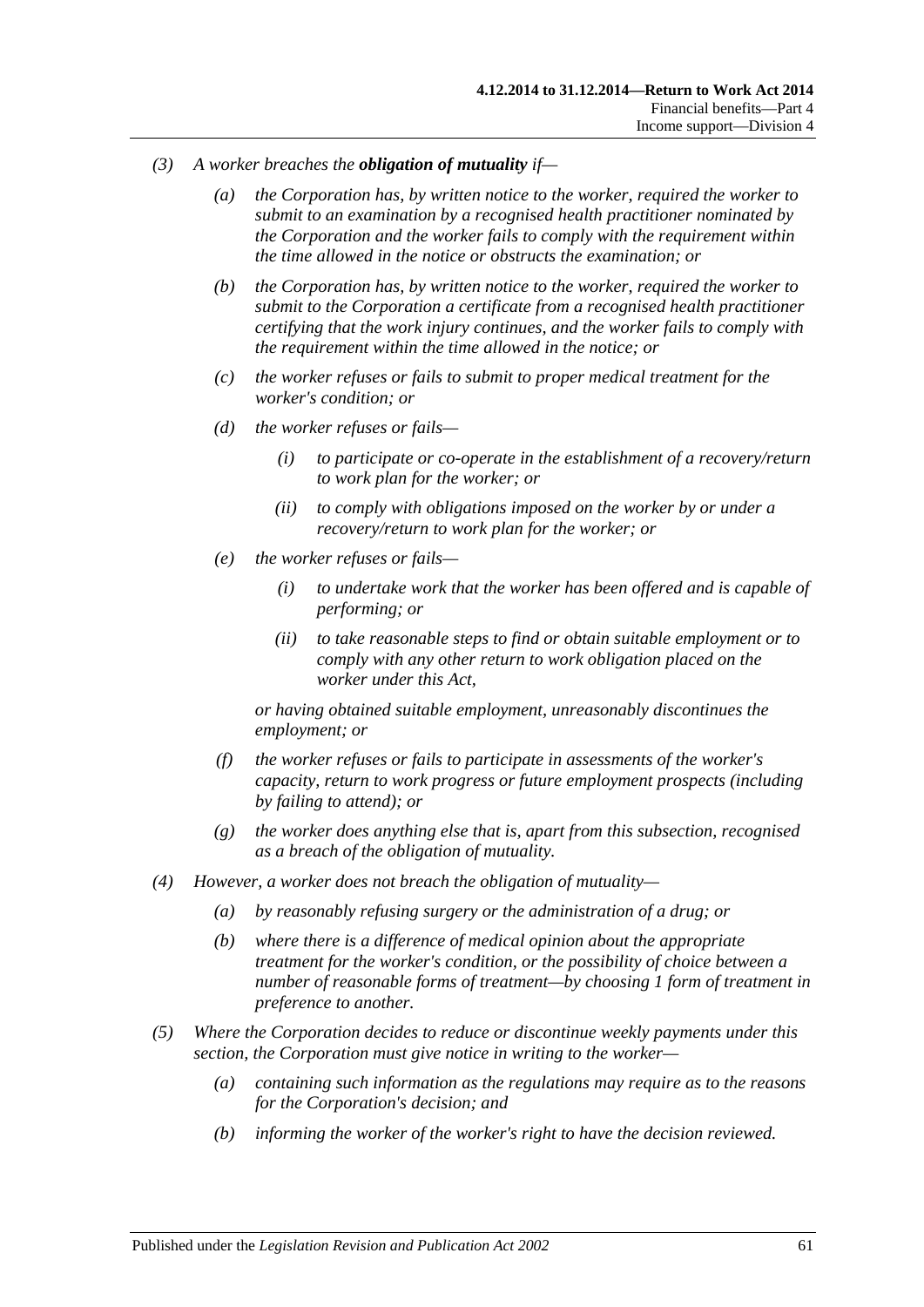- *(3) A worker breaches the obligation of mutuality if—*
	- *(a) the Corporation has, by written notice to the worker, required the worker to submit to an examination by a recognised health practitioner nominated by the Corporation and the worker fails to comply with the requirement within the time allowed in the notice or obstructs the examination; or*
	- *(b) the Corporation has, by written notice to the worker, required the worker to submit to the Corporation a certificate from a recognised health practitioner certifying that the work injury continues, and the worker fails to comply with the requirement within the time allowed in the notice; or*
	- *(c) the worker refuses or fails to submit to proper medical treatment for the worker's condition; or*
	- *(d) the worker refuses or fails—*
		- *(i) to participate or co-operate in the establishment of a recovery/return to work plan for the worker; or*
		- *(ii) to comply with obligations imposed on the worker by or under a recovery/return to work plan for the worker; or*
	- *(e) the worker refuses or fails—*
		- *(i) to undertake work that the worker has been offered and is capable of performing; or*
		- *(ii) to take reasonable steps to find or obtain suitable employment or to comply with any other return to work obligation placed on the worker under this Act,*

*or having obtained suitable employment, unreasonably discontinues the employment; or*

- *(f) the worker refuses or fails to participate in assessments of the worker's capacity, return to work progress or future employment prospects (including by failing to attend); or*
- *(g) the worker does anything else that is, apart from this subsection, recognised as a breach of the obligation of mutuality.*
- *(4) However, a worker does not breach the obligation of mutuality—*
	- *(a) by reasonably refusing surgery or the administration of a drug; or*
	- *(b) where there is a difference of medical opinion about the appropriate treatment for the worker's condition, or the possibility of choice between a number of reasonable forms of treatment—by choosing 1 form of treatment in preference to another.*
- <span id="page-60-0"></span>*(5) Where the Corporation decides to reduce or discontinue weekly payments under this section, the Corporation must give notice in writing to the worker—*
	- *(a) containing such information as the regulations may require as to the reasons for the Corporation's decision; and*
	- *(b) informing the worker of the worker's right to have the decision reviewed.*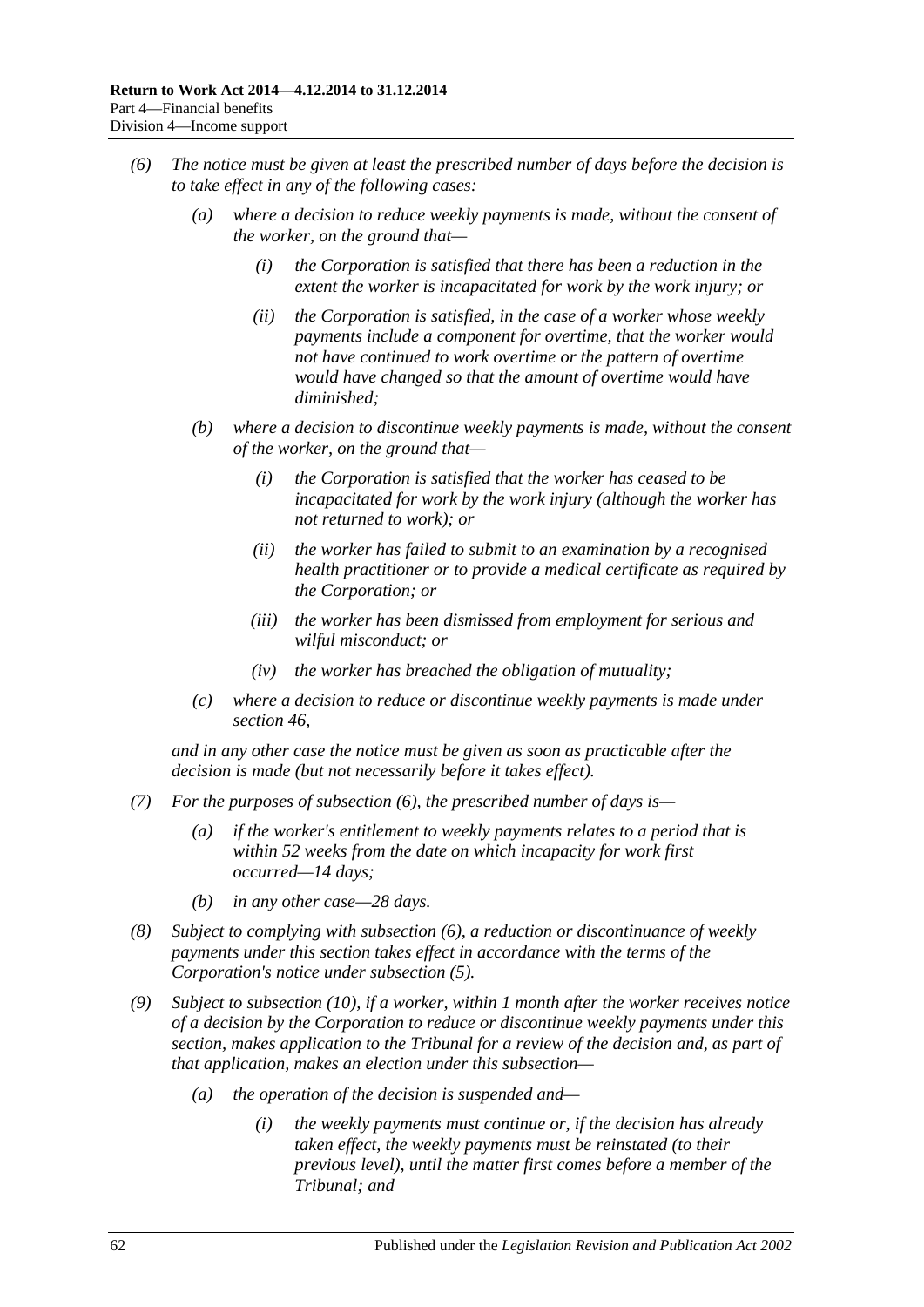- <span id="page-61-0"></span>*(6) The notice must be given at least the prescribed number of days before the decision is to take effect in any of the following cases:*
	- *(a) where a decision to reduce weekly payments is made, without the consent of the worker, on the ground that—*
		- *(i) the Corporation is satisfied that there has been a reduction in the extent the worker is incapacitated for work by the work injury; or*
		- *(ii) the Corporation is satisfied, in the case of a worker whose weekly payments include a component for overtime, that the worker would not have continued to work overtime or the pattern of overtime would have changed so that the amount of overtime would have diminished;*
	- *(b) where a decision to discontinue weekly payments is made, without the consent of the worker, on the ground that—*
		- *(i) the Corporation is satisfied that the worker has ceased to be incapacitated for work by the work injury (although the worker has not returned to work); or*
		- *(ii) the worker has failed to submit to an examination by a recognised health practitioner or to provide a medical certificate as required by the Corporation; or*
		- *(iii) the worker has been dismissed from employment for serious and wilful misconduct; or*
		- *(iv) the worker has breached the obligation of mutuality;*
	- *(c) where a decision to reduce or discontinue weekly payments is made under [section](#page-57-3) 46,*

*and in any other case the notice must be given as soon as practicable after the decision is made (but not necessarily before it takes effect).*

- *(7) For the purposes of [subsection](#page-61-0) (6), the prescribed number of days is—*
	- *(a) if the worker's entitlement to weekly payments relates to a period that is within 52 weeks from the date on which incapacity for work first occurred—14 days;*
	- *(b) in any other case—28 days.*
- *(8) Subject to complying with [subsection](#page-61-0) (6), a reduction or discontinuance of weekly payments under this section takes effect in accordance with the terms of the Corporation's notice under [subsection](#page-60-0) (5).*
- <span id="page-61-1"></span>*(9) Subject to [subsection](#page-62-0) (10), if a worker, within 1 month after the worker receives notice of a decision by the Corporation to reduce or discontinue weekly payments under this section, makes application to the Tribunal for a review of the decision and, as part of that application, makes an election under this subsection—*
	- *(a) the operation of the decision is suspended and—*
		- *(i) the weekly payments must continue or, if the decision has already taken effect, the weekly payments must be reinstated (to their previous level), until the matter first comes before a member of the Tribunal; and*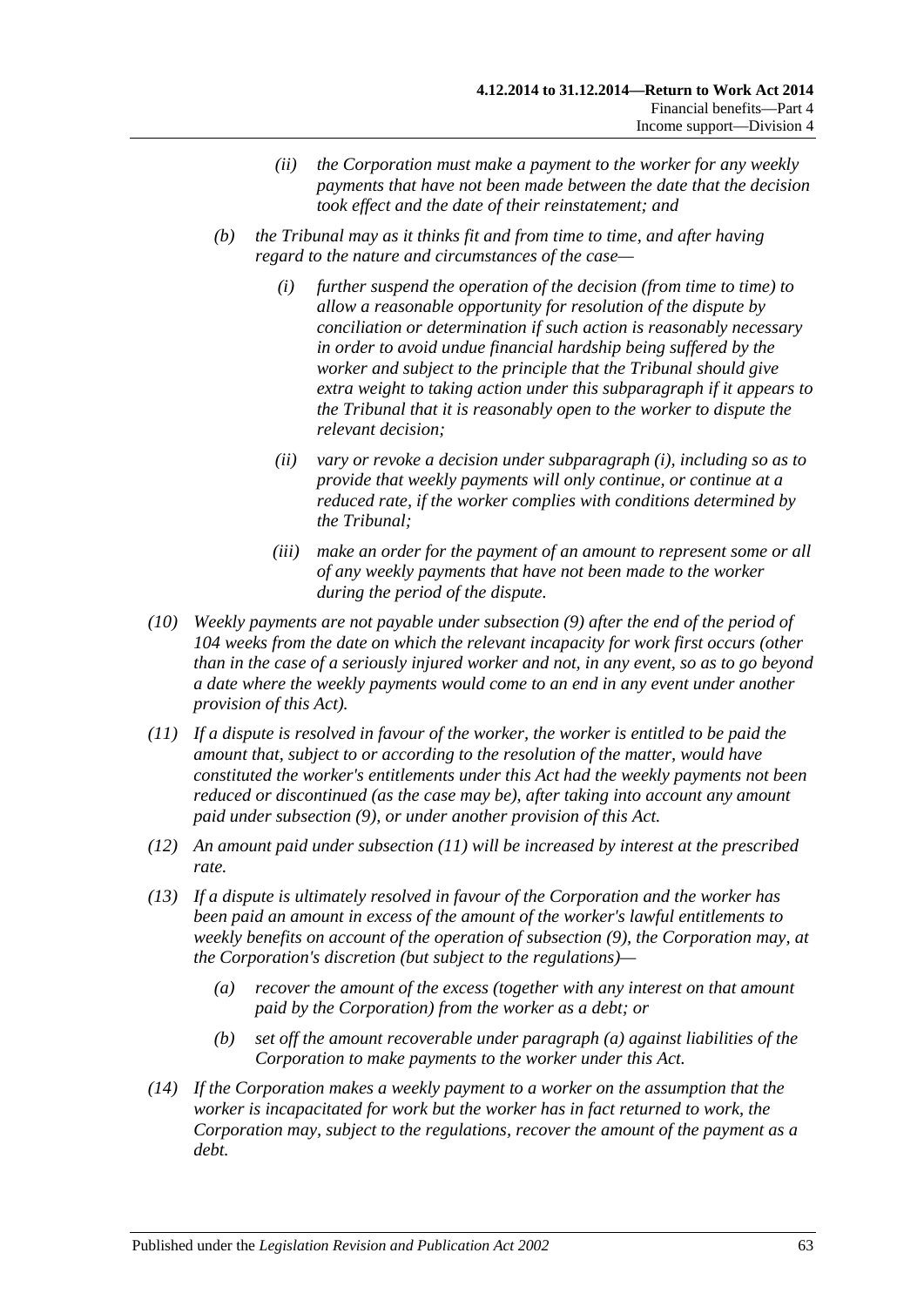- *(ii) the Corporation must make a payment to the worker for any weekly payments that have not been made between the date that the decision took effect and the date of their reinstatement; and*
- <span id="page-62-1"></span>*(b) the Tribunal may as it thinks fit and from time to time, and after having regard to the nature and circumstances of the case—*
	- *(i) further suspend the operation of the decision (from time to time) to allow a reasonable opportunity for resolution of the dispute by conciliation or determination if such action is reasonably necessary in order to avoid undue financial hardship being suffered by the worker and subject to the principle that the Tribunal should give extra weight to taking action under this subparagraph if it appears to the Tribunal that it is reasonably open to the worker to dispute the relevant decision;*
	- *(ii) vary or revoke a decision under [subparagraph](#page-62-1) (i), including so as to provide that weekly payments will only continue, or continue at a reduced rate, if the worker complies with conditions determined by the Tribunal;*
	- *(iii) make an order for the payment of an amount to represent some or all of any weekly payments that have not been made to the worker during the period of the dispute.*
- <span id="page-62-0"></span>*(10) Weekly payments are not payable under [subsection](#page-61-1) (9) after the end of the period of 104 weeks from the date on which the relevant incapacity for work first occurs (other than in the case of a seriously injured worker and not, in any event, so as to go beyond a date where the weekly payments would come to an end in any event under another provision of this Act).*
- <span id="page-62-2"></span>*(11) If a dispute is resolved in favour of the worker, the worker is entitled to be paid the amount that, subject to or according to the resolution of the matter, would have constituted the worker's entitlements under this Act had the weekly payments not been reduced or discontinued (as the case may be), after taking into account any amount paid under [subsection](#page-61-1) (9), or under another provision of this Act.*
- *(12) An amount paid under [subsection](#page-62-2) (11) will be increased by interest at the prescribed rate.*
- <span id="page-62-3"></span>*(13) If a dispute is ultimately resolved in favour of the Corporation and the worker has been paid an amount in excess of the amount of the worker's lawful entitlements to weekly benefits on account of the operation of [subsection](#page-61-1) (9), the Corporation may, at the Corporation's discretion (but subject to the regulations)—*
	- *(a) recover the amount of the excess (together with any interest on that amount paid by the Corporation) from the worker as a debt; or*
	- *(b) set off the amount recoverable under [paragraph](#page-62-3) (a) against liabilities of the Corporation to make payments to the worker under this Act.*
- *(14) If the Corporation makes a weekly payment to a worker on the assumption that the worker is incapacitated for work but the worker has in fact returned to work, the Corporation may, subject to the regulations, recover the amount of the payment as a debt.*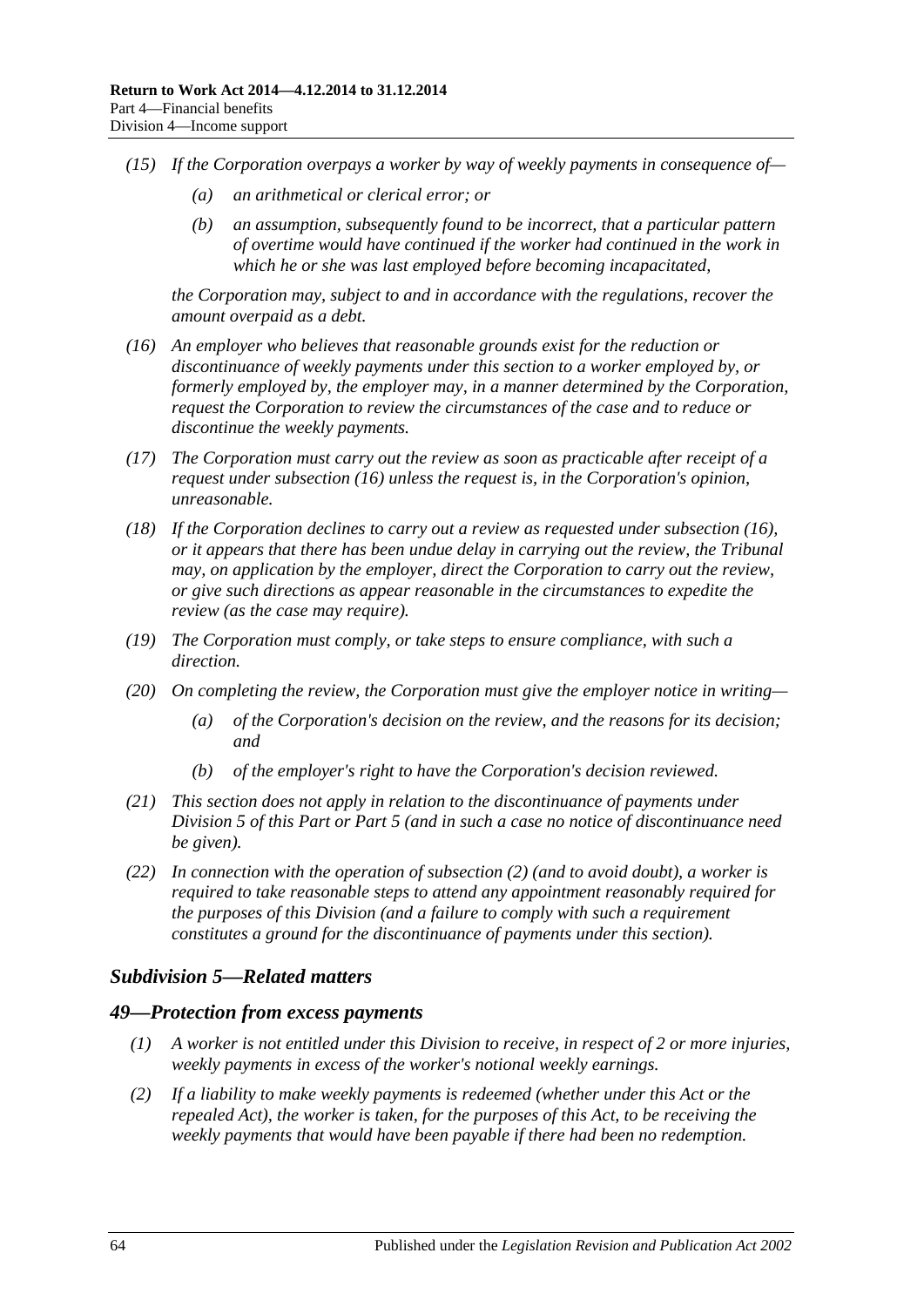- *(15) If the Corporation overpays a worker by way of weekly payments in consequence of—*
	- *(a) an arithmetical or clerical error; or*
	- *(b) an assumption, subsequently found to be incorrect, that a particular pattern of overtime would have continued if the worker had continued in the work in which he or she was last employed before becoming incapacitated,*

*the Corporation may, subject to and in accordance with the regulations, recover the amount overpaid as a debt.*

- <span id="page-63-0"></span>*(16) An employer who believes that reasonable grounds exist for the reduction or discontinuance of weekly payments under this section to a worker employed by, or formerly employed by, the employer may, in a manner determined by the Corporation, request the Corporation to review the circumstances of the case and to reduce or discontinue the weekly payments.*
- *(17) The Corporation must carry out the review as soon as practicable after receipt of a request under [subsection](#page-63-0) (16) unless the request is, in the Corporation's opinion, unreasonable.*
- *(18) If the Corporation declines to carry out a review as requested under [subsection](#page-63-0) (16), or it appears that there has been undue delay in carrying out the review, the Tribunal may, on application by the employer, direct the Corporation to carry out the review, or give such directions as appear reasonable in the circumstances to expedite the review (as the case may require).*
- *(19) The Corporation must comply, or take steps to ensure compliance, with such a direction.*
- *(20) On completing the review, the Corporation must give the employer notice in writing—*
	- *(a) of the Corporation's decision on the review, and the reasons for its decision; and*
	- *(b) of the employer's right to have the Corporation's decision reviewed.*
- *(21) This section does not apply in relation to the discontinuance of payments under [Division](#page-65-0) 5 of this Part or [Part](#page-83-0) 5 (and in such a case no notice of discontinuance need be given).*
- *(22) In connection with the operation of [subsection](#page-59-0) (2) (and to avoid doubt), a worker is required to take reasonable steps to attend any appointment reasonably required for the purposes of this Division (and a failure to comply with such a requirement constitutes a ground for the discontinuance of payments under this section).*

### *Subdivision 5—Related matters*

#### *49—Protection from excess payments*

- *(1) A worker is not entitled under this Division to receive, in respect of 2 or more injuries, weekly payments in excess of the worker's notional weekly earnings.*
- *(2) If a liability to make weekly payments is redeemed (whether under this Act or the repealed Act), the worker is taken, for the purposes of this Act, to be receiving the weekly payments that would have been payable if there had been no redemption.*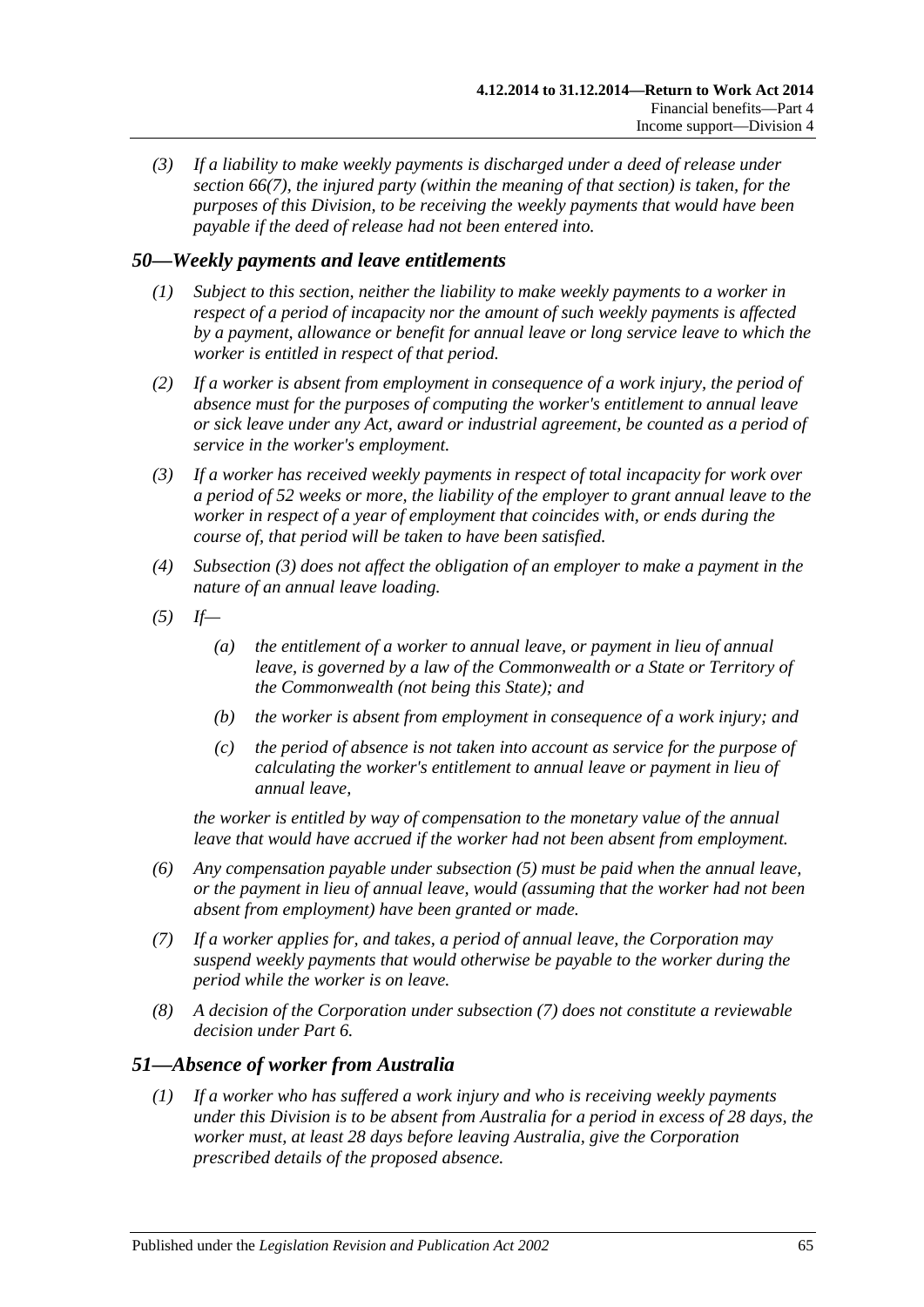*(3) If a liability to make weekly payments is discharged under a deed of release under [section](#page-79-0) 66(7), the injured party (within the meaning of that section) is taken, for the purposes of this Division, to be receiving the weekly payments that would have been payable if the deed of release had not been entered into.*

## *50—Weekly payments and leave entitlements*

- *(1) Subject to this section, neither the liability to make weekly payments to a worker in respect of a period of incapacity nor the amount of such weekly payments is affected by a payment, allowance or benefit for annual leave or long service leave to which the worker is entitled in respect of that period.*
- *(2) If a worker is absent from employment in consequence of a work injury, the period of absence must for the purposes of computing the worker's entitlement to annual leave or sick leave under any Act, award or industrial agreement, be counted as a period of service in the worker's employment.*
- <span id="page-64-0"></span>*(3) If a worker has received weekly payments in respect of total incapacity for work over a period of 52 weeks or more, the liability of the employer to grant annual leave to the worker in respect of a year of employment that coincides with, or ends during the course of, that period will be taken to have been satisfied.*
- *(4) [Subsection](#page-64-0) (3) does not affect the obligation of an employer to make a payment in the nature of an annual leave loading.*
- <span id="page-64-1"></span>*(5) If—*
	- *(a) the entitlement of a worker to annual leave, or payment in lieu of annual leave, is governed by a law of the Commonwealth or a State or Territory of the Commonwealth (not being this State); and*
	- *(b) the worker is absent from employment in consequence of a work injury; and*
	- *(c) the period of absence is not taken into account as service for the purpose of calculating the worker's entitlement to annual leave or payment in lieu of annual leave,*

*the worker is entitled by way of compensation to the monetary value of the annual leave that would have accrued if the worker had not been absent from employment.*

- *(6) Any compensation payable under [subsection](#page-64-1) (5) must be paid when the annual leave, or the payment in lieu of annual leave, would (assuming that the worker had not been absent from employment) have been granted or made.*
- <span id="page-64-2"></span>*(7) If a worker applies for, and takes, a period of annual leave, the Corporation may suspend weekly payments that would otherwise be payable to the worker during the period while the worker is on leave.*
- *(8) A decision of the Corporation under [subsection](#page-64-2) (7) does not constitute a reviewable decision under [Part](#page-95-0) 6.*

### <span id="page-64-3"></span>*51—Absence of worker from Australia*

*(1) If a worker who has suffered a work injury and who is receiving weekly payments under this Division is to be absent from Australia for a period in excess of 28 days, the worker must, at least 28 days before leaving Australia, give the Corporation prescribed details of the proposed absence.*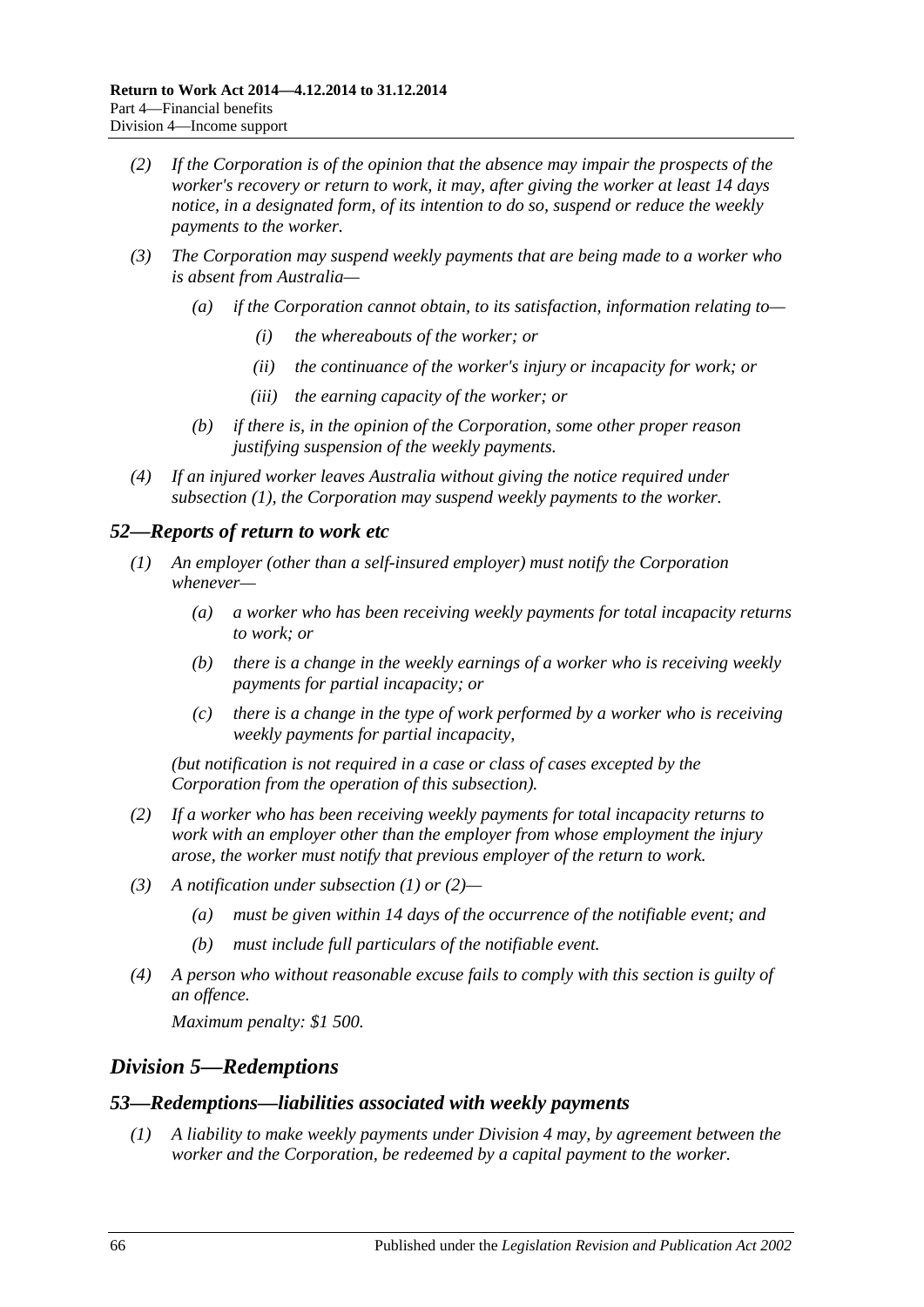- *(2) If the Corporation is of the opinion that the absence may impair the prospects of the worker's recovery or return to work, it may, after giving the worker at least 14 days notice, in a designated form, of its intention to do so, suspend or reduce the weekly payments to the worker.*
- *(3) The Corporation may suspend weekly payments that are being made to a worker who is absent from Australia—*
	- *(a) if the Corporation cannot obtain, to its satisfaction, information relating to—*
		- *(i) the whereabouts of the worker; or*
		- *(ii) the continuance of the worker's injury or incapacity for work; or*
		- *(iii) the earning capacity of the worker; or*
	- *(b) if there is, in the opinion of the Corporation, some other proper reason justifying suspension of the weekly payments.*
- *(4) If an injured worker leaves Australia without giving the notice required under [subsection](#page-64-3) (1), the Corporation may suspend weekly payments to the worker.*

#### <span id="page-65-1"></span>*52—Reports of return to work etc*

- *(1) An employer (other than a self-insured employer) must notify the Corporation whenever—*
	- *(a) a worker who has been receiving weekly payments for total incapacity returns to work; or*
	- *(b) there is a change in the weekly earnings of a worker who is receiving weekly payments for partial incapacity; or*
	- *(c) there is a change in the type of work performed by a worker who is receiving weekly payments for partial incapacity,*

*(but notification is not required in a case or class of cases excepted by the Corporation from the operation of this subsection).*

- <span id="page-65-2"></span>*(2) If a worker who has been receiving weekly payments for total incapacity returns to work with an employer other than the employer from whose employment the injury arose, the worker must notify that previous employer of the return to work.*
- *(3) A notification under [subsection](#page-65-1) (1) or [\(2\)—](#page-65-2)*
	- *(a) must be given within 14 days of the occurrence of the notifiable event; and*
	- *(b) must include full particulars of the notifiable event.*
- *(4) A person who without reasonable excuse fails to comply with this section is guilty of an offence.*

*Maximum penalty: \$1 500.*

### <span id="page-65-0"></span>*Division 5—Redemptions*

#### *53—Redemptions—liabilities associated with weekly payments*

*(1) A liability to make weekly payments under [Division](#page-51-0) 4 may, by agreement between the worker and the Corporation, be redeemed by a capital payment to the worker.*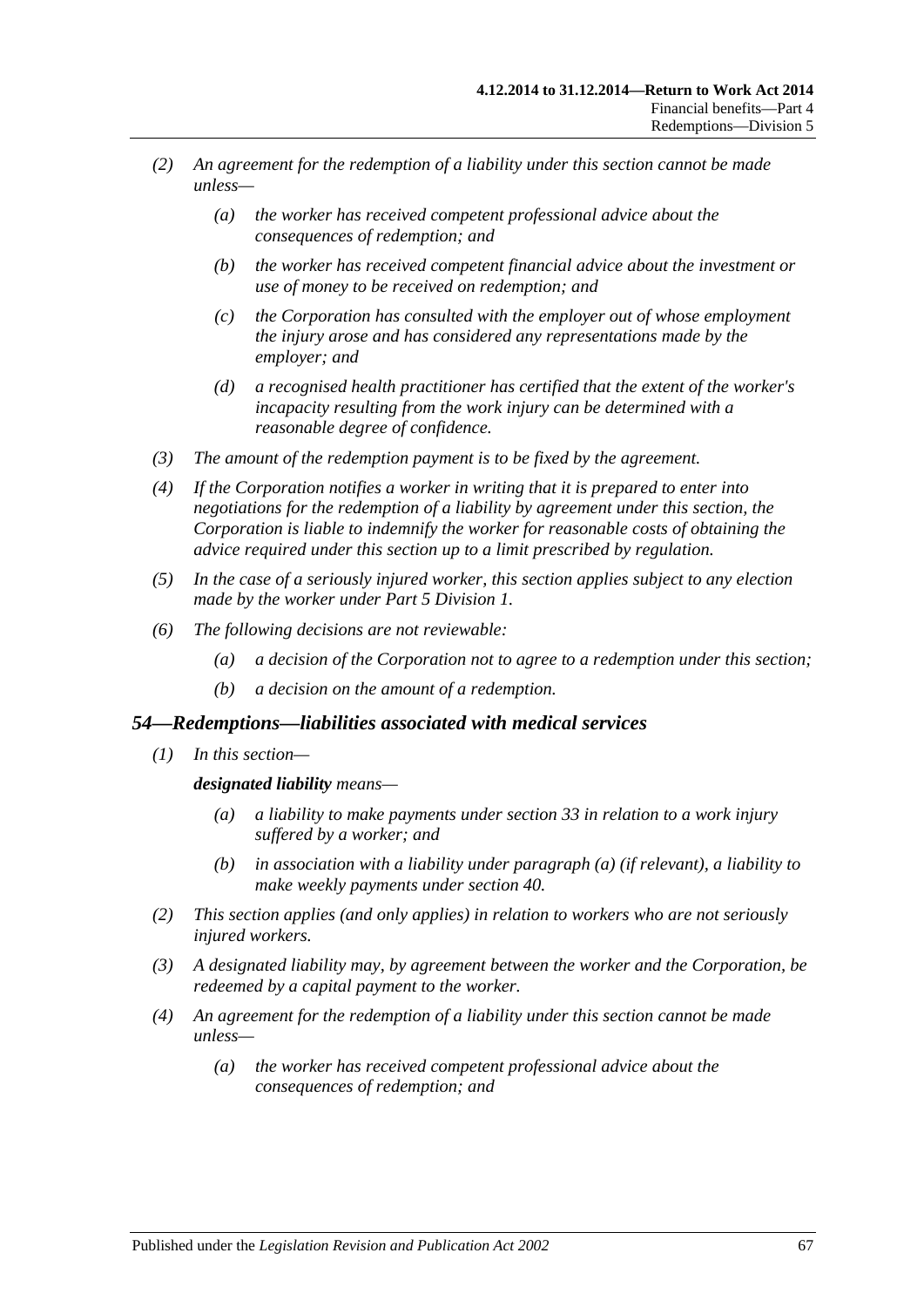- *(2) An agreement for the redemption of a liability under this section cannot be made unless—*
	- *(a) the worker has received competent professional advice about the consequences of redemption; and*
	- *(b) the worker has received competent financial advice about the investment or use of money to be received on redemption; and*
	- *(c) the Corporation has consulted with the employer out of whose employment the injury arose and has considered any representations made by the employer; and*
	- *(d) a recognised health practitioner has certified that the extent of the worker's incapacity resulting from the work injury can be determined with a reasonable degree of confidence.*
- *(3) The amount of the redemption payment is to be fixed by the agreement.*
- *(4) If the Corporation notifies a worker in writing that it is prepared to enter into negotiations for the redemption of a liability by agreement under this section, the Corporation is liable to indemnify the worker for reasonable costs of obtaining the advice required under this section up to a limit prescribed by regulation.*
- *(5) In the case of a seriously injured worker, this section applies subject to any election made by the worker under Part [5 Division](#page-83-1) 1.*
- *(6) The following decisions are not reviewable:*
	- *(a) a decision of the Corporation not to agree to a redemption under this section;*
	- *(b) a decision on the amount of a redemption.*

#### *54—Redemptions—liabilities associated with medical services*

<span id="page-66-0"></span>*(1) In this section—*

#### *designated liability means—*

- *(a) a liability to make payments under [section](#page-47-3) 33 in relation to a work injury suffered by a worker; and*
- *(b) in association with a liability under [paragraph](#page-66-0) (a) (if relevant), a liability to make weekly payments under [section](#page-53-2) 40.*
- *(2) This section applies (and only applies) in relation to workers who are not seriously injured workers.*
- *(3) A designated liability may, by agreement between the worker and the Corporation, be redeemed by a capital payment to the worker.*
- *(4) An agreement for the redemption of a liability under this section cannot be made unless—*
	- *(a) the worker has received competent professional advice about the consequences of redemption; and*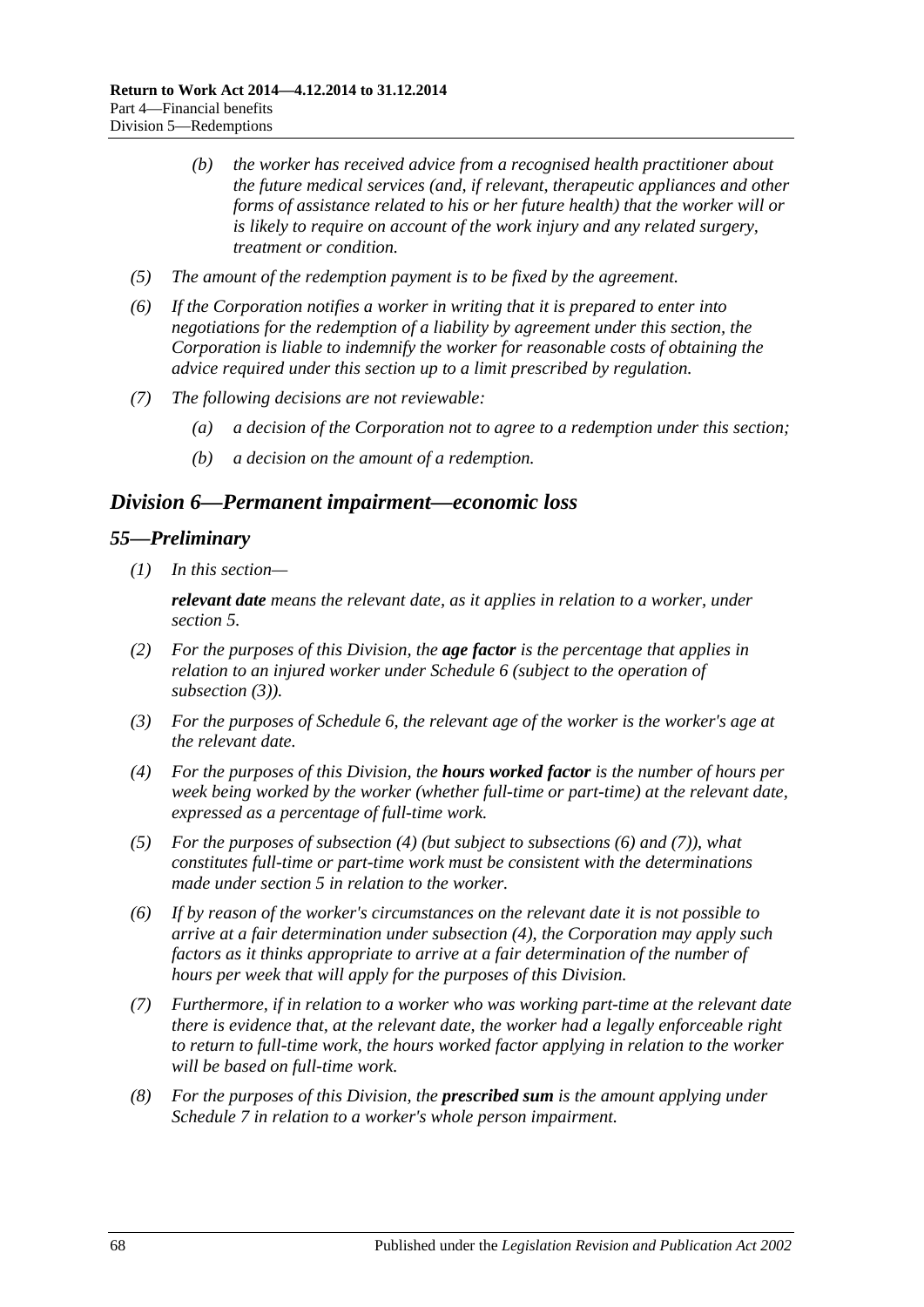- *(b) the worker has received advice from a recognised health practitioner about the future medical services (and, if relevant, therapeutic appliances and other forms of assistance related to his or her future health) that the worker will or is likely to require on account of the work injury and any related surgery, treatment or condition.*
- *(5) The amount of the redemption payment is to be fixed by the agreement.*
- *(6) If the Corporation notifies a worker in writing that it is prepared to enter into negotiations for the redemption of a liability by agreement under this section, the Corporation is liable to indemnify the worker for reasonable costs of obtaining the advice required under this section up to a limit prescribed by regulation.*
- *(7) The following decisions are not reviewable:*
	- *(a) a decision of the Corporation not to agree to a redemption under this section;*
	- *(b) a decision on the amount of a redemption.*

### <span id="page-67-0"></span>*Division 6—Permanent impairment—economic loss*

#### *55—Preliminary*

*(1) In this section—*

*relevant date means the relevant date, as it applies in relation to a worker, under [section](#page-20-0) 5.*

- *(2) For the purposes of this Division, the age factor is the percentage that applies in relation to an injured worker under [Schedule](#page-164-0) 6 (subject to the operation of [subsection](#page-67-1) (3)).*
- <span id="page-67-1"></span>*(3) For the purposes of [Schedule](#page-164-0) 6, the relevant age of the worker is the worker's age at the relevant date.*
- <span id="page-67-2"></span>*(4) For the purposes of this Division, the hours worked factor is the number of hours per week being worked by the worker (whether full-time or part-time) at the relevant date, expressed as a percentage of full-time work.*
- *(5) For the purposes of [subsection](#page-67-2) (4) (but subject to [subsections](#page-67-3) (6) and [\(7\)\)](#page-67-4), what constitutes full-time or part-time work must be consistent with the determinations made under [section](#page-20-0) 5 in relation to the worker.*
- <span id="page-67-3"></span>*(6) If by reason of the worker's circumstances on the relevant date it is not possible to arrive at a fair determination under [subsection](#page-67-2) (4), the Corporation may apply such factors as it thinks appropriate to arrive at a fair determination of the number of hours per week that will apply for the purposes of this Division.*
- <span id="page-67-4"></span>*(7) Furthermore, if in relation to a worker who was working part-time at the relevant date there is evidence that, at the relevant date, the worker had a legally enforceable right to return to full-time work, the hours worked factor applying in relation to the worker will be based on full-time work.*
- <span id="page-67-5"></span>*(8) For the purposes of this Division, the prescribed sum is the amount applying under [Schedule](#page-166-0) 7 in relation to a worker's whole person impairment.*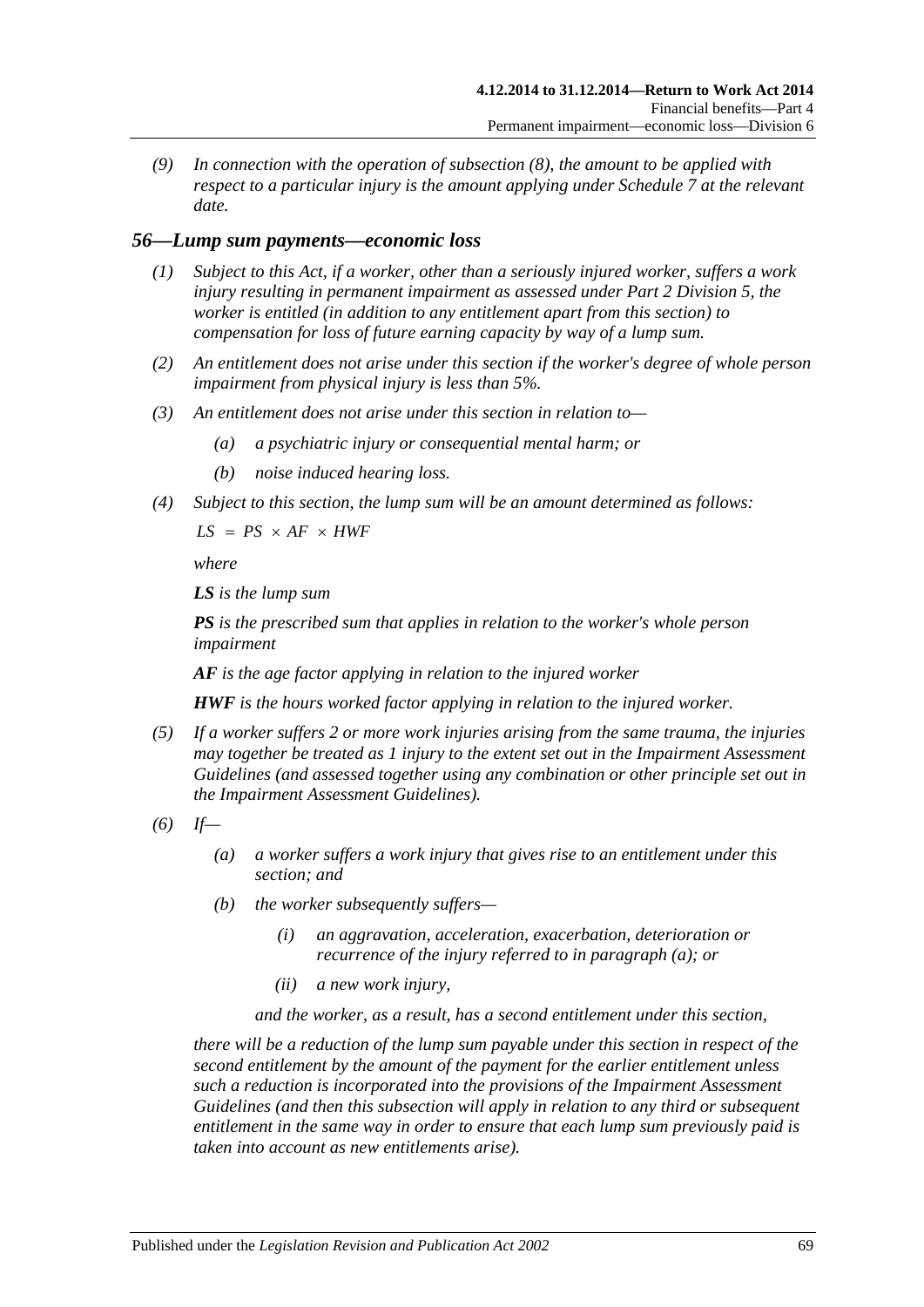*(9) In connection with the operation of [subsection](#page-67-5) (8), the amount to be applied with respect to a particular injury is the amount applying under [Schedule](#page-166-0) 7 at the relevant date.*

### *56—Lump sum payments—economic loss*

- *(1) Subject to this Act, if a worker, other than a seriously injured worker, suffers a work injury resulting in permanent impairment as assessed under Part [2 Division](#page-36-0) 5, the worker is entitled (in addition to any entitlement apart from this section) to compensation for loss of future earning capacity by way of a lump sum.*
- *(2) An entitlement does not arise under this section if the worker's degree of whole person impairment from physical injury is less than 5%.*
- *(3) An entitlement does not arise under this section in relation to—*
	- *(a) a psychiatric injury or consequential mental harm; or*
	- *(b) noise induced hearing loss.*
- *(4) Subject to this section, the lump sum will be an amount determined as follows:*

 $LS = PS \times AF \times HWF$ 

*where*

*LS is the lump sum*

*PS is the prescribed sum that applies in relation to the worker's whole person impairment*

*AF is the age factor applying in relation to the injured worker*

*HWF is the hours worked factor applying in relation to the injured worker.*

- *(5) If a worker suffers 2 or more work injuries arising from the same trauma, the injuries may together be treated as 1 injury to the extent set out in the Impairment Assessment Guidelines (and assessed together using any combination or other principle set out in the Impairment Assessment Guidelines).*
- <span id="page-68-0"></span>*(6) If—*
	- *(a) a worker suffers a work injury that gives rise to an entitlement under this section; and*
	- *(b) the worker subsequently suffers—*
		- *(i) an aggravation, acceleration, exacerbation, deterioration or recurrence of the injury referred to in [paragraph](#page-68-0) (a); or*
		- *(ii) a new work injury,*

*and the worker, as a result, has a second entitlement under this section,*

*there will be a reduction of the lump sum payable under this section in respect of the second entitlement by the amount of the payment for the earlier entitlement unless such a reduction is incorporated into the provisions of the Impairment Assessment Guidelines (and then this subsection will apply in relation to any third or subsequent entitlement in the same way in order to ensure that each lump sum previously paid is taken into account as new entitlements arise).*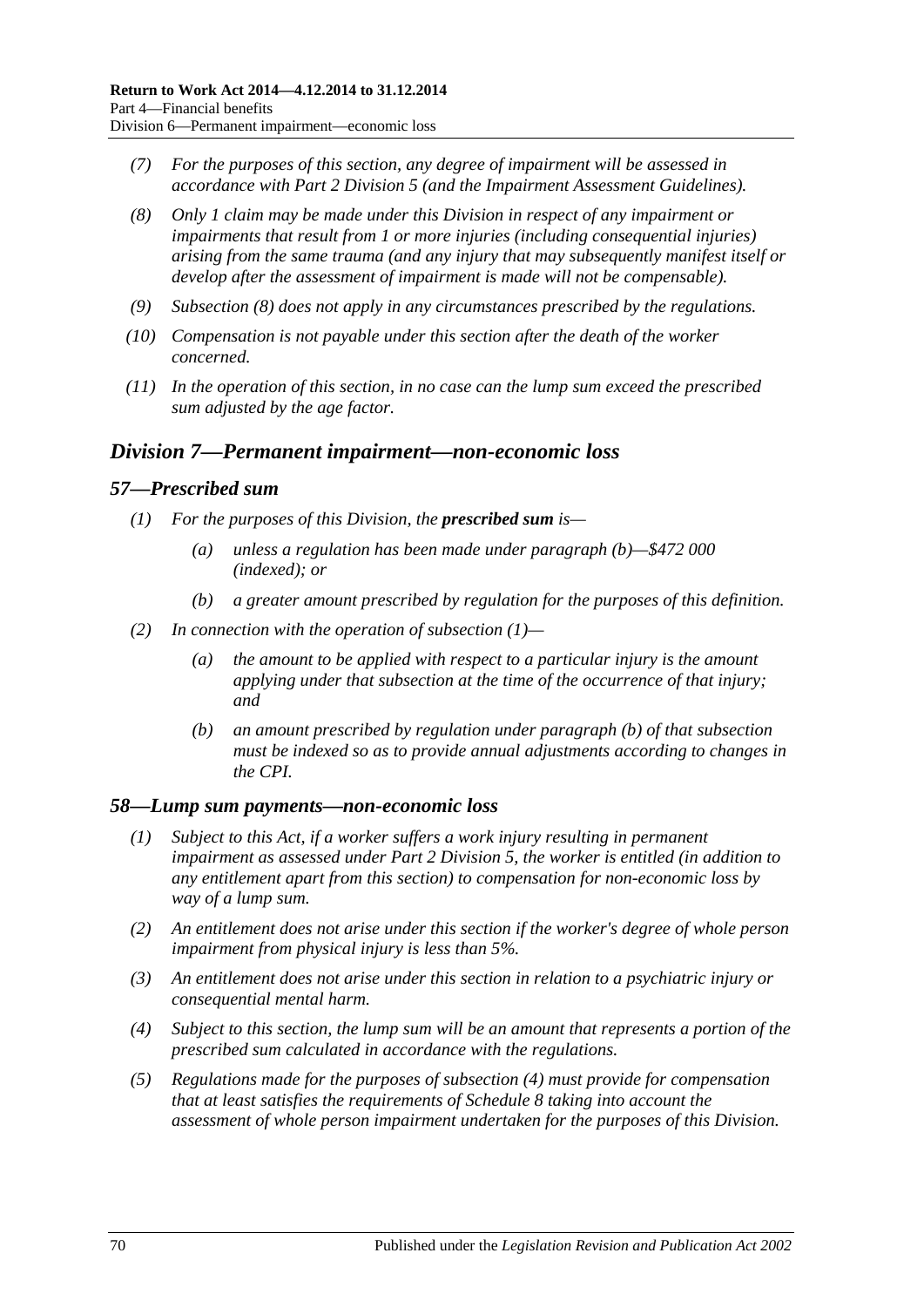- *(7) For the purposes of this section, any degree of impairment will be assessed in accordance with Part [2 Division](#page-36-0) 5 (and the Impairment Assessment Guidelines).*
- <span id="page-69-1"></span>*(8) Only 1 claim may be made under this Division in respect of any impairment or impairments that result from 1 or more injuries (including consequential injuries) arising from the same trauma (and any injury that may subsequently manifest itself or develop after the assessment of impairment is made will not be compensable).*
- *(9) [Subsection](#page-69-1) (8) does not apply in any circumstances prescribed by the regulations.*
- *(10) Compensation is not payable under this section after the death of the worker concerned.*
- *(11) In the operation of this section, in no case can the lump sum exceed the prescribed sum adjusted by the age factor.*

## <span id="page-69-0"></span>*Division 7—Permanent impairment—non-economic loss*

#### <span id="page-69-3"></span>*57—Prescribed sum*

- *(1) For the purposes of this Division, the prescribed sum is—*
	- *(a) unless a regulation has been made under [paragraph](#page-69-2) (b)—\$472 000 (indexed); or*
	- *(b) a greater amount prescribed by regulation for the purposes of this definition.*
- <span id="page-69-2"></span>*(2) In connection with the operation of [subsection](#page-69-3) (1)—*
	- *(a) the amount to be applied with respect to a particular injury is the amount applying under that subsection at the time of the occurrence of that injury; and*
	- *(b) an amount prescribed by regulation under [paragraph](#page-69-2) (b) of that subsection must be indexed so as to provide annual adjustments according to changes in the CPI.*

#### *58—Lump sum payments—non-economic loss*

- *(1) Subject to this Act, if a worker suffers a work injury resulting in permanent impairment as assessed under Part [2 Division](#page-36-0) 5, the worker is entitled (in addition to any entitlement apart from this section) to compensation for non-economic loss by way of a lump sum.*
- *(2) An entitlement does not arise under this section if the worker's degree of whole person impairment from physical injury is less than 5%.*
- *(3) An entitlement does not arise under this section in relation to a psychiatric injury or consequential mental harm.*
- <span id="page-69-4"></span>*(4) Subject to this section, the lump sum will be an amount that represents a portion of the prescribed sum calculated in accordance with the regulations.*
- *(5) Regulations made for the purposes of [subsection](#page-69-4) (4) must provide for compensation that at least satisfies the requirements of [Schedule](#page-166-1) 8 taking into account the assessment of whole person impairment undertaken for the purposes of this Division.*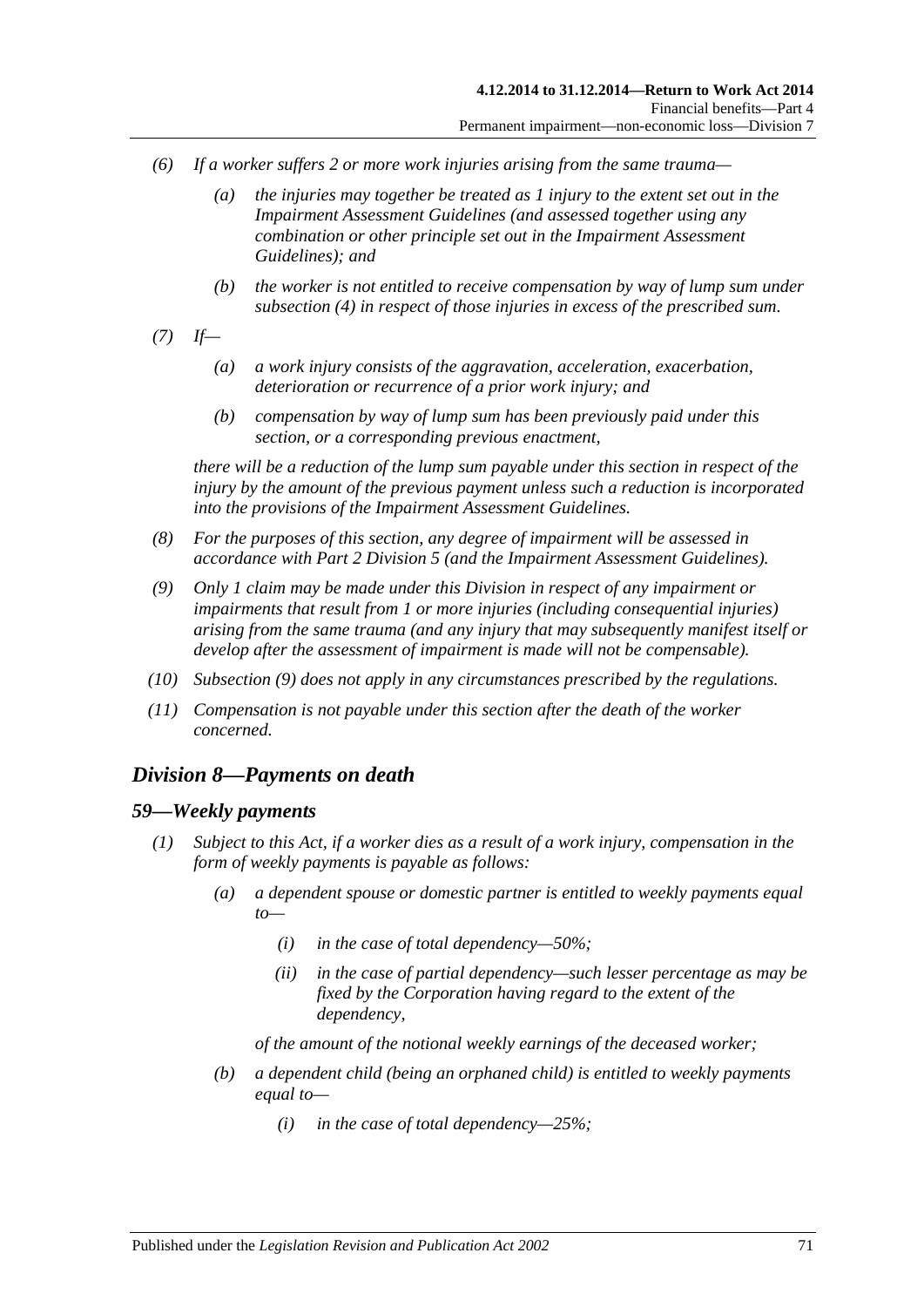- *(6) If a worker suffers 2 or more work injuries arising from the same trauma—*
	- *(a) the injuries may together be treated as 1 injury to the extent set out in the Impairment Assessment Guidelines (and assessed together using any combination or other principle set out in the Impairment Assessment Guidelines); and*
	- *(b) the worker is not entitled to receive compensation by way of lump sum under [subsection](#page-69-4) (4) in respect of those injuries in excess of the prescribed sum.*
- *(7) If—*
	- *(a) a work injury consists of the aggravation, acceleration, exacerbation, deterioration or recurrence of a prior work injury; and*
	- *(b) compensation by way of lump sum has been previously paid under this section, or a corresponding previous enactment,*

*there will be a reduction of the lump sum payable under this section in respect of the injury by the amount of the previous payment unless such a reduction is incorporated into the provisions of the Impairment Assessment Guidelines.*

- *(8) For the purposes of this section, any degree of impairment will be assessed in accordance with Part [2 Division](#page-36-0) 5 (and the Impairment Assessment Guidelines).*
- <span id="page-70-0"></span>*(9) Only 1 claim may be made under this Division in respect of any impairment or impairments that result from 1 or more injuries (including consequential injuries) arising from the same trauma (and any injury that may subsequently manifest itself or develop after the assessment of impairment is made will not be compensable).*
- *(10) [Subsection](#page-70-0) (9) does not apply in any circumstances prescribed by the regulations.*
- *(11) Compensation is not payable under this section after the death of the worker concerned.*

### *Division 8—Payments on death*

#### <span id="page-70-1"></span>*59—Weekly payments*

- *(1) Subject to this Act, if a worker dies as a result of a work injury, compensation in the form of weekly payments is payable as follows:*
	- *(a) a dependent spouse or domestic partner is entitled to weekly payments equal to—*
		- *(i) in the case of total dependency—50%;*
		- *(ii) in the case of partial dependency—such lesser percentage as may be fixed by the Corporation having regard to the extent of the dependency,*

*of the amount of the notional weekly earnings of the deceased worker;*

- <span id="page-70-2"></span>*(b) a dependent child (being an orphaned child) is entitled to weekly payments equal to—*
	- *(i) in the case of total dependency—25%;*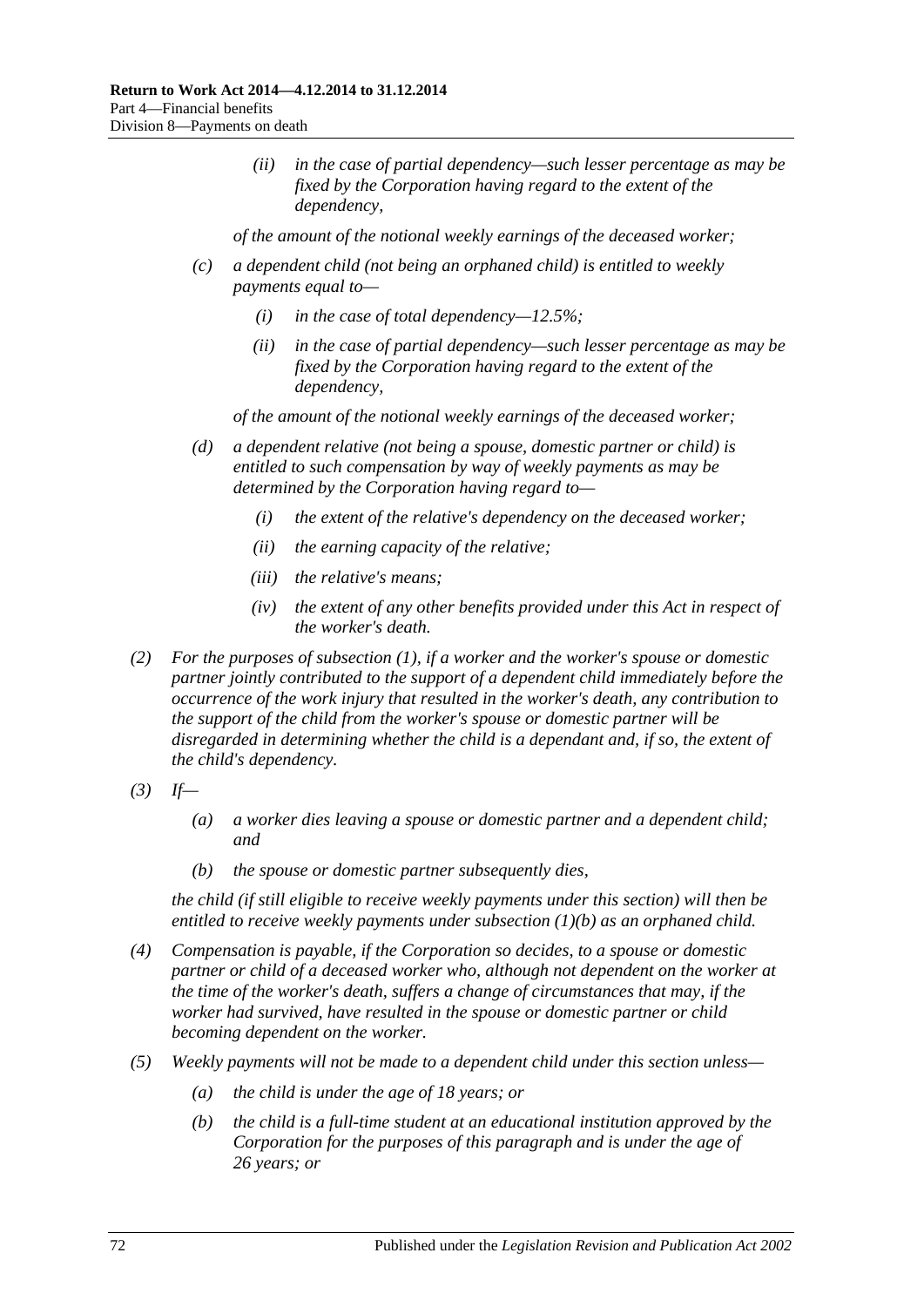*(ii) in the case of partial dependency—such lesser percentage as may be fixed by the Corporation having regard to the extent of the dependency,*

*of the amount of the notional weekly earnings of the deceased worker;*

- *(c) a dependent child (not being an orphaned child) is entitled to weekly payments equal to—*
	- *(i) in the case of total dependency—12.5%;*
	- *(ii) in the case of partial dependency—such lesser percentage as may be fixed by the Corporation having regard to the extent of the dependency,*

*of the amount of the notional weekly earnings of the deceased worker;*

- *(d) a dependent relative (not being a spouse, domestic partner or child) is entitled to such compensation by way of weekly payments as may be determined by the Corporation having regard to—*
	- *(i) the extent of the relative's dependency on the deceased worker;*
	- *(ii) the earning capacity of the relative;*
	- *(iii) the relative's means;*
	- *(iv) the extent of any other benefits provided under this Act in respect of the worker's death.*
- *(2) For the purposes of [subsection](#page-70-1) (1), if a worker and the worker's spouse or domestic partner jointly contributed to the support of a dependent child immediately before the occurrence of the work injury that resulted in the worker's death, any contribution to the support of the child from the worker's spouse or domestic partner will be disregarded in determining whether the child is a dependant and, if so, the extent of the child's dependency.*
- *(3) If—*
	- *(a) a worker dies leaving a spouse or domestic partner and a dependent child; and*
	- *(b) the spouse or domestic partner subsequently dies,*

*the child (if still eligible to receive weekly payments under this section) will then be entitled to receive weekly payments under [subsection](#page-70-2) (1)(b) as an orphaned child.*

- *(4) Compensation is payable, if the Corporation so decides, to a spouse or domestic partner or child of a deceased worker who, although not dependent on the worker at the time of the worker's death, suffers a change of circumstances that may, if the worker had survived, have resulted in the spouse or domestic partner or child becoming dependent on the worker.*
- *(5) Weekly payments will not be made to a dependent child under this section unless—*
	- *(a) the child is under the age of 18 years; or*
	- *(b) the child is a full-time student at an educational institution approved by the Corporation for the purposes of this paragraph and is under the age of 26 years; or*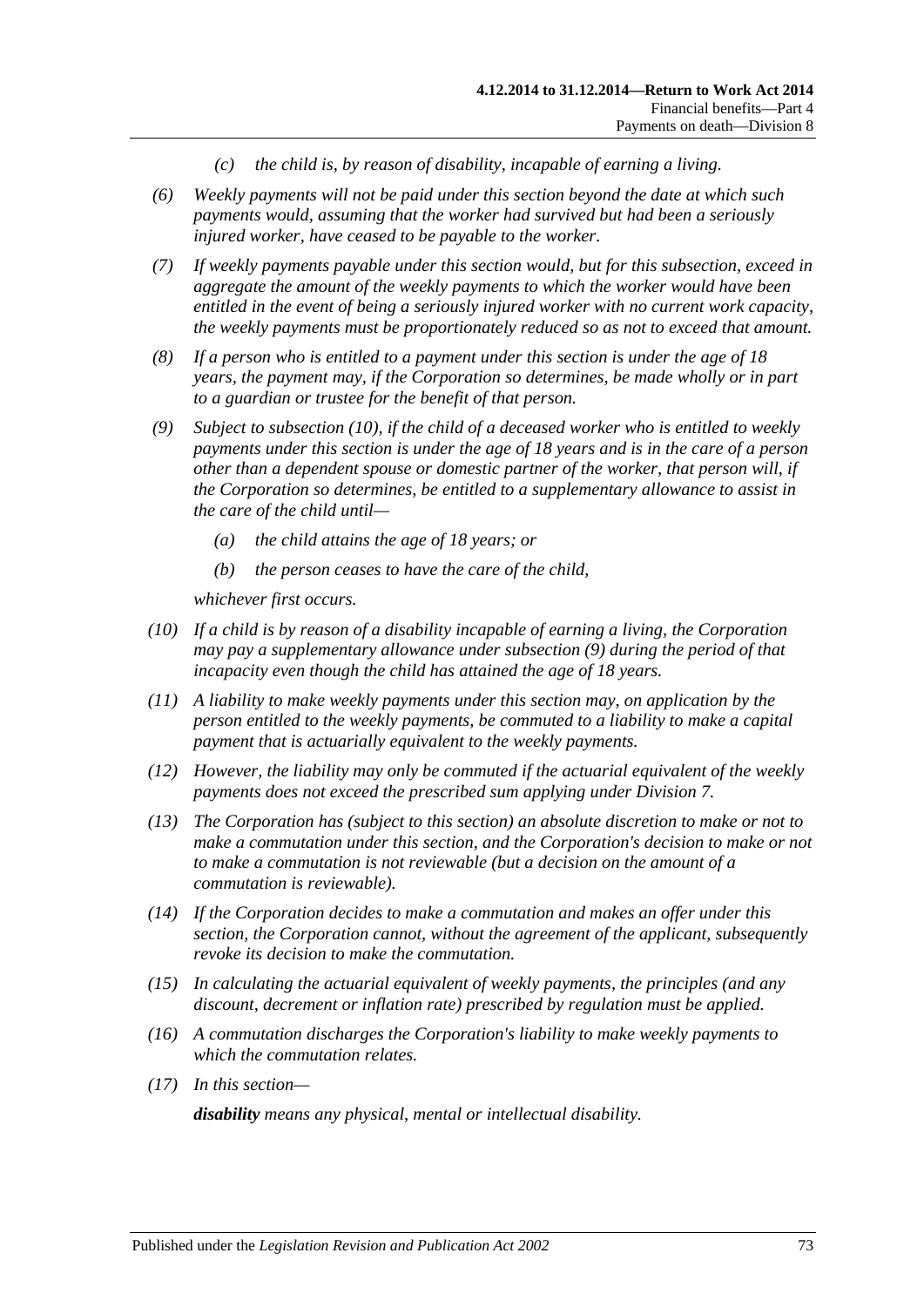- *(c) the child is, by reason of disability, incapable of earning a living.*
- *(6) Weekly payments will not be paid under this section beyond the date at which such payments would, assuming that the worker had survived but had been a seriously injured worker, have ceased to be payable to the worker.*
- *(7) If weekly payments payable under this section would, but for this subsection, exceed in aggregate the amount of the weekly payments to which the worker would have been entitled in the event of being a seriously injured worker with no current work capacity, the weekly payments must be proportionately reduced so as not to exceed that amount.*
- *(8) If a person who is entitled to a payment under this section is under the age of 18 years, the payment may, if the Corporation so determines, be made wholly or in part to a guardian or trustee for the benefit of that person.*
- <span id="page-72-1"></span>*(9) Subject to [subsection](#page-72-0) (10), if the child of a deceased worker who is entitled to weekly payments under this section is under the age of 18 years and is in the care of a person other than a dependent spouse or domestic partner of the worker, that person will, if the Corporation so determines, be entitled to a supplementary allowance to assist in the care of the child until—*
	- *(a) the child attains the age of 18 years; or*
	- *(b) the person ceases to have the care of the child,*

*whichever first occurs.*

- <span id="page-72-0"></span>*(10) If a child is by reason of a disability incapable of earning a living, the Corporation may pay a supplementary allowance under [subsection](#page-72-1) (9) during the period of that incapacity even though the child has attained the age of 18 years.*
- *(11) A liability to make weekly payments under this section may, on application by the person entitled to the weekly payments, be commuted to a liability to make a capital payment that is actuarially equivalent to the weekly payments.*
- *(12) However, the liability may only be commuted if the actuarial equivalent of the weekly payments does not exceed the prescribed sum applying under [Division](#page-69-0) 7.*
- *(13) The Corporation has (subject to this section) an absolute discretion to make or not to make a commutation under this section, and the Corporation's decision to make or not to make a commutation is not reviewable (but a decision on the amount of a commutation is reviewable).*
- *(14) If the Corporation decides to make a commutation and makes an offer under this section, the Corporation cannot, without the agreement of the applicant, subsequently revoke its decision to make the commutation.*
- *(15) In calculating the actuarial equivalent of weekly payments, the principles (and any discount, decrement or inflation rate) prescribed by regulation must be applied.*
- *(16) A commutation discharges the Corporation's liability to make weekly payments to which the commutation relates.*
- *(17) In this section—*

*disability means any physical, mental or intellectual disability.*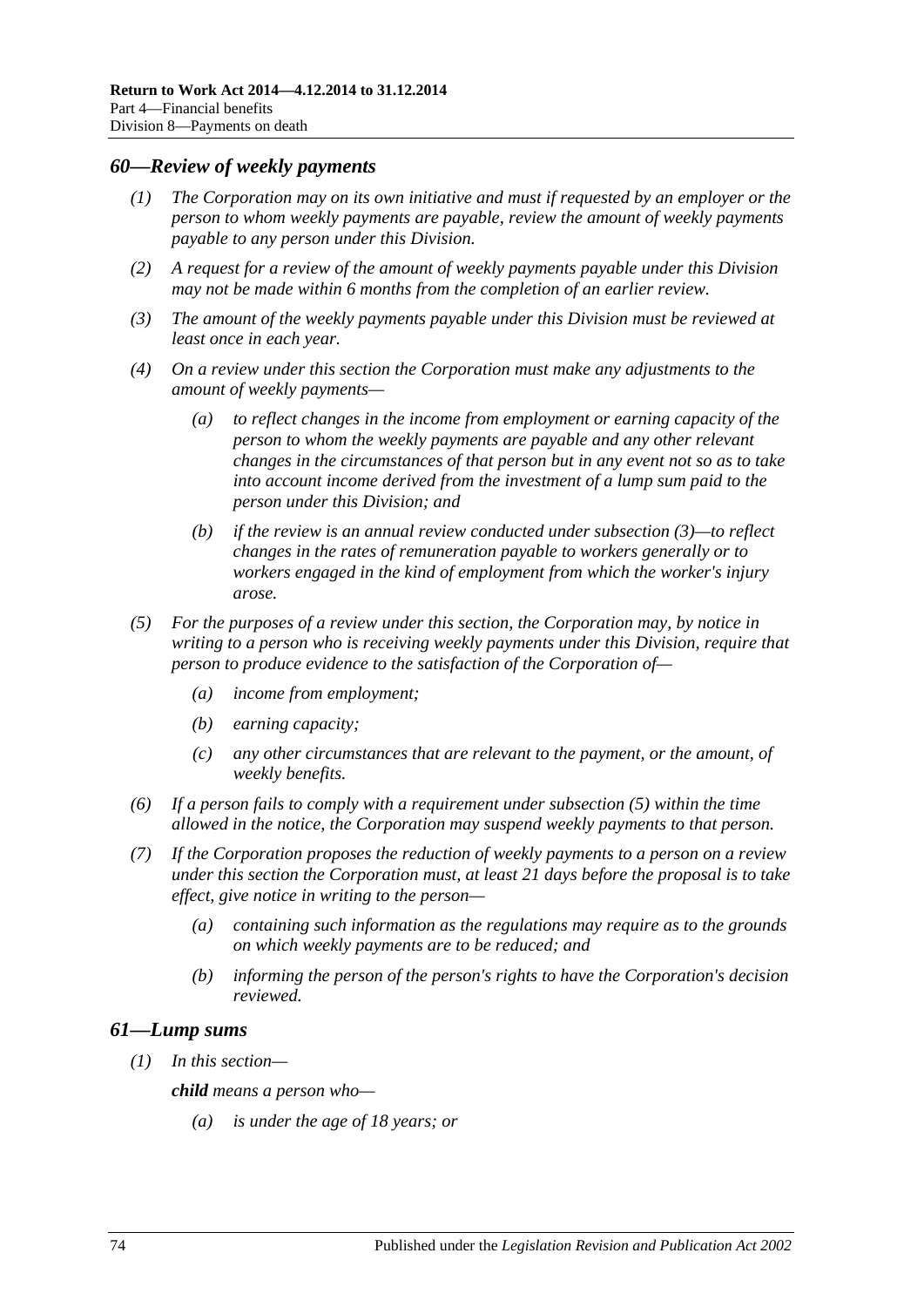#### <span id="page-73-2"></span>*60—Review of weekly payments*

- *(1) The Corporation may on its own initiative and must if requested by an employer or the person to whom weekly payments are payable, review the amount of weekly payments payable to any person under this Division.*
- *(2) A request for a review of the amount of weekly payments payable under this Division may not be made within 6 months from the completion of an earlier review.*
- <span id="page-73-0"></span>*(3) The amount of the weekly payments payable under this Division must be reviewed at least once in each year.*
- *(4) On a review under this section the Corporation must make any adjustments to the amount of weekly payments—*
	- *(a) to reflect changes in the income from employment or earning capacity of the person to whom the weekly payments are payable and any other relevant changes in the circumstances of that person but in any event not so as to take into account income derived from the investment of a lump sum paid to the person under this Division; and*
	- *(b) if the review is an annual review conducted under [subsection](#page-73-0) (3)—to reflect changes in the rates of remuneration payable to workers generally or to workers engaged in the kind of employment from which the worker's injury arose.*
- <span id="page-73-1"></span>*(5) For the purposes of a review under this section, the Corporation may, by notice in writing to a person who is receiving weekly payments under this Division, require that person to produce evidence to the satisfaction of the Corporation of—*
	- *(a) income from employment;*
	- *(b) earning capacity;*
	- *(c) any other circumstances that are relevant to the payment, or the amount, of weekly benefits.*
- *(6) If a person fails to comply with a requirement under [subsection](#page-73-1) (5) within the time allowed in the notice, the Corporation may suspend weekly payments to that person.*
- *(7) If the Corporation proposes the reduction of weekly payments to a person on a review under this section the Corporation must, at least 21 days before the proposal is to take effect, give notice in writing to the person—*
	- *(a) containing such information as the regulations may require as to the grounds on which weekly payments are to be reduced; and*
	- *(b) informing the person of the person's rights to have the Corporation's decision reviewed.*

#### *61—Lump sums*

*(1) In this section—*

*child means a person who—*

*(a) is under the age of 18 years; or*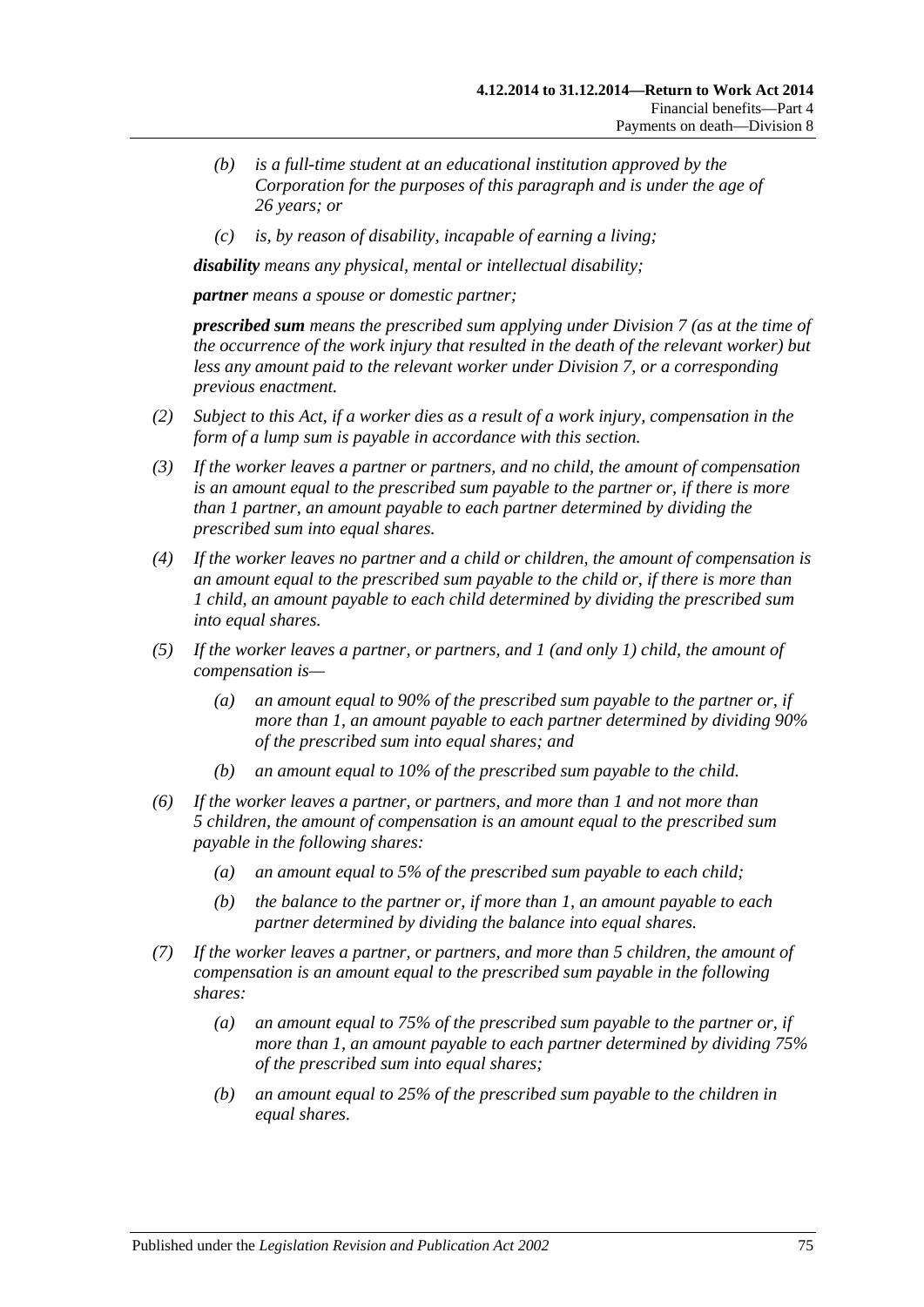- *(b) is a full-time student at an educational institution approved by the Corporation for the purposes of this paragraph and is under the age of 26 years; or*
- *(c) is, by reason of disability, incapable of earning a living;*

*disability means any physical, mental or intellectual disability;*

*partner means a spouse or domestic partner;*

*prescribed sum means the prescribed sum applying under [Division](#page-69-0) 7 (as at the time of the occurrence of the work injury that resulted in the death of the relevant worker) but less any amount paid to the relevant worker under [Division](#page-69-0) 7, or a corresponding previous enactment.*

- *(2) Subject to this Act, if a worker dies as a result of a work injury, compensation in the form of a lump sum is payable in accordance with this section.*
- *(3) If the worker leaves a partner or partners, and no child, the amount of compensation is an amount equal to the prescribed sum payable to the partner or, if there is more than 1 partner, an amount payable to each partner determined by dividing the prescribed sum into equal shares.*
- *(4) If the worker leaves no partner and a child or children, the amount of compensation is an amount equal to the prescribed sum payable to the child or, if there is more than 1 child, an amount payable to each child determined by dividing the prescribed sum into equal shares.*
- *(5) If the worker leaves a partner, or partners, and 1 (and only 1) child, the amount of compensation is—*
	- *(a) an amount equal to 90% of the prescribed sum payable to the partner or, if more than 1, an amount payable to each partner determined by dividing 90% of the prescribed sum into equal shares; and*
	- *(b) an amount equal to 10% of the prescribed sum payable to the child.*
- *(6) If the worker leaves a partner, or partners, and more than 1 and not more than 5 children, the amount of compensation is an amount equal to the prescribed sum payable in the following shares:*
	- *(a) an amount equal to 5% of the prescribed sum payable to each child;*
	- *(b) the balance to the partner or, if more than 1, an amount payable to each partner determined by dividing the balance into equal shares.*
- *(7) If the worker leaves a partner, or partners, and more than 5 children, the amount of compensation is an amount equal to the prescribed sum payable in the following shares:*
	- *(a) an amount equal to 75% of the prescribed sum payable to the partner or, if more than 1, an amount payable to each partner determined by dividing 75% of the prescribed sum into equal shares;*
	- *(b) an amount equal to 25% of the prescribed sum payable to the children in equal shares.*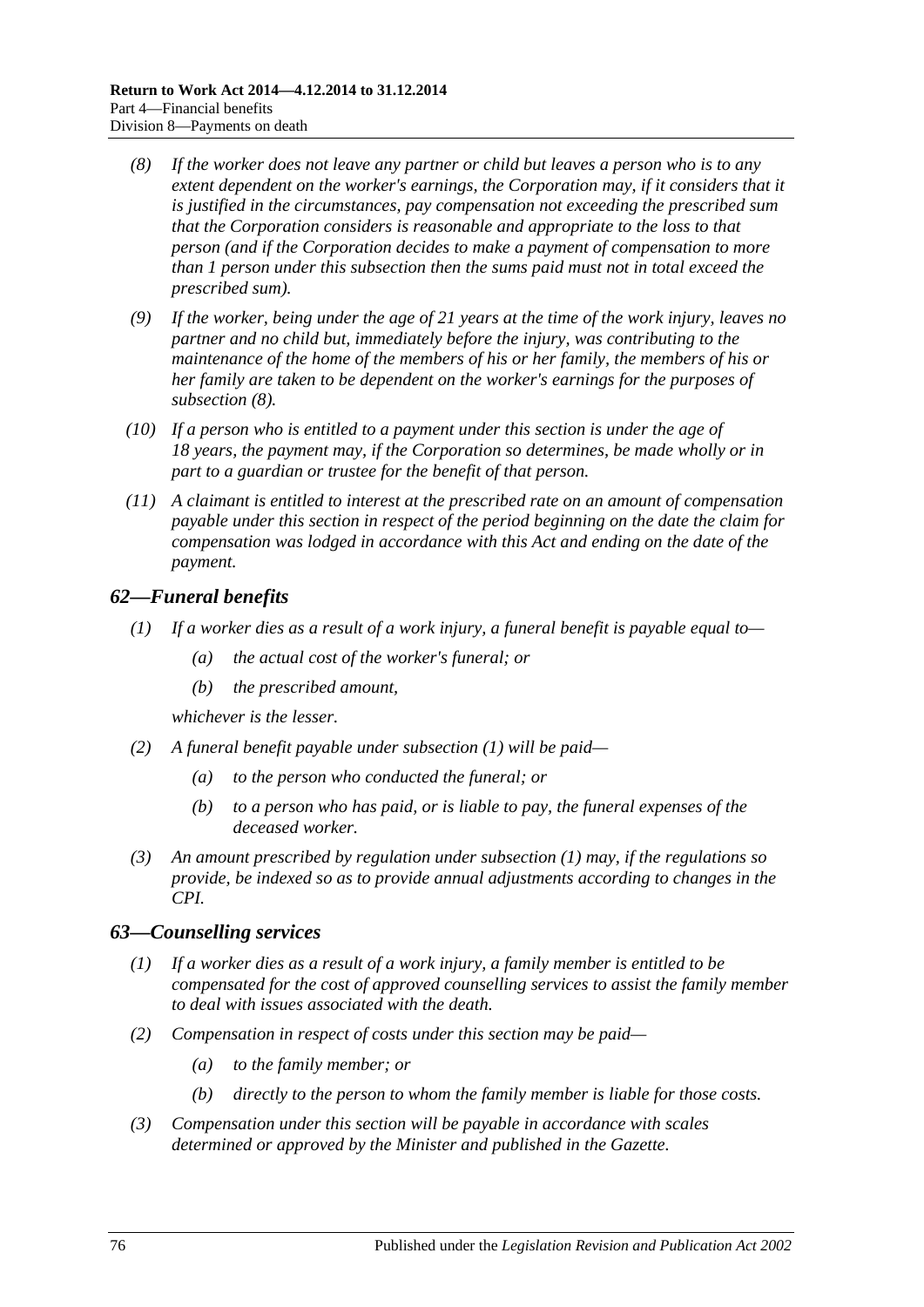- <span id="page-75-0"></span>*(8) If the worker does not leave any partner or child but leaves a person who is to any extent dependent on the worker's earnings, the Corporation may, if it considers that it is justified in the circumstances, pay compensation not exceeding the prescribed sum that the Corporation considers is reasonable and appropriate to the loss to that person (and if the Corporation decides to make a payment of compensation to more than 1 person under this subsection then the sums paid must not in total exceed the prescribed sum).*
- *(9) If the worker, being under the age of 21 years at the time of the work injury, leaves no partner and no child but, immediately before the injury, was contributing to the maintenance of the home of the members of his or her family, the members of his or her family are taken to be dependent on the worker's earnings for the purposes of [subsection](#page-75-0) (8).*
- *(10) If a person who is entitled to a payment under this section is under the age of 18 years, the payment may, if the Corporation so determines, be made wholly or in part to a guardian or trustee for the benefit of that person.*
- *(11) A claimant is entitled to interest at the prescribed rate on an amount of compensation payable under this section in respect of the period beginning on the date the claim for compensation was lodged in accordance with this Act and ending on the date of the payment.*

# <span id="page-75-1"></span>*62—Funeral benefits*

- *(1) If a worker dies as a result of a work injury, a funeral benefit is payable equal to—*
	- *(a) the actual cost of the worker's funeral; or*
	- *(b) the prescribed amount,*

*whichever is the lesser.*

- *(2) A funeral benefit payable under [subsection](#page-75-1) (1) will be paid—*
	- *(a) to the person who conducted the funeral; or*
	- *(b) to a person who has paid, or is liable to pay, the funeral expenses of the deceased worker.*
- *(3) An amount prescribed by regulation under [subsection](#page-75-1) (1) may, if the regulations so provide, be indexed so as to provide annual adjustments according to changes in the CPI.*

## *63—Counselling services*

- *(1) If a worker dies as a result of a work injury, a family member is entitled to be compensated for the cost of approved counselling services to assist the family member to deal with issues associated with the death.*
- *(2) Compensation in respect of costs under this section may be paid—*
	- *(a) to the family member; or*
	- *(b) directly to the person to whom the family member is liable for those costs.*
- *(3) Compensation under this section will be payable in accordance with scales determined or approved by the Minister and published in the Gazette.*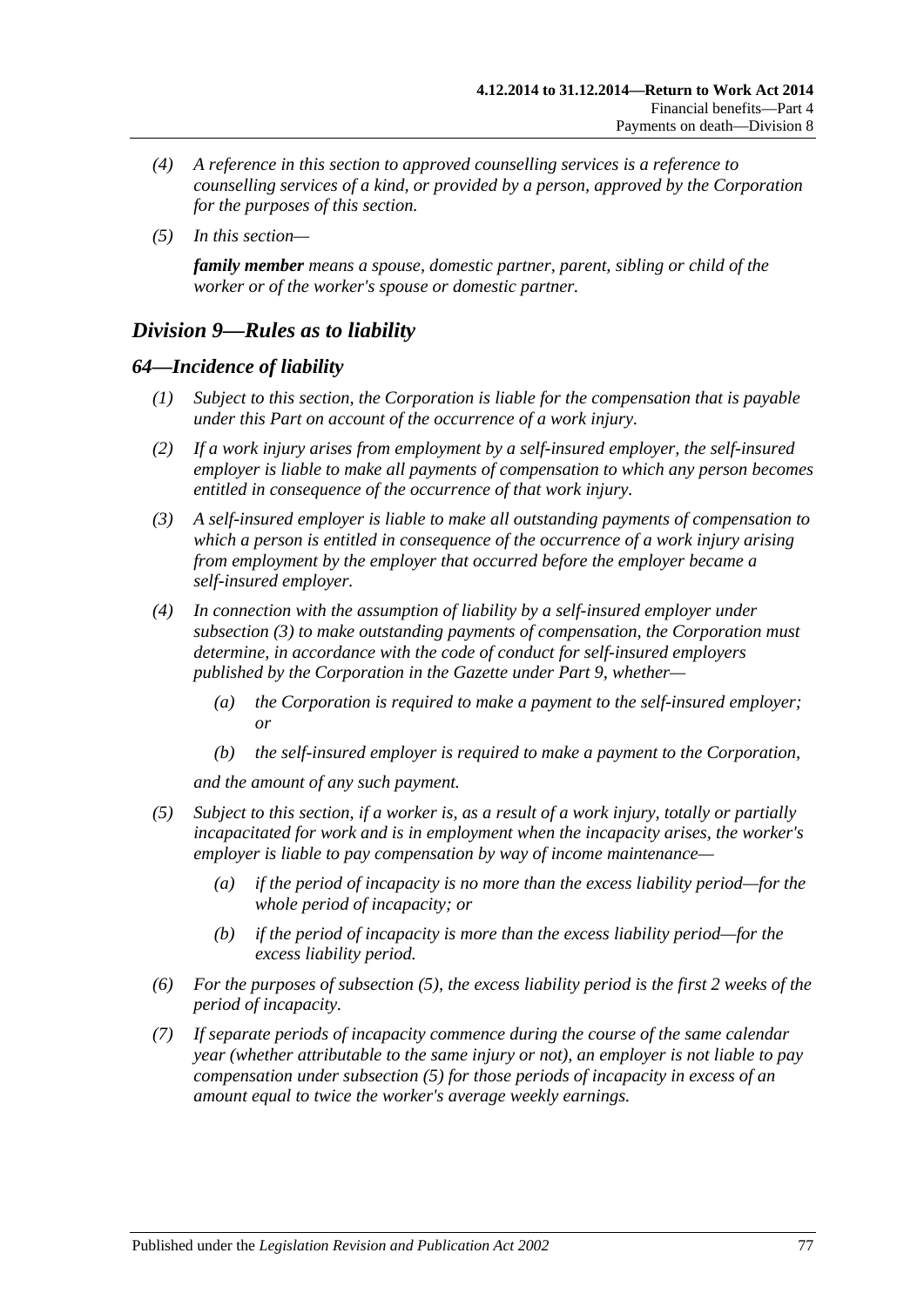- *(4) A reference in this section to approved counselling services is a reference to counselling services of a kind, or provided by a person, approved by the Corporation for the purposes of this section.*
- *(5) In this section—*

*family member means a spouse, domestic partner, parent, sibling or child of the worker or of the worker's spouse or domestic partner.*

# *Division 9—Rules as to liability*

## *64—Incidence of liability*

- *(1) Subject to this section, the Corporation is liable for the compensation that is payable under this Part on account of the occurrence of a work injury.*
- *(2) If a work injury arises from employment by a self-insured employer, the self-insured employer is liable to make all payments of compensation to which any person becomes entitled in consequence of the occurrence of that work injury.*
- <span id="page-76-0"></span>*(3) A self-insured employer is liable to make all outstanding payments of compensation to which a person is entitled in consequence of the occurrence of a work injury arising from employment by the employer that occurred before the employer became a self-insured employer.*
- *(4) In connection with the assumption of liability by a self-insured employer under [subsection](#page-76-0) (3) to make outstanding payments of compensation, the Corporation must determine, in accordance with the code of conduct for self-insured employers published by the Corporation in the Gazette under [Part](#page-108-0) 9, whether—*
	- *(a) the Corporation is required to make a payment to the self-insured employer; or*
	- *(b) the self-insured employer is required to make a payment to the Corporation,*

*and the amount of any such payment.*

- <span id="page-76-1"></span>*(5) Subject to this section, if a worker is, as a result of a work injury, totally or partially incapacitated for work and is in employment when the incapacity arises, the worker's employer is liable to pay compensation by way of income maintenance—*
	- *(a) if the period of incapacity is no more than the excess liability period—for the whole period of incapacity; or*
	- *(b) if the period of incapacity is more than the excess liability period—for the excess liability period.*
- *(6) For the purposes of [subsection](#page-76-1) (5), the excess liability period is the first 2 weeks of the period of incapacity.*
- *(7) If separate periods of incapacity commence during the course of the same calendar year (whether attributable to the same injury or not), an employer is not liable to pay compensation under [subsection](#page-76-1) (5) for those periods of incapacity in excess of an amount equal to twice the worker's average weekly earnings.*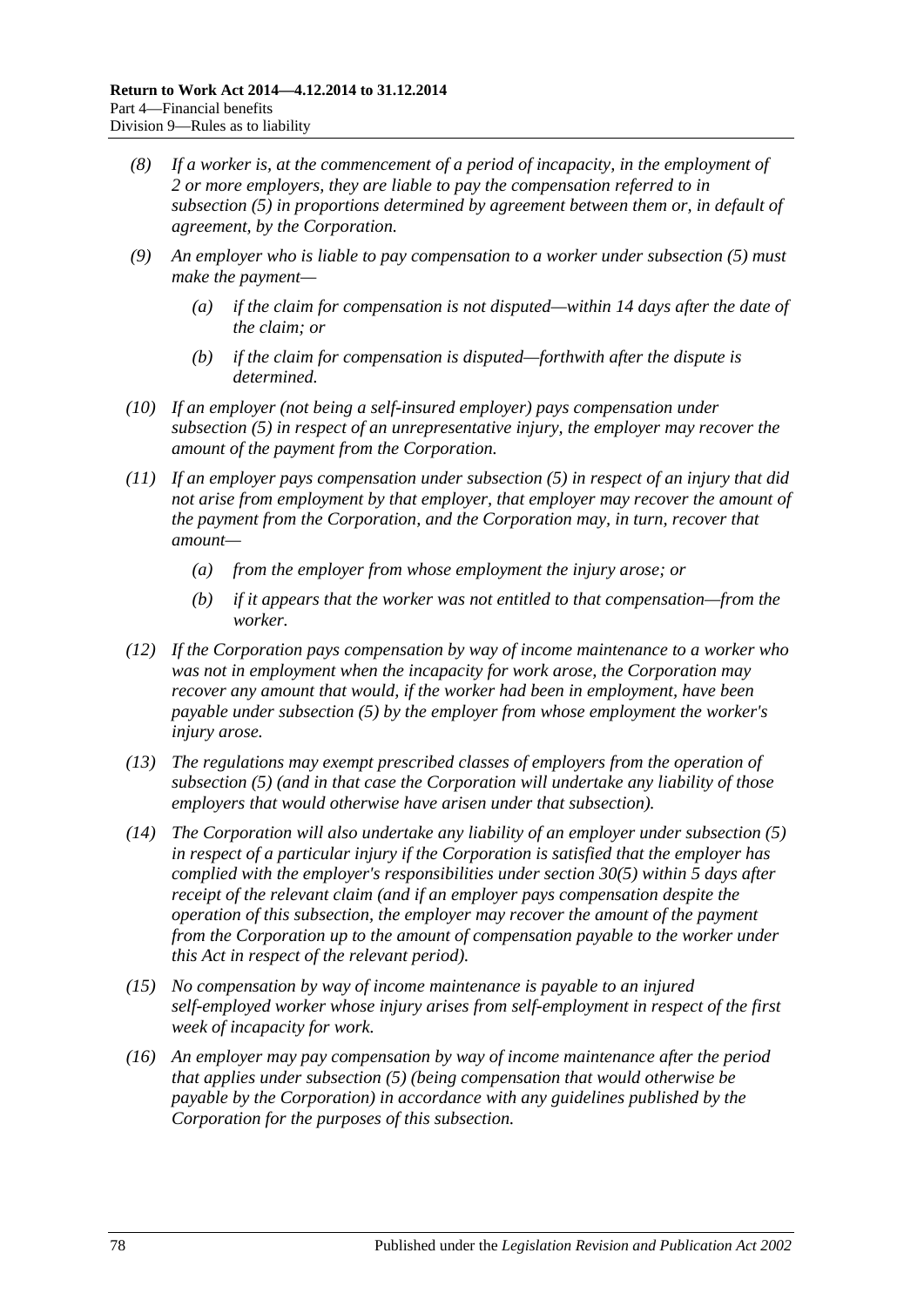- *(8) If a worker is, at the commencement of a period of incapacity, in the employment of 2 or more employers, they are liable to pay the compensation referred to in [subsection](#page-76-1) (5) in proportions determined by agreement between them or, in default of agreement, by the Corporation.*
- *(9) An employer who is liable to pay compensation to a worker under [subsection](#page-76-1) (5) must make the payment—*
	- *(a) if the claim for compensation is not disputed—within 14 days after the date of the claim; or*
	- *(b) if the claim for compensation is disputed—forthwith after the dispute is determined.*
- *(10) If an employer (not being a self-insured employer) pays compensation under [subsection](#page-76-1) (5) in respect of an unrepresentative injury, the employer may recover the amount of the payment from the Corporation.*
- *(11) If an employer pays compensation under [subsection](#page-76-1) (5) in respect of an injury that did not arise from employment by that employer, that employer may recover the amount of the payment from the Corporation, and the Corporation may, in turn, recover that amount—*
	- *(a) from the employer from whose employment the injury arose; or*
	- *(b) if it appears that the worker was not entitled to that compensation—from the worker.*
- *(12) If the Corporation pays compensation by way of income maintenance to a worker who was not in employment when the incapacity for work arose, the Corporation may recover any amount that would, if the worker had been in employment, have been payable under [subsection](#page-76-1) (5) by the employer from whose employment the worker's injury arose.*
- *(13) The regulations may exempt prescribed classes of employers from the operation of [subsection](#page-76-1) (5) (and in that case the Corporation will undertake any liability of those employers that would otherwise have arisen under that subsection).*
- *(14) The Corporation will also undertake any liability of an employer under [subsection](#page-76-1) (5) in respect of a particular injury if the Corporation is satisfied that the employer has complied with the employer's responsibilities under [section](#page-45-0) 30(5) within 5 days after receipt of the relevant claim (and if an employer pays compensation despite the operation of this subsection, the employer may recover the amount of the payment from the Corporation up to the amount of compensation payable to the worker under this Act in respect of the relevant period).*
- *(15) No compensation by way of income maintenance is payable to an injured self-employed worker whose injury arises from self-employment in respect of the first week of incapacity for work.*
- <span id="page-77-0"></span>*(16) An employer may pay compensation by way of income maintenance after the period that applies under [subsection](#page-76-1) (5) (being compensation that would otherwise be payable by the Corporation) in accordance with any guidelines published by the Corporation for the purposes of this subsection.*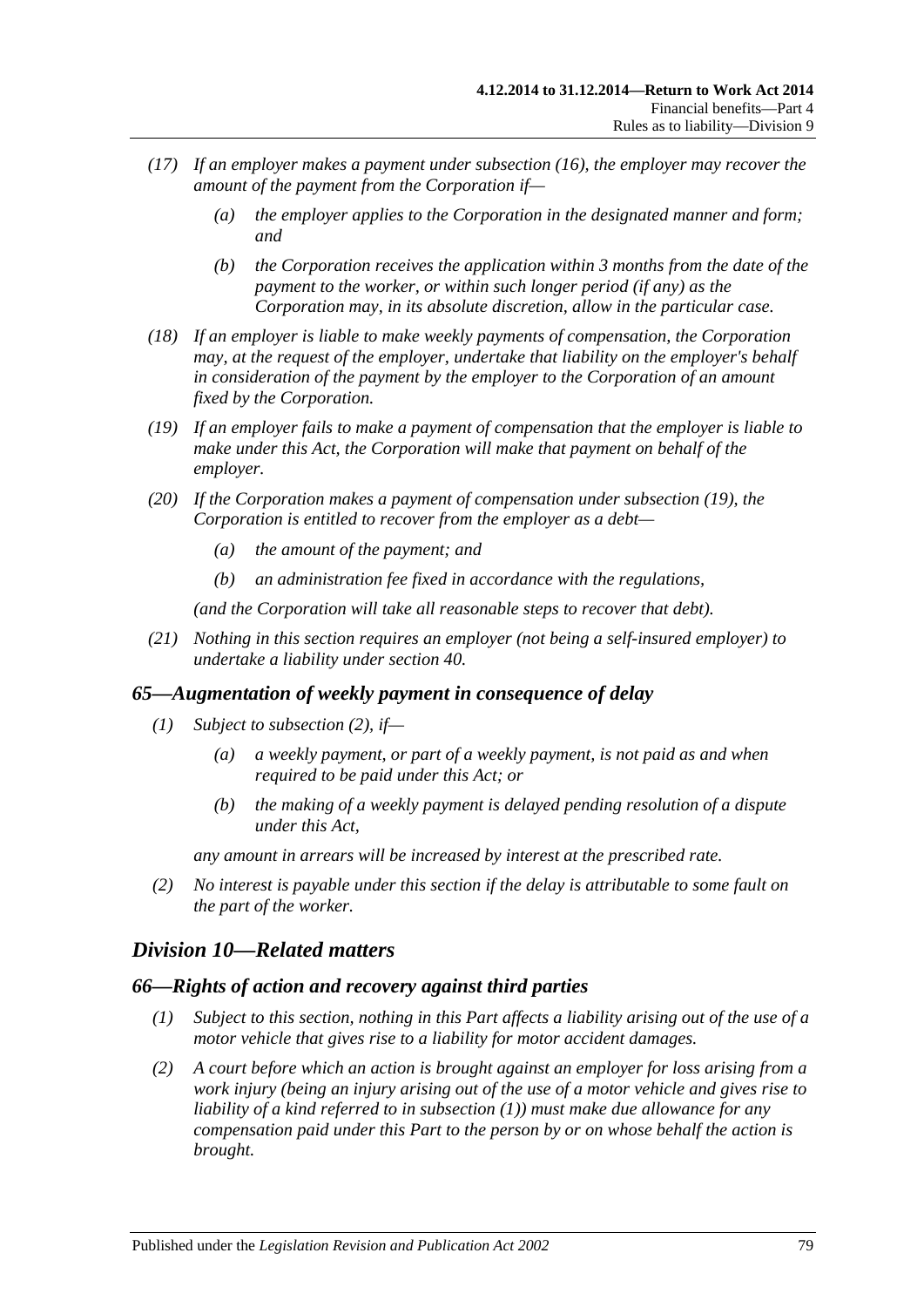- *(17) If an employer makes a payment under [subsection](#page-77-0) (16), the employer may recover the amount of the payment from the Corporation if—*
	- *(a) the employer applies to the Corporation in the designated manner and form; and*
	- *(b) the Corporation receives the application within 3 months from the date of the payment to the worker, or within such longer period (if any) as the Corporation may, in its absolute discretion, allow in the particular case.*
- *(18) If an employer is liable to make weekly payments of compensation, the Corporation may, at the request of the employer, undertake that liability on the employer's behalf in consideration of the payment by the employer to the Corporation of an amount fixed by the Corporation.*
- <span id="page-78-0"></span>*(19) If an employer fails to make a payment of compensation that the employer is liable to make under this Act, the Corporation will make that payment on behalf of the employer.*
- *(20) If the Corporation makes a payment of compensation under [subsection](#page-78-0) (19), the Corporation is entitled to recover from the employer as a debt—*
	- *(a) the amount of the payment; and*
	- *(b) an administration fee fixed in accordance with the regulations,*

*(and the Corporation will take all reasonable steps to recover that debt).*

*(21) Nothing in this section requires an employer (not being a self-insured employer) to undertake a liability under [section](#page-53-0) 40.*

## *65—Augmentation of weekly payment in consequence of delay*

- *(1) Subject to [subsection](#page-78-1) (2), if—*
	- *(a) a weekly payment, or part of a weekly payment, is not paid as and when required to be paid under this Act; or*
	- *(b) the making of a weekly payment is delayed pending resolution of a dispute under this Act,*

*any amount in arrears will be increased by interest at the prescribed rate.*

<span id="page-78-1"></span>*(2) No interest is payable under this section if the delay is attributable to some fault on the part of the worker.*

# *Division 10—Related matters*

#### <span id="page-78-3"></span><span id="page-78-2"></span>*66—Rights of action and recovery against third parties*

- *(1) Subject to this section, nothing in this Part affects a liability arising out of the use of a motor vehicle that gives rise to a liability for motor accident damages.*
- *(2) A court before which an action is brought against an employer for loss arising from a work injury (being an injury arising out of the use of a motor vehicle and gives rise to liability of a kind referred to in [subsection](#page-78-2) (1)) must make due allowance for any compensation paid under this Part to the person by or on whose behalf the action is brought.*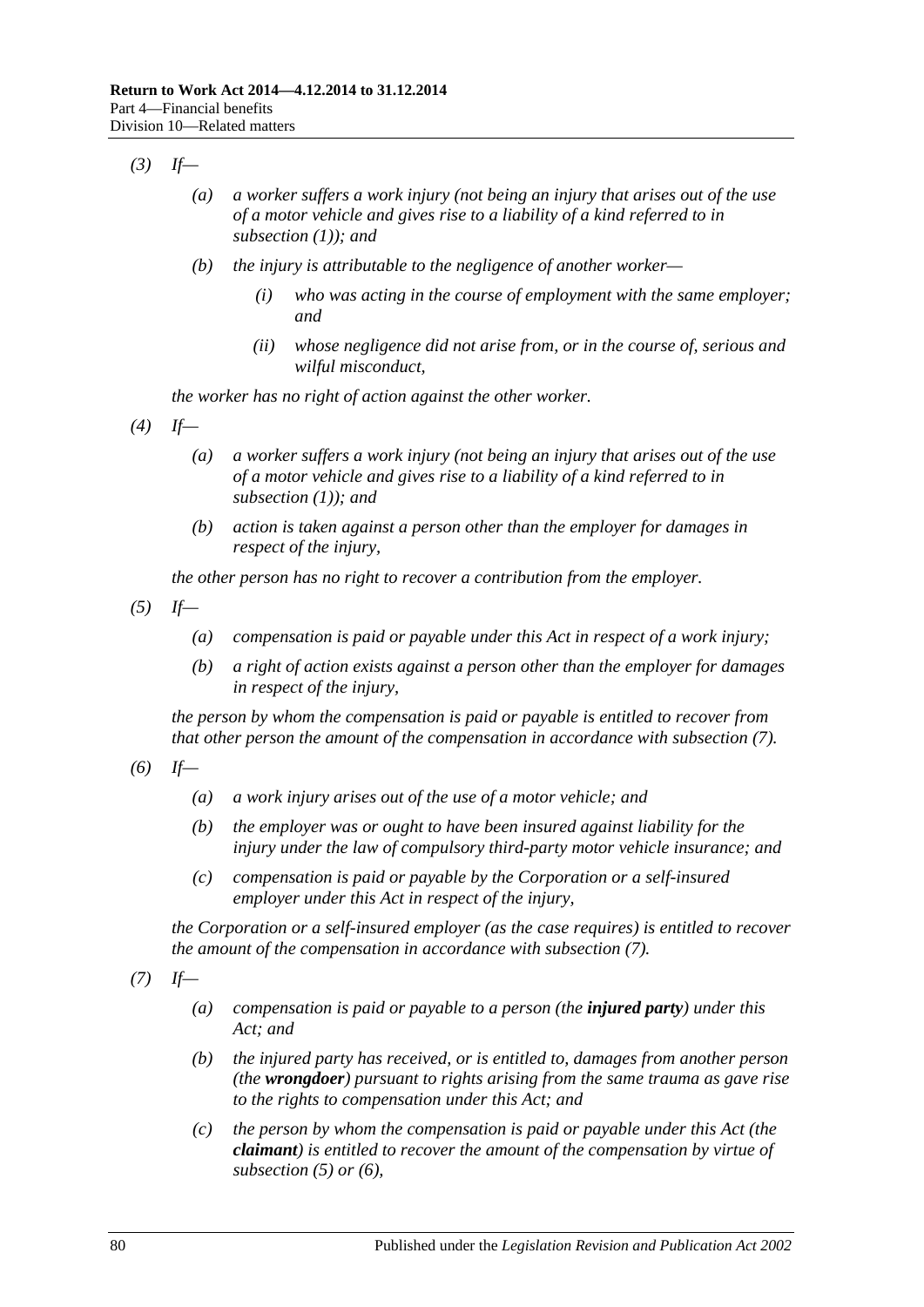- *(3) If—*
	- *(a) a worker suffers a work injury (not being an injury that arises out of the use of a motor vehicle and gives rise to a liability of a kind referred to in [subsection](#page-78-2) (1)); and*
	- *(b) the injury is attributable to the negligence of another worker—*
		- *(i) who was acting in the course of employment with the same employer; and*
		- *(ii) whose negligence did not arise from, or in the course of, serious and wilful misconduct,*

*the worker has no right of action against the other worker.*

- *(4) If—*
	- *(a) a worker suffers a work injury (not being an injury that arises out of the use of a motor vehicle and gives rise to a liability of a kind referred to in [subsection](#page-78-2) (1)); and*
	- *(b) action is taken against a person other than the employer for damages in respect of the injury,*

*the other person has no right to recover a contribution from the employer.*

<span id="page-79-1"></span>*(5) If—*

- *(a) compensation is paid or payable under this Act in respect of a work injury;*
- *(b) a right of action exists against a person other than the employer for damages in respect of the injury,*

*the person by whom the compensation is paid or payable is entitled to recover from that other person the amount of the compensation in accordance with [subsection](#page-79-0) (7).*

<span id="page-79-2"></span>*(6) If—*

- *(a) a work injury arises out of the use of a motor vehicle; and*
- *(b) the employer was or ought to have been insured against liability for the injury under the law of compulsory third-party motor vehicle insurance; and*
- *(c) compensation is paid or payable by the Corporation or a self-insured employer under this Act in respect of the injury,*

*the Corporation or a self-insured employer (as the case requires) is entitled to recover the amount of the compensation in accordance with [subsection](#page-79-0) (7).*

<span id="page-79-3"></span><span id="page-79-0"></span>*(7) If—*

- *(a) compensation is paid or payable to a person (the injured party) under this Act; and*
- *(b) the injured party has received, or is entitled to, damages from another person (the wrongdoer) pursuant to rights arising from the same trauma as gave rise to the rights to compensation under this Act; and*
- *(c) the person by whom the compensation is paid or payable under this Act (the claimant) is entitled to recover the amount of the compensation by virtue of [subsection](#page-79-1) (5) or [\(6\),](#page-79-2)*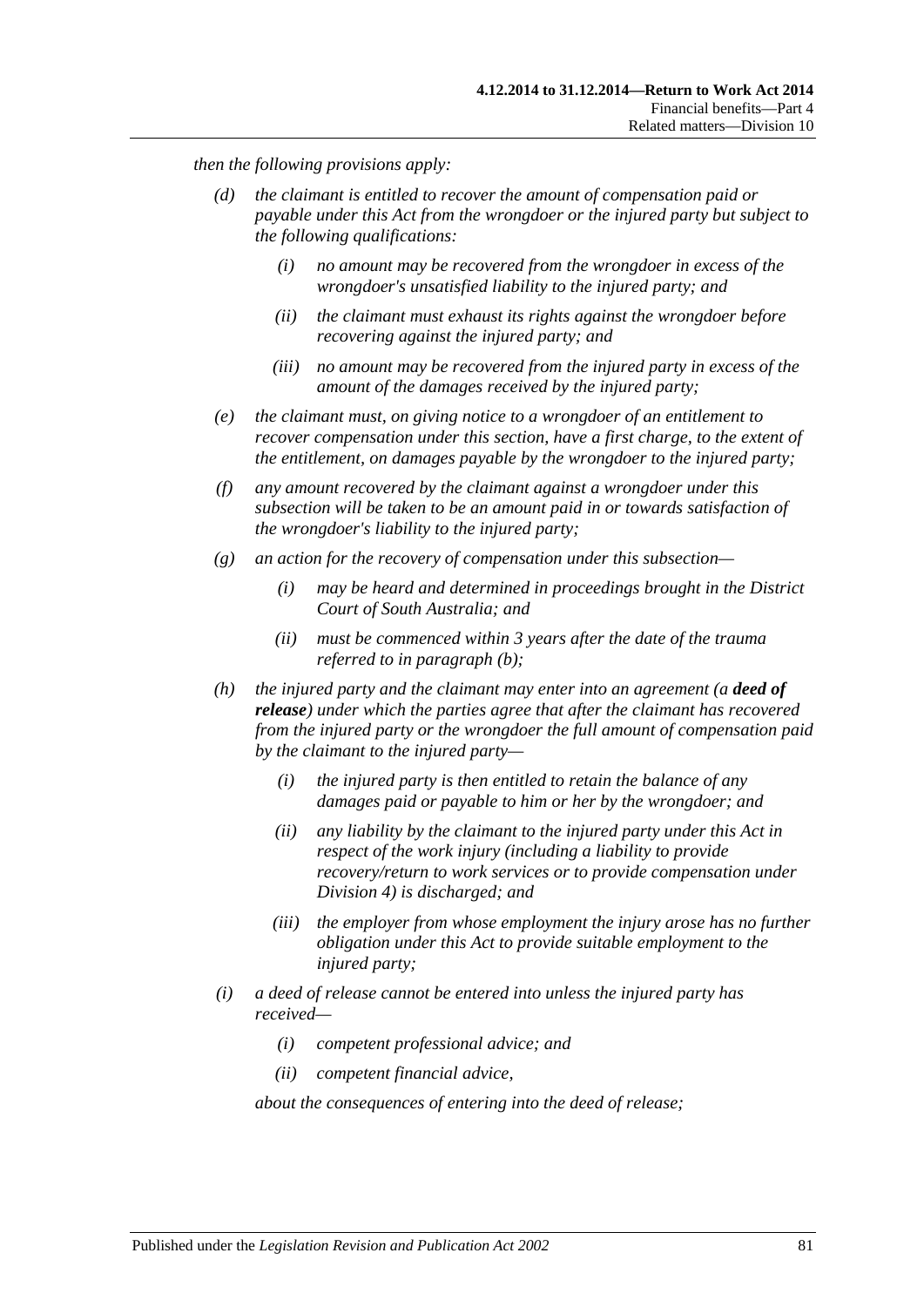*then the following provisions apply:*

- *(d) the claimant is entitled to recover the amount of compensation paid or payable under this Act from the wrongdoer or the injured party but subject to the following qualifications:*
	- *(i) no amount may be recovered from the wrongdoer in excess of the wrongdoer's unsatisfied liability to the injured party; and*
	- *(ii) the claimant must exhaust its rights against the wrongdoer before recovering against the injured party; and*
	- *(iii) no amount may be recovered from the injured party in excess of the amount of the damages received by the injured party;*
- *(e) the claimant must, on giving notice to a wrongdoer of an entitlement to recover compensation under this section, have a first charge, to the extent of the entitlement, on damages payable by the wrongdoer to the injured party;*
- *(f) any amount recovered by the claimant against a wrongdoer under this subsection will be taken to be an amount paid in or towards satisfaction of the wrongdoer's liability to the injured party;*
- *(g) an action for the recovery of compensation under this subsection—*
	- *(i) may be heard and determined in proceedings brought in the District Court of South Australia; and*
	- *(ii) must be commenced within 3 years after the date of the trauma referred to in [paragraph](#page-79-3) (b);*
- *(h) the injured party and the claimant may enter into an agreement (a deed of release) under which the parties agree that after the claimant has recovered from the injured party or the wrongdoer the full amount of compensation paid by the claimant to the injured party—*
	- *(i) the injured party is then entitled to retain the balance of any damages paid or payable to him or her by the wrongdoer; and*
	- *(ii) any liability by the claimant to the injured party under this Act in respect of the work injury (including a liability to provide recovery/return to work services or to provide compensation under [Division](#page-51-0) 4) is discharged; and*
	- *(iii) the employer from whose employment the injury arose has no further obligation under this Act to provide suitable employment to the injured party;*
- <span id="page-80-0"></span>*(i) a deed of release cannot be entered into unless the injured party has received—*
	- *(i) competent professional advice; and*
	- *(ii) competent financial advice,*

*about the consequences of entering into the deed of release;*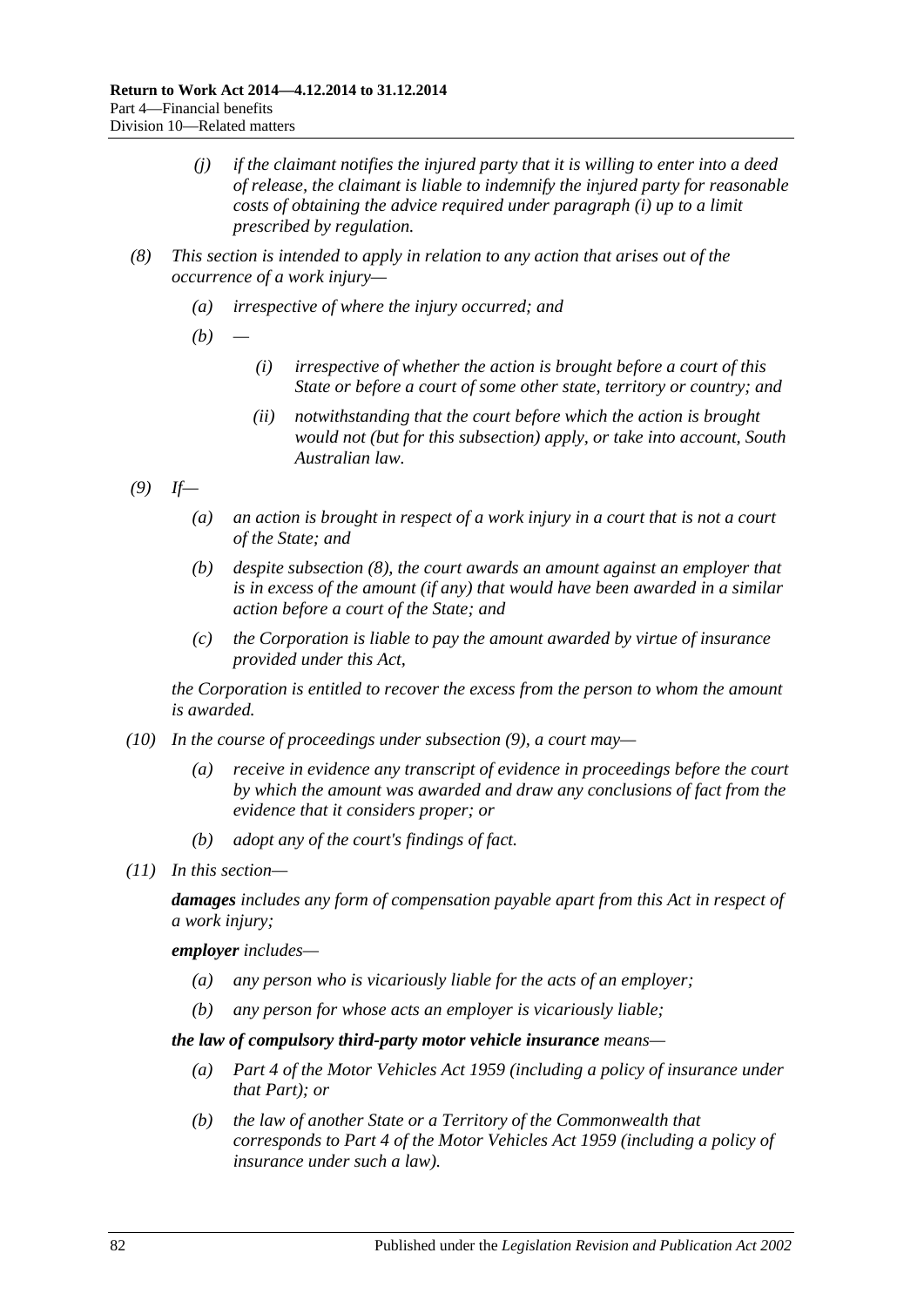- *(j) if the claimant notifies the injured party that it is willing to enter into a deed of release, the claimant is liable to indemnify the injured party for reasonable costs of obtaining the advice required under [paragraph](#page-80-0) (i) up to a limit prescribed by regulation.*
- <span id="page-81-0"></span>*(8) This section is intended to apply in relation to any action that arises out of the occurrence of a work injury—*
	- *(a) irrespective of where the injury occurred; and*
	- *(b) —*
		- *(i) irrespective of whether the action is brought before a court of this State or before a court of some other state, territory or country; and*
		- *(ii) notwithstanding that the court before which the action is brought would not (but for this subsection) apply, or take into account, South Australian law.*
- <span id="page-81-1"></span>*(9) If—*
	- *(a) an action is brought in respect of a work injury in a court that is not a court of the State; and*
	- *(b) despite [subsection](#page-81-0) (8), the court awards an amount against an employer that is in excess of the amount (if any) that would have been awarded in a similar action before a court of the State; and*
	- *(c) the Corporation is liable to pay the amount awarded by virtue of insurance provided under this Act,*

*the Corporation is entitled to recover the excess from the person to whom the amount is awarded.*

- *(10) In the course of proceedings under [subsection](#page-81-1) (9), a court may—*
	- *(a) receive in evidence any transcript of evidence in proceedings before the court by which the amount was awarded and draw any conclusions of fact from the evidence that it considers proper; or*
	- *(b) adopt any of the court's findings of fact.*
- *(11) In this section—*

*damages includes any form of compensation payable apart from this Act in respect of a work injury;*

*employer includes—*

- *(a) any person who is vicariously liable for the acts of an employer;*
- *(b) any person for whose acts an employer is vicariously liable;*

*the law of compulsory third-party motor vehicle insurance means—*

- *(a) Part 4 of the [Motor Vehicles Act](http://www.legislation.sa.gov.au/index.aspx?action=legref&type=act&legtitle=Motor%20Vehicles%20Act%201959) 1959 (including a policy of insurance under that Part); or*
- *(b) the law of another State or a Territory of the Commonwealth that corresponds to Part 4 of the [Motor Vehicles Act](http://www.legislation.sa.gov.au/index.aspx?action=legref&type=act&legtitle=Motor%20Vehicles%20Act%201959) 1959 (including a policy of insurance under such a law).*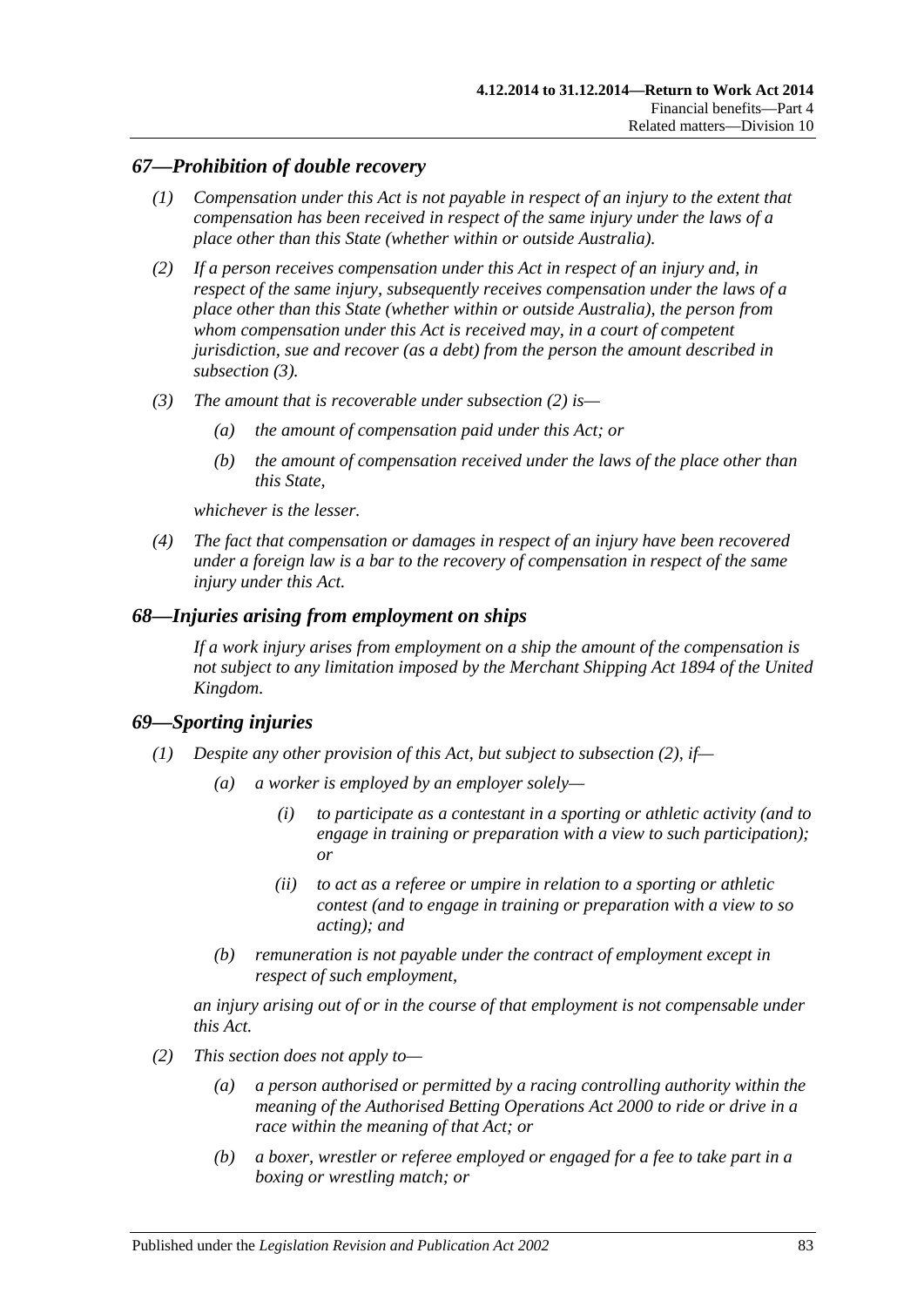## *67—Prohibition of double recovery*

- *(1) Compensation under this Act is not payable in respect of an injury to the extent that compensation has been received in respect of the same injury under the laws of a place other than this State (whether within or outside Australia).*
- <span id="page-82-1"></span>*(2) If a person receives compensation under this Act in respect of an injury and, in respect of the same injury, subsequently receives compensation under the laws of a place other than this State (whether within or outside Australia), the person from whom compensation under this Act is received may, in a court of competent jurisdiction, sue and recover (as a debt) from the person the amount described in [subsection](#page-82-0) (3).*
- <span id="page-82-0"></span>*(3) The amount that is recoverable under [subsection](#page-82-1) (2) is—*
	- *(a) the amount of compensation paid under this Act; or*
	- *(b) the amount of compensation received under the laws of the place other than this State,*

*whichever is the lesser.*

*(4) The fact that compensation or damages in respect of an injury have been recovered under a foreign law is a bar to the recovery of compensation in respect of the same injury under this Act.*

#### *68—Injuries arising from employment on ships*

*If a work injury arises from employment on a ship the amount of the compensation is not subject to any limitation imposed by the Merchant Shipping Act 1894 of the United Kingdom.*

#### *69—Sporting injuries*

- <span id="page-82-3"></span>*(1) Despite any other provision of this Act, but subject to [subsection](#page-82-2) (2), if—*
	- *(a) a worker is employed by an employer solely—*
		- *(i) to participate as a contestant in a sporting or athletic activity (and to engage in training or preparation with a view to such participation); or*
		- *(ii) to act as a referee or umpire in relation to a sporting or athletic contest (and to engage in training or preparation with a view to so acting); and*
	- *(b) remuneration is not payable under the contract of employment except in respect of such employment,*

*an injury arising out of or in the course of that employment is not compensable under this Act.*

- <span id="page-82-2"></span>*(2) This section does not apply to—*
	- *(a) a person authorised or permitted by a racing controlling authority within the meaning of the [Authorised Betting Operations Act](http://www.legislation.sa.gov.au/index.aspx?action=legref&type=act&legtitle=Authorised%20Betting%20Operations%20Act%202000) 2000 to ride or drive in a race within the meaning of that Act; or*
	- *(b) a boxer, wrestler or referee employed or engaged for a fee to take part in a boxing or wrestling match; or*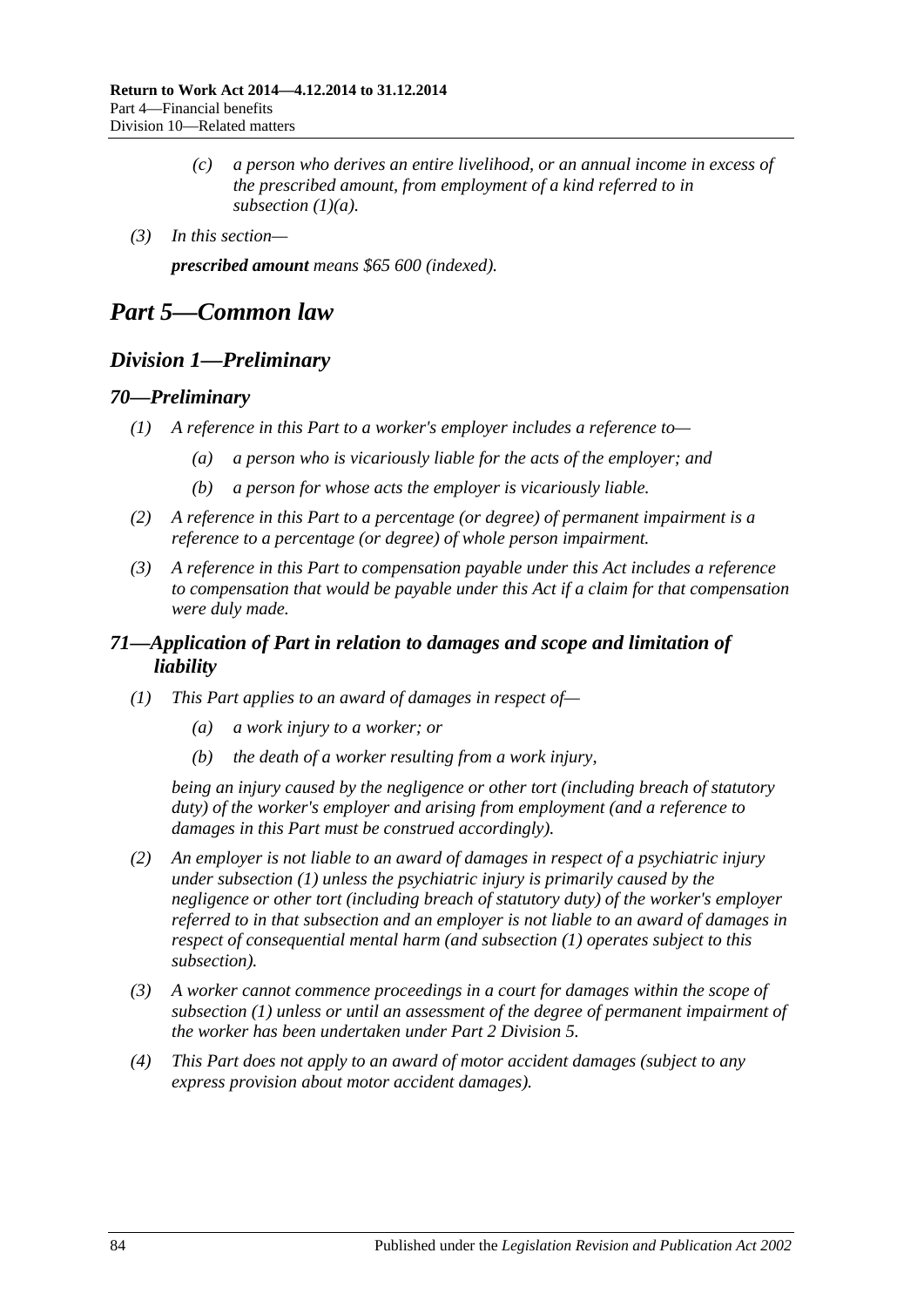- *(c) a person who derives an entire livelihood, or an annual income in excess of the prescribed amount, from employment of a kind referred to in [subsection](#page-82-3) (1)(a).*
- *(3) In this section—*

*prescribed amount means \$65 600 (indexed).*

# *Part 5—Common law*

# *Division 1—Preliminary*

#### *70—Preliminary*

- *(1) A reference in this Part to a worker's employer includes a reference to—*
	- *(a) a person who is vicariously liable for the acts of the employer; and*
	- *(b) a person for whose acts the employer is vicariously liable.*
- *(2) A reference in this Part to a percentage (or degree) of permanent impairment is a reference to a percentage (or degree) of whole person impairment.*
- *(3) A reference in this Part to compensation payable under this Act includes a reference to compensation that would be payable under this Act if a claim for that compensation were duly made.*

# *71—Application of Part in relation to damages and scope and limitation of liability*

- <span id="page-83-0"></span>*(1) This Part applies to an award of damages in respect of—*
	- *(a) a work injury to a worker; or*
	- *(b) the death of a worker resulting from a work injury,*

*being an injury caused by the negligence or other tort (including breach of statutory duty) of the worker's employer and arising from employment (and a reference to damages in this Part must be construed accordingly).*

- <span id="page-83-1"></span>*(2) An employer is not liable to an award of damages in respect of a psychiatric injury under [subsection](#page-83-0) (1) unless the psychiatric injury is primarily caused by the negligence or other tort (including breach of statutory duty) of the worker's employer referred to in that subsection and an employer is not liable to an award of damages in respect of consequential mental harm (and [subsection](#page-83-0) (1) operates subject to this subsection).*
- *(3) A worker cannot commence proceedings in a court for damages within the scope of [subsection](#page-83-0) (1) unless or until an assessment of the degree of permanent impairment of the worker has been undertaken under Part [2 Division](#page-36-0) 5.*
- *(4) This Part does not apply to an award of motor accident damages (subject to any express provision about motor accident damages).*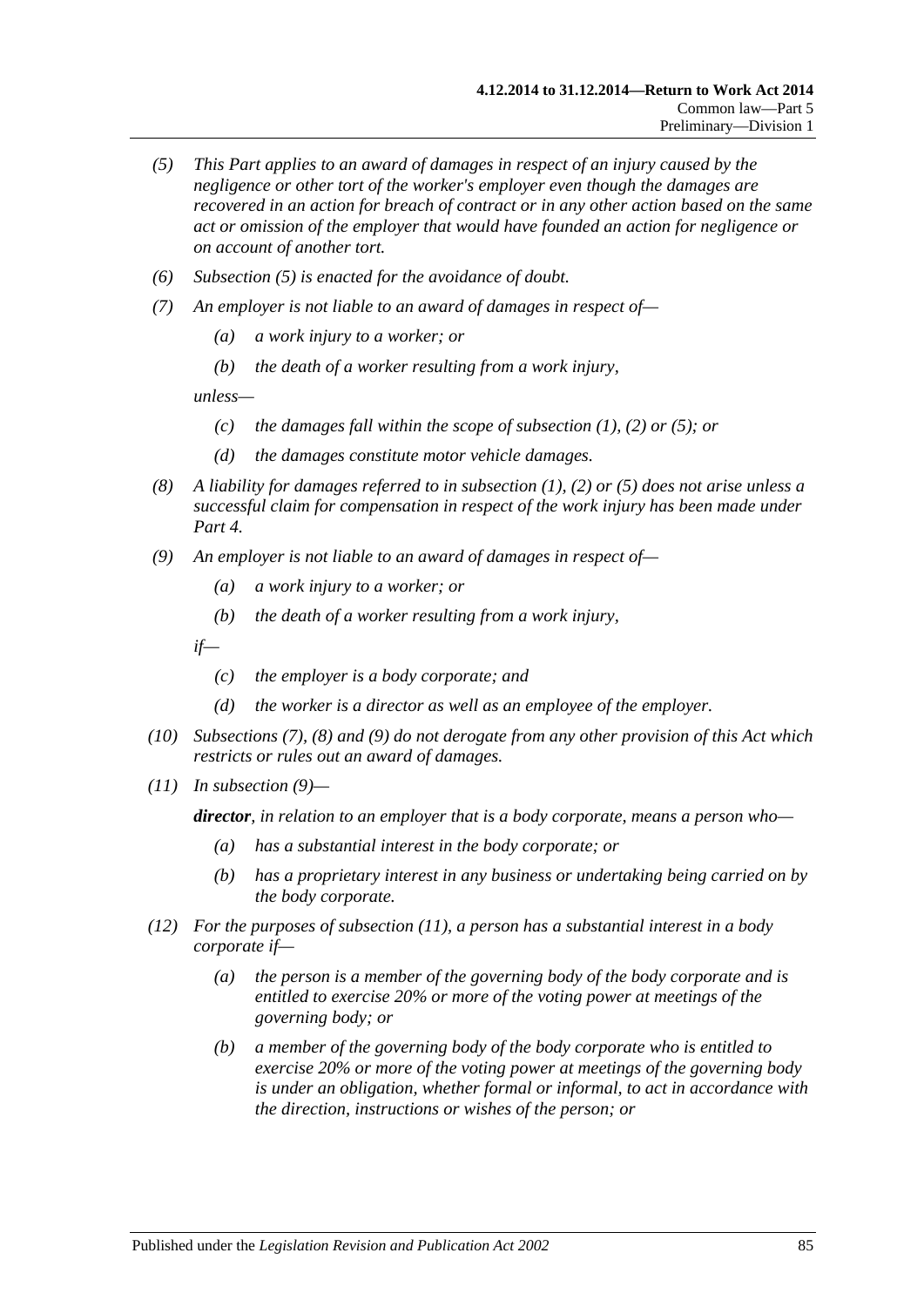- <span id="page-84-0"></span>*(5) This Part applies to an award of damages in respect of an injury caused by the negligence or other tort of the worker's employer even though the damages are recovered in an action for breach of contract or in any other action based on the same act or omission of the employer that would have founded an action for negligence or on account of another tort.*
- *(6) [Subsection \(5\)](#page-84-0) is enacted for the avoidance of doubt.*
- <span id="page-84-1"></span>*(7) An employer is not liable to an award of damages in respect of—*
	- *(a) a work injury to a worker; or*
	- *(b) the death of a worker resulting from a work injury,*

*unless—*

- *(c) the damages fall within the scope of [subsection](#page-83-0) (1), [\(2\)](#page-83-1) or [\(5\);](#page-84-0) or*
- *(d) the damages constitute motor vehicle damages.*
- <span id="page-84-2"></span>*(8) A liability for damages referred to in [subsection](#page-83-0) (1), [\(2\)](#page-83-1) or [\(5\)](#page-84-0) does not arise unless a successful claim for compensation in respect of the work injury has been made under [Part](#page-44-0) 4.*
- <span id="page-84-3"></span>*(9) An employer is not liable to an award of damages in respect of—*
	- *(a) a work injury to a worker; or*
	- *(b) the death of a worker resulting from a work injury,*

*if—*

- *(c) the employer is a body corporate; and*
- *(d) the worker is a director as well as an employee of the employer.*
- *(10) [Subsections](#page-84-1) (7), [\(8\)](#page-84-2) and [\(9\)](#page-84-3) do not derogate from any other provision of this Act which restricts or rules out an award of damages.*
- <span id="page-84-4"></span>*(11) In [subsection](#page-84-3) (9)—*

*director, in relation to an employer that is a body corporate, means a person who—*

- *(a) has a substantial interest in the body corporate; or*
- *(b) has a proprietary interest in any business or undertaking being carried on by the body corporate.*
- *(12) For the purposes of [subsection](#page-84-4) (11), a person has a substantial interest in a body corporate if—*
	- *(a) the person is a member of the governing body of the body corporate and is entitled to exercise 20% or more of the voting power at meetings of the governing body; or*
	- *(b) a member of the governing body of the body corporate who is entitled to exercise 20% or more of the voting power at meetings of the governing body is under an obligation, whether formal or informal, to act in accordance with the direction, instructions or wishes of the person; or*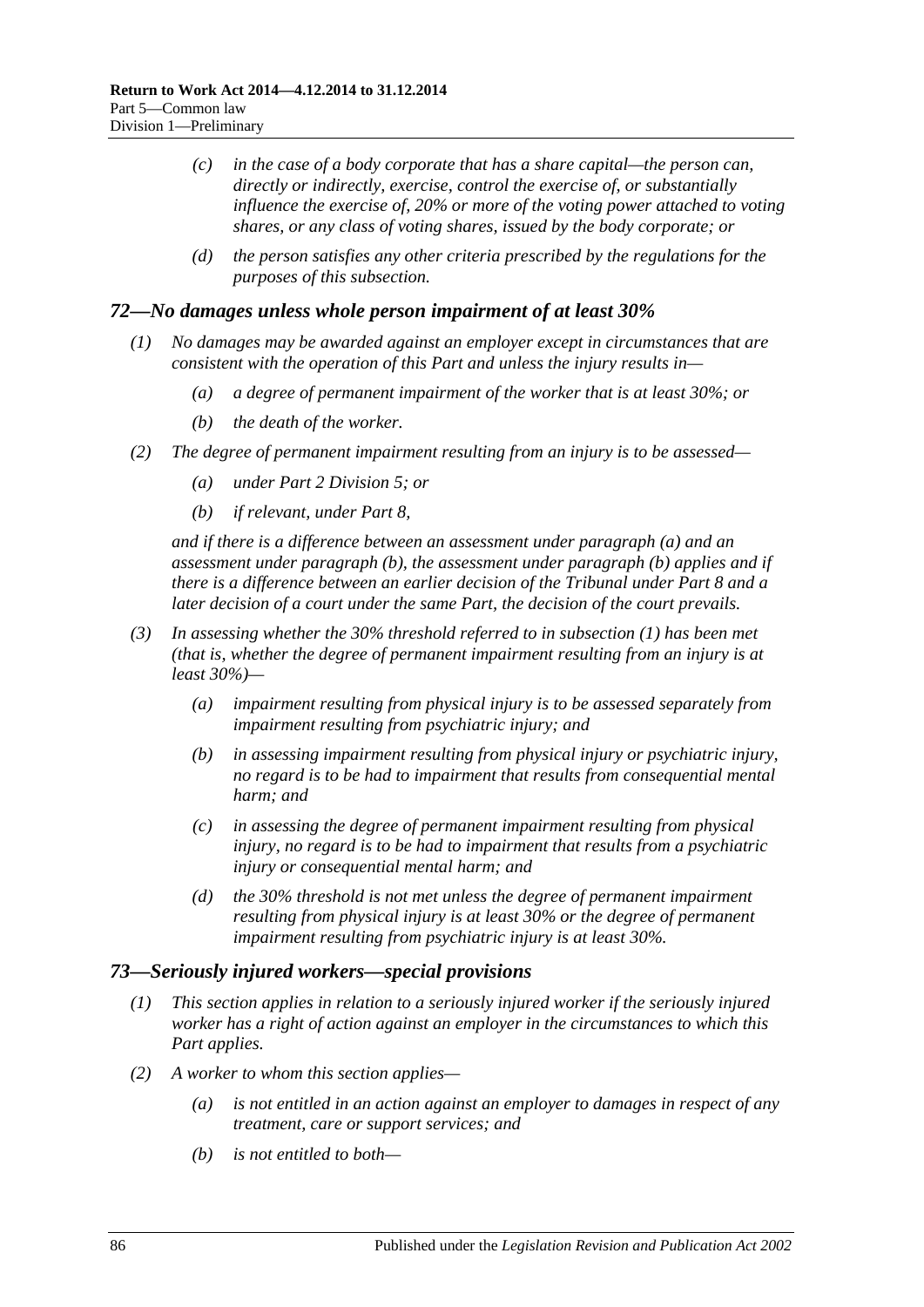- *(c) in the case of a body corporate that has a share capital—the person can, directly or indirectly, exercise, control the exercise of, or substantially influence the exercise of, 20% or more of the voting power attached to voting shares, or any class of voting shares, issued by the body corporate; or*
- *(d) the person satisfies any other criteria prescribed by the regulations for the purposes of this subsection.*

### <span id="page-85-2"></span>*72—No damages unless whole person impairment of at least 30%*

- *(1) No damages may be awarded against an employer except in circumstances that are consistent with the operation of this Part and unless the injury results in—*
	- *(a) a degree of permanent impairment of the worker that is at least 30%; or*
	- *(b) the death of the worker.*
- <span id="page-85-1"></span><span id="page-85-0"></span>*(2) The degree of permanent impairment resulting from an injury is to be assessed—*
	- *(a) under Part [2 Division](#page-36-0) 5; or*
	- *(b) if relevant, under [Part](#page-103-0) 8,*

*and if there is a difference between an assessment under [paragraph](#page-85-0) (a) and an assessment under [paragraph](#page-85-1) (b), the assessment under [paragraph](#page-85-1) (b) applies and if there is a difference between an earlier decision of the Tribunal under [Part](#page-103-0) 8 and a later decision of a court under the same Part, the decision of the court prevails.*

- *(3) In assessing whether the 30% threshold referred to in [subsection](#page-85-2) (1) has been met (that is, whether the degree of permanent impairment resulting from an injury is at least 30%)—*
	- *(a) impairment resulting from physical injury is to be assessed separately from impairment resulting from psychiatric injury; and*
	- *(b) in assessing impairment resulting from physical injury or psychiatric injury, no regard is to be had to impairment that results from consequential mental harm; and*
	- *(c) in assessing the degree of permanent impairment resulting from physical injury, no regard is to be had to impairment that results from a psychiatric injury or consequential mental harm; and*
	- *(d) the 30% threshold is not met unless the degree of permanent impairment resulting from physical injury is at least 30% or the degree of permanent impairment resulting from psychiatric injury is at least 30%.*

#### *73—Seriously injured workers—special provisions*

- *(1) This section applies in relation to a seriously injured worker if the seriously injured worker has a right of action against an employer in the circumstances to which this Part applies.*
- <span id="page-85-4"></span><span id="page-85-3"></span>*(2) A worker to whom this section applies—*
	- *(a) is not entitled in an action against an employer to damages in respect of any treatment, care or support services; and*
	- *(b) is not entitled to both—*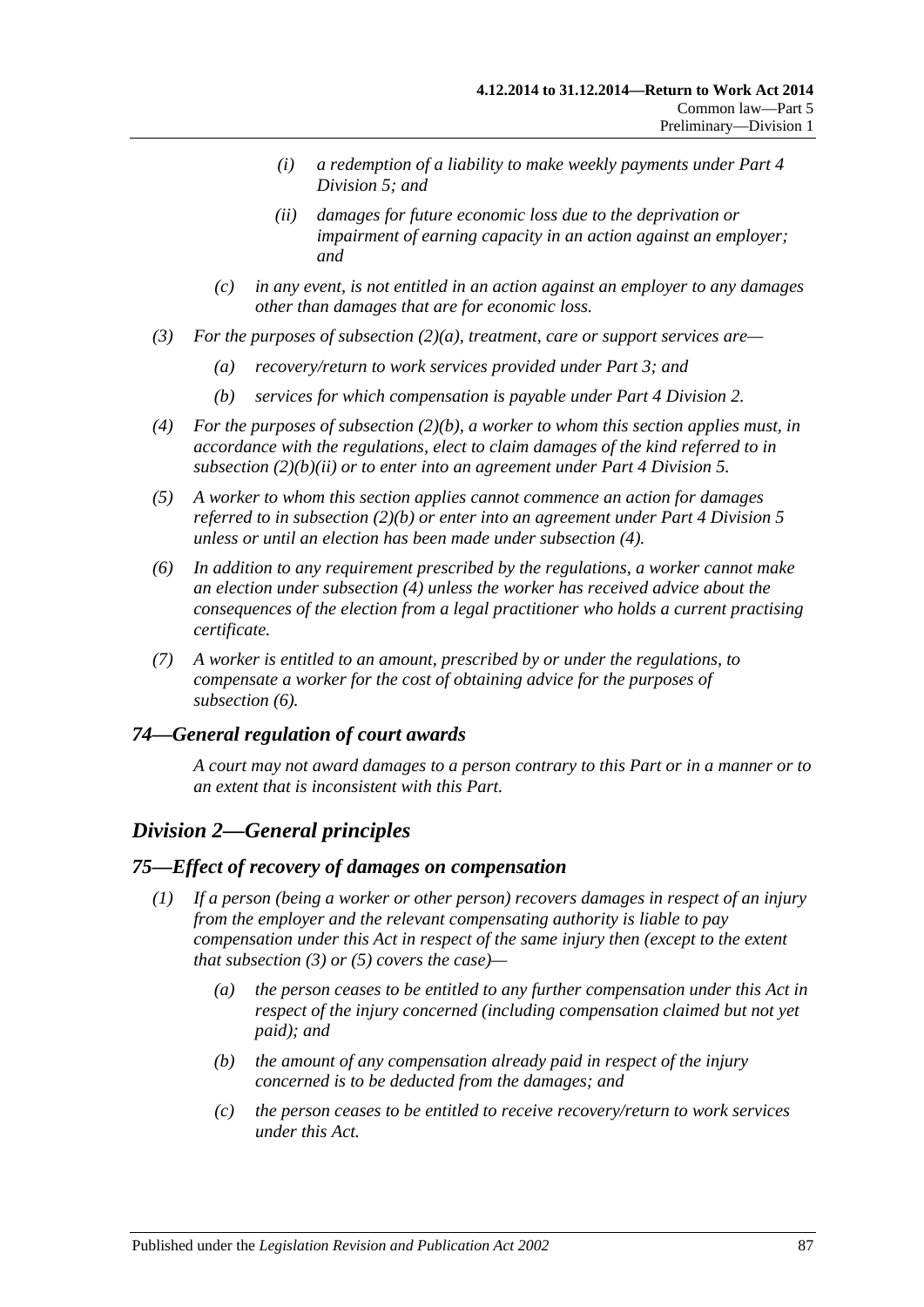- *(i) a redemption of a liability to make weekly payments under [Part](#page-65-0) 4 [Division](#page-65-0) 5; and*
- *(ii) damages for future economic loss due to the deprivation or impairment of earning capacity in an action against an employer; and*
- <span id="page-86-0"></span>*(c) in any event, is not entitled in an action against an employer to any damages other than damages that are for economic loss.*
- *(3) For the purposes of [subsection](#page-85-3) (2)(a), treatment, care or support services are—*
	- *(a) recovery/return to work services provided under [Part](#page-39-0) 3; and*
	- *(b) services for which compensation is payable under Part [4 Division](#page-47-0) 2.*
- <span id="page-86-1"></span>*(4) For the purposes of [subsection](#page-85-4) (2)(b), a worker to whom this section applies must, in accordance with the regulations, elect to claim damages of the kind referred to in [subsection](#page-86-0) (2)(b)(ii) or to enter into an agreement under Part [4 Division](#page-65-0) 5.*
- *(5) A worker to whom this section applies cannot commence an action for damages referred to in [subsection](#page-85-4) (2)(b) or enter into an agreement under Part [4 Division](#page-65-0) 5 unless or until an election has been made under [subsection](#page-86-1) (4).*
- <span id="page-86-2"></span>*(6) In addition to any requirement prescribed by the regulations, a worker cannot make an election under [subsection](#page-86-1) (4) unless the worker has received advice about the consequences of the election from a legal practitioner who holds a current practising certificate.*
- *(7) A worker is entitled to an amount, prescribed by or under the regulations, to compensate a worker for the cost of obtaining advice for the purposes of [subsection](#page-86-2) (6).*

## *74—General regulation of court awards*

*A court may not award damages to a person contrary to this Part or in a manner or to an extent that is inconsistent with this Part.*

# *Division 2—General principles*

#### <span id="page-86-3"></span>*75—Effect of recovery of damages on compensation*

- <span id="page-86-4"></span>*(1) If a person (being a worker or other person) recovers damages in respect of an injury from the employer and the relevant compensating authority is liable to pay compensation under this Act in respect of the same injury then (except to the extent that [subsection](#page-87-0) (3) or [\(5\)](#page-87-1) covers the case)—*
	- *(a) the person ceases to be entitled to any further compensation under this Act in respect of the injury concerned (including compensation claimed but not yet paid); and*
	- *(b) the amount of any compensation already paid in respect of the injury concerned is to be deducted from the damages; and*
	- *(c) the person ceases to be entitled to receive recovery/return to work services under this Act.*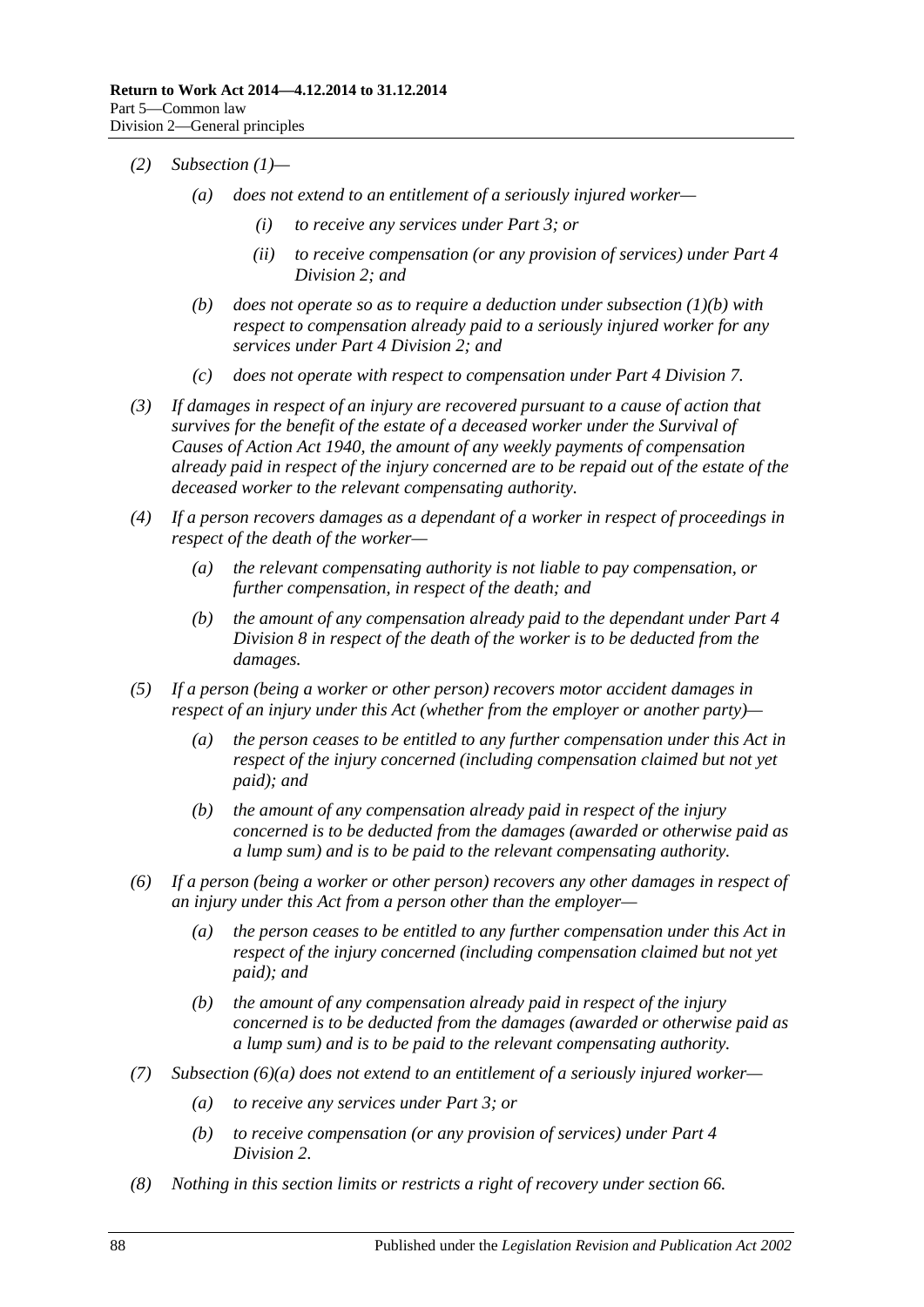- *(2) [Subsection](#page-86-3) (1)—*
	- *(a) does not extend to an entitlement of a seriously injured worker—*
		- *(i) to receive any services under [Part](#page-39-0) 3; or*
		- *(ii) to receive compensation (or any provision of services) under [Part](#page-47-0) 4 [Division](#page-47-0) 2; and*
	- *(b) does not operate so as to require a deduction under [subsection](#page-86-4) (1)(b) with respect to compensation already paid to a seriously injured worker for any services under Part [4 Division](#page-47-0) 2; and*
	- *(c) does not operate with respect to compensation under Part [4 Division](#page-69-0) 7.*
- <span id="page-87-0"></span>*(3) If damages in respect of an injury are recovered pursuant to a cause of action that survives for the benefit of the estate of a deceased worker under the [Survival of](http://www.legislation.sa.gov.au/index.aspx?action=legref&type=act&legtitle=Survival%20of%20Causes%20of%20Action%20Act%201940)  [Causes of Action Act](http://www.legislation.sa.gov.au/index.aspx?action=legref&type=act&legtitle=Survival%20of%20Causes%20of%20Action%20Act%201940) 1940, the amount of any weekly payments of compensation already paid in respect of the injury concerned are to be repaid out of the estate of the deceased worker to the relevant compensating authority.*
- *(4) If a person recovers damages as a dependant of a worker in respect of proceedings in respect of the death of the worker—*
	- *(a) the relevant compensating authority is not liable to pay compensation, or further compensation, in respect of the death; and*
	- *(b) the amount of any compensation already paid to the dependant under [Part](#page-70-0) 4 [Division](#page-70-0) 8 in respect of the death of the worker is to be deducted from the damages.*
- <span id="page-87-1"></span>*(5) If a person (being a worker or other person) recovers motor accident damages in respect of an injury under this Act (whether from the employer or another party)—*
	- *(a) the person ceases to be entitled to any further compensation under this Act in respect of the injury concerned (including compensation claimed but not yet paid); and*
	- *(b) the amount of any compensation already paid in respect of the injury concerned is to be deducted from the damages (awarded or otherwise paid as a lump sum) and is to be paid to the relevant compensating authority.*
- <span id="page-87-2"></span>*(6) If a person (being a worker or other person) recovers any other damages in respect of an injury under this Act from a person other than the employer—*
	- *(a) the person ceases to be entitled to any further compensation under this Act in respect of the injury concerned (including compensation claimed but not yet paid); and*
	- *(b) the amount of any compensation already paid in respect of the injury concerned is to be deducted from the damages (awarded or otherwise paid as a lump sum) and is to be paid to the relevant compensating authority.*
- *(7) [Subsection](#page-87-2) (6)(a) does not extend to an entitlement of a seriously injured worker—*
	- *(a) to receive any services under [Part](#page-39-0) 3; or*
	- *(b) to receive compensation (or any provision of services) under [Part](#page-47-0) 4 [Division](#page-47-0) 2.*
- *(8) Nothing in this section limits or restricts a right of recovery under [section](#page-78-3) 66.*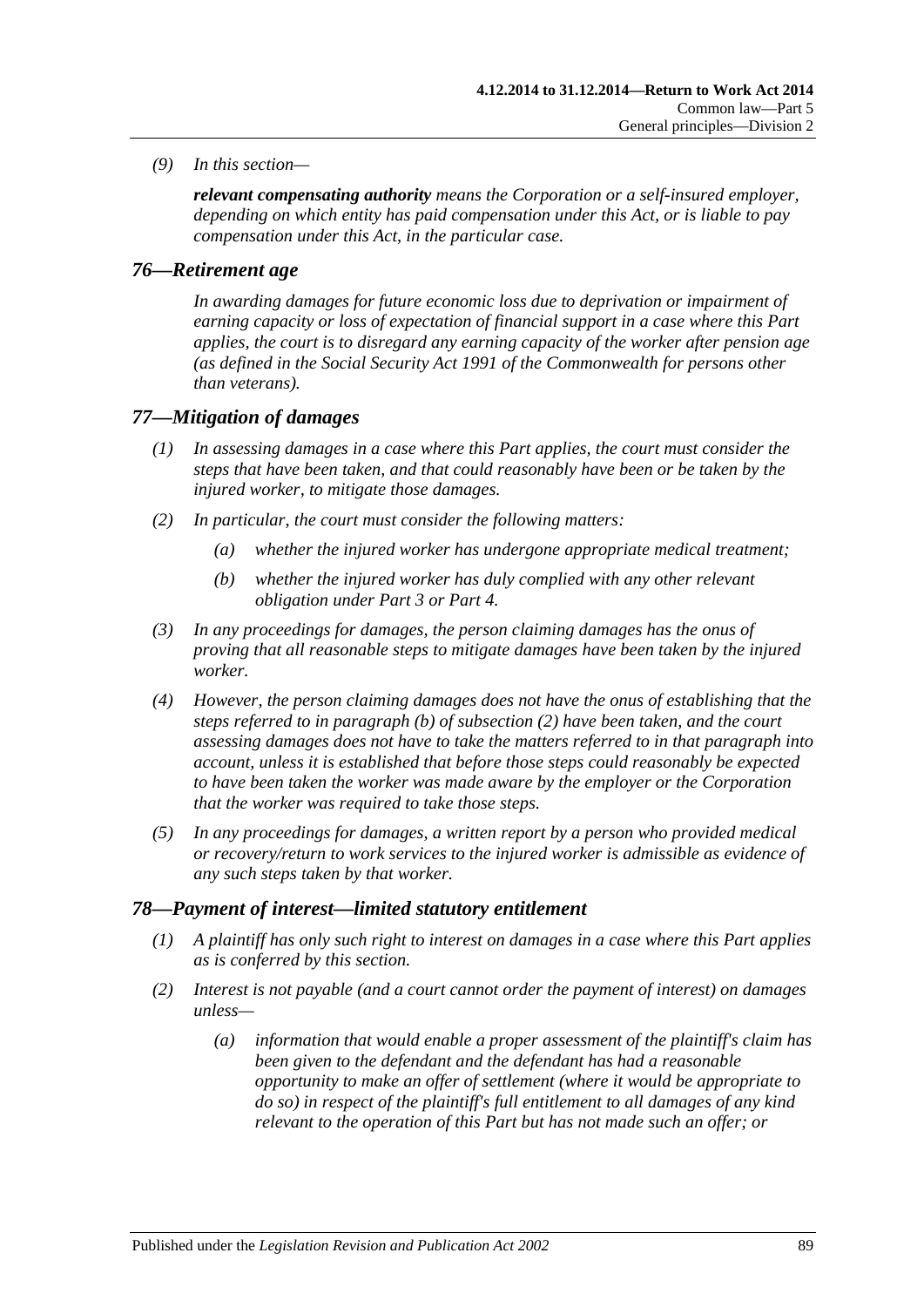*(9) In this section—*

*relevant compensating authority means the Corporation or a self-insured employer, depending on which entity has paid compensation under this Act, or is liable to pay compensation under this Act, in the particular case.*

### *76—Retirement age*

*In awarding damages for future economic loss due to deprivation or impairment of earning capacity or loss of expectation of financial support in a case where this Part applies, the court is to disregard any earning capacity of the worker after pension age (as defined in the Social Security Act 1991 of the Commonwealth for persons other than veterans).*

#### *77—Mitigation of damages*

- *(1) In assessing damages in a case where this Part applies, the court must consider the steps that have been taken, and that could reasonably have been or be taken by the injured worker, to mitigate those damages.*
- <span id="page-88-1"></span><span id="page-88-0"></span>*(2) In particular, the court must consider the following matters:*
	- *(a) whether the injured worker has undergone appropriate medical treatment;*
	- *(b) whether the injured worker has duly complied with any other relevant obligation under [Part](#page-39-0) 3 or [Part](#page-44-0) 4.*
- *(3) In any proceedings for damages, the person claiming damages has the onus of proving that all reasonable steps to mitigate damages have been taken by the injured worker.*
- *(4) However, the person claiming damages does not have the onus of establishing that the steps referred to in [paragraph](#page-88-0) (b) of [subsection](#page-88-1) (2) have been taken, and the court assessing damages does not have to take the matters referred to in that paragraph into account, unless it is established that before those steps could reasonably be expected to have been taken the worker was made aware by the employer or the Corporation that the worker was required to take those steps.*
- *(5) In any proceedings for damages, a written report by a person who provided medical or recovery/return to work services to the injured worker is admissible as evidence of any such steps taken by that worker.*

#### *78—Payment of interest—limited statutory entitlement*

- *(1) A plaintiff has only such right to interest on damages in a case where this Part applies as is conferred by this section.*
- <span id="page-88-2"></span>*(2) Interest is not payable (and a court cannot order the payment of interest) on damages unless—*
	- *(a) information that would enable a proper assessment of the plaintiff's claim has been given to the defendant and the defendant has had a reasonable opportunity to make an offer of settlement (where it would be appropriate to do so) in respect of the plaintiff's full entitlement to all damages of any kind relevant to the operation of this Part but has not made such an offer; or*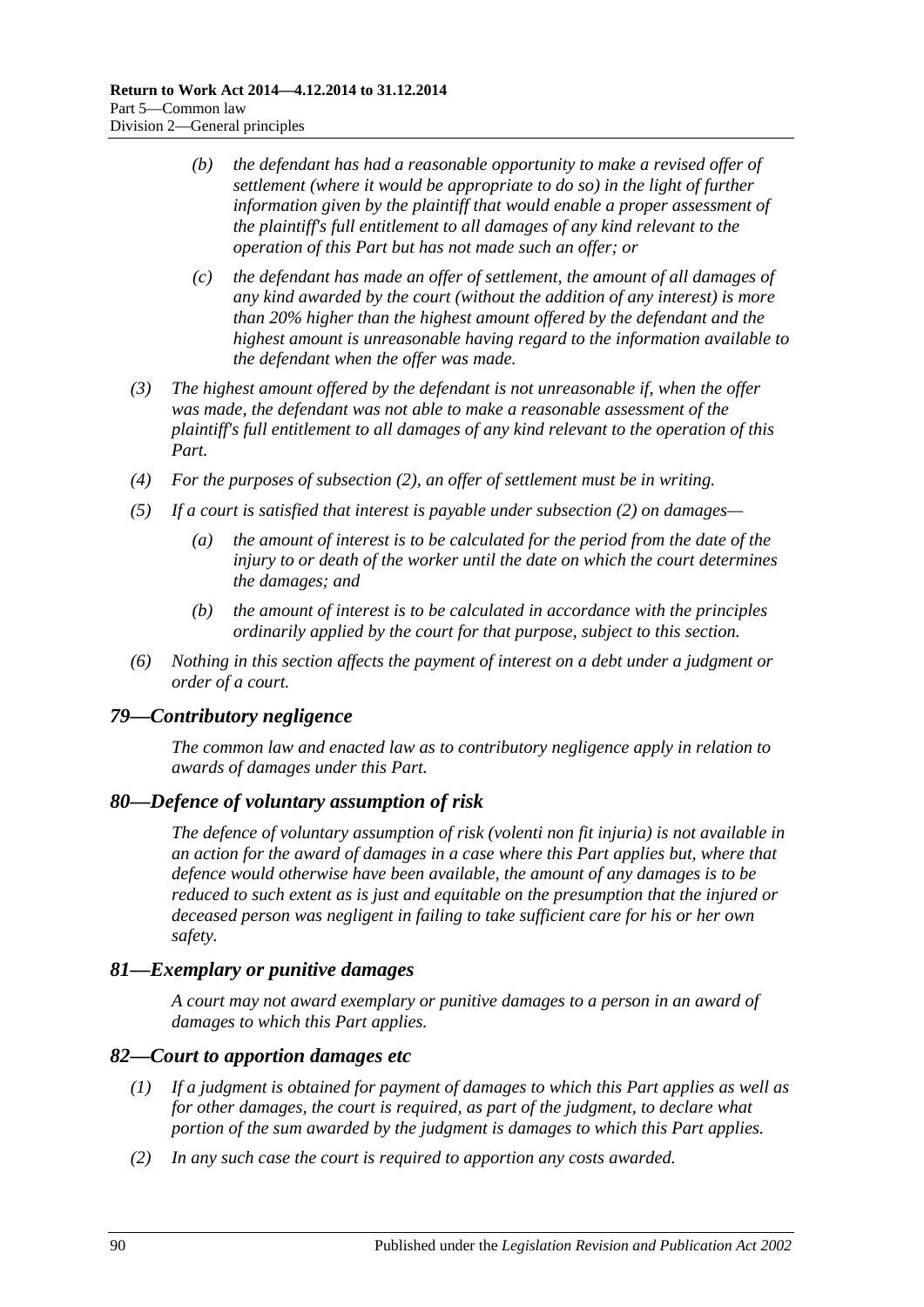- *(b) the defendant has had a reasonable opportunity to make a revised offer of settlement (where it would be appropriate to do so) in the light of further information given by the plaintiff that would enable a proper assessment of the plaintiff's full entitlement to all damages of any kind relevant to the operation of this Part but has not made such an offer; or*
- *(c) the defendant has made an offer of settlement, the amount of all damages of any kind awarded by the court (without the addition of any interest) is more than 20% higher than the highest amount offered by the defendant and the highest amount is unreasonable having regard to the information available to the defendant when the offer was made.*
- *(3) The highest amount offered by the defendant is not unreasonable if, when the offer was made, the defendant was not able to make a reasonable assessment of the plaintiff's full entitlement to all damages of any kind relevant to the operation of this Part.*
- *(4) For the purposes of [subsection](#page-88-2) (2), an offer of settlement must be in writing.*
- *(5) If a court is satisfied that interest is payable under [subsection](#page-88-2) (2) on damages—*
	- *(a) the amount of interest is to be calculated for the period from the date of the injury to or death of the worker until the date on which the court determines the damages; and*
	- *(b) the amount of interest is to be calculated in accordance with the principles ordinarily applied by the court for that purpose, subject to this section.*
- *(6) Nothing in this section affects the payment of interest on a debt under a judgment or order of a court.*

#### *79—Contributory negligence*

*The common law and enacted law as to contributory negligence apply in relation to awards of damages under this Part.*

#### *80—Defence of voluntary assumption of risk*

*The defence of voluntary assumption of risk (volenti non fit injuria) is not available in an action for the award of damages in a case where this Part applies but, where that defence would otherwise have been available, the amount of any damages is to be reduced to such extent as is just and equitable on the presumption that the injured or deceased person was negligent in failing to take sufficient care for his or her own safety.*

#### *81—Exemplary or punitive damages*

*A court may not award exemplary or punitive damages to a person in an award of damages to which this Part applies.*

#### *82—Court to apportion damages etc*

- *(1) If a judgment is obtained for payment of damages to which this Part applies as well as for other damages, the court is required, as part of the judgment, to declare what portion of the sum awarded by the judgment is damages to which this Part applies.*
- *(2) In any such case the court is required to apportion any costs awarded.*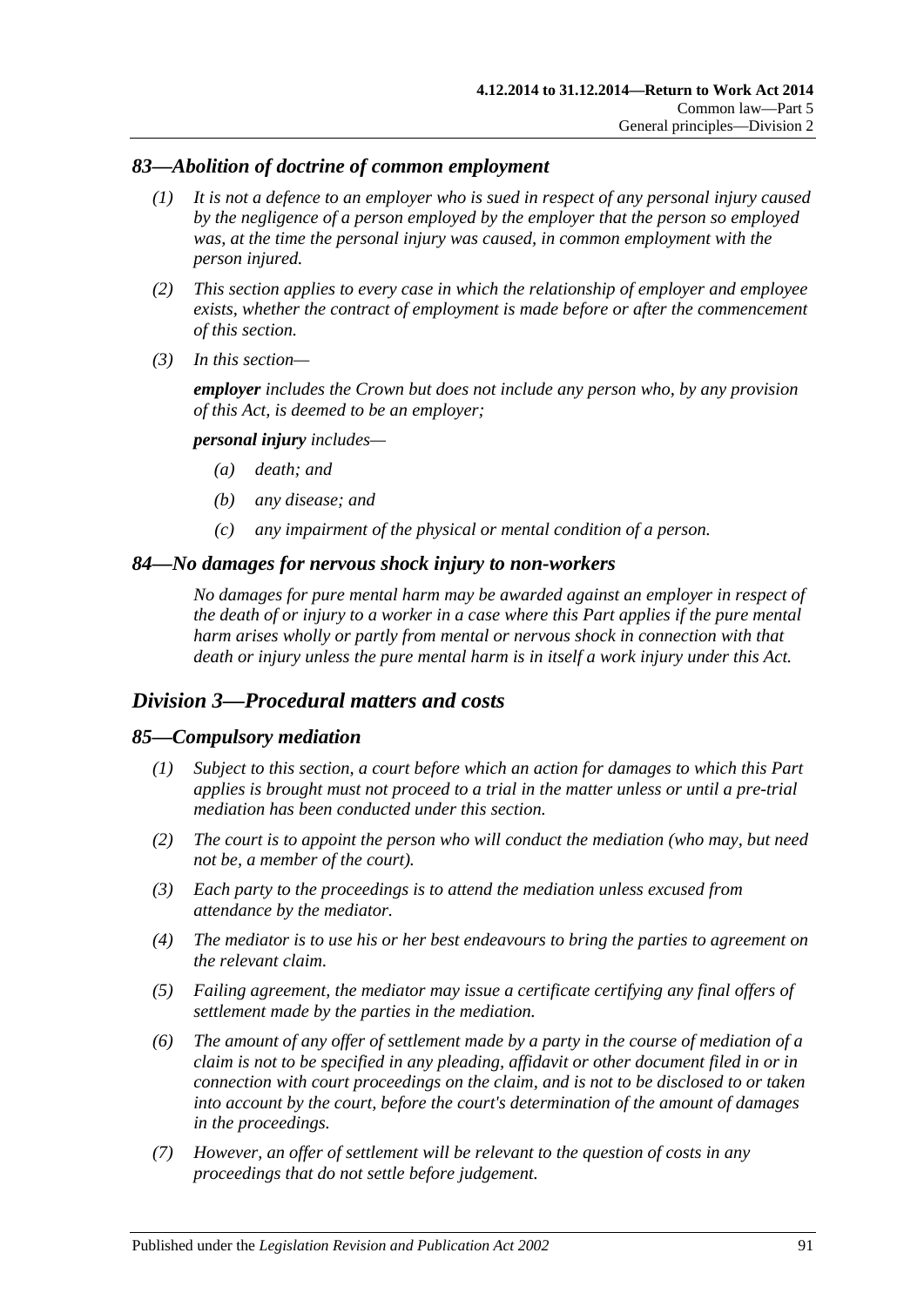## *83—Abolition of doctrine of common employment*

- *(1) It is not a defence to an employer who is sued in respect of any personal injury caused by the negligence of a person employed by the employer that the person so employed was, at the time the personal injury was caused, in common employment with the person injured.*
- *(2) This section applies to every case in which the relationship of employer and employee exists, whether the contract of employment is made before or after the commencement of this section.*
- *(3) In this section—*

*employer includes the Crown but does not include any person who, by any provision of this Act, is deemed to be an employer;*

#### *personal injury includes—*

- *(a) death; and*
- *(b) any disease; and*
- *(c) any impairment of the physical or mental condition of a person.*

#### *84—No damages for nervous shock injury to non-workers*

*No damages for pure mental harm may be awarded against an employer in respect of the death of or injury to a worker in a case where this Part applies if the pure mental harm arises wholly or partly from mental or nervous shock in connection with that death or injury unless the pure mental harm is in itself a work injury under this Act.*

## *Division 3—Procedural matters and costs*

#### *85—Compulsory mediation*

- *(1) Subject to this section, a court before which an action for damages to which this Part applies is brought must not proceed to a trial in the matter unless or until a pre-trial mediation has been conducted under this section.*
- *(2) The court is to appoint the person who will conduct the mediation (who may, but need not be, a member of the court).*
- *(3) Each party to the proceedings is to attend the mediation unless excused from attendance by the mediator.*
- *(4) The mediator is to use his or her best endeavours to bring the parties to agreement on the relevant claim.*
- *(5) Failing agreement, the mediator may issue a certificate certifying any final offers of settlement made by the parties in the mediation.*
- <span id="page-90-0"></span>*(6) The amount of any offer of settlement made by a party in the course of mediation of a claim is not to be specified in any pleading, affidavit or other document filed in or in connection with court proceedings on the claim, and is not to be disclosed to or taken into account by the court, before the court's determination of the amount of damages in the proceedings.*
- *(7) However, an offer of settlement will be relevant to the question of costs in any proceedings that do not settle before judgement.*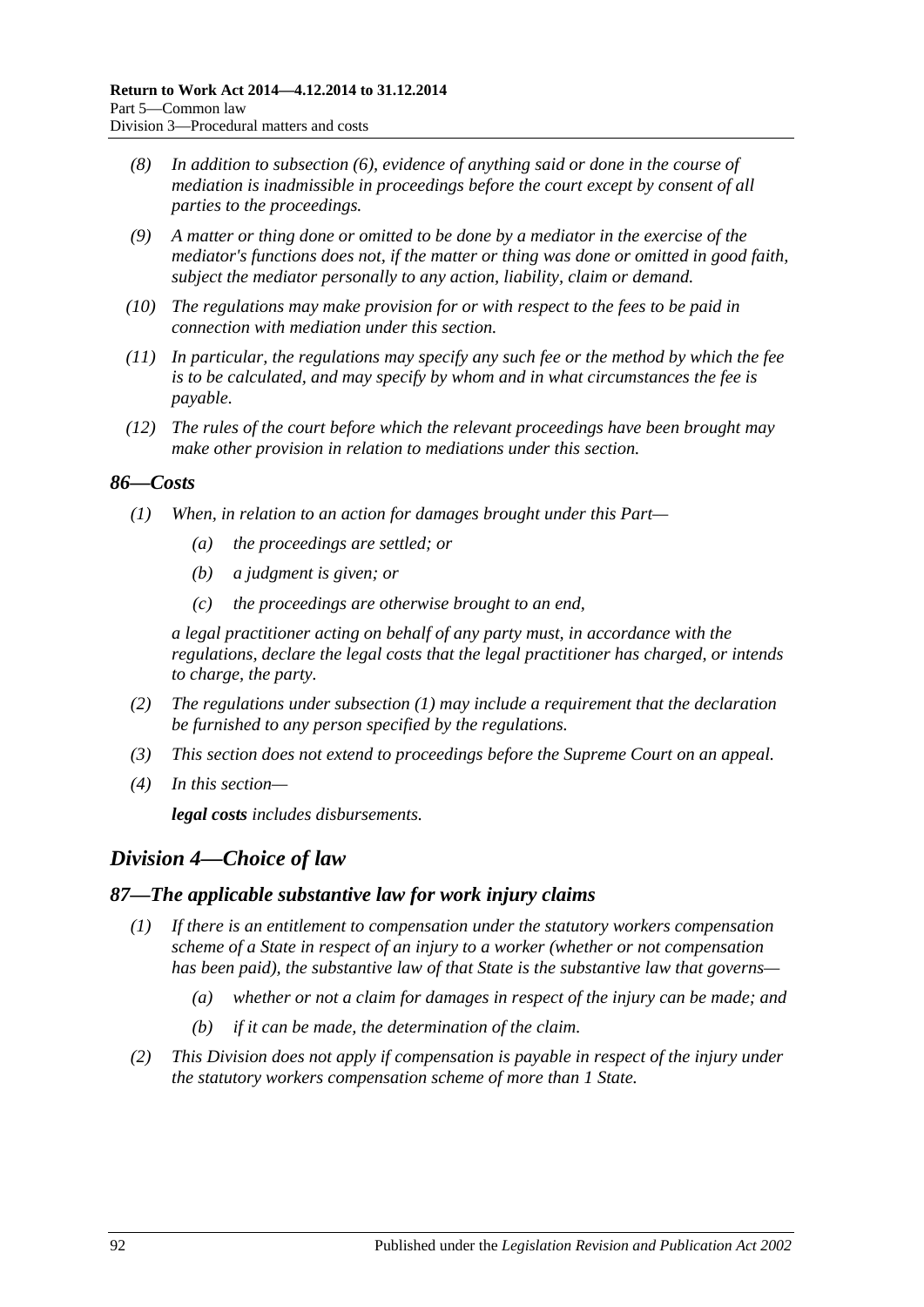- *(8) In addition to [subsection](#page-90-0) (6), evidence of anything said or done in the course of mediation is inadmissible in proceedings before the court except by consent of all parties to the proceedings.*
- *(9) A matter or thing done or omitted to be done by a mediator in the exercise of the mediator's functions does not, if the matter or thing was done or omitted in good faith, subject the mediator personally to any action, liability, claim or demand.*
- *(10) The regulations may make provision for or with respect to the fees to be paid in connection with mediation under this section.*
- *(11) In particular, the regulations may specify any such fee or the method by which the fee is to be calculated, and may specify by whom and in what circumstances the fee is payable.*
- *(12) The rules of the court before which the relevant proceedings have been brought may make other provision in relation to mediations under this section.*

#### <span id="page-91-0"></span>*86—Costs*

- *(1) When, in relation to an action for damages brought under this Part—*
	- *(a) the proceedings are settled; or*
	- *(b) a judgment is given; or*
	- *(c) the proceedings are otherwise brought to an end,*

*a legal practitioner acting on behalf of any party must, in accordance with the regulations, declare the legal costs that the legal practitioner has charged, or intends to charge, the party.*

- *(2) The regulations under [subsection](#page-91-0) (1) may include a requirement that the declaration be furnished to any person specified by the regulations.*
- *(3) This section does not extend to proceedings before the Supreme Court on an appeal.*
- *(4) In this section—*

*legal costs includes disbursements.*

# *Division 4—Choice of law*

#### *87—The applicable substantive law for work injury claims*

- *(1) If there is an entitlement to compensation under the statutory workers compensation scheme of a State in respect of an injury to a worker (whether or not compensation has been paid), the substantive law of that State is the substantive law that governs—*
	- *(a) whether or not a claim for damages in respect of the injury can be made; and*
	- *(b) if it can be made, the determination of the claim.*
- *(2) This Division does not apply if compensation is payable in respect of the injury under the statutory workers compensation scheme of more than 1 State.*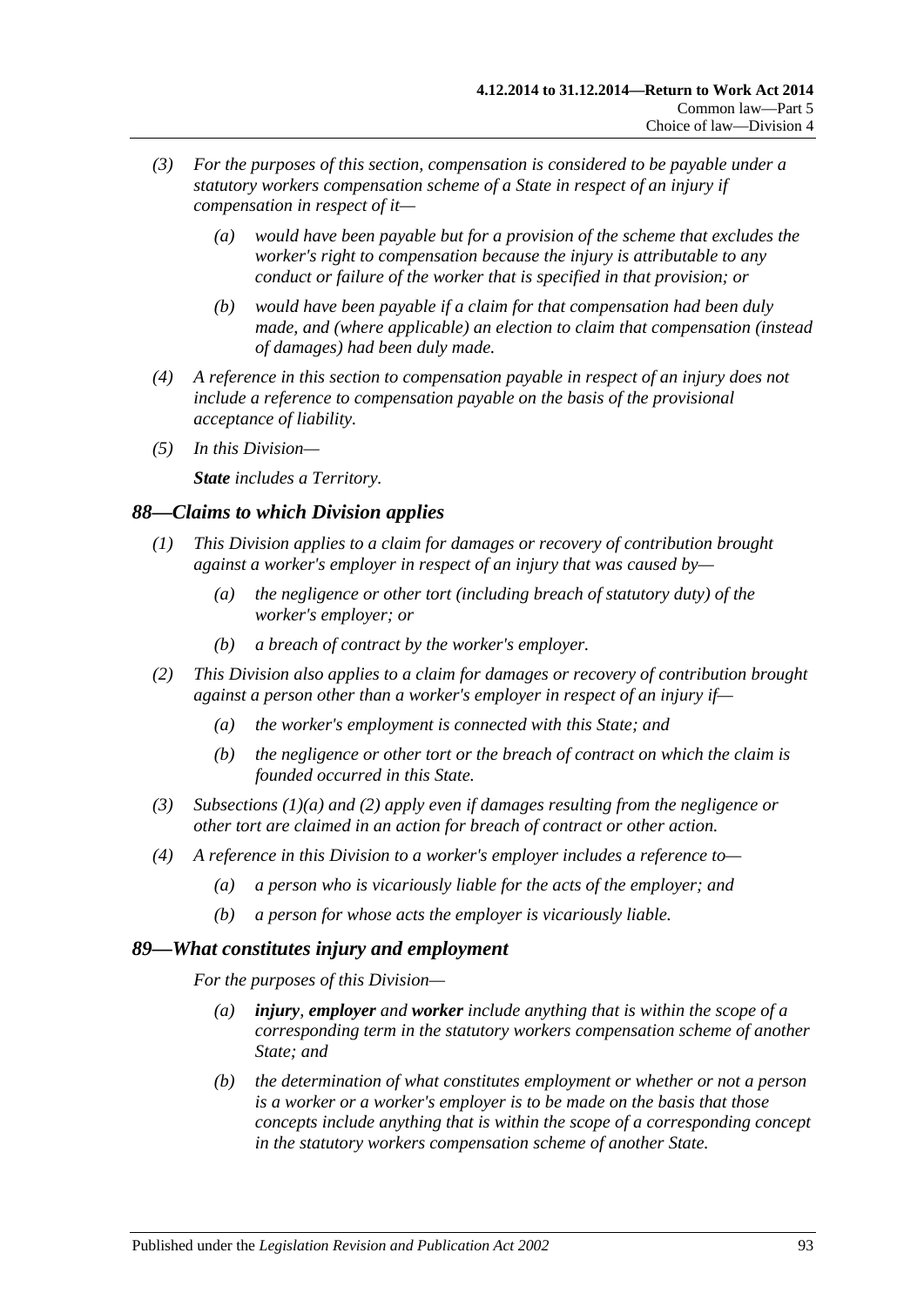- *(3) For the purposes of this section, compensation is considered to be payable under a statutory workers compensation scheme of a State in respect of an injury if compensation in respect of it—*
	- *(a) would have been payable but for a provision of the scheme that excludes the worker's right to compensation because the injury is attributable to any conduct or failure of the worker that is specified in that provision; or*
	- *(b) would have been payable if a claim for that compensation had been duly made, and (where applicable) an election to claim that compensation (instead of damages) had been duly made.*
- *(4) A reference in this section to compensation payable in respect of an injury does not include a reference to compensation payable on the basis of the provisional acceptance of liability.*
- *(5) In this Division—*

*State includes a Territory.*

## *88—Claims to which Division applies*

- <span id="page-92-0"></span>*(1) This Division applies to a claim for damages or recovery of contribution brought against a worker's employer in respect of an injury that was caused by—*
	- *(a) the negligence or other tort (including breach of statutory duty) of the worker's employer; or*
	- *(b) a breach of contract by the worker's employer.*
- <span id="page-92-1"></span>*(2) This Division also applies to a claim for damages or recovery of contribution brought against a person other than a worker's employer in respect of an injury if—*
	- *(a) the worker's employment is connected with this State; and*
	- *(b) the negligence or other tort or the breach of contract on which the claim is founded occurred in this State.*
- *(3) [Subsections \(1\)\(a\)](#page-92-0) and [\(2\)](#page-92-1) apply even if damages resulting from the negligence or other tort are claimed in an action for breach of contract or other action.*
- *(4) A reference in this Division to a worker's employer includes a reference to—*
	- *(a) a person who is vicariously liable for the acts of the employer; and*
	- *(b) a person for whose acts the employer is vicariously liable.*

## *89—What constitutes injury and employment*

*For the purposes of this Division—*

- *(a) injury, employer and worker include anything that is within the scope of a corresponding term in the statutory workers compensation scheme of another State; and*
- *(b) the determination of what constitutes employment or whether or not a person is a worker or a worker's employer is to be made on the basis that those concepts include anything that is within the scope of a corresponding concept in the statutory workers compensation scheme of another State.*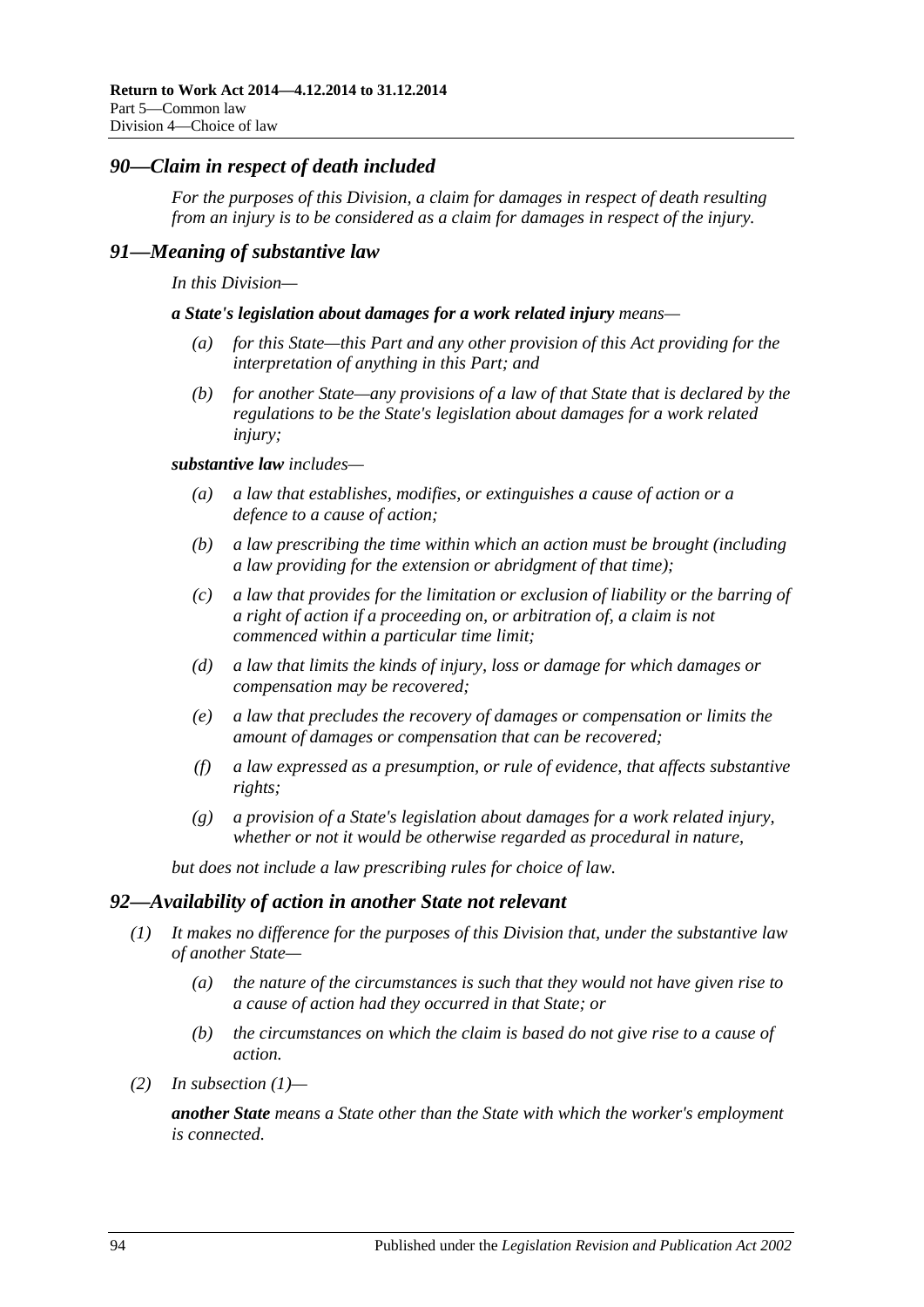### *90—Claim in respect of death included*

*For the purposes of this Division, a claim for damages in respect of death resulting from an injury is to be considered as a claim for damages in respect of the injury.* 

#### *91—Meaning of substantive law*

*In this Division—*

*a State's legislation about damages for a work related injury means—*

- *(a) for this State—this Part and any other provision of this Act providing for the interpretation of anything in this Part; and*
- *(b) for another State—any provisions of a law of that State that is declared by the regulations to be the State's legislation about damages for a work related injury;*

#### *substantive law includes—*

- *(a) a law that establishes, modifies, or extinguishes a cause of action or a defence to a cause of action;*
- *(b) a law prescribing the time within which an action must be brought (including a law providing for the extension or abridgment of that time);*
- *(c) a law that provides for the limitation or exclusion of liability or the barring of a right of action if a proceeding on, or arbitration of, a claim is not commenced within a particular time limit;*
- *(d) a law that limits the kinds of injury, loss or damage for which damages or compensation may be recovered;*
- *(e) a law that precludes the recovery of damages or compensation or limits the amount of damages or compensation that can be recovered;*
- *(f) a law expressed as a presumption, or rule of evidence, that affects substantive rights;*
- *(g) a provision of a State's legislation about damages for a work related injury, whether or not it would be otherwise regarded as procedural in nature,*

*but does not include a law prescribing rules for choice of law.*

#### <span id="page-93-0"></span>*92—Availability of action in another State not relevant*

- *(1) It makes no difference for the purposes of this Division that, under the substantive law of another State—*
	- *(a) the nature of the circumstances is such that they would not have given rise to a cause of action had they occurred in that State; or*
	- *(b) the circumstances on which the claim is based do not give rise to a cause of action.*
- *(2) In [subsection](#page-93-0) (1)—*

*another State means a State other than the State with which the worker's employment is connected.*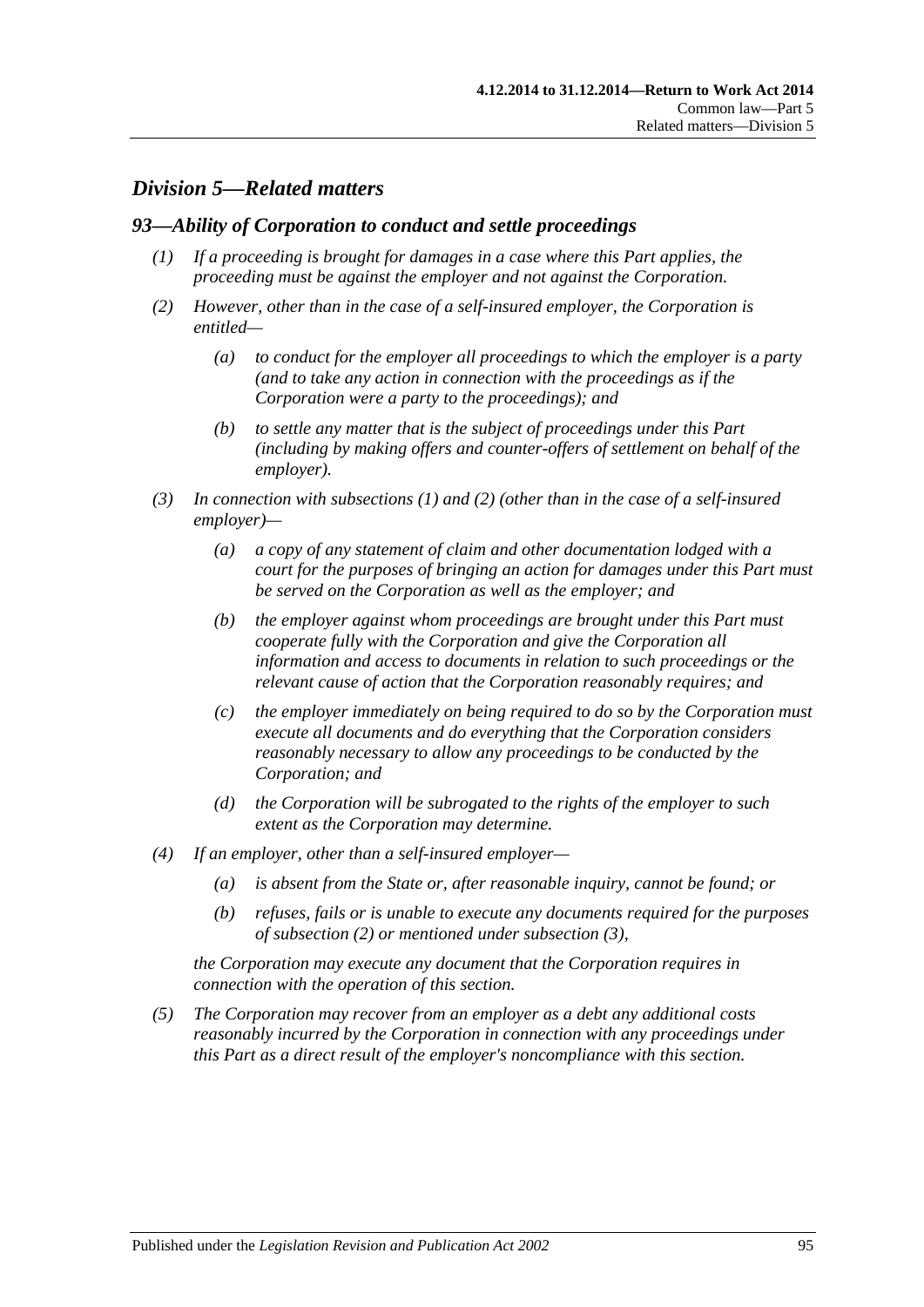# *Division 5—Related matters*

#### <span id="page-94-0"></span>*93—Ability of Corporation to conduct and settle proceedings*

- *(1) If a proceeding is brought for damages in a case where this Part applies, the proceeding must be against the employer and not against the Corporation.*
- <span id="page-94-1"></span>*(2) However, other than in the case of a self-insured employer, the Corporation is entitled—*
	- *(a) to conduct for the employer all proceedings to which the employer is a party (and to take any action in connection with the proceedings as if the Corporation were a party to the proceedings); and*
	- *(b) to settle any matter that is the subject of proceedings under this Part (including by making offers and counter-offers of settlement on behalf of the employer).*
- <span id="page-94-2"></span>*(3) In connection with [subsections](#page-94-0) (1) and [\(2\)](#page-94-1) (other than in the case of a self-insured employer)—*
	- *(a) a copy of any statement of claim and other documentation lodged with a court for the purposes of bringing an action for damages under this Part must be served on the Corporation as well as the employer; and*
	- *(b) the employer against whom proceedings are brought under this Part must cooperate fully with the Corporation and give the Corporation all information and access to documents in relation to such proceedings or the relevant cause of action that the Corporation reasonably requires; and*
	- *(c) the employer immediately on being required to do so by the Corporation must execute all documents and do everything that the Corporation considers reasonably necessary to allow any proceedings to be conducted by the Corporation; and*
	- *(d) the Corporation will be subrogated to the rights of the employer to such extent as the Corporation may determine.*
- *(4) If an employer, other than a self-insured employer—*
	- *(a) is absent from the State or, after reasonable inquiry, cannot be found; or*
	- *(b) refuses, fails or is unable to execute any documents required for the purposes of [subsection](#page-94-1) (2) or mentioned under [subsection](#page-94-2) (3),*

*the Corporation may execute any document that the Corporation requires in connection with the operation of this section.*

*(5) The Corporation may recover from an employer as a debt any additional costs reasonably incurred by the Corporation in connection with any proceedings under this Part as a direct result of the employer's noncompliance with this section.*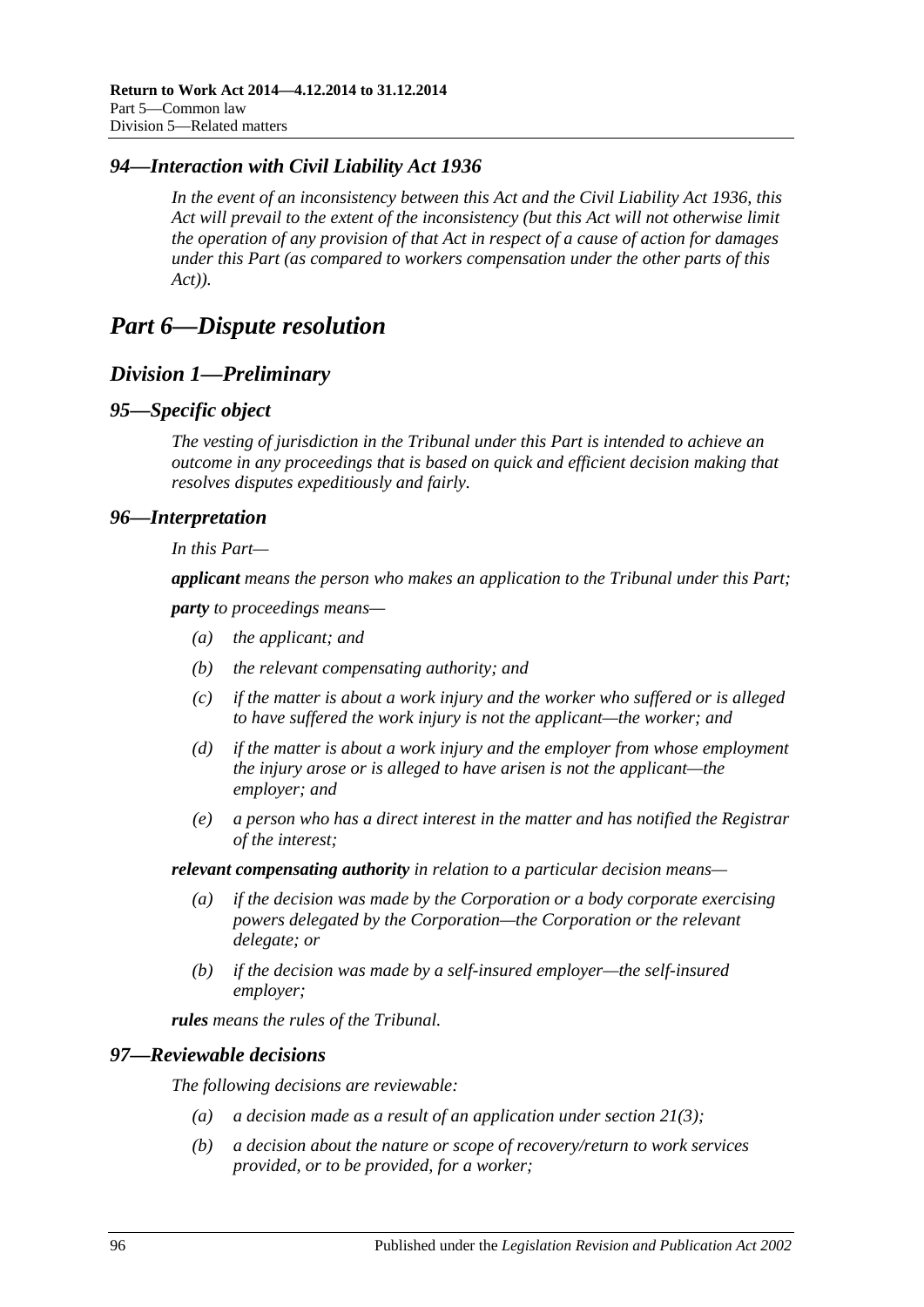### *94—Interaction with Civil Liability Act 1936*

*In the event of an inconsistency between this Act and the [Civil Liability Act](http://www.legislation.sa.gov.au/index.aspx?action=legref&type=act&legtitle=Civil%20Liability%20Act%201936) 1936, this Act will prevail to the extent of the inconsistency (but this Act will not otherwise limit the operation of any provision of that Act in respect of a cause of action for damages under this Part (as compared to workers compensation under the other parts of this Act)).*

# *Part 6—Dispute resolution*

# *Division 1—Preliminary*

#### *95—Specific object*

*The vesting of jurisdiction in the Tribunal under this Part is intended to achieve an outcome in any proceedings that is based on quick and efficient decision making that resolves disputes expeditiously and fairly.*

#### *96—Interpretation*

*In this Part—*

*applicant means the person who makes an application to the Tribunal under this Part;*

*party to proceedings means—*

- *(a) the applicant; and*
- *(b) the relevant compensating authority; and*
- *(c) if the matter is about a work injury and the worker who suffered or is alleged to have suffered the work injury is not the applicant—the worker; and*
- *(d) if the matter is about a work injury and the employer from whose employment the injury arose or is alleged to have arisen is not the applicant—the employer; and*
- *(e) a person who has a direct interest in the matter and has notified the Registrar of the interest;*

*relevant compensating authority in relation to a particular decision means—*

- *(a) if the decision was made by the Corporation or a body corporate exercising powers delegated by the Corporation—the Corporation or the relevant delegate; or*
- *(b) if the decision was made by a self-insured employer—the self-insured employer;*

*rules means the rules of the Tribunal.*

#### *97—Reviewable decisions*

<span id="page-95-0"></span>*The following decisions are reviewable:*

- *(a) a decision made as a result of an application under [section](#page-35-0) 21(3);*
- *(b) a decision about the nature or scope of recovery/return to work services provided, or to be provided, for a worker;*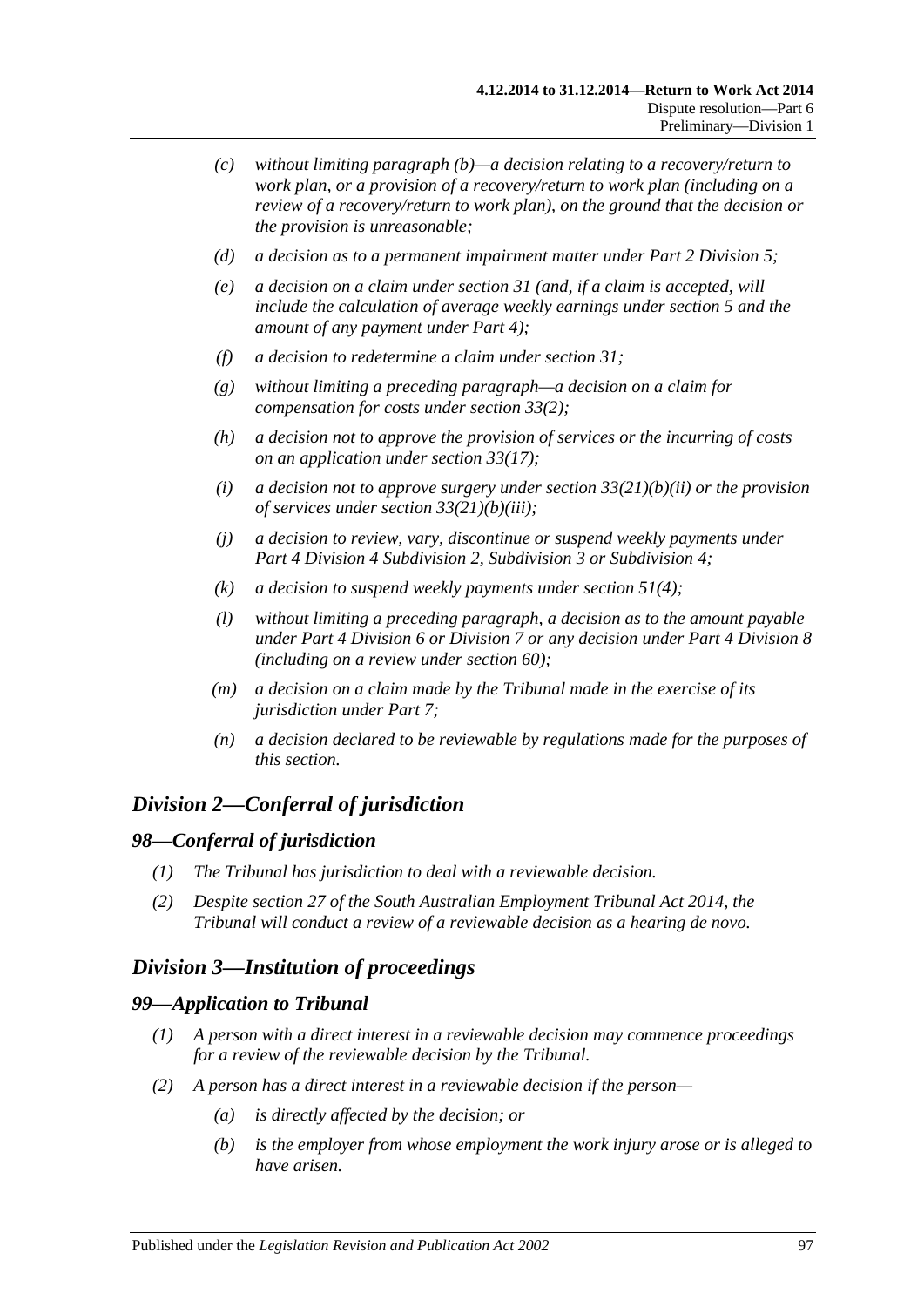- *(c) without limiting [paragraph](#page-95-0) (b)—a decision relating to a recovery/return to work plan, or a provision of a recovery/return to work plan (including on a review of a recovery/return to work plan), on the ground that the decision or the provision is unreasonable;*
- *(d) a decision as to a permanent impairment matter under Part [2 Division](#page-36-0) 5;*
- *(e) a decision on a claim under [section](#page-45-1) 31 (and, if a claim is accepted, will include the calculation of average weekly earnings under [section](#page-20-0) 5 and the amount of any payment under [Part](#page-44-0) 4);*
- *(f) a decision to redetermine a claim under [section](#page-45-1) 31;*
- *(g) without limiting a preceding paragraph—a decision on a claim for compensation for costs under [section](#page-47-1) 33(2);*
- *(h) a decision not to approve the provision of services or the incurring of costs on an application under [section](#page-49-0) 33(17);*
- *(i) a decision not to approve surgery under section [33\(21\)\(b\)\(ii\)](#page-50-0) or the provision of services under section [33\(21\)\(b\)\(iii\);](#page-50-1)*
- *(j) a decision to review, vary, discontinue or suspend weekly payments under Part 4 Division [4 Subdivision](#page-52-0) 2, [Subdivision](#page-56-0) 3 or [Subdivision](#page-58-0) 4;*
- *(k) a decision to suspend weekly payments under [section](#page-65-1) 51(4);*
- *(l) without limiting a preceding paragraph, a decision as to the amount payable under Part [4 Division](#page-67-0) 6 or [Division](#page-69-0) 7 or any decision under Part [4 Division](#page-70-0) 8 (including on a review under [section](#page-73-2) 60);*
- *(m) a decision on a claim made by the Tribunal made in the exercise of its jurisdiction under [Part](#page-102-0) 7;*
- *(n) a decision declared to be reviewable by regulations made for the purposes of this section.*

# *Division 2—Conferral of jurisdiction*

#### *98—Conferral of jurisdiction*

- *(1) The Tribunal has jurisdiction to deal with a reviewable decision.*
- *(2) Despite section 27 of the [South Australian Employment Tribunal Act](http://www.legislation.sa.gov.au/index.aspx?action=legref&type=act&legtitle=South%20Australian%20Employment%20Tribunal%20Act%202014) 2014, the Tribunal will conduct a review of a reviewable decision as a hearing de novo.*

# *Division 3—Institution of proceedings*

#### *99—Application to Tribunal*

- *(1) A person with a direct interest in a reviewable decision may commence proceedings for a review of the reviewable decision by the Tribunal.*
- *(2) A person has a direct interest in a reviewable decision if the person—*
	- *(a) is directly affected by the decision; or*
	- *(b) is the employer from whose employment the work injury arose or is alleged to have arisen.*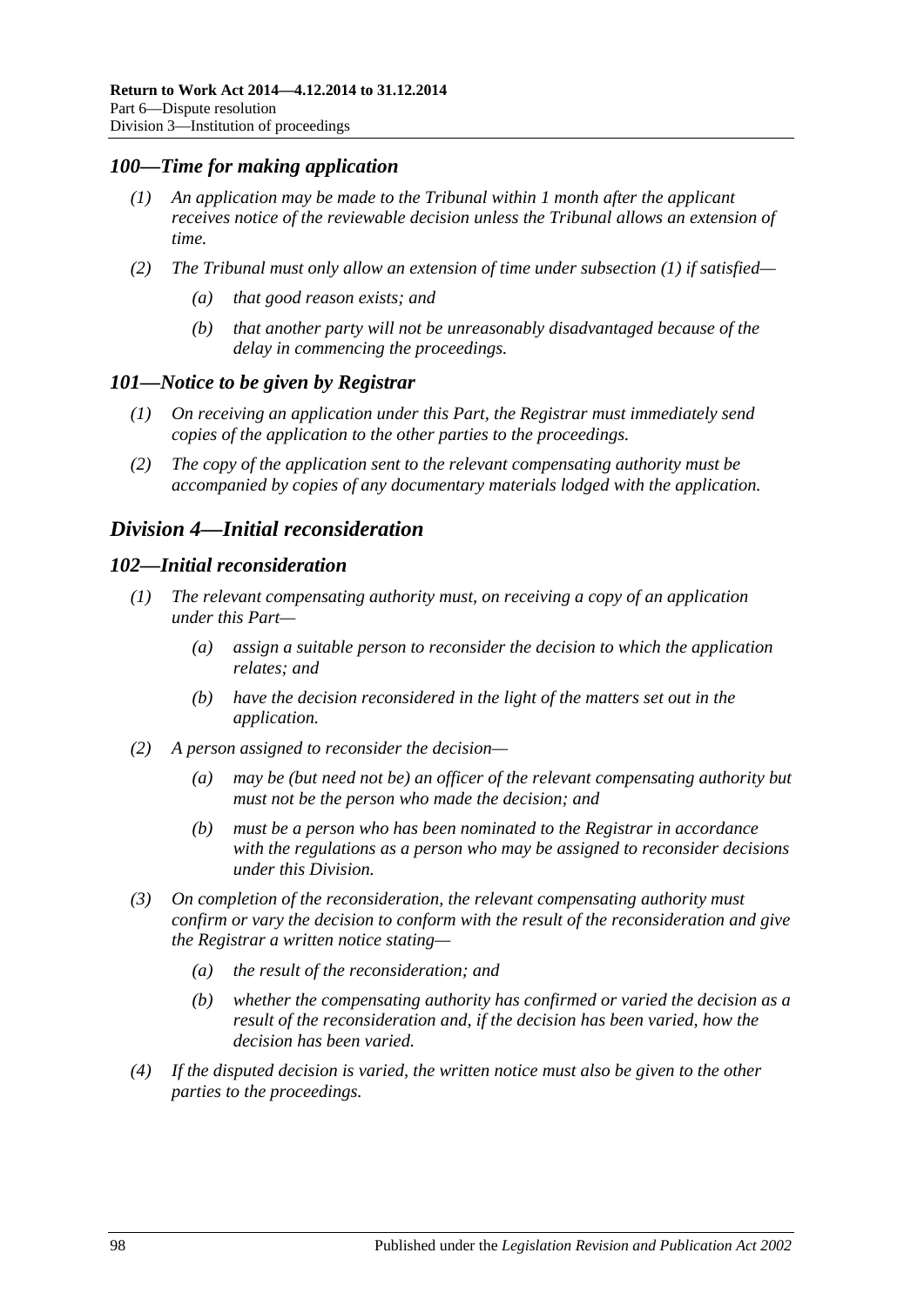### <span id="page-97-0"></span>*100—Time for making application*

- *(1) An application may be made to the Tribunal within 1 month after the applicant receives notice of the reviewable decision unless the Tribunal allows an extension of time.*
- *(2) The Tribunal must only allow an extension of time under [subsection](#page-97-0) (1) if satisfied—*
	- *(a) that good reason exists; and*
	- *(b) that another party will not be unreasonably disadvantaged because of the delay in commencing the proceedings.*

#### *101—Notice to be given by Registrar*

- *(1) On receiving an application under this Part, the Registrar must immediately send copies of the application to the other parties to the proceedings.*
- *(2) The copy of the application sent to the relevant compensating authority must be accompanied by copies of any documentary materials lodged with the application.*

# <span id="page-97-2"></span>*Division 4—Initial reconsideration*

#### <span id="page-97-1"></span>*102—Initial reconsideration*

- *(1) The relevant compensating authority must, on receiving a copy of an application under this Part—*
	- *(a) assign a suitable person to reconsider the decision to which the application relates; and*
	- *(b) have the decision reconsidered in the light of the matters set out in the application.*
- *(2) A person assigned to reconsider the decision—*
	- *(a) may be (but need not be) an officer of the relevant compensating authority but must not be the person who made the decision; and*
	- *(b) must be a person who has been nominated to the Registrar in accordance with the regulations as a person who may be assigned to reconsider decisions under this Division.*
- *(3) On completion of the reconsideration, the relevant compensating authority must confirm or vary the decision to conform with the result of the reconsideration and give the Registrar a written notice stating—*
	- *(a) the result of the reconsideration; and*
	- *(b) whether the compensating authority has confirmed or varied the decision as a result of the reconsideration and, if the decision has been varied, how the decision has been varied.*
- *(4) If the disputed decision is varied, the written notice must also be given to the other parties to the proceedings.*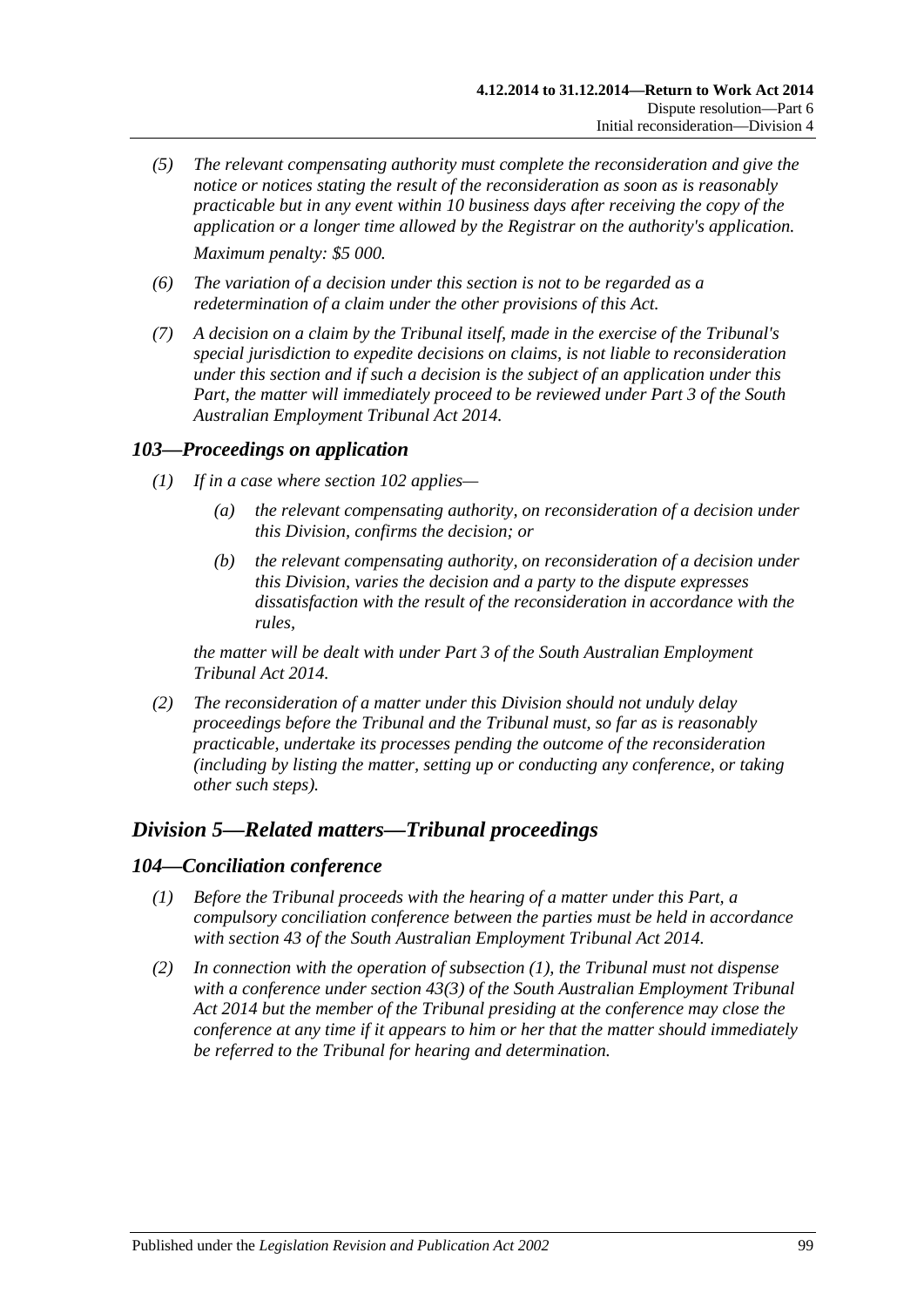- *(5) The relevant compensating authority must complete the reconsideration and give the notice or notices stating the result of the reconsideration as soon as is reasonably practicable but in any event within 10 business days after receiving the copy of the application or a longer time allowed by the Registrar on the authority's application. Maximum penalty: \$5 000.*
- *(6) The variation of a decision under this section is not to be regarded as a redetermination of a claim under the other provisions of this Act.*
- *(7) A decision on a claim by the Tribunal itself, made in the exercise of the Tribunal's special jurisdiction to expedite decisions on claims, is not liable to reconsideration under this section and if such a decision is the subject of an application under this Part, the matter will immediately proceed to be reviewed under Part 3 of the [South](http://www.legislation.sa.gov.au/index.aspx?action=legref&type=act&legtitle=South%20Australian%20Employment%20Tribunal%20Act%202014)  [Australian Employment Tribunal Act](http://www.legislation.sa.gov.au/index.aspx?action=legref&type=act&legtitle=South%20Australian%20Employment%20Tribunal%20Act%202014) 2014.*

#### *103—Proceedings on application*

- *(1) If in a case where [section](#page-97-1) 102 applies—*
	- *(a) the relevant compensating authority, on reconsideration of a decision under this Division, confirms the decision; or*
	- *(b) the relevant compensating authority, on reconsideration of a decision under this Division, varies the decision and a party to the dispute expresses dissatisfaction with the result of the reconsideration in accordance with the rules,*

*the matter will be dealt with under Part 3 of the [South Australian Employment](http://www.legislation.sa.gov.au/index.aspx?action=legref&type=act&legtitle=South%20Australian%20Employment%20Tribunal%20Act%202014)  [Tribunal Act](http://www.legislation.sa.gov.au/index.aspx?action=legref&type=act&legtitle=South%20Australian%20Employment%20Tribunal%20Act%202014) 2014.*

*(2) The reconsideration of a matter under this Division should not unduly delay proceedings before the Tribunal and the Tribunal must, so far as is reasonably practicable, undertake its processes pending the outcome of the reconsideration (including by listing the matter, setting up or conducting any conference, or taking other such steps).*

## *Division 5—Related matters—Tribunal proceedings*

#### <span id="page-98-0"></span>*104—Conciliation conference*

- *(1) Before the Tribunal proceeds with the hearing of a matter under this Part, a compulsory conciliation conference between the parties must be held in accordance with section 43 of the [South Australian Employment Tribunal Act](http://www.legislation.sa.gov.au/index.aspx?action=legref&type=act&legtitle=South%20Australian%20Employment%20Tribunal%20Act%202014) 2014.*
- *(2) In connection with the operation of [subsection](#page-98-0) (1), the Tribunal must not dispense with a conference under section 43(3) of the [South Australian Employment Tribunal](http://www.legislation.sa.gov.au/index.aspx?action=legref&type=act&legtitle=South%20Australian%20Employment%20Tribunal%20Act%202014)  Act [2014](http://www.legislation.sa.gov.au/index.aspx?action=legref&type=act&legtitle=South%20Australian%20Employment%20Tribunal%20Act%202014) but the member of the Tribunal presiding at the conference may close the conference at any time if it appears to him or her that the matter should immediately be referred to the Tribunal for hearing and determination.*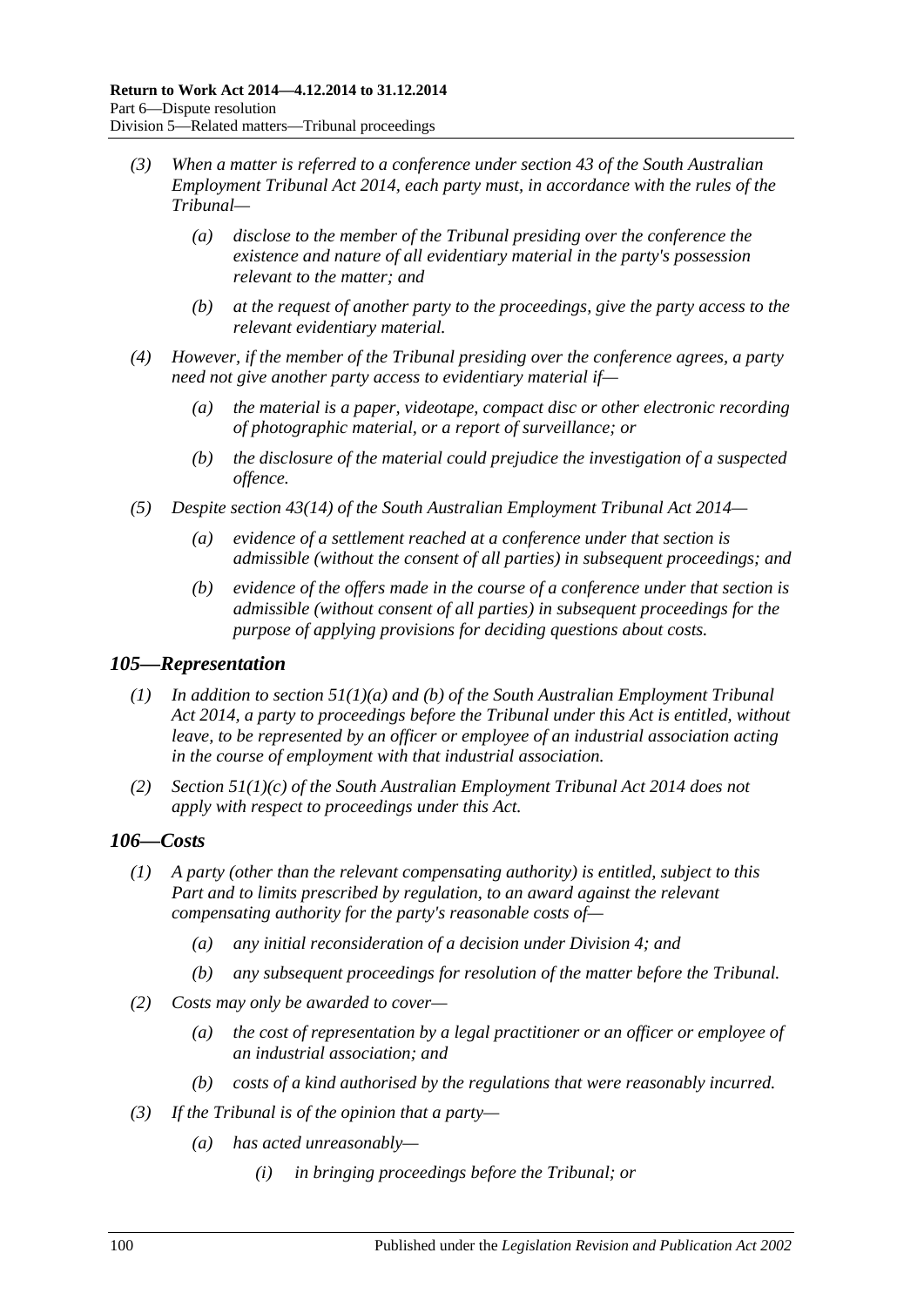- *(3) When a matter is referred to a conference under section 43 of the [South Australian](http://www.legislation.sa.gov.au/index.aspx?action=legref&type=act&legtitle=South%20Australian%20Employment%20Tribunal%20Act%202014)  [Employment Tribunal Act](http://www.legislation.sa.gov.au/index.aspx?action=legref&type=act&legtitle=South%20Australian%20Employment%20Tribunal%20Act%202014) 2014, each party must, in accordance with the rules of the Tribunal—*
	- *(a) disclose to the member of the Tribunal presiding over the conference the existence and nature of all evidentiary material in the party's possession relevant to the matter; and*
	- *(b) at the request of another party to the proceedings, give the party access to the relevant evidentiary material.*
- *(4) However, if the member of the Tribunal presiding over the conference agrees, a party need not give another party access to evidentiary material if—*
	- *(a) the material is a paper, videotape, compact disc or other electronic recording of photographic material, or a report of surveillance; or*
	- *(b) the disclosure of the material could prejudice the investigation of a suspected offence.*
- *(5) Despite section 43(14) of the [South Australian Employment Tribunal Act](http://www.legislation.sa.gov.au/index.aspx?action=legref&type=act&legtitle=South%20Australian%20Employment%20Tribunal%20Act%202014) 2014—*
	- *(a) evidence of a settlement reached at a conference under that section is admissible (without the consent of all parties) in subsequent proceedings; and*
	- *(b) evidence of the offers made in the course of a conference under that section is admissible (without consent of all parties) in subsequent proceedings for the purpose of applying provisions for deciding questions about costs.*

#### *105—Representation*

- *(1) In addition to section 51(1)(a) and (b) of the [South Australian Employment Tribunal](http://www.legislation.sa.gov.au/index.aspx?action=legref&type=act&legtitle=South%20Australian%20Employment%20Tribunal%20Act%202014)  Act [2014,](http://www.legislation.sa.gov.au/index.aspx?action=legref&type=act&legtitle=South%20Australian%20Employment%20Tribunal%20Act%202014) a party to proceedings before the Tribunal under this Act is entitled, without leave, to be represented by an officer or employee of an industrial association acting in the course of employment with that industrial association.*
- *(2) Section 51(1)(c) of the [South Australian Employment Tribunal Act](http://www.legislation.sa.gov.au/index.aspx?action=legref&type=act&legtitle=South%20Australian%20Employment%20Tribunal%20Act%202014) 2014 does not apply with respect to proceedings under this Act.*

## *106—Costs*

- *(1) A party (other than the relevant compensating authority) is entitled, subject to this Part and to limits prescribed by regulation, to an award against the relevant compensating authority for the party's reasonable costs of—*
	- *(a) any initial reconsideration of a decision under [Division](#page-97-2) 4; and*
	- *(b) any subsequent proceedings for resolution of the matter before the Tribunal.*
- *(2) Costs may only be awarded to cover—*
	- *(a) the cost of representation by a legal practitioner or an officer or employee of an industrial association; and*
	- *(b) costs of a kind authorised by the regulations that were reasonably incurred.*
- *(3) If the Tribunal is of the opinion that a party—*
	- *(a) has acted unreasonably—*
		- *(i) in bringing proceedings before the Tribunal; or*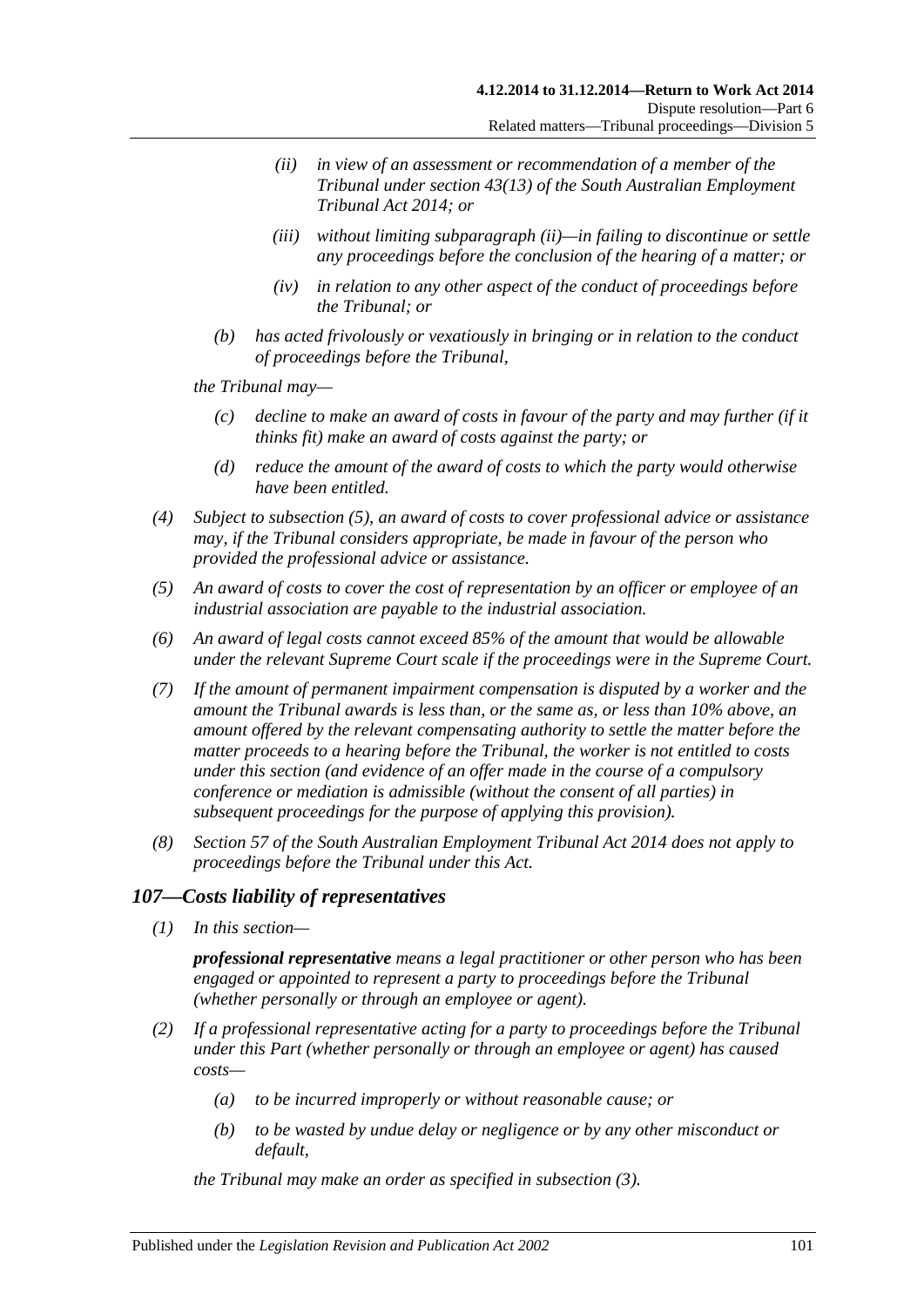- <span id="page-100-0"></span>*(ii) in view of an assessment or recommendation of a member of the Tribunal under section 43(13) of the [South Australian Employment](http://www.legislation.sa.gov.au/index.aspx?action=legref&type=act&legtitle=South%20Australian%20Employment%20Tribunal%20Act%202014)  [Tribunal Act](http://www.legislation.sa.gov.au/index.aspx?action=legref&type=act&legtitle=South%20Australian%20Employment%20Tribunal%20Act%202014) 2014; or*
- *(iii) without limiting [subparagraph](#page-100-0) (ii)—in failing to discontinue or settle any proceedings before the conclusion of the hearing of a matter; or*
- *(iv) in relation to any other aspect of the conduct of proceedings before the Tribunal; or*
- *(b) has acted frivolously or vexatiously in bringing or in relation to the conduct of proceedings before the Tribunal,*

*the Tribunal may—*

- *(c) decline to make an award of costs in favour of the party and may further (if it thinks fit) make an award of costs against the party; or*
- *(d) reduce the amount of the award of costs to which the party would otherwise have been entitled.*
- *(4) Subject to [subsection](#page-100-1) (5), an award of costs to cover professional advice or assistance may, if the Tribunal considers appropriate, be made in favour of the person who provided the professional advice or assistance.*
- <span id="page-100-1"></span>*(5) An award of costs to cover the cost of representation by an officer or employee of an industrial association are payable to the industrial association.*
- *(6) An award of legal costs cannot exceed 85% of the amount that would be allowable under the relevant Supreme Court scale if the proceedings were in the Supreme Court.*
- *(7) If the amount of permanent impairment compensation is disputed by a worker and the amount the Tribunal awards is less than, or the same as, or less than 10% above, an amount offered by the relevant compensating authority to settle the matter before the matter proceeds to a hearing before the Tribunal, the worker is not entitled to costs under this section (and evidence of an offer made in the course of a compulsory conference or mediation is admissible (without the consent of all parties) in subsequent proceedings for the purpose of applying this provision).*
- *(8) Section 57 of the [South Australian Employment Tribunal Act](http://www.legislation.sa.gov.au/index.aspx?action=legref&type=act&legtitle=South%20Australian%20Employment%20Tribunal%20Act%202014) 2014 does not apply to proceedings before the Tribunal under this Act.*

## *107—Costs liability of representatives*

*(1) In this section—*

*professional representative means a legal practitioner or other person who has been engaged or appointed to represent a party to proceedings before the Tribunal (whether personally or through an employee or agent).*

- <span id="page-100-2"></span>*(2) If a professional representative acting for a party to proceedings before the Tribunal under this Part (whether personally or through an employee or agent) has caused costs—*
	- *(a) to be incurred improperly or without reasonable cause; or*
	- *(b) to be wasted by undue delay or negligence or by any other misconduct or default,*

*the Tribunal may make an order as specified in [subsection](#page-101-0) (3).*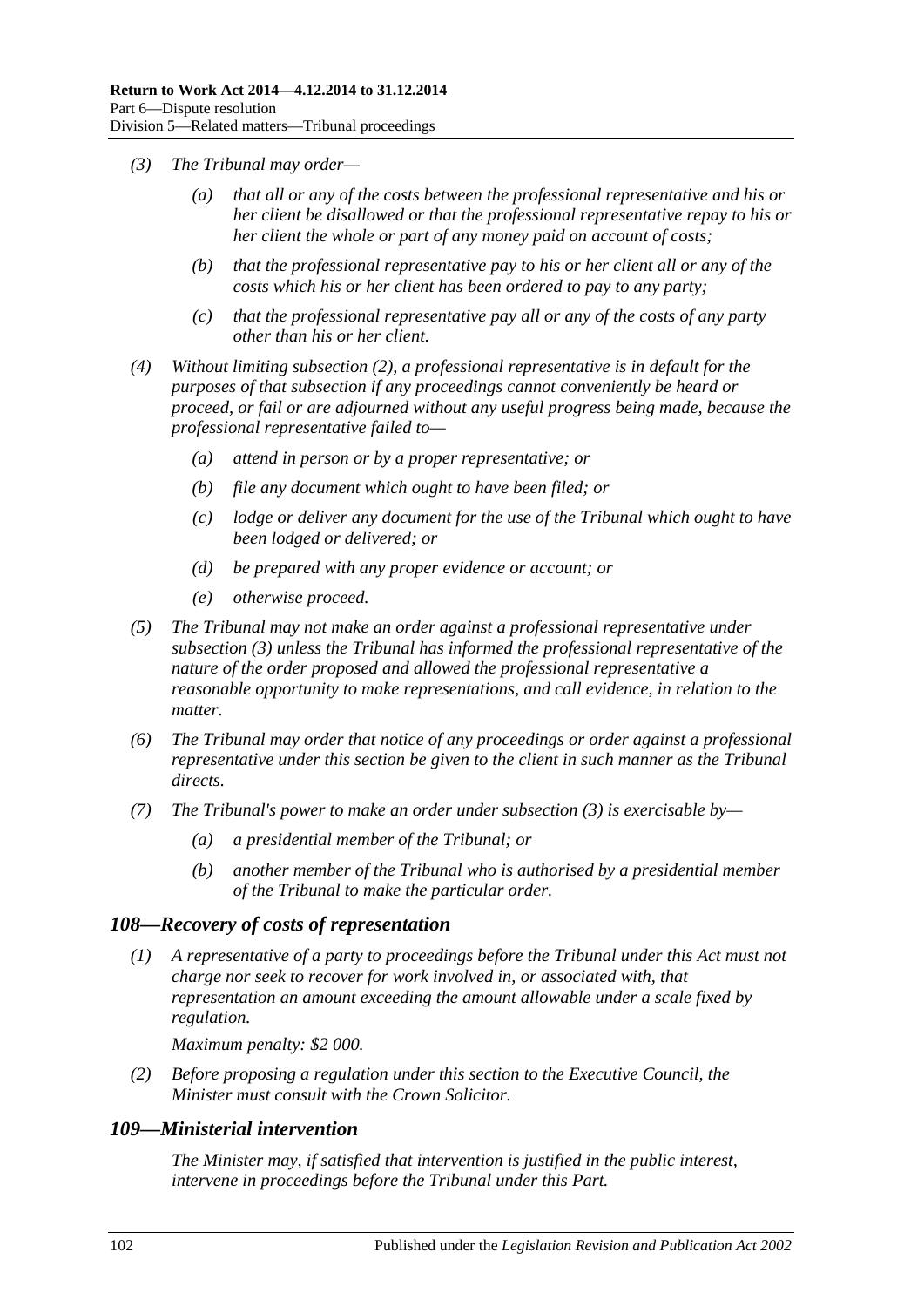- <span id="page-101-0"></span>*(3) The Tribunal may order—*
	- *(a) that all or any of the costs between the professional representative and his or her client be disallowed or that the professional representative repay to his or her client the whole or part of any money paid on account of costs;*
	- *(b) that the professional representative pay to his or her client all or any of the costs which his or her client has been ordered to pay to any party;*
	- *(c) that the professional representative pay all or any of the costs of any party other than his or her client.*
- *(4) Without limiting [subsection](#page-100-2) (2), a professional representative is in default for the purposes of that subsection if any proceedings cannot conveniently be heard or proceed, or fail or are adjourned without any useful progress being made, because the professional representative failed to—*
	- *(a) attend in person or by a proper representative; or*
	- *(b) file any document which ought to have been filed; or*
	- *(c) lodge or deliver any document for the use of the Tribunal which ought to have been lodged or delivered; or*
	- *(d) be prepared with any proper evidence or account; or*
	- *(e) otherwise proceed.*
- *(5) The Tribunal may not make an order against a professional representative under [subsection](#page-101-0) (3) unless the Tribunal has informed the professional representative of the nature of the order proposed and allowed the professional representative a reasonable opportunity to make representations, and call evidence, in relation to the matter.*
- *(6) The Tribunal may order that notice of any proceedings or order against a professional representative under this section be given to the client in such manner as the Tribunal directs.*
- *(7) The Tribunal's power to make an order under [subsection](#page-101-0) (3) is exercisable by—*
	- *(a) a presidential member of the Tribunal; or*
	- *(b) another member of the Tribunal who is authorised by a presidential member of the Tribunal to make the particular order.*

#### *108—Recovery of costs of representation*

*(1) A representative of a party to proceedings before the Tribunal under this Act must not charge nor seek to recover for work involved in, or associated with, that representation an amount exceeding the amount allowable under a scale fixed by regulation.*

*Maximum penalty: \$2 000.*

*(2) Before proposing a regulation under this section to the Executive Council, the Minister must consult with the Crown Solicitor.*

#### *109—Ministerial intervention*

*The Minister may, if satisfied that intervention is justified in the public interest, intervene in proceedings before the Tribunal under this Part.*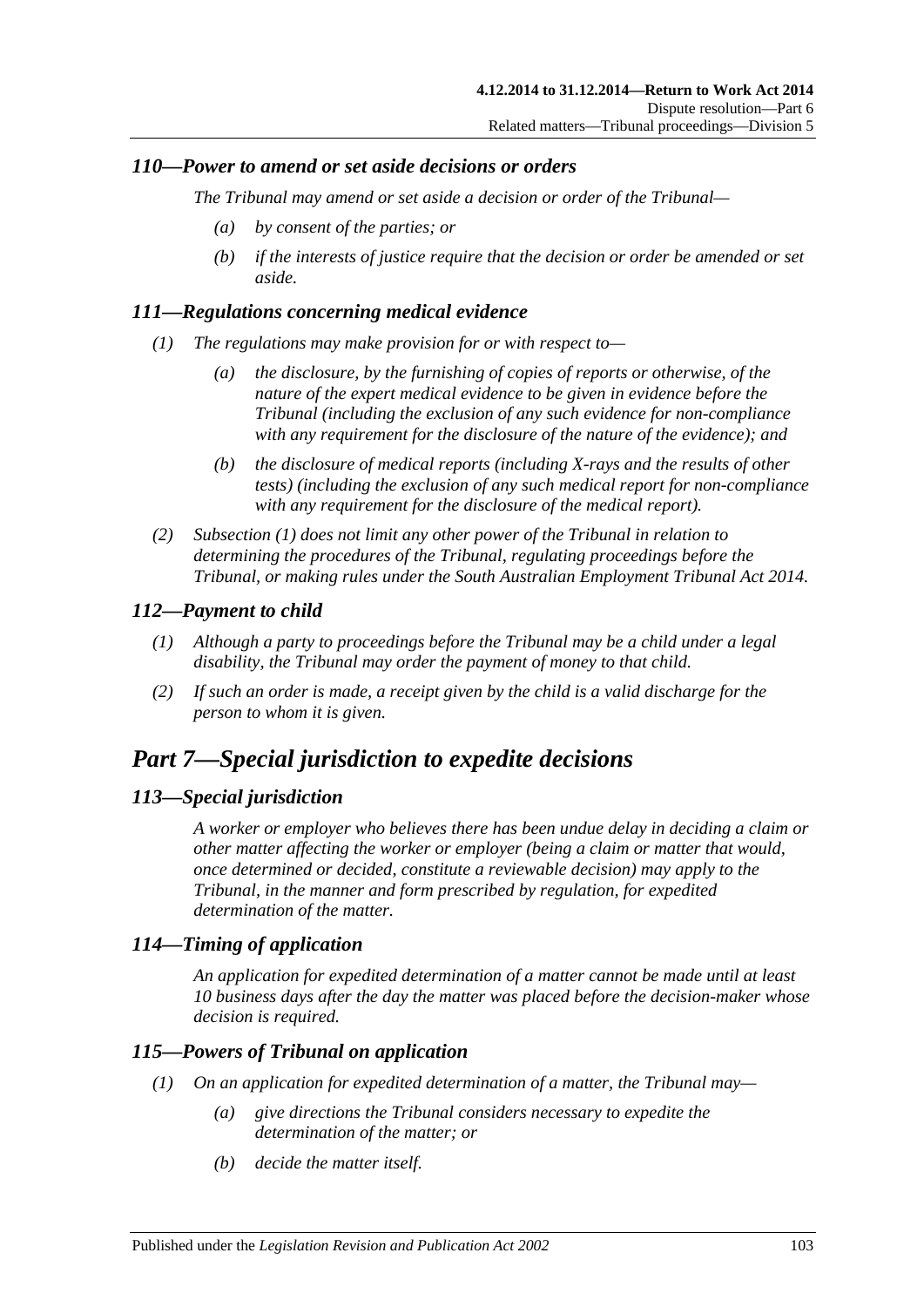## *110—Power to amend or set aside decisions or orders*

*The Tribunal may amend or set aside a decision or order of the Tribunal—*

- *(a) by consent of the parties; or*
- *(b) if the interests of justice require that the decision or order be amended or set aside.*

# <span id="page-102-1"></span>*111—Regulations concerning medical evidence*

- *(1) The regulations may make provision for or with respect to—*
	- *(a) the disclosure, by the furnishing of copies of reports or otherwise, of the nature of the expert medical evidence to be given in evidence before the Tribunal (including the exclusion of any such evidence for non-compliance with any requirement for the disclosure of the nature of the evidence); and*
	- *(b) the disclosure of medical reports (including X-rays and the results of other tests) (including the exclusion of any such medical report for non-compliance with any requirement for the disclosure of the medical report).*
- *(2) [Subsection](#page-102-1) (1) does not limit any other power of the Tribunal in relation to determining the procedures of the Tribunal, regulating proceedings before the Tribunal, or making rules under the [South Australian Employment Tribunal Act](http://www.legislation.sa.gov.au/index.aspx?action=legref&type=act&legtitle=South%20Australian%20Employment%20Tribunal%20Act%202014) 2014.*

# *112—Payment to child*

- *(1) Although a party to proceedings before the Tribunal may be a child under a legal disability, the Tribunal may order the payment of money to that child.*
- *(2) If such an order is made, a receipt given by the child is a valid discharge for the person to whom it is given.*

# <span id="page-102-0"></span>*Part 7—Special jurisdiction to expedite decisions*

# *113—Special jurisdiction*

*A worker or employer who believes there has been undue delay in deciding a claim or other matter affecting the worker or employer (being a claim or matter that would, once determined or decided, constitute a reviewable decision) may apply to the Tribunal, in the manner and form prescribed by regulation, for expedited determination of the matter.*

# *114—Timing of application*

*An application for expedited determination of a matter cannot be made until at least 10 business days after the day the matter was placed before the decision-maker whose decision is required.*

# <span id="page-102-2"></span>*115—Powers of Tribunal on application*

- *(1) On an application for expedited determination of a matter, the Tribunal may—*
	- *(a) give directions the Tribunal considers necessary to expedite the determination of the matter; or*
	- *(b) decide the matter itself.*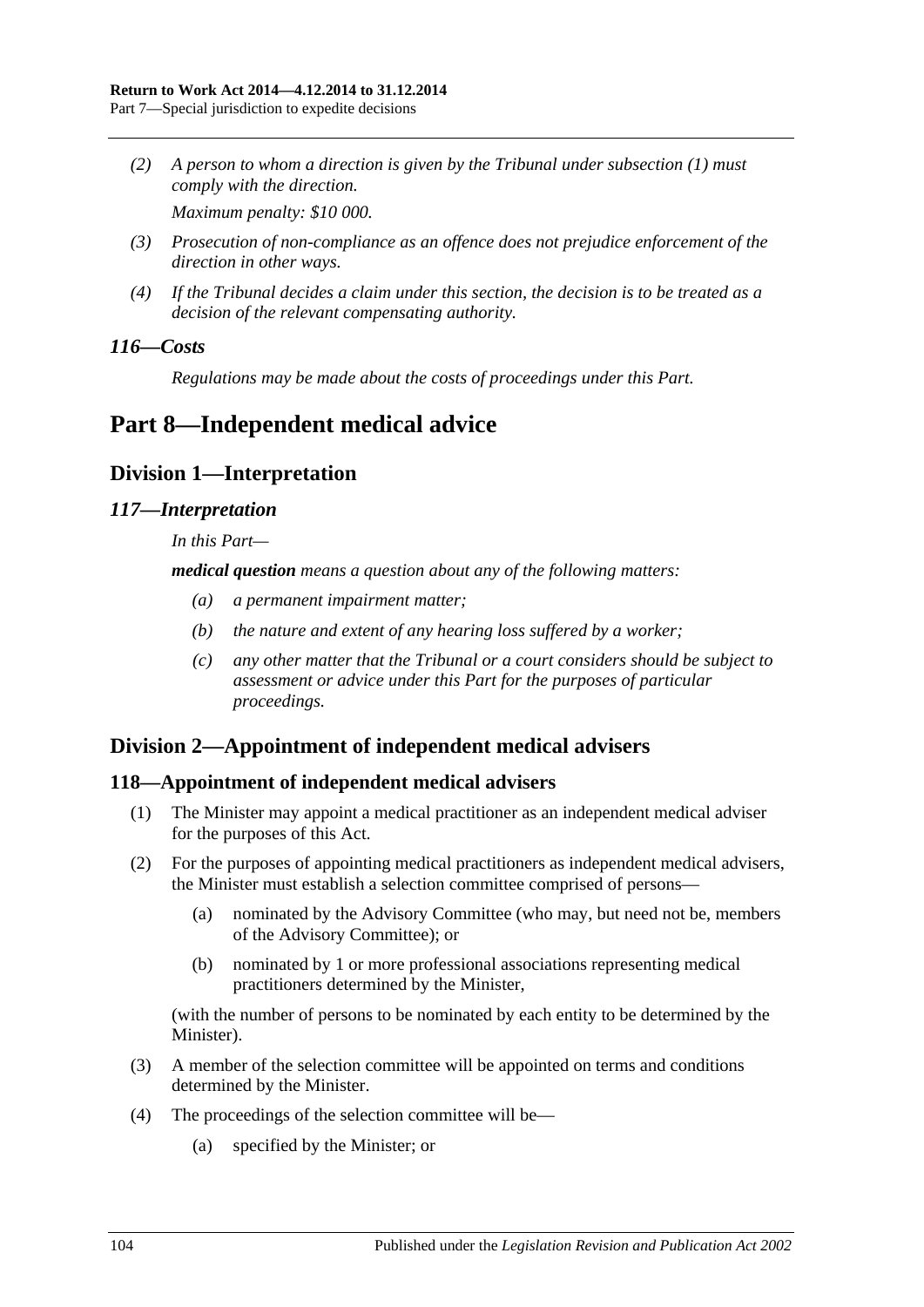*(2) A person to whom a direction is given by the Tribunal under [subsection](#page-102-2) (1) must comply with the direction.*

*Maximum penalty: \$10 000.*

- *(3) Prosecution of non-compliance as an offence does not prejudice enforcement of the direction in other ways.*
- *(4) If the Tribunal decides a claim under this section, the decision is to be treated as a decision of the relevant compensating authority.*

## *116—Costs*

*Regulations may be made about the costs of proceedings under this Part.*

# <span id="page-103-0"></span>**Part 8—Independent medical advice**

# **Division 1—Interpretation**

## *117—Interpretation*

*In this Part—*

*medical question means a question about any of the following matters:*

- *(a) a permanent impairment matter;*
- *(b) the nature and extent of any hearing loss suffered by a worker;*
- *(c) any other matter that the Tribunal or a court considers should be subject to assessment or advice under this Part for the purposes of particular proceedings.*

# **Division 2—Appointment of independent medical advisers**

# <span id="page-103-2"></span>**118—Appointment of independent medical advisers**

- (1) The Minister may appoint a medical practitioner as an independent medical adviser for the purposes of this Act.
- (2) For the purposes of appointing medical practitioners as independent medical advisers, the Minister must establish a selection committee comprised of persons—
	- (a) nominated by the Advisory Committee (who may, but need not be, members of the Advisory Committee); or
	- (b) nominated by 1 or more professional associations representing medical practitioners determined by the Minister,

(with the number of persons to be nominated by each entity to be determined by the Minister).

- (3) A member of the selection committee will be appointed on terms and conditions determined by the Minister.
- <span id="page-103-1"></span>(4) The proceedings of the selection committee will be—
	- (a) specified by the Minister; or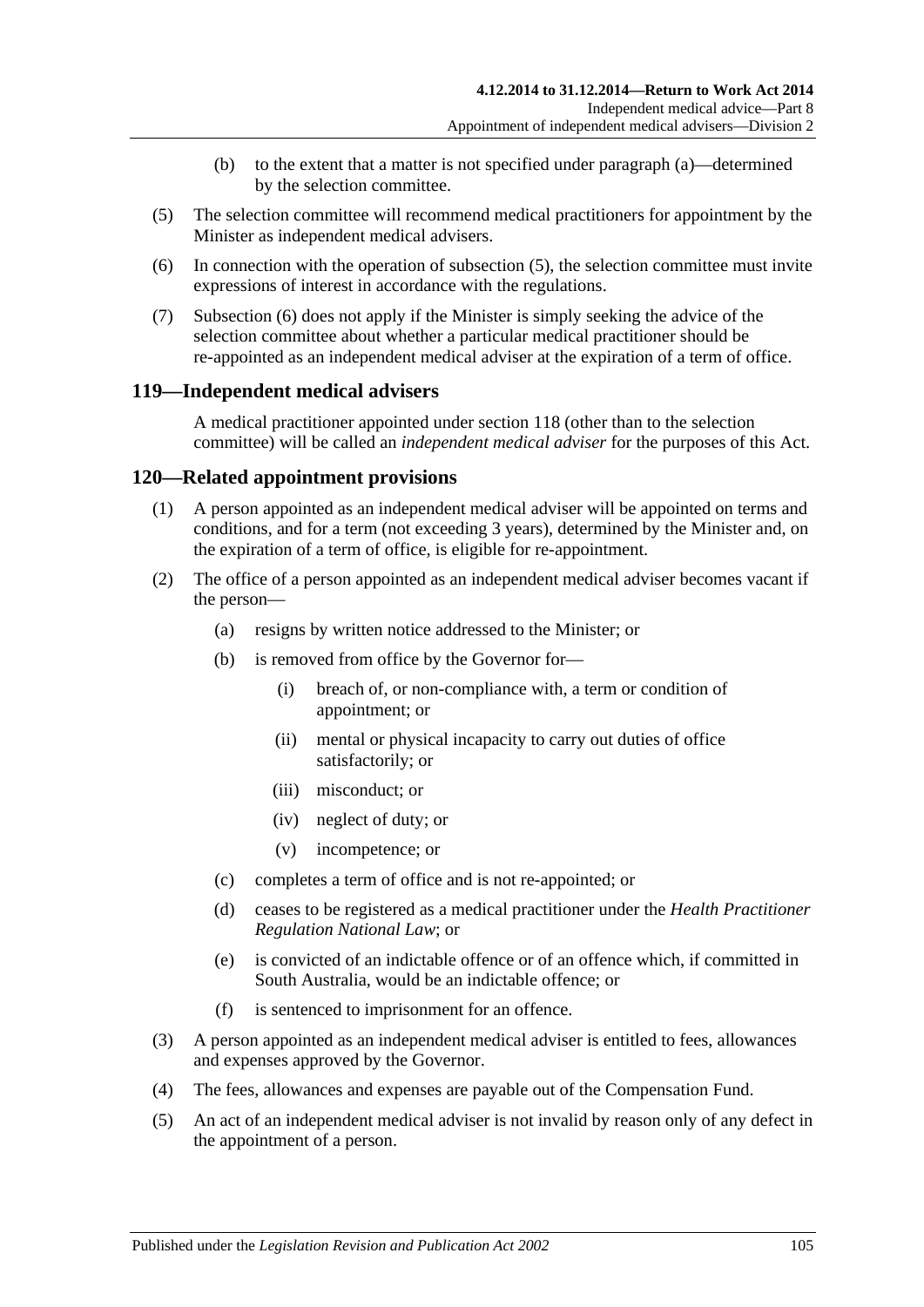- (b) to the extent that a matter is not specified under [paragraph](#page-103-1) (a)—determined by the selection committee.
- <span id="page-104-0"></span>(5) The selection committee will recommend medical practitioners for appointment by the Minister as independent medical advisers.
- <span id="page-104-1"></span>(6) In connection with the operation of [subsection](#page-104-0) (5), the selection committee must invite expressions of interest in accordance with the regulations.
- (7) [Subsection](#page-104-1) (6) does not apply if the Minister is simply seeking the advice of the selection committee about whether a particular medical practitioner should be re-appointed as an independent medical adviser at the expiration of a term of office.

# **119—Independent medical advisers**

A medical practitioner appointed under [section](#page-103-2) 118 (other than to the selection committee) will be called an *independent medical adviser* for the purposes of this Act.

# **120—Related appointment provisions**

- (1) A person appointed as an independent medical adviser will be appointed on terms and conditions, and for a term (not exceeding 3 years), determined by the Minister and, on the expiration of a term of office, is eligible for re-appointment.
- (2) The office of a person appointed as an independent medical adviser becomes vacant if the person—
	- (a) resigns by written notice addressed to the Minister; or
	- (b) is removed from office by the Governor for—
		- (i) breach of, or non-compliance with, a term or condition of appointment; or
		- (ii) mental or physical incapacity to carry out duties of office satisfactorily; or
		- (iii) misconduct; or
		- (iv) neglect of duty; or
		- (v) incompetence; or
	- (c) completes a term of office and is not re-appointed; or
	- (d) ceases to be registered as a medical practitioner under the *Health Practitioner Regulation National Law*; or
	- (e) is convicted of an indictable offence or of an offence which, if committed in South Australia, would be an indictable offence; or
	- (f) is sentenced to imprisonment for an offence.
- (3) A person appointed as an independent medical adviser is entitled to fees, allowances and expenses approved by the Governor.
- (4) The fees, allowances and expenses are payable out of the Compensation Fund.
- (5) An act of an independent medical adviser is not invalid by reason only of any defect in the appointment of a person.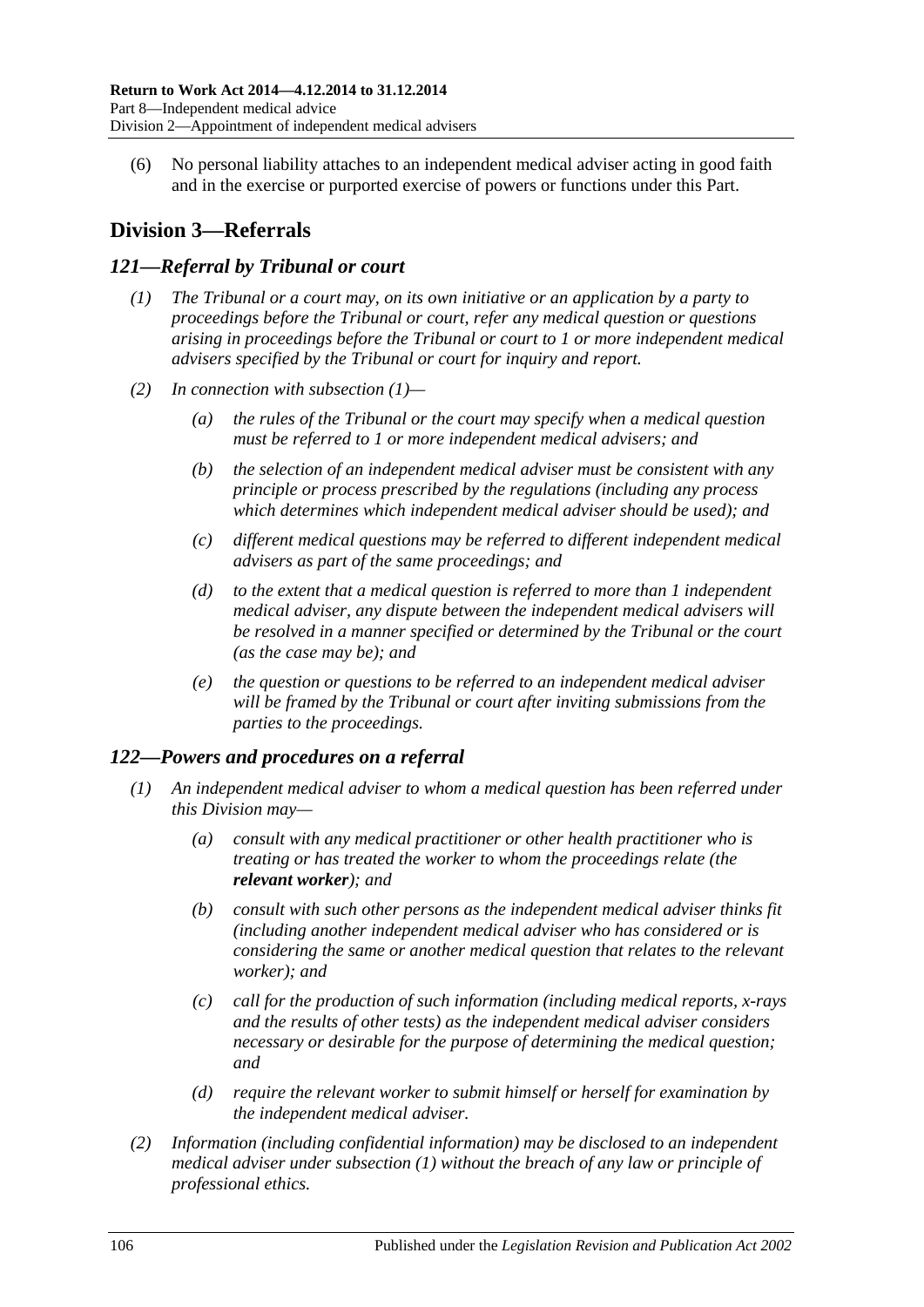(6) No personal liability attaches to an independent medical adviser acting in good faith and in the exercise or purported exercise of powers or functions under this Part.

# **Division 3—Referrals**

## <span id="page-105-0"></span>*121—Referral by Tribunal or court*

- *(1) The Tribunal or a court may, on its own initiative or an application by a party to proceedings before the Tribunal or court, refer any medical question or questions arising in proceedings before the Tribunal or court to 1 or more independent medical advisers specified by the Tribunal or court for inquiry and report.*
- *(2) In connection with [subsection](#page-105-0) (1)—*
	- *(a) the rules of the Tribunal or the court may specify when a medical question must be referred to 1 or more independent medical advisers; and*
	- *(b) the selection of an independent medical adviser must be consistent with any principle or process prescribed by the regulations (including any process which determines which independent medical adviser should be used); and*
	- *(c) different medical questions may be referred to different independent medical advisers as part of the same proceedings; and*
	- *(d) to the extent that a medical question is referred to more than 1 independent medical adviser, any dispute between the independent medical advisers will be resolved in a manner specified or determined by the Tribunal or the court (as the case may be); and*
	- *(e) the question or questions to be referred to an independent medical adviser will be framed by the Tribunal or court after inviting submissions from the parties to the proceedings.*

# <span id="page-105-1"></span>*122—Powers and procedures on a referral*

- *(1) An independent medical adviser to whom a medical question has been referred under this Division may—*
	- *(a) consult with any medical practitioner or other health practitioner who is treating or has treated the worker to whom the proceedings relate (the relevant worker); and*
	- *(b) consult with such other persons as the independent medical adviser thinks fit (including another independent medical adviser who has considered or is considering the same or another medical question that relates to the relevant worker); and*
	- *(c) call for the production of such information (including medical reports, x-rays and the results of other tests) as the independent medical adviser considers necessary or desirable for the purpose of determining the medical question; and*
	- *(d) require the relevant worker to submit himself or herself for examination by the independent medical adviser.*
- *(2) Information (including confidential information) may be disclosed to an independent medical adviser under [subsection](#page-105-1) (1) without the breach of any law or principle of professional ethics.*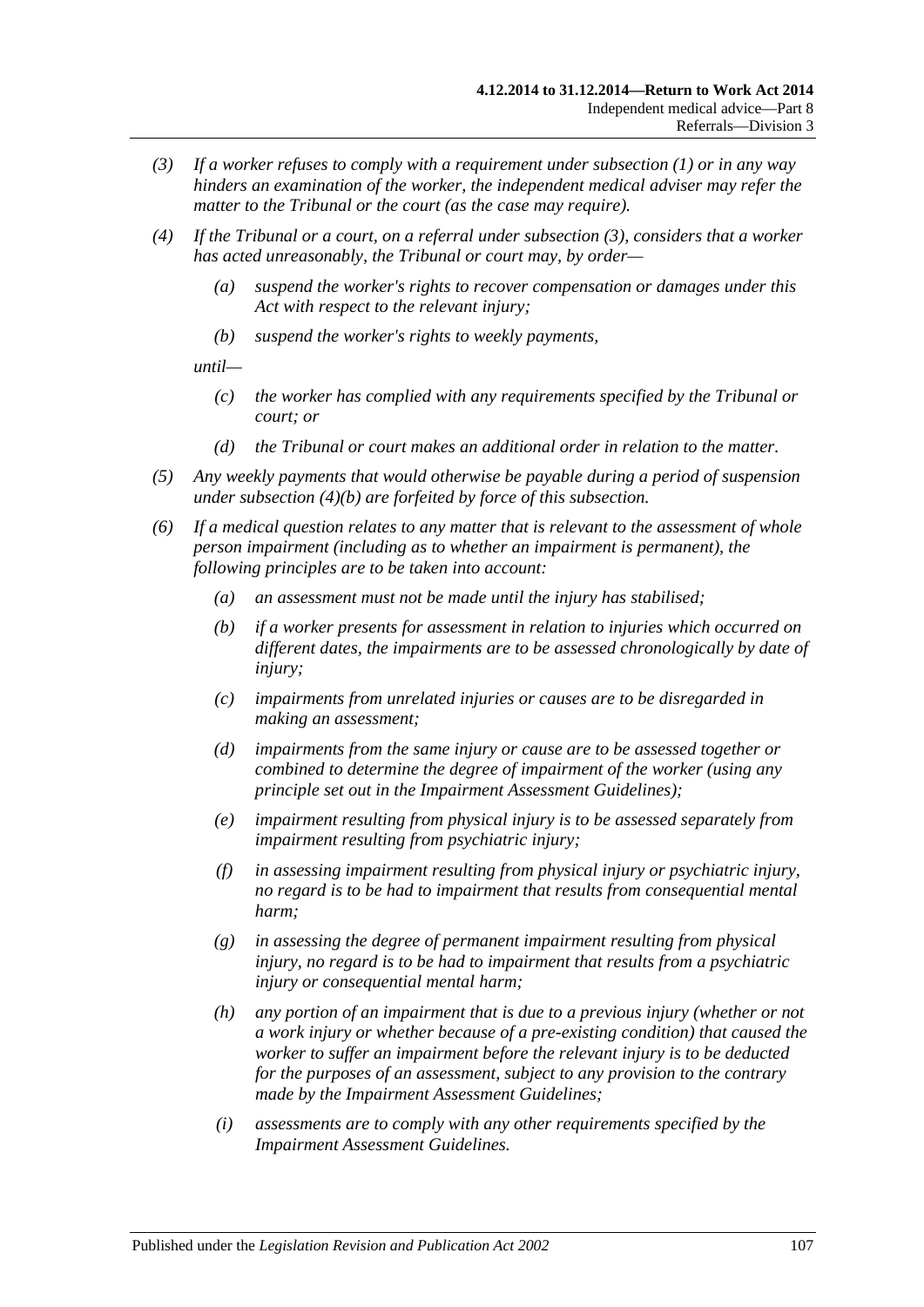- <span id="page-106-0"></span>*(3) If a worker refuses to comply with a requirement under [subsection](#page-105-1) (1) or in any way hinders an examination of the worker, the independent medical adviser may refer the matter to the Tribunal or the court (as the case may require).*
- *(4) If the Tribunal or a court, on a referral under [subsection](#page-106-0) (3), considers that a worker has acted unreasonably, the Tribunal or court may, by order—*
	- *(a) suspend the worker's rights to recover compensation or damages under this Act with respect to the relevant injury;*
	- *(b) suspend the worker's rights to weekly payments,*

<span id="page-106-1"></span>*until—*

- *(c) the worker has complied with any requirements specified by the Tribunal or court; or*
- *(d) the Tribunal or court makes an additional order in relation to the matter.*
- *(5) Any weekly payments that would otherwise be payable during a period of suspension under [subsection](#page-106-1) (4)(b) are forfeited by force of this subsection.*
- *(6) If a medical question relates to any matter that is relevant to the assessment of whole person impairment (including as to whether an impairment is permanent), the following principles are to be taken into account:*
	- *(a) an assessment must not be made until the injury has stabilised;*
	- *(b) if a worker presents for assessment in relation to injuries which occurred on different dates, the impairments are to be assessed chronologically by date of injury;*
	- *(c) impairments from unrelated injuries or causes are to be disregarded in making an assessment;*
	- *(d) impairments from the same injury or cause are to be assessed together or combined to determine the degree of impairment of the worker (using any principle set out in the Impairment Assessment Guidelines);*
	- *(e) impairment resulting from physical injury is to be assessed separately from impairment resulting from psychiatric injury;*
	- *(f) in assessing impairment resulting from physical injury or psychiatric injury, no regard is to be had to impairment that results from consequential mental harm;*
	- *(g) in assessing the degree of permanent impairment resulting from physical injury, no regard is to be had to impairment that results from a psychiatric injury or consequential mental harm;*
	- *(h) any portion of an impairment that is due to a previous injury (whether or not a work injury or whether because of a pre-existing condition) that caused the worker to suffer an impairment before the relevant injury is to be deducted for the purposes of an assessment, subject to any provision to the contrary made by the Impairment Assessment Guidelines;*
	- *(i) assessments are to comply with any other requirements specified by the Impairment Assessment Guidelines.*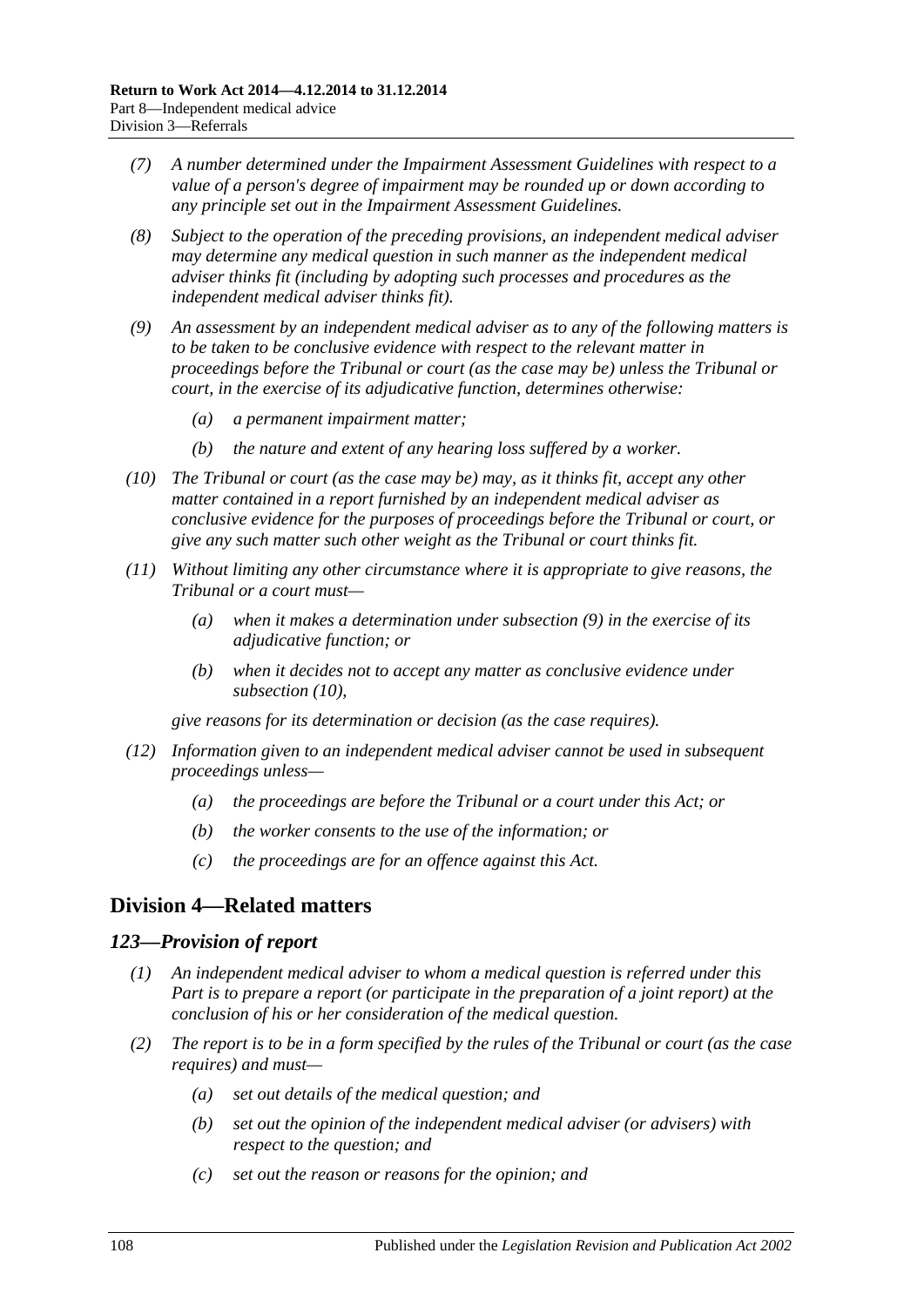- *(7) A number determined under the Impairment Assessment Guidelines with respect to a value of a person's degree of impairment may be rounded up or down according to any principle set out in the Impairment Assessment Guidelines.*
- *(8) Subject to the operation of the preceding provisions, an independent medical adviser may determine any medical question in such manner as the independent medical adviser thinks fit (including by adopting such processes and procedures as the independent medical adviser thinks fit).*
- <span id="page-107-0"></span>*(9) An assessment by an independent medical adviser as to any of the following matters is to be taken to be conclusive evidence with respect to the relevant matter in proceedings before the Tribunal or court (as the case may be) unless the Tribunal or court, in the exercise of its adjudicative function, determines otherwise:*
	- *(a) a permanent impairment matter;*
	- *(b) the nature and extent of any hearing loss suffered by a worker.*
- <span id="page-107-1"></span>*(10) The Tribunal or court (as the case may be) may, as it thinks fit, accept any other matter contained in a report furnished by an independent medical adviser as conclusive evidence for the purposes of proceedings before the Tribunal or court, or give any such matter such other weight as the Tribunal or court thinks fit.*
- *(11) Without limiting any other circumstance where it is appropriate to give reasons, the Tribunal or a court must—*
	- *(a) when it makes a determination under [subsection](#page-107-0) (9) in the exercise of its adjudicative function; or*
	- *(b) when it decides not to accept any matter as conclusive evidence under [subsection](#page-107-1) (10),*

*give reasons for its determination or decision (as the case requires).*

- *(12) Information given to an independent medical adviser cannot be used in subsequent proceedings unless—*
	- *(a) the proceedings are before the Tribunal or a court under this Act; or*
	- *(b) the worker consents to the use of the information; or*
	- *(c) the proceedings are for an offence against this Act.*

# **Division 4—Related matters**

#### *123—Provision of report*

- *(1) An independent medical adviser to whom a medical question is referred under this Part is to prepare a report (or participate in the preparation of a joint report) at the conclusion of his or her consideration of the medical question.*
- *(2) The report is to be in a form specified by the rules of the Tribunal or court (as the case requires) and must—*
	- *(a) set out details of the medical question; and*
	- *(b) set out the opinion of the independent medical adviser (or advisers) with respect to the question; and*
	- *(c) set out the reason or reasons for the opinion; and*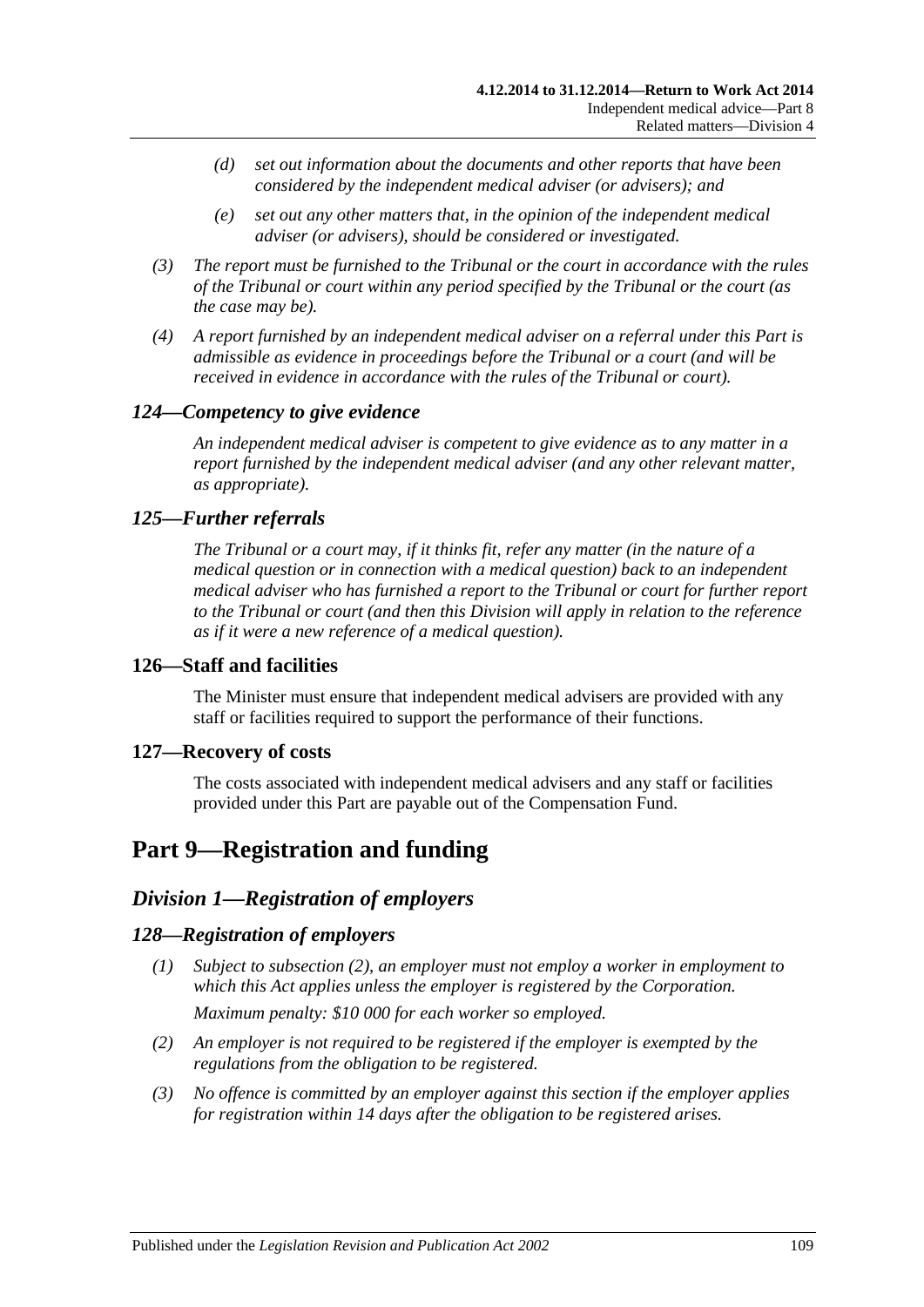- *(d) set out information about the documents and other reports that have been considered by the independent medical adviser (or advisers); and*
- *(e) set out any other matters that, in the opinion of the independent medical adviser (or advisers), should be considered or investigated.*
- *(3) The report must be furnished to the Tribunal or the court in accordance with the rules of the Tribunal or court within any period specified by the Tribunal or the court (as the case may be).*
- *(4) A report furnished by an independent medical adviser on a referral under this Part is admissible as evidence in proceedings before the Tribunal or a court (and will be received in evidence in accordance with the rules of the Tribunal or court).*

### *124—Competency to give evidence*

*An independent medical adviser is competent to give evidence as to any matter in a report furnished by the independent medical adviser (and any other relevant matter, as appropriate).*

### *125—Further referrals*

*The Tribunal or a court may, if it thinks fit, refer any matter (in the nature of a medical question or in connection with a medical question) back to an independent medical adviser who has furnished a report to the Tribunal or court for further report to the Tribunal or court (and then this Division will apply in relation to the reference as if it were a new reference of a medical question).*

### **126—Staff and facilities**

The Minister must ensure that independent medical advisers are provided with any staff or facilities required to support the performance of their functions.

### **127—Recovery of costs**

The costs associated with independent medical advisers and any staff or facilities provided under this Part are payable out of the Compensation Fund.

# <span id="page-108-2"></span>**Part 9—Registration and funding**

## *Division 1—Registration of employers*

### <span id="page-108-1"></span>*128—Registration of employers*

- *(1) Subject to [subsection](#page-108-0) (2), an employer must not employ a worker in employment to which this Act applies unless the employer is registered by the Corporation. Maximum penalty: \$10 000 for each worker so employed.*
- <span id="page-108-0"></span>*(2) An employer is not required to be registered if the employer is exempted by the regulations from the obligation to be registered.*
- *(3) No offence is committed by an employer against this section if the employer applies for registration within 14 days after the obligation to be registered arises.*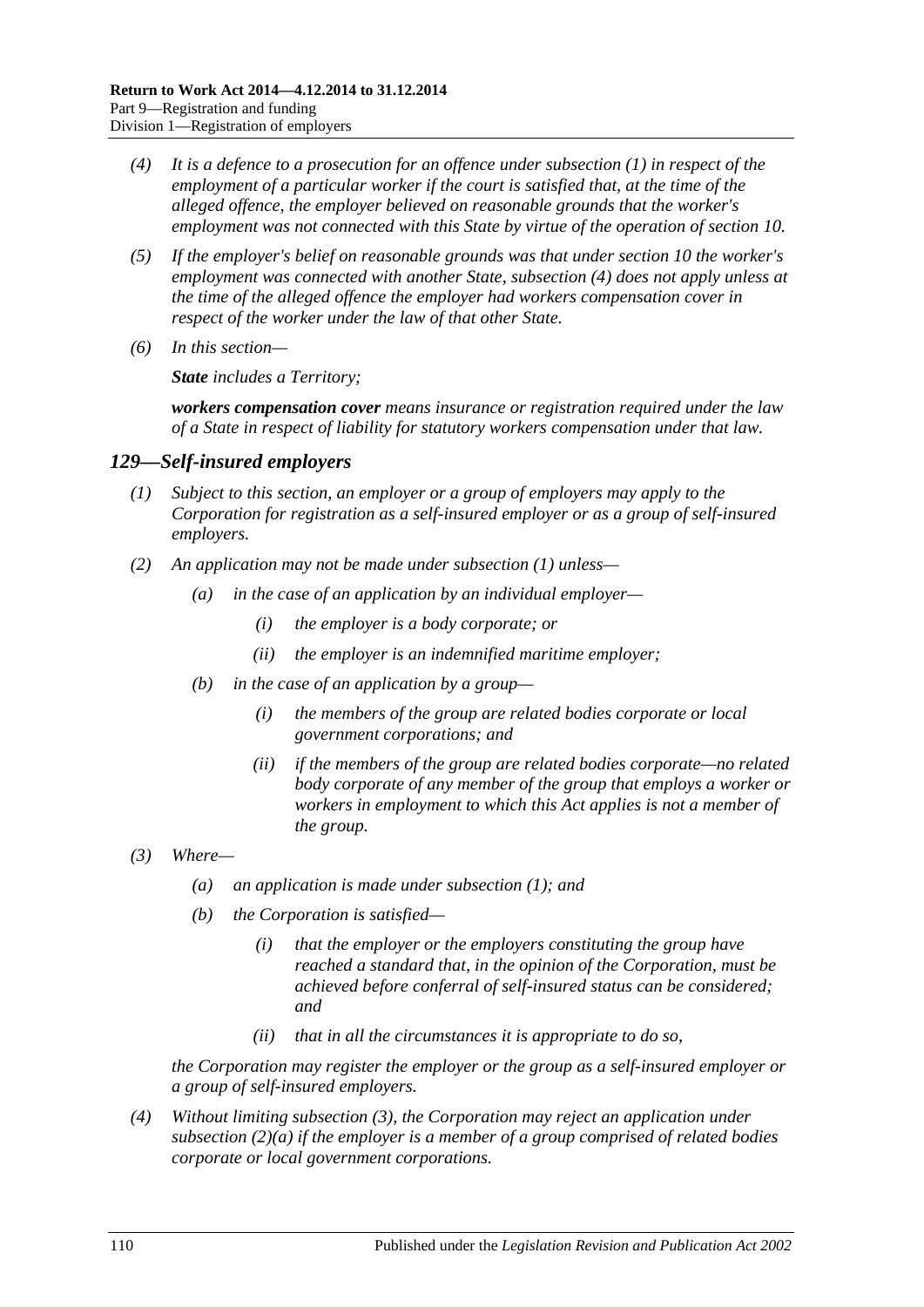- <span id="page-109-0"></span>*(4) It is a defence to a prosecution for an offence under [subsection](#page-108-1) (1) in respect of the employment of a particular worker if the court is satisfied that, at the time of the alleged offence, the employer believed on reasonable grounds that the worker's employment was not connected with this State by virtue of the operation of [section](#page-26-0) 10.*
- *(5) If the employer's belief on reasonable grounds was that under [section](#page-26-0) 10 the worker's employment was connected with another State, [subsection](#page-109-0) (4) does not apply unless at the time of the alleged offence the employer had workers compensation cover in respect of the worker under the law of that other State.*
- *(6) In this section—*

*State includes a Territory;*

*workers compensation cover means insurance or registration required under the law of a State in respect of liability for statutory workers compensation under that law.*

### <span id="page-109-1"></span>*129—Self-insured employers*

- *(1) Subject to this section, an employer or a group of employers may apply to the Corporation for registration as a self-insured employer or as a group of self-insured employers.*
- <span id="page-109-4"></span><span id="page-109-3"></span>*(2) An application may not be made under [subsection](#page-109-1) (1) unless—*
	- *(a) in the case of an application by an individual employer—*
		- *(i) the employer is a body corporate; or*
		- *(ii) the employer is an indemnified maritime employer;*
	- *(b) in the case of an application by a group—*
		- *(i) the members of the group are related bodies corporate or local government corporations; and*
		- *(ii) if the members of the group are related bodies corporate—no related body corporate of any member of the group that employs a worker or workers in employment to which this Act applies is not a member of the group.*
- <span id="page-109-2"></span>*(3) Where—*
	- *(a) an application is made under [subsection](#page-109-1) (1); and*
	- *(b) the Corporation is satisfied—*
		- *(i) that the employer or the employers constituting the group have reached a standard that, in the opinion of the Corporation, must be achieved before conferral of self-insured status can be considered; and*
		- *(ii) that in all the circumstances it is appropriate to do so,*

*the Corporation may register the employer or the group as a self-insured employer or a group of self-insured employers.*

*(4) Without limiting [subsection](#page-109-2) (3), the Corporation may reject an application under [subsection](#page-109-3) (2)(a) if the employer is a member of a group comprised of related bodies corporate or local government corporations.*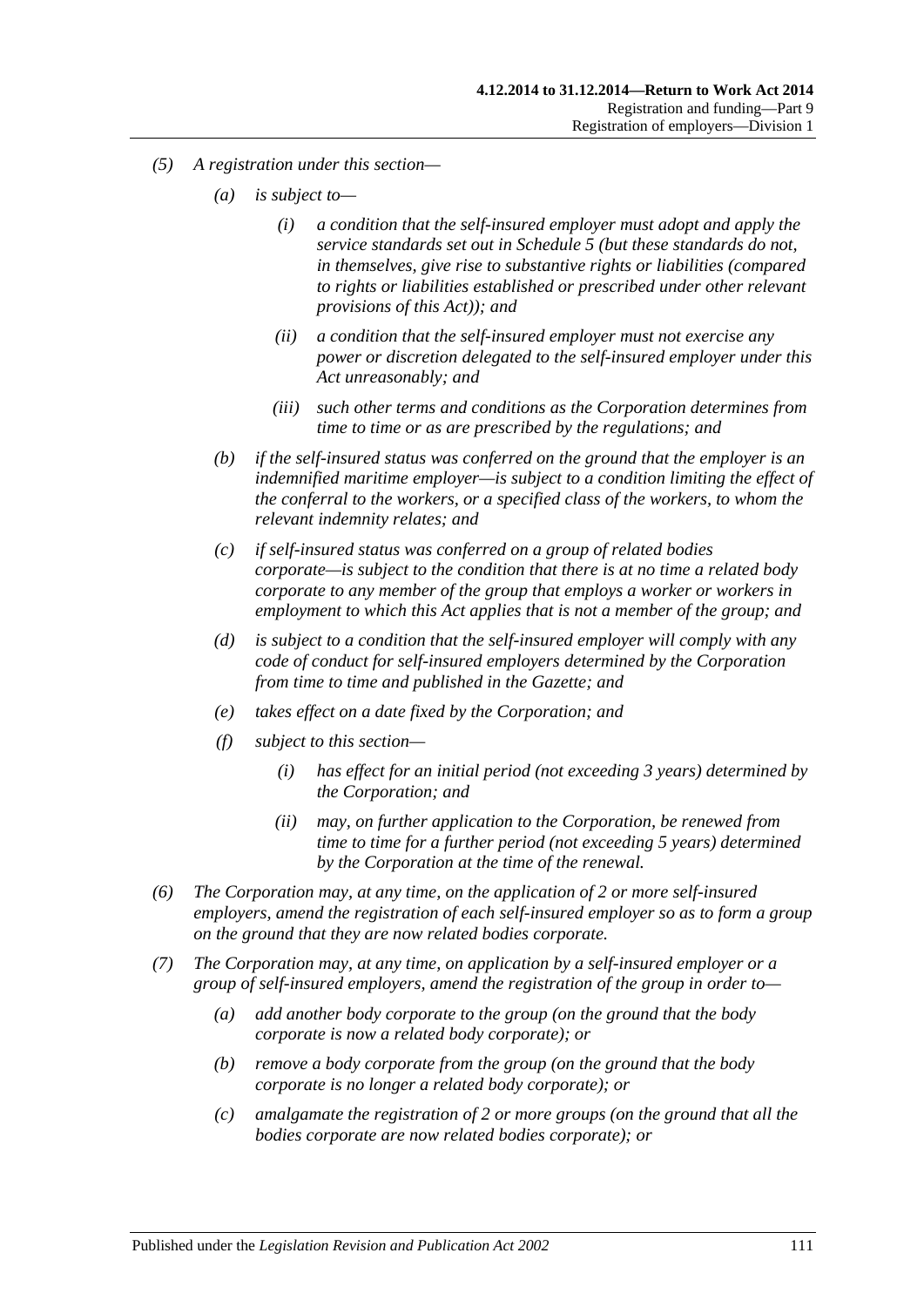- *(5) A registration under this section—*
	- *(a) is subject to—*
		- *(i) a condition that the self-insured employer must adopt and apply the service standards set out in [Schedule](#page-161-0) 5 (but these standards do not, in themselves, give rise to substantive rights or liabilities (compared to rights or liabilities established or prescribed under other relevant provisions of this Act)); and*
		- *(ii) a condition that the self-insured employer must not exercise any power or discretion delegated to the self-insured employer under this Act unreasonably; and*
		- *(iii) such other terms and conditions as the Corporation determines from time to time or as are prescribed by the regulations; and*
	- *(b) if the self-insured status was conferred on the ground that the employer is an indemnified maritime employer—is subject to a condition limiting the effect of the conferral to the workers, or a specified class of the workers, to whom the relevant indemnity relates; and*
	- *(c) if self-insured status was conferred on a group of related bodies corporate—is subject to the condition that there is at no time a related body corporate to any member of the group that employs a worker or workers in employment to which this Act applies that is not a member of the group; and*
	- *(d) is subject to a condition that the self-insured employer will comply with any code of conduct for self-insured employers determined by the Corporation from time to time and published in the Gazette; and*
	- *(e) takes effect on a date fixed by the Corporation; and*
	- *(f) subject to this section—*
		- *(i) has effect for an initial period (not exceeding 3 years) determined by the Corporation; and*
		- *(ii) may, on further application to the Corporation, be renewed from time to time for a further period (not exceeding 5 years) determined by the Corporation at the time of the renewal.*
- *(6) The Corporation may, at any time, on the application of 2 or more self-insured employers, amend the registration of each self-insured employer so as to form a group on the ground that they are now related bodies corporate.*
- <span id="page-110-0"></span>*(7) The Corporation may, at any time, on application by a self-insured employer or a group of self-insured employers, amend the registration of the group in order to—*
	- *(a) add another body corporate to the group (on the ground that the body corporate is now a related body corporate); or*
	- *(b) remove a body corporate from the group (on the ground that the body corporate is no longer a related body corporate); or*
	- *(c) amalgamate the registration of 2 or more groups (on the ground that all the bodies corporate are now related bodies corporate); or*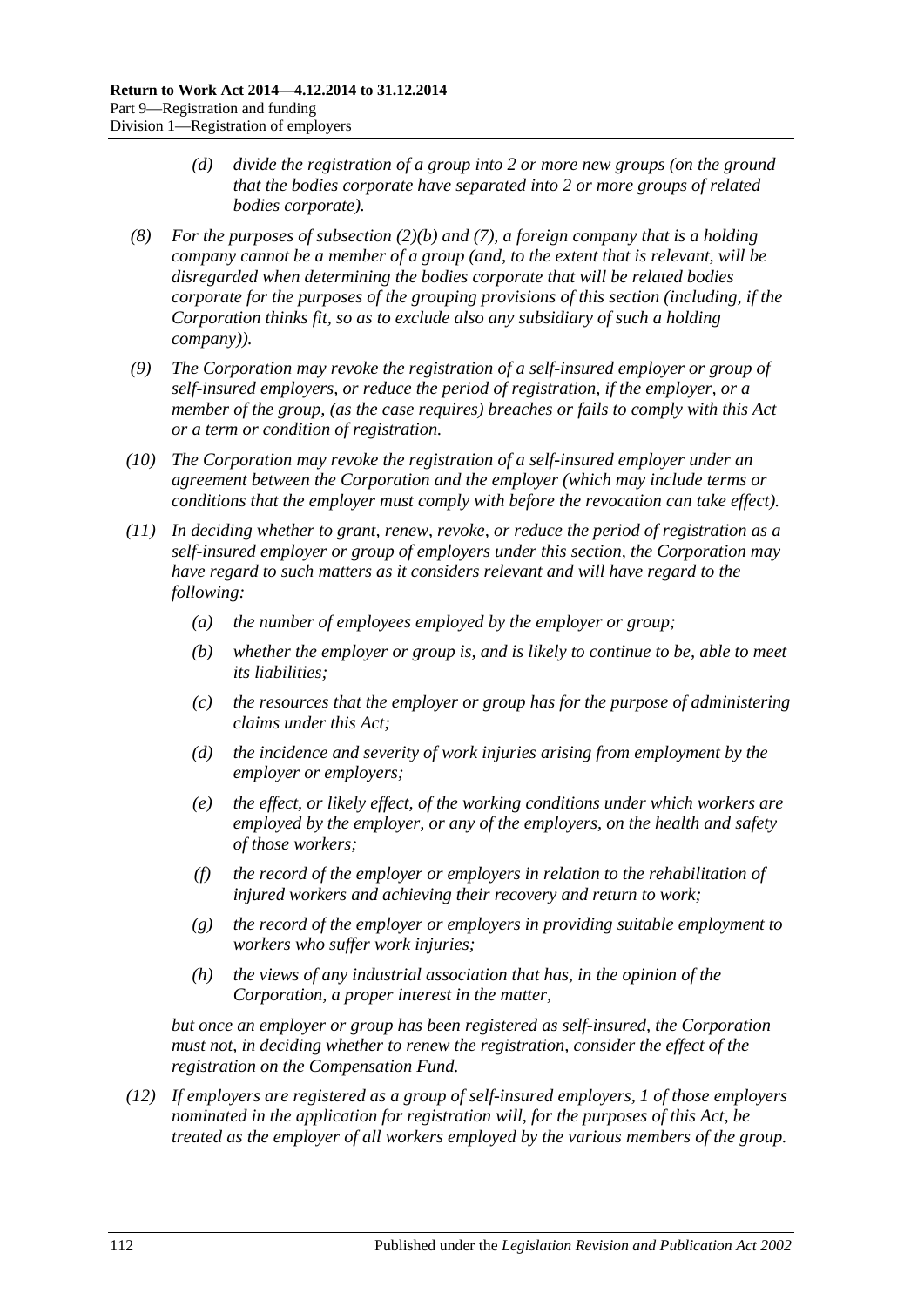- *(d) divide the registration of a group into 2 or more new groups (on the ground that the bodies corporate have separated into 2 or more groups of related bodies corporate).*
- *(8) For the purposes of [subsection](#page-109-4) (2)(b) and [\(7\),](#page-110-0) a foreign company that is a holding company cannot be a member of a group (and, to the extent that is relevant, will be disregarded when determining the bodies corporate that will be related bodies corporate for the purposes of the grouping provisions of this section (including, if the Corporation thinks fit, so as to exclude also any subsidiary of such a holding company)).*
- *(9) The Corporation may revoke the registration of a self-insured employer or group of self-insured employers, or reduce the period of registration, if the employer, or a member of the group, (as the case requires) breaches or fails to comply with this Act or a term or condition of registration.*
- *(10) The Corporation may revoke the registration of a self-insured employer under an agreement between the Corporation and the employer (which may include terms or conditions that the employer must comply with before the revocation can take effect).*
- *(11) In deciding whether to grant, renew, revoke, or reduce the period of registration as a self-insured employer or group of employers under this section, the Corporation may have regard to such matters as it considers relevant and will have regard to the following:*
	- *(a) the number of employees employed by the employer or group;*
	- *(b) whether the employer or group is, and is likely to continue to be, able to meet its liabilities;*
	- *(c) the resources that the employer or group has for the purpose of administering claims under this Act;*
	- *(d) the incidence and severity of work injuries arising from employment by the employer or employers;*
	- *(e) the effect, or likely effect, of the working conditions under which workers are employed by the employer, or any of the employers, on the health and safety of those workers;*
	- *(f) the record of the employer or employers in relation to the rehabilitation of injured workers and achieving their recovery and return to work;*
	- *(g) the record of the employer or employers in providing suitable employment to workers who suffer work injuries;*
	- *(h) the views of any industrial association that has, in the opinion of the Corporation, a proper interest in the matter,*

*but once an employer or group has been registered as self-insured, the Corporation must not, in deciding whether to renew the registration, consider the effect of the registration on the Compensation Fund.*

<span id="page-111-0"></span>*(12) If employers are registered as a group of self-insured employers, 1 of those employers nominated in the application for registration will, for the purposes of this Act, be treated as the employer of all workers employed by the various members of the group.*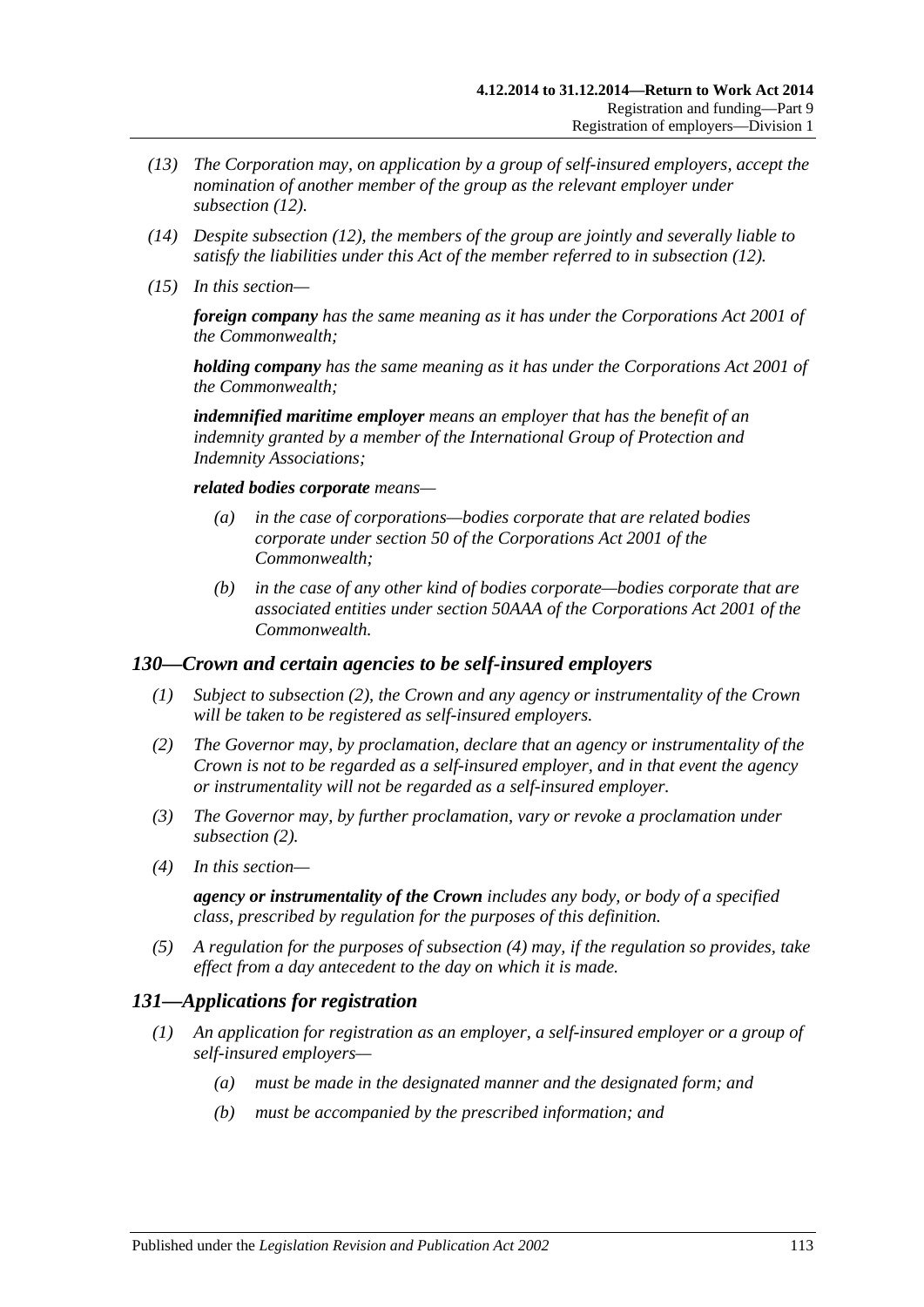- *(13) The Corporation may, on application by a group of self-insured employers, accept the nomination of another member of the group as the relevant employer under [subsection](#page-111-0) (12).*
- *(14) Despite [subsection](#page-111-0) (12), the members of the group are jointly and severally liable to satisfy the liabilities under this Act of the member referred to in [subsection](#page-111-0) (12).*
- *(15) In this section—*

*foreign company has the same meaning as it has under the Corporations Act 2001 of the Commonwealth;*

*holding company has the same meaning as it has under the Corporations Act 2001 of the Commonwealth;*

*indemnified maritime employer means an employer that has the benefit of an indemnity granted by a member of the International Group of Protection and Indemnity Associations;*

#### *related bodies corporate means—*

- *(a) in the case of corporations—bodies corporate that are related bodies corporate under section 50 of the Corporations Act 2001 of the Commonwealth;*
- *(b) in the case of any other kind of bodies corporate—bodies corporate that are associated entities under section 50AAA of the Corporations Act 2001 of the Commonwealth.*

### *130—Crown and certain agencies to be self-insured employers*

- *(1) Subject to [subsection](#page-112-0) (2), the Crown and any agency or instrumentality of the Crown will be taken to be registered as self-insured employers.*
- <span id="page-112-0"></span>*(2) The Governor may, by proclamation, declare that an agency or instrumentality of the Crown is not to be regarded as a self-insured employer, and in that event the agency or instrumentality will not be regarded as a self-insured employer.*
- *(3) The Governor may, by further proclamation, vary or revoke a proclamation under [subsection](#page-112-0) (2).*
- <span id="page-112-1"></span>*(4) In this section—*

*agency or instrumentality of the Crown includes any body, or body of a specified class, prescribed by regulation for the purposes of this definition.*

*(5) A regulation for the purposes of [subsection](#page-112-1) (4) may, if the regulation so provides, take effect from a day antecedent to the day on which it is made.*

## *131—Applications for registration*

- *(1) An application for registration as an employer, a self-insured employer or a group of self-insured employers—*
	- *(a) must be made in the designated manner and the designated form; and*
	- *(b) must be accompanied by the prescribed information; and*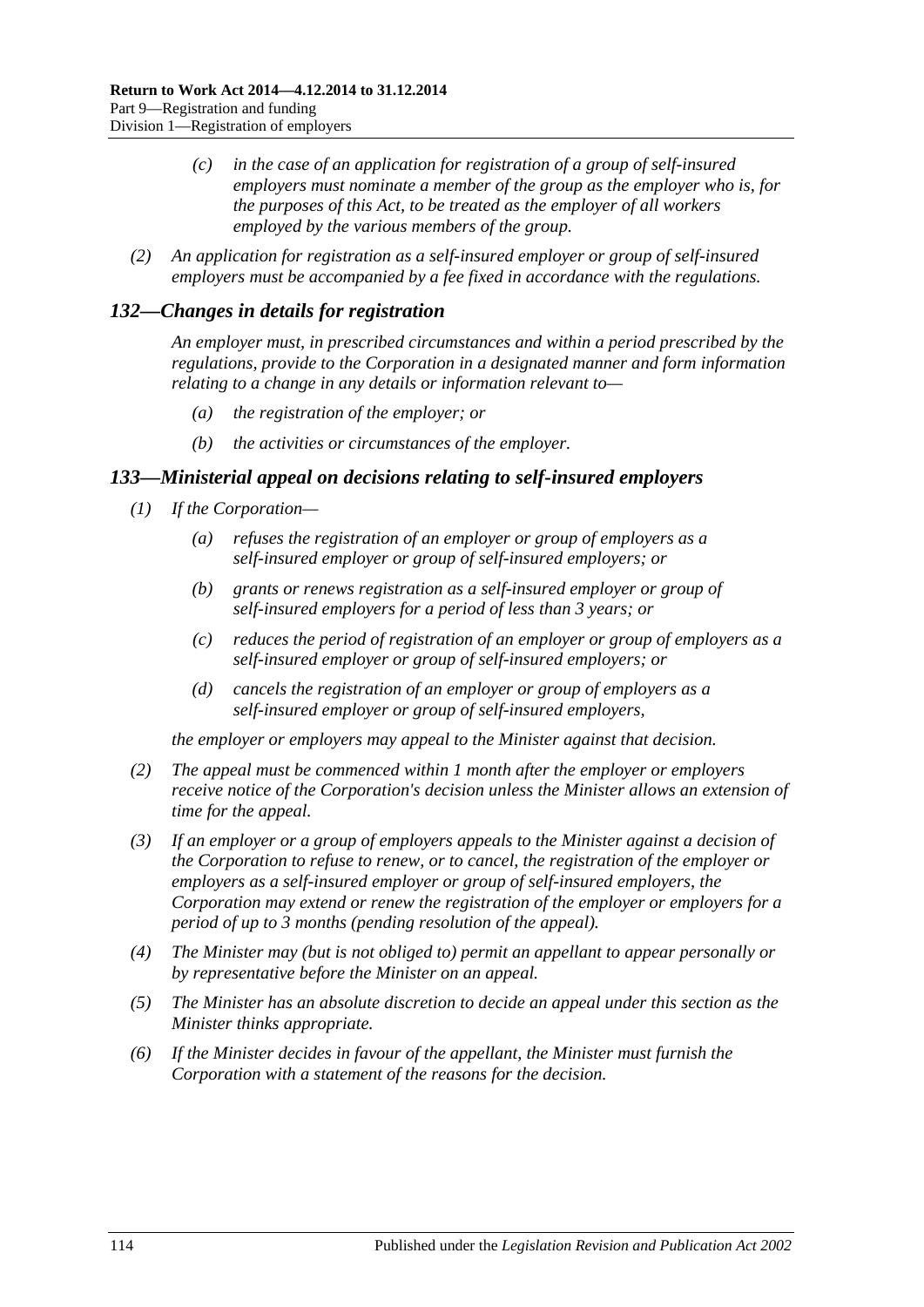- *(c) in the case of an application for registration of a group of self-insured employers must nominate a member of the group as the employer who is, for the purposes of this Act, to be treated as the employer of all workers employed by the various members of the group.*
- *(2) An application for registration as a self-insured employer or group of self-insured employers must be accompanied by a fee fixed in accordance with the regulations.*

## *132—Changes in details for registration*

*An employer must, in prescribed circumstances and within a period prescribed by the regulations, provide to the Corporation in a designated manner and form information relating to a change in any details or information relevant to—*

- *(a) the registration of the employer; or*
- *(b) the activities or circumstances of the employer.*

## <span id="page-113-0"></span>*133—Ministerial appeal on decisions relating to self-insured employers*

- *(1) If the Corporation—*
	- *(a) refuses the registration of an employer or group of employers as a self-insured employer or group of self-insured employers; or*
	- *(b) grants or renews registration as a self-insured employer or group of self-insured employers for a period of less than 3 years; or*
	- *(c) reduces the period of registration of an employer or group of employers as a self-insured employer or group of self-insured employers; or*
	- *(d) cancels the registration of an employer or group of employers as a self-insured employer or group of self-insured employers,*

*the employer or employers may appeal to the Minister against that decision.*

- *(2) The appeal must be commenced within 1 month after the employer or employers receive notice of the Corporation's decision unless the Minister allows an extension of time for the appeal.*
- *(3) If an employer or a group of employers appeals to the Minister against a decision of the Corporation to refuse to renew, or to cancel, the registration of the employer or employers as a self-insured employer or group of self-insured employers, the Corporation may extend or renew the registration of the employer or employers for a period of up to 3 months (pending resolution of the appeal).*
- *(4) The Minister may (but is not obliged to) permit an appellant to appear personally or by representative before the Minister on an appeal.*
- *(5) The Minister has an absolute discretion to decide an appeal under this section as the Minister thinks appropriate.*
- *(6) If the Minister decides in favour of the appellant, the Minister must furnish the Corporation with a statement of the reasons for the decision.*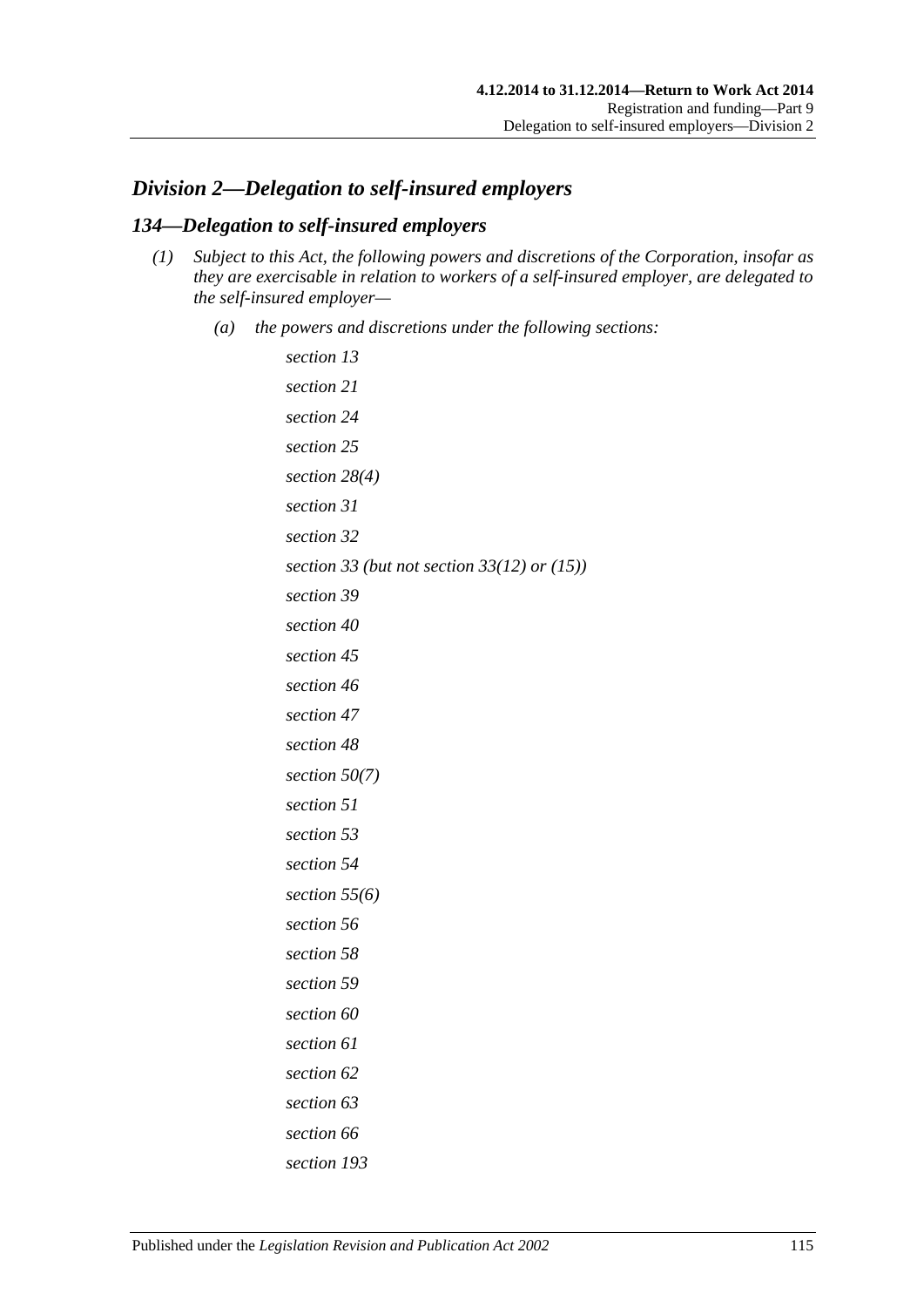# <span id="page-114-1"></span>*Division 2—Delegation to self-insured employers*

## <span id="page-114-0"></span>*134—Delegation to self-insured employers*

- *(1) Subject to this Act, the following powers and discretions of the Corporation, insofar as they are exercisable in relation to workers of a self-insured employer, are delegated to the self-insured employer—*
	- *(a) the powers and discretions under the following sections:*

```
section 13
section 21
section 24
section 25
section 28(4)
section 31
section 32
section 33 (but not section 33(12) or (15))
section 39
section 40
section 45
section 46
section 47
section 48
section 50(7)
section 51
section 53
section 54
section 55(6)
section 56
section 58
section 59
section 60
section 61
section 62
section 63
section 66
section 193
```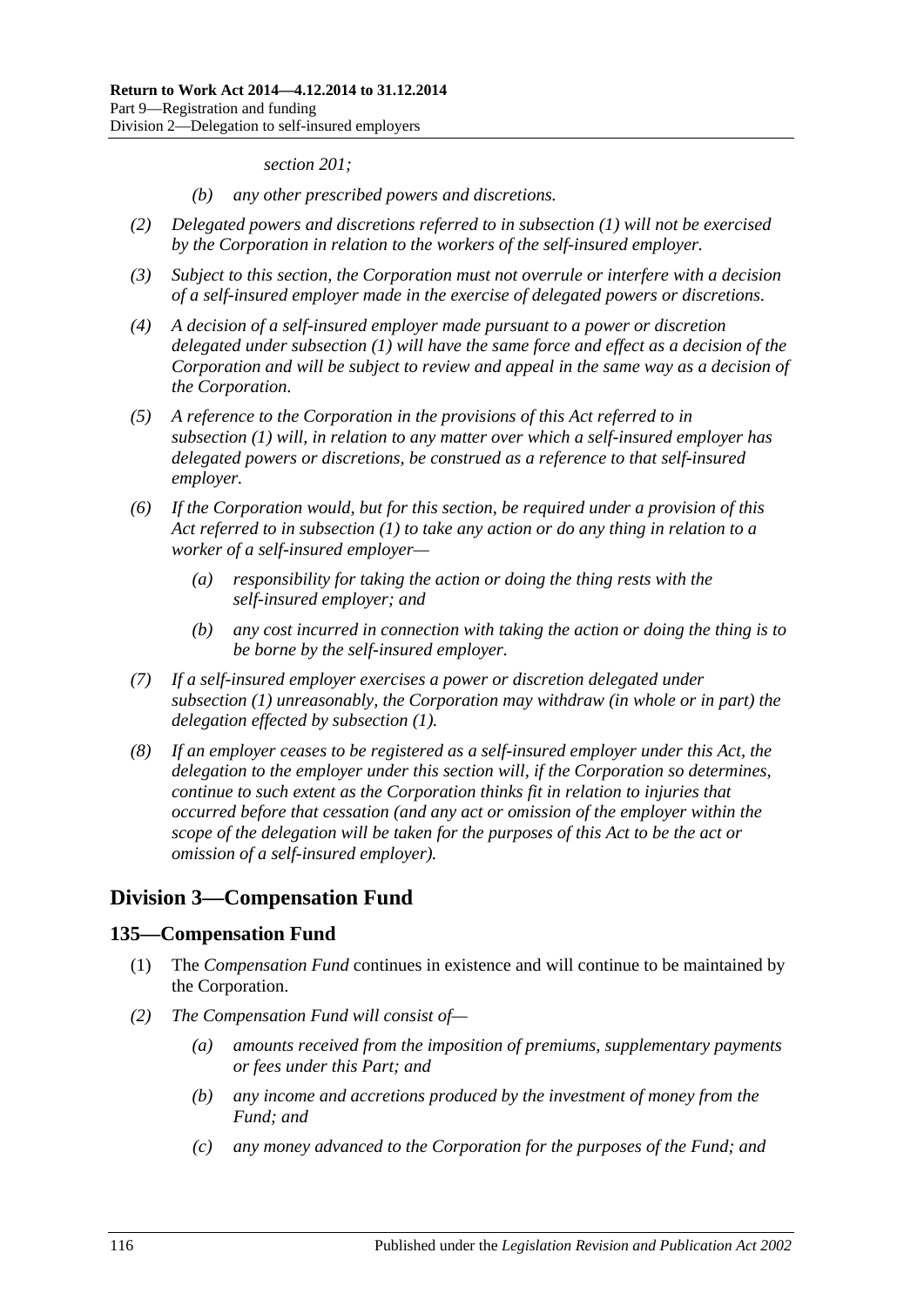*[section](#page-154-0) 201;*

- *(b) any other prescribed powers and discretions.*
- *(2) Delegated powers and discretions referred to in [subsection](#page-114-0) (1) will not be exercised by the Corporation in relation to the workers of the self-insured employer.*
- *(3) Subject to this section, the Corporation must not overrule or interfere with a decision of a self-insured employer made in the exercise of delegated powers or discretions.*
- *(4) A decision of a self-insured employer made pursuant to a power or discretion delegated under [subsection](#page-114-0) (1) will have the same force and effect as a decision of the Corporation and will be subject to review and appeal in the same way as a decision of the Corporation.*
- *(5) A reference to the Corporation in the provisions of this Act referred to in [subsection](#page-114-0) (1) will, in relation to any matter over which a self-insured employer has delegated powers or discretions, be construed as a reference to that self-insured employer.*
- *(6) If the Corporation would, but for this section, be required under a provision of this Act referred to in [subsection](#page-114-0) (1) to take any action or do any thing in relation to a worker of a self-insured employer—*
	- *(a) responsibility for taking the action or doing the thing rests with the self-insured employer; and*
	- *(b) any cost incurred in connection with taking the action or doing the thing is to be borne by the self-insured employer.*
- *(7) If a self-insured employer exercises a power or discretion delegated under [subsection](#page-114-0) (1) unreasonably, the Corporation may withdraw (in whole or in part) the delegation effected by [subsection](#page-114-0) (1).*
- *(8) If an employer ceases to be registered as a self-insured employer under this Act, the delegation to the employer under this section will, if the Corporation so determines, continue to such extent as the Corporation thinks fit in relation to injuries that occurred before that cessation (and any act or omission of the employer within the scope of the delegation will be taken for the purposes of this Act to be the act or omission of a self-insured employer).*

# **Division 3—Compensation Fund**

## **135—Compensation Fund**

- (1) The *Compensation Fund* continues in existence and will continue to be maintained by the Corporation.
- *(2) The Compensation Fund will consist of—*
	- *(a) amounts received from the imposition of premiums, supplementary payments or fees under this Part; and*
	- *(b) any income and accretions produced by the investment of money from the Fund; and*
	- *(c) any money advanced to the Corporation for the purposes of the Fund; and*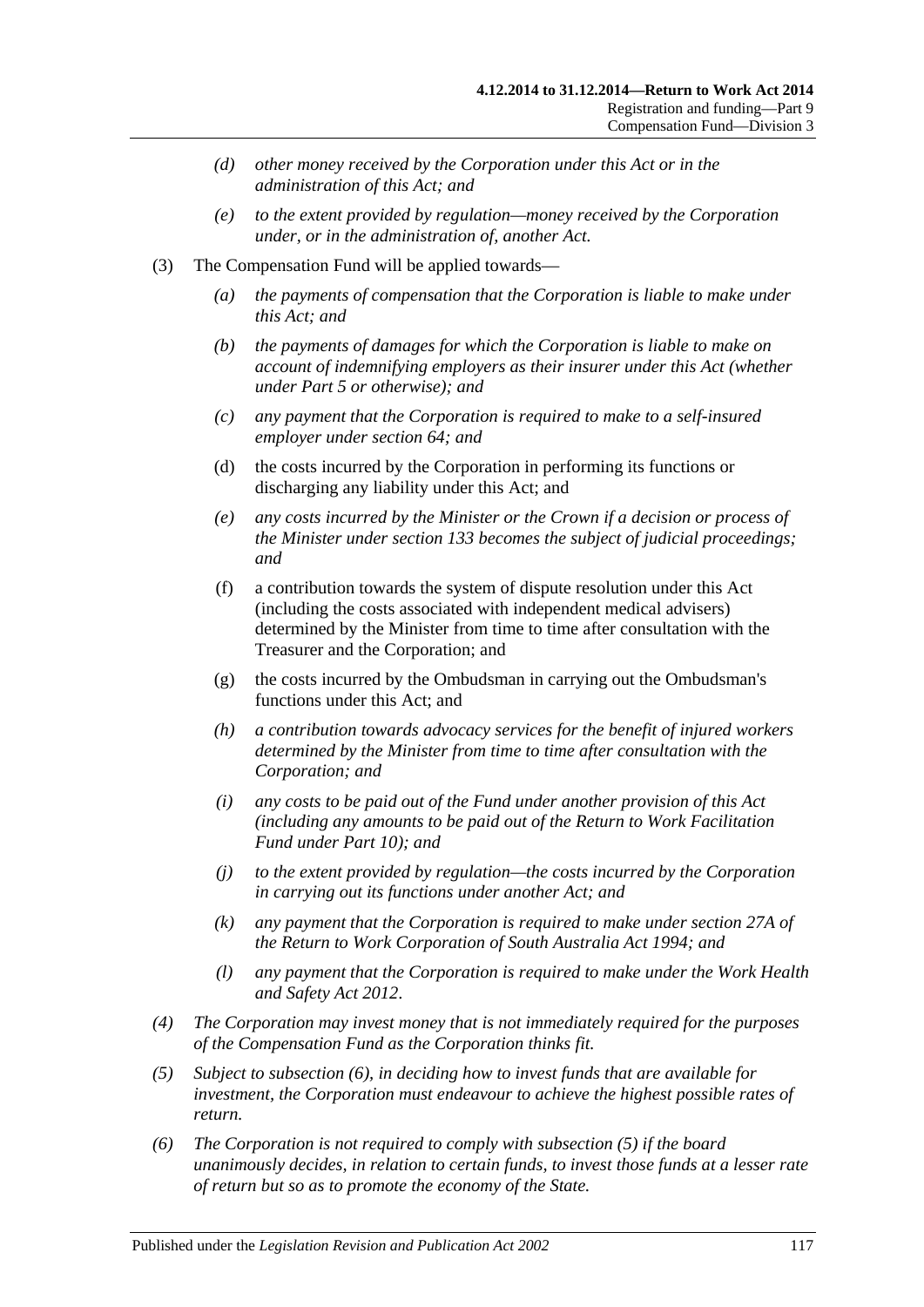- *(d) other money received by the Corporation under this Act or in the administration of this Act; and*
- *(e) to the extent provided by regulation—money received by the Corporation under, or in the administration of, another Act.*
- (3) The Compensation Fund will be applied towards—
	- *(a) the payments of compensation that the Corporation is liable to make under this Act; and*
	- *(b) the payments of damages for which the Corporation is liable to make on account of indemnifying employers as their insurer under this Act (whether under [Part](#page-83-0) 5 or otherwise); and*
	- *(c) any payment that the Corporation is required to make to a self-insured employer under [section](#page-76-0) 64; and*
	- (d) the costs incurred by the Corporation in performing its functions or discharging any liability under this Act; and
	- *(e) any costs incurred by the Minister or the Crown if a decision or process of the Minister under [section](#page-113-0) 133 becomes the subject of judicial proceedings; and*
	- (f) a contribution towards the system of dispute resolution under this Act (including the costs associated with independent medical advisers) determined by the Minister from time to time after consultation with the Treasurer and the Corporation; and
	- (g) the costs incurred by the Ombudsman in carrying out the Ombudsman's functions under this Act; and
	- *(h) a contribution towards advocacy services for the benefit of injured workers determined by the Minister from time to time after consultation with the Corporation; and*
	- *(i) any costs to be paid out of the Fund under another provision of this Act (including any amounts to be paid out of the Return to Work Facilitation Fund under [Part](#page-135-0) 10); and*
	- *(j) to the extent provided by regulation—the costs incurred by the Corporation in carrying out its functions under another Act; and*
	- *(k) any payment that the Corporation is required to make under section 27A of the [Return to Work Corporation of South Australia Act](http://www.legislation.sa.gov.au/index.aspx?action=legref&type=act&legtitle=Return%20to%20Work%20Corporation%20of%20South%20Australia%20Act%201994) 1994; and*
	- *(l) any payment that the Corporation is required to make under the [Work Health](http://www.legislation.sa.gov.au/index.aspx?action=legref&type=act&legtitle=Work%20Health%20and%20Safety%20Act%202012)  [and Safety Act](http://www.legislation.sa.gov.au/index.aspx?action=legref&type=act&legtitle=Work%20Health%20and%20Safety%20Act%202012) 2012*.
- *(4) The Corporation may invest money that is not immediately required for the purposes of the Compensation Fund as the Corporation thinks fit.*
- <span id="page-116-1"></span>*(5) Subject to [subsection](#page-116-0) (6), in deciding how to invest funds that are available for investment, the Corporation must endeavour to achieve the highest possible rates of return.*
- <span id="page-116-0"></span>*(6) The Corporation is not required to comply with [subsection](#page-116-1) (5) if the board unanimously decides, in relation to certain funds, to invest those funds at a lesser rate of return but so as to promote the economy of the State.*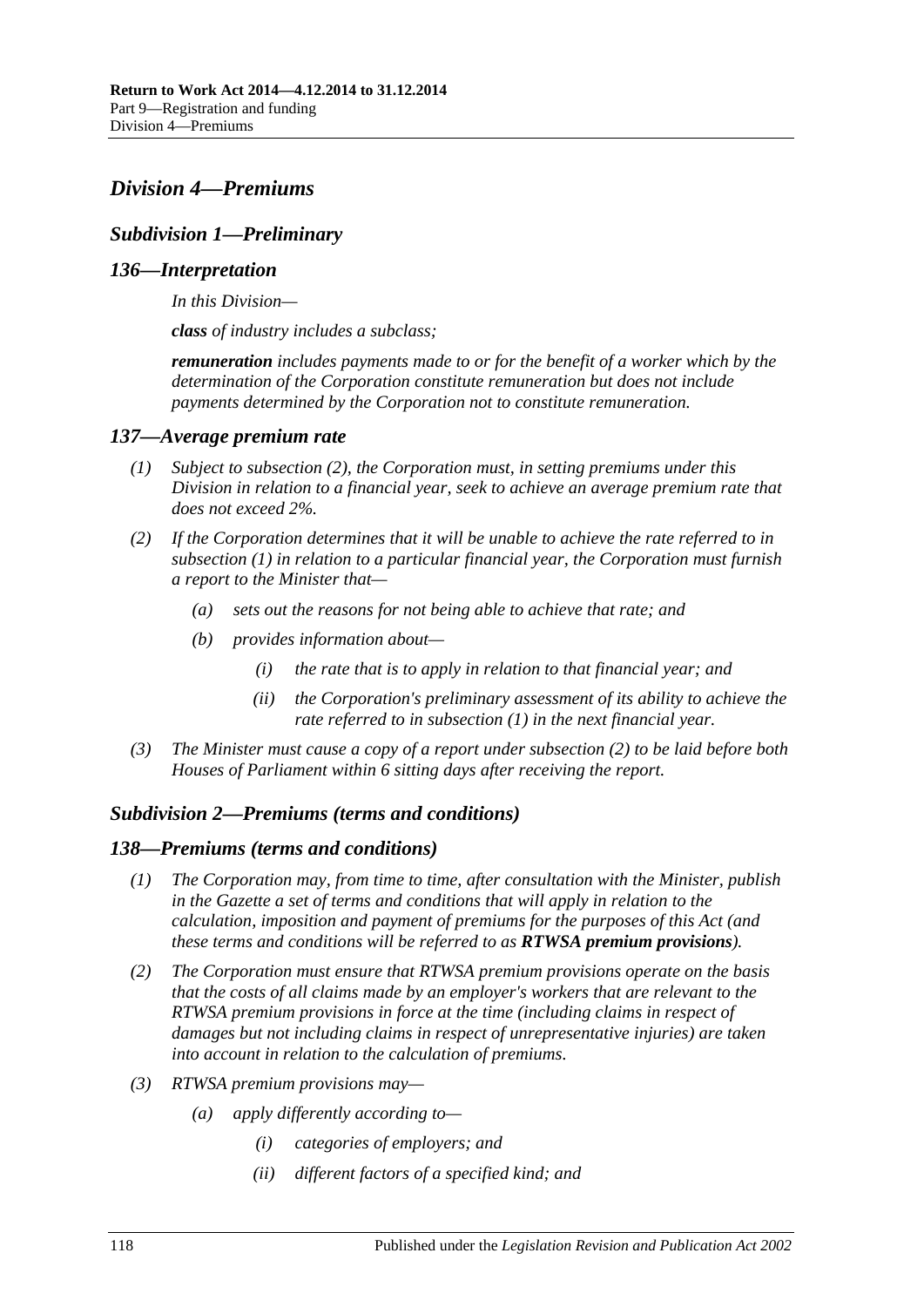# <span id="page-117-2"></span>*Division 4—Premiums*

# *Subdivision 1—Preliminary*

## *136—Interpretation*

*In this Division—*

*class of industry includes a subclass;*

*remuneration includes payments made to or for the benefit of a worker which by the determination of the Corporation constitute remuneration but does not include payments determined by the Corporation not to constitute remuneration.*

### <span id="page-117-3"></span><span id="page-117-1"></span>*137—Average premium rate*

- *(1) Subject to [subsection](#page-117-0) (2), the Corporation must, in setting premiums under this Division in relation to a financial year, seek to achieve an average premium rate that does not exceed 2%.*
- <span id="page-117-0"></span>*(2) If the Corporation determines that it will be unable to achieve the rate referred to in [subsection](#page-117-1) (1) in relation to a particular financial year, the Corporation must furnish a report to the Minister that—*
	- *(a) sets out the reasons for not being able to achieve that rate; and*
	- *(b) provides information about—*
		- *(i) the rate that is to apply in relation to that financial year; and*
		- *(ii) the Corporation's preliminary assessment of its ability to achieve the rate referred to in [subsection](#page-117-1) (1) in the next financial year.*
- *(3) The Minister must cause a copy of a report under [subsection](#page-117-0) (2) to be laid before both Houses of Parliament within 6 sitting days after receiving the report.*

## *Subdivision 2—Premiums (terms and conditions)*

### *138—Premiums (terms and conditions)*

- *(1) The Corporation may, from time to time, after consultation with the Minister, publish in the Gazette a set of terms and conditions that will apply in relation to the calculation, imposition and payment of premiums for the purposes of this Act (and these terms and conditions will be referred to as RTWSA premium provisions).*
- *(2) The Corporation must ensure that RTWSA premium provisions operate on the basis that the costs of all claims made by an employer's workers that are relevant to the RTWSA premium provisions in force at the time (including claims in respect of damages but not including claims in respect of unrepresentative injuries) are taken into account in relation to the calculation of premiums.*
- *(3) RTWSA premium provisions may—*
	- *(a) apply differently according to—*
		- *(i) categories of employers; and*
		- *(ii) different factors of a specified kind; and*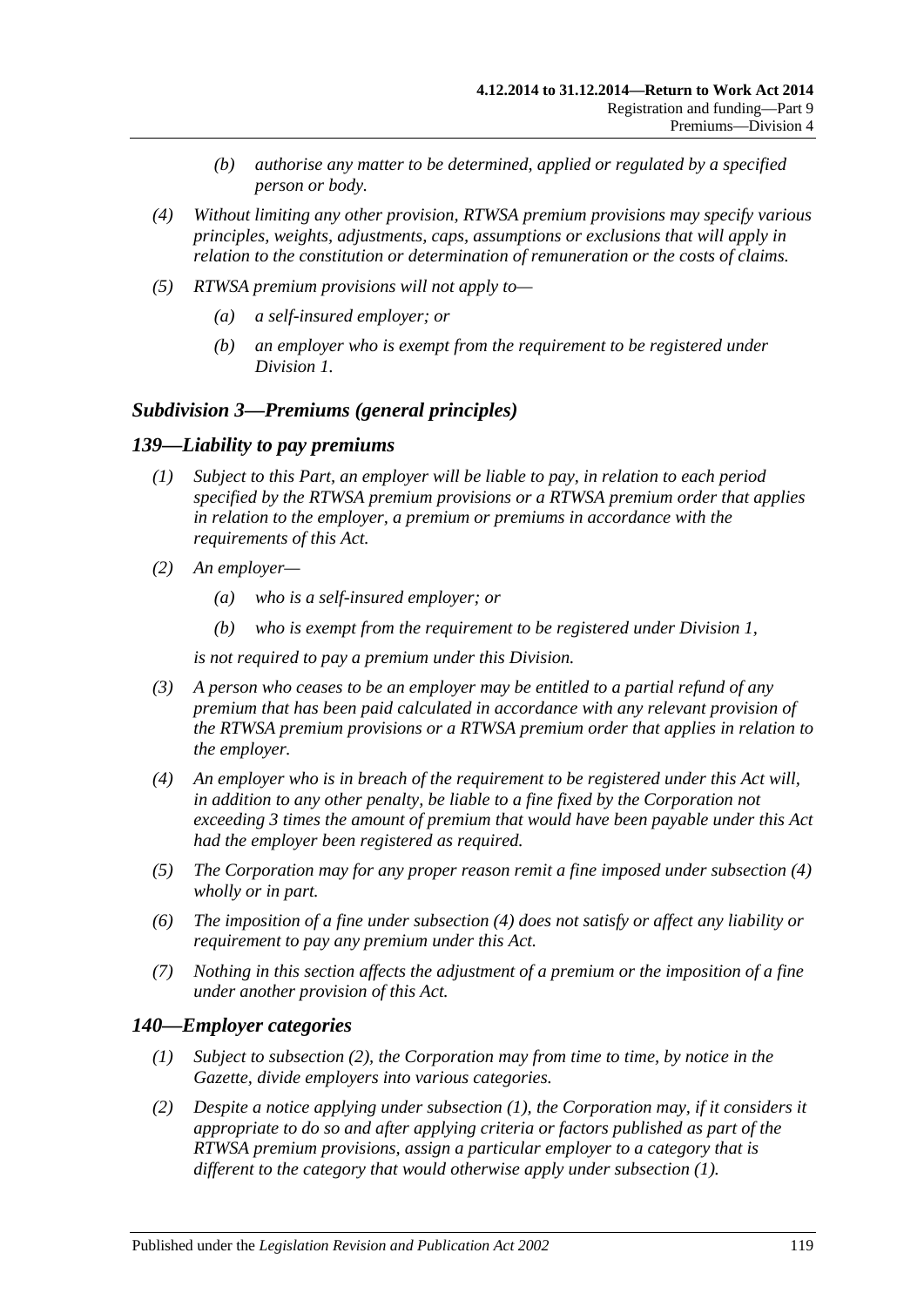- *(b) authorise any matter to be determined, applied or regulated by a specified person or body.*
- *(4) Without limiting any other provision, RTWSA premium provisions may specify various principles, weights, adjustments, caps, assumptions or exclusions that will apply in relation to the constitution or determination of remuneration or the costs of claims.*
- *(5) RTWSA premium provisions will not apply to—*
	- *(a) a self-insured employer; or*
	- *(b) an employer who is exempt from the requirement to be registered under [Division](#page-108-2) 1.*

### *Subdivision 3—Premiums (general principles)*

### <span id="page-118-3"></span>*139—Liability to pay premiums*

- *(1) Subject to this Part, an employer will be liable to pay, in relation to each period specified by the RTWSA premium provisions or a RTWSA premium order that applies in relation to the employer, a premium or premiums in accordance with the requirements of this Act.*
- *(2) An employer—*
	- *(a) who is a self-insured employer; or*
	- *(b) who is exempt from the requirement to be registered under [Division](#page-108-2) 1,*

*is not required to pay a premium under this Division.*

- *(3) A person who ceases to be an employer may be entitled to a partial refund of any premium that has been paid calculated in accordance with any relevant provision of the RTWSA premium provisions or a RTWSA premium order that applies in relation to the employer.*
- <span id="page-118-0"></span>*(4) An employer who is in breach of the requirement to be registered under this Act will, in addition to any other penalty, be liable to a fine fixed by the Corporation not exceeding 3 times the amount of premium that would have been payable under this Act had the employer been registered as required.*
- *(5) The Corporation may for any proper reason remit a fine imposed under [subsection](#page-118-0) (4) wholly or in part.*
- *(6) The imposition of a fine under [subsection](#page-118-0) (4) does not satisfy or affect any liability or requirement to pay any premium under this Act.*
- *(7) Nothing in this section affects the adjustment of a premium or the imposition of a fine under another provision of this Act.*

### <span id="page-118-2"></span>*140—Employer categories*

- *(1) Subject to [subsection](#page-118-1) (2), the Corporation may from time to time, by notice in the Gazette, divide employers into various categories.*
- <span id="page-118-1"></span>*(2) Despite a notice applying under [subsection](#page-118-2) (1), the Corporation may, if it considers it appropriate to do so and after applying criteria or factors published as part of the RTWSA premium provisions, assign a particular employer to a category that is different to the category that would otherwise apply under [subsection](#page-118-2) (1).*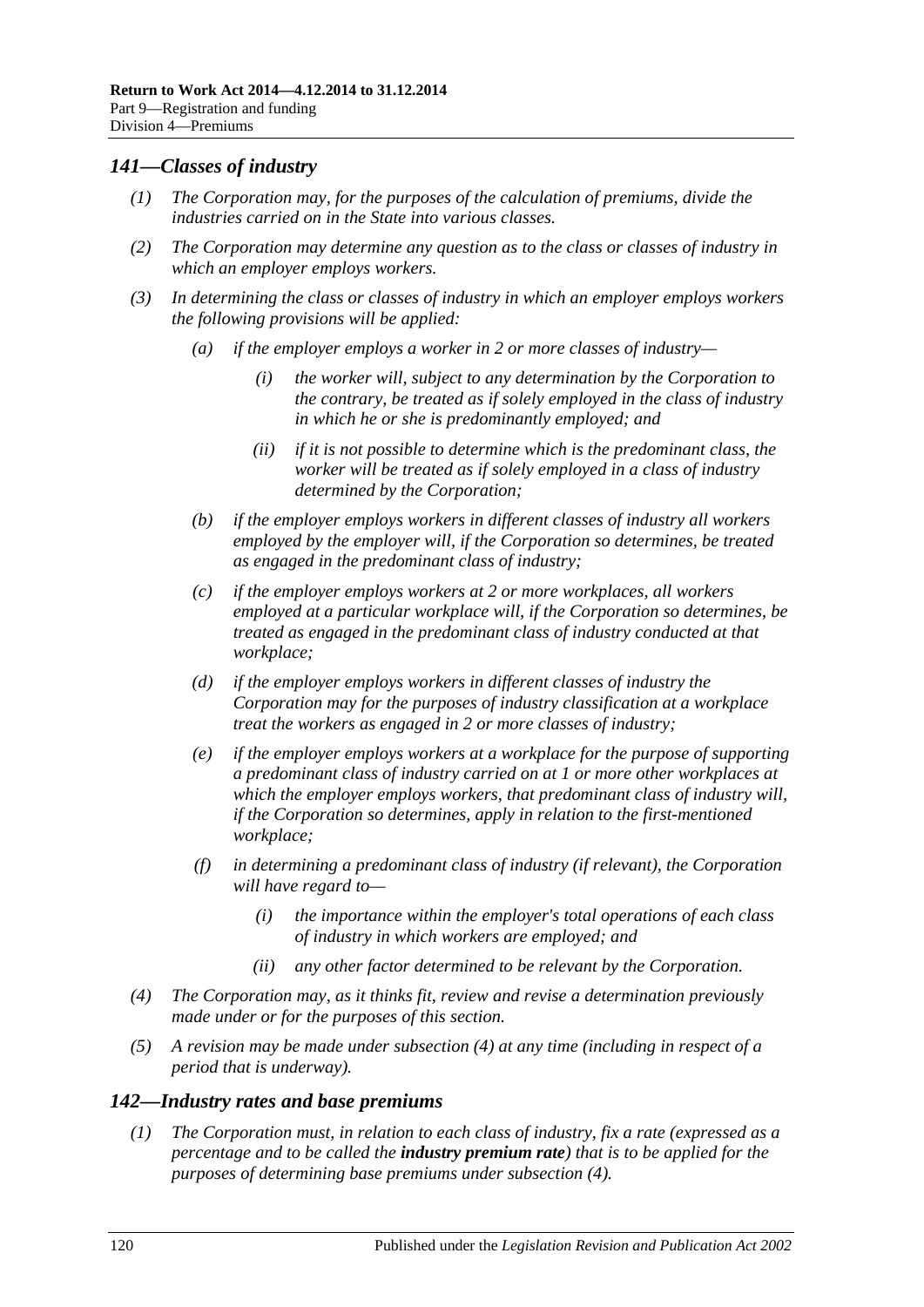## *141—Classes of industry*

- *(1) The Corporation may, for the purposes of the calculation of premiums, divide the industries carried on in the State into various classes.*
- *(2) The Corporation may determine any question as to the class or classes of industry in which an employer employs workers.*
- *(3) In determining the class or classes of industry in which an employer employs workers the following provisions will be applied:*
	- *(a) if the employer employs a worker in 2 or more classes of industry—*
		- *(i) the worker will, subject to any determination by the Corporation to the contrary, be treated as if solely employed in the class of industry in which he or she is predominantly employed; and*
		- *(ii) if it is not possible to determine which is the predominant class, the worker will be treated as if solely employed in a class of industry determined by the Corporation;*
	- *(b) if the employer employs workers in different classes of industry all workers employed by the employer will, if the Corporation so determines, be treated as engaged in the predominant class of industry;*
	- *(c) if the employer employs workers at 2 or more workplaces, all workers employed at a particular workplace will, if the Corporation so determines, be treated as engaged in the predominant class of industry conducted at that workplace;*
	- *(d) if the employer employs workers in different classes of industry the Corporation may for the purposes of industry classification at a workplace treat the workers as engaged in 2 or more classes of industry;*
	- *(e) if the employer employs workers at a workplace for the purpose of supporting a predominant class of industry carried on at 1 or more other workplaces at which the employer employs workers, that predominant class of industry will, if the Corporation so determines, apply in relation to the first-mentioned workplace;*
	- *(f) in determining a predominant class of industry (if relevant), the Corporation will have regard to—*
		- *(i) the importance within the employer's total operations of each class of industry in which workers are employed; and*
		- *(ii) any other factor determined to be relevant by the Corporation.*
- <span id="page-119-0"></span>*(4) The Corporation may, as it thinks fit, review and revise a determination previously made under or for the purposes of this section.*
- *(5) A revision may be made under [subsection](#page-119-0) (4) at any time (including in respect of a period that is underway).*

## <span id="page-119-1"></span>*142—Industry rates and base premiums*

*(1) The Corporation must, in relation to each class of industry, fix a rate (expressed as a percentage and to be called the industry premium rate) that is to be applied for the purposes of determining base premiums under [subsection](#page-120-0) (4).*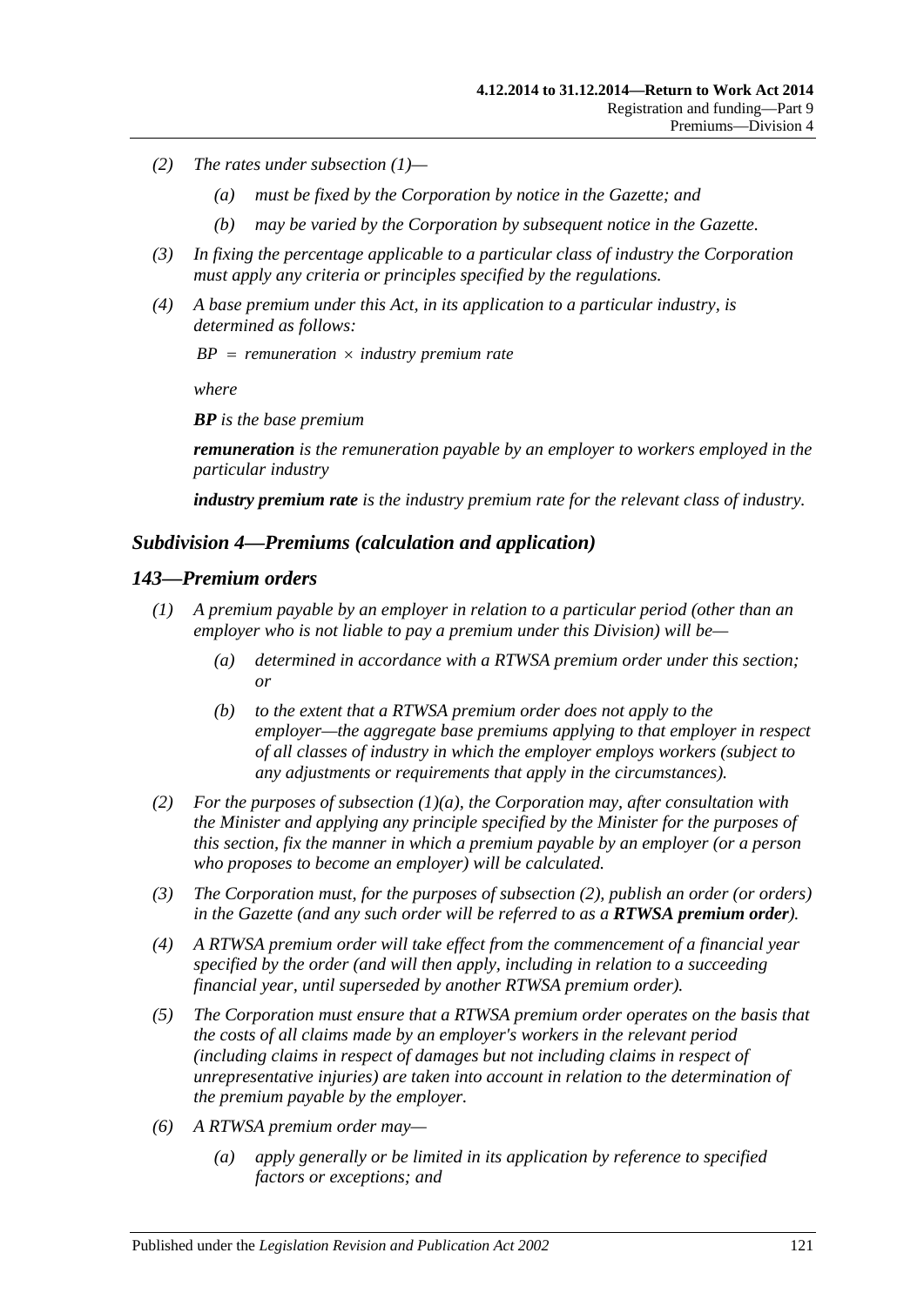- *(2) The rates under [subsection](#page-119-1) (1)—*
	- *(a) must be fixed by the Corporation by notice in the Gazette; and*
	- *(b) may be varied by the Corporation by subsequent notice in the Gazette.*
- *(3) In fixing the percentage applicable to a particular class of industry the Corporation must apply any criteria or principles specified by the regulations.*
- <span id="page-120-0"></span>*(4) A base premium under this Act, in its application to a particular industry, is determined as follows:*

 $BP = remuneration \times industry premium rate$ 

*where*

*BP is the base premium*

*remuneration is the remuneration payable by an employer to workers employed in the particular industry*

*industry premium rate is the industry premium rate for the relevant class of industry.*

### *Subdivision 4—Premiums (calculation and application)*

### *143—Premium orders*

- <span id="page-120-1"></span>*(1) A premium payable by an employer in relation to a particular period (other than an employer who is not liable to pay a premium under this Division) will be—*
	- *(a) determined in accordance with a RTWSA premium order under this section; or*
	- *(b) to the extent that a RTWSA premium order does not apply to the employer—the aggregate base premiums applying to that employer in respect of all classes of industry in which the employer employs workers (subject to any adjustments or requirements that apply in the circumstances).*
- <span id="page-120-2"></span>*(2) For the purposes of [subsection](#page-120-1) (1)(a), the Corporation may, after consultation with the Minister and applying any principle specified by the Minister for the purposes of this section, fix the manner in which a premium payable by an employer (or a person who proposes to become an employer) will be calculated.*
- *(3) The Corporation must, for the purposes of [subsection](#page-120-2) (2), publish an order (or orders) in the Gazette (and any such order will be referred to as a RTWSA premium order).*
- *(4) A RTWSA premium order will take effect from the commencement of a financial year specified by the order (and will then apply, including in relation to a succeeding financial year, until superseded by another RTWSA premium order).*
- *(5) The Corporation must ensure that a RTWSA premium order operates on the basis that the costs of all claims made by an employer's workers in the relevant period (including claims in respect of damages but not including claims in respect of unrepresentative injuries) are taken into account in relation to the determination of the premium payable by the employer.*
- *(6) A RTWSA premium order may—*
	- *(a) apply generally or be limited in its application by reference to specified factors or exceptions; and*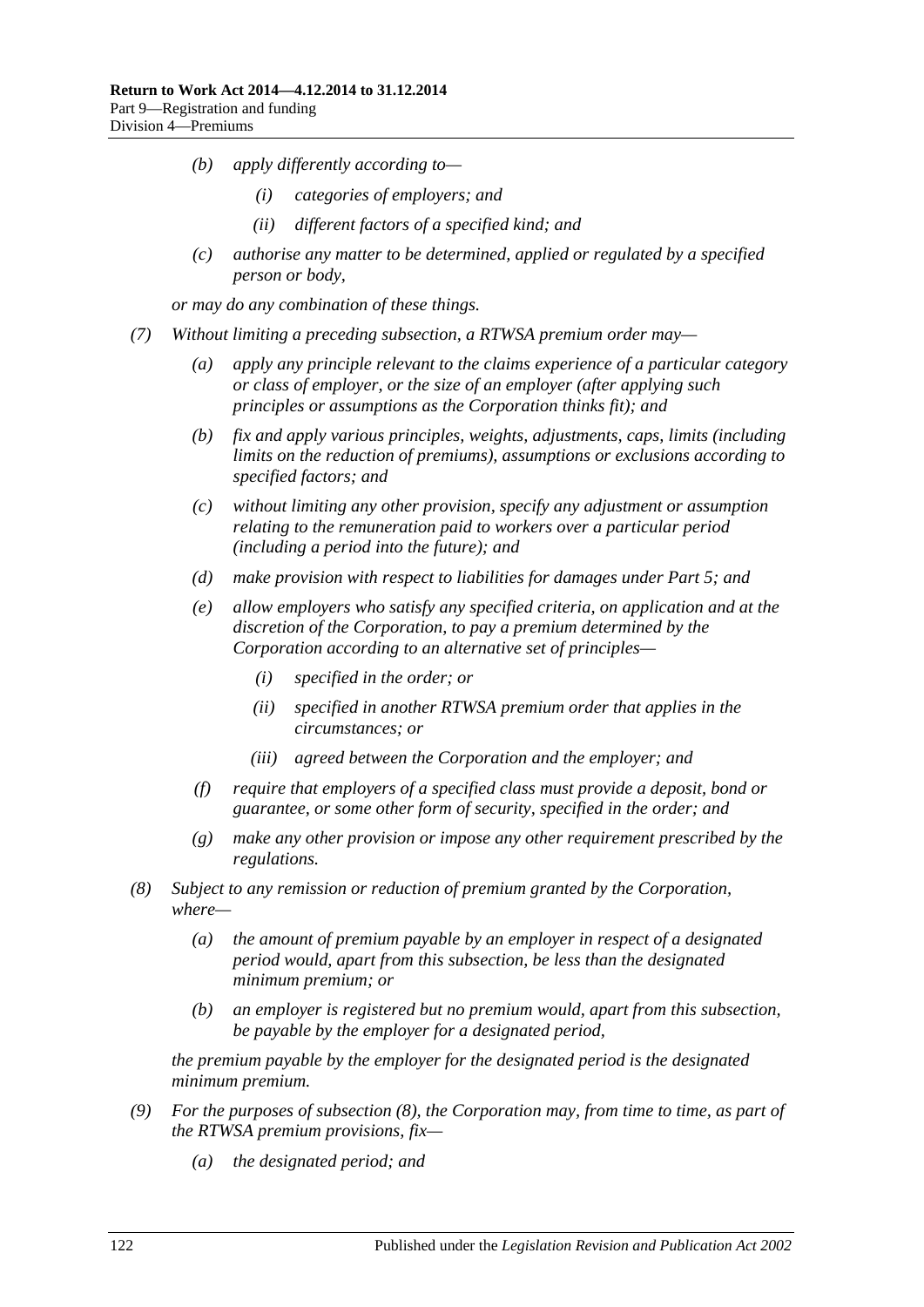- *(b) apply differently according to—*
	- *(i) categories of employers; and*
	- *(ii) different factors of a specified kind; and*
- *(c) authorise any matter to be determined, applied or regulated by a specified person or body,*

*or may do any combination of these things.*

- <span id="page-121-2"></span><span id="page-121-1"></span>*(7) Without limiting a preceding subsection, a RTWSA premium order may—*
	- *(a) apply any principle relevant to the claims experience of a particular category or class of employer, or the size of an employer (after applying such principles or assumptions as the Corporation thinks fit); and*
	- *(b) fix and apply various principles, weights, adjustments, caps, limits (including limits on the reduction of premiums), assumptions or exclusions according to specified factors; and*
	- *(c) without limiting any other provision, specify any adjustment or assumption relating to the remuneration paid to workers over a particular period (including a period into the future); and*
	- *(d) make provision with respect to liabilities for damages under [Part](#page-83-0) 5; and*
	- *(e) allow employers who satisfy any specified criteria, on application and at the discretion of the Corporation, to pay a premium determined by the Corporation according to an alternative set of principles—*
		- *(i) specified in the order; or*
		- *(ii) specified in another RTWSA premium order that applies in the circumstances; or*
		- *(iii) agreed between the Corporation and the employer; and*
	- *(f) require that employers of a specified class must provide a deposit, bond or guarantee, or some other form of security, specified in the order; and*
	- *(g) make any other provision or impose any other requirement prescribed by the regulations.*
- <span id="page-121-0"></span>*(8) Subject to any remission or reduction of premium granted by the Corporation, where—*
	- *(a) the amount of premium payable by an employer in respect of a designated period would, apart from this subsection, be less than the designated minimum premium; or*
	- *(b) an employer is registered but no premium would, apart from this subsection, be payable by the employer for a designated period,*

*the premium payable by the employer for the designated period is the designated minimum premium.*

- *(9) For the purposes of [subsection](#page-121-0) (8), the Corporation may, from time to time, as part of the RTWSA premium provisions, fix—*
	- *(a) the designated period; and*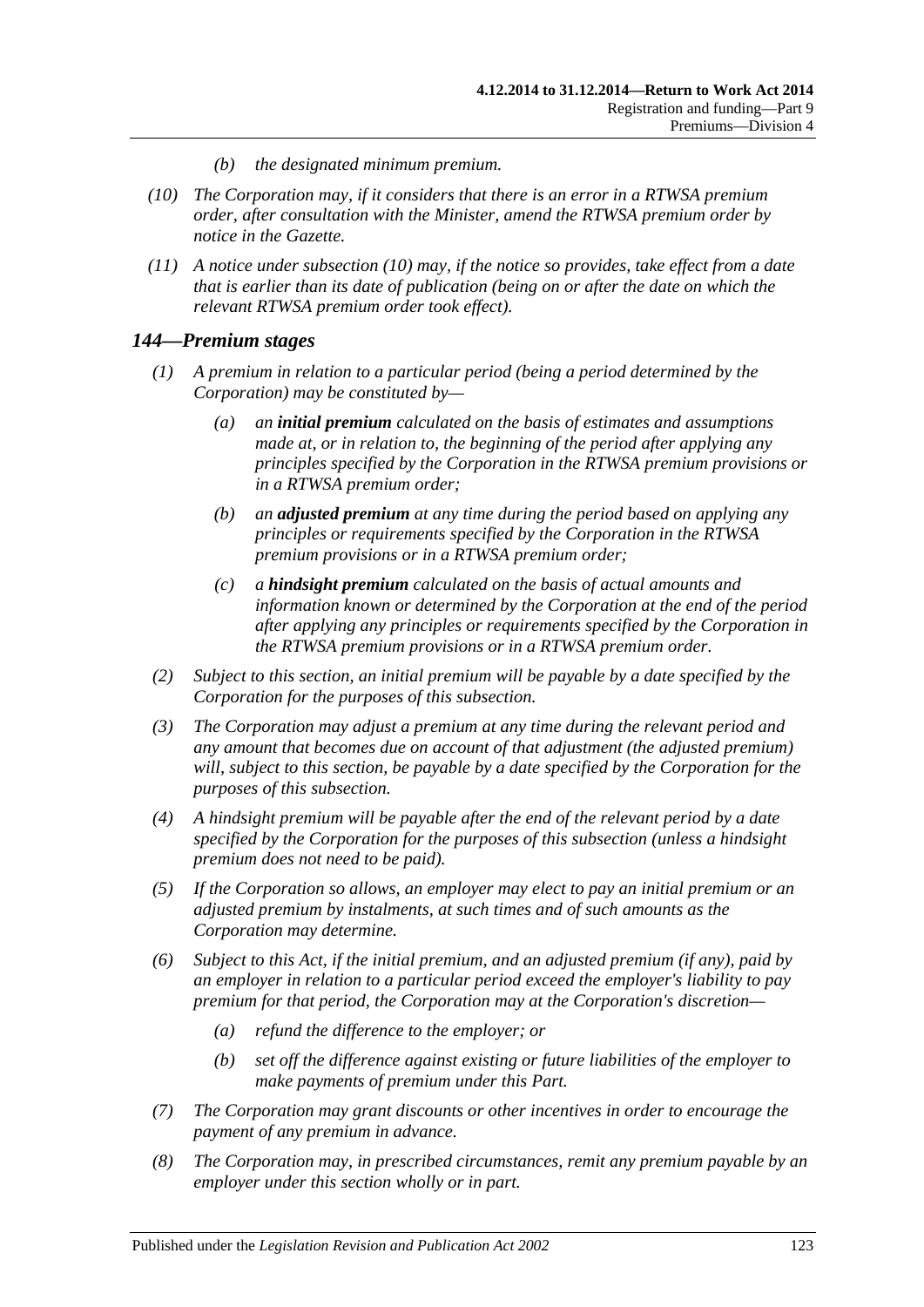- *(b) the designated minimum premium.*
- <span id="page-122-0"></span>*(10) The Corporation may, if it considers that there is an error in a RTWSA premium order, after consultation with the Minister, amend the RTWSA premium order by notice in the Gazette.*
- *(11) A notice under [subsection](#page-122-0) (10) may, if the notice so provides, take effect from a date that is earlier than its date of publication (being on or after the date on which the relevant RTWSA premium order took effect).*

### *144—Premium stages*

- *(1) A premium in relation to a particular period (being a period determined by the Corporation) may be constituted by—*
	- *(a) an initial premium calculated on the basis of estimates and assumptions made at, or in relation to, the beginning of the period after applying any principles specified by the Corporation in the RTWSA premium provisions or in a RTWSA premium order;*
	- *(b) an adjusted premium at any time during the period based on applying any principles or requirements specified by the Corporation in the RTWSA premium provisions or in a RTWSA premium order;*
	- *(c) a hindsight premium calculated on the basis of actual amounts and information known or determined by the Corporation at the end of the period after applying any principles or requirements specified by the Corporation in the RTWSA premium provisions or in a RTWSA premium order.*
- *(2) Subject to this section, an initial premium will be payable by a date specified by the Corporation for the purposes of this subsection.*
- *(3) The Corporation may adjust a premium at any time during the relevant period and any amount that becomes due on account of that adjustment (the adjusted premium) will, subject to this section, be payable by a date specified by the Corporation for the purposes of this subsection.*
- *(4) A hindsight premium will be payable after the end of the relevant period by a date specified by the Corporation for the purposes of this subsection (unless a hindsight premium does not need to be paid).*
- *(5) If the Corporation so allows, an employer may elect to pay an initial premium or an adjusted premium by instalments, at such times and of such amounts as the Corporation may determine.*
- *(6) Subject to this Act, if the initial premium, and an adjusted premium (if any), paid by an employer in relation to a particular period exceed the employer's liability to pay premium for that period, the Corporation may at the Corporation's discretion—*
	- *(a) refund the difference to the employer; or*
	- *(b) set off the difference against existing or future liabilities of the employer to make payments of premium under this Part.*
- *(7) The Corporation may grant discounts or other incentives in order to encourage the payment of any premium in advance.*
- *(8) The Corporation may, in prescribed circumstances, remit any premium payable by an employer under this section wholly or in part.*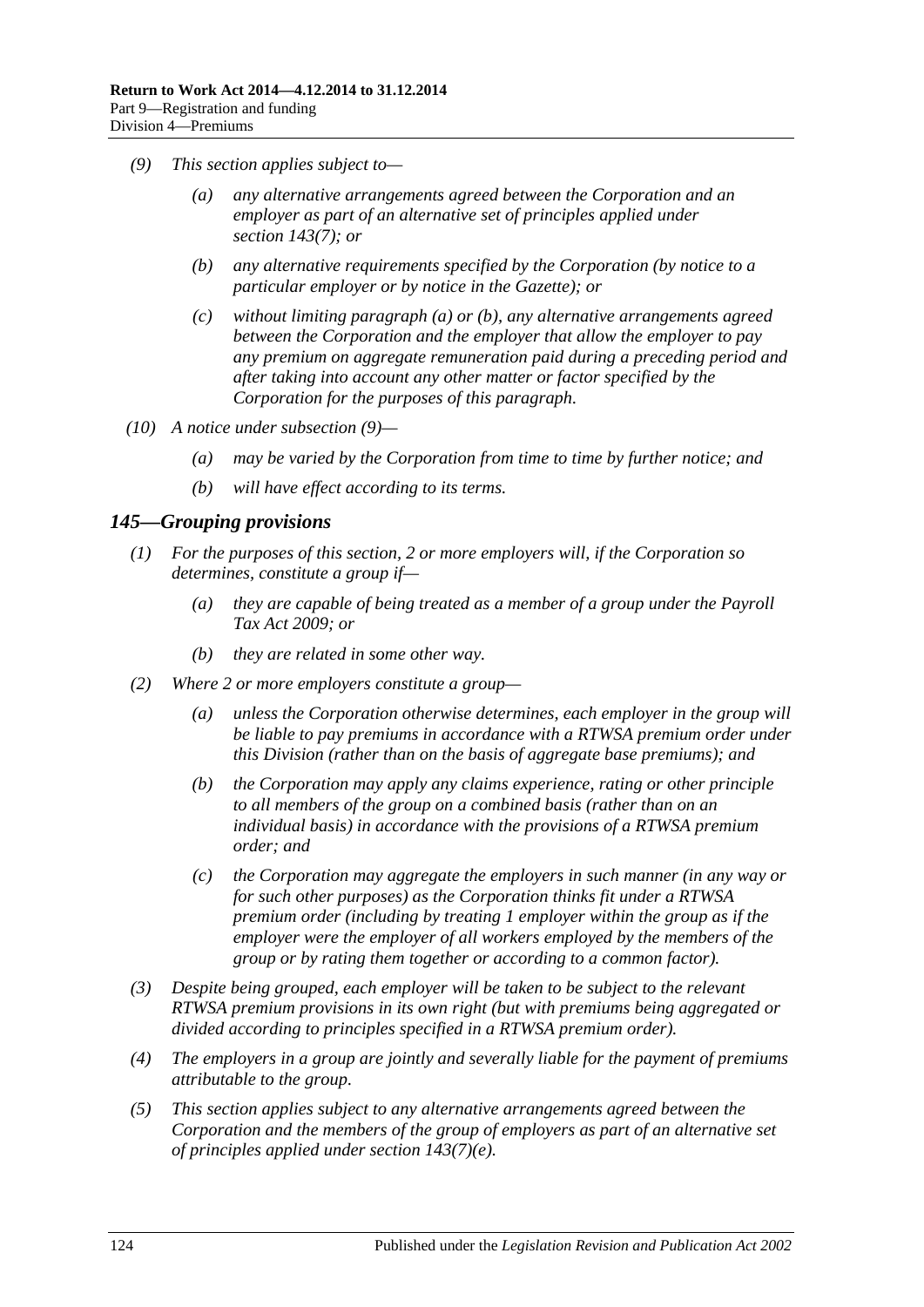- <span id="page-123-2"></span><span id="page-123-1"></span><span id="page-123-0"></span>*(9) This section applies subject to—*
	- *(a) any alternative arrangements agreed between the Corporation and an employer as part of an alternative set of principles applied under section [143\(7\);](#page-121-1) or*
	- *(b) any alternative requirements specified by the Corporation (by notice to a particular employer or by notice in the Gazette); or*
	- *(c) without limiting [paragraph](#page-123-0) (a) or [\(b\),](#page-123-1) any alternative arrangements agreed between the Corporation and the employer that allow the employer to pay any premium on aggregate remuneration paid during a preceding period and after taking into account any other matter or factor specified by the Corporation for the purposes of this paragraph.*
- *(10) A notice under [subsection](#page-123-2) (9)—*
	- *(a) may be varied by the Corporation from time to time by further notice; and*
	- *(b) will have effect according to its terms.*

## *145—Grouping provisions*

- *(1) For the purposes of this section, 2 or more employers will, if the Corporation so determines, constitute a group if—*
	- *(a) they are capable of being treated as a member of a group under the [Payroll](http://www.legislation.sa.gov.au/index.aspx?action=legref&type=act&legtitle=Payroll%20Tax%20Act%202009)  [Tax Act](http://www.legislation.sa.gov.au/index.aspx?action=legref&type=act&legtitle=Payroll%20Tax%20Act%202009) 2009; or*
	- *(b) they are related in some other way.*
- *(2) Where 2 or more employers constitute a group—*
	- *(a) unless the Corporation otherwise determines, each employer in the group will*  be liable to pay premiums in accordance with a RTWSA premium order under *this Division (rather than on the basis of aggregate base premiums); and*
	- *(b) the Corporation may apply any claims experience, rating or other principle to all members of the group on a combined basis (rather than on an individual basis) in accordance with the provisions of a RTWSA premium order; and*
	- *(c) the Corporation may aggregate the employers in such manner (in any way or for such other purposes) as the Corporation thinks fit under a RTWSA premium order (including by treating 1 employer within the group as if the employer were the employer of all workers employed by the members of the group or by rating them together or according to a common factor).*
- *(3) Despite being grouped, each employer will be taken to be subject to the relevant RTWSA premium provisions in its own right (but with premiums being aggregated or divided according to principles specified in a RTWSA premium order).*
- *(4) The employers in a group are jointly and severally liable for the payment of premiums attributable to the group.*
- *(5) This section applies subject to any alternative arrangements agreed between the Corporation and the members of the group of employers as part of an alternative set of principles applied under section [143\(7\)\(e\).](#page-121-2)*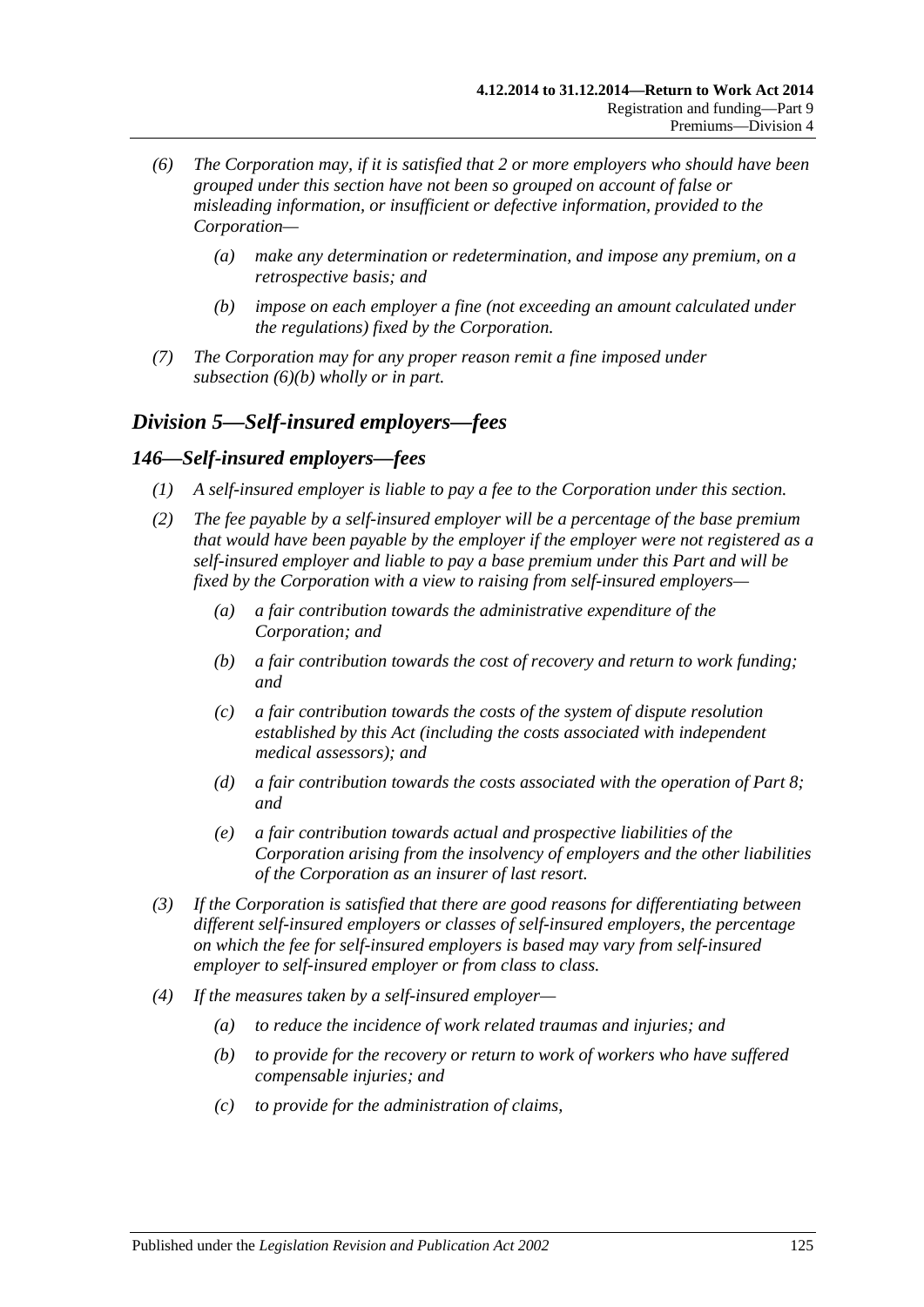- *(6) The Corporation may, if it is satisfied that 2 or more employers who should have been grouped under this section have not been so grouped on account of false or misleading information, or insufficient or defective information, provided to the Corporation—*
	- *(a) make any determination or redetermination, and impose any premium, on a retrospective basis; and*
	- *(b) impose on each employer a fine (not exceeding an amount calculated under the regulations) fixed by the Corporation.*
- <span id="page-124-0"></span>*(7) The Corporation may for any proper reason remit a fine imposed under [subsection](#page-124-0) (6)(b) wholly or in part.*

# *Division 5—Self-insured employers—fees*

## *146—Self-insured employers—fees*

- *(1) A self-insured employer is liable to pay a fee to the Corporation under this section.*
- *(2) The fee payable by a self-insured employer will be a percentage of the base premium that would have been payable by the employer if the employer were not registered as a self-insured employer and liable to pay a base premium under this Part and will be fixed by the Corporation with a view to raising from self-insured employers—*
	- *(a) a fair contribution towards the administrative expenditure of the Corporation; and*
	- *(b) a fair contribution towards the cost of recovery and return to work funding; and*
	- *(c) a fair contribution towards the costs of the system of dispute resolution established by this Act (including the costs associated with independent medical assessors); and*
	- *(d) a fair contribution towards the costs associated with the operation of [Part](#page-103-0) 8; and*
	- *(e) a fair contribution towards actual and prospective liabilities of the Corporation arising from the insolvency of employers and the other liabilities of the Corporation as an insurer of last resort.*
- *(3) If the Corporation is satisfied that there are good reasons for differentiating between different self-insured employers or classes of self-insured employers, the percentage on which the fee for self-insured employers is based may vary from self-insured employer to self-insured employer or from class to class.*
- *(4) If the measures taken by a self-insured employer—*
	- *(a) to reduce the incidence of work related traumas and injuries; and*
	- *(b) to provide for the recovery or return to work of workers who have suffered compensable injuries; and*
	- *(c) to provide for the administration of claims,*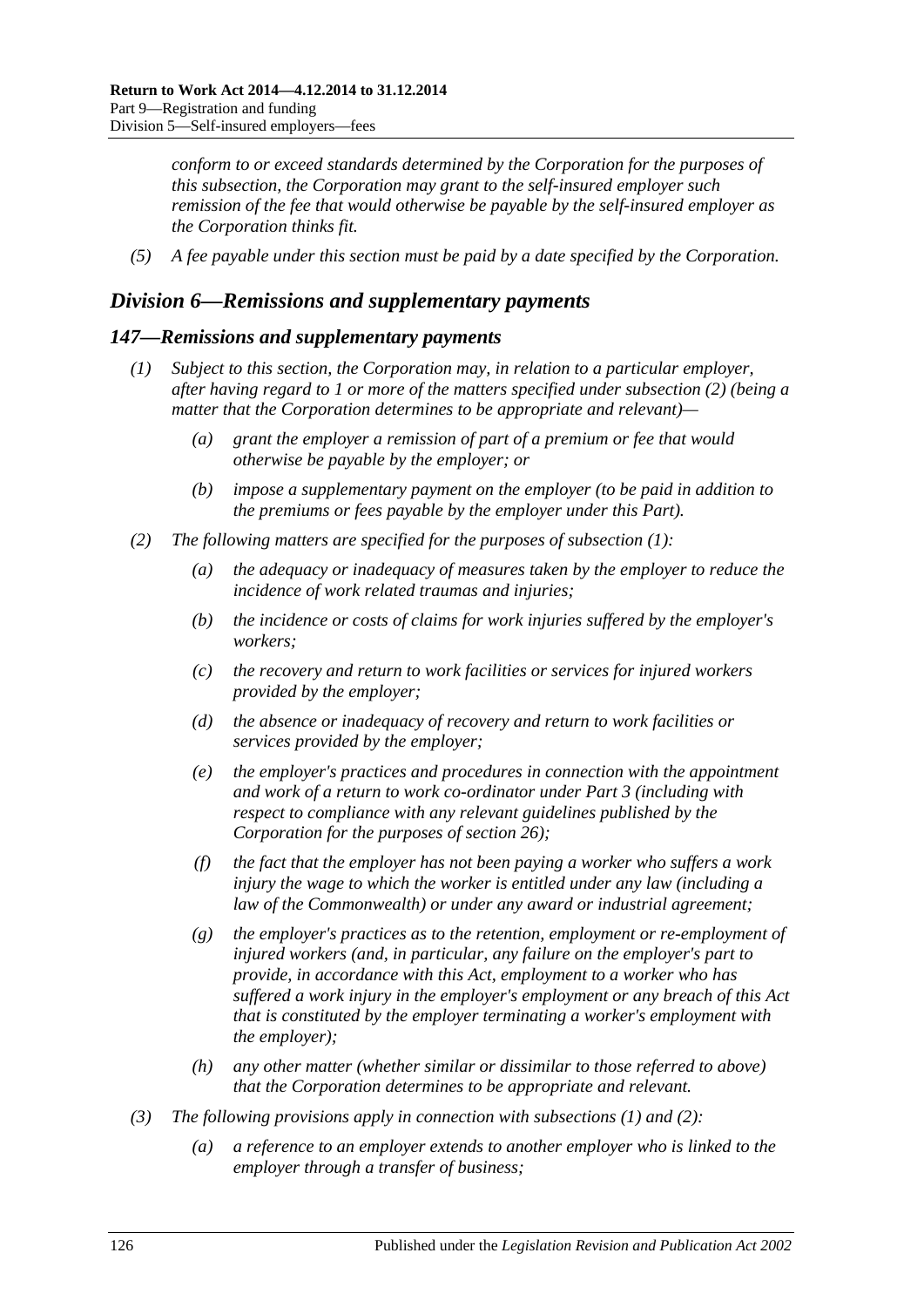*conform to or exceed standards determined by the Corporation for the purposes of this subsection, the Corporation may grant to the self-insured employer such remission of the fee that would otherwise be payable by the self-insured employer as the Corporation thinks fit.*

*(5) A fee payable under this section must be paid by a date specified by the Corporation.*

## *Division 6—Remissions and supplementary payments*

## <span id="page-125-1"></span>*147—Remissions and supplementary payments*

- *(1) Subject to this section, the Corporation may, in relation to a particular employer, after having regard to 1 or more of the matters specified under [subsection](#page-125-0) (2) (being a matter that the Corporation determines to be appropriate and relevant)—*
	- *(a) grant the employer a remission of part of a premium or fee that would otherwise be payable by the employer; or*
	- *(b) impose a supplementary payment on the employer (to be paid in addition to the premiums or fees payable by the employer under this Part).*
- <span id="page-125-2"></span><span id="page-125-0"></span>*(2) The following matters are specified for the purposes of [subsection](#page-125-1) (1):*
	- *(a) the adequacy or inadequacy of measures taken by the employer to reduce the incidence of work related traumas and injuries;*
	- *(b) the incidence or costs of claims for work injuries suffered by the employer's workers;*
	- *(c) the recovery and return to work facilities or services for injured workers provided by the employer;*
	- *(d) the absence or inadequacy of recovery and return to work facilities or services provided by the employer;*
	- *(e) the employer's practices and procedures in connection with the appointment and work of a return to work co-ordinator under Part 3 (including with respect to compliance with any relevant guidelines published by the Corporation for the purposes of [section](#page-42-0) 26);*
	- *(f) the fact that the employer has not been paying a worker who suffers a work injury the wage to which the worker is entitled under any law (including a law of the Commonwealth) or under any award or industrial agreement;*
	- *(g) the employer's practices as to the retention, employment or re-employment of injured workers (and, in particular, any failure on the employer's part to provide, in accordance with this Act, employment to a worker who has suffered a work injury in the employer's employment or any breach of this Act that is constituted by the employer terminating a worker's employment with the employer);*
	- *(h) any other matter (whether similar or dissimilar to those referred to above) that the Corporation determines to be appropriate and relevant.*
- <span id="page-125-4"></span><span id="page-125-3"></span>*(3) The following provisions apply in connection with [subsections](#page-125-1) (1) and [\(2\):](#page-125-0)*
	- *(a) a reference to an employer extends to another employer who is linked to the employer through a transfer of business;*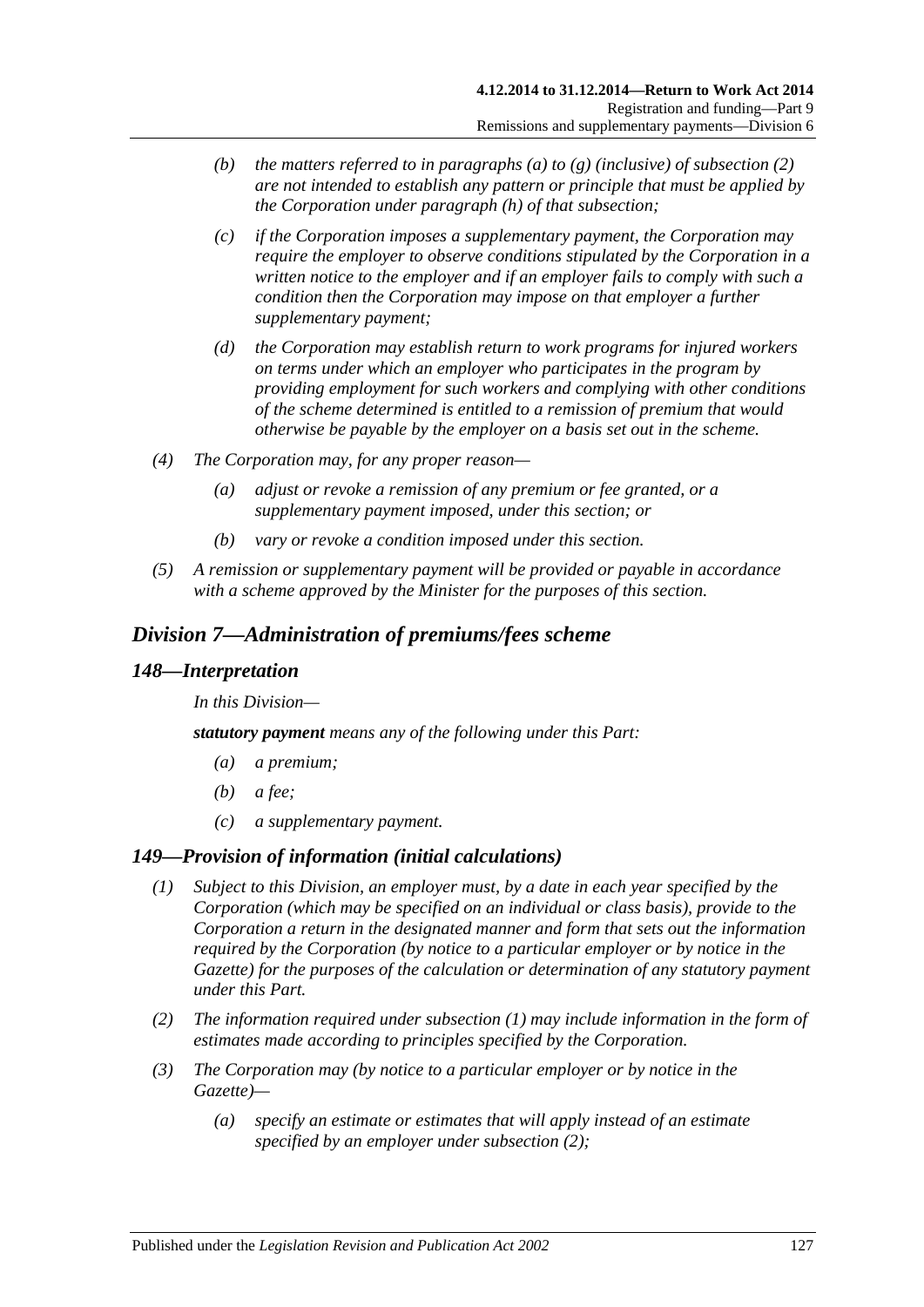- *(b) the matters referred to in [paragraphs](#page-125-2) (a) to [\(g\)](#page-125-3) (inclusive) of [subsection](#page-125-0) (2) are not intended to establish any pattern or principle that must be applied by the Corporation under [paragraph](#page-125-4) (h) of that subsection;*
- *(c) if the Corporation imposes a supplementary payment, the Corporation may require the employer to observe conditions stipulated by the Corporation in a written notice to the employer and if an employer fails to comply with such a condition then the Corporation may impose on that employer a further supplementary payment;*
- *(d) the Corporation may establish return to work programs for injured workers on terms under which an employer who participates in the program by providing employment for such workers and complying with other conditions of the scheme determined is entitled to a remission of premium that would otherwise be payable by the employer on a basis set out in the scheme.*
- *(4) The Corporation may, for any proper reason—*
	- *(a) adjust or revoke a remission of any premium or fee granted, or a supplementary payment imposed, under this section; or*
	- *(b) vary or revoke a condition imposed under this section.*
- *(5) A remission or supplementary payment will be provided or payable in accordance with a scheme approved by the Minister for the purposes of this section.*

# *Division 7—Administration of premiums/fees scheme*

### *148—Interpretation*

*In this Division—*

*statutory payment means any of the following under this Part:*

- *(a) a premium;*
- *(b) a fee;*
- *(c) a supplementary payment.*

## <span id="page-126-0"></span>*149—Provision of information (initial calculations)*

- *(1) Subject to this Division, an employer must, by a date in each year specified by the Corporation (which may be specified on an individual or class basis), provide to the Corporation a return in the designated manner and form that sets out the information required by the Corporation (by notice to a particular employer or by notice in the Gazette) for the purposes of the calculation or determination of any statutory payment under this Part.*
- <span id="page-126-1"></span>*(2) The information required under [subsection](#page-126-0) (1) may include information in the form of estimates made according to principles specified by the Corporation.*
- <span id="page-126-3"></span><span id="page-126-2"></span>*(3) The Corporation may (by notice to a particular employer or by notice in the Gazette)—*
	- *(a) specify an estimate or estimates that will apply instead of an estimate specified by an employer under [subsection](#page-126-1) (2);*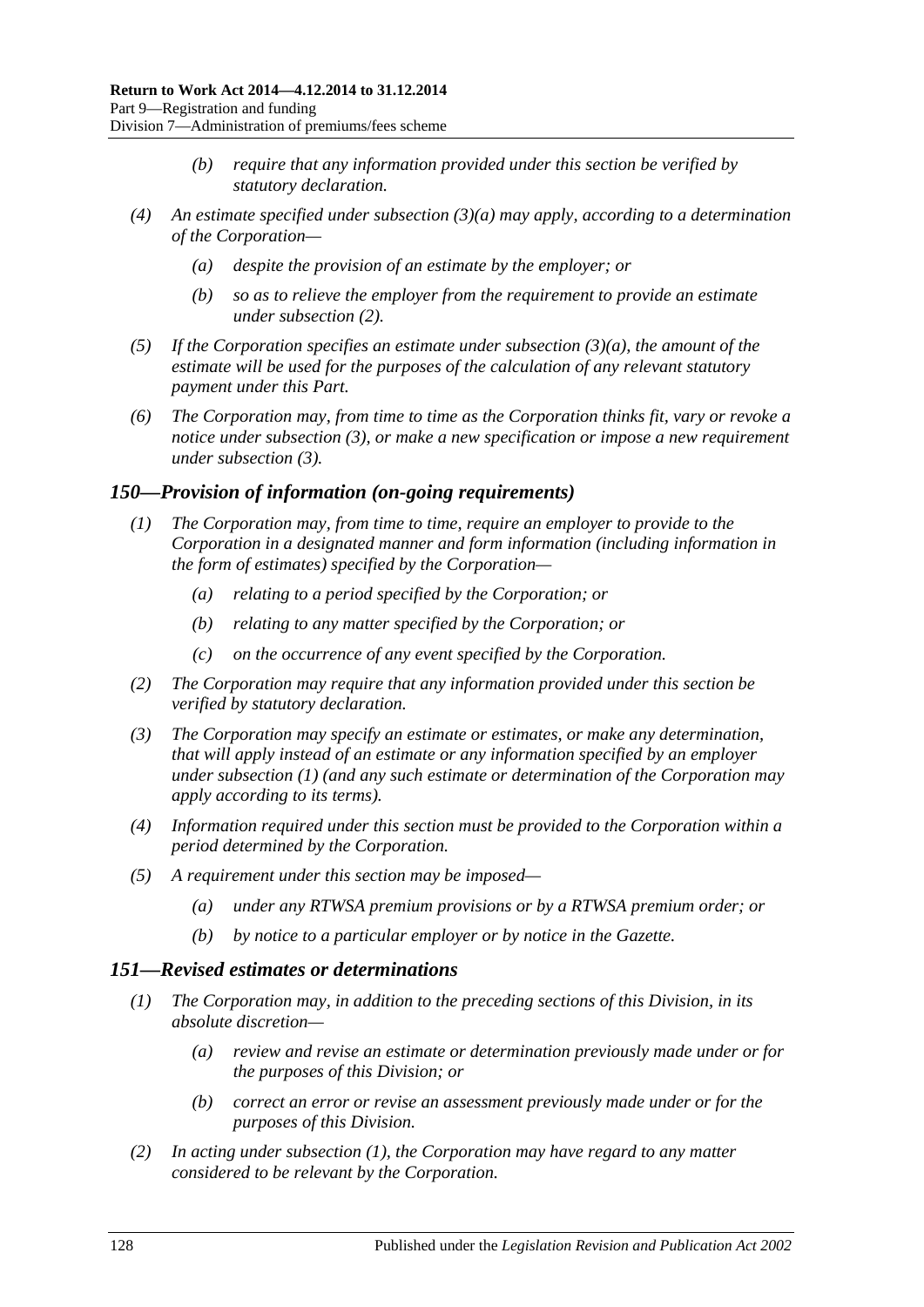- *(b) require that any information provided under this section be verified by statutory declaration.*
- *(4) An estimate specified under [subsection](#page-126-2) (3)(a) may apply, according to a determination of the Corporation—*
	- *(a) despite the provision of an estimate by the employer; or*
	- *(b) so as to relieve the employer from the requirement to provide an estimate under [subsection](#page-126-1) (2).*
- *(5) If the Corporation specifies an estimate under [subsection](#page-126-2) (3)(a), the amount of the estimate will be used for the purposes of the calculation of any relevant statutory payment under this Part.*
- *(6) The Corporation may, from time to time as the Corporation thinks fit, vary or revoke a notice under [subsection](#page-126-3) (3), or make a new specification or impose a new requirement under [subsection](#page-126-3) (3).*

### <span id="page-127-2"></span><span id="page-127-0"></span>*150—Provision of information (on-going requirements)*

- *(1) The Corporation may, from time to time, require an employer to provide to the Corporation in a designated manner and form information (including information in the form of estimates) specified by the Corporation—*
	- *(a) relating to a period specified by the Corporation; or*
	- *(b) relating to any matter specified by the Corporation; or*
	- *(c) on the occurrence of any event specified by the Corporation.*
- *(2) The Corporation may require that any information provided under this section be verified by statutory declaration.*
- *(3) The Corporation may specify an estimate or estimates, or make any determination, that will apply instead of an estimate or any information specified by an employer under [subsection](#page-127-0) (1) (and any such estimate or determination of the Corporation may apply according to its terms).*
- *(4) Information required under this section must be provided to the Corporation within a period determined by the Corporation.*
- *(5) A requirement under this section may be imposed—*
	- *(a) under any RTWSA premium provisions or by a RTWSA premium order; or*
	- *(b) by notice to a particular employer or by notice in the Gazette.*

# <span id="page-127-3"></span><span id="page-127-1"></span>*151—Revised estimates or determinations*

- *(1) The Corporation may, in addition to the preceding sections of this Division, in its absolute discretion—*
	- *(a) review and revise an estimate or determination previously made under or for the purposes of this Division; or*
	- *(b) correct an error or revise an assessment previously made under or for the purposes of this Division.*
- *(2) In acting under [subsection](#page-127-1) (1), the Corporation may have regard to any matter considered to be relevant by the Corporation.*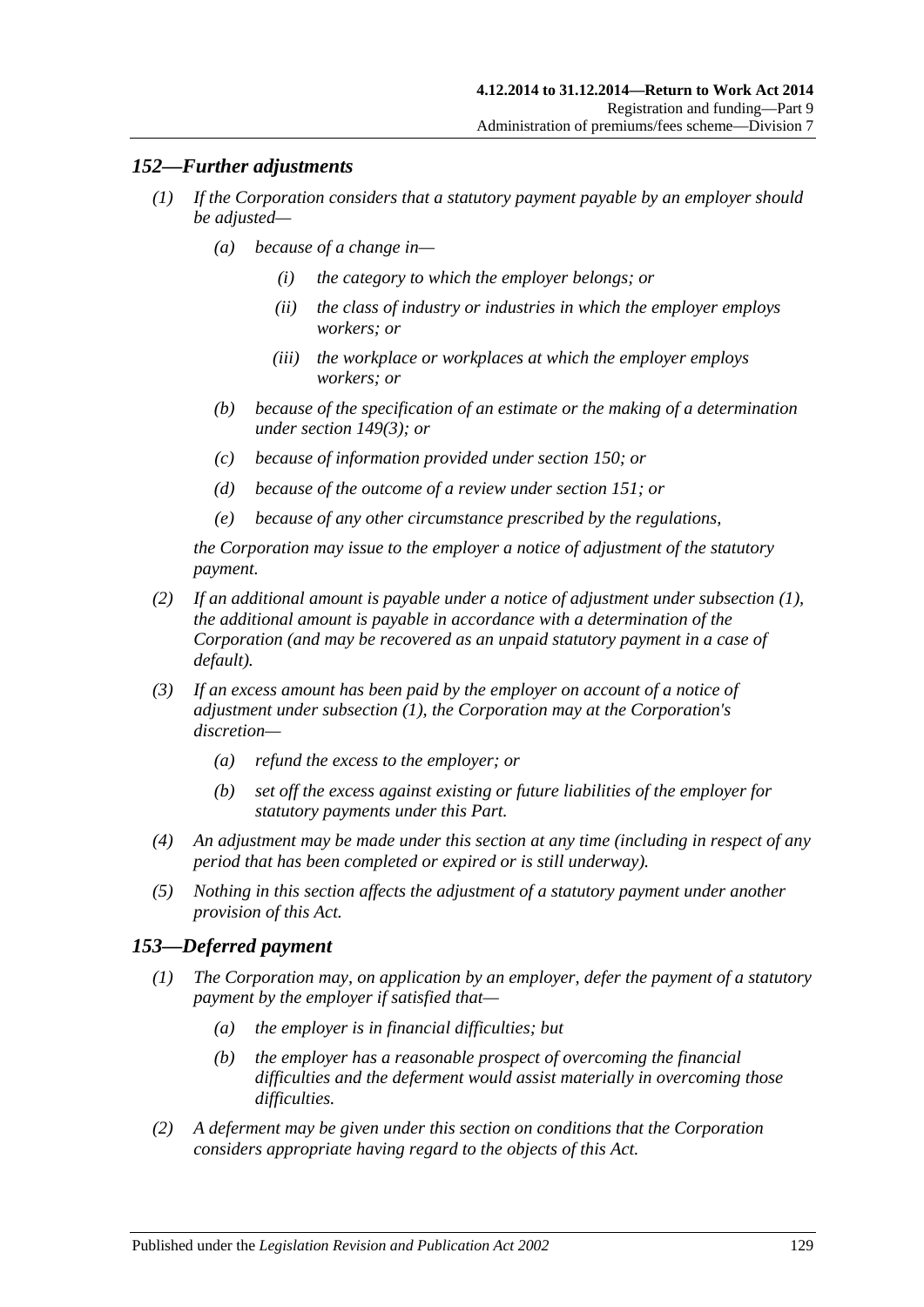## <span id="page-128-0"></span>*152—Further adjustments*

- *(1) If the Corporation considers that a statutory payment payable by an employer should be adjusted—*
	- *(a) because of a change in—*
		- *(i) the category to which the employer belongs; or*
		- *(ii) the class of industry or industries in which the employer employs workers; or*
		- *(iii) the workplace or workplaces at which the employer employs workers; or*
	- *(b) because of the specification of an estimate or the making of a determination under [section](#page-126-3) 149(3); or*
	- *(c) because of information provided under [section](#page-127-2) 150; or*
	- *(d) because of the outcome of a review under [section](#page-127-3) 151; or*
	- *(e) because of any other circumstance prescribed by the regulations,*

*the Corporation may issue to the employer a notice of adjustment of the statutory payment.*

- *(2) If an additional amount is payable under a notice of adjustment under [subsection](#page-128-0) (1), the additional amount is payable in accordance with a determination of the Corporation (and may be recovered as an unpaid statutory payment in a case of default).*
- *(3) If an excess amount has been paid by the employer on account of a notice of adjustment under [subsection](#page-128-0) (1), the Corporation may at the Corporation's discretion—*
	- *(a) refund the excess to the employer; or*
	- *(b) set off the excess against existing or future liabilities of the employer for statutory payments under this Part.*
- *(4) An adjustment may be made under this section at any time (including in respect of any period that has been completed or expired or is still underway).*
- *(5) Nothing in this section affects the adjustment of a statutory payment under another provision of this Act.*

## *153—Deferred payment*

- *(1) The Corporation may, on application by an employer, defer the payment of a statutory payment by the employer if satisfied that—*
	- *(a) the employer is in financial difficulties; but*
	- *(b) the employer has a reasonable prospect of overcoming the financial difficulties and the deferment would assist materially in overcoming those difficulties.*
- *(2) A deferment may be given under this section on conditions that the Corporation considers appropriate having regard to the objects of this Act.*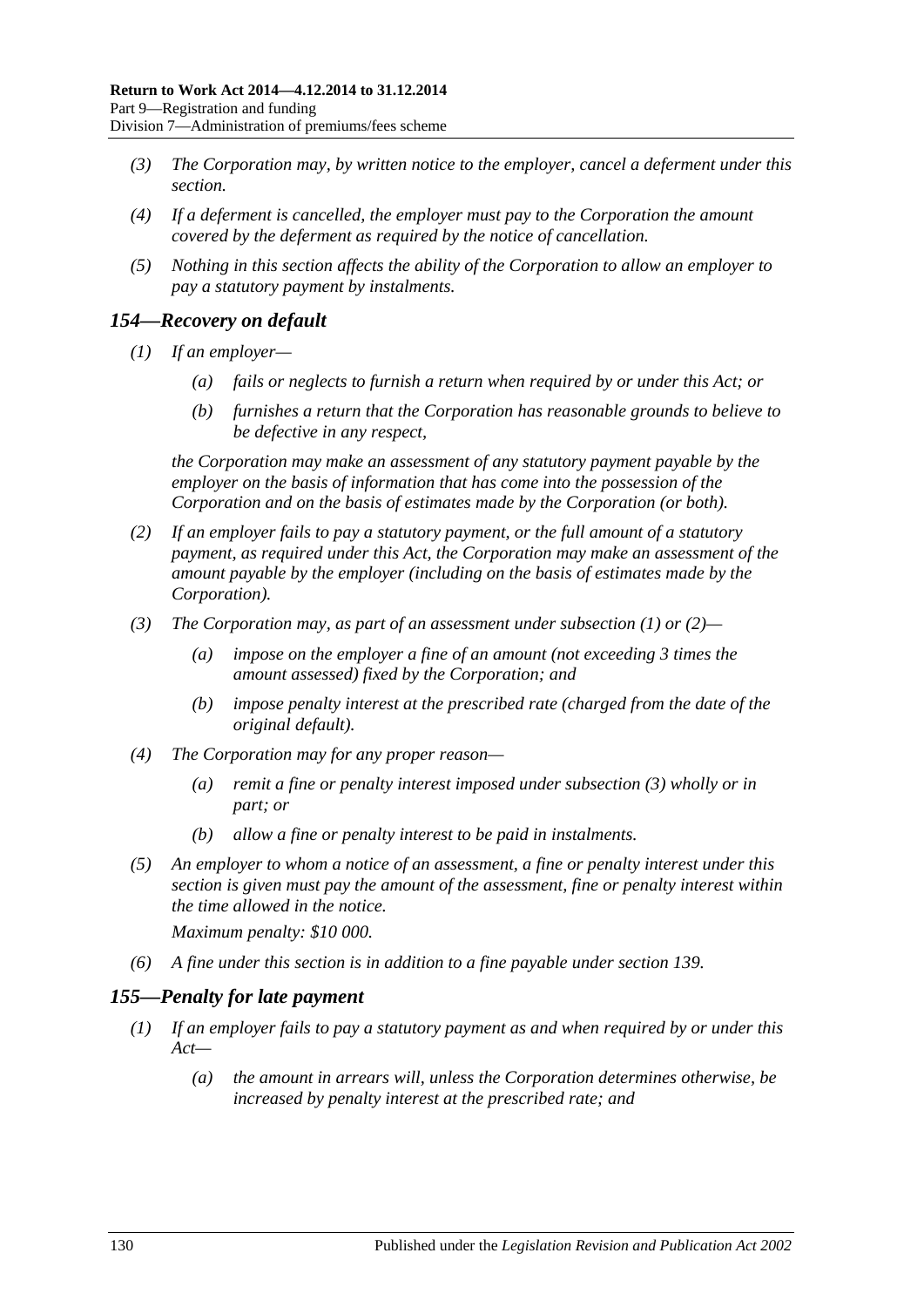- *(3) The Corporation may, by written notice to the employer, cancel a deferment under this section.*
- *(4) If a deferment is cancelled, the employer must pay to the Corporation the amount covered by the deferment as required by the notice of cancellation.*
- *(5) Nothing in this section affects the ability of the Corporation to allow an employer to pay a statutory payment by instalments.*

## <span id="page-129-0"></span>*154—Recovery on default*

- *(1) If an employer—*
	- *(a) fails or neglects to furnish a return when required by or under this Act; or*
	- *(b) furnishes a return that the Corporation has reasonable grounds to believe to be defective in any respect,*

*the Corporation may make an assessment of any statutory payment payable by the employer on the basis of information that has come into the possession of the Corporation and on the basis of estimates made by the Corporation (or both).*

- <span id="page-129-1"></span>*(2) If an employer fails to pay a statutory payment, or the full amount of a statutory payment, as required under this Act, the Corporation may make an assessment of the amount payable by the employer (including on the basis of estimates made by the Corporation).*
- <span id="page-129-2"></span>*(3) The Corporation may, as part of an assessment under [subsection](#page-129-0) (1) or [\(2\)—](#page-129-1)*
	- *(a) impose on the employer a fine of an amount (not exceeding 3 times the amount assessed) fixed by the Corporation; and*
	- *(b) impose penalty interest at the prescribed rate (charged from the date of the original default).*
- *(4) The Corporation may for any proper reason—*
	- *(a) remit a fine or penalty interest imposed under [subsection](#page-129-2) (3) wholly or in part; or*
	- *(b) allow a fine or penalty interest to be paid in instalments.*
- *(5) An employer to whom a notice of an assessment, a fine or penalty interest under this section is given must pay the amount of the assessment, fine or penalty interest within the time allowed in the notice.*

*Maximum penalty: \$10 000.*

*(6) A fine under this section is in addition to a fine payable under [section](#page-118-3) 139.*

## <span id="page-129-3"></span>*155—Penalty for late payment*

- *(1) If an employer fails to pay a statutory payment as and when required by or under this Act—*
	- *(a) the amount in arrears will, unless the Corporation determines otherwise, be increased by penalty interest at the prescribed rate; and*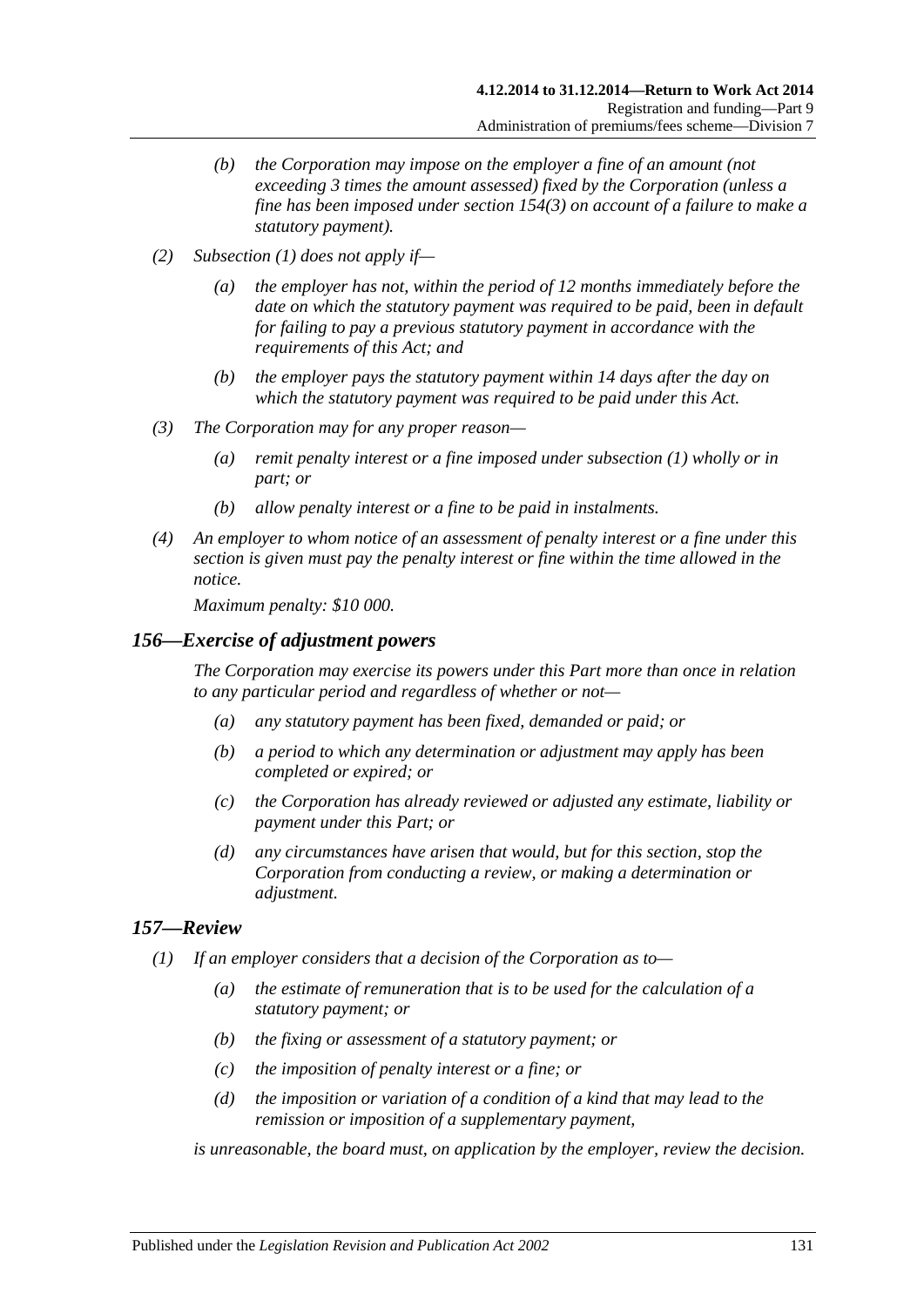- *(b) the Corporation may impose on the employer a fine of an amount (not exceeding 3 times the amount assessed) fixed by the Corporation (unless a fine has been imposed under [section](#page-129-2) 154(3) on account of a failure to make a statutory payment).*
- *(2) [Subsection](#page-129-3) (1) does not apply if—*
	- *(a) the employer has not, within the period of 12 months immediately before the date on which the statutory payment was required to be paid, been in default for failing to pay a previous statutory payment in accordance with the requirements of this Act; and*
	- *(b) the employer pays the statutory payment within 14 days after the day on which the statutory payment was required to be paid under this Act.*
- *(3) The Corporation may for any proper reason—*
	- *(a) remit penalty interest or a fine imposed under [subsection](#page-129-3) (1) wholly or in part; or*
	- *(b) allow penalty interest or a fine to be paid in instalments.*
- *(4) An employer to whom notice of an assessment of penalty interest or a fine under this section is given must pay the penalty interest or fine within the time allowed in the notice.*

*Maximum penalty: \$10 000.*

### *156—Exercise of adjustment powers*

*The Corporation may exercise its powers under this Part more than once in relation to any particular period and regardless of whether or not—*

- *(a) any statutory payment has been fixed, demanded or paid; or*
- *(b) a period to which any determination or adjustment may apply has been completed or expired; or*
- *(c) the Corporation has already reviewed or adjusted any estimate, liability or payment under this Part; or*
- *(d) any circumstances have arisen that would, but for this section, stop the Corporation from conducting a review, or making a determination or adjustment.*

## *157—Review*

- *(1) If an employer considers that a decision of the Corporation as to—*
	- *(a) the estimate of remuneration that is to be used for the calculation of a statutory payment; or*
	- *(b) the fixing or assessment of a statutory payment; or*
	- *(c) the imposition of penalty interest or a fine; or*
	- *(d) the imposition or variation of a condition of a kind that may lead to the remission or imposition of a supplementary payment,*

*is unreasonable, the board must, on application by the employer, review the decision.*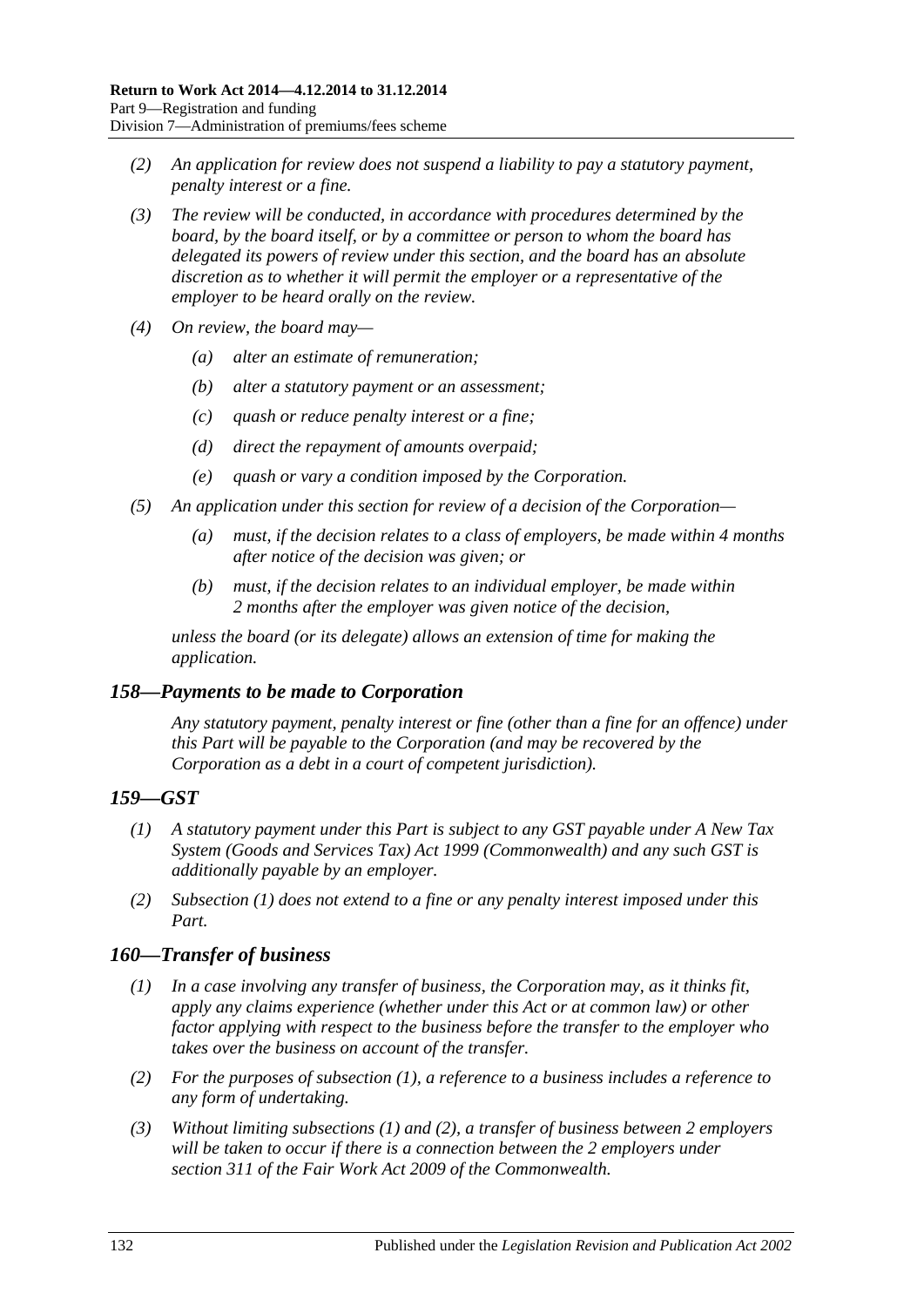- *(2) An application for review does not suspend a liability to pay a statutory payment, penalty interest or a fine.*
- *(3) The review will be conducted, in accordance with procedures determined by the board, by the board itself, or by a committee or person to whom the board has delegated its powers of review under this section, and the board has an absolute discretion as to whether it will permit the employer or a representative of the employer to be heard orally on the review.*
- *(4) On review, the board may—*
	- *(a) alter an estimate of remuneration;*
	- *(b) alter a statutory payment or an assessment;*
	- *(c) quash or reduce penalty interest or a fine;*
	- *(d) direct the repayment of amounts overpaid;*
	- *(e) quash or vary a condition imposed by the Corporation.*
- *(5) An application under this section for review of a decision of the Corporation—*
	- *(a) must, if the decision relates to a class of employers, be made within 4 months after notice of the decision was given; or*
	- *(b) must, if the decision relates to an individual employer, be made within 2 months after the employer was given notice of the decision,*

*unless the board (or its delegate) allows an extension of time for making the application.*

## *158—Payments to be made to Corporation*

*Any statutory payment, penalty interest or fine (other than a fine for an offence) under this Part will be payable to the Corporation (and may be recovered by the Corporation as a debt in a court of competent jurisdiction).*

## <span id="page-131-0"></span>*159—GST*

- *(1) A statutory payment under this Part is subject to any GST payable under A New Tax System (Goods and Services Tax) Act 1999 (Commonwealth) and any such GST is additionally payable by an employer.*
- *(2) [Subsection](#page-131-0) (1) does not extend to a fine or any penalty interest imposed under this Part.*

# <span id="page-131-1"></span>*160—Transfer of business*

- *(1) In a case involving any transfer of business, the Corporation may, as it thinks fit, apply any claims experience (whether under this Act or at common law) or other factor applying with respect to the business before the transfer to the employer who takes over the business on account of the transfer.*
- <span id="page-131-2"></span>*(2) For the purposes of [subsection](#page-131-1) (1), a reference to a business includes a reference to any form of undertaking.*
- *(3) Without limiting [subsections](#page-131-1) (1) and [\(2\),](#page-131-2) a transfer of business between 2 employers will be taken to occur if there is a connection between the 2 employers under section 311 of the Fair Work Act 2009 of the Commonwealth.*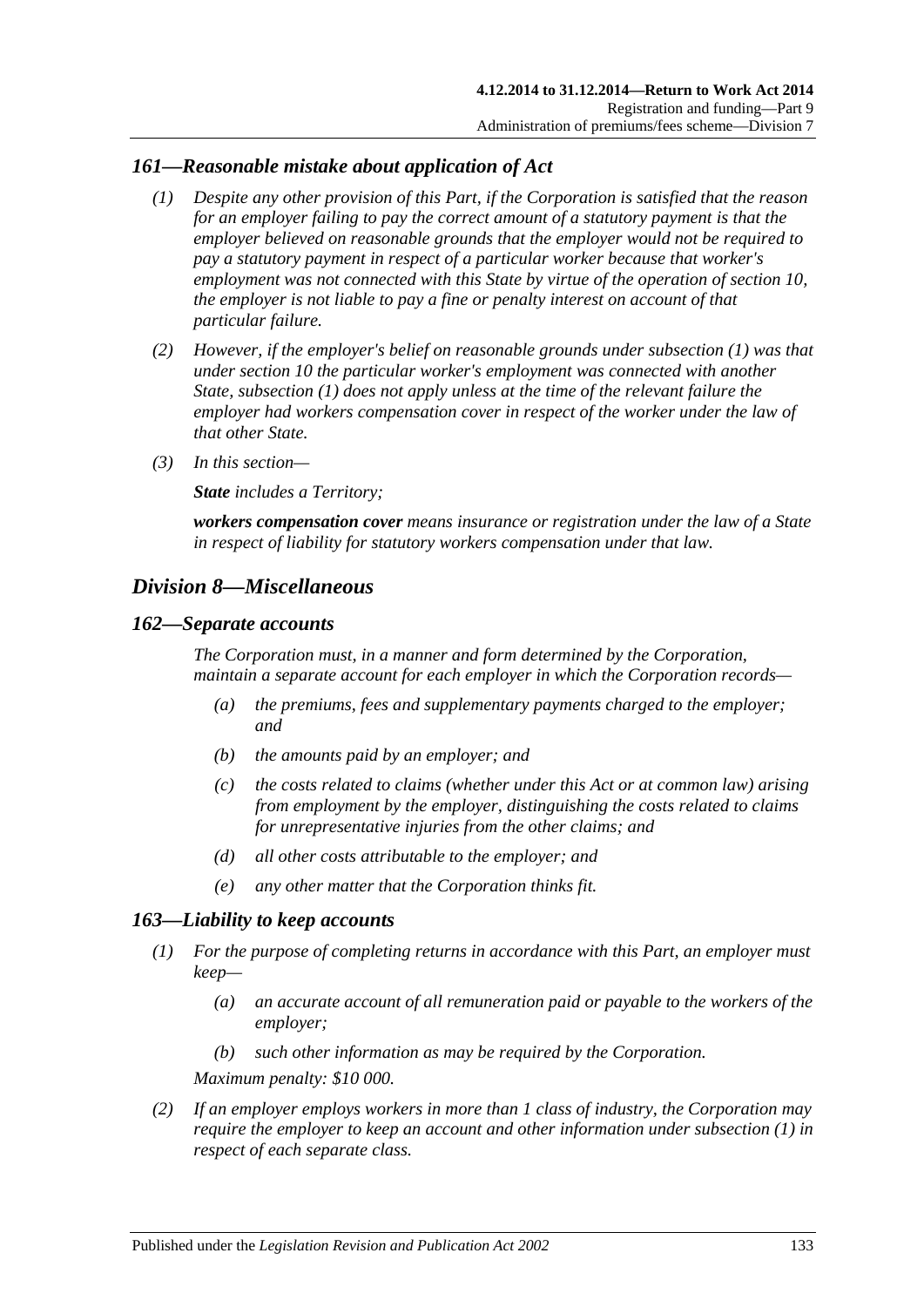## <span id="page-132-0"></span>*161—Reasonable mistake about application of Act*

- *(1) Despite any other provision of this Part, if the Corporation is satisfied that the reason for an employer failing to pay the correct amount of a statutory payment is that the employer believed on reasonable grounds that the employer would not be required to pay a statutory payment in respect of a particular worker because that worker's employment was not connected with this State by virtue of the operation of [section](#page-26-0) 10, the employer is not liable to pay a fine or penalty interest on account of that particular failure.*
- *(2) However, if the employer's belief on reasonable grounds under [subsection](#page-132-0) (1) was that under [section](#page-26-0) 10 the particular worker's employment was connected with another State, [subsection](#page-132-0) (1) does not apply unless at the time of the relevant failure the employer had workers compensation cover in respect of the worker under the law of that other State.*
- *(3) In this section—*

*State includes a Territory;*

*workers compensation cover means insurance or registration under the law of a State in respect of liability for statutory workers compensation under that law.*

# *Division 8—Miscellaneous*

### *162—Separate accounts*

*The Corporation must, in a manner and form determined by the Corporation, maintain a separate account for each employer in which the Corporation records—*

- *(a) the premiums, fees and supplementary payments charged to the employer; and*
- *(b) the amounts paid by an employer; and*
- *(c) the costs related to claims (whether under this Act or at common law) arising from employment by the employer, distinguishing the costs related to claims for unrepresentative injuries from the other claims; and*
- *(d) all other costs attributable to the employer; and*
- *(e) any other matter that the Corporation thinks fit.*

## <span id="page-132-1"></span>*163—Liability to keep accounts*

- *(1) For the purpose of completing returns in accordance with this Part, an employer must keep—*
	- *(a) an accurate account of all remuneration paid or payable to the workers of the employer;*
	- *(b) such other information as may be required by the Corporation.*

*Maximum penalty: \$10 000.*

*(2) If an employer employs workers in more than 1 class of industry, the Corporation may require the employer to keep an account and other information under [subsection](#page-132-1) (1) in respect of each separate class.*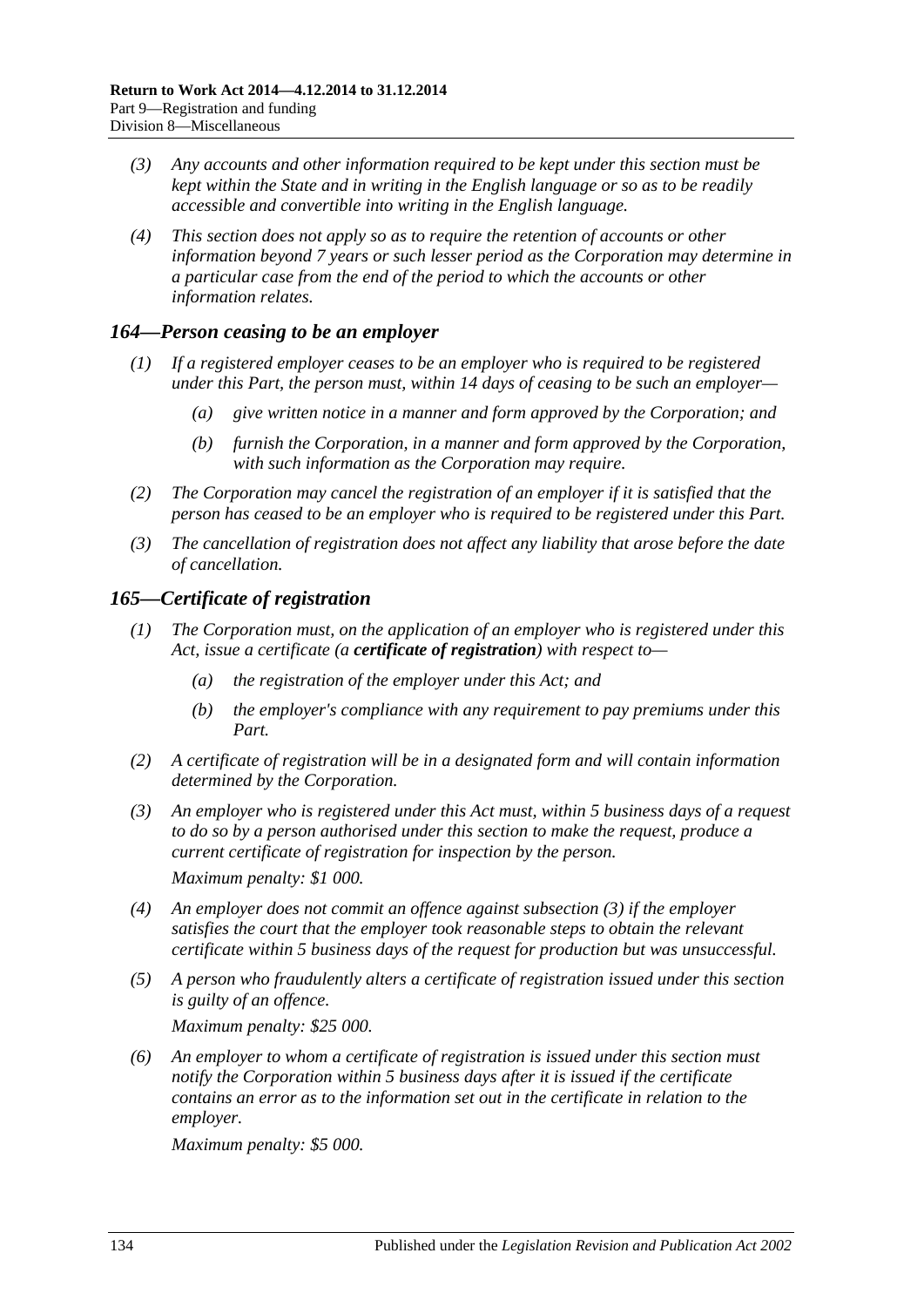- *(3) Any accounts and other information required to be kept under this section must be kept within the State and in writing in the English language or so as to be readily accessible and convertible into writing in the English language.*
- *(4) This section does not apply so as to require the retention of accounts or other information beyond 7 years or such lesser period as the Corporation may determine in a particular case from the end of the period to which the accounts or other information relates.*

## *164—Person ceasing to be an employer*

- *(1) If a registered employer ceases to be an employer who is required to be registered under this Part, the person must, within 14 days of ceasing to be such an employer—*
	- *(a) give written notice in a manner and form approved by the Corporation; and*
	- *(b) furnish the Corporation, in a manner and form approved by the Corporation, with such information as the Corporation may require.*
- *(2) The Corporation may cancel the registration of an employer if it is satisfied that the person has ceased to be an employer who is required to be registered under this Part.*
- *(3) The cancellation of registration does not affect any liability that arose before the date of cancellation.*

## *165—Certificate of registration*

- *(1) The Corporation must, on the application of an employer who is registered under this Act, issue a certificate (a certificate of registration) with respect to—*
	- *(a) the registration of the employer under this Act; and*
	- *(b) the employer's compliance with any requirement to pay premiums under this Part.*
- *(2) A certificate of registration will be in a designated form and will contain information determined by the Corporation.*
- <span id="page-133-0"></span>*(3) An employer who is registered under this Act must, within 5 business days of a request to do so by a person authorised under this section to make the request, produce a current certificate of registration for inspection by the person. Maximum penalty: \$1 000.*

*(4) An employer does not commit an offence against [subsection](#page-133-0) (3) if the employer* 

- *satisfies the court that the employer took reasonable steps to obtain the relevant certificate within 5 business days of the request for production but was unsuccessful.*
- *(5) A person who fraudulently alters a certificate of registration issued under this section is guilty of an offence.*

*Maximum penalty: \$25 000.*

*(6) An employer to whom a certificate of registration is issued under this section must notify the Corporation within 5 business days after it is issued if the certificate contains an error as to the information set out in the certificate in relation to the employer.*

*Maximum penalty: \$5 000.*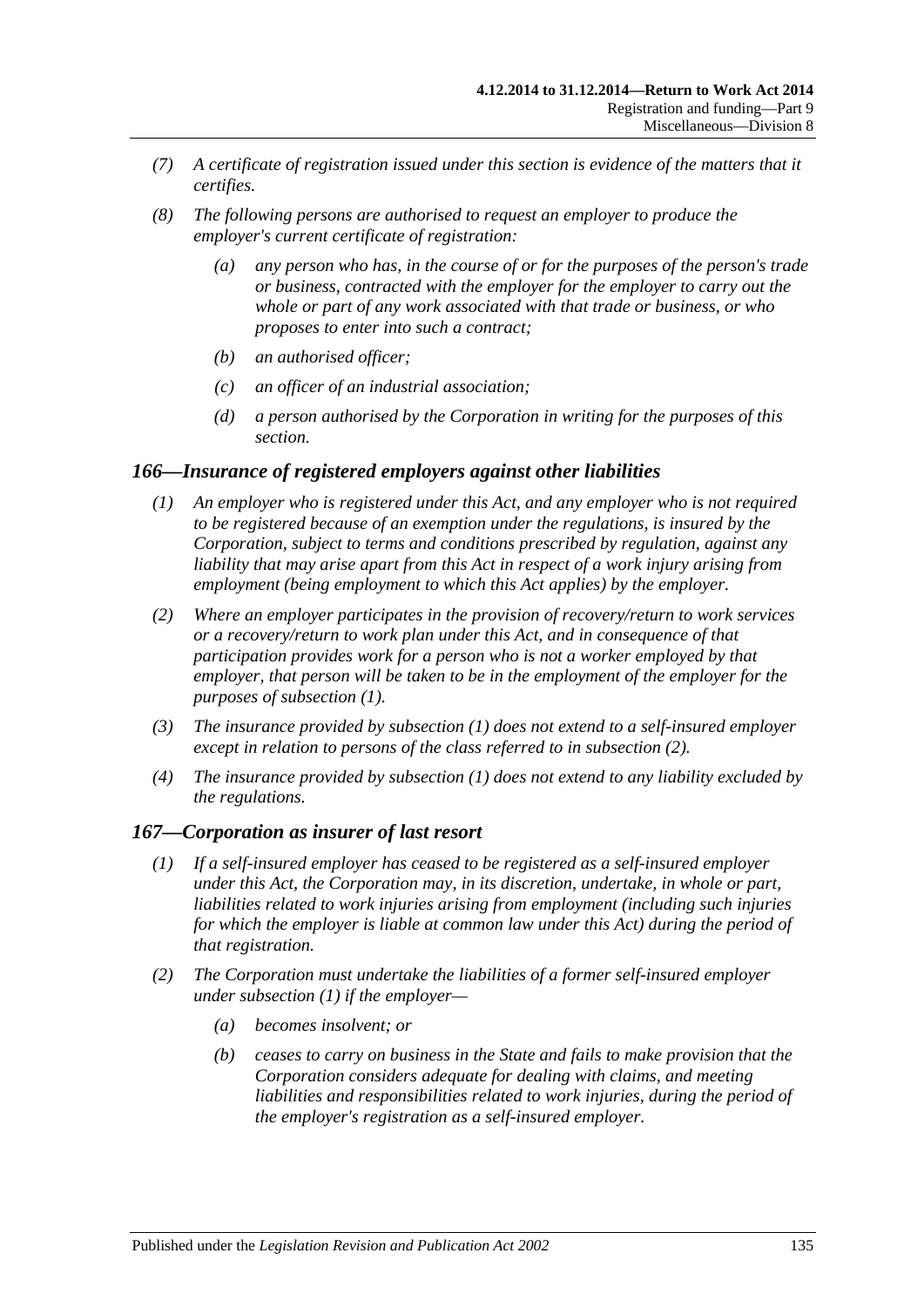- *(7) A certificate of registration issued under this section is evidence of the matters that it certifies.*
- *(8) The following persons are authorised to request an employer to produce the employer's current certificate of registration:*
	- *(a) any person who has, in the course of or for the purposes of the person's trade or business, contracted with the employer for the employer to carry out the whole or part of any work associated with that trade or business, or who proposes to enter into such a contract;*
	- *(b) an authorised officer;*
	- *(c) an officer of an industrial association;*
	- *(d) a person authorised by the Corporation in writing for the purposes of this section.*

### <span id="page-134-0"></span>*166—Insurance of registered employers against other liabilities*

- *(1) An employer who is registered under this Act, and any employer who is not required to be registered because of an exemption under the regulations, is insured by the Corporation, subject to terms and conditions prescribed by regulation, against any liability that may arise apart from this Act in respect of a work injury arising from employment (being employment to which this Act applies) by the employer.*
- <span id="page-134-1"></span>*(2) Where an employer participates in the provision of recovery/return to work services or a recovery/return to work plan under this Act, and in consequence of that participation provides work for a person who is not a worker employed by that employer, that person will be taken to be in the employment of the employer for the purposes of [subsection](#page-134-0) (1).*
- *(3) The insurance provided by [subsection](#page-134-0) (1) does not extend to a self-insured employer except in relation to persons of the class referred to in [subsection](#page-134-1) (2).*
- *(4) The insurance provided by [subsection](#page-134-0) (1) does not extend to any liability excluded by the regulations.*

### <span id="page-134-2"></span>*167—Corporation as insurer of last resort*

- *(1) If a self-insured employer has ceased to be registered as a self-insured employer under this Act, the Corporation may, in its discretion, undertake, in whole or part, liabilities related to work injuries arising from employment (including such injuries for which the employer is liable at common law under this Act) during the period of that registration.*
- *(2) The Corporation must undertake the liabilities of a former self-insured employer under [subsection](#page-134-2) (1) if the employer—*
	- *(a) becomes insolvent; or*
	- *(b) ceases to carry on business in the State and fails to make provision that the Corporation considers adequate for dealing with claims, and meeting liabilities and responsibilities related to work injuries, during the period of the employer's registration as a self-insured employer.*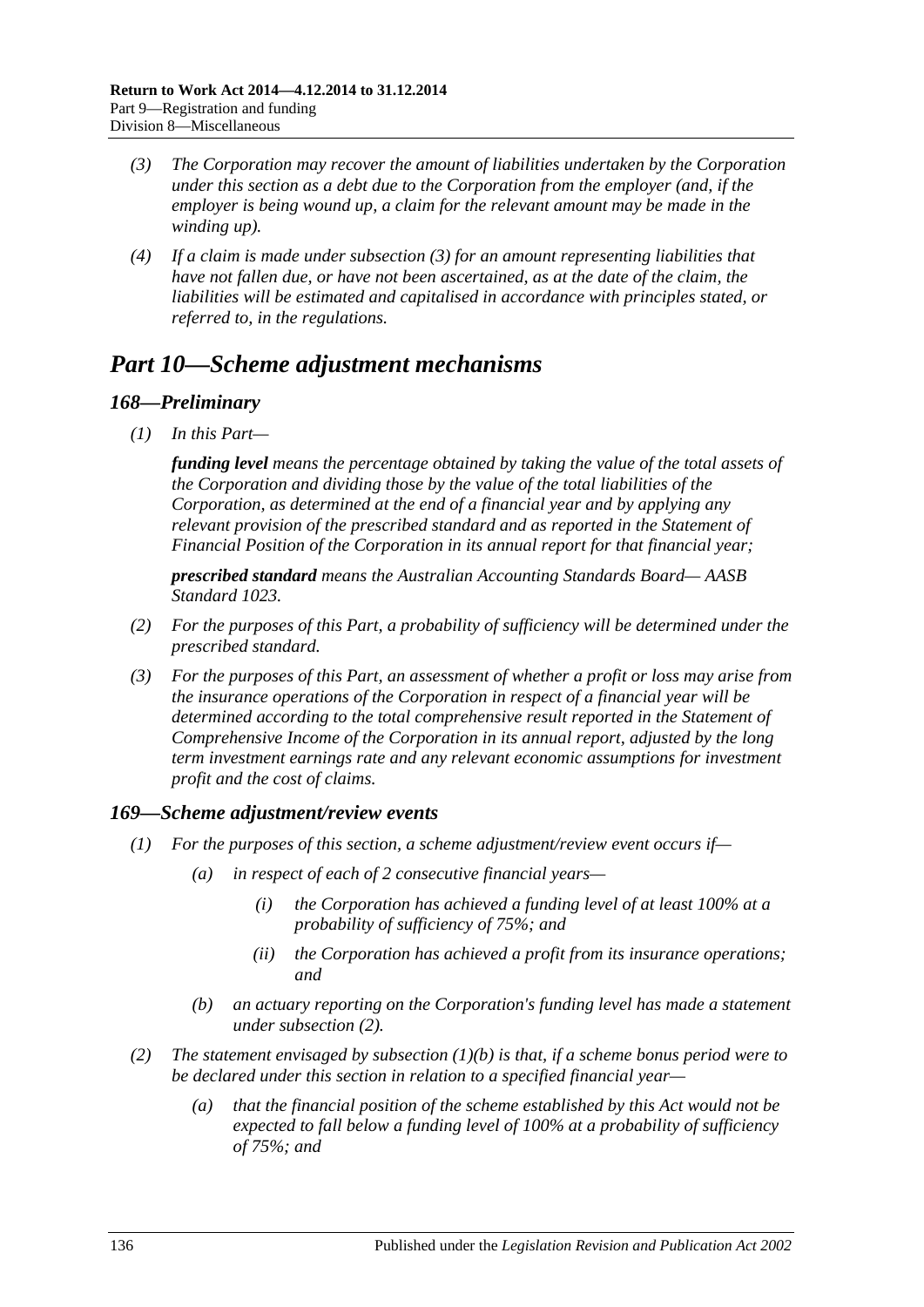- <span id="page-135-1"></span>*(3) The Corporation may recover the amount of liabilities undertaken by the Corporation under this section as a debt due to the Corporation from the employer (and, if the employer is being wound up, a claim for the relevant amount may be made in the winding up).*
- *(4) If a claim is made under [subsection](#page-135-1) (3) for an amount representing liabilities that have not fallen due, or have not been ascertained, as at the date of the claim, the liabilities will be estimated and capitalised in accordance with principles stated, or referred to, in the regulations.*

# <span id="page-135-0"></span>*Part 10—Scheme adjustment mechanisms*

## *168—Preliminary*

*(1) In this Part—*

*funding level means the percentage obtained by taking the value of the total assets of the Corporation and dividing those by the value of the total liabilities of the Corporation, as determined at the end of a financial year and by applying any relevant provision of the prescribed standard and as reported in the Statement of Financial Position of the Corporation in its annual report for that financial year;*

*prescribed standard means the Australian Accounting Standards Board— AASB Standard 1023.*

- *(2) For the purposes of this Part, a probability of sufficiency will be determined under the prescribed standard.*
- *(3) For the purposes of this Part, an assessment of whether a profit or loss may arise from the insurance operations of the Corporation in respect of a financial year will be determined according to the total comprehensive result reported in the Statement of Comprehensive Income of the Corporation in its annual report, adjusted by the long term investment earnings rate and any relevant economic assumptions for investment profit and the cost of claims.*

## *169—Scheme adjustment/review events*

- *(1) For the purposes of this section, a scheme adjustment/review event occurs if—*
	- *(a) in respect of each of 2 consecutive financial years—*
		- *(i) the Corporation has achieved a funding level of at least 100% at a probability of sufficiency of 75%; and*
		- *(ii) the Corporation has achieved a profit from its insurance operations; and*
	- *(b) an actuary reporting on the Corporation's funding level has made a statement under [subsection](#page-135-2) (2).*
- <span id="page-135-3"></span><span id="page-135-2"></span>*(2) The statement envisaged by [subsection](#page-135-3) (1)(b) is that, if a scheme bonus period were to be declared under this section in relation to a specified financial year—*
	- *(a) that the financial position of the scheme established by this Act would not be expected to fall below a funding level of 100% at a probability of sufficiency of 75%; and*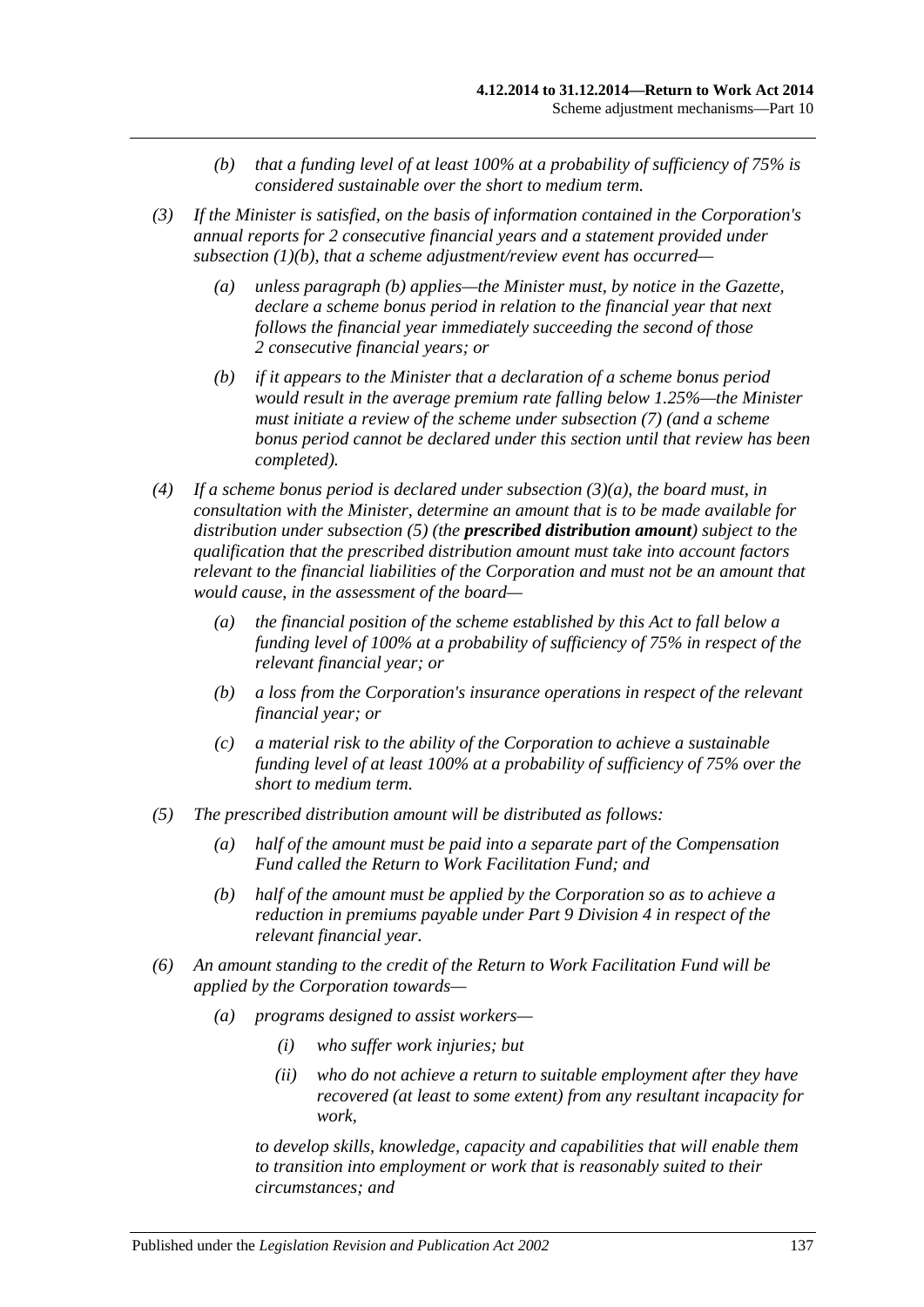- *(b) that a funding level of at least 100% at a probability of sufficiency of 75% is considered sustainable over the short to medium term.*
- <span id="page-136-1"></span>*(3) If the Minister is satisfied, on the basis of information contained in the Corporation's annual reports for 2 consecutive financial years and a statement provided under [subsection](#page-135-3) (1)(b), that a scheme adjustment/review event has occurred—*
	- *(a) unless [paragraph](#page-136-0) (b) applies—the Minister must, by notice in the Gazette, declare a scheme bonus period in relation to the financial year that next follows the financial year immediately succeeding the second of those 2 consecutive financial years; or*
	- *(b) if it appears to the Minister that a declaration of a scheme bonus period would result in the average premium rate falling below 1.25%—the Minister must initiate a review of the scheme under [subsection](#page-137-0) (7) (and a scheme bonus period cannot be declared under this section until that review has been completed).*
- <span id="page-136-0"></span>*(4) If a scheme bonus period is declared under [subsection](#page-136-1) (3)(a), the board must, in consultation with the Minister, determine an amount that is to be made available for distribution under [subsection](#page-136-2) (5) (the prescribed distribution amount) subject to the qualification that the prescribed distribution amount must take into account factors relevant to the financial liabilities of the Corporation and must not be an amount that would cause, in the assessment of the board—*
	- *(a) the financial position of the scheme established by this Act to fall below a funding level of 100% at a probability of sufficiency of 75% in respect of the relevant financial year; or*
	- *(b) a loss from the Corporation's insurance operations in respect of the relevant financial year; or*
	- *(c) a material risk to the ability of the Corporation to achieve a sustainable funding level of at least 100% at a probability of sufficiency of 75% over the short to medium term.*
- <span id="page-136-2"></span>*(5) The prescribed distribution amount will be distributed as follows:*
	- *(a) half of the amount must be paid into a separate part of the Compensation Fund called the Return to Work Facilitation Fund; and*
	- *(b) half of the amount must be applied by the Corporation so as to achieve a reduction in premiums payable under Part [9 Division](#page-117-2) 4 in respect of the relevant financial year.*
- *(6) An amount standing to the credit of the Return to Work Facilitation Fund will be applied by the Corporation towards—*
	- *(a) programs designed to assist workers—*
		- *(i) who suffer work injuries; but*
		- *(ii) who do not achieve a return to suitable employment after they have recovered (at least to some extent) from any resultant incapacity for work,*

*to develop skills, knowledge, capacity and capabilities that will enable them to transition into employment or work that is reasonably suited to their circumstances; and*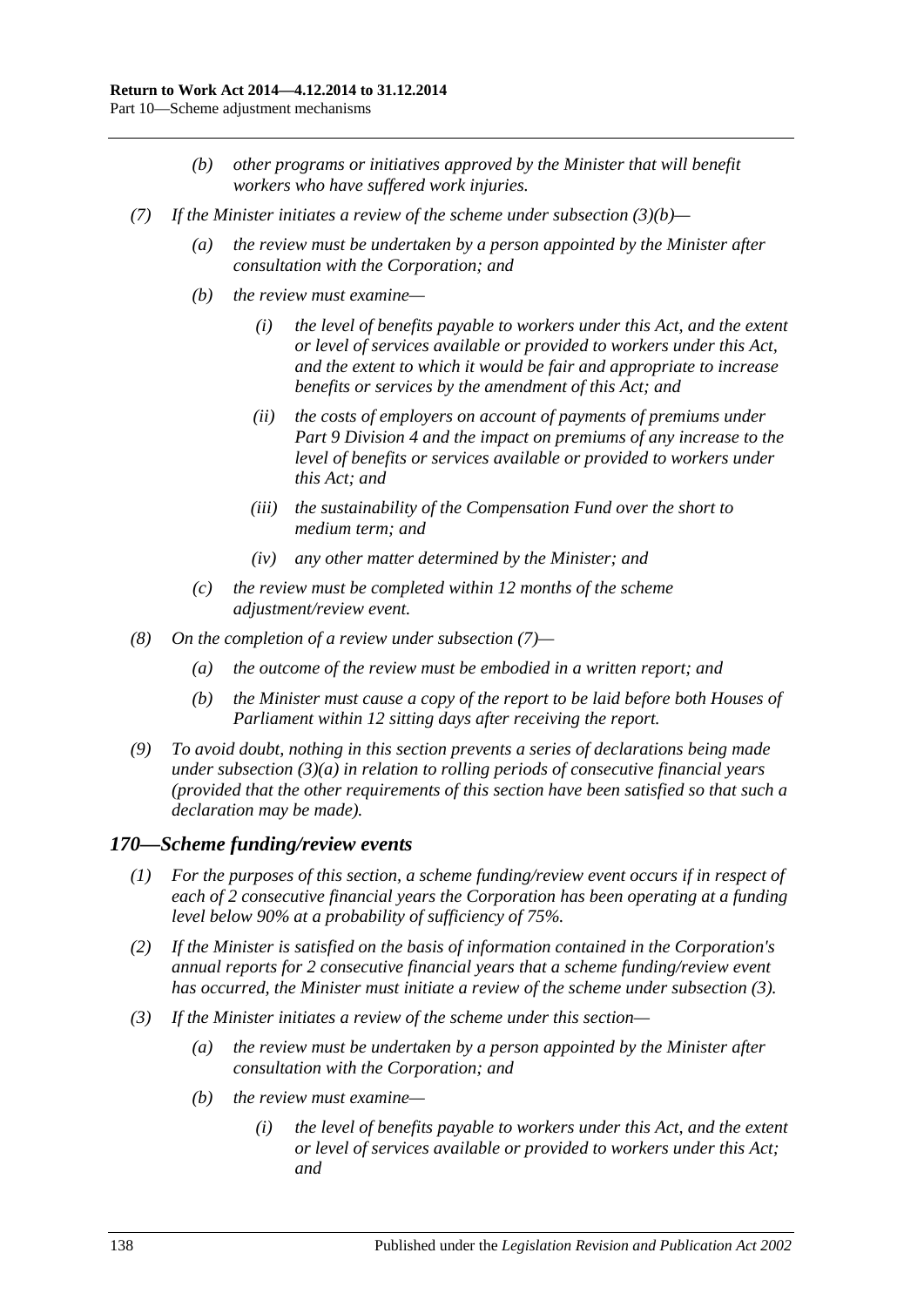- *(b) other programs or initiatives approved by the Minister that will benefit workers who have suffered work injuries.*
- <span id="page-137-0"></span>*(7) If the Minister initiates a review of the scheme under [subsection](#page-136-0) (3)(b)—*
	- *(a) the review must be undertaken by a person appointed by the Minister after consultation with the Corporation; and*
	- *(b) the review must examine—*
		- *(i) the level of benefits payable to workers under this Act, and the extent or level of services available or provided to workers under this Act, and the extent to which it would be fair and appropriate to increase benefits or services by the amendment of this Act; and*
		- *(ii) the costs of employers on account of payments of premiums under Part [9 Division](#page-117-2) 4 and the impact on premiums of any increase to the level of benefits or services available or provided to workers under this Act; and*
		- *(iii) the sustainability of the Compensation Fund over the short to medium term; and*
		- *(iv) any other matter determined by the Minister; and*
	- *(c) the review must be completed within 12 months of the scheme adjustment/review event.*
- *(8) On the completion of a review under [subsection](#page-137-0) (7)—*
	- *(a) the outcome of the review must be embodied in a written report; and*
	- *(b) the Minister must cause a copy of the report to be laid before both Houses of Parliament within 12 sitting days after receiving the report.*
- *(9) To avoid doubt, nothing in this section prevents a series of declarations being made under [subsection](#page-136-1) (3)(a) in relation to rolling periods of consecutive financial years (provided that the other requirements of this section have been satisfied so that such a declaration may be made).*

#### *170—Scheme funding/review events*

- *(1) For the purposes of this section, a scheme funding/review event occurs if in respect of each of 2 consecutive financial years the Corporation has been operating at a funding level below 90% at a probability of sufficiency of 75%.*
- *(2) If the Minister is satisfied on the basis of information contained in the Corporation's annual reports for 2 consecutive financial years that a scheme funding/review event has occurred, the Minister must initiate a review of the scheme under [subsection](#page-137-1) (3).*
- <span id="page-137-1"></span>*(3) If the Minister initiates a review of the scheme under this section—*
	- *(a) the review must be undertaken by a person appointed by the Minister after consultation with the Corporation; and*
	- *(b) the review must examine—*
		- *(i) the level of benefits payable to workers under this Act, and the extent or level of services available or provided to workers under this Act; and*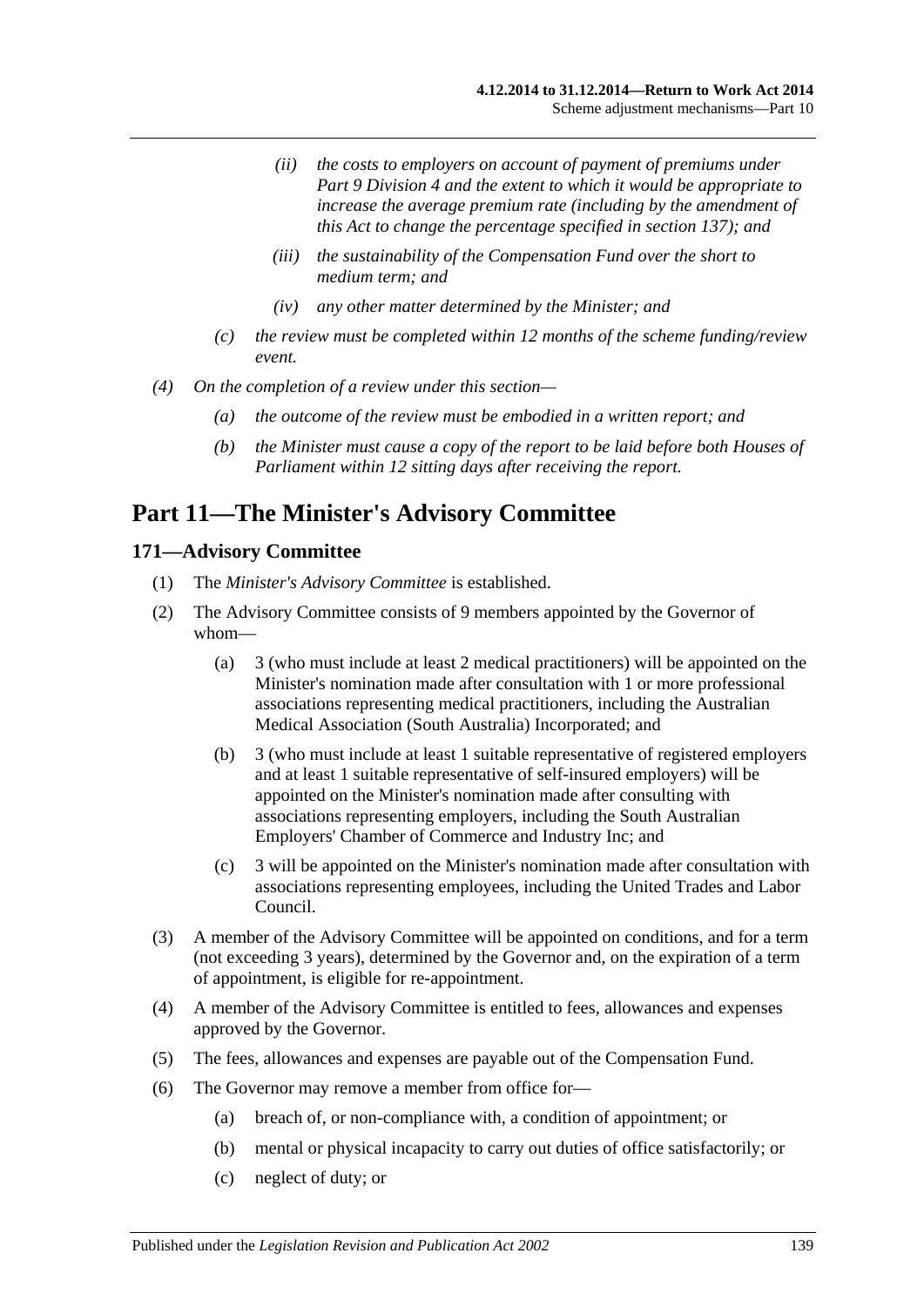- *(ii) the costs to employers on account of payment of premiums under Part [9 Division](#page-117-2) 4 and the extent to which it would be appropriate to increase the average premium rate (including by the amendment of this Act to change the percentage specified in [section](#page-117-3) 137); and*
- *(iii) the sustainability of the Compensation Fund over the short to medium term; and*
- *(iv) any other matter determined by the Minister; and*
- *(c) the review must be completed within 12 months of the scheme funding/review event.*
- *(4) On the completion of a review under this section—*
	- *(a) the outcome of the review must be embodied in a written report; and*
	- *(b) the Minister must cause a copy of the report to be laid before both Houses of Parliament within 12 sitting days after receiving the report.*

# **Part 11—The Minister's Advisory Committee**

### **171—Advisory Committee**

- (1) The *Minister's Advisory Committee* is established.
- <span id="page-138-1"></span>(2) The Advisory Committee consists of 9 members appointed by the Governor of whom—
	- (a) 3 (who must include at least 2 medical practitioners) will be appointed on the Minister's nomination made after consultation with 1 or more professional associations representing medical practitioners, including the Australian Medical Association (South Australia) Incorporated; and
	- (b) 3 (who must include at least 1 suitable representative of registered employers and at least 1 suitable representative of self-insured employers) will be appointed on the Minister's nomination made after consulting with associations representing employers, including the South Australian Employers' Chamber of Commerce and Industry Inc; and
	- (c) 3 will be appointed on the Minister's nomination made after consultation with associations representing employees, including the United Trades and Labor Council.
- (3) A member of the Advisory Committee will be appointed on conditions, and for a term (not exceeding 3 years), determined by the Governor and, on the expiration of a term of appointment, is eligible for re-appointment.
- (4) A member of the Advisory Committee is entitled to fees, allowances and expenses approved by the Governor.
- (5) The fees, allowances and expenses are payable out of the Compensation Fund.
- <span id="page-138-0"></span>(6) The Governor may remove a member from office for—
	- (a) breach of, or non-compliance with, a condition of appointment; or
	- (b) mental or physical incapacity to carry out duties of office satisfactorily; or
	- (c) neglect of duty; or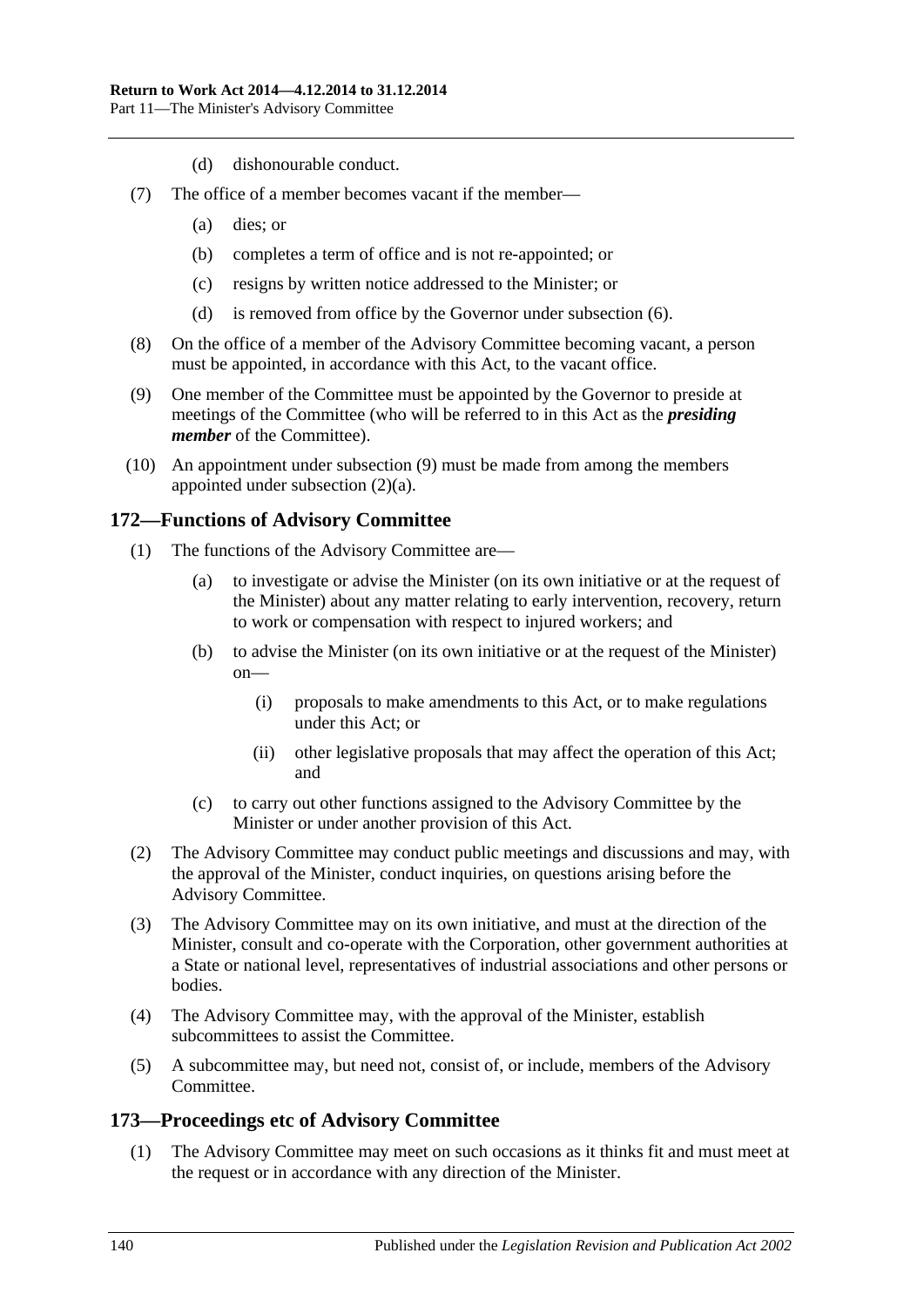- (d) dishonourable conduct.
- (7) The office of a member becomes vacant if the member—
	- (a) dies; or
	- (b) completes a term of office and is not re-appointed; or
	- (c) resigns by written notice addressed to the Minister; or
	- (d) is removed from office by the Governor under [subsection](#page-138-0) (6).
- (8) On the office of a member of the Advisory Committee becoming vacant, a person must be appointed, in accordance with this Act, to the vacant office.
- <span id="page-139-0"></span>(9) One member of the Committee must be appointed by the Governor to preside at meetings of the Committee (who will be referred to in this Act as the *presiding member* of the Committee).
- (10) An appointment under [subsection](#page-139-0) (9) must be made from among the members appointed under [subsection](#page-138-1) (2)(a).

### **172—Functions of Advisory Committee**

- (1) The functions of the Advisory Committee are—
	- (a) to investigate or advise the Minister (on its own initiative or at the request of the Minister) about any matter relating to early intervention, recovery, return to work or compensation with respect to injured workers; and
	- (b) to advise the Minister (on its own initiative or at the request of the Minister) on—
		- (i) proposals to make amendments to this Act, or to make regulations under this Act; or
		- (ii) other legislative proposals that may affect the operation of this Act; and
	- (c) to carry out other functions assigned to the Advisory Committee by the Minister or under another provision of this Act.
- (2) The Advisory Committee may conduct public meetings and discussions and may, with the approval of the Minister, conduct inquiries, on questions arising before the Advisory Committee.
- (3) The Advisory Committee may on its own initiative, and must at the direction of the Minister, consult and co-operate with the Corporation, other government authorities at a State or national level, representatives of industrial associations and other persons or bodies.
- (4) The Advisory Committee may, with the approval of the Minister, establish subcommittees to assist the Committee.
- (5) A subcommittee may, but need not, consist of, or include, members of the Advisory Committee.

## **173—Proceedings etc of Advisory Committee**

(1) The Advisory Committee may meet on such occasions as it thinks fit and must meet at the request or in accordance with any direction of the Minister.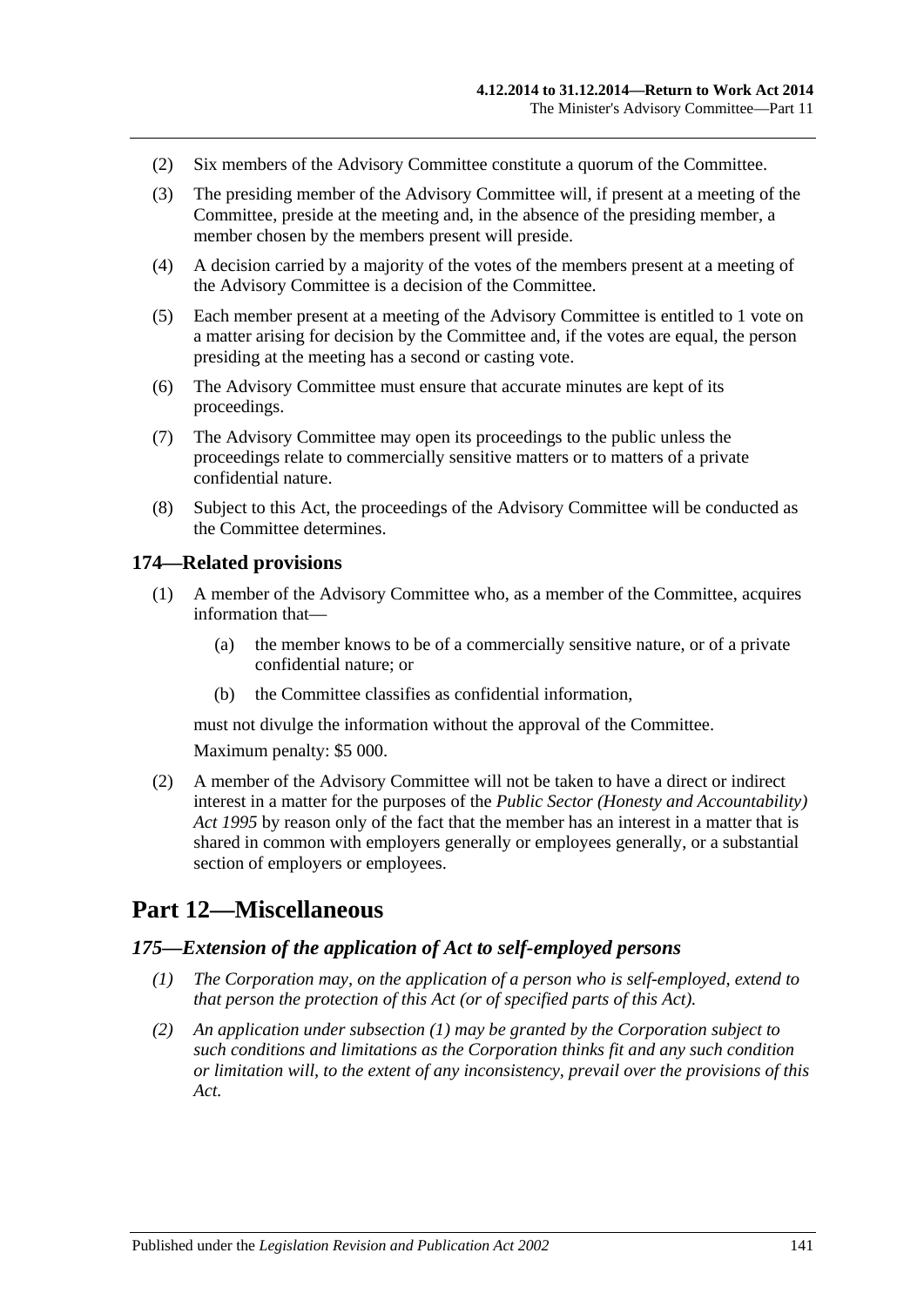- (2) Six members of the Advisory Committee constitute a quorum of the Committee.
- (3) The presiding member of the Advisory Committee will, if present at a meeting of the Committee, preside at the meeting and, in the absence of the presiding member, a member chosen by the members present will preside.
- (4) A decision carried by a majority of the votes of the members present at a meeting of the Advisory Committee is a decision of the Committee.
- (5) Each member present at a meeting of the Advisory Committee is entitled to 1 vote on a matter arising for decision by the Committee and, if the votes are equal, the person presiding at the meeting has a second or casting vote.
- (6) The Advisory Committee must ensure that accurate minutes are kept of its proceedings.
- (7) The Advisory Committee may open its proceedings to the public unless the proceedings relate to commercially sensitive matters or to matters of a private confidential nature.
- (8) Subject to this Act, the proceedings of the Advisory Committee will be conducted as the Committee determines.

### **174—Related provisions**

- (1) A member of the Advisory Committee who, as a member of the Committee, acquires information that—
	- (a) the member knows to be of a commercially sensitive nature, or of a private confidential nature; or
	- (b) the Committee classifies as confidential information,

must not divulge the information without the approval of the Committee.

Maximum penalty: \$5 000.

(2) A member of the Advisory Committee will not be taken to have a direct or indirect interest in a matter for the purposes of the *[Public Sector \(Honesty and Accountability\)](http://www.legislation.sa.gov.au/index.aspx?action=legref&type=act&legtitle=Public%20Sector%20(Honesty%20and%20Accountability)%20Act%201995)  Act [1995](http://www.legislation.sa.gov.au/index.aspx?action=legref&type=act&legtitle=Public%20Sector%20(Honesty%20and%20Accountability)%20Act%201995)* by reason only of the fact that the member has an interest in a matter that is shared in common with employers generally or employees generally, or a substantial section of employers or employees.

# **Part 12—Miscellaneous**

### <span id="page-140-0"></span>*175—Extension of the application of Act to self-employed persons*

- *(1) The Corporation may, on the application of a person who is self-employed, extend to that person the protection of this Act (or of specified parts of this Act).*
- *(2) An application under [subsection](#page-140-0) (1) may be granted by the Corporation subject to such conditions and limitations as the Corporation thinks fit and any such condition or limitation will, to the extent of any inconsistency, prevail over the provisions of this Act.*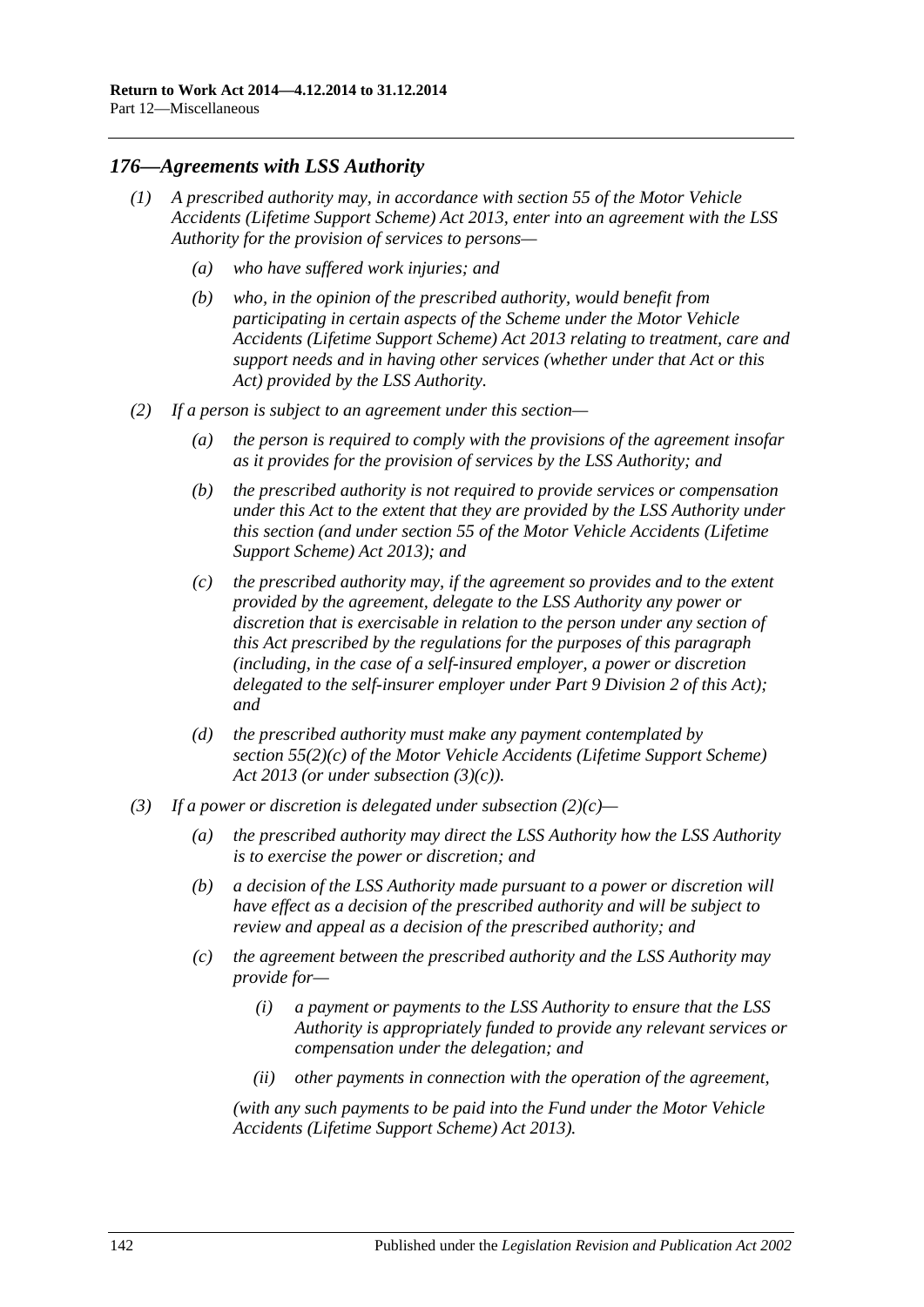## *176—Agreements with LSS Authority*

- *(1) A prescribed authority may, in accordance with section 55 of the [Motor Vehicle](http://www.legislation.sa.gov.au/index.aspx?action=legref&type=act&legtitle=Motor%20Vehicle%20Accidents%20(Lifetime%20Support%20Scheme)%20Act%202013)  [Accidents \(Lifetime Support Scheme\) Act](http://www.legislation.sa.gov.au/index.aspx?action=legref&type=act&legtitle=Motor%20Vehicle%20Accidents%20(Lifetime%20Support%20Scheme)%20Act%202013) 2013, enter into an agreement with the LSS Authority for the provision of services to persons—*
	- *(a) who have suffered work injuries; and*
	- *(b) who, in the opinion of the prescribed authority, would benefit from participating in certain aspects of the Scheme under the [Motor Vehicle](http://www.legislation.sa.gov.au/index.aspx?action=legref&type=act&legtitle=Motor%20Vehicle%20Accidents%20(Lifetime%20Support%20Scheme)%20Act%202013)  [Accidents \(Lifetime Support Scheme\) Act](http://www.legislation.sa.gov.au/index.aspx?action=legref&type=act&legtitle=Motor%20Vehicle%20Accidents%20(Lifetime%20Support%20Scheme)%20Act%202013) 2013 relating to treatment, care and support needs and in having other services (whether under that Act or this Act) provided by the LSS Authority.*
- <span id="page-141-1"></span>*(2) If a person is subject to an agreement under this section—*
	- *(a) the person is required to comply with the provisions of the agreement insofar as it provides for the provision of services by the LSS Authority; and*
	- *(b) the prescribed authority is not required to provide services or compensation under this Act to the extent that they are provided by the LSS Authority under this section (and under section 55 of the [Motor Vehicle Accidents \(Lifetime](http://www.legislation.sa.gov.au/index.aspx?action=legref&type=act&legtitle=Motor%20Vehicle%20Accidents%20(Lifetime%20Support%20Scheme)%20Act%202013)  [Support Scheme\) Act](http://www.legislation.sa.gov.au/index.aspx?action=legref&type=act&legtitle=Motor%20Vehicle%20Accidents%20(Lifetime%20Support%20Scheme)%20Act%202013) 2013); and*
	- *(c) the prescribed authority may, if the agreement so provides and to the extent provided by the agreement, delegate to the LSS Authority any power or discretion that is exercisable in relation to the person under any section of this Act prescribed by the regulations for the purposes of this paragraph (including, in the case of a self-insured employer, a power or discretion delegated to the self-insurer employer under Part [9 Division](#page-114-1) 2 of this Act); and*
	- *(d) the prescribed authority must make any payment contemplated by section 55(2)(c) of the [Motor Vehicle Accidents \(Lifetime Support Scheme\)](http://www.legislation.sa.gov.au/index.aspx?action=legref&type=act&legtitle=Motor%20Vehicle%20Accidents%20(Lifetime%20Support%20Scheme)%20Act%202013)  Act [2013](http://www.legislation.sa.gov.au/index.aspx?action=legref&type=act&legtitle=Motor%20Vehicle%20Accidents%20(Lifetime%20Support%20Scheme)%20Act%202013) (or under [subsection](#page-141-0) (3)(c)).*
- <span id="page-141-0"></span>*(3) If a power or discretion is delegated under [subsection](#page-141-1) (2)(c)—*
	- *(a) the prescribed authority may direct the LSS Authority how the LSS Authority is to exercise the power or discretion; and*
	- *(b) a decision of the LSS Authority made pursuant to a power or discretion will have effect as a decision of the prescribed authority and will be subject to review and appeal as a decision of the prescribed authority; and*
	- *(c) the agreement between the prescribed authority and the LSS Authority may provide for—*
		- *(i) a payment or payments to the LSS Authority to ensure that the LSS Authority is appropriately funded to provide any relevant services or compensation under the delegation; and*
		- *(ii) other payments in connection with the operation of the agreement,*

*(with any such payments to be paid into the Fund under the [Motor Vehicle](http://www.legislation.sa.gov.au/index.aspx?action=legref&type=act&legtitle=Motor%20Vehicle%20Accidents%20(Lifetime%20Support%20Scheme)%20Act%202013)  [Accidents \(Lifetime Support Scheme\) Act](http://www.legislation.sa.gov.au/index.aspx?action=legref&type=act&legtitle=Motor%20Vehicle%20Accidents%20(Lifetime%20Support%20Scheme)%20Act%202013) 2013).*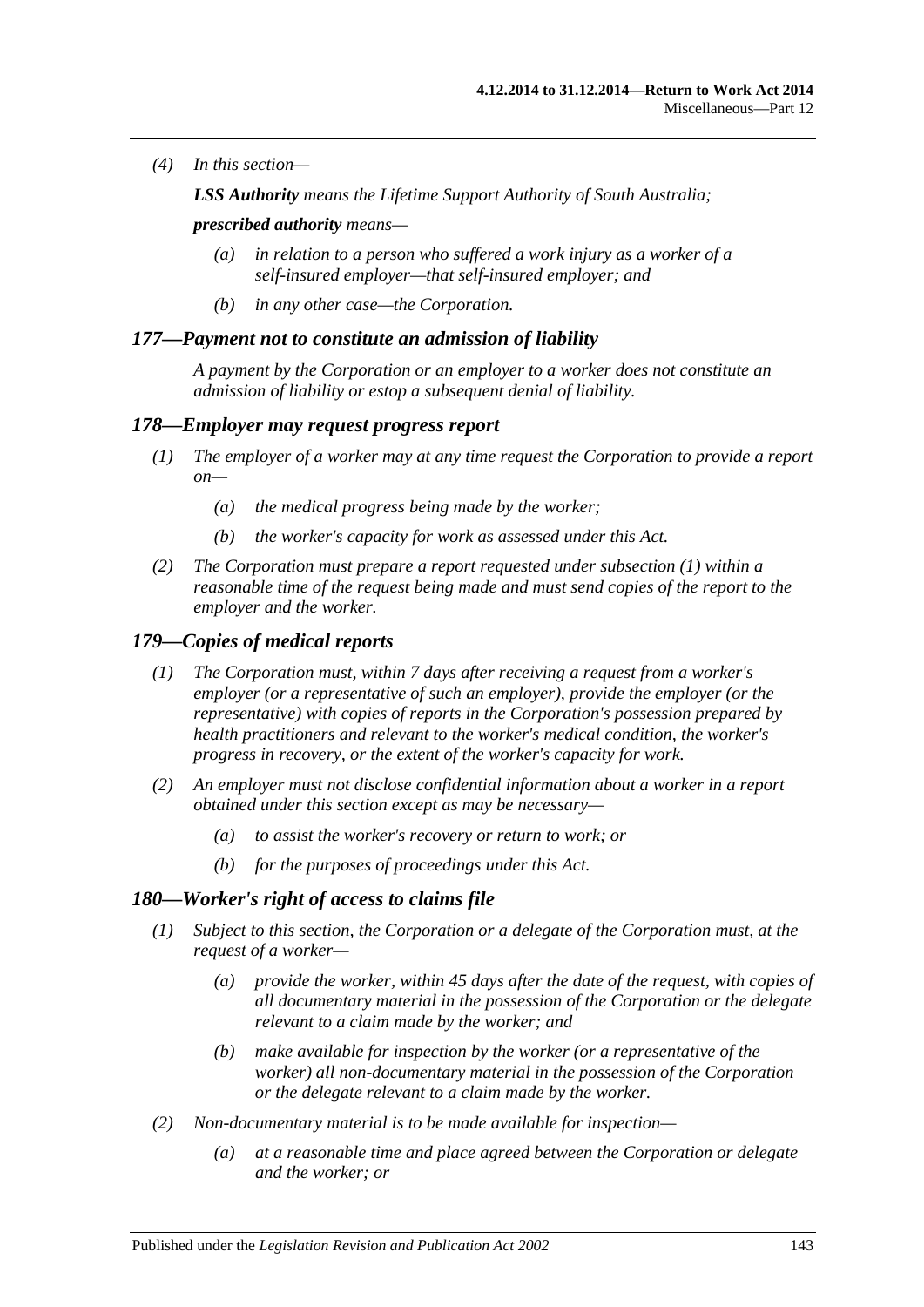*(4) In this section—*

*LSS Authority means the Lifetime Support Authority of South Australia;*

*prescribed authority means—*

- *(a) in relation to a person who suffered a work injury as a worker of a self-insured employer—that self-insured employer; and*
- *(b) in any other case—the Corporation.*

### *177—Payment not to constitute an admission of liability*

*A payment by the Corporation or an employer to a worker does not constitute an admission of liability or estop a subsequent denial of liability.*

#### <span id="page-142-0"></span>*178—Employer may request progress report*

- *(1) The employer of a worker may at any time request the Corporation to provide a report on—*
	- *(a) the medical progress being made by the worker;*
	- *(b) the worker's capacity for work as assessed under this Act.*
- *(2) The Corporation must prepare a report requested under [subsection](#page-142-0) (1) within a*  reasonable time of the request being made and must send copies of the report to the *employer and the worker.*

### *179—Copies of medical reports*

- *(1) The Corporation must, within 7 days after receiving a request from a worker's employer (or a representative of such an employer), provide the employer (or the representative) with copies of reports in the Corporation's possession prepared by health practitioners and relevant to the worker's medical condition, the worker's progress in recovery, or the extent of the worker's capacity for work.*
- *(2) An employer must not disclose confidential information about a worker in a report obtained under this section except as may be necessary—*
	- *(a) to assist the worker's recovery or return to work; or*
	- *(b) for the purposes of proceedings under this Act.*

#### *180—Worker's right of access to claims file*

- *(1) Subject to this section, the Corporation or a delegate of the Corporation must, at the request of a worker—*
	- *(a) provide the worker, within 45 days after the date of the request, with copies of all documentary material in the possession of the Corporation or the delegate relevant to a claim made by the worker; and*
	- *(b) make available for inspection by the worker (or a representative of the worker) all non-documentary material in the possession of the Corporation or the delegate relevant to a claim made by the worker.*
- *(2) Non-documentary material is to be made available for inspection—*
	- *(a) at a reasonable time and place agreed between the Corporation or delegate and the worker; or*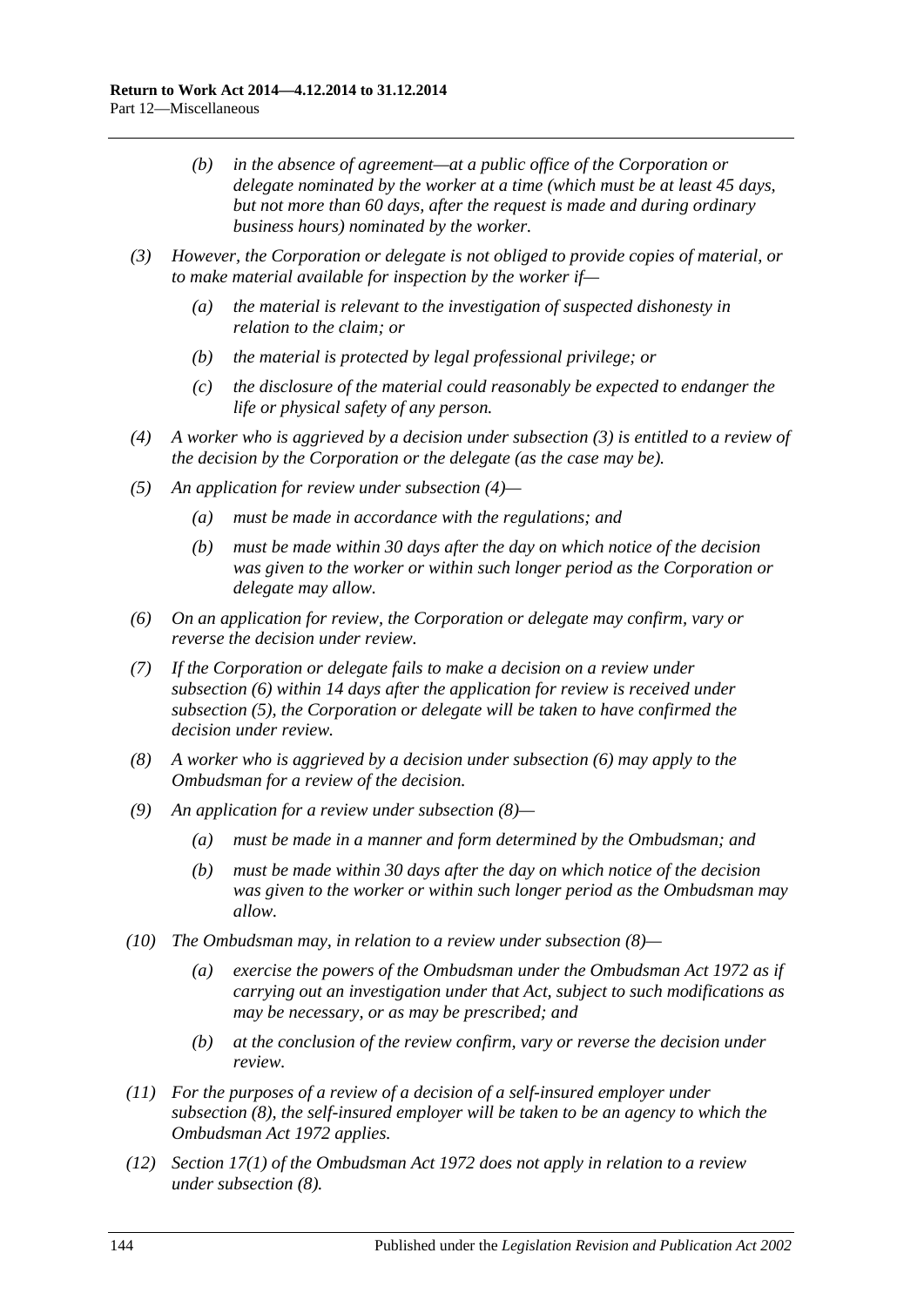- *(b) in the absence of agreement—at a public office of the Corporation or delegate nominated by the worker at a time (which must be at least 45 days, but not more than 60 days, after the request is made and during ordinary business hours) nominated by the worker.*
- <span id="page-143-0"></span>*(3) However, the Corporation or delegate is not obliged to provide copies of material, or to make material available for inspection by the worker if—*
	- *(a) the material is relevant to the investigation of suspected dishonesty in relation to the claim; or*
	- *(b) the material is protected by legal professional privilege; or*
	- *(c) the disclosure of the material could reasonably be expected to endanger the life or physical safety of any person.*
- <span id="page-143-1"></span>*(4) A worker who is aggrieved by a decision under [subsection](#page-143-0) (3) is entitled to a review of the decision by the Corporation or the delegate (as the case may be).*
- <span id="page-143-3"></span>*(5) An application for review under [subsection](#page-143-1) (4)—*
	- *(a) must be made in accordance with the regulations; and*
	- *(b) must be made within 30 days after the day on which notice of the decision was given to the worker or within such longer period as the Corporation or delegate may allow.*
- <span id="page-143-2"></span>*(6) On an application for review, the Corporation or delegate may confirm, vary or reverse the decision under review.*
- *(7) If the Corporation or delegate fails to make a decision on a review under [subsection](#page-143-2) (6) within 14 days after the application for review is received under [subsection](#page-143-3) (5), the Corporation or delegate will be taken to have confirmed the decision under review.*
- <span id="page-143-4"></span>*(8) A worker who is aggrieved by a decision under [subsection](#page-143-2) (6) may apply to the Ombudsman for a review of the decision.*
- *(9) An application for a review under [subsection](#page-143-4) (8)—*
	- *(a) must be made in a manner and form determined by the Ombudsman; and*
	- *(b) must be made within 30 days after the day on which notice of the decision was given to the worker or within such longer period as the Ombudsman may allow.*
- *(10) The Ombudsman may, in relation to a review under [subsection](#page-143-4) (8)—*
	- *(a) exercise the powers of the Ombudsman under the [Ombudsman Act](http://www.legislation.sa.gov.au/index.aspx?action=legref&type=act&legtitle=Ombudsman%20Act%201972) 1972 as if carrying out an investigation under that Act, subject to such modifications as may be necessary, or as may be prescribed; and*
	- *(b) at the conclusion of the review confirm, vary or reverse the decision under review.*
- *(11) For the purposes of a review of a decision of a self-insured employer under [subsection](#page-143-4) (8), the self-insured employer will be taken to be an agency to which the [Ombudsman Act](http://www.legislation.sa.gov.au/index.aspx?action=legref&type=act&legtitle=Ombudsman%20Act%201972) 1972 applies.*
- *(12) Section 17(1) of the [Ombudsman Act](http://www.legislation.sa.gov.au/index.aspx?action=legref&type=act&legtitle=Ombudsman%20Act%201972) 1972 does not apply in relation to a review under [subsection](#page-143-4) (8).*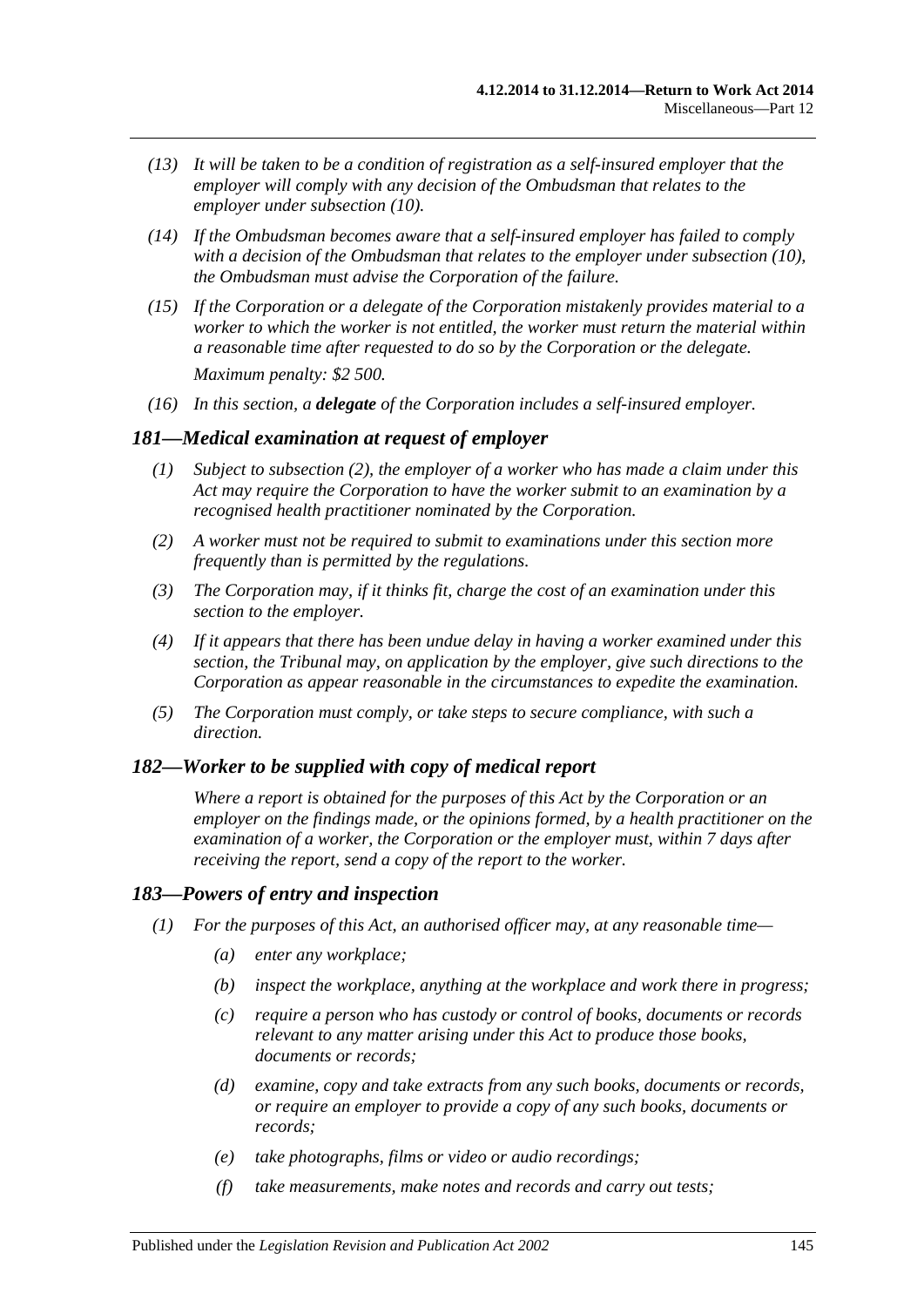- *(13) It will be taken to be a condition of registration as a self-insured employer that the employer will comply with any decision of the Ombudsman that relates to the employer under [subsection](#page-143-0) (10).*
- *(14) If the Ombudsman becomes aware that a self-insured employer has failed to comply with a decision of the Ombudsman that relates to the employer under [subsection](#page-143-0) (10), the Ombudsman must advise the Corporation of the failure.*
- *(15) If the Corporation or a delegate of the Corporation mistakenly provides material to a worker to which the worker is not entitled, the worker must return the material within a reasonable time after requested to do so by the Corporation or the delegate. Maximum penalty: \$2 500.*
- *(16) In this section, a delegate of the Corporation includes a self-insured employer.*

#### *181—Medical examination at request of employer*

- *(1) Subject to [subsection](#page-144-0) (2), the employer of a worker who has made a claim under this Act may require the Corporation to have the worker submit to an examination by a recognised health practitioner nominated by the Corporation.*
- <span id="page-144-0"></span>*(2) A worker must not be required to submit to examinations under this section more frequently than is permitted by the regulations.*
- *(3) The Corporation may, if it thinks fit, charge the cost of an examination under this section to the employer.*
- *(4) If it appears that there has been undue delay in having a worker examined under this section, the Tribunal may, on application by the employer, give such directions to the Corporation as appear reasonable in the circumstances to expedite the examination.*
- *(5) The Corporation must comply, or take steps to secure compliance, with such a direction.*

#### *182—Worker to be supplied with copy of medical report*

*Where a report is obtained for the purposes of this Act by the Corporation or an employer on the findings made, or the opinions formed, by a health practitioner on the examination of a worker, the Corporation or the employer must, within 7 days after receiving the report, send a copy of the report to the worker.*

#### *183—Powers of entry and inspection*

- *(1) For the purposes of this Act, an authorised officer may, at any reasonable time—*
	- *(a) enter any workplace;*
	- *(b) inspect the workplace, anything at the workplace and work there in progress;*
	- *(c) require a person who has custody or control of books, documents or records relevant to any matter arising under this Act to produce those books, documents or records;*
	- *(d) examine, copy and take extracts from any such books, documents or records, or require an employer to provide a copy of any such books, documents or records;*
	- *(e) take photographs, films or video or audio recordings;*
	- *(f) take measurements, make notes and records and carry out tests;*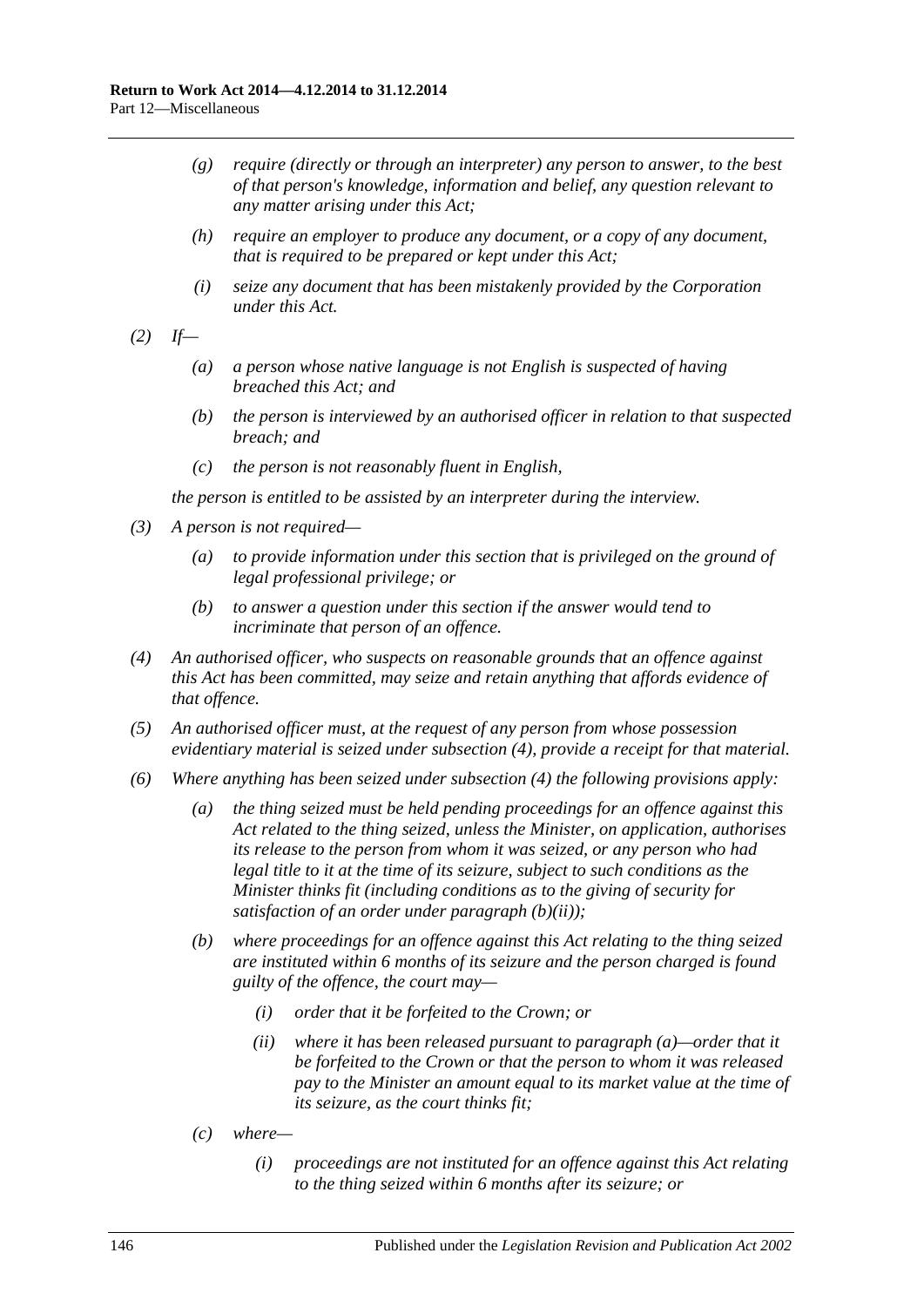- *(g) require (directly or through an interpreter) any person to answer, to the best of that person's knowledge, information and belief, any question relevant to any matter arising under this Act;*
- *(h) require an employer to produce any document, or a copy of any document, that is required to be prepared or kept under this Act;*
- *(i) seize any document that has been mistakenly provided by the Corporation under this Act.*
- *(2) If—*
	- *(a) a person whose native language is not English is suspected of having breached this Act; and*
	- *(b) the person is interviewed by an authorised officer in relation to that suspected breach; and*
	- *(c) the person is not reasonably fluent in English,*

*the person is entitled to be assisted by an interpreter during the interview.*

- *(3) A person is not required—*
	- *(a) to provide information under this section that is privileged on the ground of legal professional privilege; or*
	- *(b) to answer a question under this section if the answer would tend to incriminate that person of an offence.*
- <span id="page-145-0"></span>*(4) An authorised officer, who suspects on reasonable grounds that an offence against this Act has been committed, may seize and retain anything that affords evidence of that offence.*
- *(5) An authorised officer must, at the request of any person from whose possession evidentiary material is seized under [subsection](#page-145-0) (4), provide a receipt for that material.*
- <span id="page-145-3"></span><span id="page-145-2"></span><span id="page-145-1"></span>*(6) Where anything has been seized under [subsection](#page-145-0) (4) the following provisions apply:*
	- *(a) the thing seized must be held pending proceedings for an offence against this Act related to the thing seized, unless the Minister, on application, authorises its release to the person from whom it was seized, or any person who had legal title to it at the time of its seizure, subject to such conditions as the Minister thinks fit (including conditions as to the giving of security for satisfaction of an order under [paragraph](#page-145-1) (b)(ii));*
	- *(b) where proceedings for an offence against this Act relating to the thing seized are instituted within 6 months of its seizure and the person charged is found guilty of the offence, the court may—*
		- *(i) order that it be forfeited to the Crown; or*
		- *(ii) where it has been released pursuant to [paragraph](#page-145-2) (a)—order that it be forfeited to the Crown or that the person to whom it was released pay to the Minister an amount equal to its market value at the time of its seizure, as the court thinks fit;*
	- *(c) where—*
		- *(i) proceedings are not instituted for an offence against this Act relating to the thing seized within 6 months after its seizure; or*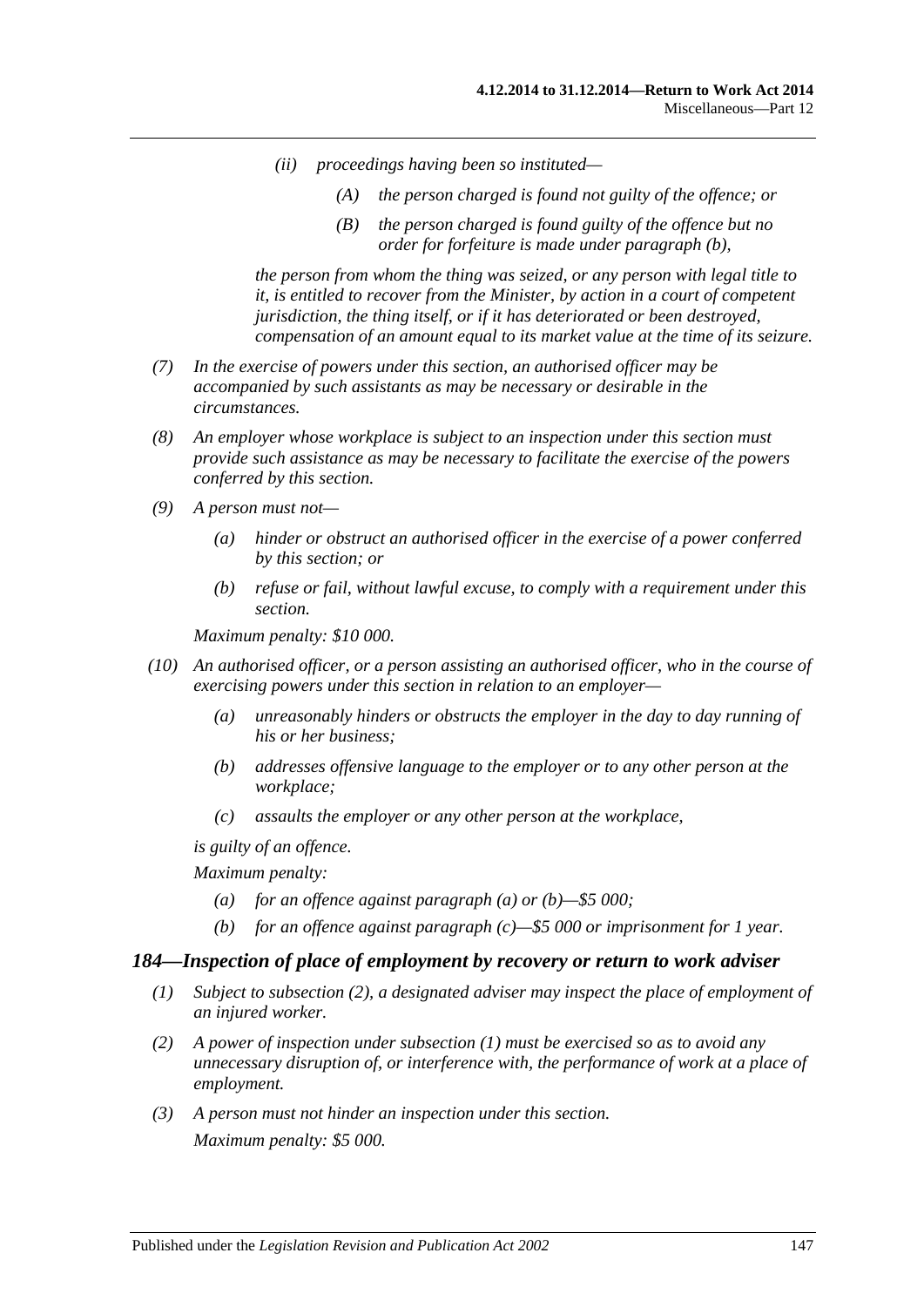- *(ii) proceedings having been so instituted—*
	- *(A) the person charged is found not guilty of the offence; or*
	- *(B) the person charged is found guilty of the offence but no order for forfeiture is made under [paragraph](#page-145-3) (b),*

*the person from whom the thing was seized, or any person with legal title to it, is entitled to recover from the Minister, by action in a court of competent jurisdiction, the thing itself, or if it has deteriorated or been destroyed, compensation of an amount equal to its market value at the time of its seizure.*

- *(7) In the exercise of powers under this section, an authorised officer may be accompanied by such assistants as may be necessary or desirable in the circumstances.*
- *(8) An employer whose workplace is subject to an inspection under this section must provide such assistance as may be necessary to facilitate the exercise of the powers conferred by this section.*
- *(9) A person must not—*
	- *(a) hinder or obstruct an authorised officer in the exercise of a power conferred by this section; or*
	- *(b) refuse or fail, without lawful excuse, to comply with a requirement under this section.*

*Maximum penalty: \$10 000.*

- <span id="page-146-1"></span><span id="page-146-0"></span>*(10) An authorised officer, or a person assisting an authorised officer, who in the course of exercising powers under this section in relation to an employer—*
	- *(a) unreasonably hinders or obstructs the employer in the day to day running of his or her business;*
	- *(b) addresses offensive language to the employer or to any other person at the workplace;*
	- *(c) assaults the employer or any other person at the workplace,*

<span id="page-146-2"></span>*is guilty of an offence.*

*Maximum penalty:* 

- *(a) for an offence against [paragraph](#page-146-0) (a) or [\(b\)—](#page-146-1)\$5 000;*
- *(b) for an offence against [paragraph](#page-146-2) (c)—\$5 000 or imprisonment for 1 year.*

#### <span id="page-146-4"></span>*184—Inspection of place of employment by recovery or return to work adviser*

- *(1) Subject to [subsection](#page-146-3) (2), a designated adviser may inspect the place of employment of an injured worker.*
- <span id="page-146-3"></span>*(2) A power of inspection under [subsection](#page-146-4) (1) must be exercised so as to avoid any unnecessary disruption of, or interference with, the performance of work at a place of employment.*
- *(3) A person must not hinder an inspection under this section. Maximum penalty: \$5 000.*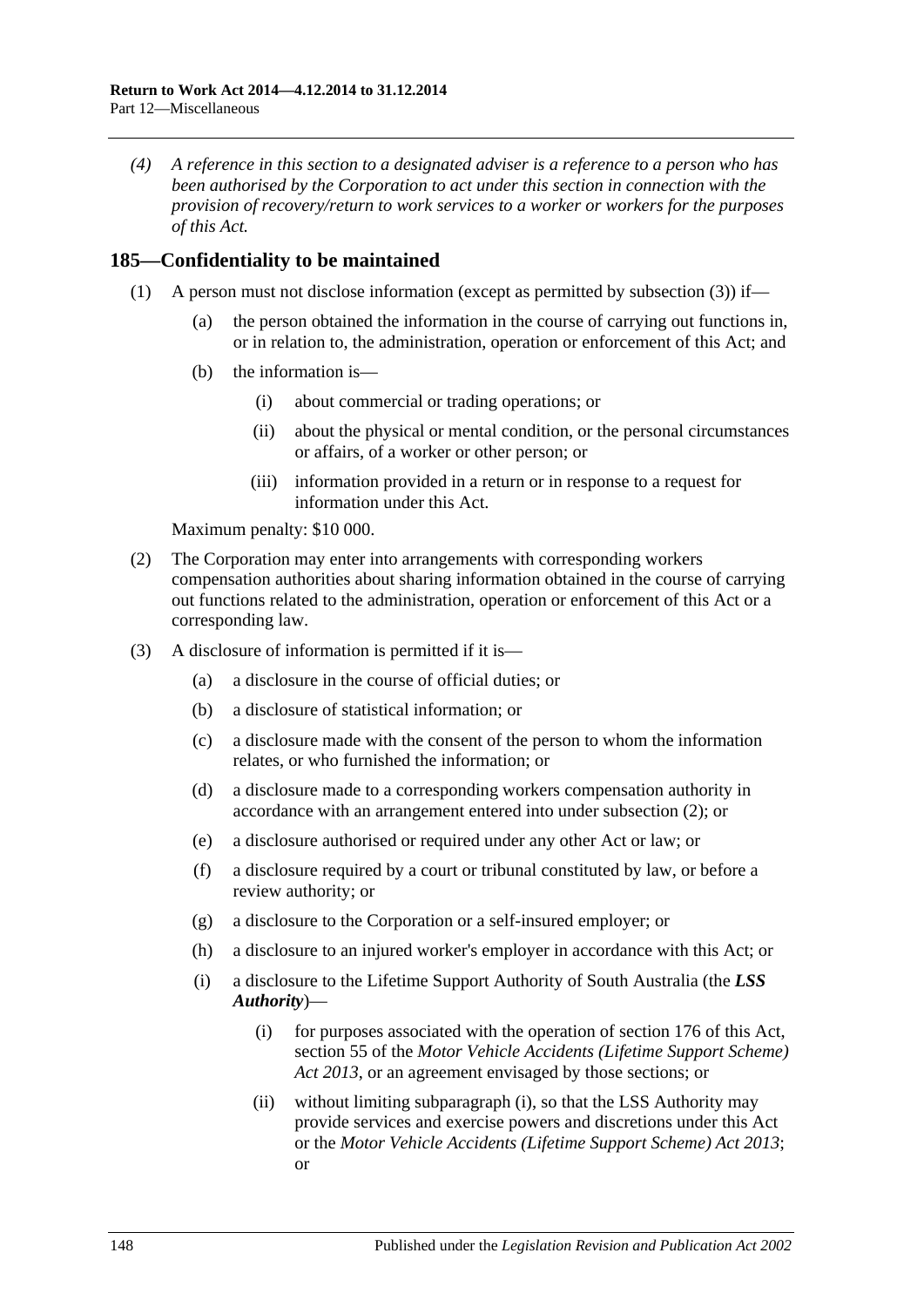*(4) A reference in this section to a designated adviser is a reference to a person who has been authorised by the Corporation to act under this section in connection with the provision of recovery/return to work services to a worker or workers for the purposes of this Act.*

# **185—Confidentiality to be maintained**

- (1) A person must not disclose information (except as permitted by [subsection](#page-147-0) (3)) if—
	- (a) the person obtained the information in the course of carrying out functions in, or in relation to, the administration, operation or enforcement of this Act; and
	- (b) the information is—
		- (i) about commercial or trading operations; or
		- (ii) about the physical or mental condition, or the personal circumstances or affairs, of a worker or other person; or
		- (iii) information provided in a return or in response to a request for information under this Act.

Maximum penalty: \$10 000.

- <span id="page-147-1"></span>(2) The Corporation may enter into arrangements with corresponding workers compensation authorities about sharing information obtained in the course of carrying out functions related to the administration, operation or enforcement of this Act or a corresponding law.
- <span id="page-147-2"></span><span id="page-147-0"></span>(3) A disclosure of information is permitted if it is—
	- (a) a disclosure in the course of official duties; or
	- (b) a disclosure of statistical information; or
	- (c) a disclosure made with the consent of the person to whom the information relates, or who furnished the information; or
	- (d) a disclosure made to a corresponding workers compensation authority in accordance with an arrangement entered into under [subsection](#page-147-1) (2); or
	- (e) a disclosure authorised or required under any other Act or law; or
	- (f) a disclosure required by a court or tribunal constituted by law, or before a review authority; or
	- (g) a disclosure to the Corporation or a self-insured employer; or
	- (h) a disclosure to an injured worker's employer in accordance with this Act; or
	- (i) a disclosure to the Lifetime Support Authority of South Australia (the *LSS Authority*)—
		- (i) for purposes associated with the operation of [section](#page-141-0) 176 of this Act, section 55 of the *[Motor Vehicle Accidents \(Lifetime Support Scheme\)](http://www.legislation.sa.gov.au/index.aspx?action=legref&type=act&legtitle=Motor%20Vehicle%20Accidents%20(Lifetime%20Support%20Scheme)%20Act%202013)  Act [2013](http://www.legislation.sa.gov.au/index.aspx?action=legref&type=act&legtitle=Motor%20Vehicle%20Accidents%20(Lifetime%20Support%20Scheme)%20Act%202013)*, or an agreement envisaged by those sections; or
		- (ii) without limiting [subparagraph](#page-147-2) (i), so that the LSS Authority may provide services and exercise powers and discretions under this Act or the *[Motor Vehicle Accidents \(Lifetime Support Scheme\) Act](http://www.legislation.sa.gov.au/index.aspx?action=legref&type=act&legtitle=Motor%20Vehicle%20Accidents%20(Lifetime%20Support%20Scheme)%20Act%202013) 2013*; or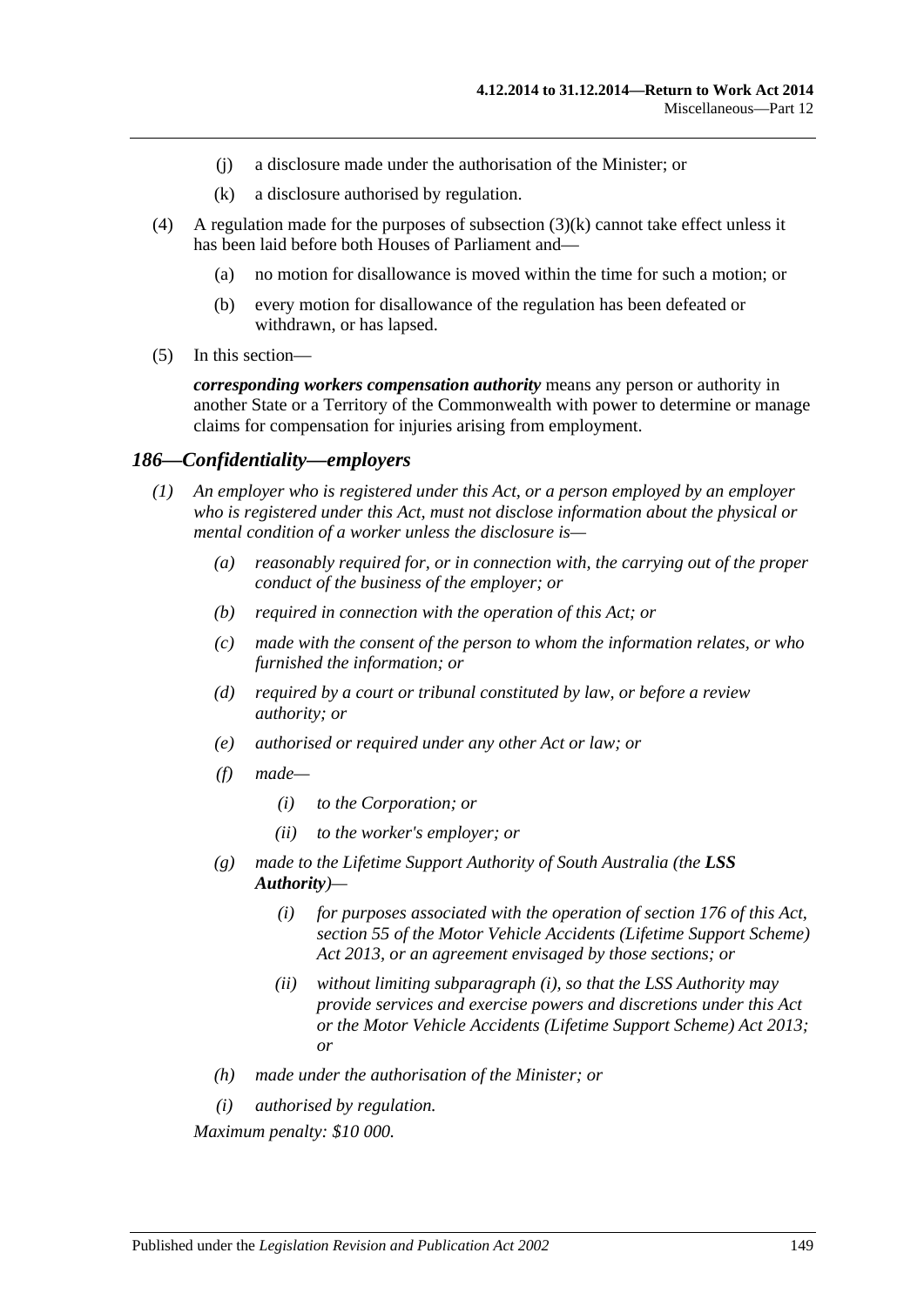- (j) a disclosure made under the authorisation of the Minister; or
- (k) a disclosure authorised by regulation.
- <span id="page-148-0"></span>(4) A regulation made for the purposes of [subsection](#page-148-0)  $(3)(k)$  cannot take effect unless it has been laid before both Houses of Parliament and—
	- (a) no motion for disallowance is moved within the time for such a motion; or
	- (b) every motion for disallowance of the regulation has been defeated or withdrawn, or has lapsed.
- (5) In this section—

*corresponding workers compensation authority* means any person or authority in another State or a Territory of the Commonwealth with power to determine or manage claims for compensation for injuries arising from employment.

#### *186—Confidentiality—employers*

- *(1) An employer who is registered under this Act, or a person employed by an employer who is registered under this Act, must not disclose information about the physical or mental condition of a worker unless the disclosure is—*
	- *(a) reasonably required for, or in connection with, the carrying out of the proper conduct of the business of the employer; or*
	- *(b) required in connection with the operation of this Act; or*
	- *(c) made with the consent of the person to whom the information relates, or who furnished the information; or*
	- *(d) required by a court or tribunal constituted by law, or before a review authority; or*
	- *(e) authorised or required under any other Act or law; or*
	- *(f) made—*
		- *(i) to the Corporation; or*
		- *(ii) to the worker's employer; or*
	- *(g) made to the Lifetime Support Authority of South Australia (the LSS Authority)—*
		- *(i) for purposes associated with the operation of [section](#page-141-0) 176 of this Act, section 55 of the [Motor Vehicle Accidents \(Lifetime Support Scheme\)](http://www.legislation.sa.gov.au/index.aspx?action=legref&type=act&legtitle=Motor%20Vehicle%20Accidents%20(Lifetime%20Support%20Scheme)%20Act%202013)  Act [2013,](http://www.legislation.sa.gov.au/index.aspx?action=legref&type=act&legtitle=Motor%20Vehicle%20Accidents%20(Lifetime%20Support%20Scheme)%20Act%202013) or an agreement envisaged by those sections; or*
		- *(ii) without limiting [subparagraph](#page-148-1) (i), so that the LSS Authority may provide services and exercise powers and discretions under this Act or the [Motor Vehicle Accidents \(Lifetime Support Scheme\) Act](http://www.legislation.sa.gov.au/index.aspx?action=legref&type=act&legtitle=Motor%20Vehicle%20Accidents%20(Lifetime%20Support%20Scheme)%20Act%202013) 2013; or*
	- *(h) made under the authorisation of the Minister; or*
	- *(i) authorised by regulation.*

<span id="page-148-2"></span><span id="page-148-1"></span>*Maximum penalty: \$10 000.*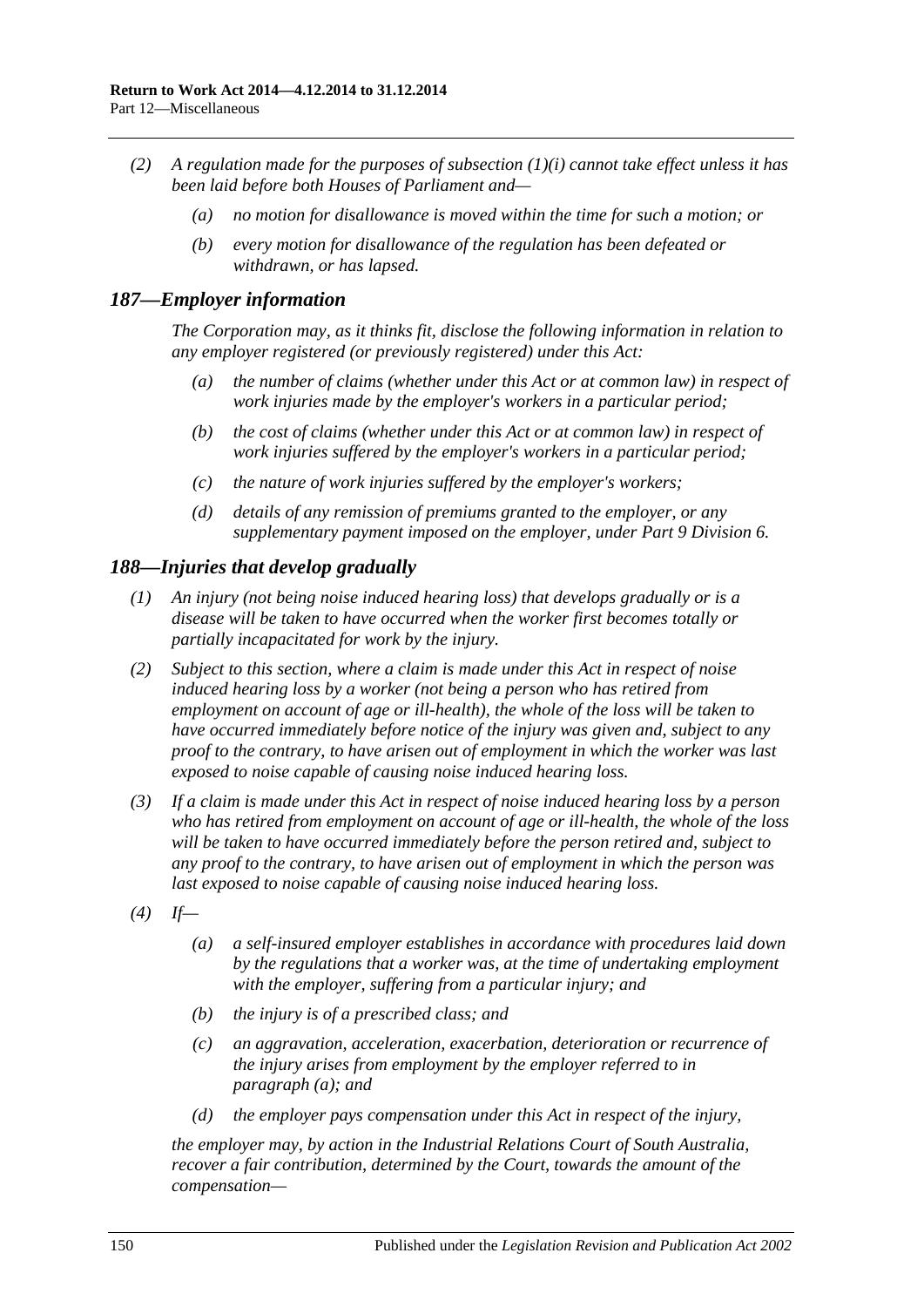- *(2) A regulation made for the purposes of [subsection](#page-148-2) (1)(i) cannot take effect unless it has been laid before both Houses of Parliament and—*
	- *(a) no motion for disallowance is moved within the time for such a motion; or*
	- *(b) every motion for disallowance of the regulation has been defeated or withdrawn, or has lapsed.*

#### *187—Employer information*

*The Corporation may, as it thinks fit, disclose the following information in relation to any employer registered (or previously registered) under this Act:*

- *(a) the number of claims (whether under this Act or at common law) in respect of work injuries made by the employer's workers in a particular period;*
- *(b) the cost of claims (whether under this Act or at common law) in respect of work injuries suffered by the employer's workers in a particular period;*
- *(c) the nature of work injuries suffered by the employer's workers;*
- *(d) details of any remission of premiums granted to the employer, or any supplementary payment imposed on the employer, under Part [9 Division](#page-125-0) 6.*

## *188—Injuries that develop gradually*

- *(1) An injury (not being noise induced hearing loss) that develops gradually or is a disease will be taken to have occurred when the worker first becomes totally or partially incapacitated for work by the injury.*
- *(2) Subject to this section, where a claim is made under this Act in respect of noise induced hearing loss by a worker (not being a person who has retired from employment on account of age or ill-health), the whole of the loss will be taken to have occurred immediately before notice of the injury was given and, subject to any proof to the contrary, to have arisen out of employment in which the worker was last exposed to noise capable of causing noise induced hearing loss.*
- *(3) If a claim is made under this Act in respect of noise induced hearing loss by a person who has retired from employment on account of age or ill-health, the whole of the loss will be taken to have occurred immediately before the person retired and, subject to any proof to the contrary, to have arisen out of employment in which the person was last exposed to noise capable of causing noise induced hearing loss.*
- <span id="page-149-0"></span>*(4) If—*
	- *(a) a self-insured employer establishes in accordance with procedures laid down by the regulations that a worker was, at the time of undertaking employment with the employer, suffering from a particular injury; and*
	- *(b) the injury is of a prescribed class; and*
	- *(c) an aggravation, acceleration, exacerbation, deterioration or recurrence of the injury arises from employment by the employer referred to in [paragraph](#page-149-0) (a); and*
	- *(d) the employer pays compensation under this Act in respect of the injury,*

*the employer may, by action in the Industrial Relations Court of South Australia, recover a fair contribution, determined by the Court, towards the amount of the compensation—*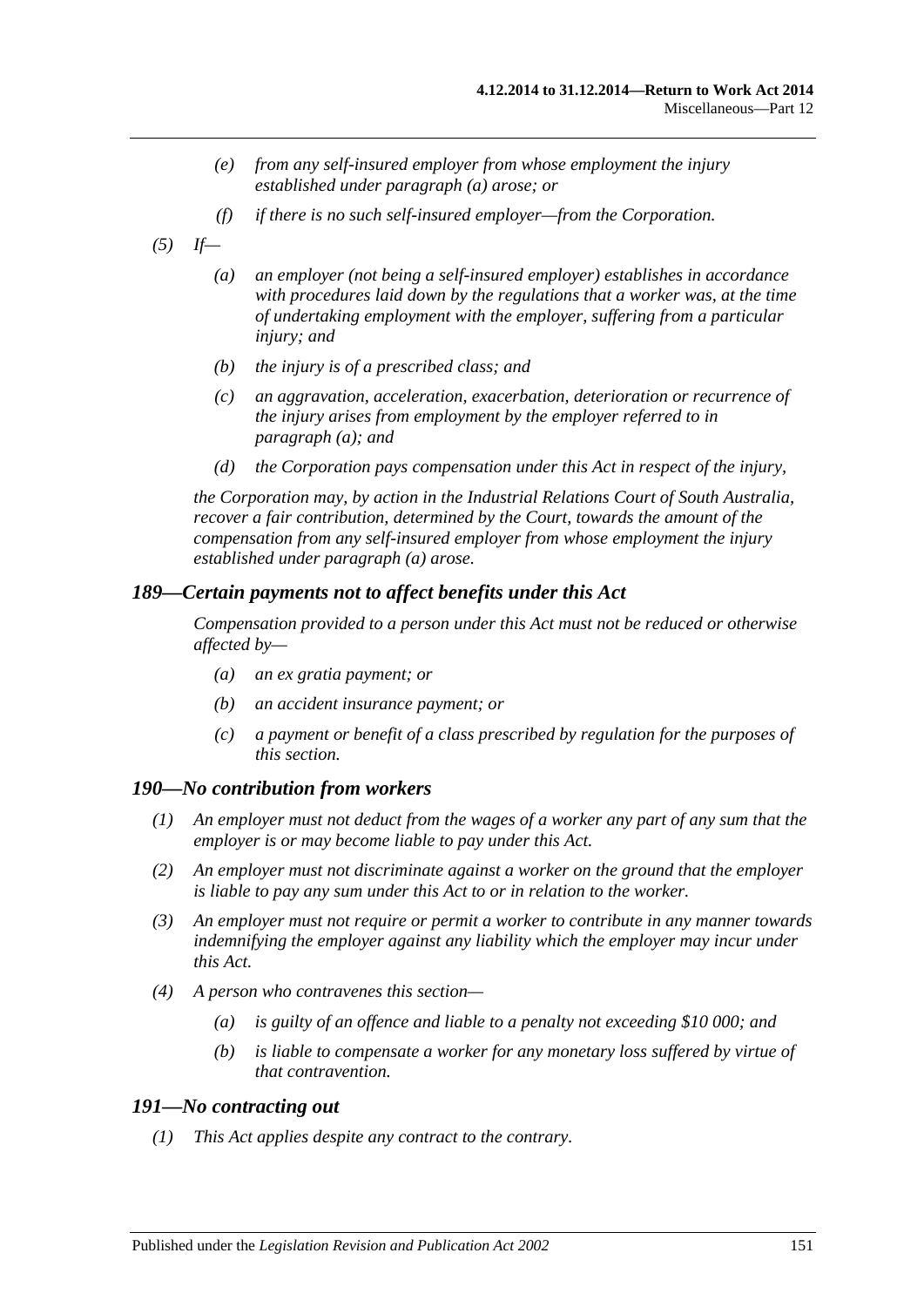- *(e) from any self-insured employer from whose employment the injury established under [paragraph](#page-149-0) (a) arose; or*
- *(f) if there is no such self-insured employer—from the Corporation.*
- <span id="page-150-0"></span>*(5) If—*
	- *(a) an employer (not being a self-insured employer) establishes in accordance with procedures laid down by the regulations that a worker was, at the time of undertaking employment with the employer, suffering from a particular injury; and*
	- *(b) the injury is of a prescribed class; and*
	- *(c) an aggravation, acceleration, exacerbation, deterioration or recurrence of the injury arises from employment by the employer referred to in [paragraph](#page-150-0) (a); and*
	- *(d) the Corporation pays compensation under this Act in respect of the injury,*

*the Corporation may, by action in the Industrial Relations Court of South Australia, recover a fair contribution, determined by the Court, towards the amount of the compensation from any self-insured employer from whose employment the injury established under [paragraph](#page-150-0) (a) arose.*

#### *189—Certain payments not to affect benefits under this Act*

*Compensation provided to a person under this Act must not be reduced or otherwise affected by—*

- *(a) an ex gratia payment; or*
- *(b) an accident insurance payment; or*
- *(c) a payment or benefit of a class prescribed by regulation for the purposes of this section.*

#### *190—No contribution from workers*

- *(1) An employer must not deduct from the wages of a worker any part of any sum that the employer is or may become liable to pay under this Act.*
- *(2) An employer must not discriminate against a worker on the ground that the employer is liable to pay any sum under this Act to or in relation to the worker.*
- *(3) An employer must not require or permit a worker to contribute in any manner towards indemnifying the employer against any liability which the employer may incur under this Act.*
- *(4) A person who contravenes this section—*
	- *(a) is guilty of an offence and liable to a penalty not exceeding \$10 000; and*
	- *(b) is liable to compensate a worker for any monetary loss suffered by virtue of that contravention.*

#### <span id="page-150-1"></span>*191—No contracting out*

*(1) This Act applies despite any contract to the contrary.*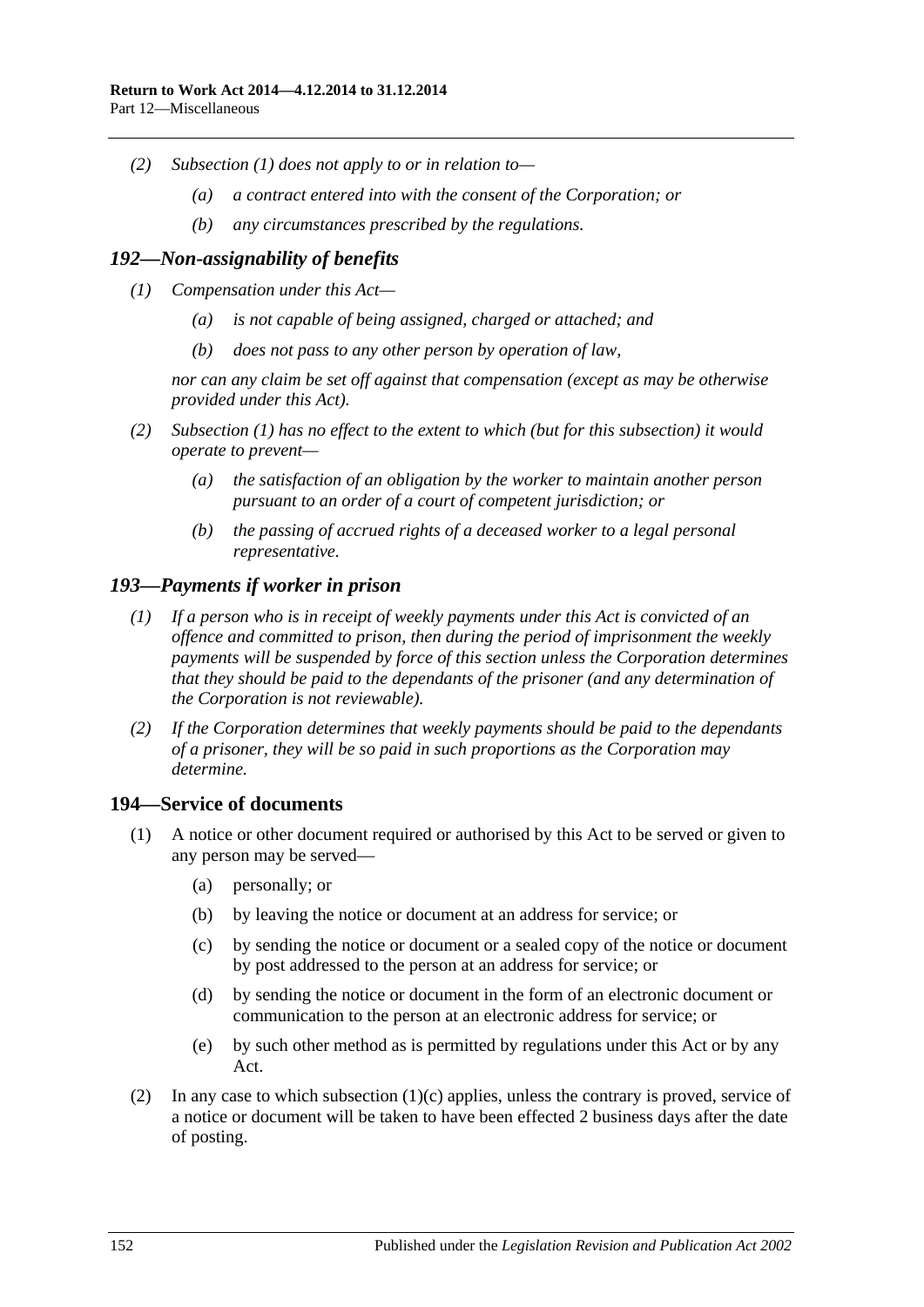- *(2) [Subsection](#page-150-1) (1) does not apply to or in relation to—*
	- *(a) a contract entered into with the consent of the Corporation; or*
	- *(b) any circumstances prescribed by the regulations.*

# <span id="page-151-0"></span>*192—Non-assignability of benefits*

- *(1) Compensation under this Act—*
	- *(a) is not capable of being assigned, charged or attached; and*
	- *(b) does not pass to any other person by operation of law,*

*nor can any claim be set off against that compensation (except as may be otherwise provided under this Act).*

- *(2) [Subsection](#page-151-0) (1) has no effect to the extent to which (but for this subsection) it would operate to prevent—*
	- *(a) the satisfaction of an obligation by the worker to maintain another person pursuant to an order of a court of competent jurisdiction; or*
	- *(b) the passing of accrued rights of a deceased worker to a legal personal representative.*

# *193—Payments if worker in prison*

- *(1) If a person who is in receipt of weekly payments under this Act is convicted of an offence and committed to prison, then during the period of imprisonment the weekly payments will be suspended by force of this section unless the Corporation determines that they should be paid to the dependants of the prisoner (and any determination of the Corporation is not reviewable).*
- *(2) If the Corporation determines that weekly payments should be paid to the dependants of a prisoner, they will be so paid in such proportions as the Corporation may determine.*

# <span id="page-151-2"></span>**194—Service of documents**

- <span id="page-151-1"></span>(1) A notice or other document required or authorised by this Act to be served or given to any person may be served—
	- (a) personally; or
	- (b) by leaving the notice or document at an address for service; or
	- (c) by sending the notice or document or a sealed copy of the notice or document by post addressed to the person at an address for service; or
	- (d) by sending the notice or document in the form of an electronic document or communication to the person at an electronic address for service; or
	- (e) by such other method as is permitted by regulations under this Act or by any Act.
- (2) In any case to which [subsection](#page-151-1)  $(1)(c)$  applies, unless the contrary is proved, service of a notice or document will be taken to have been effected 2 business days after the date of posting.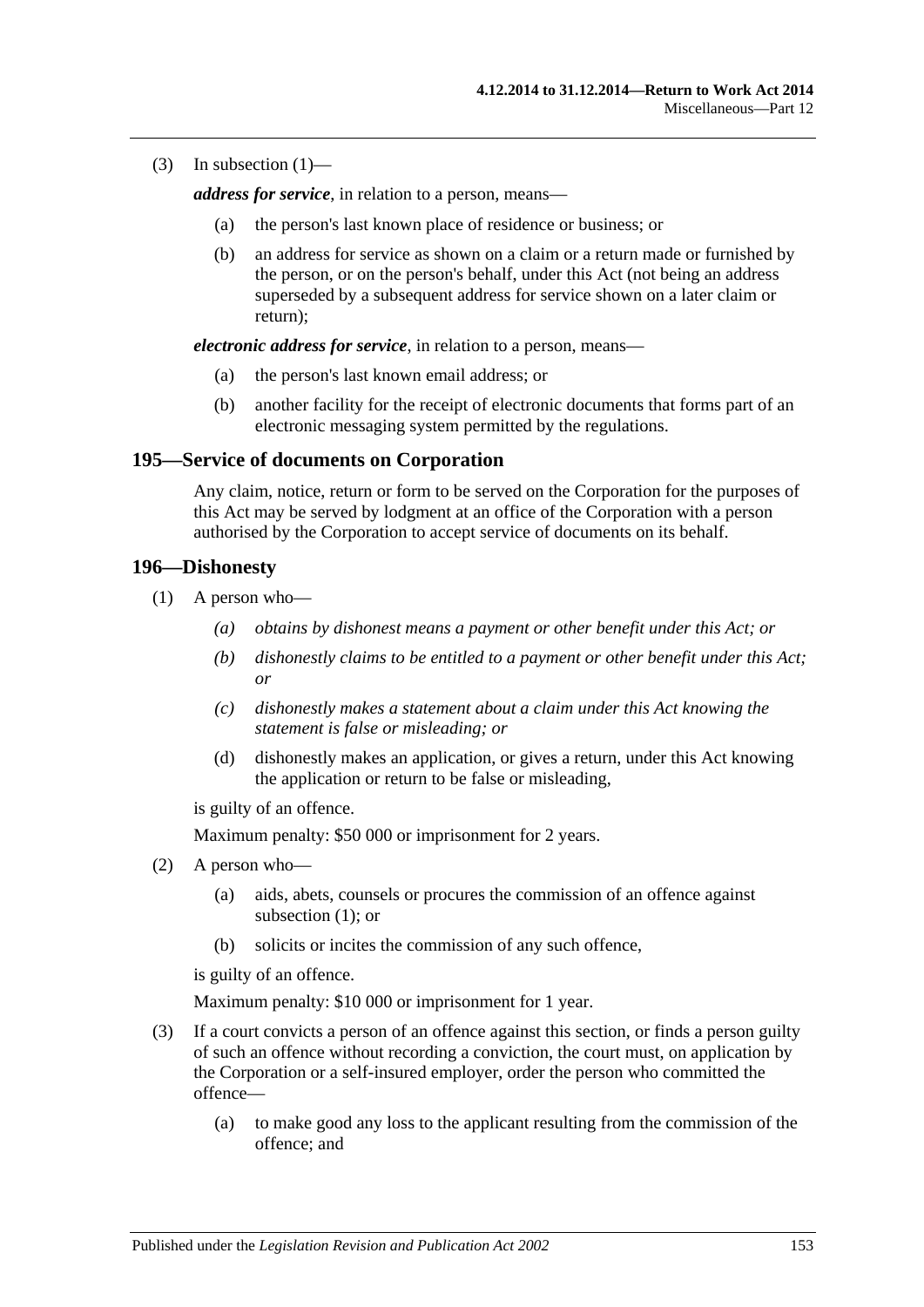(3) In [subsection](#page-151-2)  $(1)$ —

*address for service*, in relation to a person, means—

- (a) the person's last known place of residence or business; or
- (b) an address for service as shown on a claim or a return made or furnished by the person, or on the person's behalf, under this Act (not being an address superseded by a subsequent address for service shown on a later claim or return);

*electronic address for service*, in relation to a person, means—

- (a) the person's last known email address; or
- (b) another facility for the receipt of electronic documents that forms part of an electronic messaging system permitted by the regulations.

#### **195—Service of documents on Corporation**

Any claim, notice, return or form to be served on the Corporation for the purposes of this Act may be served by lodgment at an office of the Corporation with a person authorised by the Corporation to accept service of documents on its behalf.

#### <span id="page-152-0"></span>**196—Dishonesty**

- (1) A person who—
	- *(a) obtains by dishonest means a payment or other benefit under this Act; or*
	- *(b) dishonestly claims to be entitled to a payment or other benefit under this Act; or*
	- *(c) dishonestly makes a statement about a claim under this Act knowing the statement is false or misleading; or*
	- (d) dishonestly makes an application, or gives a return, under this Act knowing the application or return to be false or misleading,

is guilty of an offence.

Maximum penalty: \$50 000 or imprisonment for 2 years.

- (2) A person who—
	- (a) aids, abets, counsels or procures the commission of an offence against [subsection](#page-152-0) (1); or
	- (b) solicits or incites the commission of any such offence,

is guilty of an offence.

Maximum penalty: \$10 000 or imprisonment for 1 year.

- (3) If a court convicts a person of an offence against this section, or finds a person guilty of such an offence without recording a conviction, the court must, on application by the Corporation or a self-insured employer, order the person who committed the offence—
	- (a) to make good any loss to the applicant resulting from the commission of the offence; and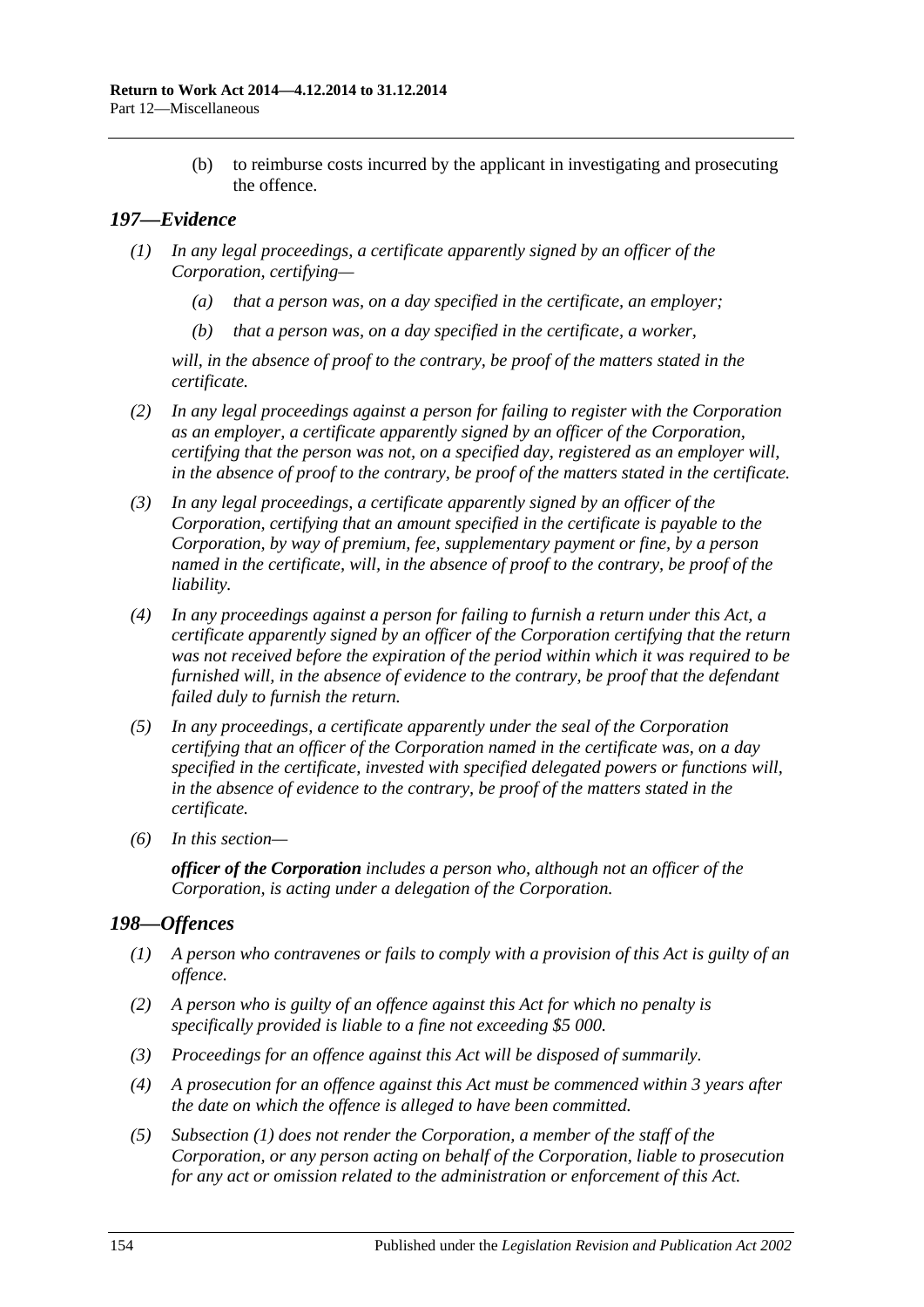(b) to reimburse costs incurred by the applicant in investigating and prosecuting the offence.

# *197—Evidence*

- *(1) In any legal proceedings, a certificate apparently signed by an officer of the Corporation, certifying—*
	- *(a) that a person was, on a day specified in the certificate, an employer;*
	- *(b) that a person was, on a day specified in the certificate, a worker,*

*will, in the absence of proof to the contrary, be proof of the matters stated in the certificate.*

- *(2) In any legal proceedings against a person for failing to register with the Corporation as an employer, a certificate apparently signed by an officer of the Corporation, certifying that the person was not, on a specified day, registered as an employer will, in the absence of proof to the contrary, be proof of the matters stated in the certificate.*
- *(3) In any legal proceedings, a certificate apparently signed by an officer of the Corporation, certifying that an amount specified in the certificate is payable to the Corporation, by way of premium, fee, supplementary payment or fine, by a person named in the certificate, will, in the absence of proof to the contrary, be proof of the liability.*
- *(4) In any proceedings against a person for failing to furnish a return under this Act, a certificate apparently signed by an officer of the Corporation certifying that the return was not received before the expiration of the period within which it was required to be furnished will, in the absence of evidence to the contrary, be proof that the defendant failed duly to furnish the return.*
- *(5) In any proceedings, a certificate apparently under the seal of the Corporation certifying that an officer of the Corporation named in the certificate was, on a day specified in the certificate, invested with specified delegated powers or functions will, in the absence of evidence to the contrary, be proof of the matters stated in the certificate.*
- *(6) In this section—*

*officer of the Corporation includes a person who, although not an officer of the Corporation, is acting under a delegation of the Corporation.*

# <span id="page-153-0"></span>*198—Offences*

- *(1) A person who contravenes or fails to comply with a provision of this Act is guilty of an offence.*
- *(2) A person who is guilty of an offence against this Act for which no penalty is specifically provided is liable to a fine not exceeding \$5 000.*
- *(3) Proceedings for an offence against this Act will be disposed of summarily.*
- *(4) A prosecution for an offence against this Act must be commenced within 3 years after the date on which the offence is alleged to have been committed.*
- *(5) [Subsection](#page-153-0) (1) does not render the Corporation, a member of the staff of the Corporation, or any person acting on behalf of the Corporation, liable to prosecution for any act or omission related to the administration or enforcement of this Act.*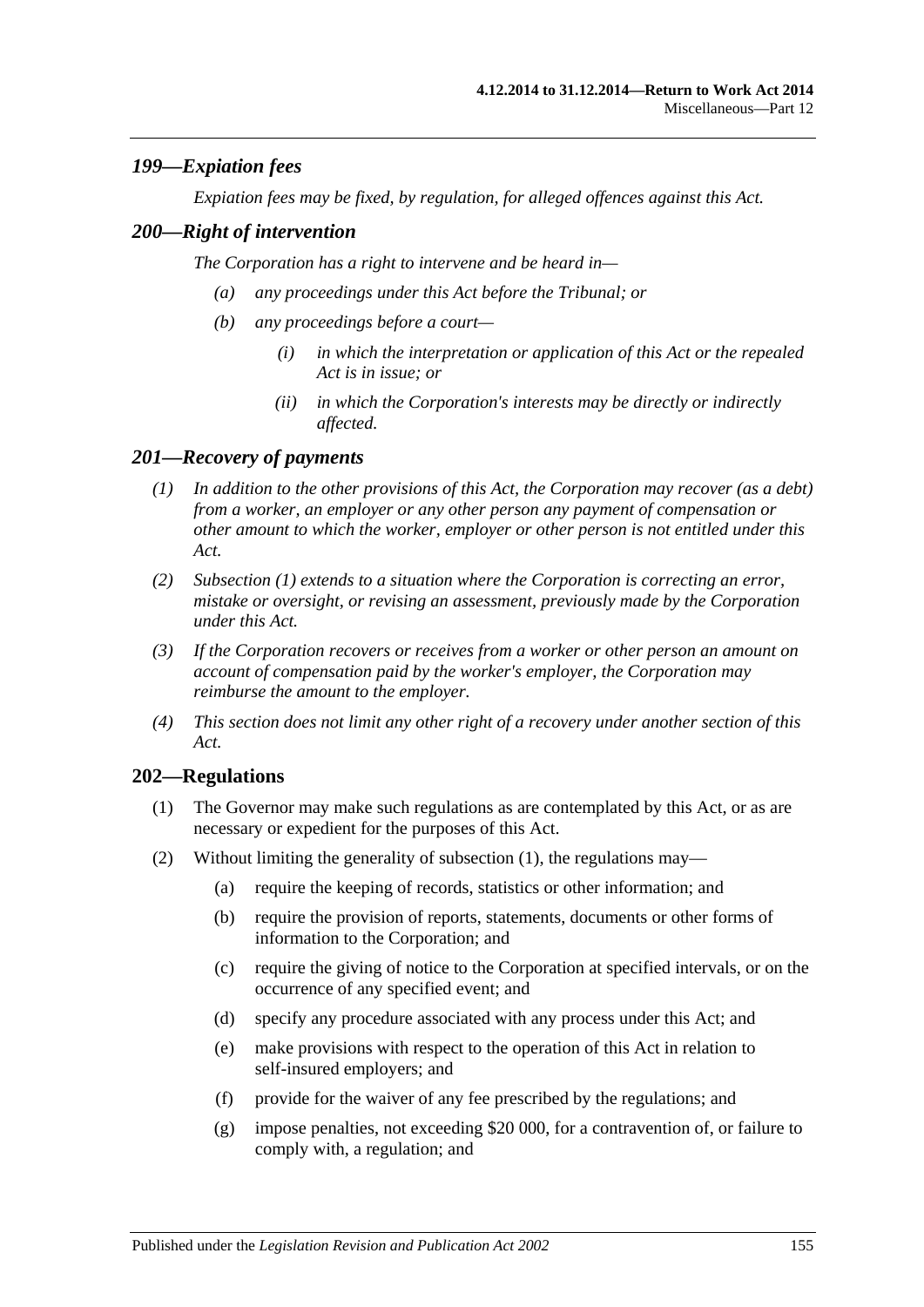# *199—Expiation fees*

*Expiation fees may be fixed, by regulation, for alleged offences against this Act.*

#### *200—Right of intervention*

*The Corporation has a right to intervene and be heard in—*

- *(a) any proceedings under this Act before the Tribunal; or*
- *(b) any proceedings before a court—*
	- *(i) in which the interpretation or application of this Act or the repealed Act is in issue; or*
	- *(ii) in which the Corporation's interests may be directly or indirectly affected.*

## <span id="page-154-0"></span>*201—Recovery of payments*

- *(1) In addition to the other provisions of this Act, the Corporation may recover (as a debt) from a worker, an employer or any other person any payment of compensation or other amount to which the worker, employer or other person is not entitled under this Act.*
- *(2) [Subsection](#page-154-0) (1) extends to a situation where the Corporation is correcting an error, mistake or oversight, or revising an assessment, previously made by the Corporation under this Act.*
- *(3) If the Corporation recovers or receives from a worker or other person an amount on account of compensation paid by the worker's employer, the Corporation may reimburse the amount to the employer.*
- *(4) This section does not limit any other right of a recovery under another section of this Act.*

#### <span id="page-154-1"></span>**202—Regulations**

- (1) The Governor may make such regulations as are contemplated by this Act, or as are necessary or expedient for the purposes of this Act.
- (2) Without limiting the generality of [subsection](#page-154-1) (1), the regulations may—
	- (a) require the keeping of records, statistics or other information; and
	- (b) require the provision of reports, statements, documents or other forms of information to the Corporation; and
	- (c) require the giving of notice to the Corporation at specified intervals, or on the occurrence of any specified event; and
	- (d) specify any procedure associated with any process under this Act; and
	- (e) make provisions with respect to the operation of this Act in relation to self-insured employers; and
	- (f) provide for the waiver of any fee prescribed by the regulations; and
	- (g) impose penalties, not exceeding \$20 000, for a contravention of, or failure to comply with, a regulation; and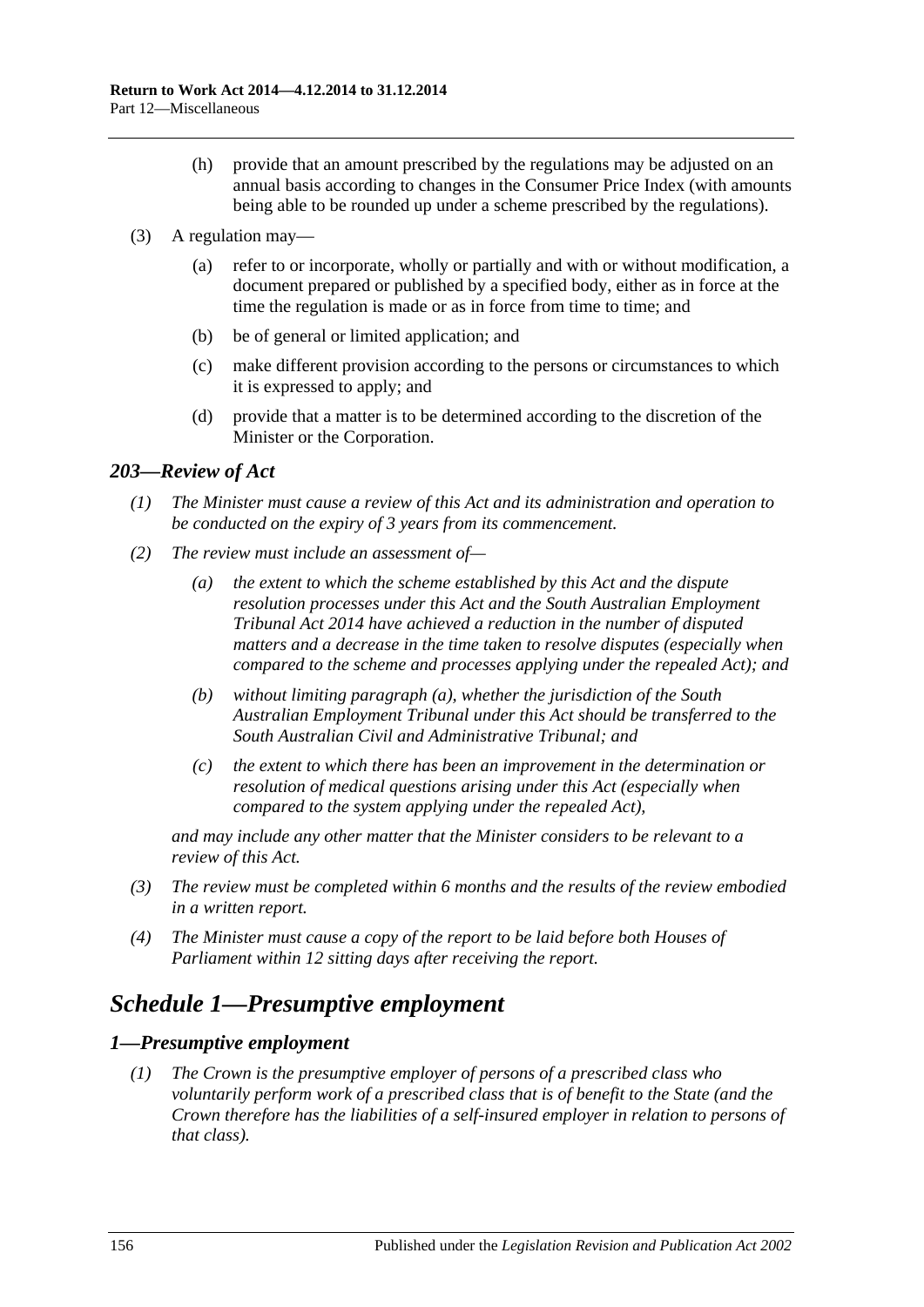- (h) provide that an amount prescribed by the regulations may be adjusted on an annual basis according to changes in the Consumer Price Index (with amounts being able to be rounded up under a scheme prescribed by the regulations).
- (3) A regulation may—
	- (a) refer to or incorporate, wholly or partially and with or without modification, a document prepared or published by a specified body, either as in force at the time the regulation is made or as in force from time to time; and
	- (b) be of general or limited application; and
	- (c) make different provision according to the persons or circumstances to which it is expressed to apply; and
	- (d) provide that a matter is to be determined according to the discretion of the Minister or the Corporation.

## *203—Review of Act*

- *(1) The Minister must cause a review of this Act and its administration and operation to be conducted on the expiry of 3 years from its commencement.*
- <span id="page-155-0"></span>*(2) The review must include an assessment of—*
	- *(a) the extent to which the scheme established by this Act and the dispute resolution processes under this Act and the [South Australian Employment](http://www.legislation.sa.gov.au/index.aspx?action=legref&type=act&legtitle=South%20Australian%20Employment%20Tribunal%20Act%202014)  [Tribunal Act](http://www.legislation.sa.gov.au/index.aspx?action=legref&type=act&legtitle=South%20Australian%20Employment%20Tribunal%20Act%202014) 2014 have achieved a reduction in the number of disputed matters and a decrease in the time taken to resolve disputes (especially when compared to the scheme and processes applying under the repealed Act); and*
	- *(b) without limiting [paragraph](#page-155-0) (a), whether the jurisdiction of the South Australian Employment Tribunal under this Act should be transferred to the South Australian Civil and Administrative Tribunal; and*
	- *(c) the extent to which there has been an improvement in the determination or resolution of medical questions arising under this Act (especially when compared to the system applying under the repealed Act),*

*and may include any other matter that the Minister considers to be relevant to a review of this Act.*

- *(3) The review must be completed within 6 months and the results of the review embodied in a written report.*
- *(4) The Minister must cause a copy of the report to be laid before both Houses of Parliament within 12 sitting days after receiving the report.*

# *Schedule 1—Presumptive employment*

#### <span id="page-155-1"></span>*1—Presumptive employment*

*(1) The Crown is the presumptive employer of persons of a prescribed class who voluntarily perform work of a prescribed class that is of benefit to the State (and the Crown therefore has the liabilities of a self-insured employer in relation to persons of that class).*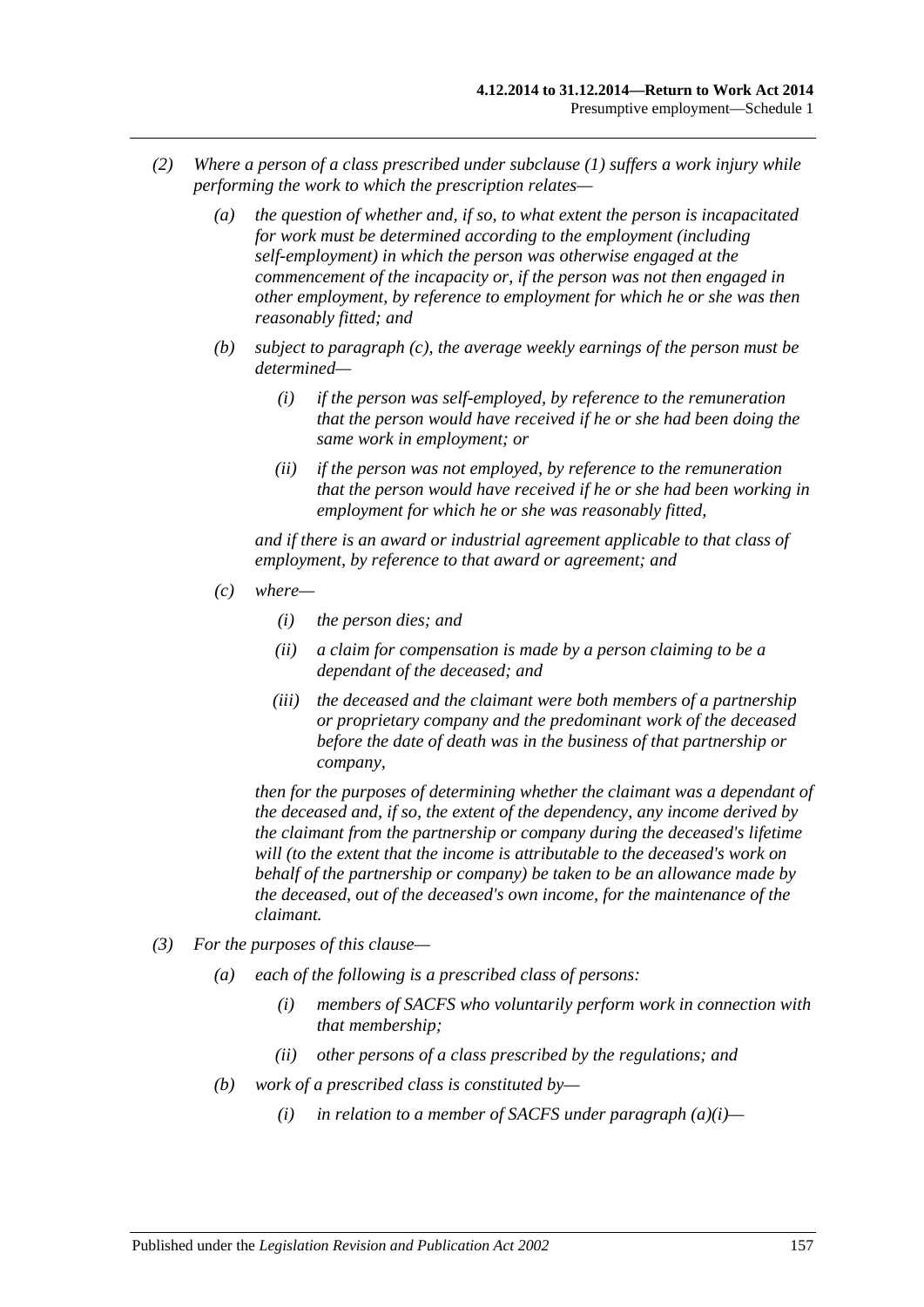- *(2) Where a person of a class prescribed under [subclause](#page-155-1) (1) suffers a work injury while performing the work to which the prescription relates—*
	- *(a) the question of whether and, if so, to what extent the person is incapacitated for work must be determined according to the employment (including self-employment) in which the person was otherwise engaged at the commencement of the incapacity or, if the person was not then engaged in other employment, by reference to employment for which he or she was then reasonably fitted; and*
	- *(b) subject to [paragraph](#page-156-0) (c), the average weekly earnings of the person must be determined—*
		- *(i) if the person was self-employed, by reference to the remuneration that the person would have received if he or she had been doing the same work in employment; or*
		- *(ii) if the person was not employed, by reference to the remuneration that the person would have received if he or she had been working in employment for which he or she was reasonably fitted,*

*and if there is an award or industrial agreement applicable to that class of employment, by reference to that award or agreement; and*

- <span id="page-156-0"></span>*(c) where—*
	- *(i) the person dies; and*
	- *(ii) a claim for compensation is made by a person claiming to be a dependant of the deceased; and*
	- *(iii) the deceased and the claimant were both members of a partnership or proprietary company and the predominant work of the deceased before the date of death was in the business of that partnership or company,*

*then for the purposes of determining whether the claimant was a dependant of the deceased and, if so, the extent of the dependency, any income derived by the claimant from the partnership or company during the deceased's lifetime will (to the extent that the income is attributable to the deceased's work on behalf of the partnership or company) be taken to be an allowance made by the deceased, out of the deceased's own income, for the maintenance of the claimant.*

- <span id="page-156-1"></span>*(3) For the purposes of this clause—*
	- *(a) each of the following is a prescribed class of persons:*
		- *(i) members of SACFS who voluntarily perform work in connection with that membership;*
		- *(ii) other persons of a class prescribed by the regulations; and*
	- *(b) work of a prescribed class is constituted by—*
		- *(i) in relation to a member of SACFS under [paragraph](#page-156-1) (a)(i)—*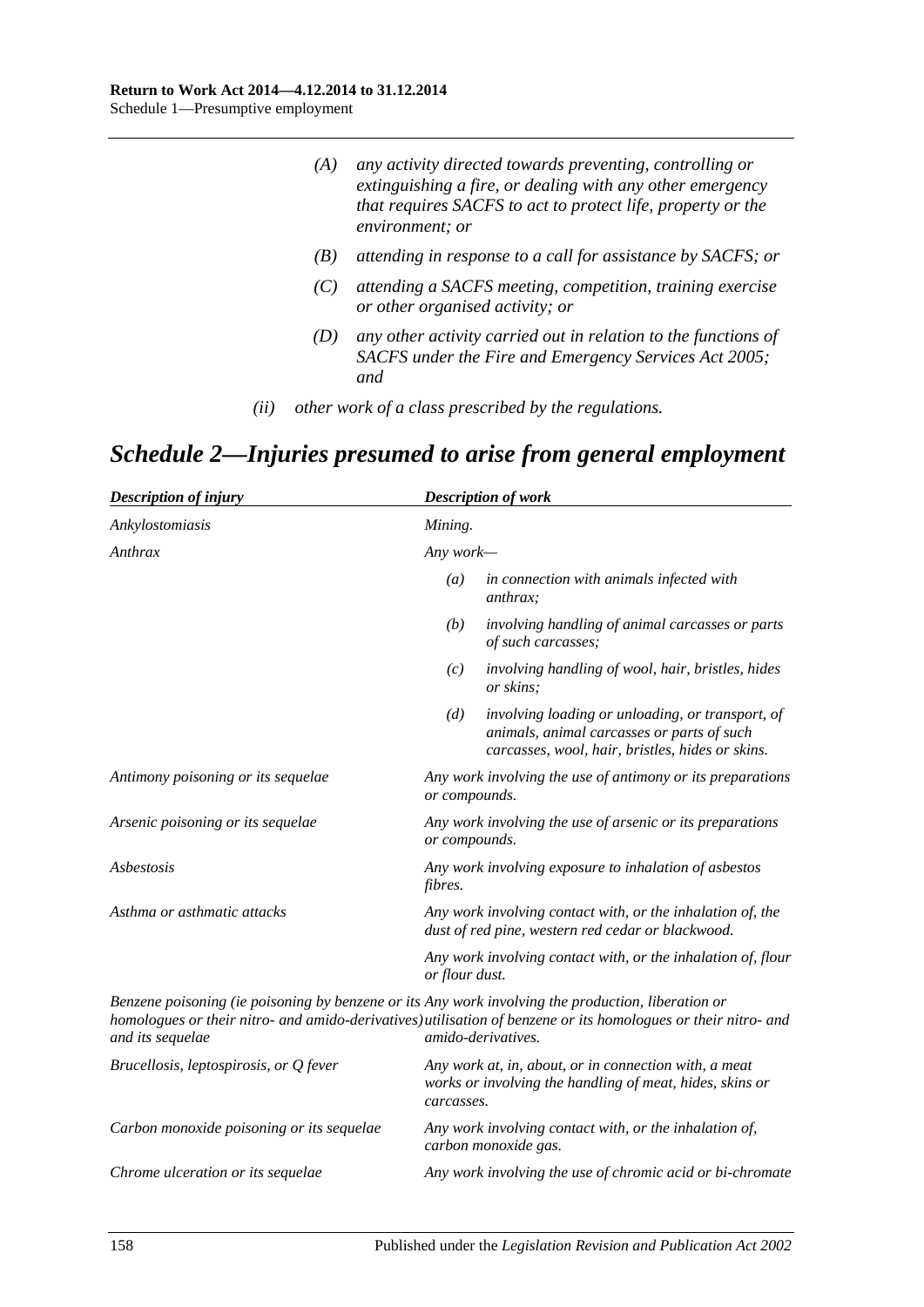| (A) | any activity directed towards preventing, controlling or    |
|-----|-------------------------------------------------------------|
|     | extinguishing a fire, or dealing with any other emergency   |
|     | that requires SACFS to act to protect life, property or the |
|     | environment; or                                             |

- *(B) attending in response to a call for assistance by SACFS; or*
- *(C) attending a SACFS meeting, competition, training exercise or other organised activity; or*
- *(D) any other activity carried out in relation to the functions of SACFS under the [Fire and Emergency Services Act](http://www.legislation.sa.gov.au/index.aspx?action=legref&type=act&legtitle=Fire%20and%20Emergency%20Services%20Act%202005) 2005; and*
- *(ii) other work of a class prescribed by the regulations.*

# *Schedule 2—Injuries presumed to arise from general employment*

| <b>Description of injury</b>                                                                                           |                  | <b>Description of work</b>                                                                                                                         |  |
|------------------------------------------------------------------------------------------------------------------------|------------------|----------------------------------------------------------------------------------------------------------------------------------------------------|--|
| Ankylostomiasis                                                                                                        | Mining.          |                                                                                                                                                    |  |
| Anthrax                                                                                                                |                  | Any work—                                                                                                                                          |  |
|                                                                                                                        | $\left(a\right)$ | in connection with animals infected with<br><i>anthrax:</i>                                                                                        |  |
|                                                                                                                        | (b)              | involving handling of animal carcasses or parts<br>of such carcasses;                                                                              |  |
|                                                                                                                        | (c)              | involving handling of wool, hair, bristles, hides<br>or skins;                                                                                     |  |
|                                                                                                                        | (d)              | involving loading or unloading, or transport, of<br>animals, animal carcasses or parts of such<br>carcasses, wool, hair, bristles, hides or skins. |  |
| Antimony poisoning or its sequelae                                                                                     | or compounds.    | Any work involving the use of antimony or its preparations                                                                                         |  |
| Arsenic poisoning or its sequelae                                                                                      | or compounds.    | Any work involving the use of arsenic or its preparations                                                                                          |  |
| Asbestosis                                                                                                             | <i>fibres.</i>   | Any work involving exposure to inhalation of asbestos                                                                                              |  |
| Asthma or asthmatic attacks                                                                                            |                  | Any work involving contact with, or the inhalation of, the<br>dust of red pine, western red cedar or blackwood.                                    |  |
|                                                                                                                        | or flour dust.   | Any work involving contact with, or the inhalation of, flour                                                                                       |  |
| Benzene poisoning (ie poisoning by benzene or its Any work involving the production, liberation or<br>and its sequelae |                  | homologues or their nitro- and amido-derivatives) utilisation of benzene or its homologues or their nitro- and<br>amido-derivatives.               |  |
| Brucellosis, leptospirosis, or Q fever                                                                                 | carcasses.       | Any work at, in, about, or in connection with, a meat<br>works or involving the handling of meat, hides, skins or                                  |  |
| Carbon monoxide poisoning or its sequelae                                                                              |                  | Any work involving contact with, or the inhalation of,<br>carbon monoxide gas.                                                                     |  |
| Chrome ulceration or its sequelae                                                                                      |                  | Any work involving the use of chromic acid or bi-chromate                                                                                          |  |
|                                                                                                                        |                  |                                                                                                                                                    |  |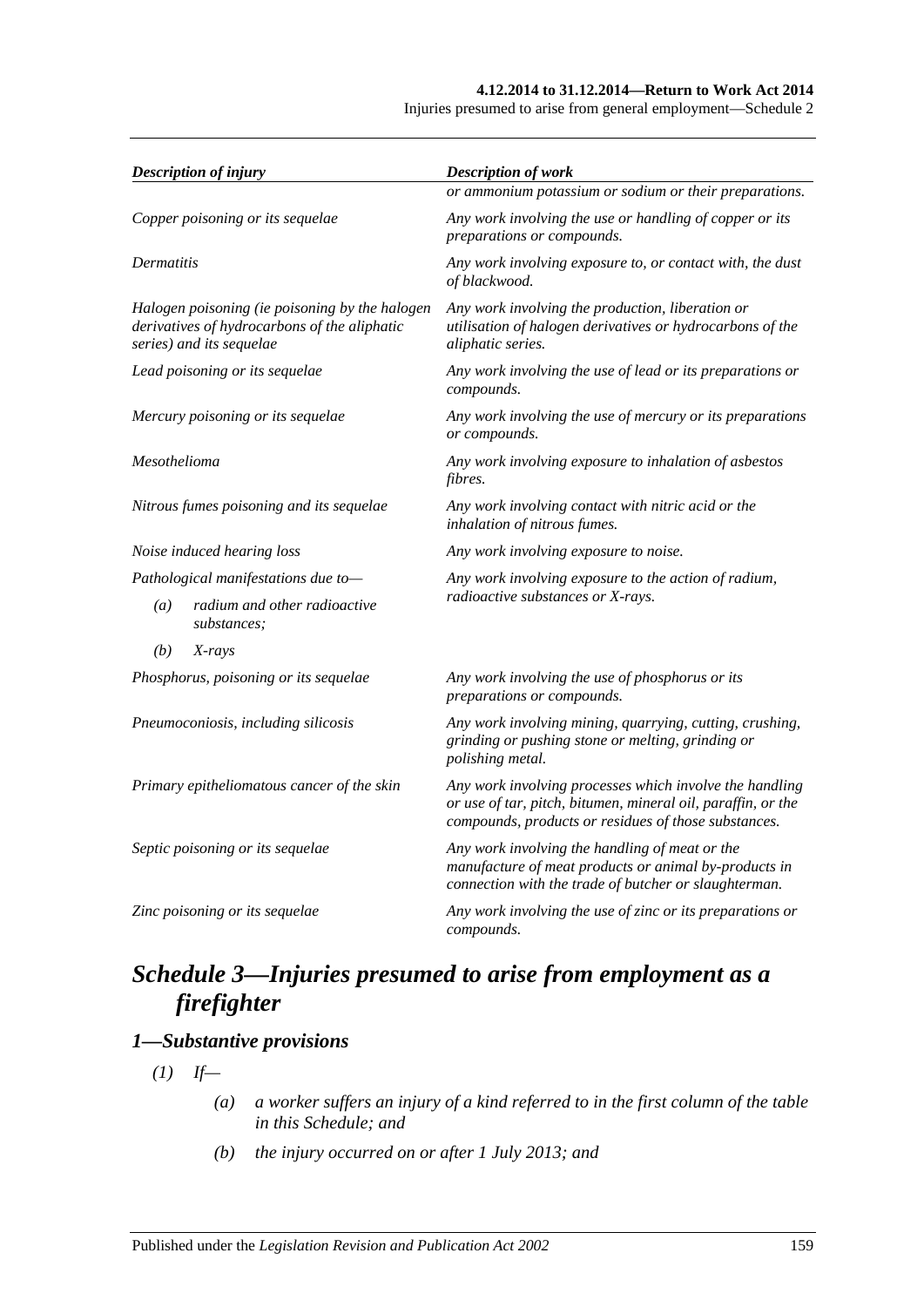#### **4.12.2014 to 31.12.2014—Return to Work Act 2014**

Injuries presumed to arise from general employment—Schedule 2

| <b>Description of injury</b>                                                                                               | <b>Description of work</b>                                                                                                                                                      |  |
|----------------------------------------------------------------------------------------------------------------------------|---------------------------------------------------------------------------------------------------------------------------------------------------------------------------------|--|
|                                                                                                                            | or ammonium potassium or sodium or their preparations.                                                                                                                          |  |
| Copper poisoning or its sequelae                                                                                           | Any work involving the use or handling of copper or its<br>preparations or compounds.                                                                                           |  |
| <b>Dermatitis</b>                                                                                                          | Any work involving exposure to, or contact with, the dust<br>of blackwood.                                                                                                      |  |
| Halogen poisoning (ie poisoning by the halogen<br>derivatives of hydrocarbons of the aliphatic<br>series) and its sequelae | Any work involving the production, liberation or<br>utilisation of halogen derivatives or hydrocarbons of the<br>aliphatic series.                                              |  |
| Lead poisoning or its sequelae                                                                                             | Any work involving the use of lead or its preparations or<br>compounds.                                                                                                         |  |
| Mercury poisoning or its sequelae                                                                                          | Any work involving the use of mercury or its preparations<br>or compounds.                                                                                                      |  |
| Mesothelioma                                                                                                               | Any work involving exposure to inhalation of asbestos<br>fibres.                                                                                                                |  |
| Nitrous fumes poisoning and its sequelae                                                                                   | Any work involving contact with nitric acid or the<br>inhalation of nitrous fumes.                                                                                              |  |
| Noise induced hearing loss                                                                                                 | Any work involving exposure to noise.                                                                                                                                           |  |
| Pathological manifestations due to-                                                                                        | Any work involving exposure to the action of radium,                                                                                                                            |  |
| radium and other radioactive<br>(a)<br>substances:                                                                         | radioactive substances or X-rays.                                                                                                                                               |  |
| (b)<br>X-rays                                                                                                              |                                                                                                                                                                                 |  |
| Phosphorus, poisoning or its sequelae                                                                                      | Any work involving the use of phosphorus or its<br>preparations or compounds.                                                                                                   |  |
| Pneumoconiosis, including silicosis                                                                                        | Any work involving mining, quarrying, cutting, crushing,<br>grinding or pushing stone or melting, grinding or<br>polishing metal.                                               |  |
| Primary epitheliomatous cancer of the skin                                                                                 | Any work involving processes which involve the handling<br>or use of tar, pitch, bitumen, mineral oil, paraffin, or the<br>compounds, products or residues of those substances. |  |
| Septic poisoning or its sequelae                                                                                           | Any work involving the handling of meat or the<br>manufacture of meat products or animal by-products in<br>connection with the trade of butcher or slaughterman.                |  |
| Zinc poisoning or its sequelae                                                                                             | Any work involving the use of zinc or its preparations or<br>compounds.                                                                                                         |  |

# *Schedule 3—Injuries presumed to arise from employment as a firefighter*

# <span id="page-158-0"></span>*1—Substantive provisions*

 $(I)$  *If—* 

- *(a) a worker suffers an injury of a kind referred to in the first column of the table in this Schedule; and*
- *(b) the injury occurred on or after 1 July 2013; and*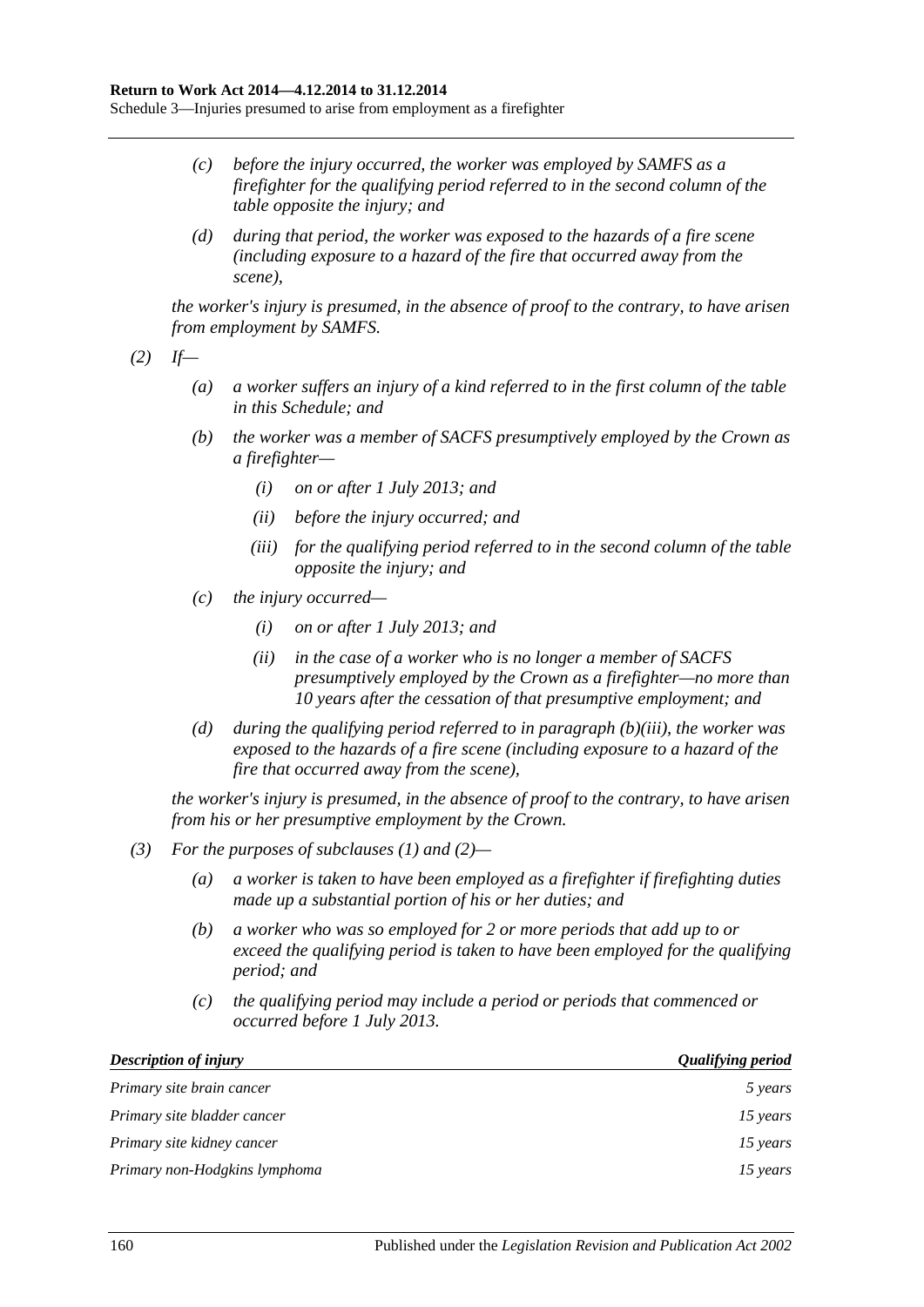- *(c) before the injury occurred, the worker was employed by SAMFS as a firefighter for the qualifying period referred to in the second column of the table opposite the injury; and*
- *(d) during that period, the worker was exposed to the hazards of a fire scene (including exposure to a hazard of the fire that occurred away from the scene),*

*the worker's injury is presumed, in the absence of proof to the contrary, to have arisen from employment by SAMFS.*

<span id="page-159-1"></span>*(2) If—*

- *(a) a worker suffers an injury of a kind referred to in the first column of the table in this Schedule; and*
- *(b) the worker was a member of SACFS presumptively employed by the Crown as a firefighter—*
	- *(i) on or after 1 July 2013; and*
	- *(ii) before the injury occurred; and*
	- *(iii) for the qualifying period referred to in the second column of the table opposite the injury; and*
- <span id="page-159-0"></span>*(c) the injury occurred—*
	- *(i) on or after 1 July 2013; and*
	- *(ii) in the case of a worker who is no longer a member of SACFS presumptively employed by the Crown as a firefighter—no more than 10 years after the cessation of that presumptive employment; and*
- *(d) during the qualifying period referred to in [paragraph](#page-159-0) (b)(iii), the worker was exposed to the hazards of a fire scene (including exposure to a hazard of the fire that occurred away from the scene),*

*the worker's injury is presumed, in the absence of proof to the contrary, to have arisen from his or her presumptive employment by the Crown.*

- *(3) For the purposes of [subclauses \(1\)](#page-158-0) and [\(2\)—](#page-159-1)*
	- *(a) a worker is taken to have been employed as a firefighter if firefighting duties made up a substantial portion of his or her duties; and*
	- *(b) a worker who was so employed for 2 or more periods that add up to or exceed the qualifying period is taken to have been employed for the qualifying period; and*
	- *(c) the qualifying period may include a period or periods that commenced or occurred before 1 July 2013.*

| <b>Description of injury</b>  | <b>Qualifying period</b> |
|-------------------------------|--------------------------|
| Primary site brain cancer     | 5 years                  |
| Primary site bladder cancer   | 15 years                 |
| Primary site kidney cancer    | 15 years                 |
| Primary non-Hodgkins lymphoma | 15 years                 |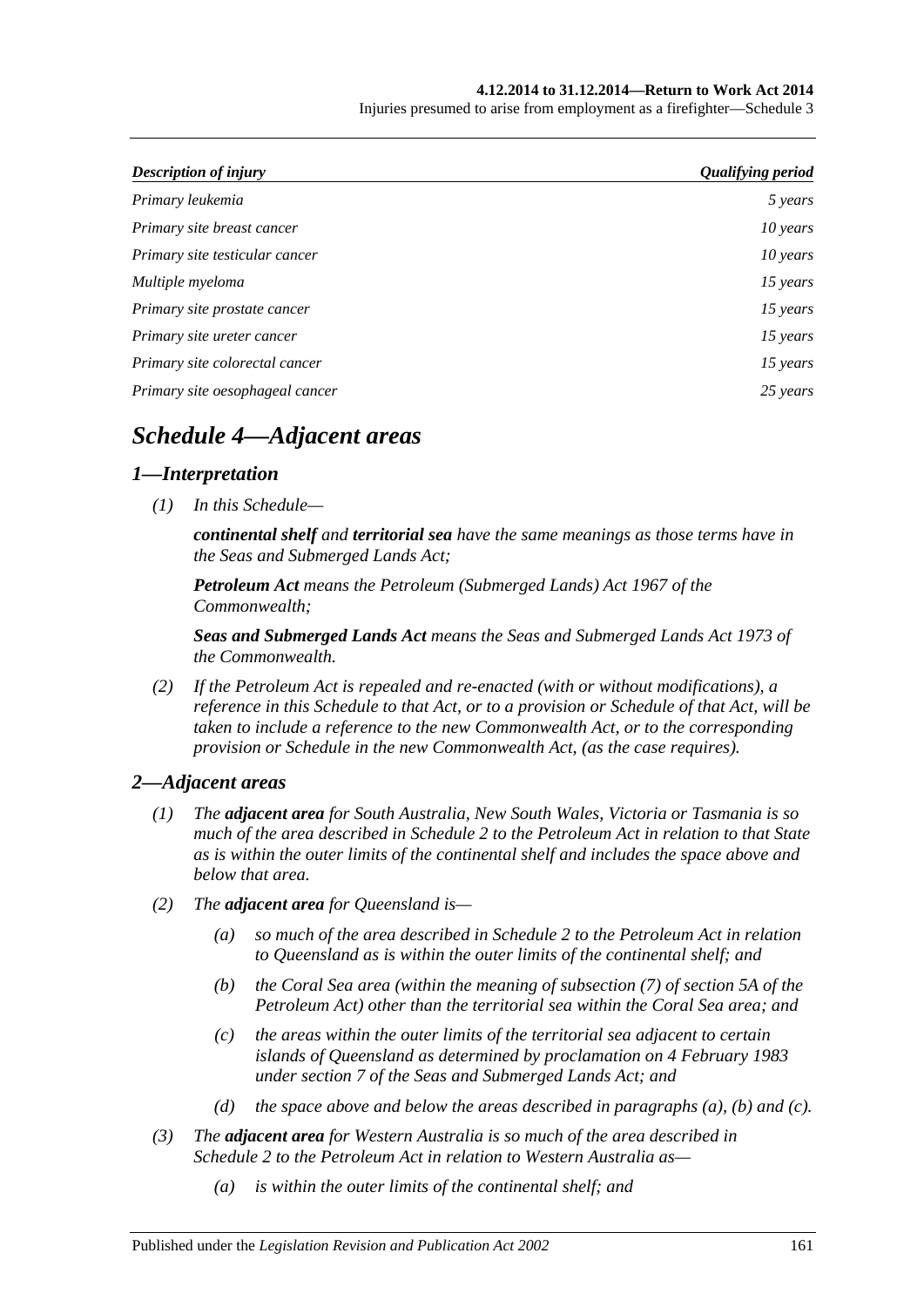#### **4.12.2014 to 31.12.2014—Return to Work Act 2014**

Injuries presumed to arise from employment as a firefighter—Schedule 3

| Description of injury           | <b>Qualifying period</b> |
|---------------------------------|--------------------------|
| Primary leukemia                | 5 years                  |
| Primary site breast cancer      | 10 years                 |
| Primary site testicular cancer  | $10$ years               |
| Multiple myeloma                | 15 years                 |
| Primary site prostate cancer    | 15 years                 |
| Primary site ureter cancer      | 15 years                 |
| Primary site colorectal cancer  | 15 years                 |
| Primary site oesophageal cancer | 25 years                 |

# *Schedule 4—Adjacent areas*

# *1—Interpretation*

*(1) In this Schedule—*

*continental shelf and territorial sea have the same meanings as those terms have in the Seas and Submerged Lands Act;*

*Petroleum Act means the Petroleum (Submerged Lands) Act 1967 of the Commonwealth;*

*Seas and Submerged Lands Act means the Seas and Submerged Lands Act 1973 of the Commonwealth.*

*(2) If the Petroleum Act is repealed and re-enacted (with or without modifications), a reference in this Schedule to that Act, or to a provision or Schedule of that Act, will be taken to include a reference to the new Commonwealth Act, or to the corresponding provision or Schedule in the new Commonwealth Act, (as the case requires).*

# *2—Adjacent areas*

- *(1) The adjacent area for South Australia, New South Wales, Victoria or Tasmania is so much of the area described in Schedule 2 to the Petroleum Act in relation to that State as is within the outer limits of the continental shelf and includes the space above and below that area.*
- <span id="page-160-1"></span><span id="page-160-0"></span>*(2) The adjacent area for Queensland is—*
	- *(a) so much of the area described in Schedule 2 to the Petroleum Act in relation to Queensland as is within the outer limits of the continental shelf; and*
	- *(b) the Coral Sea area (within the meaning of subsection (7) of section 5A of the Petroleum Act) other than the territorial sea within the Coral Sea area; and*
	- *(c) the areas within the outer limits of the territorial sea adjacent to certain islands of Queensland as determined by proclamation on 4 February 1983 under section 7 of the Seas and Submerged Lands Act; and*
	- *(d) the space above and below the areas described in [paragraphs](#page-160-0) (a), [\(b\)](#page-160-1) and [\(c\).](#page-160-2)*
- <span id="page-160-2"></span>*(3) The adjacent area for Western Australia is so much of the area described in Schedule 2 to the Petroleum Act in relation to Western Australia as—*
	- *(a) is within the outer limits of the continental shelf; and*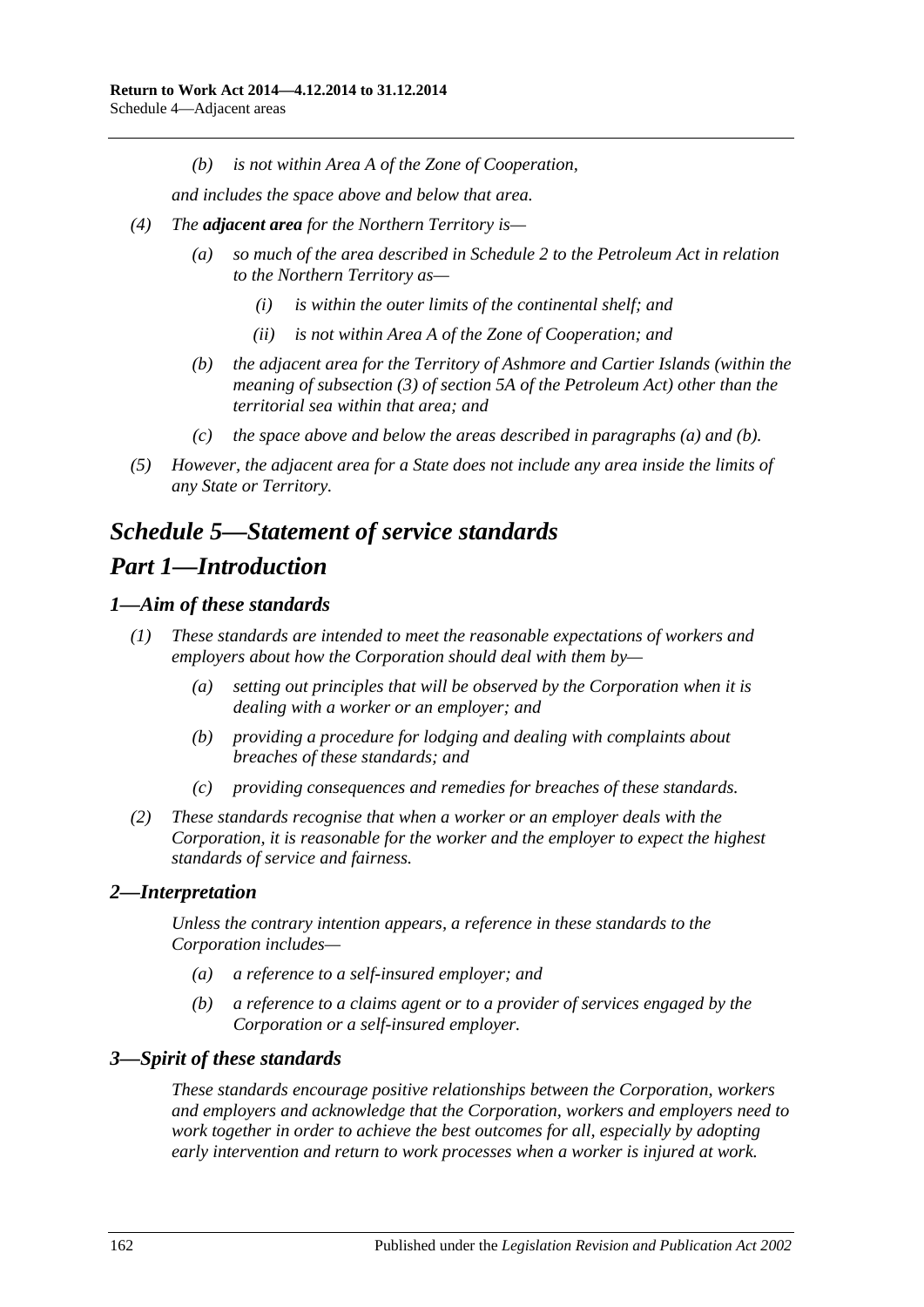*(b) is not within Area A of the Zone of Cooperation,*

*and includes the space above and below that area.*

- <span id="page-161-0"></span>*(4) The adjacent area for the Northern Territory is—*
	- *(a) so much of the area described in Schedule 2 to the Petroleum Act in relation to the Northern Territory as—*
		- *(i) is within the outer limits of the continental shelf; and*
		- *(ii) is not within Area A of the Zone of Cooperation; and*
	- *(b) the adjacent area for the Territory of Ashmore and Cartier Islands (within the meaning of subsection (3) of section 5A of the Petroleum Act) other than the territorial sea within that area; and*
	- *(c) the space above and below the areas described in [paragraphs](#page-161-0) (a) and [\(b\).](#page-161-1)*
- <span id="page-161-1"></span>*(5) However, the adjacent area for a State does not include any area inside the limits of any State or Territory.*

# *Schedule 5—Statement of service standards Part 1—Introduction*

# *1—Aim of these standards*

- *(1) These standards are intended to meet the reasonable expectations of workers and employers about how the Corporation should deal with them by—*
	- *(a) setting out principles that will be observed by the Corporation when it is dealing with a worker or an employer; and*
	- *(b) providing a procedure for lodging and dealing with complaints about breaches of these standards; and*
	- *(c) providing consequences and remedies for breaches of these standards.*
- *(2) These standards recognise that when a worker or an employer deals with the Corporation, it is reasonable for the worker and the employer to expect the highest standards of service and fairness.*

# *2—Interpretation*

*Unless the contrary intention appears, a reference in these standards to the Corporation includes—*

- *(a) a reference to a self-insured employer; and*
- *(b) a reference to a claims agent or to a provider of services engaged by the Corporation or a self-insured employer.*

# *3—Spirit of these standards*

*These standards encourage positive relationships between the Corporation, workers and employers and acknowledge that the Corporation, workers and employers need to work together in order to achieve the best outcomes for all, especially by adopting early intervention and return to work processes when a worker is injured at work.*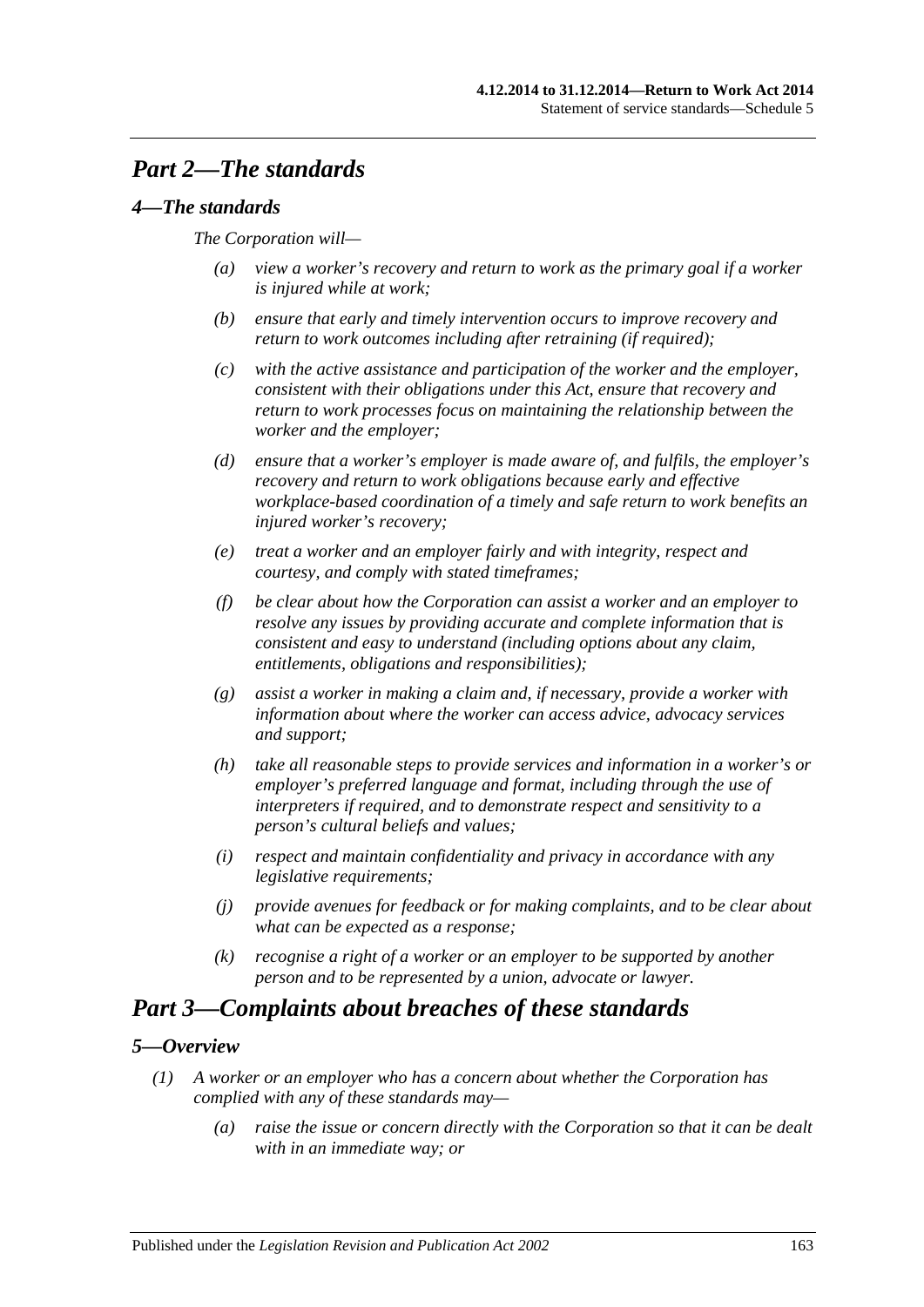# *Part 2—The standards*

# *4—The standards*

## *The Corporation will—*

- *(a) view a worker's recovery and return to work as the primary goal if a worker is injured while at work;*
- *(b) ensure that early and timely intervention occurs to improve recovery and return to work outcomes including after retraining (if required);*
- *(c) with the active assistance and participation of the worker and the employer, consistent with their obligations under this Act, ensure that recovery and return to work processes focus on maintaining the relationship between the worker and the employer;*
- *(d) ensure that a worker's employer is made aware of, and fulfils, the employer's recovery and return to work obligations because early and effective workplace-based coordination of a timely and safe return to work benefits an injured worker's recovery;*
- *(e) treat a worker and an employer fairly and with integrity, respect and courtesy, and comply with stated timeframes;*
- *(f) be clear about how the Corporation can assist a worker and an employer to resolve any issues by providing accurate and complete information that is consistent and easy to understand (including options about any claim, entitlements, obligations and responsibilities);*
- *(g) assist a worker in making a claim and, if necessary, provide a worker with information about where the worker can access advice, advocacy services and support;*
- *(h) take all reasonable steps to provide services and information in a worker's or employer's preferred language and format, including through the use of interpreters if required, and to demonstrate respect and sensitivity to a person's cultural beliefs and values;*
- *(i) respect and maintain confidentiality and privacy in accordance with any legislative requirements;*
- *(j) provide avenues for feedback or for making complaints, and to be clear about what can be expected as a response;*
- *(k) recognise a right of a worker or an employer to be supported by another person and to be represented by a union, advocate or lawyer.*

# *Part 3—Complaints about breaches of these standards*

# <span id="page-162-0"></span>*5—Overview*

- *(1) A worker or an employer who has a concern about whether the Corporation has complied with any of these standards may—*
	- *(a) raise the issue or concern directly with the Corporation so that it can be dealt with in an immediate way; or*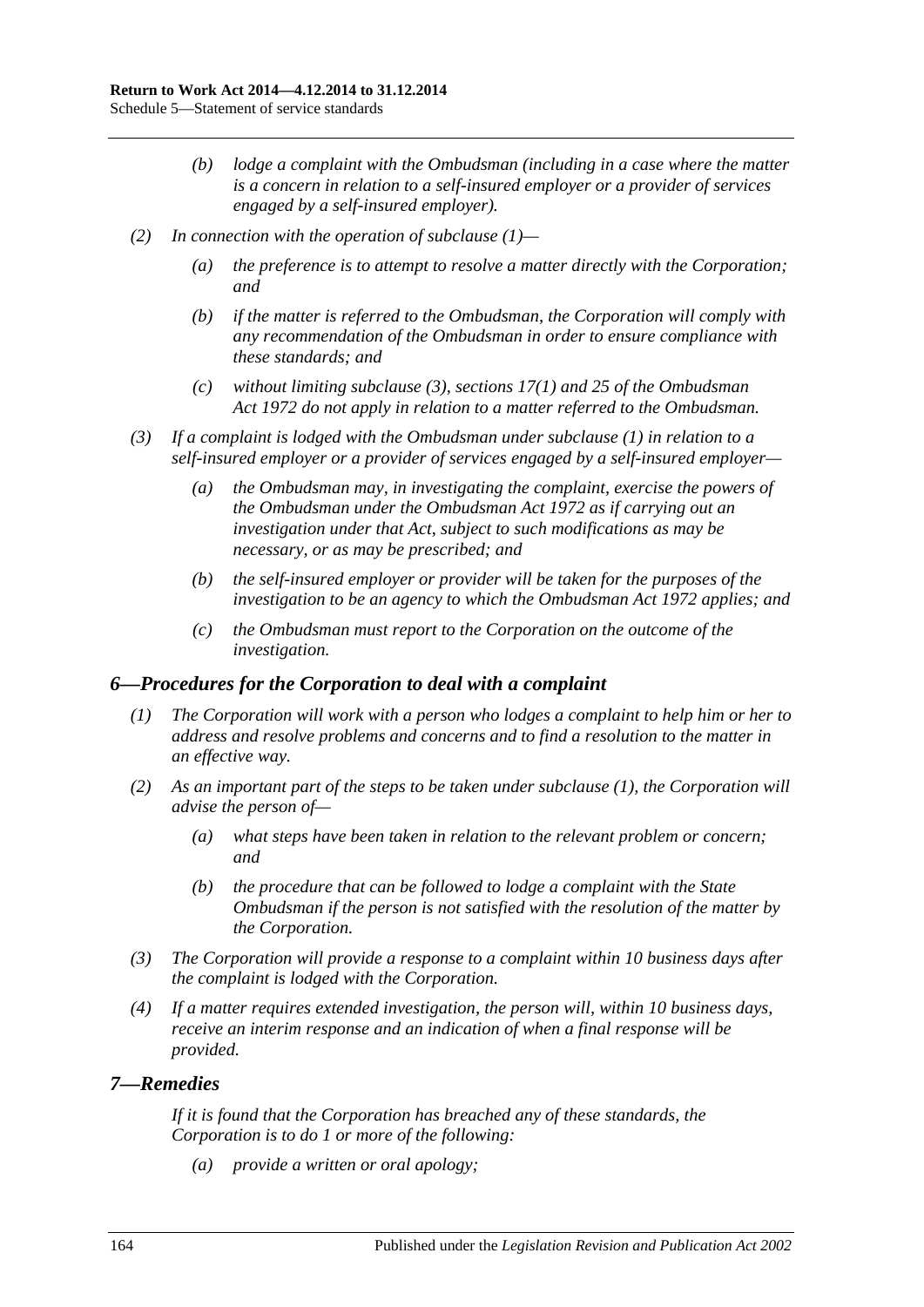- *(b) lodge a complaint with the Ombudsman (including in a case where the matter is a concern in relation to a self-insured employer or a provider of services engaged by a self-insured employer).*
- *(2) In connection with the operation of [subclause](#page-162-0) (1)—*
	- *(a) the preference is to attempt to resolve a matter directly with the Corporation; and*
	- *(b) if the matter is referred to the Ombudsman, the Corporation will comply with any recommendation of the Ombudsman in order to ensure compliance with these standards; and*
	- *(c) without limiting [subclause](#page-163-0) (3), sections 17(1) and 25 of the [Ombudsman](http://www.legislation.sa.gov.au/index.aspx?action=legref&type=act&legtitle=Ombudsman%20Act%201972)  Act [1972](http://www.legislation.sa.gov.au/index.aspx?action=legref&type=act&legtitle=Ombudsman%20Act%201972) do not apply in relation to a matter referred to the Ombudsman.*
- <span id="page-163-0"></span>*(3) If a complaint is lodged with the Ombudsman under [subclause](#page-162-0) (1) in relation to a self-insured employer or a provider of services engaged by a self-insured employer—*
	- *(a) the Ombudsman may, in investigating the complaint, exercise the powers of the Ombudsman under the [Ombudsman Act](http://www.legislation.sa.gov.au/index.aspx?action=legref&type=act&legtitle=Ombudsman%20Act%201972) 1972 as if carrying out an investigation under that Act, subject to such modifications as may be necessary, or as may be prescribed; and*
	- *(b) the self-insured employer or provider will be taken for the purposes of the investigation to be an agency to which the [Ombudsman Act](http://www.legislation.sa.gov.au/index.aspx?action=legref&type=act&legtitle=Ombudsman%20Act%201972) 1972 applies; and*
	- *(c) the Ombudsman must report to the Corporation on the outcome of the investigation.*

#### <span id="page-163-1"></span>*6—Procedures for the Corporation to deal with a complaint*

- *(1) The Corporation will work with a person who lodges a complaint to help him or her to address and resolve problems and concerns and to find a resolution to the matter in an effective way.*
- *(2) As an important part of the steps to be taken under [subclause](#page-163-1) (1), the Corporation will advise the person of—*
	- *(a) what steps have been taken in relation to the relevant problem or concern; and*
	- *(b) the procedure that can be followed to lodge a complaint with the State Ombudsman if the person is not satisfied with the resolution of the matter by the Corporation.*
- *(3) The Corporation will provide a response to a complaint within 10 business days after the complaint is lodged with the Corporation.*
- *(4) If a matter requires extended investigation, the person will, within 10 business days, receive an interim response and an indication of when a final response will be provided.*

#### *7—Remedies*

*If it is found that the Corporation has breached any of these standards, the Corporation is to do 1 or more of the following:*

*(a) provide a written or oral apology;*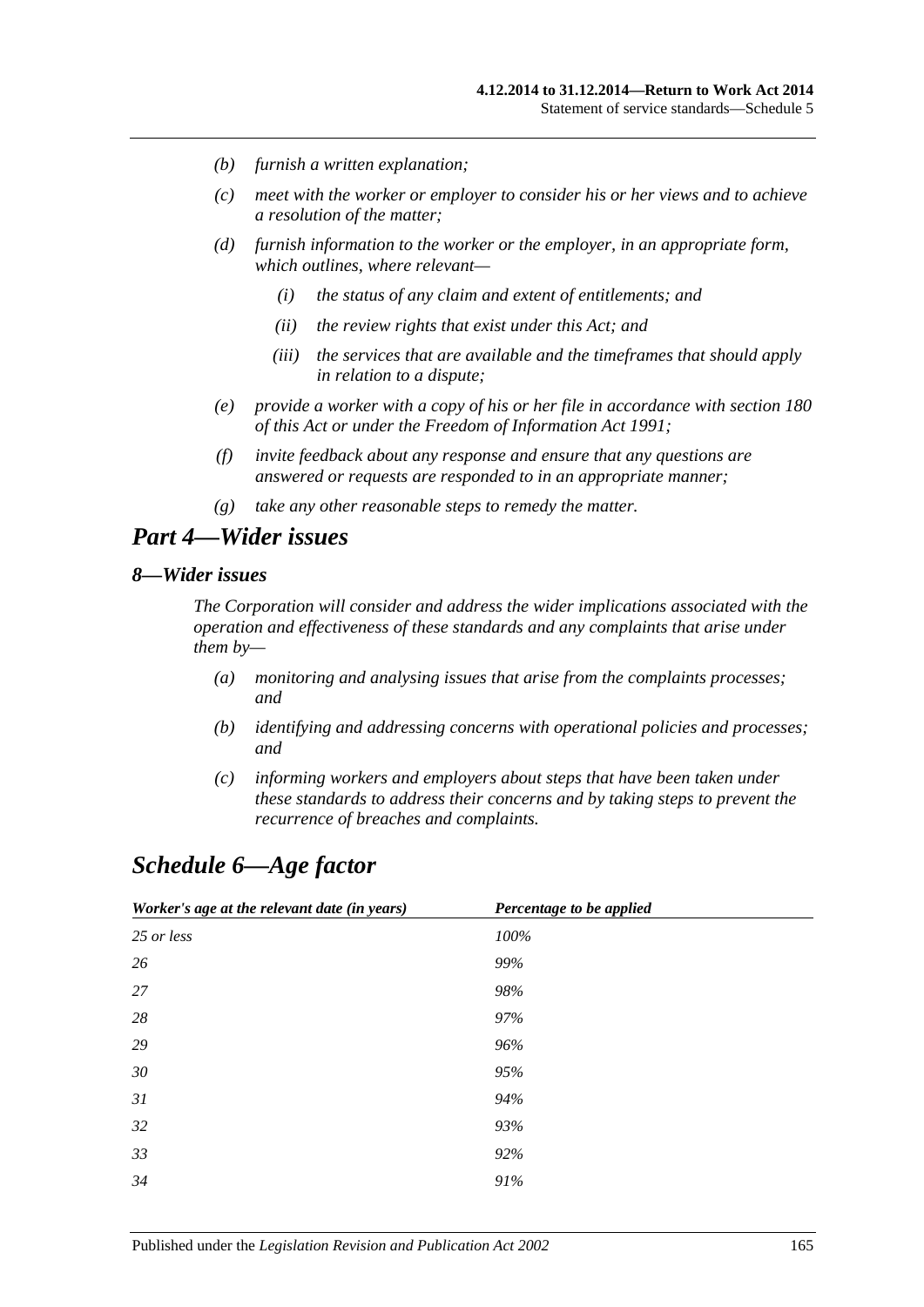- *(b) furnish a written explanation;*
- *(c) meet with the worker or employer to consider his or her views and to achieve a resolution of the matter;*
- *(d) furnish information to the worker or the employer, in an appropriate form, which outlines, where relevant—*
	- *(i) the status of any claim and extent of entitlements; and*
	- *(ii) the review rights that exist under this Act; and*
	- *(iii) the services that are available and the timeframes that should apply in relation to a dispute;*
- *(e) provide a worker with a copy of his or her file in accordance with [section](#page-142-0) 180 of this Act or under the [Freedom of Information Act](http://www.legislation.sa.gov.au/index.aspx?action=legref&type=act&legtitle=Freedom%20of%20Information%20Act%201991) 1991;*
- *(f) invite feedback about any response and ensure that any questions are answered or requests are responded to in an appropriate manner;*
- *(g) take any other reasonable steps to remedy the matter.*

# *Part 4—Wider issues*

## *8—Wider issues*

*The Corporation will consider and address the wider implications associated with the operation and effectiveness of these standards and any complaints that arise under them by—*

- *(a) monitoring and analysing issues that arise from the complaints processes; and*
- *(b) identifying and addressing concerns with operational policies and processes; and*
- *(c) informing workers and employers about steps that have been taken under these standards to address their concerns and by taking steps to prevent the recurrence of breaches and complaints.*

# *Schedule 6—Age factor*

| Worker's age at the relevant date (in years) | Percentage to be applied |
|----------------------------------------------|--------------------------|
| 25 or less                                   | 100%                     |
| 26                                           | 99%                      |
| 27                                           | 98%                      |
| 28                                           | 97%                      |
| 29                                           | 96%                      |
| 30                                           | 95%                      |
| 31                                           | 94%                      |
| 32                                           | 93%                      |
| 33                                           | 92%                      |
| 34                                           | 91%                      |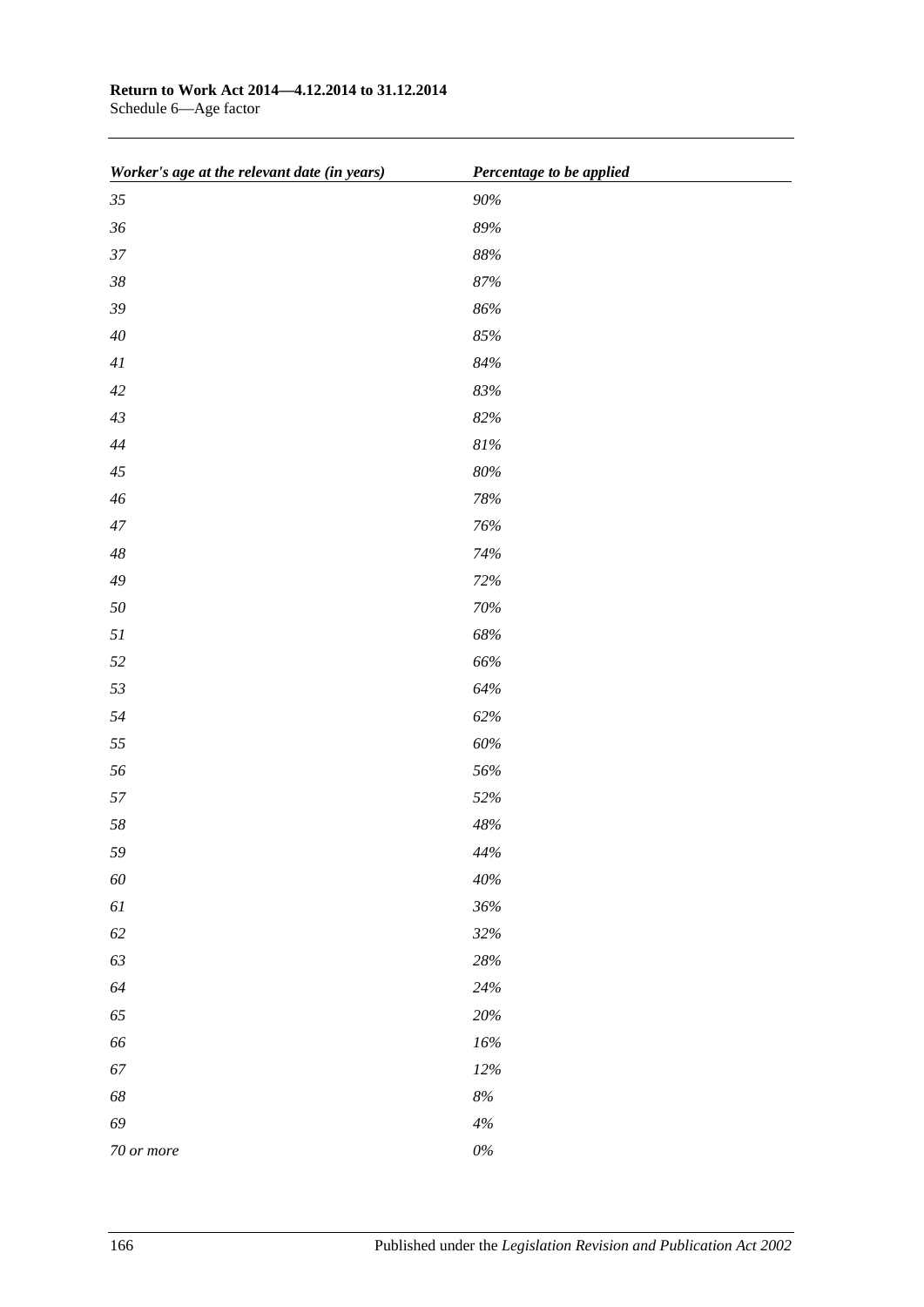# **Return to Work Act 2014—4.12.2014 to 31.12.2014**

Schedule 6—Age factor

| Worker's age at the relevant date (in years) | Percentage to be applied |
|----------------------------------------------|--------------------------|
| $35\,$                                       | $90\%$                   |
| $36\,$                                       | $89\%$                   |
| 37                                           | $88\%$                   |
| $38\,$                                       | $87\%$                   |
| $39\,$                                       | $86\%$                   |
| $40\,$                                       | $85\%$                   |
| $4\mathit{l}$                                | $84\%$                   |
| 42                                           | $83\%$                   |
| 43                                           | $82\%$                   |
| $\sqrt{44}$                                  | $81\%$                   |
| $45\,$                                       | $80\%$                   |
| $46\,$                                       | 78%                      |
| $47\,$                                       | $76\%$                   |
| $\sqrt{48}$                                  | 74%                      |
| $\sqrt{49}$                                  | $72\%$                   |
| $50\,$                                       | 70%                      |
| $5\mathcal{I}$                               | $68\%$                   |
| 52                                           | $66\%$                   |
| 53                                           | $64\%$                   |
| 54                                           | 62%                      |
| 55                                           | $60\%$                   |
| 56                                           | $56\%$                   |
| 57                                           | 52%                      |
| $58\,$                                       | $48\%$                   |
| 59                                           | $44\%$                   |
| $60\,$                                       | $40\%$                   |
| $6\mathcal{I}$                               | $36\%$                   |
| $62\,$                                       | 32%                      |
| 63                                           | $28\%$                   |
| 64                                           | $24\%$                   |
| 65                                           | $20\%$                   |
| 66                                           | $16\%$                   |
| 67                                           | $12\%$                   |
| $68\,$                                       | $8\%$                    |
| 69                                           | $4\%$                    |
| 70 or more                                   | $0\%$                    |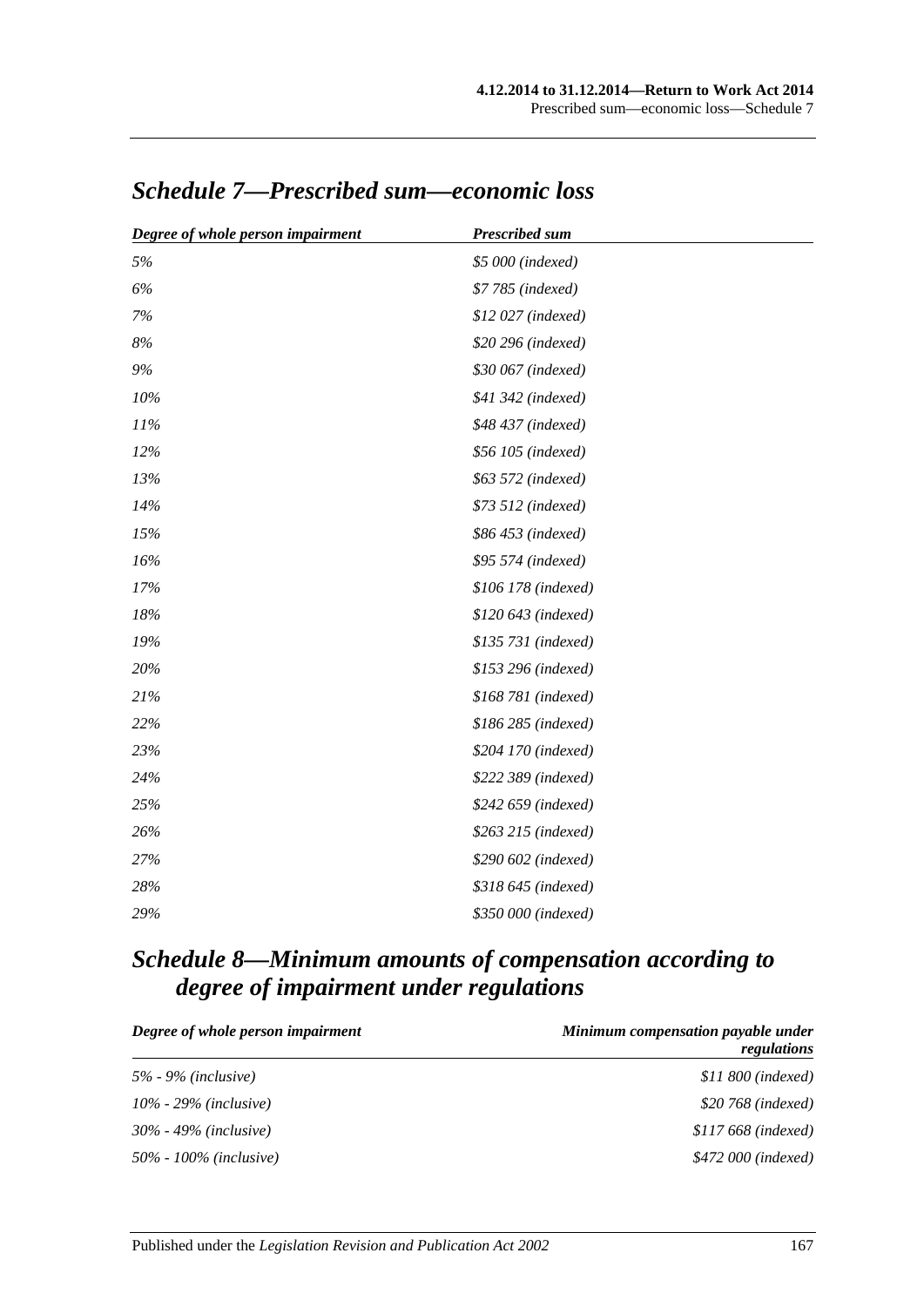| Degree of whole person impairment | <b>Prescribed sum</b> |
|-----------------------------------|-----------------------|
| 5%                                | \$5 000 (indexed)     |
| 6%                                | \$7 785 (indexed)     |
| $7\%$                             | \$12 027 (indexed)    |
| $8\%$                             | \$20 296 (indexed)    |
| 9%                                | \$30 067 (indexed)    |
| 10%                               | \$41 342 (indexed)    |
| 11%                               | \$48 437 (indexed)    |
| 12%                               | \$56 105 (indexed)    |
| 13%                               | \$63 572 (indexed)    |
| 14%                               | \$73 512 (indexed)    |
| 15%                               | \$86 453 (indexed)    |
| 16%                               | \$95 574 (indexed)    |
| 17%                               | \$106 178 (indexed)   |
| 18%                               | \$120 643 (indexed)   |
| 19%                               | \$135 731 (indexed)   |
| 20%                               | \$153 296 (indexed)   |
| 21%                               | \$168 781 (indexed)   |
| 22%                               | \$186 285 (indexed)   |
| 23%                               | \$204 170 (indexed)   |
| 24%                               | \$222 389 (indexed)   |
| 25%                               | \$242 659 (indexed)   |
| 26%                               | \$263 215 (indexed)   |
| 27%                               | \$290 602 (indexed)   |
| 28%                               | \$318 645 (indexed)   |
| 29%                               | \$350 000 (indexed)   |

# *Schedule 7—Prescribed sum—economic loss*

# *Schedule 8—Minimum amounts of compensation according to degree of impairment under regulations*

| Degree of whole person impairment | Minimum compensation payable under<br>regulations |
|-----------------------------------|---------------------------------------------------|
| 5% - 9% ( <i>inclusive</i> )      | $$11\,800$ (indexed)                              |
| $10\%$ - 29% (inclusive)          | \$20 768 ( <i>indexed</i> )                       |
| $30\%$ - 49% (inclusive)          | $$117668$ (indexed)                               |
| 50% - 100% ( <i>inclusive</i> )   | \$472 000 (indexed)                               |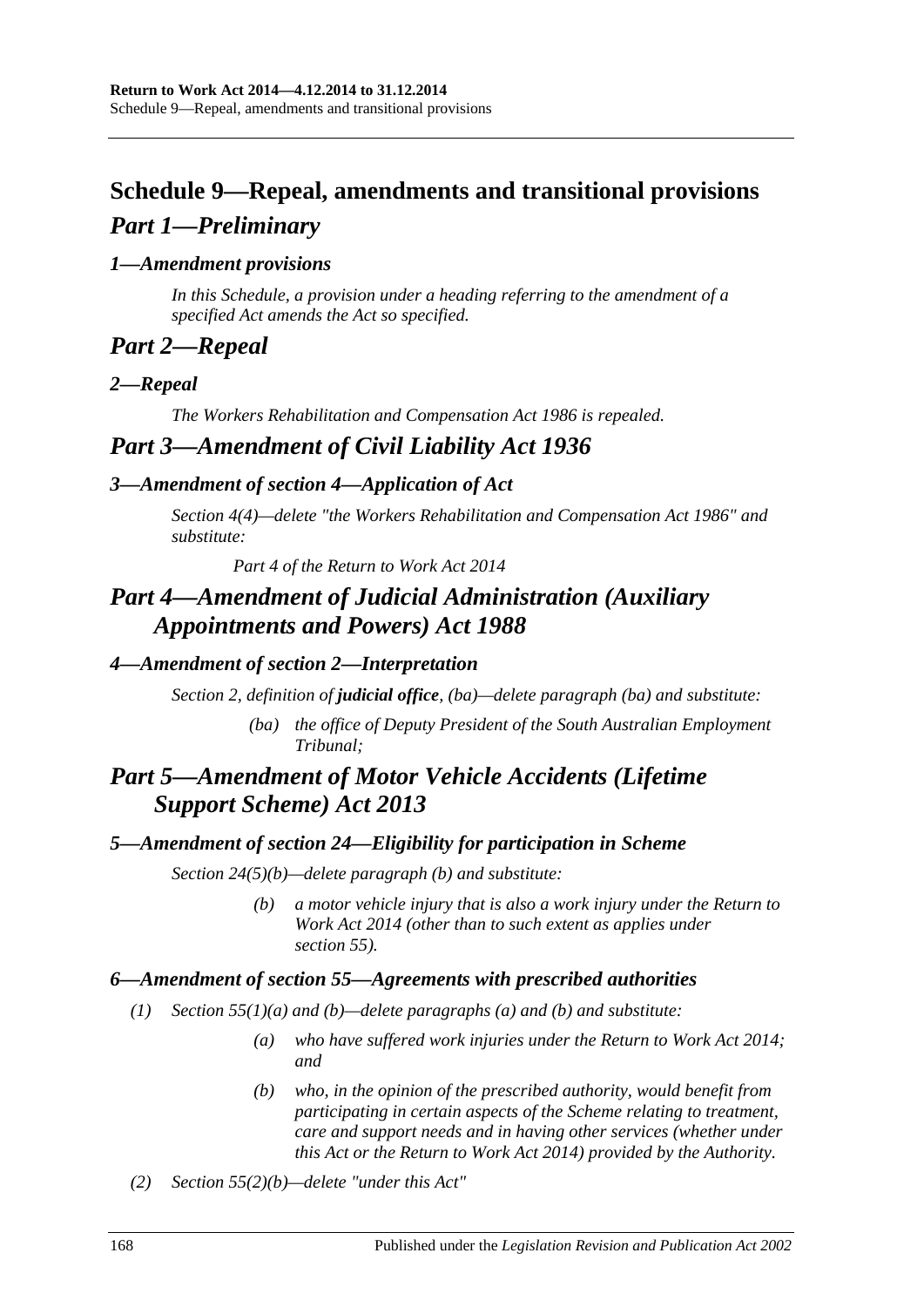# **Schedule 9—Repeal, amendments and transitional provisions** *Part 1—Preliminary*

# *1—Amendment provisions*

*In this Schedule, a provision under a heading referring to the amendment of a specified Act amends the Act so specified.*

# *Part 2—Repeal*

# *2—Repeal*

*The [Workers Rehabilitation and Compensation Act](http://www.legislation.sa.gov.au/index.aspx?action=legref&type=act&legtitle=Workers%20Rehabilitation%20and%20Compensation%20Act%201986) 1986 is repealed.*

# *Part 3—Amendment of Civil Liability Act 1936*

# *3—Amendment of section 4—Application of Act*

*Section 4(4)—delete "the [Workers Rehabilitation and Compensation Act](http://www.legislation.sa.gov.au/index.aspx?action=legref&type=act&legtitle=Workers%20Rehabilitation%20and%20Compensation%20Act%201986) 1986" and substitute:*

*Part 4 of the [Return to Work Act](http://www.legislation.sa.gov.au/index.aspx?action=legref&type=act&legtitle=Return%20to%20Work%20Act%202014) 2014*

# *Part 4—Amendment of Judicial Administration (Auxiliary Appointments and Powers) Act 1988*

# *4—Amendment of section 2—Interpretation*

*Section 2, definition of judicial office, (ba)—delete paragraph (ba) and substitute:*

*(ba) the office of Deputy President of the South Australian Employment Tribunal;*

# *Part 5—Amendment of Motor Vehicle Accidents (Lifetime Support Scheme) Act 2013*

# *5—Amendment of section 24—Eligibility for participation in Scheme*

*Section 24(5)(b)—delete paragraph (b) and substitute:*

*(b) a motor vehicle injury that is also a work injury under the [Return to](http://www.legislation.sa.gov.au/index.aspx?action=legref&type=act&legtitle=Return%20to%20Work%20Act%202014)  [Work Act](http://www.legislation.sa.gov.au/index.aspx?action=legref&type=act&legtitle=Return%20to%20Work%20Act%202014) 2014 (other than to such extent as applies under section 55).*

# *6—Amendment of section 55—Agreements with prescribed authorities*

- *(1) Section 55(1)(a) and (b)—delete paragraphs (a) and (b) and substitute:*
	- *(a) who have suffered work injuries under the [Return to Work Act](http://www.legislation.sa.gov.au/index.aspx?action=legref&type=act&legtitle=Return%20to%20Work%20Act%202014) 2014; and*
	- *(b) who, in the opinion of the prescribed authority, would benefit from participating in certain aspects of the Scheme relating to treatment, care and support needs and in having other services (whether under this Act or the [Return to Work Act](http://www.legislation.sa.gov.au/index.aspx?action=legref&type=act&legtitle=Return%20to%20Work%20Act%202014) 2014) provided by the Authority.*
- *(2) Section 55(2)(b)—delete "under this Act"*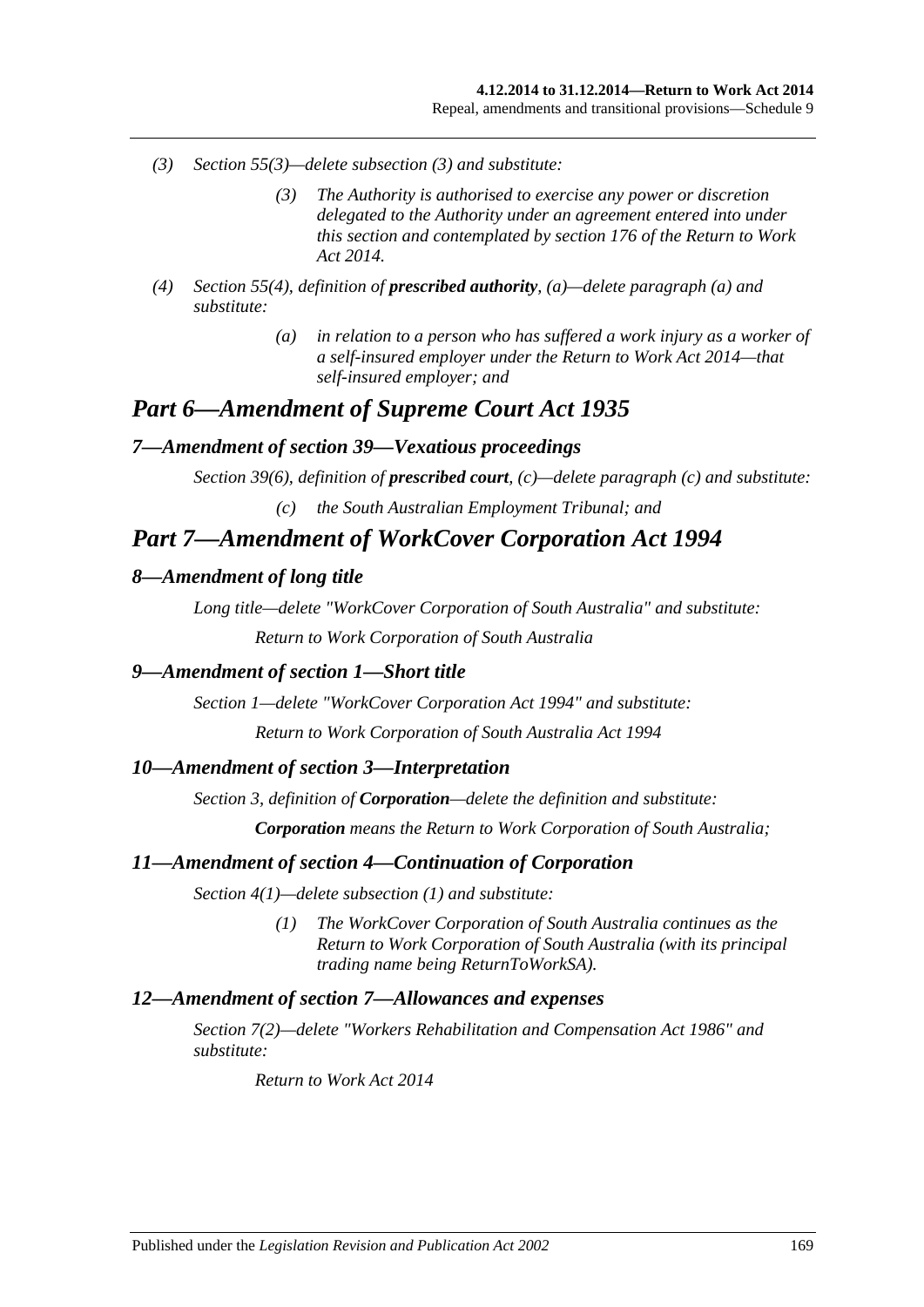- *(3) Section 55(3)—delete subsection (3) and substitute:*
	- *(3) The Authority is authorised to exercise any power or discretion delegated to the Authority under an agreement entered into under this section and contemplated by section 176 of the [Return to Work](http://www.legislation.sa.gov.au/index.aspx?action=legref&type=act&legtitle=Return%20to%20Work%20Act%202014)  Act [2014.](http://www.legislation.sa.gov.au/index.aspx?action=legref&type=act&legtitle=Return%20to%20Work%20Act%202014)*
- *(4) Section 55(4), definition of prescribed authority, (a)—delete paragraph (a) and substitute:*
	- *(a) in relation to a person who has suffered a work injury as a worker of a self-insured employer under the [Return to Work Act](http://www.legislation.sa.gov.au/index.aspx?action=legref&type=act&legtitle=Return%20to%20Work%20Act%202014) 2014—that self-insured employer; and*

# *Part 6—Amendment of Supreme Court Act 1935*

#### *7—Amendment of section 39—Vexatious proceedings*

*Section 39(6), definition of prescribed court, (c)—delete paragraph (c) and substitute:*

*(c) the South Australian Employment Tribunal; and*

# *Part 7—Amendment of WorkCover Corporation Act 1994*

#### *8—Amendment of long title*

*Long title—delete "WorkCover Corporation of South Australia" and substitute:*

*Return to Work Corporation of South Australia*

#### *9—Amendment of section 1—Short title*

*Section 1—delete ["WorkCover Corporation Act](http://www.legislation.sa.gov.au/index.aspx?action=legref&type=act&legtitle=WorkCover%20Corporation%20Act%201994) 1994" and substitute:*

*[Return to Work Corporation of South Australia Act](http://www.legislation.sa.gov.au/index.aspx?action=legref&type=act&legtitle=Return%20to%20Work%20Corporation%20of%20South%20Australia%20Act%201994) 1994*

#### *10—Amendment of section 3—Interpretation*

*Section 3, definition of Corporation—delete the definition and substitute:*

*Corporation means the Return to Work Corporation of South Australia;*

#### *11—Amendment of section 4—Continuation of Corporation*

*Section 4(1)—delete subsection (1) and substitute:*

*(1) The WorkCover Corporation of South Australia continues as the Return to Work Corporation of South Australia (with its principal trading name being ReturnToWorkSA).*

#### *12—Amendment of section 7—Allowances and expenses*

*Section 7(2)—delete ["Workers Rehabilitation and Compensation Act](http://www.legislation.sa.gov.au/index.aspx?action=legref&type=act&legtitle=Workers%20Rehabilitation%20and%20Compensation%20Act%201986) 1986" and substitute:*

*[Return to Work Act](http://www.legislation.sa.gov.au/index.aspx?action=legref&type=act&legtitle=Return%20to%20Work%20Act%202014) 2014*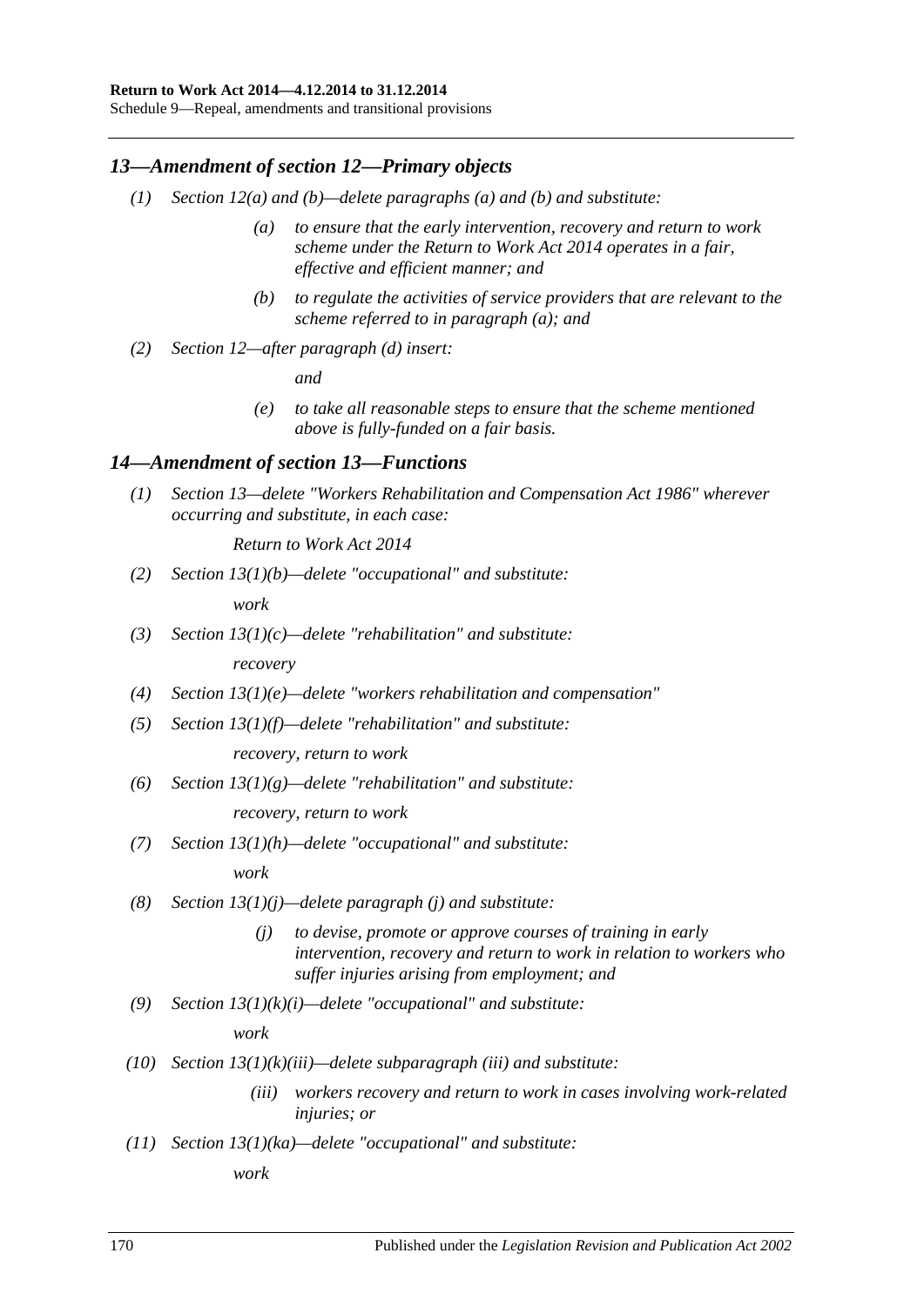#### **Return to Work Act 2014—4.12.2014 to 31.12.2014**

Schedule 9—Repeal, amendments and transitional provisions

## *13—Amendment of section 12—Primary objects*

- *(1) Section 12(a) and (b)—delete paragraphs (a) and (b) and substitute:*
	- *(a) to ensure that the early intervention, recovery and return to work scheme under the [Return to Work Act](http://www.legislation.sa.gov.au/index.aspx?action=legref&type=act&legtitle=Return%20to%20Work%20Act%202014) 2014 operates in a fair, effective and efficient manner; and*
	- *(b) to regulate the activities of service providers that are relevant to the scheme referred to in paragraph (a); and*
- *(2) Section 12—after paragraph (d) insert:*

*and*

*(e) to take all reasonable steps to ensure that the scheme mentioned above is fully-funded on a fair basis.*

## *14—Amendment of section 13—Functions*

*(1) Section 13—delete ["Workers Rehabilitation and Compensation Act](http://www.legislation.sa.gov.au/index.aspx?action=legref&type=act&legtitle=Workers%20Rehabilitation%20and%20Compensation%20Act%201986) 1986" wherever occurring and substitute, in each case:*

*[Return to Work Act](http://www.legislation.sa.gov.au/index.aspx?action=legref&type=act&legtitle=Return%20to%20Work%20Act%202014) 2014*

*(2) Section 13(1)(b)—delete "occupational" and substitute:*

*work*

- *(3) Section 13(1)(c)—delete "rehabilitation" and substitute: recovery*
- *(4) Section 13(1)(e)—delete "workers rehabilitation and compensation"*
- *(5) Section 13(1)(f)—delete "rehabilitation" and substitute:*

*recovery, return to work*

*(6) Section 13(1)(g)—delete "rehabilitation" and substitute:*

*recovery, return to work*

*(7) Section 13(1)(h)—delete "occupational" and substitute:*

*work*

- *(8) Section 13(1)(j)—delete paragraph (j) and substitute:*
	- *(j) to devise, promote or approve courses of training in early intervention, recovery and return to work in relation to workers who suffer injuries arising from employment; and*
- *(9) Section 13(1)(k)(i)—delete "occupational" and substitute:*

*work*

- *(10) Section 13(1)(k)(iii)—delete subparagraph (iii) and substitute:*
	- *(iii) workers recovery and return to work in cases involving work-related injuries; or*
- *(11) Section 13(1)(ka)—delete "occupational" and substitute:*

*work*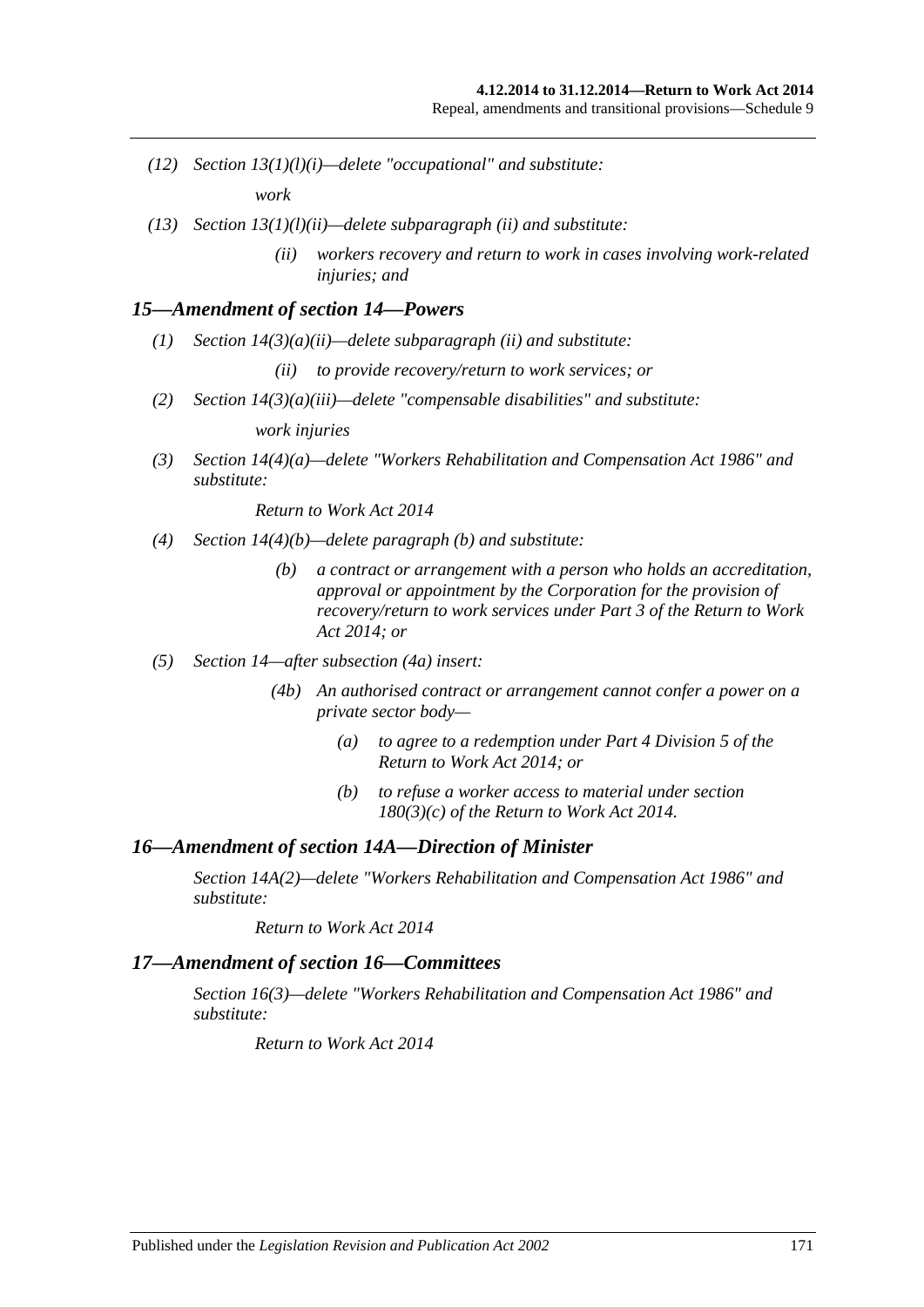- *(12) Section 13(1)(l)(i)—delete "occupational" and substitute: work*
- *(13) Section 13(1)(l)(ii)—delete subparagraph (ii) and substitute:*
	- *(ii) workers recovery and return to work in cases involving work-related injuries; and*

#### *15—Amendment of section 14—Powers*

- *(1) Section 14(3)(a)(ii)—delete subparagraph (ii) and substitute:*
	- *(ii) to provide recovery/return to work services; or*
- *(2) Section 14(3)(a)(iii)—delete "compensable disabilities" and substitute:*

*work injuries*

*(3) Section 14(4)(a)—delete ["Workers Rehabilitation and Compensation Act](http://www.legislation.sa.gov.au/index.aspx?action=legref&type=act&legtitle=Workers%20Rehabilitation%20and%20Compensation%20Act%201986) 1986" and substitute:*

*[Return to Work Act](http://www.legislation.sa.gov.au/index.aspx?action=legref&type=act&legtitle=Return%20to%20Work%20Act%202014) 2014*

- *(4) Section 14(4)(b)—delete paragraph (b) and substitute:*
	- *(b) a contract or arrangement with a person who holds an accreditation, approval or appointment by the Corporation for the provision of recovery/return to work services under Part 3 of the [Return to Work](http://www.legislation.sa.gov.au/index.aspx?action=legref&type=act&legtitle=Return%20to%20Work%20Act%202014)  Act [2014;](http://www.legislation.sa.gov.au/index.aspx?action=legref&type=act&legtitle=Return%20to%20Work%20Act%202014) or*
- *(5) Section 14—after subsection (4a) insert:*
	- *(4b) An authorised contract or arrangement cannot confer a power on a private sector body—*
		- *(a) to agree to a redemption under Part 4 Division 5 of the [Return to Work Act](http://www.legislation.sa.gov.au/index.aspx?action=legref&type=act&legtitle=Return%20to%20Work%20Act%202014) 2014; or*
		- *(b) to refuse a worker access to material under section 180(3)(c) of the [Return to Work Act](http://www.legislation.sa.gov.au/index.aspx?action=legref&type=act&legtitle=Return%20to%20Work%20Act%202014) 2014.*

#### *16—Amendment of section 14A—Direction of Minister*

*Section 14A(2)—delete ["Workers Rehabilitation and Compensation Act](http://www.legislation.sa.gov.au/index.aspx?action=legref&type=act&legtitle=Workers%20Rehabilitation%20and%20Compensation%20Act%201986) 1986" and substitute:*

*[Return to Work Act](http://www.legislation.sa.gov.au/index.aspx?action=legref&type=act&legtitle=Return%20to%20Work%20Act%202014) 2014*

#### *17—Amendment of section 16—Committees*

*Section 16(3)—delete ["Workers Rehabilitation and Compensation Act](http://www.legislation.sa.gov.au/index.aspx?action=legref&type=act&legtitle=Workers%20Rehabilitation%20and%20Compensation%20Act%201986) 1986" and substitute:*

*[Return to Work Act](http://www.legislation.sa.gov.au/index.aspx?action=legref&type=act&legtitle=Return%20to%20Work%20Act%202014) 2014*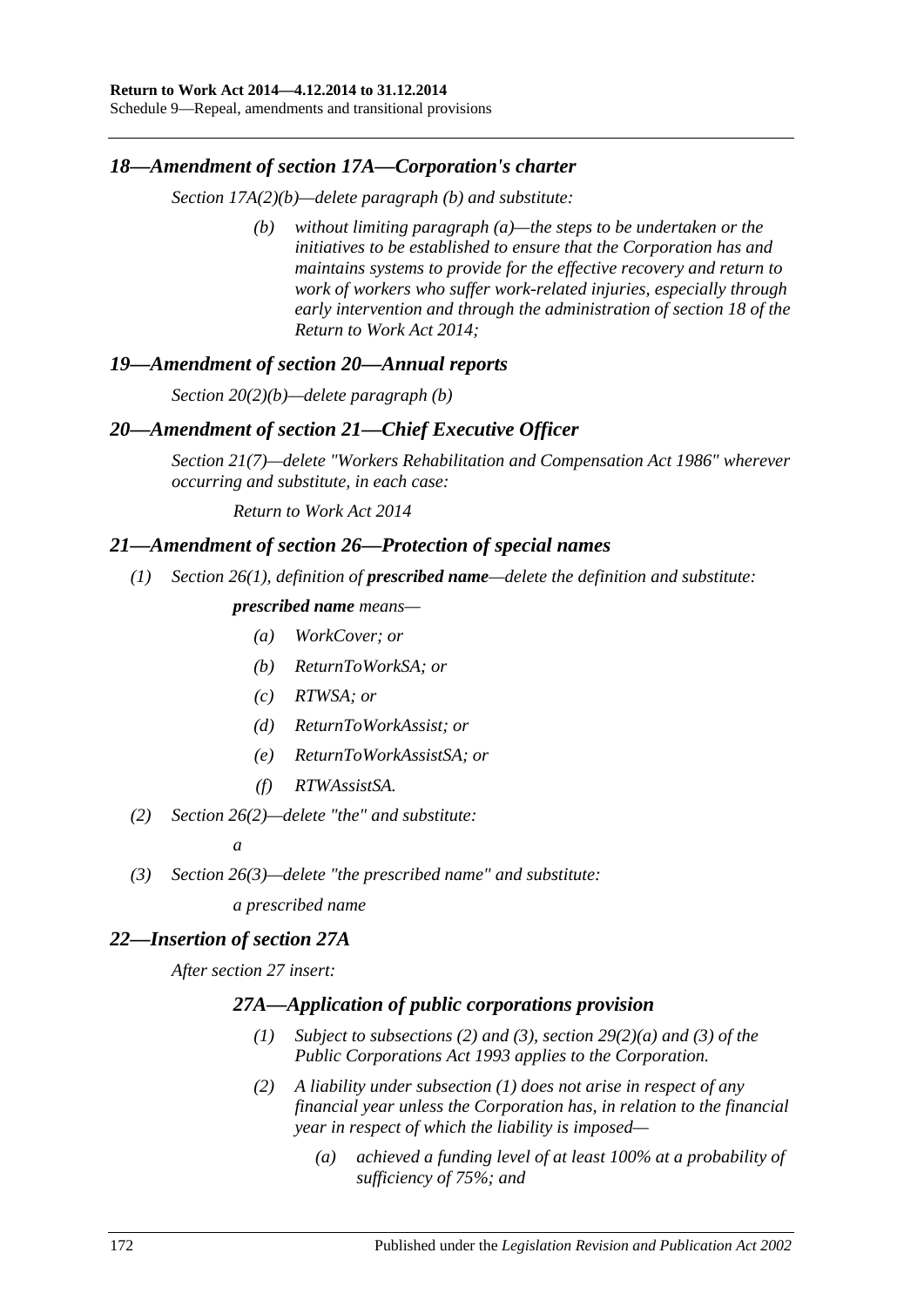Schedule 9—Repeal, amendments and transitional provisions

#### *18—Amendment of section 17A—Corporation's charter*

*Section 17A(2)(b)—delete paragraph (b) and substitute:*

*(b) without limiting paragraph (a)—the steps to be undertaken or the initiatives to be established to ensure that the Corporation has and maintains systems to provide for the effective recovery and return to work of workers who suffer work-related injuries, especially through early intervention and through the administration of section 18 of the [Return to Work Act](http://www.legislation.sa.gov.au/index.aspx?action=legref&type=act&legtitle=Return%20to%20Work%20Act%202014) 2014;*

#### *19—Amendment of section 20—Annual reports*

*Section 20(2)(b)—delete paragraph (b)*

#### *20—Amendment of section 21—Chief Executive Officer*

*Section 21(7)—delete ["Workers Rehabilitation and Compensation Act](http://www.legislation.sa.gov.au/index.aspx?action=legref&type=act&legtitle=Workers%20Rehabilitation%20and%20Compensation%20Act%201986) 1986" wherever occurring and substitute, in each case:*

*[Return to Work Act](http://www.legislation.sa.gov.au/index.aspx?action=legref&type=act&legtitle=Return%20to%20Work%20Act%202014) 2014*

#### *21—Amendment of section 26—Protection of special names*

*(1) Section 26(1), definition of prescribed name—delete the definition and substitute:*

## *prescribed name means—*

- *(a) WorkCover; or*
- *(b) ReturnToWorkSA; or*
- *(c) RTWSA; or*
- *(d) ReturnToWorkAssist; or*
- *(e) ReturnToWorkAssistSA; or*
- *(f) RTWAssistSA.*
- *(2) Section 26(2)—delete "the" and substitute:*

*a*

*(3) Section 26(3)—delete "the prescribed name" and substitute:*

*a prescribed name*

#### *22—Insertion of section 27A*

<span id="page-171-1"></span><span id="page-171-0"></span>*After section 27 insert:*

#### *27A—Application of public corporations provision*

- *(1) Subject to [subsections](#page-171-0) (2) and [\(3\),](#page-172-0) section 29(2)(a) and (3) of the [Public Corporations Act](http://www.legislation.sa.gov.au/index.aspx?action=legref&type=act&legtitle=Public%20Corporations%20Act%201993) 1993 applies to the Corporation.*
- *(2) A liability under [subsection](#page-171-1) (1) does not arise in respect of any financial year unless the Corporation has, in relation to the financial year in respect of which the liability is imposed—*
	- *(a) achieved a funding level of at least 100% at a probability of sufficiency of 75%; and*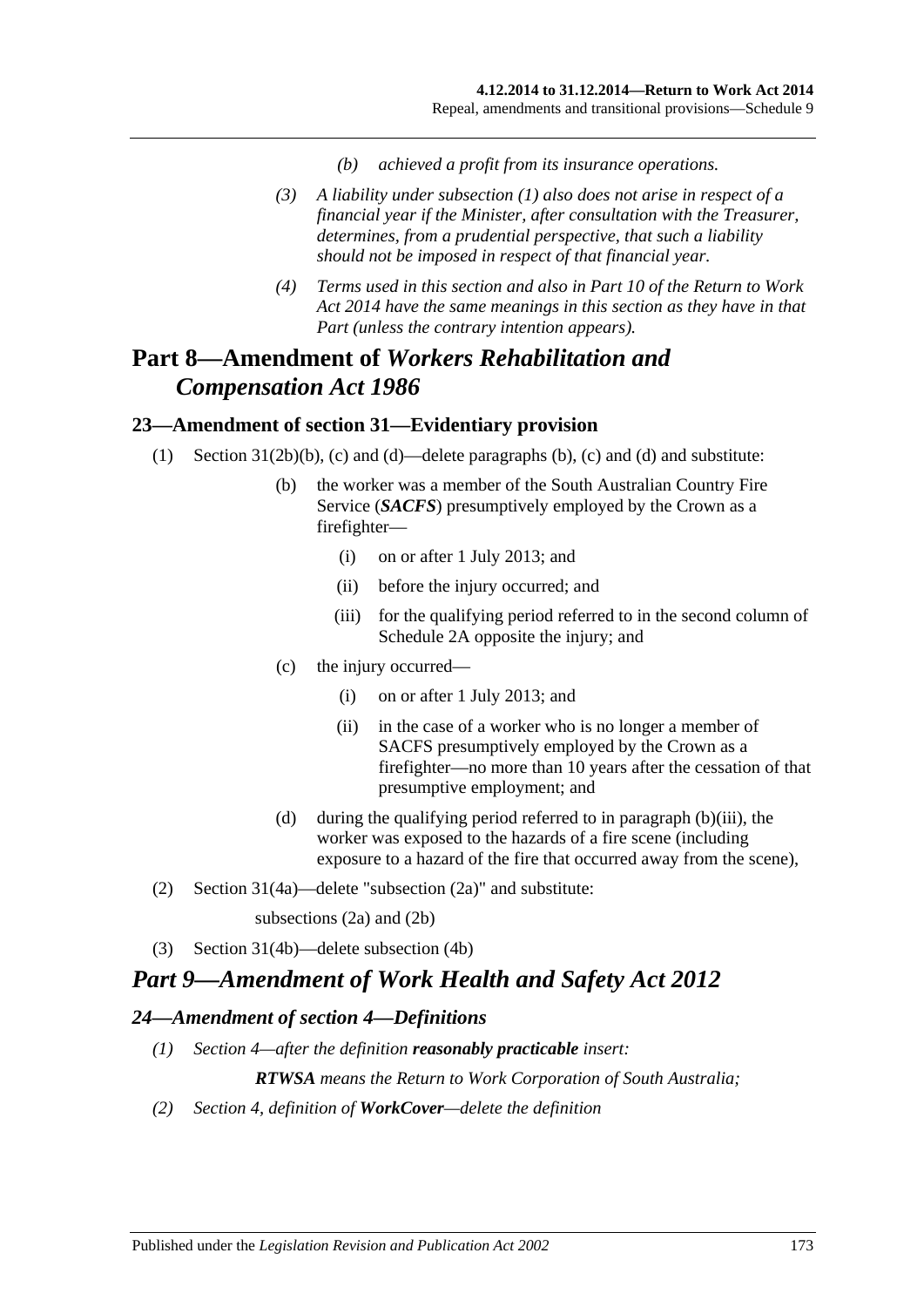- *(b) achieved a profit from its insurance operations.*
- <span id="page-172-0"></span>*(3) A liability under [subsection](#page-171-1) (1) also does not arise in respect of a financial year if the Minister, after consultation with the Treasurer, determines, from a prudential perspective, that such a liability should not be imposed in respect of that financial year.*
- *(4) Terms used in this section and also in Part 10 of the [Return to Work](http://www.legislation.sa.gov.au/index.aspx?action=legref&type=act&legtitle=Return%20to%20Work%20Act%202014)  Act [2014](http://www.legislation.sa.gov.au/index.aspx?action=legref&type=act&legtitle=Return%20to%20Work%20Act%202014) have the same meanings in this section as they have in that Part (unless the contrary intention appears).*

# **Part 8—Amendment of** *Workers Rehabilitation and Compensation Act 1986*

# **23—Amendment of section 31—Evidentiary provision**

- (1) Section 31(2b)(b), (c) and (d)—delete paragraphs (b), (c) and (d) and substitute:
	- (b) the worker was a member of the South Australian Country Fire Service (*SACFS*) presumptively employed by the Crown as a firefighter—
		- (i) on or after 1 July 2013; and
		- (ii) before the injury occurred; and
		- (iii) for the qualifying period referred to in the second column of Schedule 2A opposite the injury; and
	- (c) the injury occurred—
		- (i) on or after 1 July 2013; and
		- (ii) in the case of a worker who is no longer a member of SACFS presumptively employed by the Crown as a firefighter—no more than 10 years after the cessation of that presumptive employment; and
	- (d) during the qualifying period referred to in paragraph (b)(iii), the worker was exposed to the hazards of a fire scene (including exposure to a hazard of the fire that occurred away from the scene),
- (2) Section 31(4a)—delete "subsection (2a)" and substitute:

subsections (2a) and (2b)

(3) Section 31(4b)—delete subsection (4b)

# *Part 9—Amendment of Work Health and Safety Act 2012*

#### *24—Amendment of section 4—Definitions*

*(1) Section 4—after the definition reasonably practicable insert:*

*RTWSA means the Return to Work Corporation of South Australia;*

*(2) Section 4, definition of WorkCover—delete the definition*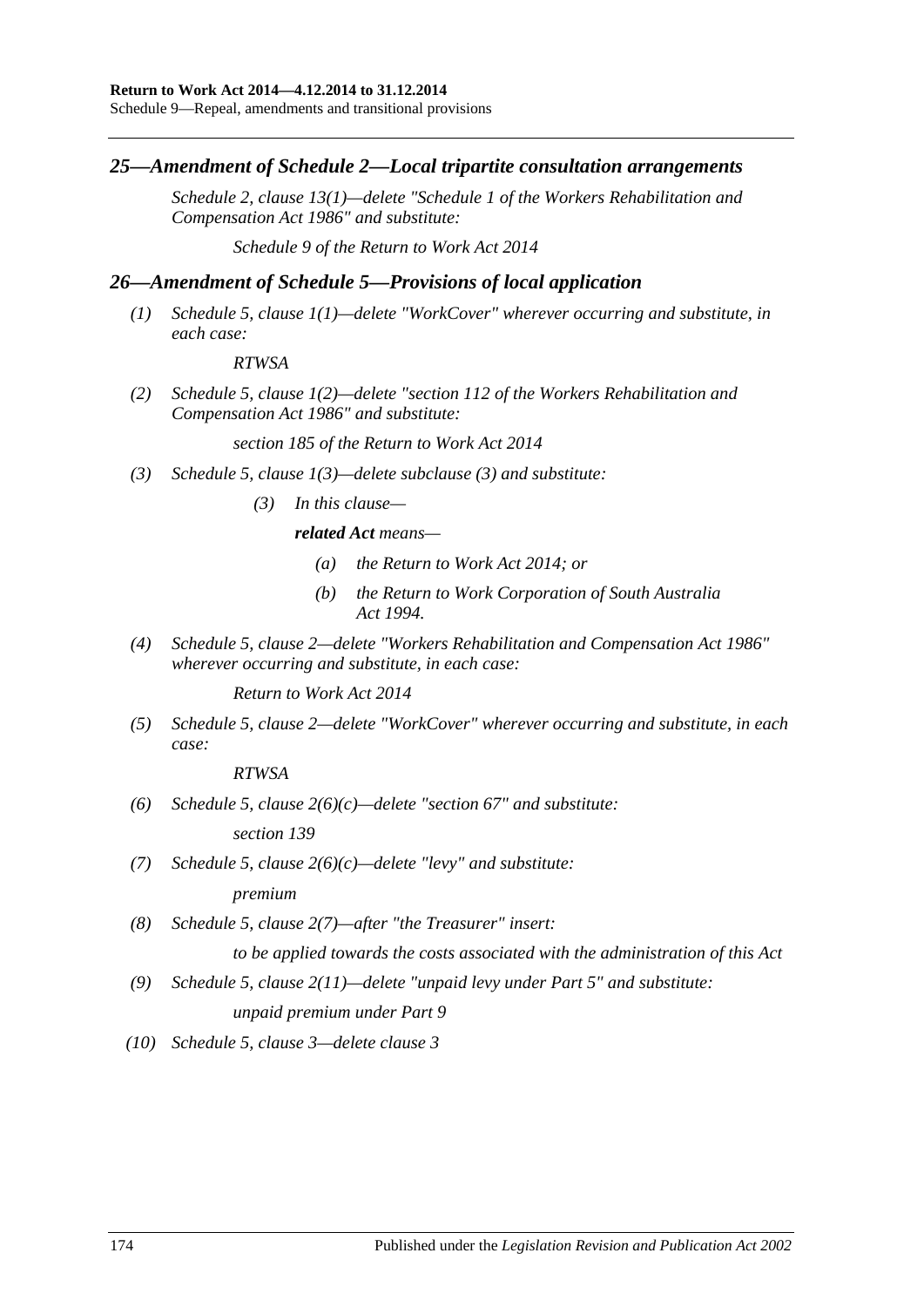## *25—Amendment of Schedule 2—Local tripartite consultation arrangements*

*Schedule 2, clause 13(1)—delete "Schedule 1 of the [Workers Rehabilitation and](http://www.legislation.sa.gov.au/index.aspx?action=legref&type=act&legtitle=Workers%20Rehabilitation%20and%20Compensation%20Act%201986)  [Compensation Act](http://www.legislation.sa.gov.au/index.aspx?action=legref&type=act&legtitle=Workers%20Rehabilitation%20and%20Compensation%20Act%201986) 1986" and substitute:*

*Schedule 9 of the [Return to Work Act](http://www.legislation.sa.gov.au/index.aspx?action=legref&type=act&legtitle=Return%20to%20Work%20Act%202014) 2014*

## *26—Amendment of Schedule 5—Provisions of local application*

*(1) Schedule 5, clause 1(1)—delete "WorkCover" wherever occurring and substitute, in each case:*

#### *RTWSA*

*(2) Schedule 5, clause 1(2)—delete "section 112 of the [Workers Rehabilitation and](http://www.legislation.sa.gov.au/index.aspx?action=legref&type=act&legtitle=Workers%20Rehabilitation%20and%20Compensation%20Act%201986)  [Compensation Act](http://www.legislation.sa.gov.au/index.aspx?action=legref&type=act&legtitle=Workers%20Rehabilitation%20and%20Compensation%20Act%201986) 1986" and substitute:*

*section 185 of the [Return to Work Act](http://www.legislation.sa.gov.au/index.aspx?action=legref&type=act&legtitle=Return%20to%20Work%20Act%202014) 2014*

- *(3) Schedule 5, clause 1(3)—delete subclause (3) and substitute:*
	- *(3) In this clause—*

#### *related Act means—*

- *(a) the [Return to Work Act](http://www.legislation.sa.gov.au/index.aspx?action=legref&type=act&legtitle=Return%20to%20Work%20Act%202014) 2014; or*
- *(b) the [Return to Work Corporation of South Australia](http://www.legislation.sa.gov.au/index.aspx?action=legref&type=act&legtitle=Return%20to%20Work%20Corporation%20of%20South%20Australia%20Act%201994)  Act [1994.](http://www.legislation.sa.gov.au/index.aspx?action=legref&type=act&legtitle=Return%20to%20Work%20Corporation%20of%20South%20Australia%20Act%201994)*
- *(4) Schedule 5, clause 2—delete ["Workers Rehabilitation and Compensation Act](http://www.legislation.sa.gov.au/index.aspx?action=legref&type=act&legtitle=Workers%20Rehabilitation%20and%20Compensation%20Act%201986) 1986" wherever occurring and substitute, in each case:*

*[Return to Work Act](http://www.legislation.sa.gov.au/index.aspx?action=legref&type=act&legtitle=Return%20to%20Work%20Act%202014) 2014*

*(5) Schedule 5, clause 2—delete "WorkCover" wherever occurring and substitute, in each case:*

*RTWSA*

*(6) Schedule 5, clause 2(6)(c)—delete "section 67" and substitute:*

*section 139*

*(7) Schedule 5, clause 2(6)(c)—delete "levy" and substitute:*

*premium*

*(8) Schedule 5, clause 2(7)—after "the Treasurer" insert:*

*to be applied towards the costs associated with the administration of this Act*

- *(9) Schedule 5, clause 2(11)—delete "unpaid levy under Part 5" and substitute: unpaid premium under Part 9*
- *(10) Schedule 5, clause 3—delete clause 3*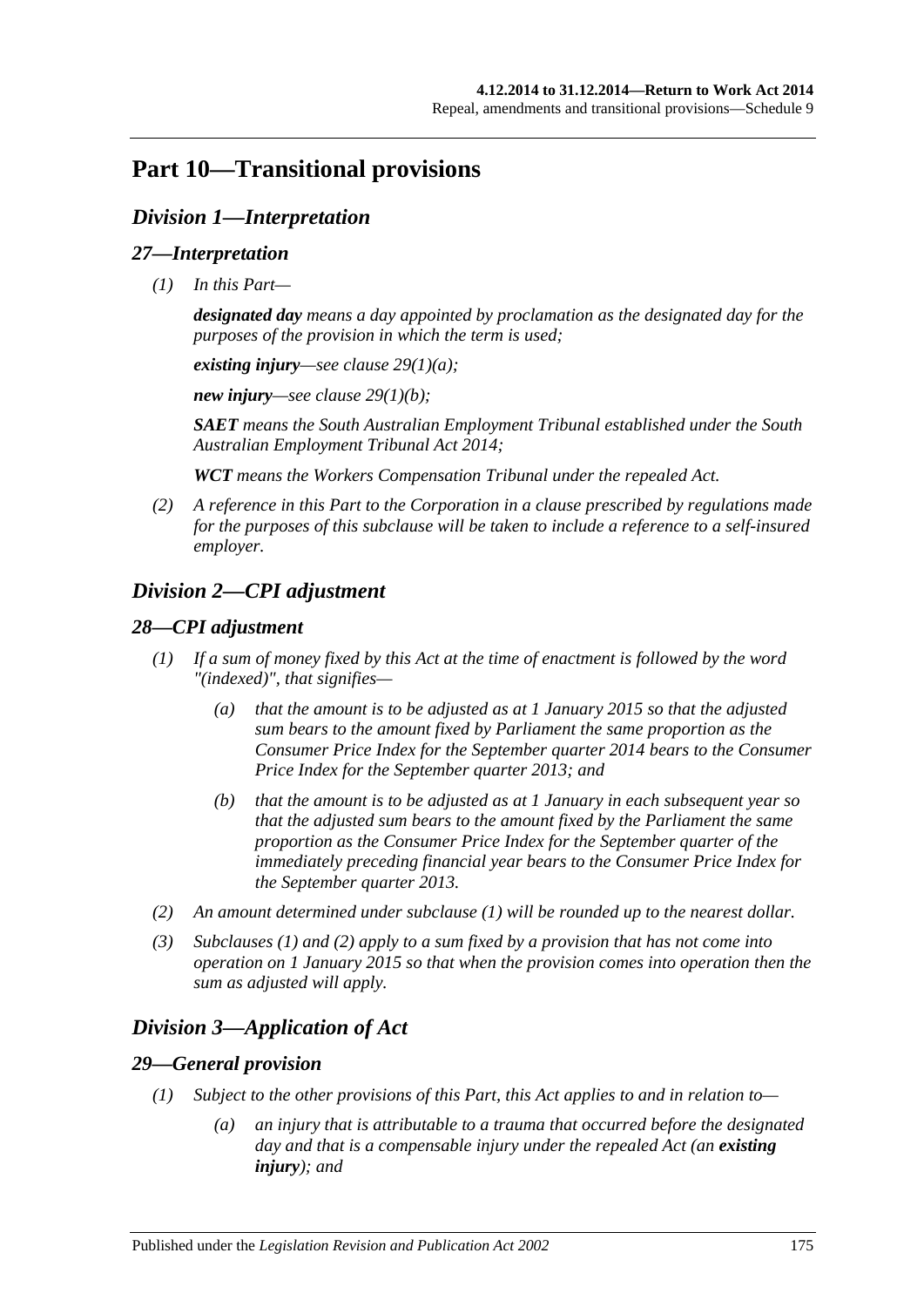# **Part 10—Transitional provisions**

# *Division 1—Interpretation*

## *27—Interpretation*

*(1) In this Part—*

*designated day means a day appointed by proclamation as the designated day for the purposes of the provision in which the term is used;*

*existing injury—see clause [29\(1\)\(a\);](#page-174-0)*

*new injury—see clause [29\(1\)\(b\);](#page-175-0)*

*SAET means the South Australian Employment Tribunal established under the [South](http://www.legislation.sa.gov.au/index.aspx?action=legref&type=act&legtitle=South%20Australian%20Employment%20Tribunal%20Act%202014)  [Australian Employment Tribunal Act](http://www.legislation.sa.gov.au/index.aspx?action=legref&type=act&legtitle=South%20Australian%20Employment%20Tribunal%20Act%202014) 2014;*

*WCT means the Workers Compensation Tribunal under the repealed Act.*

*(2) A reference in this Part to the Corporation in a clause prescribed by regulations made for the purposes of this subclause will be taken to include a reference to a self-insured employer.*

# *Division 2—CPI adjustment*

# <span id="page-174-1"></span>*28—CPI adjustment*

- *(1) If a sum of money fixed by this Act at the time of enactment is followed by the word "(indexed)", that signifies—*
	- *(a) that the amount is to be adjusted as at 1 January 2015 so that the adjusted sum bears to the amount fixed by Parliament the same proportion as the Consumer Price Index for the September quarter 2014 bears to the Consumer Price Index for the September quarter 2013; and*
	- *(b) that the amount is to be adjusted as at 1 January in each subsequent year so that the adjusted sum bears to the amount fixed by the Parliament the same proportion as the Consumer Price Index for the September quarter of the immediately preceding financial year bears to the Consumer Price Index for the September quarter 2013.*
- <span id="page-174-2"></span>*(2) An amount determined under [subclause](#page-174-1) (1) will be rounded up to the nearest dollar.*
- *(3) [Subclauses](#page-174-1) (1) and [\(2\)](#page-174-2) apply to a sum fixed by a provision that has not come into operation on 1 January 2015 so that when the provision comes into operation then the sum as adjusted will apply.*

# *Division 3—Application of Act*

# <span id="page-174-3"></span>*29—General provision*

- <span id="page-174-0"></span>*(1) Subject to the other provisions of this Part, this Act applies to and in relation to—*
	- *(a) an injury that is attributable to a trauma that occurred before the designated day and that is a compensable injury under the repealed Act (an existing injury); and*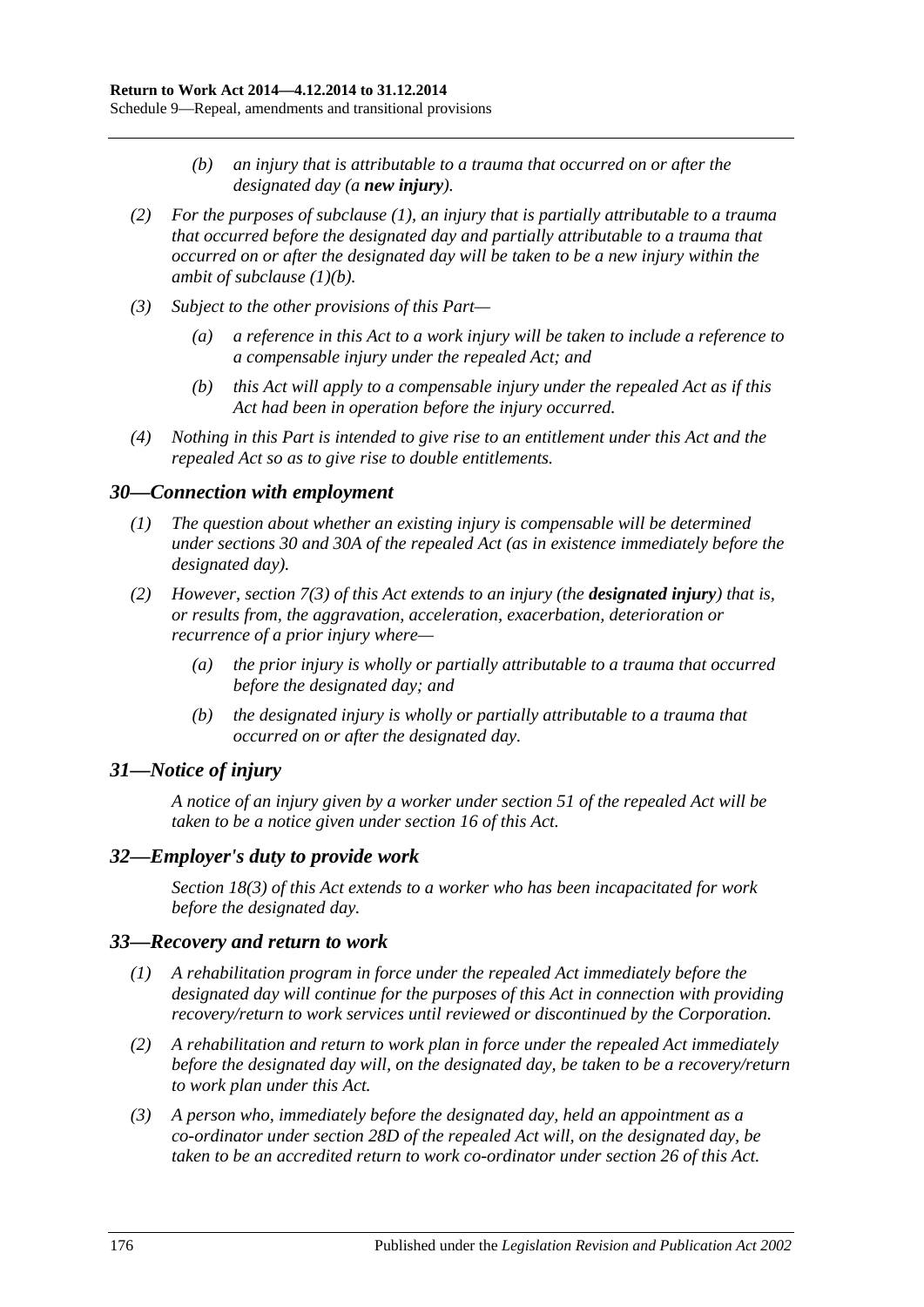- *(b) an injury that is attributable to a trauma that occurred on or after the designated day (a new injury).*
- <span id="page-175-0"></span>*(2) For the purposes of [subclause](#page-174-3) (1), an injury that is partially attributable to a trauma that occurred before the designated day and partially attributable to a trauma that occurred on or after the designated day will be taken to be a new injury within the ambit of [subclause](#page-175-0) (1)(b).*
- *(3) Subject to the other provisions of this Part—*
	- *(a) a reference in this Act to a work injury will be taken to include a reference to a compensable injury under the repealed Act; and*
	- *(b) this Act will apply to a compensable injury under the repealed Act as if this Act had been in operation before the injury occurred.*
- *(4) Nothing in this Part is intended to give rise to an entitlement under this Act and the repealed Act so as to give rise to double entitlements.*

#### *30—Connection with employment*

- *(1) The question about whether an existing injury is compensable will be determined under sections 30 and 30A of the repealed Act (as in existence immediately before the designated day).*
- *(2) However, [section](#page-24-0) 7(3) of this Act extends to an injury (the designated injury) that is, or results from, the aggravation, acceleration, exacerbation, deterioration or recurrence of a prior injury where—*
	- *(a) the prior injury is wholly or partially attributable to a trauma that occurred before the designated day; and*
	- *(b) the designated injury is wholly or partially attributable to a trauma that occurred on or after the designated day.*

# *31—Notice of injury*

*A notice of an injury given by a worker under section 51 of the repealed Act will be taken to be a notice given under [section](#page-30-0) 16 of this Act.*

# *32—Employer's duty to provide work*

*[Section](#page-33-0) 18(3) of this Act extends to a worker who has been incapacitated for work before the designated day.*

#### *33—Recovery and return to work*

- *(1) A rehabilitation program in force under the repealed Act immediately before the designated day will continue for the purposes of this Act in connection with providing recovery/return to work services until reviewed or discontinued by the Corporation.*
- *(2) A rehabilitation and return to work plan in force under the repealed Act immediately before the designated day will, on the designated day, be taken to be a recovery/return to work plan under this Act.*
- *(3) A person who, immediately before the designated day, held an appointment as a co-ordinator under section 28D of the repealed Act will, on the designated day, be taken to be an accredited return to work co-ordinator under [section](#page-42-0) 26 of this Act.*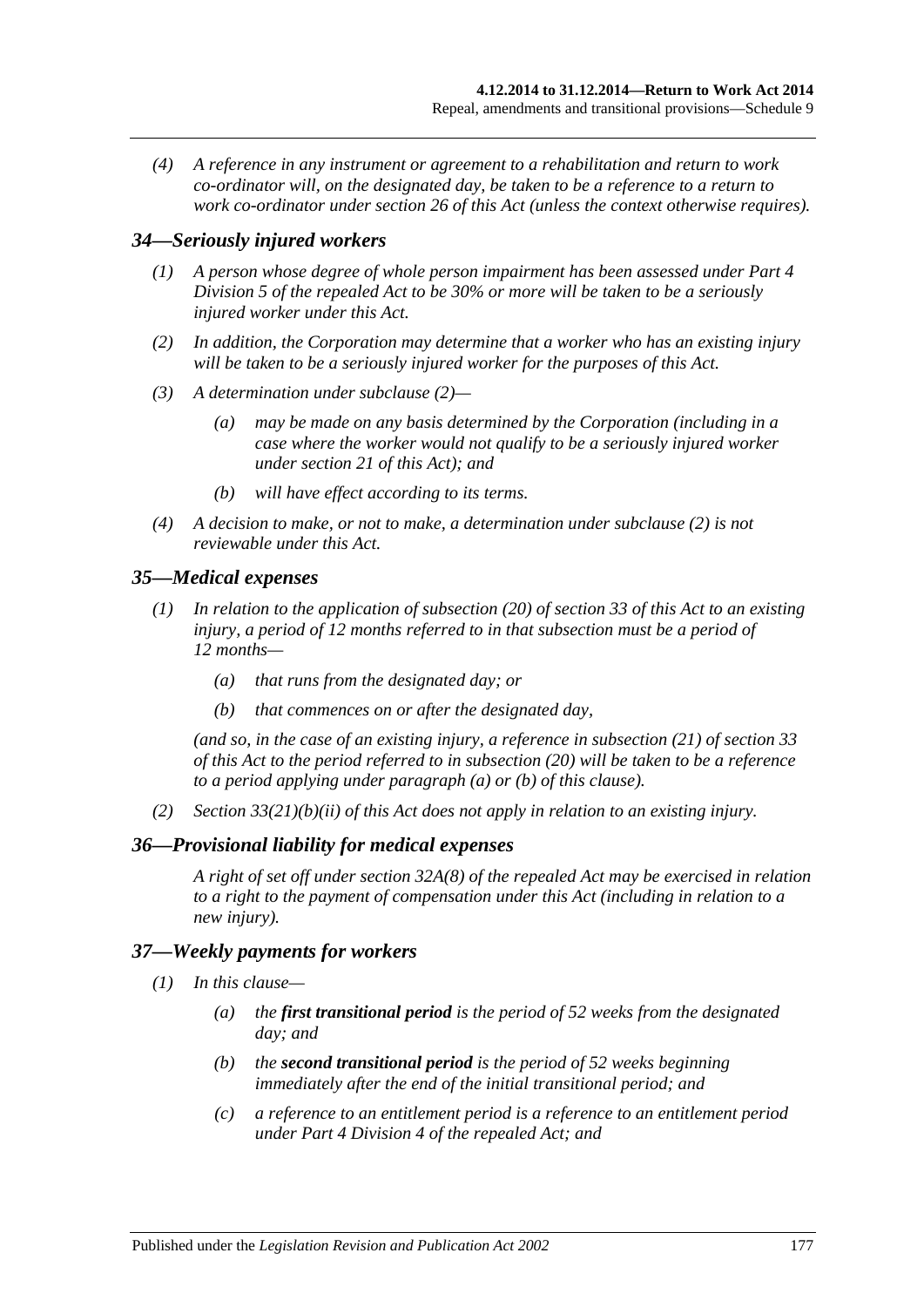*(4) A reference in any instrument or agreement to a rehabilitation and return to work co-ordinator will, on the designated day, be taken to be a reference to a return to work co-ordinator under [section](#page-42-0) 26 of this Act (unless the context otherwise requires).*

#### *34—Seriously injured workers*

- *(1) A person whose degree of whole person impairment has been assessed under Part 4 Division 5 of the repealed Act to be 30% or more will be taken to be a seriously injured worker under this Act.*
- <span id="page-176-0"></span>*(2) In addition, the Corporation may determine that a worker who has an existing injury will be taken to be a seriously injured worker for the purposes of this Act.*
- *(3) A determination under [subclause](#page-176-0) (2)—*
	- *(a) may be made on any basis determined by the Corporation (including in a case where the worker would not qualify to be a seriously injured worker under [section](#page-35-0) 21 of this Act); and*
	- *(b) will have effect according to its terms.*
- *(4) A decision to make, or not to make, a determination under [subclause](#page-176-0) (2) is not reviewable under this Act.*

## *35—Medical expenses*

- <span id="page-176-1"></span>*(1) In relation to the application of [subsection](#page-50-0) (20) of [section](#page-47-0) 33 of this Act to an existing injury, a period of 12 months referred to in that subsection must be a period of 12 months—*
	- *(a) that runs from the designated day; or*
	- *(b) that commences on or after the designated day,*

<span id="page-176-2"></span>*(and so, in the case of an existing injury, a reference in [subsection](#page-50-1) (21) of [section](#page-47-0) 33 of this Act to the period referred to in [subsection](#page-50-0) (20) will be taken to be a reference to a period applying under [paragraph](#page-176-1) (a) or [\(b\)](#page-176-2) of this clause).*

*(2) Section [33\(21\)\(b\)\(ii\)](#page-50-2) of this Act does not apply in relation to an existing injury.*

#### *36—Provisional liability for medical expenses*

*A right of set off under section 32A(8) of the repealed Act may be exercised in relation to a right to the payment of compensation under this Act (including in relation to a new injury).*

#### <span id="page-176-3"></span>*37—Weekly payments for workers*

- *(1) In this clause—*
	- *(a) the first transitional period is the period of 52 weeks from the designated day; and*
	- *(b) the second transitional period is the period of 52 weeks beginning immediately after the end of the initial transitional period; and*
	- *(c) a reference to an entitlement period is a reference to an entitlement period under Part 4 Division 4 of the repealed Act; and*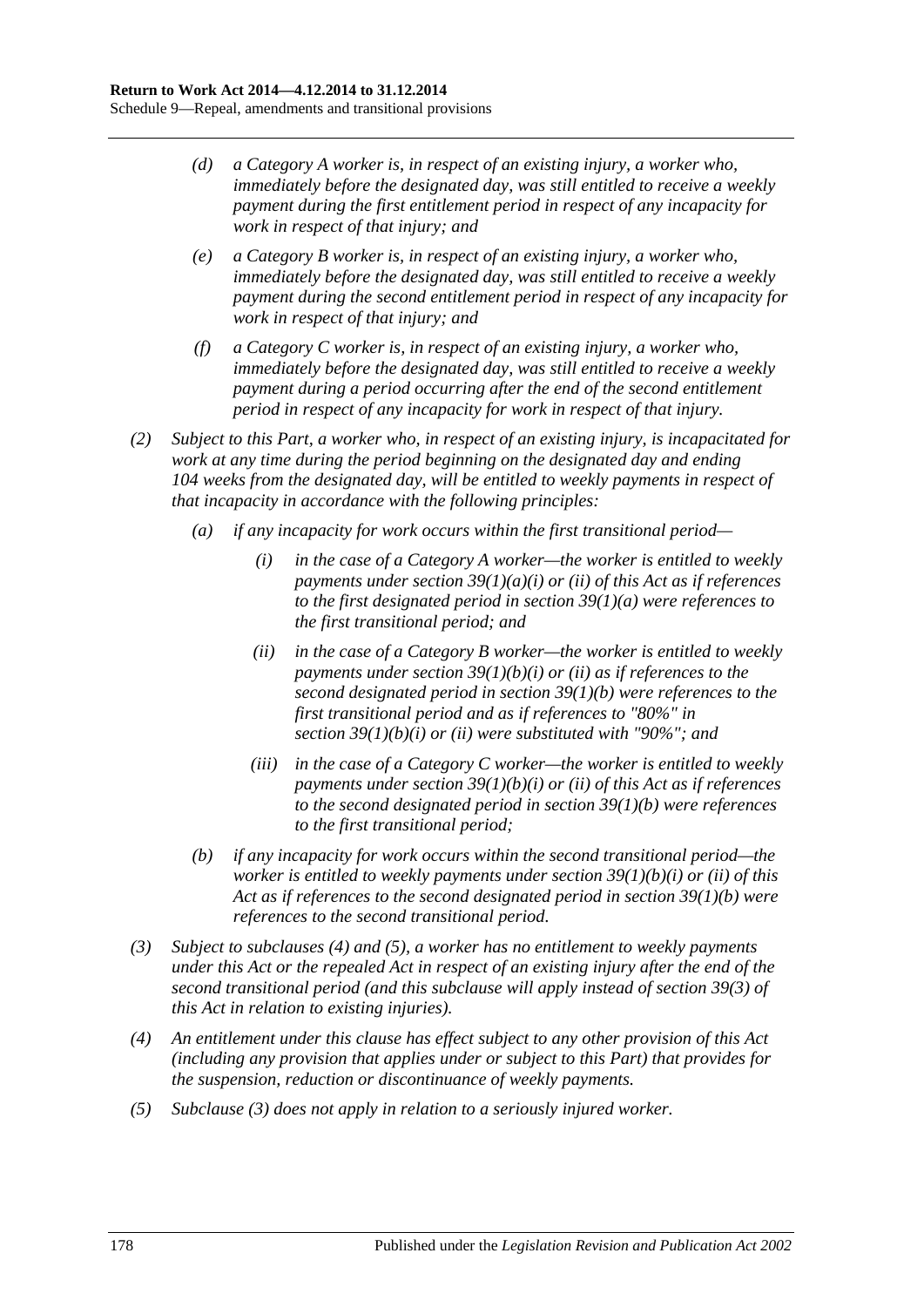- *(d) a Category A worker is, in respect of an existing injury, a worker who, immediately before the designated day, was still entitled to receive a weekly payment during the first entitlement period in respect of any incapacity for work in respect of that injury; and*
- *(e) a Category B worker is, in respect of an existing injury, a worker who, immediately before the designated day, was still entitled to receive a weekly payment during the second entitlement period in respect of any incapacity for work in respect of that injury; and*
- *(f) a Category C worker is, in respect of an existing injury, a worker who, immediately before the designated day, was still entitled to receive a weekly payment during a period occurring after the end of the second entitlement period in respect of any incapacity for work in respect of that injury.*
- *(2) Subject to this Part, a worker who, in respect of an existing injury, is incapacitated for work at any time during the period beginning on the designated day and ending 104 weeks from the designated day, will be entitled to weekly payments in respect of that incapacity in accordance with the following principles:*
	- *(a) if any incapacity for work occurs within the first transitional period—*
		- *(i) in the case of a Category A worker—the worker is entitled to weekly payments under section [39\(1\)\(a\)\(i\)](#page-52-0) or [\(ii\)](#page-52-1) of this Act as if references to the first designated period in section [39\(1\)\(a\)](#page-52-2) were references to the first transitional period; and*
		- *(ii) in the case of a Category B worker—the worker is entitled to weekly payments under section [39\(1\)\(b\)\(i\)](#page-52-3) or [\(ii\)](#page-53-0) as if references to the second designated period in section [39\(1\)\(b\)](#page-52-4) were references to the first transitional period and as if references to "80%" in section [39\(1\)\(b\)\(i\)](#page-52-3) or [\(ii\)](#page-53-0) were substituted with "90%"; and*
		- *(iii) in the case of a Category C worker—the worker is entitled to weekly payments under section [39\(1\)\(b\)\(i\)](#page-52-3) or [\(ii\)](#page-53-0) of this Act as if references to the second designated period in section [39\(1\)\(b\)](#page-52-4) were references to the first transitional period;*
	- *(b) if any incapacity for work occurs within the second transitional period—the worker is entitled to weekly payments under section [39\(1\)\(b\)\(i\)](#page-52-3) or [\(ii\)](#page-53-0) of this Act as if references to the second designated period in section [39\(1\)\(b\)](#page-52-4) were references to the second transitional period.*
- <span id="page-177-2"></span>*(3) Subject to [subclauses](#page-177-0) (4) and [\(5\),](#page-177-1) a worker has no entitlement to weekly payments under this Act or the repealed Act in respect of an existing injury after the end of the second transitional period (and this subclause will apply instead of [section](#page-53-1) 39(3) of this Act in relation to existing injuries).*
- <span id="page-177-0"></span>*(4) An entitlement under this clause has effect subject to any other provision of this Act (including any provision that applies under or subject to this Part) that provides for the suspension, reduction or discontinuance of weekly payments.*
- <span id="page-177-1"></span>*(5) [Subclause](#page-177-2) (3) does not apply in relation to a seriously injured worker.*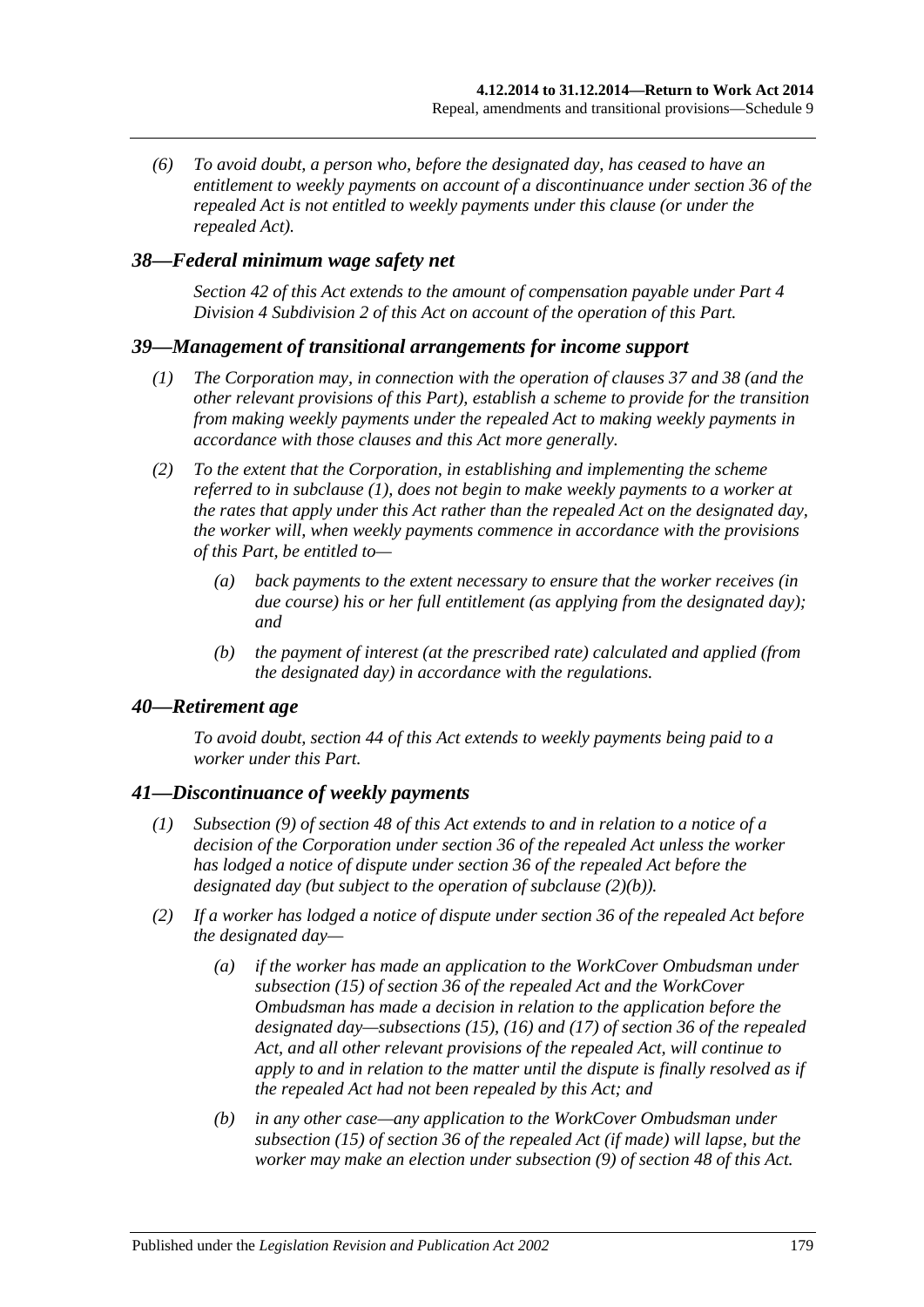*(6) To avoid doubt, a person who, before the designated day, has ceased to have an entitlement to weekly payments on account of a discontinuance under section 36 of the repealed Act is not entitled to weekly payments under this clause (or under the repealed Act).*

## <span id="page-178-0"></span>*38—Federal minimum wage safety net*

*[Section](#page-54-0) 42 of this Act extends to the amount of compensation payable under [Part](#page-52-5) 4 Division [4 Subdivision](#page-52-5) 2 of this Act on account of the operation of this Part.*

#### <span id="page-178-1"></span>*39—Management of transitional arrangements for income support*

- *(1) The Corporation may, in connection with the operation of [clauses](#page-176-3) 37 and [38](#page-178-0) (and the other relevant provisions of this Part), establish a scheme to provide for the transition from making weekly payments under the repealed Act to making weekly payments in accordance with those clauses and this Act more generally.*
- *(2) To the extent that the Corporation, in establishing and implementing the scheme referred to in [subclause](#page-178-1) (1), does not begin to make weekly payments to a worker at the rates that apply under this Act rather than the repealed Act on the designated day, the worker will, when weekly payments commence in accordance with the provisions of this Part, be entitled to—*
	- *(a) back payments to the extent necessary to ensure that the worker receives (in due course) his or her full entitlement (as applying from the designated day); and*
	- *(b) the payment of interest (at the prescribed rate) calculated and applied (from the designated day) in accordance with the regulations.*

#### *40—Retirement age*

*To avoid doubt, [section](#page-55-0) 44 of this Act extends to weekly payments being paid to a worker under this Part.*

#### *41—Discontinuance of weekly payments*

- *(1) [Subsection](#page-61-0) (9) of [section](#page-58-0) 48 of this Act extends to and in relation to a notice of a decision of the Corporation under section 36 of the repealed Act unless the worker has lodged a notice of dispute under section 36 of the repealed Act before the designated day (but subject to the operation of [subclause](#page-178-2) (2)(b)).*
- <span id="page-178-2"></span>*(2) If a worker has lodged a notice of dispute under section 36 of the repealed Act before the designated day—*
	- *(a) if the worker has made an application to the WorkCover Ombudsman under subsection (15) of section 36 of the repealed Act and the WorkCover Ombudsman has made a decision in relation to the application before the designated day—subsections (15), (16) and (17) of section 36 of the repealed Act, and all other relevant provisions of the repealed Act, will continue to apply to and in relation to the matter until the dispute is finally resolved as if the repealed Act had not been repealed by this Act; and*
	- *(b) in any other case—any application to the WorkCover Ombudsman under subsection (15) of section 36 of the repealed Act (if made) will lapse, but the worker may make an election under [subsection](#page-61-0) (9) of [section](#page-58-0) 48 of this Act.*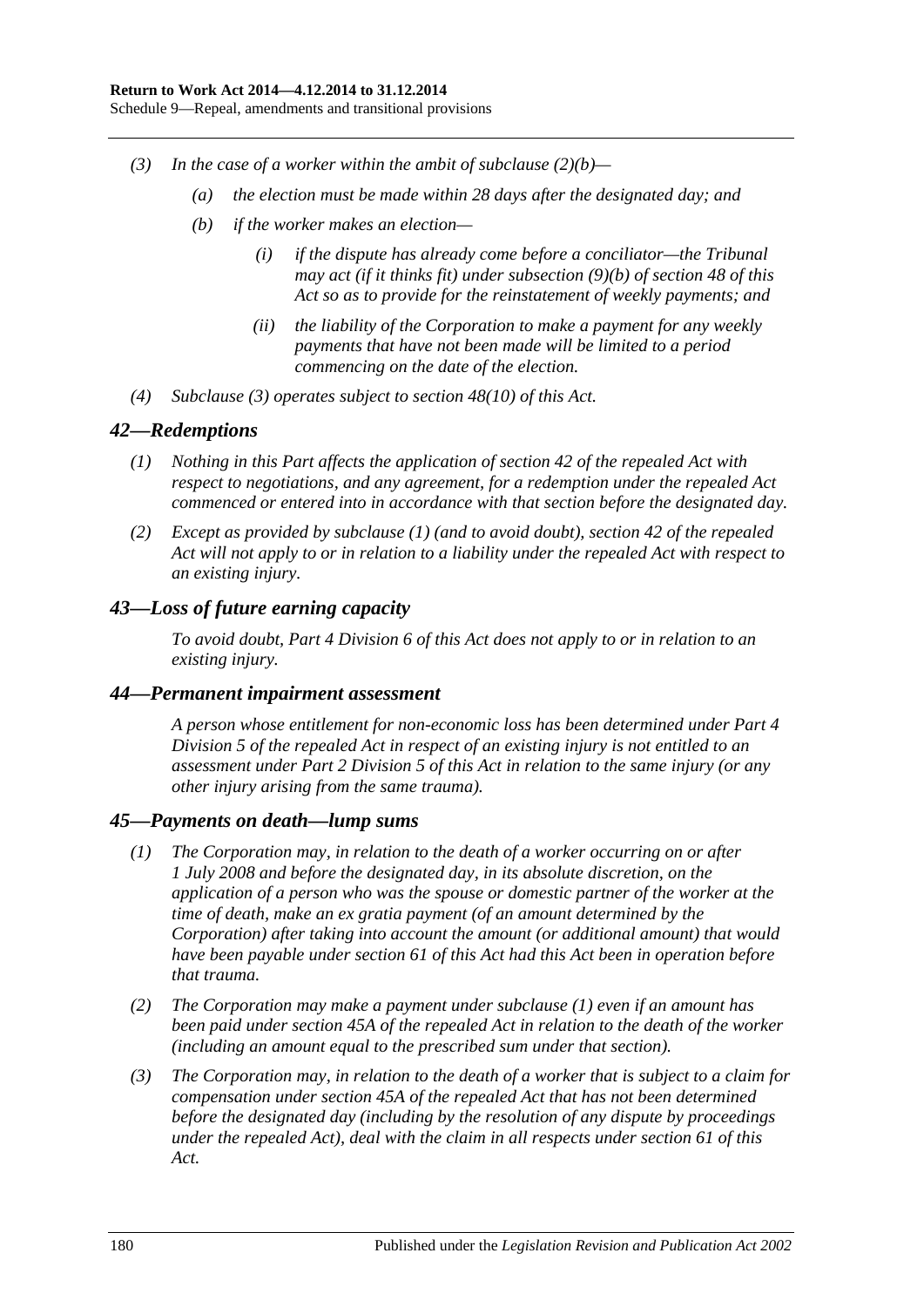- <span id="page-179-0"></span>*(3) In the case of a worker within the ambit of [subclause](#page-178-2) (2)(b)—*
	- *(a) the election must be made within 28 days after the designated day; and*
	- *(b) if the worker makes an election—*
		- *(i) if the dispute has already come before a conciliator—the Tribunal may act (if it thinks fit) under [subsection](#page-62-0) (9)(b) of [section](#page-58-0) 48 of this Act so as to provide for the reinstatement of weekly payments; and*
		- *(ii) the liability of the Corporation to make a payment for any weekly payments that have not been made will be limited to a period commencing on the date of the election.*
- *(4) [Subclause](#page-179-0) (3) operates subject to [section](#page-62-1) 48(10) of this Act.*

## <span id="page-179-1"></span>*42—Redemptions*

- *(1) Nothing in this Part affects the application of section 42 of the repealed Act with respect to negotiations, and any agreement, for a redemption under the repealed Act commenced or entered into in accordance with that section before the designated day.*
- *(2) Except as provided by [subclause](#page-179-1) (1) (and to avoid doubt), section 42 of the repealed Act will not apply to or in relation to a liability under the repealed Act with respect to an existing injury.*

# *43—Loss of future earning capacity*

*To avoid doubt, Part [4 Division](#page-67-0) 6 of this Act does not apply to or in relation to an existing injury.*

#### *44—Permanent impairment assessment*

*A person whose entitlement for non-economic loss has been determined under Part 4 Division 5 of the repealed Act in respect of an existing injury is not entitled to an assessment under Part [2 Division](#page-36-0) 5 of this Act in relation to the same injury (or any other injury arising from the same trauma).*

#### <span id="page-179-2"></span>*45—Payments on death—lump sums*

- *(1) The Corporation may, in relation to the death of a worker occurring on or after 1 July 2008 and before the designated day, in its absolute discretion, on the application of a person who was the spouse or domestic partner of the worker at the time of death, make an ex gratia payment (of an amount determined by the Corporation) after taking into account the amount (or additional amount) that would have been payable under [section](#page-73-0) 61 of this Act had this Act been in operation before that trauma.*
- *(2) The Corporation may make a payment under [subclause](#page-179-2) (1) even if an amount has been paid under section 45A of the repealed Act in relation to the death of the worker (including an amount equal to the prescribed sum under that section).*
- *(3) The Corporation may, in relation to the death of a worker that is subject to a claim for compensation under section 45A of the repealed Act that has not been determined before the designated day (including by the resolution of any dispute by proceedings under the repealed Act), deal with the claim in all respects under [section](#page-73-0) 61 of this Act.*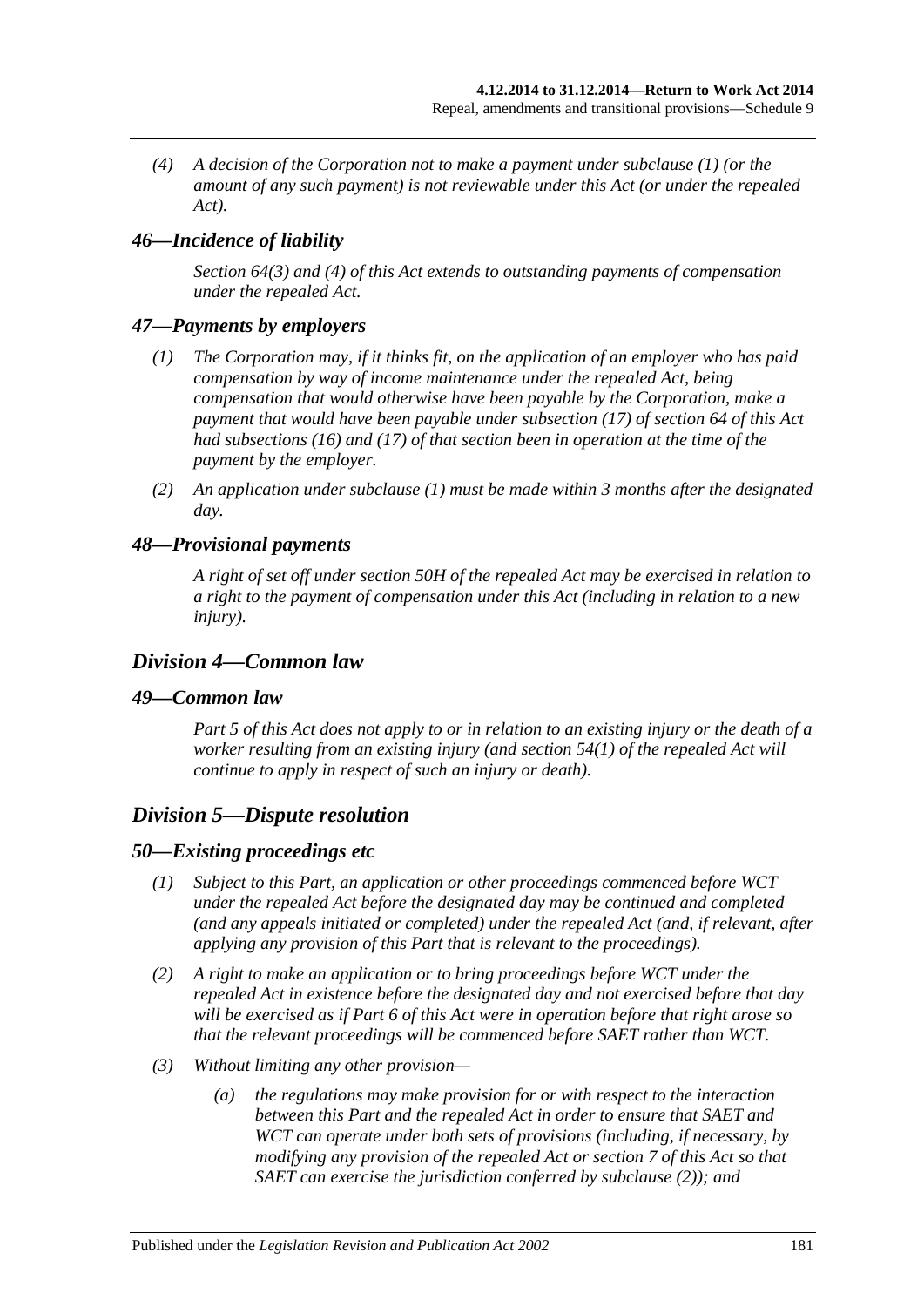*(4) A decision of the Corporation not to make a payment under [subclause](#page-179-0) (1) (or the amount of any such payment) is not reviewable under this Act (or under the repealed Act).*

# *46—Incidence of liability*

*[Section](#page-76-0) 64(3) and [\(4\)](#page-76-1) of this Act extends to outstanding payments of compensation under the repealed Act.*

#### <span id="page-180-0"></span>*47—Payments by employers*

- *(1) The Corporation may, if it thinks fit, on the application of an employer who has paid compensation by way of income maintenance under the repealed Act, being compensation that would otherwise have been payable by the Corporation, make a payment that would have been payable under [subsection](#page-78-0) (17) of [section](#page-76-2) 64 of this Act had [subsections](#page-77-0) (16) and [\(17\)](#page-78-0) of that section been in operation at the time of the payment by the employer.*
- *(2) An application under [subclause](#page-180-0) (1) must be made within 3 months after the designated day.*

#### *48—Provisional payments*

*A right of set off under section 50H of the repealed Act may be exercised in relation to a right to the payment of compensation under this Act (including in relation to a new injury).*

## *Division 4—Common law*

#### *49—Common law*

*[Part](#page-83-0) 5 of this Act does not apply to or in relation to an existing injury or the death of a worker resulting from an existing injury (and section 54(1) of the repealed Act will continue to apply in respect of such an injury or death).*

## *Division 5—Dispute resolution*

#### *50—Existing proceedings etc*

- *(1) Subject to this Part, an application or other proceedings commenced before WCT under the repealed Act before the designated day may be continued and completed (and any appeals initiated or completed) under the repealed Act (and, if relevant, after applying any provision of this Part that is relevant to the proceedings).*
- <span id="page-180-1"></span>*(2) A right to make an application or to bring proceedings before WCT under the repealed Act in existence before the designated day and not exercised before that day will be exercised as if [Part](#page-95-0) 6 of this Act were in operation before that right arose so that the relevant proceedings will be commenced before SAET rather than WCT.*
- *(3) Without limiting any other provision—*
	- *(a) the regulations may make provision for or with respect to the interaction between this Part and the repealed Act in order to ensure that SAET and WCT can operate under both sets of provisions (including, if necessary, by modifying any provision of the repealed Act or [section](#page-23-0) 7 of this Act so that SAET can exercise the jurisdiction conferred by [subclause](#page-180-1) (2)); and*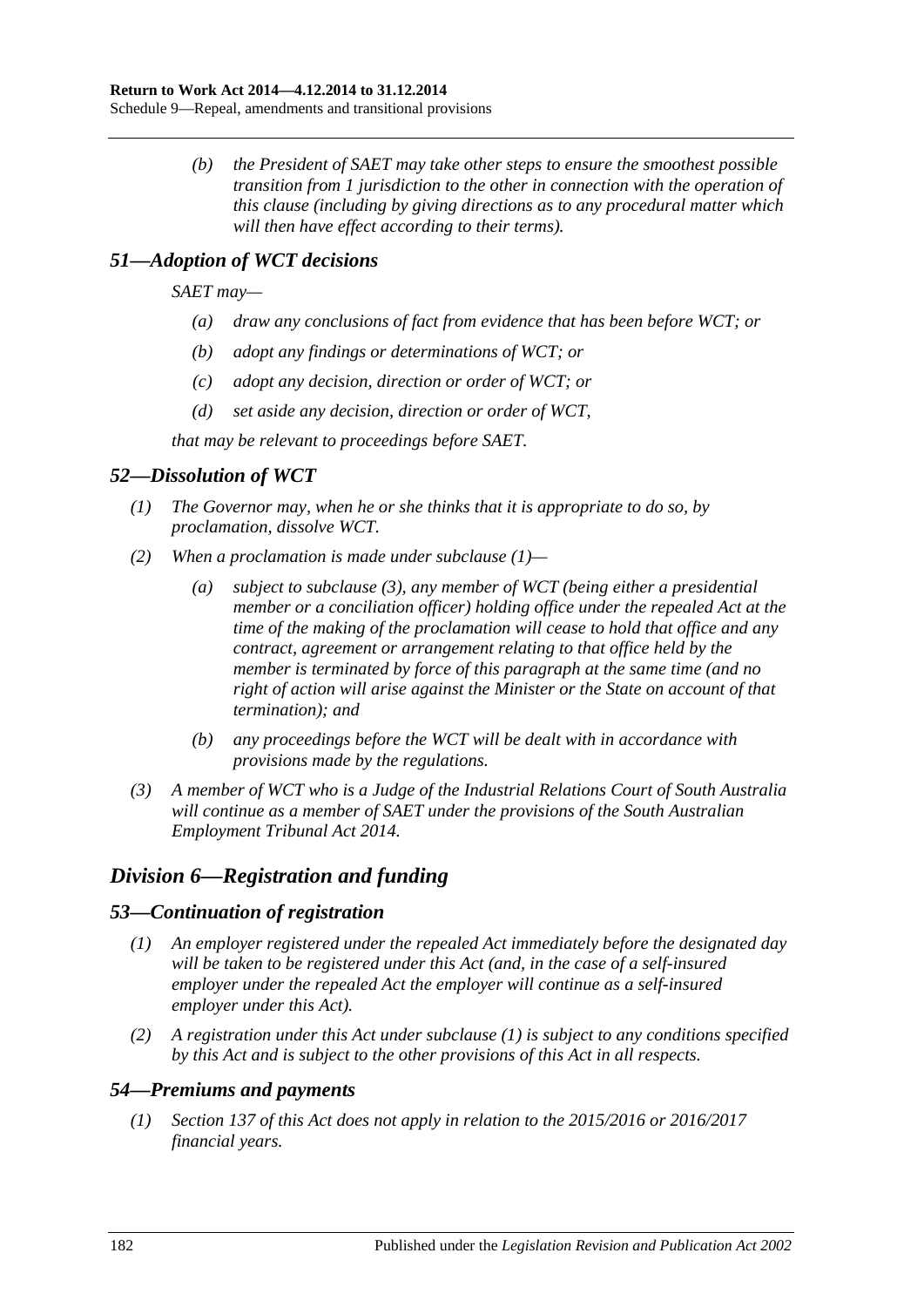*(b) the President of SAET may take other steps to ensure the smoothest possible transition from 1 jurisdiction to the other in connection with the operation of this clause (including by giving directions as to any procedural matter which will then have effect according to their terms).*

# *51—Adoption of WCT decisions*

*SAET may—*

- *(a) draw any conclusions of fact from evidence that has been before WCT; or*
- *(b) adopt any findings or determinations of WCT; or*
- *(c) adopt any decision, direction or order of WCT; or*
- *(d) set aside any decision, direction or order of WCT,*

*that may be relevant to proceedings before SAET.*

# <span id="page-181-0"></span>*52—Dissolution of WCT*

- *(1) The Governor may, when he or she thinks that it is appropriate to do so, by proclamation, dissolve WCT.*
- *(2) When a proclamation is made under [subclause](#page-181-0) (1)—*
	- *(a) subject to subclause (3), any member of WCT (being either a presidential member or a conciliation officer) holding office under the repealed Act at the time of the making of the proclamation will cease to hold that office and any contract, agreement or arrangement relating to that office held by the member is terminated by force of this paragraph at the same time (and no right of action will arise against the Minister or the State on account of that termination); and*
	- *(b) any proceedings before the WCT will be dealt with in accordance with provisions made by the regulations.*
- *(3) A member of WCT who is a Judge of the Industrial Relations Court of South Australia will continue as a member of SAET under the provisions of the [South Australian](http://www.legislation.sa.gov.au/index.aspx?action=legref&type=act&legtitle=South%20Australian%20Employment%20Tribunal%20Act)  [Employment Tribunal Act](http://www.legislation.sa.gov.au/index.aspx?action=legref&type=act&legtitle=South%20Australian%20Employment%20Tribunal%20Act) 2014.*

# *Division 6—Registration and funding*

## <span id="page-181-1"></span>*53—Continuation of registration*

- *(1) An employer registered under the repealed Act immediately before the designated day will be taken to be registered under this Act (and, in the case of a self-insured employer under the repealed Act the employer will continue as a self-insured employer under this Act).*
- *(2) A registration under this Act under [subclause](#page-181-1) (1) is subject to any conditions specified by this Act and is subject to the other provisions of this Act in all respects.*

# *54—Premiums and payments*

*(1) [Section](#page-117-0) 137 of this Act does not apply in relation to the 2015/2016 or 2016/2017 financial years.*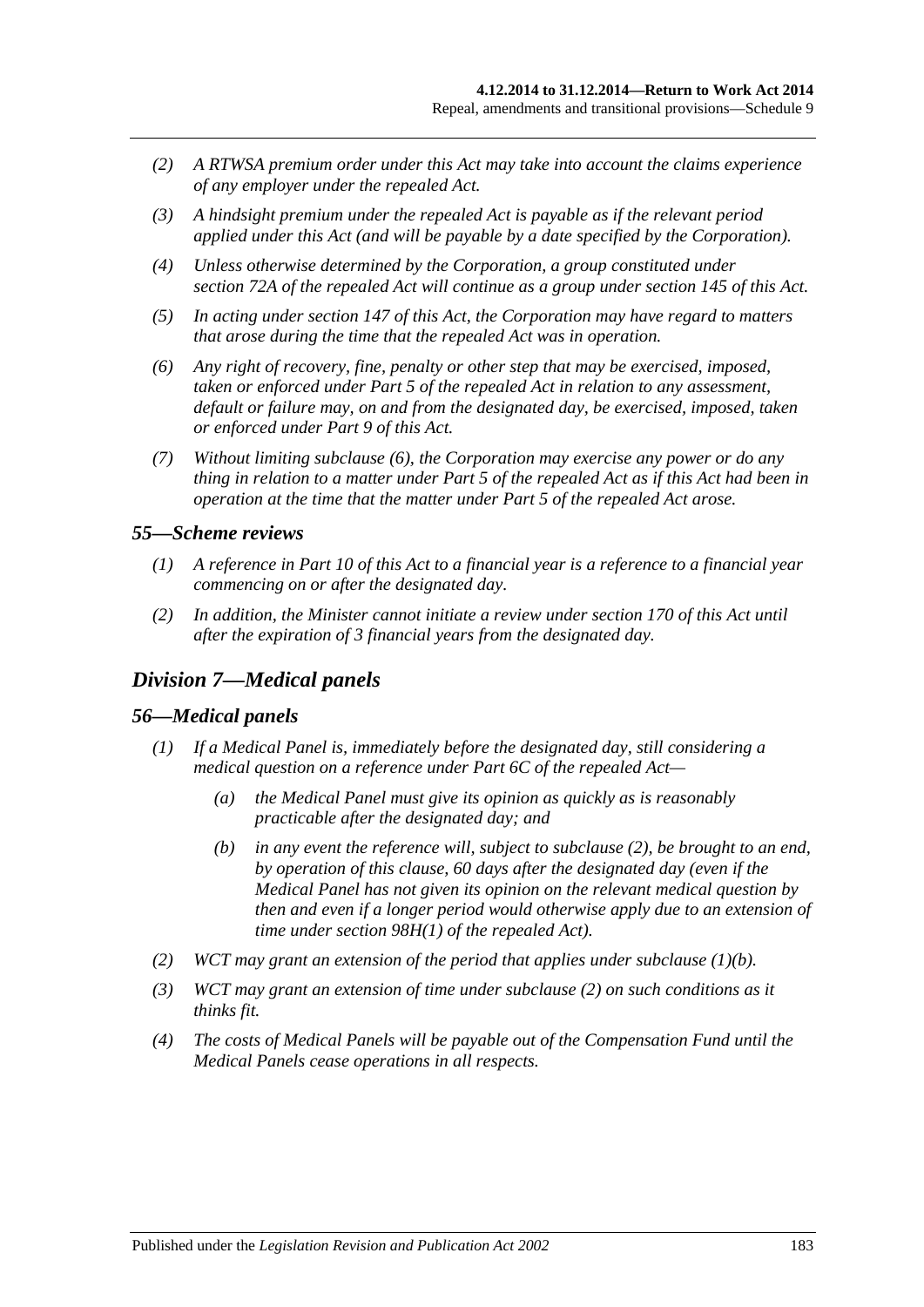- *(2) A RTWSA premium order under this Act may take into account the claims experience of any employer under the repealed Act.*
- *(3) A hindsight premium under the repealed Act is payable as if the relevant period applied under this Act (and will be payable by a date specified by the Corporation).*
- *(4) Unless otherwise determined by the Corporation, a group constituted under section 72A of the repealed Act will continue as a group under [section](#page-123-0) 145 of this Act.*
- *(5) In acting under [section](#page-125-0) 147 of this Act, the Corporation may have regard to matters that arose during the time that the repealed Act was in operation.*
- <span id="page-182-0"></span>*(6) Any right of recovery, fine, penalty or other step that may be exercised, imposed, taken or enforced under Part 5 of the repealed Act in relation to any assessment, default or failure may, on and from the designated day, be exercised, imposed, taken or enforced under [Part](#page-108-0) 9 of this Act.*
- *(7) Without limiting [subclause](#page-182-0) (6), the Corporation may exercise any power or do any thing in relation to a matter under Part 5 of the repealed Act as if this Act had been in operation at the time that the matter under Part 5 of the repealed Act arose.*

#### *55—Scheme reviews*

- *(1) A reference in [Part](#page-135-0) 10 of this Act to a financial year is a reference to a financial year commencing on or after the designated day.*
- *(2) In addition, the Minister cannot initiate a review under [section](#page-137-0) 170 of this Act until after the expiration of 3 financial years from the designated day.*

## *Division 7—Medical panels*

#### *56—Medical panels*

- <span id="page-182-2"></span>*(1) If a Medical Panel is, immediately before the designated day, still considering a medical question on a reference under Part 6C of the repealed Act—*
	- *(a) the Medical Panel must give its opinion as quickly as is reasonably practicable after the designated day; and*
	- *(b) in any event the reference will, subject to [subclause](#page-182-1) (2), be brought to an end, by operation of this clause, 60 days after the designated day (even if the Medical Panel has not given its opinion on the relevant medical question by then and even if a longer period would otherwise apply due to an extension of time under section 98H(1) of the repealed Act).*
- <span id="page-182-1"></span>*(2) WCT may grant an extension of the period that applies under [subclause](#page-182-2) (1)(b).*
- *(3) WCT may grant an extension of time under [subclause](#page-182-1) (2) on such conditions as it thinks fit.*
- *(4) The costs of Medical Panels will be payable out of the Compensation Fund until the Medical Panels cease operations in all respects.*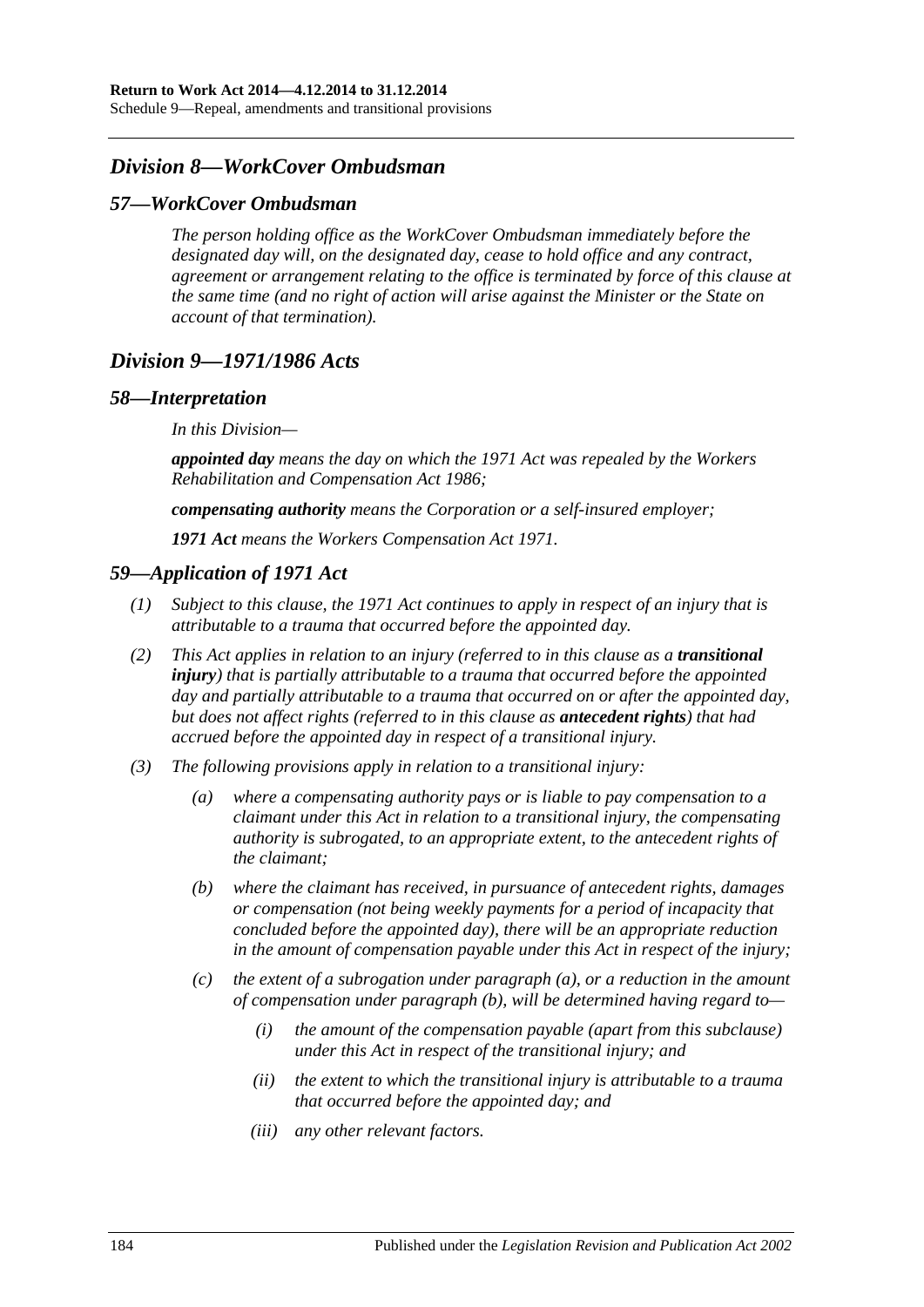Schedule 9—Repeal, amendments and transitional provisions

# *Division 8—WorkCover Ombudsman*

#### *57—WorkCover Ombudsman*

*The person holding office as the WorkCover Ombudsman immediately before the designated day will, on the designated day, cease to hold office and any contract, agreement or arrangement relating to the office is terminated by force of this clause at the same time (and no right of action will arise against the Minister or the State on account of that termination).*

# *Division 9—1971/1986 Acts*

#### *58—Interpretation*

*In this Division—*

*appointed day means the day on which the 1971 Act was repealed by the [Workers](http://www.legislation.sa.gov.au/index.aspx?action=legref&type=act&legtitle=Workers%20Rehabilitation%20and%20Compensation%20Act%201986)  [Rehabilitation and Compensation Act](http://www.legislation.sa.gov.au/index.aspx?action=legref&type=act&legtitle=Workers%20Rehabilitation%20and%20Compensation%20Act%201986) 1986;*

*compensating authority means the Corporation or a self-insured employer;*

*1971 Act means the [Workers Compensation Act](http://www.legislation.sa.gov.au/index.aspx?action=legref&type=act&legtitle=Workers%20Compensation%20Act%201971) 1971.*

#### *59—Application of 1971 Act*

- *(1) Subject to this clause, the 1971 Act continues to apply in respect of an injury that is attributable to a trauma that occurred before the appointed day.*
- *(2) This Act applies in relation to an injury (referred to in this clause as a transitional injury) that is partially attributable to a trauma that occurred before the appointed day and partially attributable to a trauma that occurred on or after the appointed day, but does not affect rights (referred to in this clause as antecedent rights) that had accrued before the appointed day in respect of a transitional injury.*
- <span id="page-183-1"></span><span id="page-183-0"></span>*(3) The following provisions apply in relation to a transitional injury:*
	- *(a) where a compensating authority pays or is liable to pay compensation to a claimant under this Act in relation to a transitional injury, the compensating authority is subrogated, to an appropriate extent, to the antecedent rights of the claimant;*
	- *(b) where the claimant has received, in pursuance of antecedent rights, damages or compensation (not being weekly payments for a period of incapacity that concluded before the appointed day), there will be an appropriate reduction in the amount of compensation payable under this Act in respect of the injury;*
	- *(c) the extent of a subrogation under [paragraph](#page-183-0) (a), or a reduction in the amount of compensation under [paragraph](#page-183-1) (b), will be determined having regard to—*
		- *(i) the amount of the compensation payable (apart from this subclause) under this Act in respect of the transitional injury; and*
		- *(ii) the extent to which the transitional injury is attributable to a trauma that occurred before the appointed day; and*
		- *(iii) any other relevant factors.*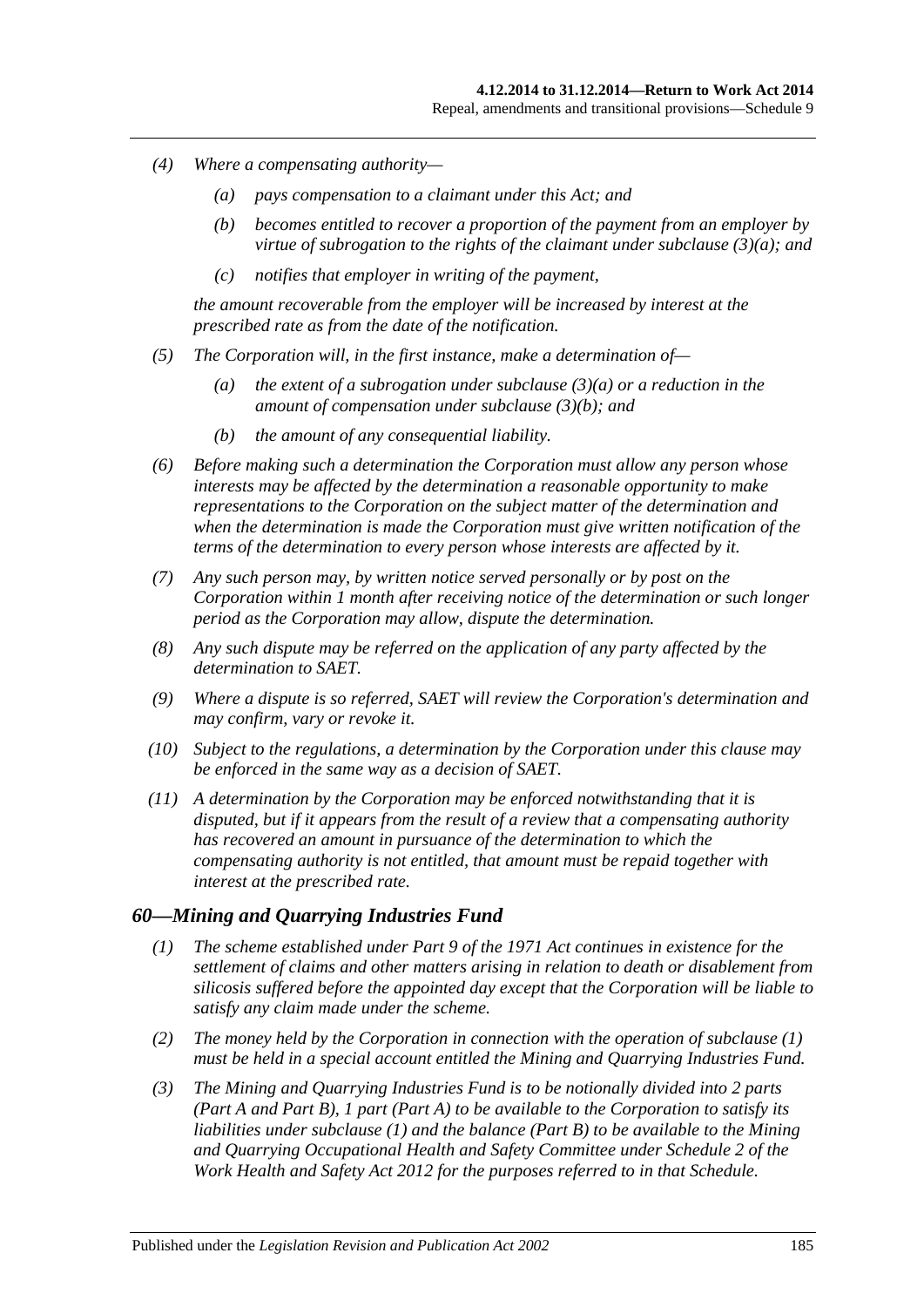- *(4) Where a compensating authority—*
	- *(a) pays compensation to a claimant under this Act; and*
	- *(b) becomes entitled to recover a proportion of the payment from an employer by virtue of subrogation to the rights of the claimant under [subclause](#page-183-0) (3)(a); and*
	- *(c) notifies that employer in writing of the payment,*

*the amount recoverable from the employer will be increased by interest at the prescribed rate as from the date of the notification.*

- *(5) The Corporation will, in the first instance, make a determination of—*
	- *(a) the extent of a subrogation under [subclause](#page-183-0) (3)(a) or a reduction in the amount of compensation under [subclause](#page-183-1) (3)(b); and*
	- *(b) the amount of any consequential liability.*
- *(6) Before making such a determination the Corporation must allow any person whose interests may be affected by the determination a reasonable opportunity to make representations to the Corporation on the subject matter of the determination and when the determination is made the Corporation must give written notification of the terms of the determination to every person whose interests are affected by it.*
- *(7) Any such person may, by written notice served personally or by post on the Corporation within 1 month after receiving notice of the determination or such longer period as the Corporation may allow, dispute the determination.*
- *(8) Any such dispute may be referred on the application of any party affected by the determination to SAET.*
- *(9) Where a dispute is so referred, SAET will review the Corporation's determination and may confirm, vary or revoke it.*
- *(10) Subject to the regulations, a determination by the Corporation under this clause may be enforced in the same way as a decision of SAET.*
- *(11) A determination by the Corporation may be enforced notwithstanding that it is disputed, but if it appears from the result of a review that a compensating authority has recovered an amount in pursuance of the determination to which the compensating authority is not entitled, that amount must be repaid together with interest at the prescribed rate.*

## <span id="page-184-0"></span>*60—Mining and Quarrying Industries Fund*

- *(1) The scheme established under Part 9 of the 1971 Act continues in existence for the settlement of claims and other matters arising in relation to death or disablement from silicosis suffered before the appointed day except that the Corporation will be liable to satisfy any claim made under the scheme.*
- *(2) The money held by the Corporation in connection with the operation of [subclause](#page-184-0) (1) must be held in a special account entitled the Mining and Quarrying Industries Fund.*
- *(3) The Mining and Quarrying Industries Fund is to be notionally divided into 2 parts (Part A and Part B), 1 part (Part A) to be available to the Corporation to satisfy its liabilities under [subclause](#page-184-0) (1) and the balance (Part B) to be available to the Mining and Quarrying Occupational Health and Safety Committee under Schedule 2 of the [Work Health and Safety Act](http://www.legislation.sa.gov.au/index.aspx?action=legref&type=act&legtitle=Work%20Health%20and%20Safety%20Act%202012) 2012 for the purposes referred to in that Schedule.*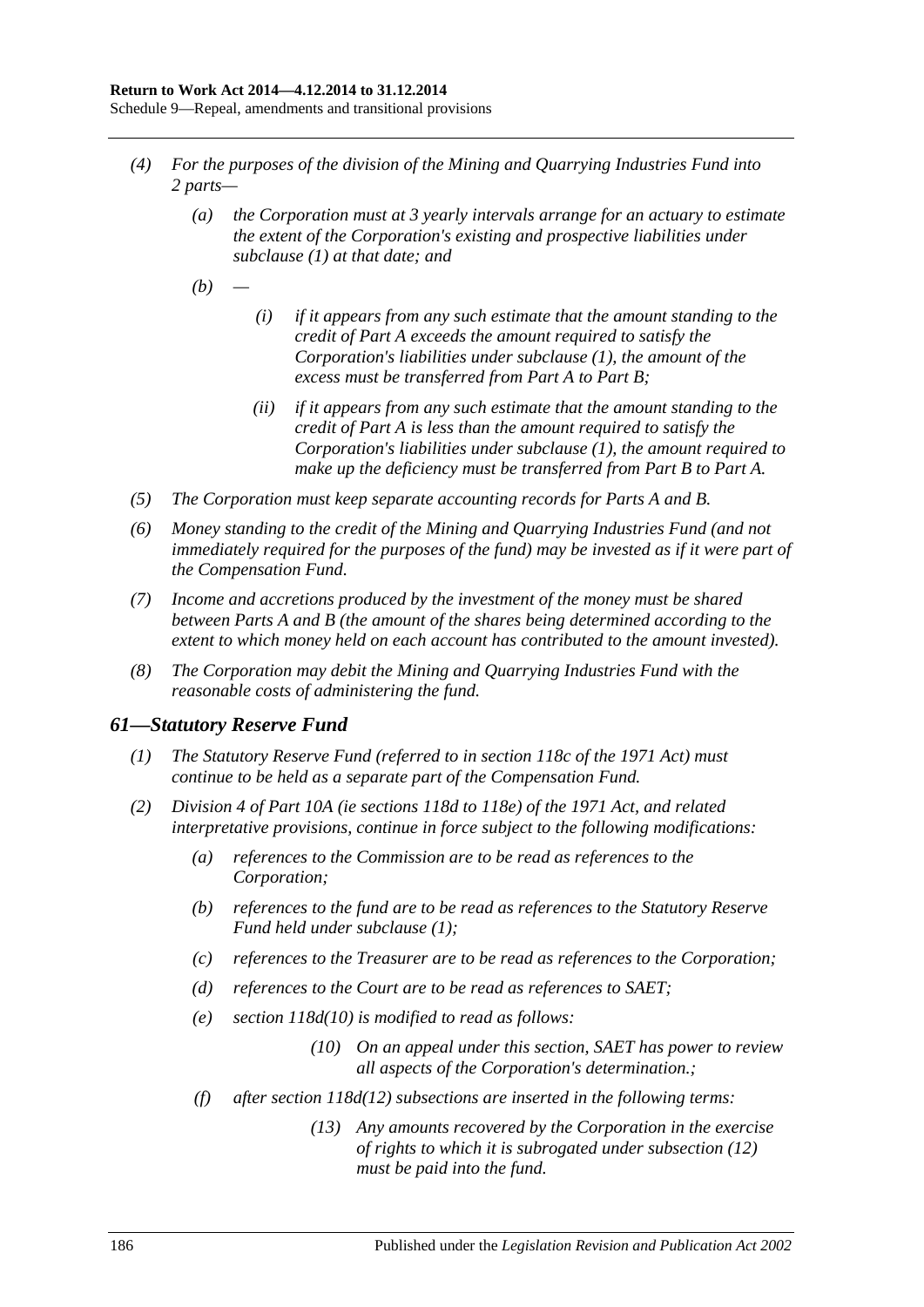- *(4) For the purposes of the division of the Mining and Quarrying Industries Fund into 2 parts—*
	- *(a) the Corporation must at 3 yearly intervals arrange for an actuary to estimate the extent of the Corporation's existing and prospective liabilities under [subclause](#page-184-0) (1) at that date; and*
	- *(b) —*
- *(i) if it appears from any such estimate that the amount standing to the credit of Part A exceeds the amount required to satisfy the Corporation's liabilities under [subclause](#page-184-0) (1), the amount of the excess must be transferred from Part A to Part B;*
- *(ii) if it appears from any such estimate that the amount standing to the credit of Part A is less than the amount required to satisfy the Corporation's liabilities under [subclause](#page-184-0) (1), the amount required to make up the deficiency must be transferred from Part B to Part A.*
- *(5) The Corporation must keep separate accounting records for Parts A and B.*
- *(6) Money standing to the credit of the Mining and Quarrying Industries Fund (and not immediately required for the purposes of the fund) may be invested as if it were part of the Compensation Fund.*
- *(7) Income and accretions produced by the investment of the money must be shared between Parts A and B (the amount of the shares being determined according to the extent to which money held on each account has contributed to the amount invested).*
- *(8) The Corporation may debit the Mining and Quarrying Industries Fund with the reasonable costs of administering the fund.*

## <span id="page-185-0"></span>*61—Statutory Reserve Fund*

- *(1) The Statutory Reserve Fund (referred to in section 118c of the 1971 Act) must continue to be held as a separate part of the Compensation Fund.*
- *(2) Division 4 of Part 10A (ie sections 118d to 118e) of the 1971 Act, and related interpretative provisions, continue in force subject to the following modifications:*
	- *(a) references to the Commission are to be read as references to the Corporation;*
	- *(b) references to the fund are to be read as references to the Statutory Reserve Fund held under [subclause](#page-185-0) (1);*
	- *(c) references to the Treasurer are to be read as references to the Corporation;*
	- *(d) references to the Court are to be read as references to SAET;*
	- *(e) section 118d(10) is modified to read as follows:*
		- *(10) On an appeal under this section, SAET has power to review all aspects of the Corporation's determination.;*
	- *(f) after section 118d(12) subsections are inserted in the following terms:*
		- *(13) Any amounts recovered by the Corporation in the exercise of rights to which it is subrogated under subsection (12) must be paid into the fund.*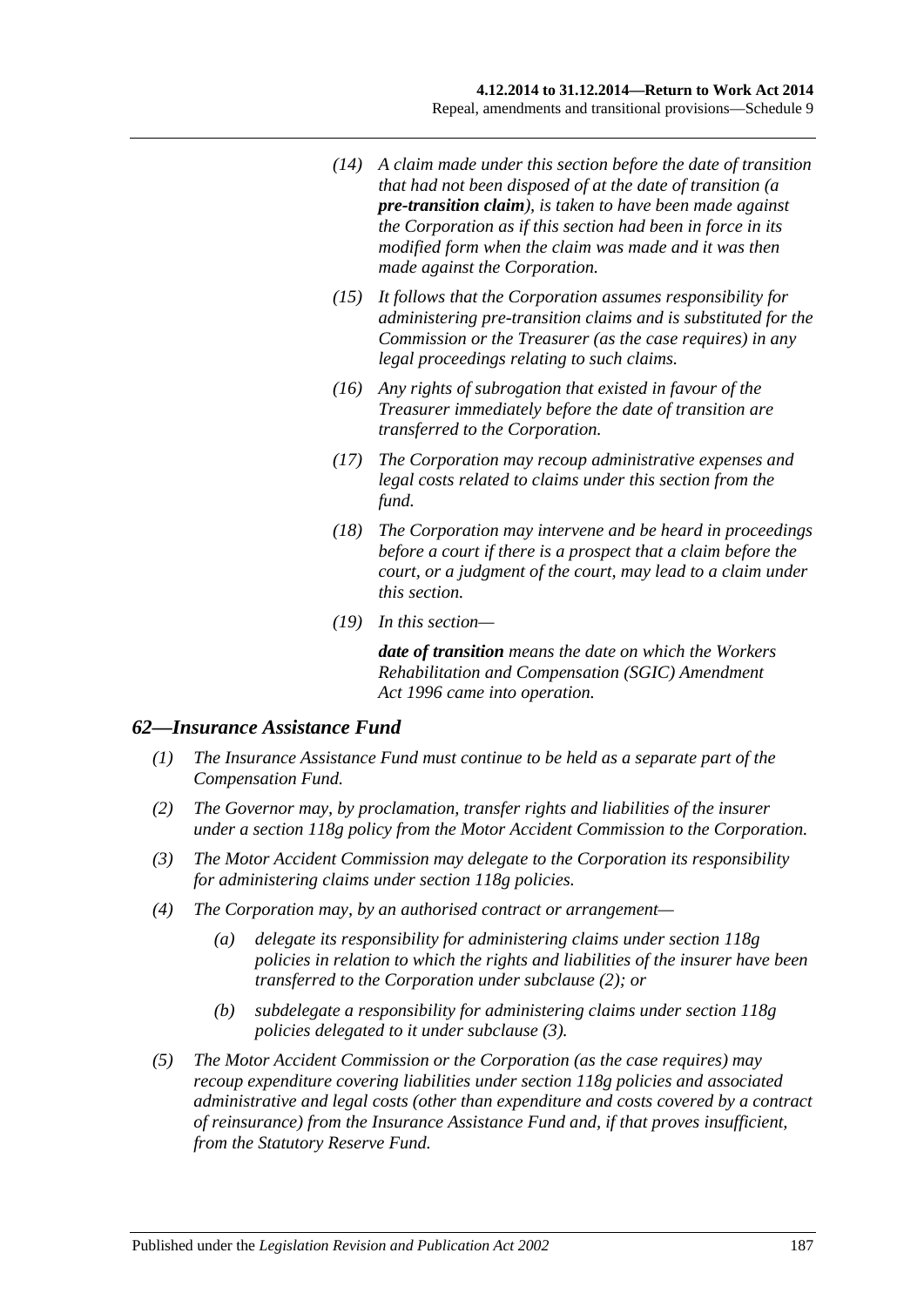- *(14) A claim made under this section before the date of transition that had not been disposed of at the date of transition (a pre-transition claim), is taken to have been made against the Corporation as if this section had been in force in its modified form when the claim was made and it was then made against the Corporation.*
- *(15) It follows that the Corporation assumes responsibility for administering pre-transition claims and is substituted for the Commission or the Treasurer (as the case requires) in any legal proceedings relating to such claims.*
- *(16) Any rights of subrogation that existed in favour of the Treasurer immediately before the date of transition are transferred to the Corporation.*
- *(17) The Corporation may recoup administrative expenses and legal costs related to claims under this section from the fund.*
- *(18) The Corporation may intervene and be heard in proceedings before a court if there is a prospect that a claim before the court, or a judgment of the court, may lead to a claim under this section.*
- *(19) In this section—*

*date of transition means the date on which the [Workers](http://www.legislation.sa.gov.au/index.aspx?action=legref&type=act&legtitle=Workers%20Rehabilitation%20and%20Compensation%20(SGIC)%20Amendment%20Act%201996)  [Rehabilitation and Compensation \(SGIC\) Amendment](http://www.legislation.sa.gov.au/index.aspx?action=legref&type=act&legtitle=Workers%20Rehabilitation%20and%20Compensation%20(SGIC)%20Amendment%20Act%201996)  Act [1996](http://www.legislation.sa.gov.au/index.aspx?action=legref&type=act&legtitle=Workers%20Rehabilitation%20and%20Compensation%20(SGIC)%20Amendment%20Act%201996) came into operation.*

## *62—Insurance Assistance Fund*

- *(1) The Insurance Assistance Fund must continue to be held as a separate part of the Compensation Fund.*
- <span id="page-186-0"></span>*(2) The Governor may, by proclamation, transfer rights and liabilities of the insurer under a section 118g policy from the Motor Accident Commission to the Corporation.*
- <span id="page-186-1"></span>*(3) The Motor Accident Commission may delegate to the Corporation its responsibility for administering claims under section 118g policies.*
- *(4) The Corporation may, by an authorised contract or arrangement—*
	- *(a) delegate its responsibility for administering claims under section 118g policies in relation to which the rights and liabilities of the insurer have been transferred to the Corporation under [subclause](#page-186-0) (2); or*
	- *(b) subdelegate a responsibility for administering claims under section 118g policies delegated to it under [subclause](#page-186-1) (3).*
- *(5) The Motor Accident Commission or the Corporation (as the case requires) may recoup expenditure covering liabilities under section 118g policies and associated administrative and legal costs (other than expenditure and costs covered by a contract of reinsurance) from the Insurance Assistance Fund and, if that proves insufficient, from the Statutory Reserve Fund.*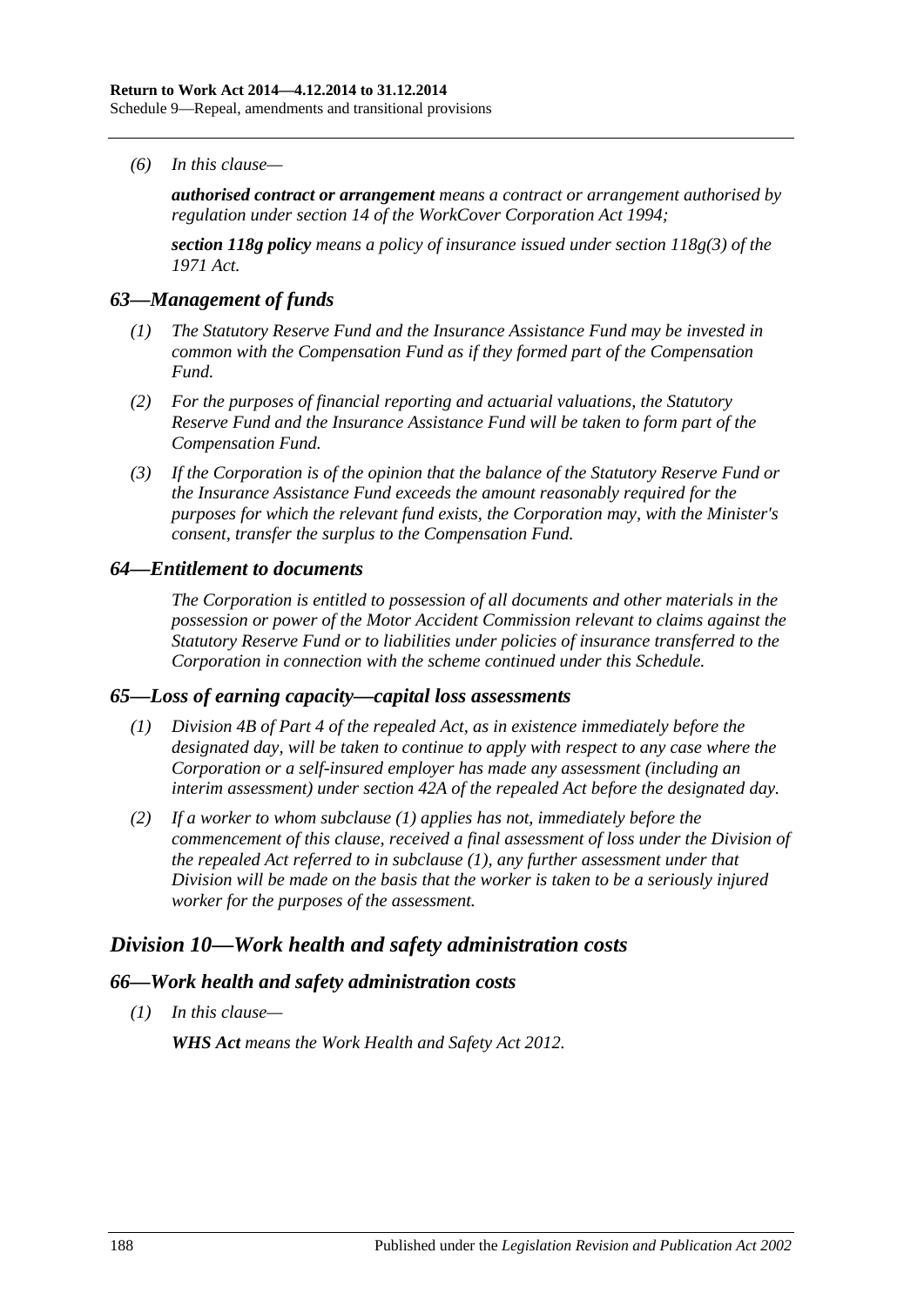*(6) In this clause—*

*authorised contract or arrangement means a contract or arrangement authorised by regulation under section 14 of the [WorkCover Corporation Act](http://www.legislation.sa.gov.au/index.aspx?action=legref&type=act&legtitle=WorkCover%20Corporation%20Act%201994) 1994;*

*section 118g policy means a policy of insurance issued under section 118g(3) of the 1971 Act.*

#### *63—Management of funds*

- *(1) The Statutory Reserve Fund and the Insurance Assistance Fund may be invested in common with the Compensation Fund as if they formed part of the Compensation Fund.*
- *(2) For the purposes of financial reporting and actuarial valuations, the Statutory Reserve Fund and the Insurance Assistance Fund will be taken to form part of the Compensation Fund.*
- *(3) If the Corporation is of the opinion that the balance of the Statutory Reserve Fund or the Insurance Assistance Fund exceeds the amount reasonably required for the purposes for which the relevant fund exists, the Corporation may, with the Minister's consent, transfer the surplus to the Compensation Fund.*

#### *64—Entitlement to documents*

*The Corporation is entitled to possession of all documents and other materials in the possession or power of the Motor Accident Commission relevant to claims against the Statutory Reserve Fund or to liabilities under policies of insurance transferred to the Corporation in connection with the scheme continued under this Schedule.*

## <span id="page-187-0"></span>*65—Loss of earning capacity—capital loss assessments*

- *(1) Division 4B of Part 4 of the repealed Act, as in existence immediately before the designated day, will be taken to continue to apply with respect to any case where the Corporation or a self-insured employer has made any assessment (including an interim assessment) under section 42A of the repealed Act before the designated day.*
- *(2) If a worker to whom [subclause](#page-187-0) (1) applies has not, immediately before the commencement of this clause, received a final assessment of loss under the Division of the repealed Act referred to in [subclause](#page-187-0) (1), any further assessment under that Division will be made on the basis that the worker is taken to be a seriously injured worker for the purposes of the assessment.*

# *Division 10—Work health and safety administration costs*

#### *66—Work health and safety administration costs*

*(1) In this clause—*

*WHS Act means the [Work Health and Safety Act](http://www.legislation.sa.gov.au/index.aspx?action=legref&type=act&legtitle=Work%20Health%20and%20Safety%20Act%202012) 2012.*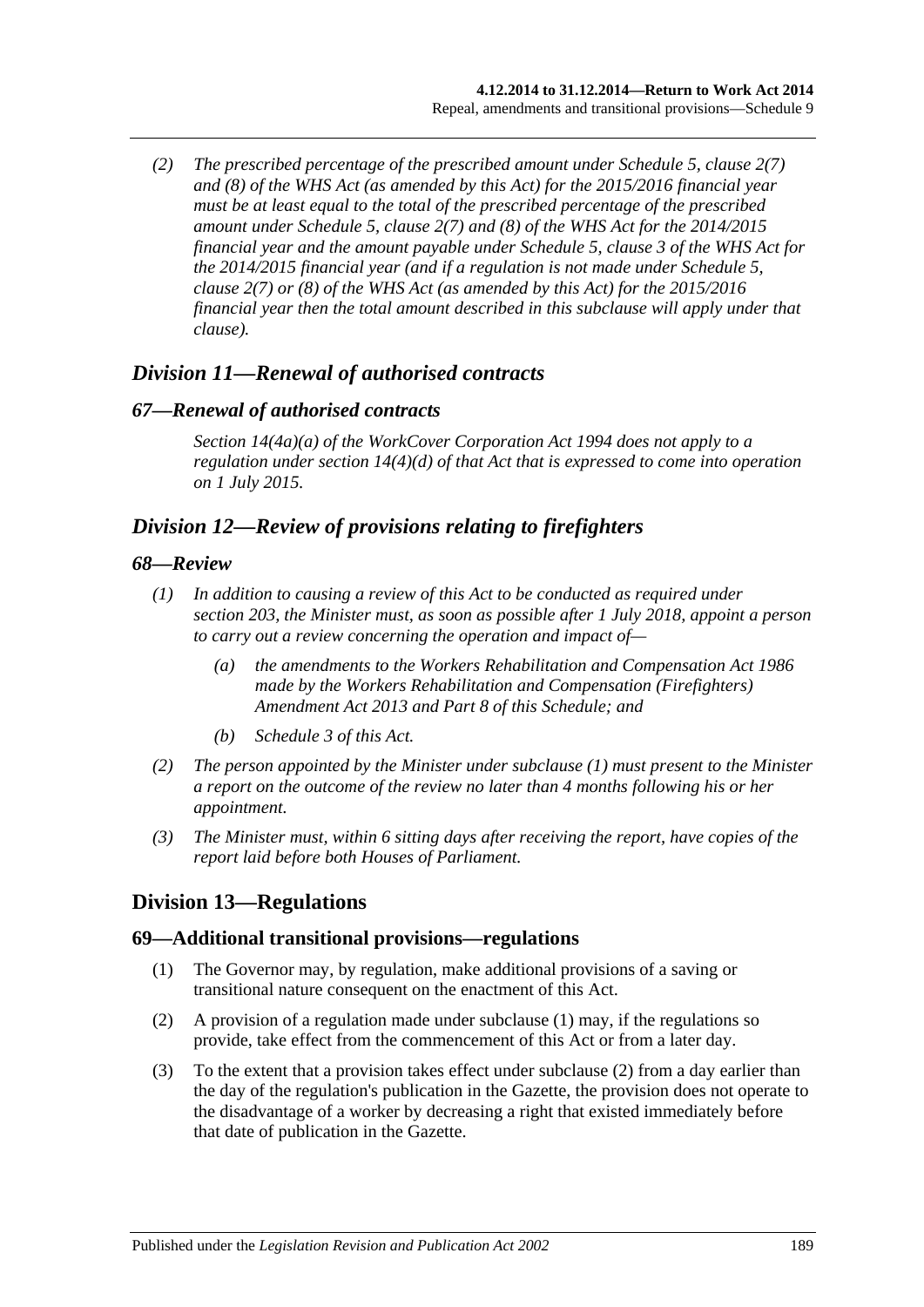*(2) The prescribed percentage of the prescribed amount under Schedule 5, clause 2(7) and (8) of the WHS Act (as amended by this Act) for the 2015/2016 financial year must be at least equal to the total of the prescribed percentage of the prescribed amount under Schedule 5, clause 2(7) and (8) of the WHS Act for the 2014/2015 financial year and the amount payable under Schedule 5, clause 3 of the WHS Act for the 2014/2015 financial year (and if a regulation is not made under Schedule 5, clause 2(7) or (8) of the WHS Act (as amended by this Act) for the 2015/2016 financial year then the total amount described in this subclause will apply under that clause).*

# *Division 11—Renewal of authorised contracts*

## *67—Renewal of authorised contracts*

*Section 14(4a)(a) of the [WorkCover Corporation Act](http://www.legislation.sa.gov.au/index.aspx?action=legref&type=act&legtitle=WorkCover%20Corporation%20Act%201994) 1994 does not apply to a regulation under section 14(4)(d) of that Act that is expressed to come into operation on 1 July 2015.*

# *Division 12—Review of provisions relating to firefighters*

#### <span id="page-188-0"></span>*68—Review*

- *(1) In addition to causing a review of this Act to be conducted as required under [section](#page-155-0) 203, the Minister must, as soon as possible after 1 July 2018, appoint a person to carry out a review concerning the operation and impact of—*
	- *(a) the amendments to the [Workers Rehabilitation and Compensation Act](http://www.legislation.sa.gov.au/index.aspx?action=legref&type=act&legtitle=Workers%20Rehabilitation%20and%20Compensation%20Act%201986) 1986 made by the [Workers Rehabilitation and Compensation \(Firefighters\)](http://www.legislation.sa.gov.au/index.aspx?action=legref&type=act&legtitle=Workers%20Rehabilitation%20and%20Compensation%20(Firefighters)%20Amendment%20Act%202013)  [Amendment Act 2013](http://www.legislation.sa.gov.au/index.aspx?action=legref&type=act&legtitle=Workers%20Rehabilitation%20and%20Compensation%20(Firefighters)%20Amendment%20Act%202013) and Part 8 of this Schedule; and*
	- *(b) [Schedule](#page-158-0) 3 of this Act.*
- *(2) The person appointed by the Minister under [subclause](#page-188-0) (1) must present to the Minister a report on the outcome of the review no later than 4 months following his or her appointment.*
- *(3) The Minister must, within 6 sitting days after receiving the report, have copies of the report laid before both Houses of Parliament.*

# **Division 13—Regulations**

## <span id="page-188-1"></span>**69—Additional transitional provisions—regulations**

- (1) The Governor may, by regulation, make additional provisions of a saving or transitional nature consequent on the enactment of this Act.
- <span id="page-188-2"></span>(2) A provision of a regulation made under [subclause](#page-188-1) (1) may, if the regulations so provide, take effect from the commencement of this Act or from a later day.
- (3) To the extent that a provision takes effect under [subclause](#page-188-2) (2) from a day earlier than the day of the regulation's publication in the Gazette, the provision does not operate to the disadvantage of a worker by decreasing a right that existed immediately before that date of publication in the Gazette.